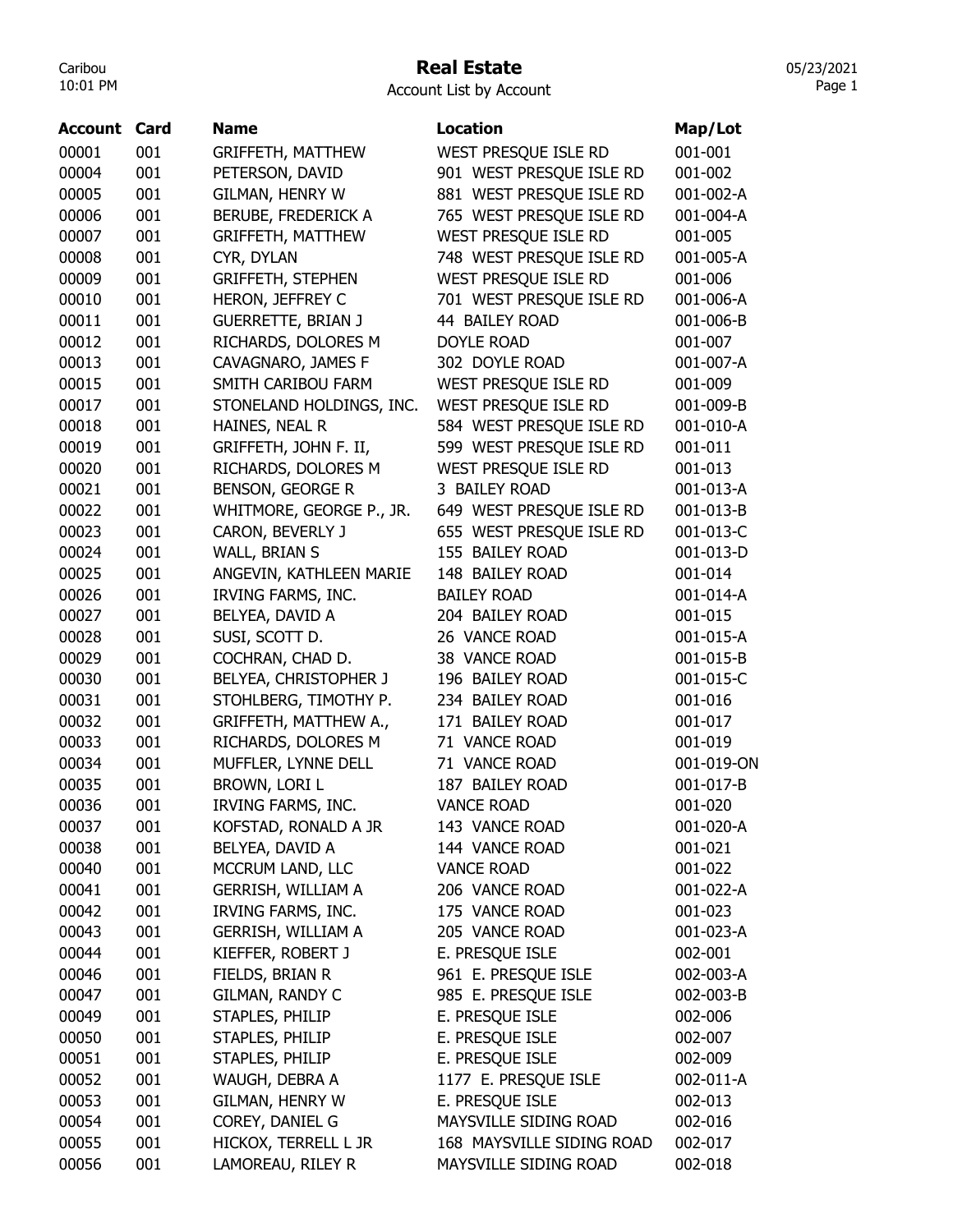# Real Estate

| Account List by Account |  |  |
|-------------------------|--|--|
|-------------------------|--|--|

| Account | Card | <b>Name</b>                | <b>Location</b>           | Map/Lot    |
|---------|------|----------------------------|---------------------------|------------|
| 00001   | 001  | <b>GRIFFETH, MATTHEW</b>   | WEST PRESQUE ISLE RD      | 001-001    |
| 00004   | 001  | PETERSON, DAVID            | 901 WEST PRESQUE ISLE RD  | 001-002    |
| 00005   | 001  | GILMAN, HENRY W            | 881 WEST PRESQUE ISLE RD  | 001-002-A  |
| 00006   | 001  | <b>BERUBE, FREDERICK A</b> | 765 WEST PRESQUE ISLE RD  | 001-004-A  |
| 00007   | 001  | <b>GRIFFETH, MATTHEW</b>   | WEST PRESQUE ISLE RD      | 001-005    |
| 00008   | 001  | CYR, DYLAN                 | 748 WEST PRESQUE ISLE RD  | 001-005-A  |
| 00009   | 001  | <b>GRIFFETH, STEPHEN</b>   | WEST PRESQUE ISLE RD      | 001-006    |
| 00010   | 001  | HERON, JEFFREY C           | 701 WEST PRESQUE ISLE RD  | 001-006-A  |
| 00011   | 001  | <b>GUERRETTE, BRIAN J</b>  | 44 BAILEY ROAD            | 001-006-B  |
| 00012   | 001  | RICHARDS, DOLORES M        | <b>DOYLE ROAD</b>         | 001-007    |
| 00013   | 001  | CAVAGNARO, JAMES F         | 302 DOYLE ROAD            | 001-007-A  |
| 00015   | 001  | SMITH CARIBOU FARM         | WEST PRESQUE ISLE RD      | 001-009    |
| 00017   | 001  | STONELAND HOLDINGS, INC.   | WEST PRESQUE ISLE RD      | 001-009-B  |
| 00018   | 001  | HAINES, NEAL R             | 584 WEST PRESQUE ISLE RD  | 001-010-A  |
| 00019   | 001  | GRIFFETH, JOHN F. II,      | 599 WEST PRESQUE ISLE RD  | 001-011    |
| 00020   | 001  | RICHARDS, DOLORES M        | WEST PRESQUE ISLE RD      | 001-013    |
| 00021   | 001  | <b>BENSON, GEORGE R</b>    | 3 BAILEY ROAD             | 001-013-A  |
| 00022   | 001  | WHITMORE, GEORGE P., JR.   | 649 WEST PRESQUE ISLE RD  | 001-013-B  |
| 00023   | 001  | CARON, BEVERLY J           | 655 WEST PRESQUE ISLE RD  | 001-013-C  |
| 00024   | 001  | WALL, BRIAN S              | 155 BAILEY ROAD           | 001-013-D  |
| 00025   | 001  | ANGEVIN, KATHLEEN MARIE    | 148 BAILEY ROAD           | 001-014    |
| 00026   | 001  | IRVING FARMS, INC.         | <b>BAILEY ROAD</b>        | 001-014-A  |
| 00027   | 001  | BELYEA, DAVID A            | 204 BAILEY ROAD           | 001-015    |
| 00028   | 001  | SUSI, SCOTT D.             | 26 VANCE ROAD             | 001-015-A  |
| 00029   | 001  | COCHRAN, CHAD D.           | 38 VANCE ROAD             | 001-015-B  |
| 00030   | 001  | BELYEA, CHRISTOPHER J      | 196 BAILEY ROAD           | 001-015-C  |
| 00031   | 001  | STOHLBERG, TIMOTHY P.      | 234 BAILEY ROAD           | 001-016    |
| 00032   | 001  | GRIFFETH, MATTHEW A.,      | 171 BAILEY ROAD           | 001-017    |
| 00033   | 001  | RICHARDS, DOLORES M        | 71 VANCE ROAD             | 001-019    |
| 00034   | 001  | MUFFLER, LYNNE DELL        | 71 VANCE ROAD             | 001-019-ON |
| 00035   | 001  | BROWN, LORI L              | 187 BAILEY ROAD           | 001-017-B  |
| 00036   | 001  | <b>IRVING FARMS, INC.</b>  | <b>VANCE ROAD</b>         | 001-020    |
| 00037   | 001  | KOFSTAD, RONALD A JR       | 143 VANCE ROAD            | 001-020-A  |
| 00038   | 001  | BELYEA, DAVID A            | 144 VANCE ROAD            | 001-021    |
| 00040   | 001  | MCCRUM LAND, LLC           | <b>VANCE ROAD</b>         | 001-022    |
| 00041   | 001  | <b>GERRISH, WILLIAM A</b>  | 206 VANCE ROAD            | 001-022-A  |
| 00042   | 001  | IRVING FARMS, INC.         | 175 VANCE ROAD            | 001-023    |
| 00043   | 001  | <b>GERRISH, WILLIAM A</b>  | 205 VANCE ROAD            | 001-023-A  |
| 00044   | 001  | KIEFFER, ROBERT J          | E. PRESQUE ISLE           | 002-001    |
| 00046   | 001  | FIELDS, BRIAN R            | 961 E. PRESQUE ISLE       | 002-003-A  |
| 00047   | 001  | <b>GILMAN, RANDY C</b>     | 985 E. PRESQUE ISLE       | 002-003-B  |
| 00049   | 001  | STAPLES, PHILIP            | E. PRESQUE ISLE           | 002-006    |
| 00050   | 001  | STAPLES, PHILIP            | E. PRESQUE ISLE           | 002-007    |
| 00051   | 001  | STAPLES, PHILIP            | E. PRESQUE ISLE           | 002-009    |
| 00052   | 001  | WAUGH, DEBRA A             | 1177 E. PRESQUE ISLE      | 002-011-A  |
| 00053   | 001  | GILMAN, HENRY W            | E. PRESQUE ISLE           | 002-013    |
| 00054   | 001  | COREY, DANIEL G            | MAYSVILLE SIDING ROAD     | 002-016    |
| 00055   | 001  | HICKOX, TERRELL L JR       | 168 MAYSVILLE SIDING ROAD | 002-017    |
| 00056   | 001  | LAMOREAU, RILEY R          | MAYSVILLE SIDING ROAD     | 002-018    |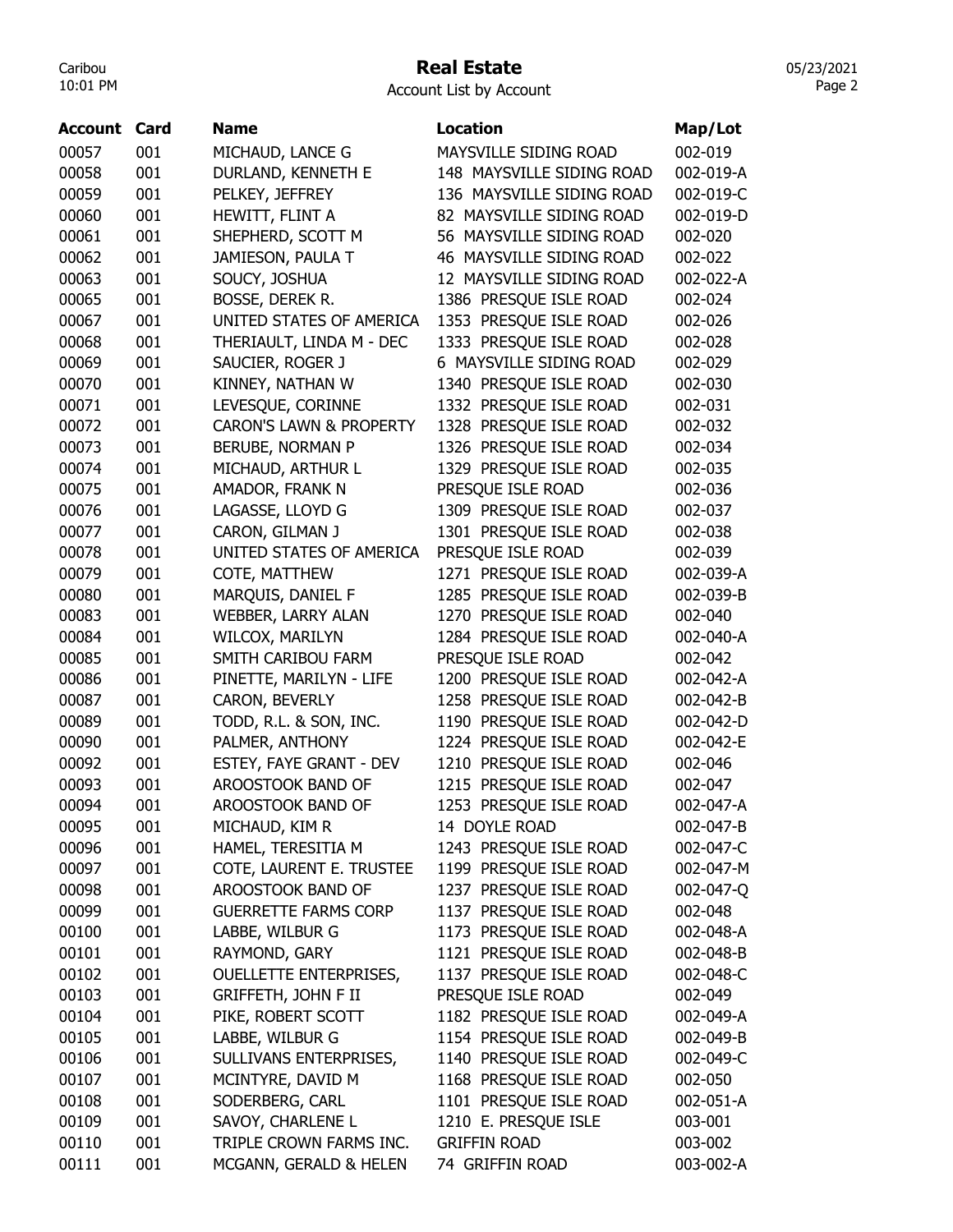## Real Estate

Account List by Account

| Account | Card | <b>Name</b>                        | <b>Location</b>           | Map/Lot   |
|---------|------|------------------------------------|---------------------------|-----------|
| 00057   | 001  | MICHAUD, LANCE G                   | MAYSVILLE SIDING ROAD     | 002-019   |
| 00058   | 001  | DURLAND, KENNETH E                 | 148 MAYSVILLE SIDING ROAD | 002-019-A |
| 00059   | 001  | PELKEY, JEFFREY                    | 136 MAYSVILLE SIDING ROAD | 002-019-C |
| 00060   | 001  | HEWITT, FLINT A                    | 82 MAYSVILLE SIDING ROAD  | 002-019-D |
| 00061   | 001  | SHEPHERD, SCOTT M                  | 56 MAYSVILLE SIDING ROAD  | 002-020   |
| 00062   | 001  | JAMIESON, PAULA T                  | 46 MAYSVILLE SIDING ROAD  | 002-022   |
| 00063   | 001  | SOUCY, JOSHUA                      | 12 MAYSVILLE SIDING ROAD  | 002-022-A |
| 00065   | 001  | BOSSE, DEREK R.                    | 1386 PRESQUE ISLE ROAD    | 002-024   |
| 00067   | 001  | UNITED STATES OF AMERICA           | 1353 PRESQUE ISLE ROAD    | 002-026   |
| 00068   | 001  | THERIAULT, LINDA M - DEC           | 1333 PRESQUE ISLE ROAD    | 002-028   |
| 00069   | 001  | SAUCIER, ROGER J                   | 6 MAYSVILLE SIDING ROAD   | 002-029   |
| 00070   | 001  | KINNEY, NATHAN W                   | 1340 PRESQUE ISLE ROAD    | 002-030   |
| 00071   | 001  | LEVESQUE, CORINNE                  | 1332 PRESQUE ISLE ROAD    | 002-031   |
| 00072   | 001  | <b>CARON'S LAWN &amp; PROPERTY</b> | 1328 PRESQUE ISLE ROAD    | 002-032   |
| 00073   | 001  | <b>BERUBE, NORMAN P</b>            | 1326 PRESQUE ISLE ROAD    | 002-034   |
| 00074   | 001  | MICHAUD, ARTHUR L                  | 1329 PRESQUE ISLE ROAD    | 002-035   |
| 00075   | 001  | AMADOR, FRANK N                    | PRESQUE ISLE ROAD         | 002-036   |
| 00076   | 001  | LAGASSE, LLOYD G                   | 1309 PRESQUE ISLE ROAD    | 002-037   |
| 00077   | 001  | CARON, GILMAN J                    | 1301 PRESQUE ISLE ROAD    | 002-038   |
| 00078   | 001  | UNITED STATES OF AMERICA           | PRESQUE ISLE ROAD         | 002-039   |
| 00079   | 001  | COTE, MATTHEW                      | 1271 PRESQUE ISLE ROAD    | 002-039-A |
| 00080   | 001  | MARQUIS, DANIEL F                  | 1285 PRESQUE ISLE ROAD    | 002-039-B |
| 00083   | 001  | WEBBER, LARRY ALAN                 | 1270 PRESQUE ISLE ROAD    | 002-040   |
| 00084   | 001  | WILCOX, MARILYN                    | 1284 PRESQUE ISLE ROAD    | 002-040-A |
| 00085   | 001  | SMITH CARIBOU FARM                 | PRESQUE ISLE ROAD         | 002-042   |
| 00086   | 001  | PINETTE, MARILYN - LIFE            | 1200 PRESQUE ISLE ROAD    | 002-042-A |
| 00087   | 001  | CARON, BEVERLY                     | 1258 PRESQUE ISLE ROAD    | 002-042-B |
| 00089   | 001  | TODD, R.L. & SON, INC.             | 1190 PRESQUE ISLE ROAD    | 002-042-D |
| 00090   | 001  | PALMER, ANTHONY                    | 1224 PRESQUE ISLE ROAD    | 002-042-E |
| 00092   | 001  | ESTEY, FAYE GRANT - DEV            | 1210 PRESQUE ISLE ROAD    | 002-046   |
| 00093   | 001  | AROOSTOOK BAND OF                  | 1215 PRESQUE ISLE ROAD    | 002-047   |
| 00094   | 001  | AROOSTOOK BAND OF                  | 1253 PRESQUE ISLE ROAD    | 002-047-A |
| 00095   | 001  | MICHAUD, KIM R                     | 14 DOYLE ROAD             | 002-047-B |
| 00096   | 001  | HAMEL, TERESITIA M                 | 1243 PRESQUE ISLE ROAD    | 002-047-C |
| 00097   | 001  | COTE, LAURENT E. TRUSTEE           | 1199 PRESQUE ISLE ROAD    | 002-047-M |
| 00098   | 001  | AROOSTOOK BAND OF                  | 1237 PRESQUE ISLE ROAD    | 002-047-Q |
| 00099   | 001  | <b>GUERRETTE FARMS CORP</b>        | 1137 PRESQUE ISLE ROAD    | 002-048   |
| 00100   | 001  | LABBE, WILBUR G                    | 1173 PRESQUE ISLE ROAD    | 002-048-A |
| 00101   | 001  | RAYMOND, GARY                      | 1121 PRESQUE ISLE ROAD    | 002-048-B |
| 00102   | 001  | <b>OUELLETTE ENTERPRISES,</b>      | 1137 PRESQUE ISLE ROAD    | 002-048-C |
| 00103   | 001  | GRIFFETH, JOHN F II                | PRESQUE ISLE ROAD         | 002-049   |
| 00104   | 001  | PIKE, ROBERT SCOTT                 | 1182 PRESQUE ISLE ROAD    | 002-049-A |
| 00105   | 001  | LABBE, WILBUR G                    | 1154 PRESQUE ISLE ROAD    | 002-049-B |
| 00106   | 001  | SULLIVANS ENTERPRISES,             | 1140 PRESQUE ISLE ROAD    | 002-049-C |
| 00107   | 001  | MCINTYRE, DAVID M                  | 1168 PRESQUE ISLE ROAD    | 002-050   |
| 00108   | 001  | SODERBERG, CARL                    | 1101 PRESQUE ISLE ROAD    | 002-051-A |
| 00109   | 001  | SAVOY, CHARLENE L                  | 1210 E. PRESQUE ISLE      | 003-001   |
| 00110   | 001  | TRIPLE CROWN FARMS INC.            | <b>GRIFFIN ROAD</b>       | 003-002   |
| 00111   | 001  | MCGANN, GERALD & HELEN             | 74 GRIFFIN ROAD           | 003-002-A |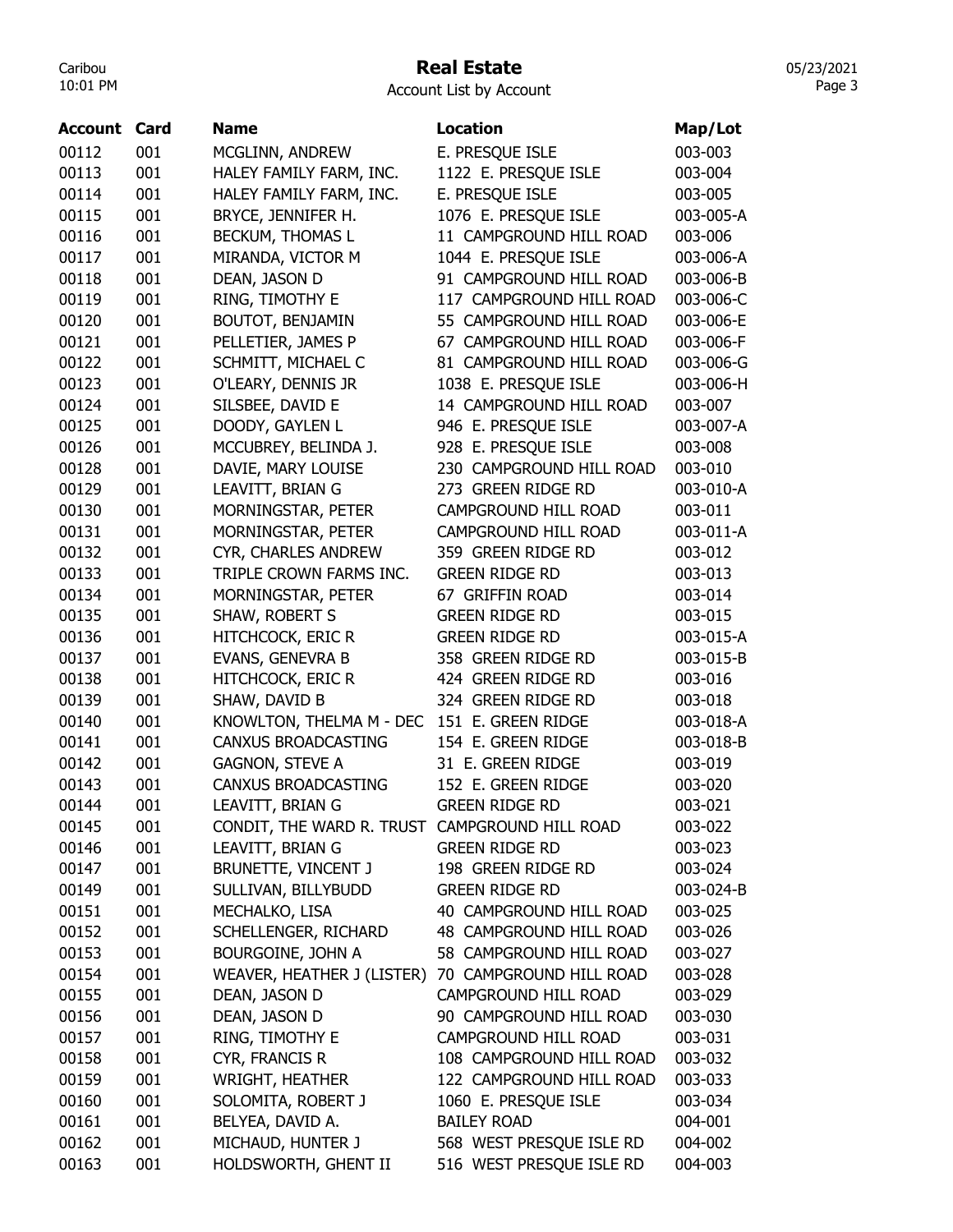## Real Estate

Account List by Account

| <b>Account Card</b> |     | Name                                           | Location                 | Map/Lot   |
|---------------------|-----|------------------------------------------------|--------------------------|-----------|
| 00112               | 001 | MCGLINN, ANDREW                                | E. PRESQUE ISLE          | 003-003   |
| 00113               | 001 | HALEY FAMILY FARM, INC.                        | 1122 E. PRESQUE ISLE     | 003-004   |
| 00114               | 001 | HALEY FAMILY FARM, INC.                        | E. PRESQUE ISLE          | 003-005   |
| 00115               | 001 | BRYCE, JENNIFER H.                             | 1076 E. PRESQUE ISLE     | 003-005-A |
| 00116               | 001 | BECKUM, THOMAS L                               | 11 CAMPGROUND HILL ROAD  | 003-006   |
| 00117               | 001 | MIRANDA, VICTOR M                              | 1044 E. PRESQUE ISLE     | 003-006-A |
| 00118               | 001 | DEAN, JASON D                                  | 91 CAMPGROUND HILL ROAD  | 003-006-B |
| 00119               | 001 | RING, TIMOTHY E                                | 117 CAMPGROUND HILL ROAD | 003-006-C |
| 00120               | 001 | <b>BOUTOT, BENJAMIN</b>                        | 55 CAMPGROUND HILL ROAD  | 003-006-E |
| 00121               | 001 | PELLETIER, JAMES P                             | 67 CAMPGROUND HILL ROAD  | 003-006-F |
| 00122               | 001 | SCHMITT, MICHAEL C                             | 81 CAMPGROUND HILL ROAD  | 003-006-G |
| 00123               | 001 | O'LEARY, DENNIS JR                             | 1038 E. PRESQUE ISLE     | 003-006-H |
| 00124               | 001 | SILSBEE, DAVID E                               | 14 CAMPGROUND HILL ROAD  | 003-007   |
| 00125               | 001 | DOODY, GAYLEN L                                | 946 E. PRESQUE ISLE      | 003-007-A |
| 00126               | 001 | MCCUBREY, BELINDA J.                           | 928 E. PRESQUE ISLE      | 003-008   |
| 00128               | 001 | DAVIE, MARY LOUISE                             | 230 CAMPGROUND HILL ROAD | 003-010   |
| 00129               | 001 | LEAVITT, BRIAN G                               | 273 GREEN RIDGE RD       | 003-010-A |
| 00130               | 001 | MORNINGSTAR, PETER                             | CAMPGROUND HILL ROAD     | 003-011   |
| 00131               | 001 | MORNINGSTAR, PETER                             | CAMPGROUND HILL ROAD     | 003-011-A |
| 00132               | 001 | CYR, CHARLES ANDREW                            | 359 GREEN RIDGE RD       | 003-012   |
| 00133               | 001 | TRIPLE CROWN FARMS INC.                        | <b>GREEN RIDGE RD</b>    | 003-013   |
| 00134               | 001 | MORNINGSTAR, PETER                             | 67 GRIFFIN ROAD          | 003-014   |
| 00135               | 001 | SHAW, ROBERT S                                 | <b>GREEN RIDGE RD</b>    | 003-015   |
| 00136               | 001 | <b>HITCHCOCK, ERIC R</b>                       | <b>GREEN RIDGE RD</b>    | 003-015-A |
| 00137               | 001 | EVANS, GENEVRA B                               | 358 GREEN RIDGE RD       | 003-015-B |
| 00138               | 001 | <b>HITCHCOCK, ERIC R</b>                       | 424 GREEN RIDGE RD       | 003-016   |
| 00139               | 001 | SHAW, DAVID B                                  | 324 GREEN RIDGE RD       | 003-018   |
| 00140               | 001 | KNOWLTON, THELMA M - DEC                       | 151 E. GREEN RIDGE       | 003-018-A |
| 00141               | 001 | <b>CANXUS BROADCASTING</b>                     | 154 E. GREEN RIDGE       | 003-018-B |
| 00142               |     |                                                | 31 E. GREEN RIDGE        | 003-019   |
| 00143               | 001 | <b>GAGNON, STEVE A</b>                         |                          |           |
|                     | 001 | <b>CANXUS BROADCASTING</b>                     | 152 E. GREEN RIDGE       | 003-020   |
| 00144               | 001 | LEAVITT, BRIAN G                               | <b>GREEN RIDGE RD</b>    | 003-021   |
| 00145               | 001 | CONDIT, THE WARD R. TRUST CAMPGROUND HILL ROAD |                          | 003-022   |
| 00146               | 001 | LEAVITT, BRIAN G                               | <b>GREEN RIDGE RD</b>    | 003-023   |
| 00147               | 001 | BRUNETTE, VINCENT J                            | 198 GREEN RIDGE RD       | 003-024   |
| 00149               | 001 | SULLIVAN, BILLYBUDD                            | <b>GREEN RIDGE RD</b>    | 003-024-B |
| 00151               | 001 | MECHALKO, LISA                                 | 40 CAMPGROUND HILL ROAD  | 003-025   |
| 00152               | 001 | SCHELLENGER, RICHARD                           | 48 CAMPGROUND HILL ROAD  | 003-026   |
| 00153               | 001 | BOURGOINE, JOHN A                              | 58 CAMPGROUND HILL ROAD  | 003-027   |
| 00154               | 001 | WEAVER, HEATHER J (LISTER)                     | 70 CAMPGROUND HILL ROAD  | 003-028   |
| 00155               | 001 | DEAN, JASON D                                  | CAMPGROUND HILL ROAD     | 003-029   |
| 00156               | 001 | DEAN, JASON D                                  | 90 CAMPGROUND HILL ROAD  | 003-030   |
| 00157               | 001 | RING, TIMOTHY E                                | CAMPGROUND HILL ROAD     | 003-031   |
| 00158               | 001 | CYR, FRANCIS R                                 | 108 CAMPGROUND HILL ROAD | 003-032   |
| 00159               | 001 | <b>WRIGHT, HEATHER</b>                         | 122 CAMPGROUND HILL ROAD | 003-033   |
| 00160               | 001 | SOLOMITA, ROBERT J                             | 1060 E. PRESQUE ISLE     | 003-034   |
| 00161               | 001 | BELYEA, DAVID A.                               | <b>BAILEY ROAD</b>       | 004-001   |
| 00162               | 001 | MICHAUD, HUNTER J                              | 568 WEST PRESQUE ISLE RD | 004-002   |
| 00163               | 001 | HOLDSWORTH, GHENT II                           | 516 WEST PRESQUE ISLE RD | 004-003   |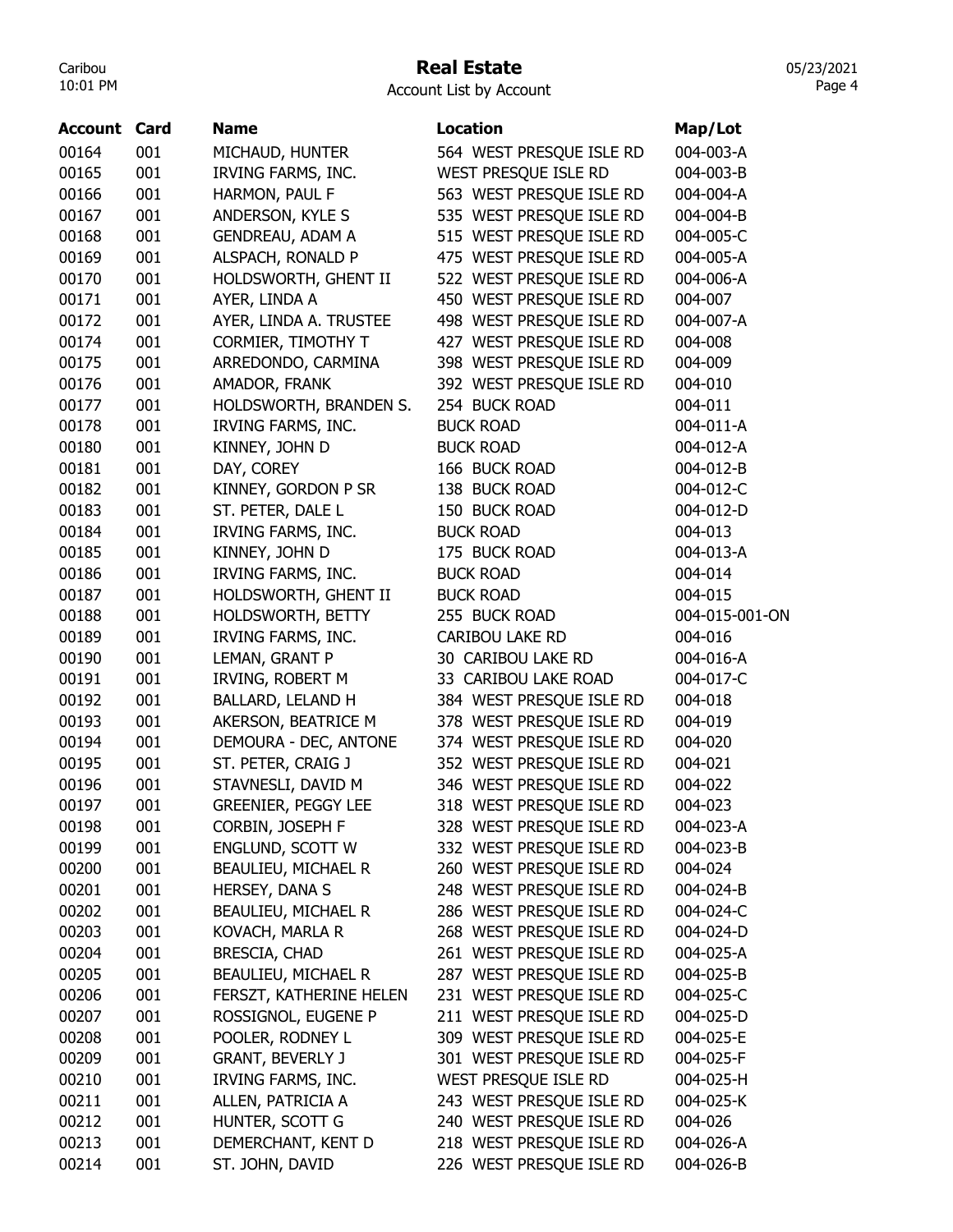#### Real Estate

| <b>Account Card</b> |     | <b>Name</b>                | <b>Location</b>          | Map/Lot        |
|---------------------|-----|----------------------------|--------------------------|----------------|
| 00164               | 001 | MICHAUD, HUNTER            | 564 WEST PRESQUE ISLE RD | 004-003-A      |
| 00165               | 001 | IRVING FARMS, INC.         | WEST PRESQUE ISLE RD     | 004-003-B      |
| 00166               | 001 | HARMON, PAUL F             | 563 WEST PRESQUE ISLE RD | 004-004-A      |
| 00167               | 001 | ANDERSON, KYLE S           | 535 WEST PRESQUE ISLE RD | 004-004-B      |
| 00168               | 001 | <b>GENDREAU, ADAM A</b>    | 515 WEST PRESQUE ISLE RD | 004-005-C      |
| 00169               | 001 | ALSPACH, RONALD P          | 475 WEST PRESQUE ISLE RD | 004-005-A      |
| 00170               | 001 | HOLDSWORTH, GHENT II       | 522 WEST PRESQUE ISLE RD | 004-006-A      |
| 00171               | 001 | AYER, LINDA A              | 450 WEST PRESQUE ISLE RD | 004-007        |
| 00172               | 001 | AYER, LINDA A. TRUSTEE     | 498 WEST PRESQUE ISLE RD | 004-007-A      |
| 00174               | 001 | CORMIER, TIMOTHY T         | 427 WEST PRESQUE ISLE RD | 004-008        |
| 00175               | 001 | ARREDONDO, CARMINA         | 398 WEST PRESQUE ISLE RD | 004-009        |
| 00176               | 001 | AMADOR, FRANK              | 392 WEST PRESQUE ISLE RD | 004-010        |
| 00177               | 001 | HOLDSWORTH, BRANDEN S.     | 254 BUCK ROAD            | 004-011        |
| 00178               | 001 | IRVING FARMS, INC.         | <b>BUCK ROAD</b>         | 004-011-A      |
| 00180               | 001 | KINNEY, JOHN D             | <b>BUCK ROAD</b>         | 004-012-A      |
| 00181               | 001 | DAY, COREY                 | 166 BUCK ROAD            | 004-012-B      |
| 00182               | 001 | KINNEY, GORDON P SR        | 138 BUCK ROAD            | 004-012-C      |
| 00183               | 001 | ST. PETER, DALE L          | 150 BUCK ROAD            | 004-012-D      |
| 00184               | 001 | IRVING FARMS, INC.         | <b>BUCK ROAD</b>         | 004-013        |
| 00185               | 001 | KINNEY, JOHN D             | 175 BUCK ROAD            | 004-013-A      |
| 00186               | 001 | IRVING FARMS, INC.         | <b>BUCK ROAD</b>         | 004-014        |
| 00187               | 001 | HOLDSWORTH, GHENT II       | <b>BUCK ROAD</b>         | 004-015        |
| 00188               | 001 | HOLDSWORTH, BETTY          | 255 BUCK ROAD            | 004-015-001-ON |
| 00189               | 001 | IRVING FARMS, INC.         | <b>CARIBOU LAKE RD</b>   | 004-016        |
| 00190               | 001 | LEMAN, GRANT P             | 30 CARIBOU LAKE RD       | 004-016-A      |
| 00191               | 001 | IRVING, ROBERT M           | 33 CARIBOU LAKE ROAD     | 004-017-C      |
| 00192               | 001 | BALLARD, LELAND H          | 384 WEST PRESQUE ISLE RD | 004-018        |
| 00193               | 001 | AKERSON, BEATRICE M        | 378 WEST PRESQUE ISLE RD | 004-019        |
| 00194               | 001 | DEMOURA - DEC, ANTONE      | 374 WEST PRESQUE ISLE RD | 004-020        |
| 00195               | 001 | ST. PETER, CRAIG J         | 352 WEST PRESQUE ISLE RD | 004-021        |
| 00196               | 001 | STAVNESLI, DAVID M         | 346 WEST PRESQUE ISLE RD | 004-022        |
| 00197               | 001 | <b>GREENIER, PEGGY LEE</b> | 318 WEST PRESQUE ISLE RD | 004-023        |
| 00198               | 001 | CORBIN, JOSEPH F           | 328 WEST PRESQUE ISLE RD | 004-023-A      |
| 00199               | 001 | ENGLUND, SCOTT W           | 332 WEST PRESQUE ISLE RD | 004-023-B      |
| 00200               | 001 | BEAULIEU, MICHAEL R        | 260 WEST PRESQUE ISLE RD | 004-024        |
| 00201               | 001 | HERSEY, DANA S             | 248 WEST PRESQUE ISLE RD | 004-024-B      |
| 00202               | 001 | BEAULIEU, MICHAEL R        | 286 WEST PRESQUE ISLE RD | 004-024-C      |
| 00203               | 001 | KOVACH, MARLA R            | 268 WEST PRESQUE ISLE RD | 004-024-D      |
| 00204               | 001 | <b>BRESCIA, CHAD</b>       | 261 WEST PRESQUE ISLE RD | 004-025-A      |
| 00205               | 001 | BEAULIEU, MICHAEL R        | 287 WEST PRESQUE ISLE RD | 004-025-B      |
| 00206               | 001 |                            | 231 WEST PRESQUE ISLE RD |                |
|                     |     | FERSZT, KATHERINE HELEN    | 211 WEST PRESQUE ISLE RD | 004-025-C      |
| 00207               | 001 | ROSSIGNOL, EUGENE P        |                          | 004-025-D      |
| 00208               | 001 | POOLER, RODNEY L           | 309 WEST PRESQUE ISLE RD | 004-025-E      |
| 00209               | 001 | <b>GRANT, BEVERLY J</b>    | 301 WEST PRESQUE ISLE RD | 004-025-F      |
| 00210               | 001 | IRVING FARMS, INC.         | WEST PRESQUE ISLE RD     | 004-025-H      |
| 00211               | 001 | ALLEN, PATRICIA A          | 243 WEST PRESQUE ISLE RD | 004-025-K      |
| 00212               | 001 | HUNTER, SCOTT G            | 240 WEST PRESQUE ISLE RD | 004-026        |
| 00213               | 001 | DEMERCHANT, KENT D         | 218 WEST PRESQUE ISLE RD | 004-026-A      |
| 00214               | 001 | ST. JOHN, DAVID            | 226 WEST PRESQUE ISLE RD | 004-026-B      |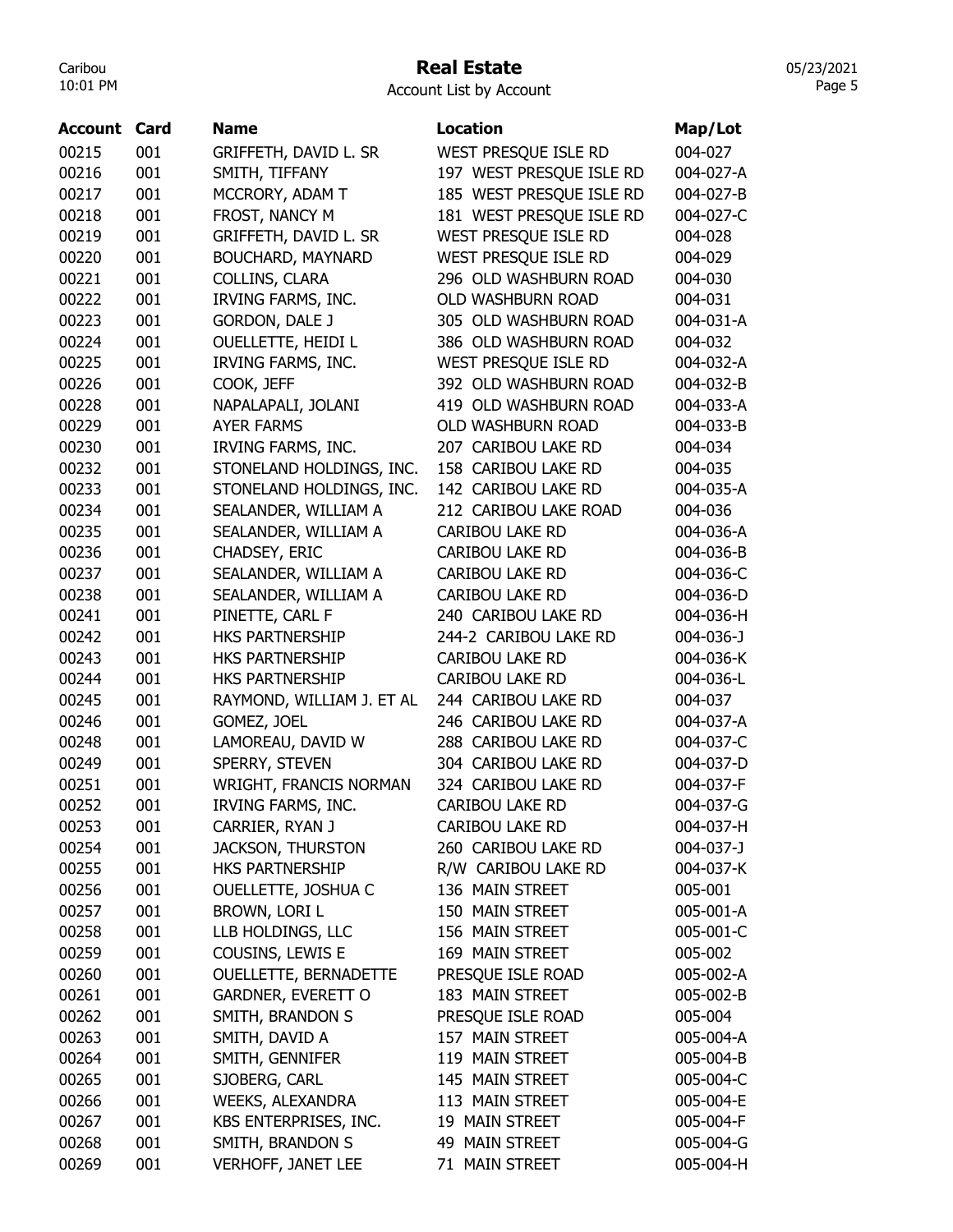# Real Estate

|  | <b>Account List by Account</b> |  |
|--|--------------------------------|--|
|  |                                |  |

| <b>Account Card</b> |     | <b>Name</b>               | <b>Location</b>          | Map/Lot         |
|---------------------|-----|---------------------------|--------------------------|-----------------|
| 00215               | 001 | GRIFFETH, DAVID L. SR     | WEST PRESQUE ISLE RD     | 004-027         |
| 00216               | 001 | SMITH, TIFFANY            | 197 WEST PRESQUE ISLE RD | 004-027-A       |
| 00217               | 001 | MCCRORY, ADAM T           | 185 WEST PRESQUE ISLE RD | 004-027-B       |
| 00218               | 001 | FROST, NANCY M            | 181 WEST PRESQUE ISLE RD | 004-027-C       |
| 00219               | 001 | GRIFFETH, DAVID L. SR     | WEST PRESQUE ISLE RD     | 004-028         |
| 00220               | 001 | <b>BOUCHARD, MAYNARD</b>  | WEST PRESQUE ISLE RD     | 004-029         |
| 00221               | 001 | COLLINS, CLARA            | 296 OLD WASHBURN ROAD    | 004-030         |
| 00222               | 001 | IRVING FARMS, INC.        | OLD WASHBURN ROAD        | 004-031         |
| 00223               | 001 | <b>GORDON, DALE J</b>     | 305 OLD WASHBURN ROAD    | 004-031-A       |
| 00224               | 001 | <b>OUELLETTE, HEIDI L</b> | 386 OLD WASHBURN ROAD    | 004-032         |
| 00225               | 001 | IRVING FARMS, INC.        | WEST PRESQUE ISLE RD     | 004-032-A       |
| 00226               | 001 | COOK, JEFF                | 392 OLD WASHBURN ROAD    | 004-032-B       |
| 00228               | 001 | NAPALAPALI, JOLANI        | 419 OLD WASHBURN ROAD    | 004-033-A       |
| 00229               | 001 | <b>AYER FARMS</b>         | <b>OLD WASHBURN ROAD</b> | 004-033-B       |
| 00230               | 001 | IRVING FARMS, INC.        | 207 CARIBOU LAKE RD      | 004-034         |
| 00232               | 001 | STONELAND HOLDINGS, INC.  | 158 CARIBOU LAKE RD      | 004-035         |
| 00233               | 001 | STONELAND HOLDINGS, INC.  | 142 CARIBOU LAKE RD      | 004-035-A       |
| 00234               | 001 | SEALANDER, WILLIAM A      | 212 CARIBOU LAKE ROAD    | 004-036         |
| 00235               | 001 | SEALANDER, WILLIAM A      | <b>CARIBOU LAKE RD</b>   | 004-036-A       |
| 00236               | 001 | CHADSEY, ERIC             | <b>CARIBOU LAKE RD</b>   | 004-036-B       |
| 00237               | 001 | SEALANDER, WILLIAM A      | <b>CARIBOU LAKE RD</b>   | 004-036-C       |
| 00238               | 001 | SEALANDER, WILLIAM A      | <b>CARIBOU LAKE RD</b>   | 004-036-D       |
| 00241               | 001 | PINETTE, CARL F           | 240 CARIBOU LAKE RD      | 004-036-H       |
| 00242               | 001 | HKS PARTNERSHIP           | 244-2 CARIBOU LAKE RD    | $004 - 036 - J$ |
| 00243               | 001 | HKS PARTNERSHIP           | <b>CARIBOU LAKE RD</b>   | 004-036-K       |
| 00244               | 001 | HKS PARTNERSHIP           | <b>CARIBOU LAKE RD</b>   | 004-036-L       |
| 00245               | 001 | RAYMOND, WILLIAM J. ET AL | 244 CARIBOU LAKE RD      | 004-037         |
| 00246               | 001 | GOMEZ, JOEL               | 246 CARIBOU LAKE RD      | 004-037-A       |
| 00248               | 001 | LAMOREAU, DAVID W         | 288 CARIBOU LAKE RD      | 004-037-C       |
| 00249               | 001 | SPERRY, STEVEN            | 304 CARIBOU LAKE RD      | 004-037-D       |
| 00251               | 001 | WRIGHT, FRANCIS NORMAN    | 324 CARIBOU LAKE RD      | 004-037-F       |
| 00252               | 001 | <b>IRVING FARMS, INC.</b> | <b>CARIBOU LAKE RD</b>   | 004-037-G       |
| 00253               | 001 | CARRIER, RYAN J           | <b>CARIBOU LAKE RD</b>   | 004-037-H       |
| 00254               | 001 | JACKSON, THURSTON         | 260 CARIBOU LAKE RD      | 004-037-J       |
| 00255               | 001 | HKS PARTNERSHIP           | R/W CARIBOU LAKE RD      | 004-037-K       |
| 00256               | 001 | OUELLETTE, JOSHUA C       | 136 MAIN STREET          | 005-001         |
| 00257               | 001 | BROWN, LORI L             | 150 MAIN STREET          | 005-001-A       |
| 00258               | 001 | LLB HOLDINGS, LLC         | 156 MAIN STREET          | 005-001-C       |
| 00259               | 001 | COUSINS, LEWIS E          | 169 MAIN STREET          | 005-002         |
| 00260               | 001 | OUELLETTE, BERNADETTE     | PRESQUE ISLE ROAD        | 005-002-A       |
| 00261               | 001 | GARDNER, EVERETT O        | 183 MAIN STREET          | 005-002-B       |
| 00262               | 001 | SMITH, BRANDON S          | PRESQUE ISLE ROAD        | 005-004         |
| 00263               | 001 | SMITH, DAVID A            | 157 MAIN STREET          | 005-004-A       |
| 00264               | 001 | SMITH, GENNIFER           | 119 MAIN STREET          | 005-004-B       |
| 00265               | 001 | SJOBERG, CARL             | 145 MAIN STREET          | 005-004-C       |
| 00266               | 001 | WEEKS, ALEXANDRA          | 113 MAIN STREET          | 005-004-E       |
| 00267               | 001 | KBS ENTERPRISES, INC.     | 19 MAIN STREET           | 005-004-F       |
| 00268               | 001 | SMITH, BRANDON S          | 49 MAIN STREET           | 005-004-G       |
| 00269               | 001 | VERHOFF, JANET LEE        | 71 MAIN STREET           | 005-004-H       |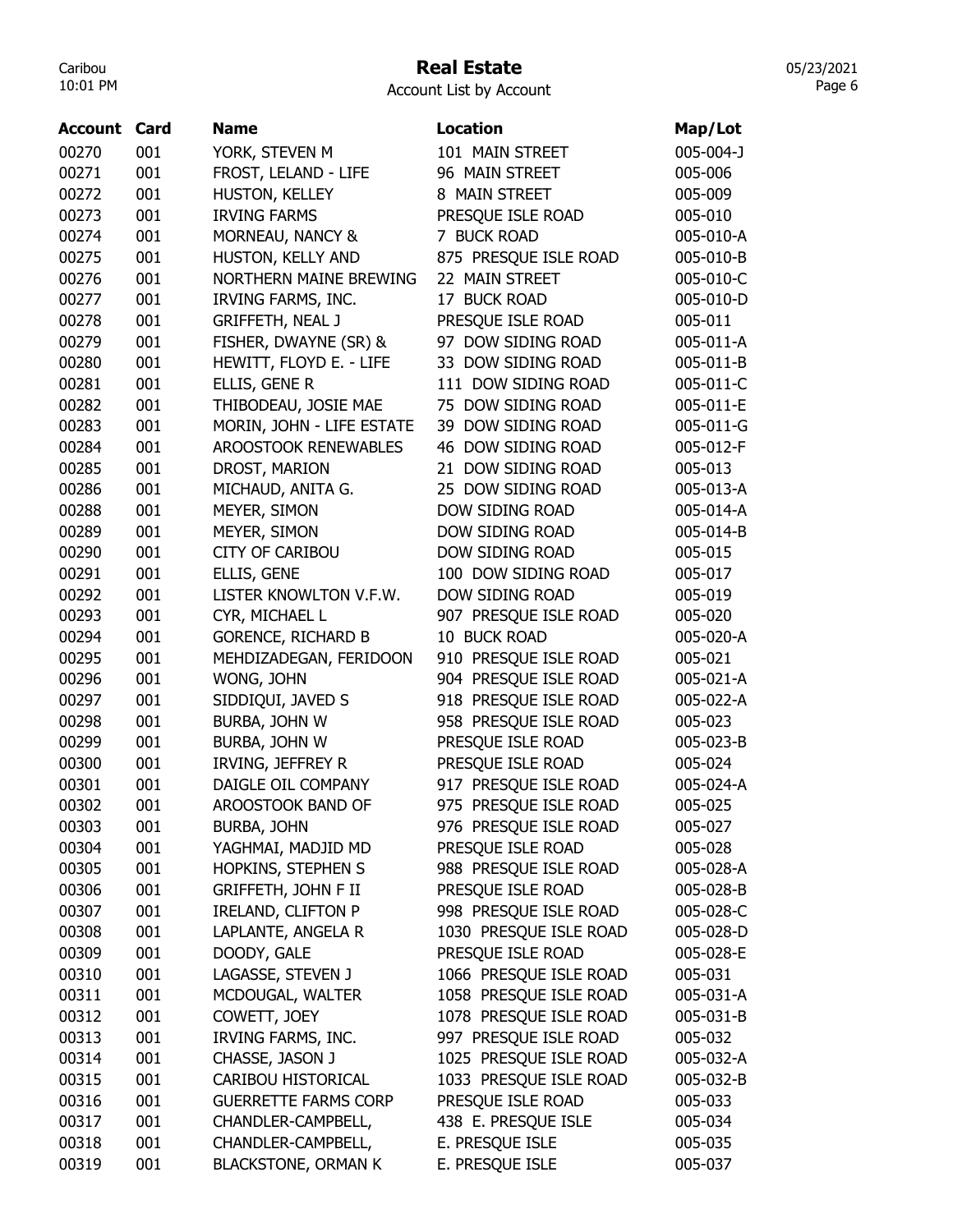## Real Estate

Account List by Account

| <b>Account Card</b> |     | <b>Name</b>                 | <b>Location</b>        | Map/Lot   |
|---------------------|-----|-----------------------------|------------------------|-----------|
| 00270               | 001 | YORK, STEVEN M              | 101 MAIN STREET        | 005-004-J |
| 00271               | 001 | FROST, LELAND - LIFE        | 96 MAIN STREET         | 005-006   |
| 00272               | 001 | HUSTON, KELLEY              | 8 MAIN STREET          | 005-009   |
| 00273               | 001 | <b>IRVING FARMS</b>         | PRESQUE ISLE ROAD      | 005-010   |
| 00274               | 001 | MORNEAU, NANCY &            | 7 BUCK ROAD            | 005-010-A |
| 00275               | 001 | HUSTON, KELLY AND           | 875 PRESQUE ISLE ROAD  | 005-010-B |
| 00276               | 001 | NORTHERN MAINE BREWING      | 22 MAIN STREET         | 005-010-C |
| 00277               | 001 | IRVING FARMS, INC.          | 17 BUCK ROAD           | 005-010-D |
| 00278               | 001 | <b>GRIFFETH, NEAL J</b>     | PRESQUE ISLE ROAD      | 005-011   |
| 00279               | 001 | FISHER, DWAYNE (SR) &       | 97 DOW SIDING ROAD     | 005-011-A |
| 00280               | 001 | HEWITT, FLOYD E. - LIFE     | 33 DOW SIDING ROAD     | 005-011-B |
| 00281               | 001 | ELLIS, GENE R               | 111 DOW SIDING ROAD    | 005-011-C |
| 00282               | 001 | THIBODEAU, JOSIE MAE        | 75 DOW SIDING ROAD     | 005-011-E |
| 00283               | 001 | MORIN, JOHN - LIFE ESTATE   | 39 DOW SIDING ROAD     | 005-011-G |
| 00284               | 001 | AROOSTOOK RENEWABLES        | 46 DOW SIDING ROAD     | 005-012-F |
| 00285               | 001 | DROST, MARION               | 21 DOW SIDING ROAD     | 005-013   |
| 00286               | 001 | MICHAUD, ANITA G.           | 25 DOW SIDING ROAD     | 005-013-A |
| 00288               | 001 | MEYER, SIMON                | DOW SIDING ROAD        | 005-014-A |
| 00289               | 001 | MEYER, SIMON                | DOW SIDING ROAD        | 005-014-B |
| 00290               | 001 | <b>CITY OF CARIBOU</b>      | DOW SIDING ROAD        | 005-015   |
| 00291               | 001 | ELLIS, GENE                 | 100 DOW SIDING ROAD    | 005-017   |
| 00292               | 001 | LISTER KNOWLTON V.F.W.      | DOW SIDING ROAD        | 005-019   |
| 00293               | 001 | CYR, MICHAEL L              | 907 PRESQUE ISLE ROAD  | 005-020   |
| 00294               | 001 | <b>GORENCE, RICHARD B</b>   | 10 BUCK ROAD           | 005-020-A |
| 00295               | 001 | MEHDIZADEGAN, FERIDOON      | 910 PRESQUE ISLE ROAD  | 005-021   |
| 00296               | 001 | WONG, JOHN                  | 904 PRESQUE ISLE ROAD  | 005-021-A |
| 00297               | 001 | SIDDIQUI, JAVED S           | 918 PRESQUE ISLE ROAD  | 005-022-A |
| 00298               | 001 | BURBA, JOHN W               | 958 PRESQUE ISLE ROAD  | 005-023   |
| 00299               | 001 | BURBA, JOHN W               | PRESQUE ISLE ROAD      | 005-023-B |
| 00300               | 001 | IRVING, JEFFREY R           | PRESQUE ISLE ROAD      | 005-024   |
| 00301               | 001 | DAIGLE OIL COMPANY          | 917 PRESQUE ISLE ROAD  | 005-024-A |
| 00302               | 001 | AROOSTOOK BAND OF           | 975 PRESQUE ISLE ROAD  | 005-025   |
| 00303               | 001 | <b>BURBA, JOHN</b>          | 976 PRESQUE ISLE ROAD  | 005-027   |
| 00304               | 001 | YAGHMAI, MADJID MD          | PRESQUE ISLE ROAD      | 005-028   |
| 00305               | 001 | HOPKINS, STEPHEN S          | 988 PRESQUE ISLE ROAD  | 005-028-A |
| 00306               | 001 | <b>GRIFFETH, JOHN F II</b>  | PRESQUE ISLE ROAD      | 005-028-B |
| 00307               | 001 | <b>IRELAND, CLIFTON P</b>   | 998 PRESQUE ISLE ROAD  | 005-028-C |
| 00308               | 001 | LAPLANTE, ANGELA R          | 1030 PRESQUE ISLE ROAD | 005-028-D |
| 00309               | 001 | DOODY, GALE                 | PRESQUE ISLE ROAD      | 005-028-E |
| 00310               | 001 | LAGASSE, STEVEN J           | 1066 PRESQUE ISLE ROAD | 005-031   |
| 00311               | 001 | MCDOUGAL, WALTER            | 1058 PRESQUE ISLE ROAD | 005-031-A |
| 00312               | 001 | COWETT, JOEY                | 1078 PRESQUE ISLE ROAD | 005-031-B |
| 00313               | 001 | IRVING FARMS, INC.          | 997 PRESQUE ISLE ROAD  | 005-032   |
| 00314               | 001 | CHASSE, JASON J             | 1025 PRESQUE ISLE ROAD | 005-032-A |
| 00315               | 001 | CARIBOU HISTORICAL          | 1033 PRESQUE ISLE ROAD | 005-032-B |
| 00316               | 001 | <b>GUERRETTE FARMS CORP</b> | PRESQUE ISLE ROAD      | 005-033   |
| 00317               | 001 | CHANDLER-CAMPBELL,          | 438 E. PRESQUE ISLE    | 005-034   |
| 00318               | 001 | CHANDLER-CAMPBELL,          | E. PRESQUE ISLE        | 005-035   |
| 00319               | 001 | <b>BLACKSTONE, ORMAN K</b>  | E. PRESQUE ISLE        | 005-037   |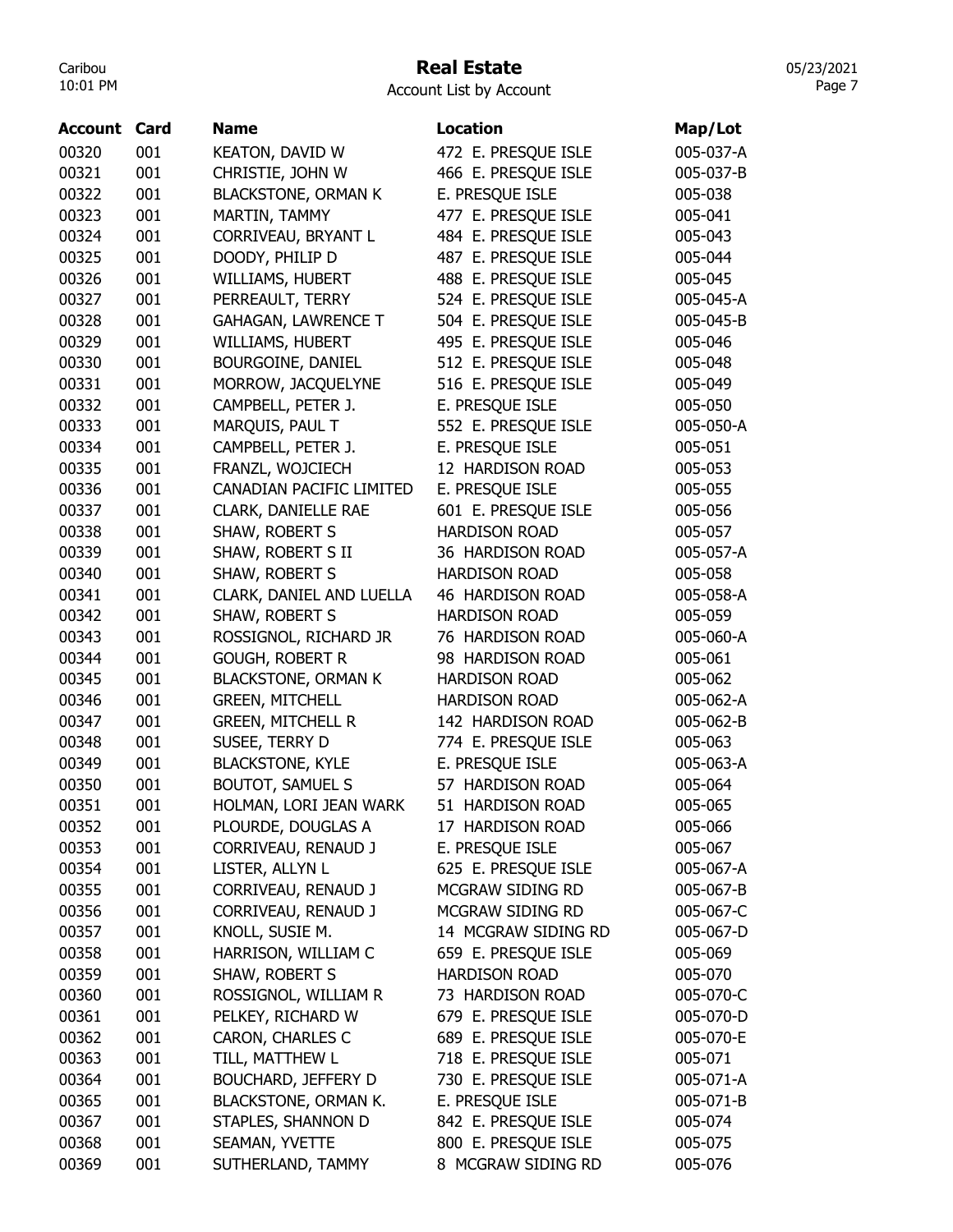## Real Estate

Account List by Account

| <b>Account Card</b> |     | <b>Name</b>                | <b>Location</b>            | Map/Lot   |
|---------------------|-----|----------------------------|----------------------------|-----------|
| 00320               | 001 | <b>KEATON, DAVID W</b>     | 472 E. PRESQUE ISLE        | 005-037-A |
| 00321               | 001 | CHRISTIE, JOHN W           | 466 E. PRESQUE ISLE        | 005-037-B |
| 00322               | 001 | <b>BLACKSTONE, ORMAN K</b> | E. PRESQUE ISLE            | 005-038   |
| 00323               | 001 | MARTIN, TAMMY              | 477 E. PRESQUE ISLE        | 005-041   |
| 00324               | 001 | CORRIVEAU, BRYANT L        | 484 E. PRESQUE ISLE        | 005-043   |
| 00325               | 001 | DOODY, PHILIP D            | 487 E. PRESQUE ISLE        | 005-044   |
| 00326               | 001 | WILLIAMS, HUBERT           | 488 E. PRESQUE ISLE        | 005-045   |
| 00327               | 001 | PERREAULT, TERRY           | 524 E. PRESQUE ISLE        | 005-045-A |
| 00328               | 001 | <b>GAHAGAN, LAWRENCE T</b> | 504 E. PRESQUE ISLE        | 005-045-B |
| 00329               | 001 | WILLIAMS, HUBERT           | 495 E. PRESQUE ISLE        | 005-046   |
| 00330               | 001 | BOURGOINE, DANIEL          | 512 E. PRESQUE ISLE        | 005-048   |
| 00331               | 001 | MORROW, JACQUELYNE         | 516 E. PRESQUE ISLE        | 005-049   |
| 00332               | 001 | CAMPBELL, PETER J.         | E. PRESQUE ISLE            | 005-050   |
| 00333               | 001 | MARQUIS, PAUL T            | 552 E. PRESQUE ISLE        | 005-050-A |
| 00334               | 001 | CAMPBELL, PETER J.         | E. PRESQUE ISLE            | 005-051   |
| 00335               | 001 | FRANZL, WOJCIECH           | 12 HARDISON ROAD           | 005-053   |
| 00336               | 001 | CANADIAN PACIFIC LIMITED   | E. PRESQUE ISLE            | 005-055   |
| 00337               | 001 | CLARK, DANIELLE RAE        | 601 E. PRESQUE ISLE        | 005-056   |
| 00338               | 001 | SHAW, ROBERT S             | <b>HARDISON ROAD</b>       | 005-057   |
| 00339               | 001 | SHAW, ROBERT S II          | 36 HARDISON ROAD           | 005-057-A |
| 00340               | 001 | SHAW, ROBERT S             | <b>HARDISON ROAD</b>       | 005-058   |
| 00341               | 001 | CLARK, DANIEL AND LUELLA   | 46 HARDISON ROAD           | 005-058-A |
| 00342               | 001 | SHAW, ROBERT S             | <b>HARDISON ROAD</b>       | 005-059   |
| 00343               | 001 | ROSSIGNOL, RICHARD JR      | 76 HARDISON ROAD           | 005-060-A |
| 00344               | 001 | <b>GOUGH, ROBERT R</b>     | 98 HARDISON ROAD           | 005-061   |
| 00345               | 001 | <b>BLACKSTONE, ORMAN K</b> | <b>HARDISON ROAD</b>       | 005-062   |
| 00346               | 001 | <b>GREEN, MITCHELL</b>     | <b>HARDISON ROAD</b>       | 005-062-A |
| 00347               | 001 | <b>GREEN, MITCHELL R</b>   | 142 HARDISON ROAD          | 005-062-B |
| 00348               | 001 | SUSEE, TERRY D             | 774 E. PRESQUE ISLE        | 005-063   |
| 00349               | 001 | <b>BLACKSTONE, KYLE</b>    | E. PRESQUE ISLE            | 005-063-A |
| 00350               | 001 | <b>BOUTOT, SAMUEL S</b>    | 57 HARDISON ROAD           | 005-064   |
| 00351               | 001 | HOLMAN, LORI JEAN WARK     | <b>HARDISON ROAD</b><br>51 | 005-065   |
| 00352               | 001 | PLOURDE, DOUGLAS A         | 17 HARDISON ROAD           | 005-066   |
| 00353               | 001 | CORRIVEAU, RENAUD J        | E. PRESQUE ISLE            | 005-067   |
| 00354               | 001 | LISTER, ALLYN L            | 625 E. PRESQUE ISLE        | 005-067-A |
| 00355               | 001 | CORRIVEAU, RENAUD J        | MCGRAW SIDING RD           | 005-067-B |
| 00356               | 001 | CORRIVEAU, RENAUD J        | MCGRAW SIDING RD           | 005-067-C |
| 00357               | 001 | KNOLL, SUSIE M.            | 14 MCGRAW SIDING RD        | 005-067-D |
| 00358               | 001 | HARRISON, WILLIAM C        | 659 E. PRESQUE ISLE        | 005-069   |
| 00359               | 001 | SHAW, ROBERT S             | <b>HARDISON ROAD</b>       | 005-070   |
| 00360               | 001 | ROSSIGNOL, WILLIAM R       | 73 HARDISON ROAD           | 005-070-C |
| 00361               | 001 | PELKEY, RICHARD W          | 679 E. PRESQUE ISLE        | 005-070-D |
| 00362               | 001 | CARON, CHARLES C           | 689 E. PRESQUE ISLE        | 005-070-E |
| 00363               | 001 | TILL, MATTHEW L            | 718 E. PRESQUE ISLE        | 005-071   |
| 00364               | 001 | <b>BOUCHARD, JEFFERY D</b> | 730 E. PRESQUE ISLE        | 005-071-A |
| 00365               | 001 | BLACKSTONE, ORMAN K.       | E. PRESQUE ISLE            | 005-071-B |
| 00367               | 001 | STAPLES, SHANNON D         | 842 E. PRESQUE ISLE        | 005-074   |
| 00368               | 001 | SEAMAN, YVETTE             | 800 E. PRESQUE ISLE        | 005-075   |
| 00369               | 001 | SUTHERLAND, TAMMY          | 8 MCGRAW SIDING RD         | 005-076   |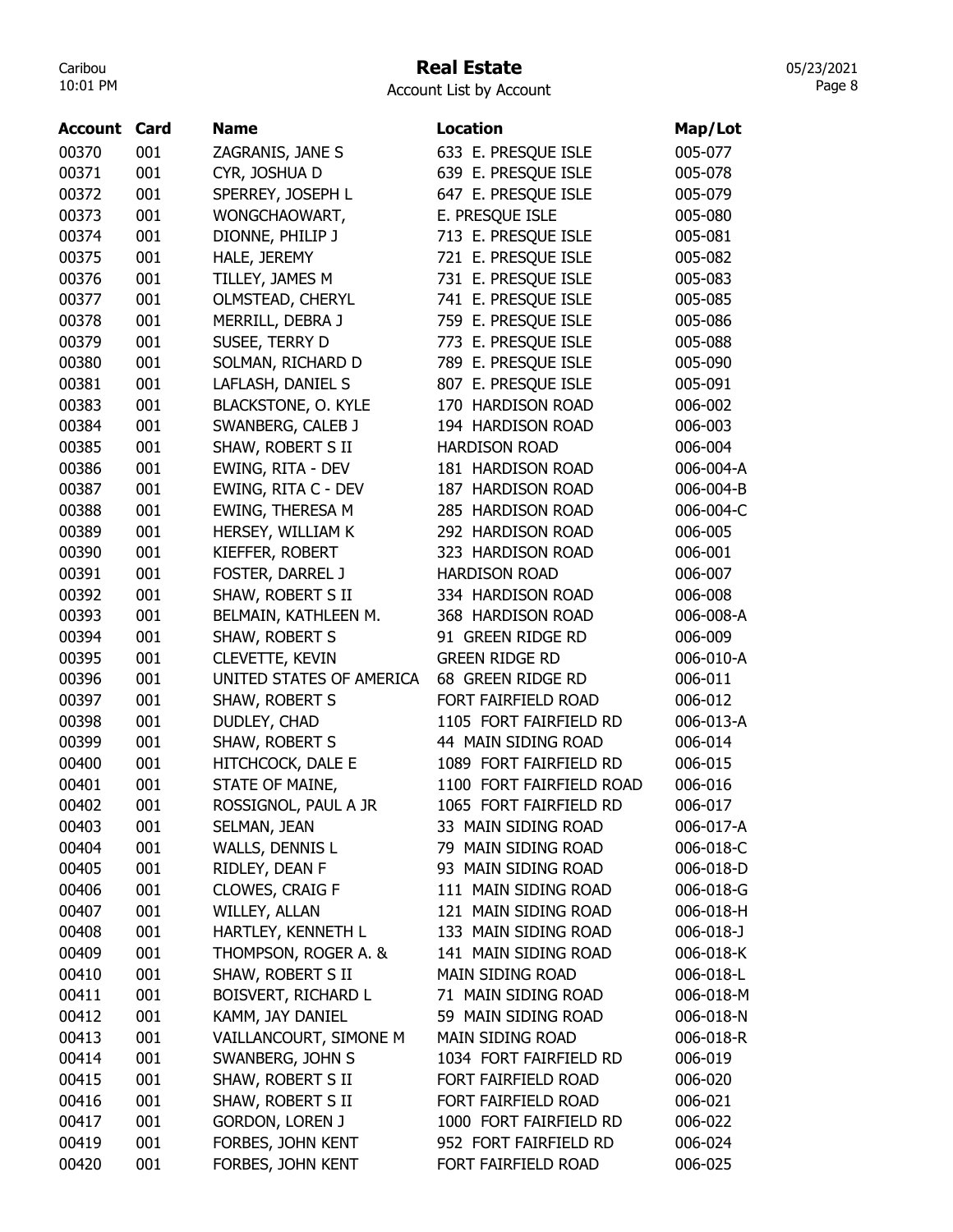## Real Estate

05/23/2021 Page 8

| <b>Account</b> | Card | <b>Name</b>                | <b>Location</b>          | Map/Lot   |
|----------------|------|----------------------------|--------------------------|-----------|
| 00370          | 001  | ZAGRANIS, JANE S           | 633 E. PRESQUE ISLE      | 005-077   |
| 00371          | 001  | CYR, JOSHUA D              | 639 E. PRESQUE ISLE      | 005-078   |
| 00372          | 001  | SPERREY, JOSEPH L          | 647 E. PRESQUE ISLE      | 005-079   |
| 00373          | 001  | WONGCHAOWART,              | E. PRESQUE ISLE          | 005-080   |
| 00374          | 001  | DIONNE, PHILIP J           | 713 E. PRESQUE ISLE      | 005-081   |
| 00375          | 001  | HALE, JEREMY               | 721 E. PRESQUE ISLE      | 005-082   |
| 00376          | 001  | TILLEY, JAMES M            | 731 E. PRESQUE ISLE      | 005-083   |
| 00377          | 001  | OLMSTEAD, CHERYL           | 741 E. PRESQUE ISLE      | 005-085   |
| 00378          | 001  | MERRILL, DEBRA J           | 759 E. PRESQUE ISLE      | 005-086   |
| 00379          | 001  | SUSEE, TERRY D             | 773 E. PRESQUE ISLE      | 005-088   |
| 00380          | 001  | SOLMAN, RICHARD D          | 789 E. PRESQUE ISLE      | 005-090   |
| 00381          | 001  | LAFLASH, DANIEL S          | 807 E. PRESQUE ISLE      | 005-091   |
| 00383          | 001  | <b>BLACKSTONE, O. KYLE</b> | 170 HARDISON ROAD        | 006-002   |
| 00384          | 001  | SWANBERG, CALEB J          | 194 HARDISON ROAD        | 006-003   |
| 00385          | 001  | SHAW, ROBERT S II          | <b>HARDISON ROAD</b>     | 006-004   |
| 00386          | 001  | EWING, RITA - DEV          | 181 HARDISON ROAD        | 006-004-A |
| 00387          | 001  | EWING, RITA C - DEV        | 187 HARDISON ROAD        | 006-004-B |
| 00388          | 001  | EWING, THERESA M           | 285 HARDISON ROAD        | 006-004-C |
| 00389          | 001  | HERSEY, WILLIAM K          | 292 HARDISON ROAD        | 006-005   |
| 00390          | 001  | KIEFFER, ROBERT            | 323 HARDISON ROAD        | 006-001   |
| 00391          | 001  | FOSTER, DARREL J           | <b>HARDISON ROAD</b>     | 006-007   |
| 00392          | 001  | SHAW, ROBERT S II          | 334 HARDISON ROAD        | 006-008   |
| 00393          | 001  | BELMAIN, KATHLEEN M.       | 368 HARDISON ROAD        | 006-008-A |
| 00394          | 001  | SHAW, ROBERT S             | 91 GREEN RIDGE RD        | 006-009   |
| 00395          | 001  | <b>CLEVETTE, KEVIN</b>     | <b>GREEN RIDGE RD</b>    | 006-010-A |
| 00396          | 001  | UNITED STATES OF AMERICA   | 68 GREEN RIDGE RD        | 006-011   |
| 00397          | 001  | SHAW, ROBERT S             | FORT FAIRFIELD ROAD      | 006-012   |
| 00398          | 001  | DUDLEY, CHAD               | 1105 FORT FAIRFIELD RD   | 006-013-A |
| 00399          | 001  | SHAW, ROBERT S             | 44 MAIN SIDING ROAD      | 006-014   |
| 00400          | 001  | HITCHCOCK, DALE E          | 1089 FORT FAIRFIELD RD   | 006-015   |
| 00401          | 001  | STATE OF MAINE,            | 1100 FORT FAIRFIELD ROAD | 006-016   |
| 00402          | 001  | ROSSIGNOL, PAUL A JR       | 1065 FORT FAIRFIELD RD   | 006-017   |
| 00403          | 001  | SELMAN, JEAN               | 33 MAIN SIDING ROAD      | 006-017-A |
| 00404          | 001  | WALLS, DENNIS L            | 79 MAIN SIDING ROAD      | 006-018-C |
| 00405          | 001  | RIDLEY, DEAN F             | 93 MAIN SIDING ROAD      | 006-018-D |
| 00406          | 001  | <b>CLOWES, CRAIG F</b>     | 111 MAIN SIDING ROAD     | 006-018-G |
| 00407          | 001  | WILLEY, ALLAN              | 121 MAIN SIDING ROAD     | 006-018-H |
| 00408          | 001  | HARTLEY, KENNETH L         | 133 MAIN SIDING ROAD     | 006-018-J |
| 00409          | 001  | THOMPSON, ROGER A. &       | 141 MAIN SIDING ROAD     | 006-018-K |
| 00410          | 001  | SHAW, ROBERT S II          | MAIN SIDING ROAD         | 006-018-L |
| 00411          | 001  | BOISVERT, RICHARD L        | 71 MAIN SIDING ROAD      | 006-018-M |
| 00412          | 001  | KAMM, JAY DANIEL           | 59 MAIN SIDING ROAD      | 006-018-N |
| 00413          | 001  | VAILLANCOURT, SIMONE M     | MAIN SIDING ROAD         | 006-018-R |
| 00414          | 001  | SWANBERG, JOHN S           | 1034 FORT FAIRFIELD RD   | 006-019   |
| 00415          | 001  | SHAW, ROBERT S II          | FORT FAIRFIELD ROAD      | 006-020   |
| 00416          | 001  | SHAW, ROBERT S II          | FORT FAIRFIELD ROAD      | 006-021   |
| 00417          | 001  | <b>GORDON, LOREN J</b>     | 1000 FORT FAIRFIELD RD   | 006-022   |
| 00419          | 001  | FORBES, JOHN KENT          | 952 FORT FAIRFIELD RD    | 006-024   |
| 00420          | 001  | FORBES, JOHN KENT          | FORT FAIRFIELD ROAD      | 006-025   |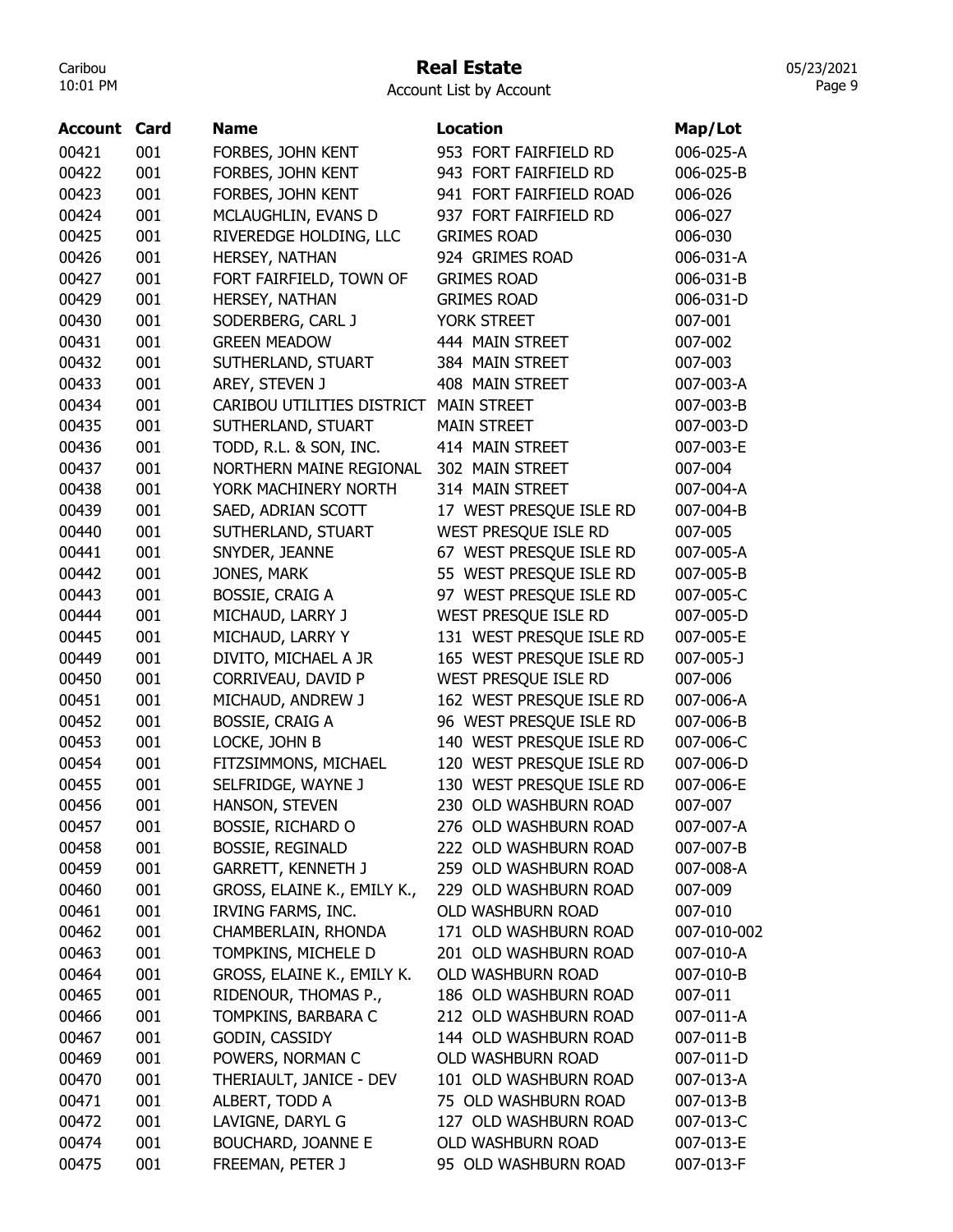# Real Estate

|  | Account List by Account |  |
|--|-------------------------|--|
|  |                         |  |

| 00421<br>001<br>953 FORT FAIRFIELD RD<br>006-025-A<br>FORBES, JOHN KENT<br>00422<br>001<br>FORBES, JOHN KENT<br>943 FORT FAIRFIELD RD<br>006-025-B<br>941 FORT FAIRFIELD ROAD<br>00423<br>001<br>FORBES, JOHN KENT<br>006-026<br>00424<br>001<br>MCLAUGHLIN, EVANS D<br>937 FORT FAIRFIELD RD<br>006-027<br>00425<br>001<br>RIVEREDGE HOLDING, LLC<br><b>GRIMES ROAD</b><br>006-030<br>001<br>00426<br>924 GRIMES ROAD<br>006-031-A<br>HERSEY, NATHAN<br>00427<br>001<br><b>GRIMES ROAD</b><br>006-031-B<br>FORT FAIRFIELD, TOWN OF<br><b>GRIMES ROAD</b><br>00429<br>001<br>HERSEY, NATHAN<br>006-031-D<br>00430<br>001<br>YORK STREET<br>SODERBERG, CARL J<br>007-001<br>001<br>00431<br><b>GREEN MEADOW</b><br>444 MAIN STREET<br>007-002<br>00432<br>001<br>384 MAIN STREET<br>007-003<br>SUTHERLAND, STUART<br>00433<br>001<br>AREY, STEVEN J<br>408 MAIN STREET<br>007-003-A<br>00434<br>001<br>CARIBOU UTILITIES DISTRICT<br><b>MAIN STREET</b><br>007-003-B<br>001<br>00435<br>SUTHERLAND, STUART<br><b>MAIN STREET</b><br>007-003-D<br>00436<br>001<br>TODD, R.L. & SON, INC.<br>414 MAIN STREET<br>007-003-E<br>001<br>302 MAIN STREET<br>00437<br>NORTHERN MAINE REGIONAL<br>007-004<br>001<br>00438<br>YORK MACHINERY NORTH<br>314 MAIN STREET<br>007-004-A<br>001<br>00439<br>SAED, ADRIAN SCOTT<br>17 WEST PRESQUE ISLE RD<br>007-004-B<br>WEST PRESQUE ISLE RD<br>00440<br>001<br>SUTHERLAND, STUART<br>007-005<br>001<br>67 WEST PRESQUE ISLE RD<br>00441<br>007-005-A<br>SNYDER, JEANNE<br>001<br>00442<br>JONES, MARK<br>55 WEST PRESQUE ISLE RD<br>007-005-B | <b>Account Card</b> |     | <b>Name</b>            | <b>Location</b>         | Map/Lot     |
|---------------------------------------------------------------------------------------------------------------------------------------------------------------------------------------------------------------------------------------------------------------------------------------------------------------------------------------------------------------------------------------------------------------------------------------------------------------------------------------------------------------------------------------------------------------------------------------------------------------------------------------------------------------------------------------------------------------------------------------------------------------------------------------------------------------------------------------------------------------------------------------------------------------------------------------------------------------------------------------------------------------------------------------------------------------------------------------------------------------------------------------------------------------------------------------------------------------------------------------------------------------------------------------------------------------------------------------------------------------------------------------------------------------------------------------------------------------------------------------------------------------------------------------------------------------------------------|---------------------|-----|------------------------|-------------------------|-------------|
|                                                                                                                                                                                                                                                                                                                                                                                                                                                                                                                                                                                                                                                                                                                                                                                                                                                                                                                                                                                                                                                                                                                                                                                                                                                                                                                                                                                                                                                                                                                                                                                 |                     |     |                        |                         |             |
|                                                                                                                                                                                                                                                                                                                                                                                                                                                                                                                                                                                                                                                                                                                                                                                                                                                                                                                                                                                                                                                                                                                                                                                                                                                                                                                                                                                                                                                                                                                                                                                 |                     |     |                        |                         |             |
|                                                                                                                                                                                                                                                                                                                                                                                                                                                                                                                                                                                                                                                                                                                                                                                                                                                                                                                                                                                                                                                                                                                                                                                                                                                                                                                                                                                                                                                                                                                                                                                 |                     |     |                        |                         |             |
|                                                                                                                                                                                                                                                                                                                                                                                                                                                                                                                                                                                                                                                                                                                                                                                                                                                                                                                                                                                                                                                                                                                                                                                                                                                                                                                                                                                                                                                                                                                                                                                 |                     |     |                        |                         |             |
|                                                                                                                                                                                                                                                                                                                                                                                                                                                                                                                                                                                                                                                                                                                                                                                                                                                                                                                                                                                                                                                                                                                                                                                                                                                                                                                                                                                                                                                                                                                                                                                 |                     |     |                        |                         |             |
|                                                                                                                                                                                                                                                                                                                                                                                                                                                                                                                                                                                                                                                                                                                                                                                                                                                                                                                                                                                                                                                                                                                                                                                                                                                                                                                                                                                                                                                                                                                                                                                 |                     |     |                        |                         |             |
|                                                                                                                                                                                                                                                                                                                                                                                                                                                                                                                                                                                                                                                                                                                                                                                                                                                                                                                                                                                                                                                                                                                                                                                                                                                                                                                                                                                                                                                                                                                                                                                 |                     |     |                        |                         |             |
|                                                                                                                                                                                                                                                                                                                                                                                                                                                                                                                                                                                                                                                                                                                                                                                                                                                                                                                                                                                                                                                                                                                                                                                                                                                                                                                                                                                                                                                                                                                                                                                 |                     |     |                        |                         |             |
|                                                                                                                                                                                                                                                                                                                                                                                                                                                                                                                                                                                                                                                                                                                                                                                                                                                                                                                                                                                                                                                                                                                                                                                                                                                                                                                                                                                                                                                                                                                                                                                 |                     |     |                        |                         |             |
|                                                                                                                                                                                                                                                                                                                                                                                                                                                                                                                                                                                                                                                                                                                                                                                                                                                                                                                                                                                                                                                                                                                                                                                                                                                                                                                                                                                                                                                                                                                                                                                 |                     |     |                        |                         |             |
|                                                                                                                                                                                                                                                                                                                                                                                                                                                                                                                                                                                                                                                                                                                                                                                                                                                                                                                                                                                                                                                                                                                                                                                                                                                                                                                                                                                                                                                                                                                                                                                 |                     |     |                        |                         |             |
|                                                                                                                                                                                                                                                                                                                                                                                                                                                                                                                                                                                                                                                                                                                                                                                                                                                                                                                                                                                                                                                                                                                                                                                                                                                                                                                                                                                                                                                                                                                                                                                 |                     |     |                        |                         |             |
|                                                                                                                                                                                                                                                                                                                                                                                                                                                                                                                                                                                                                                                                                                                                                                                                                                                                                                                                                                                                                                                                                                                                                                                                                                                                                                                                                                                                                                                                                                                                                                                 |                     |     |                        |                         |             |
|                                                                                                                                                                                                                                                                                                                                                                                                                                                                                                                                                                                                                                                                                                                                                                                                                                                                                                                                                                                                                                                                                                                                                                                                                                                                                                                                                                                                                                                                                                                                                                                 |                     |     |                        |                         |             |
|                                                                                                                                                                                                                                                                                                                                                                                                                                                                                                                                                                                                                                                                                                                                                                                                                                                                                                                                                                                                                                                                                                                                                                                                                                                                                                                                                                                                                                                                                                                                                                                 |                     |     |                        |                         |             |
|                                                                                                                                                                                                                                                                                                                                                                                                                                                                                                                                                                                                                                                                                                                                                                                                                                                                                                                                                                                                                                                                                                                                                                                                                                                                                                                                                                                                                                                                                                                                                                                 |                     |     |                        |                         |             |
|                                                                                                                                                                                                                                                                                                                                                                                                                                                                                                                                                                                                                                                                                                                                                                                                                                                                                                                                                                                                                                                                                                                                                                                                                                                                                                                                                                                                                                                                                                                                                                                 |                     |     |                        |                         |             |
|                                                                                                                                                                                                                                                                                                                                                                                                                                                                                                                                                                                                                                                                                                                                                                                                                                                                                                                                                                                                                                                                                                                                                                                                                                                                                                                                                                                                                                                                                                                                                                                 |                     |     |                        |                         |             |
|                                                                                                                                                                                                                                                                                                                                                                                                                                                                                                                                                                                                                                                                                                                                                                                                                                                                                                                                                                                                                                                                                                                                                                                                                                                                                                                                                                                                                                                                                                                                                                                 |                     |     |                        |                         |             |
|                                                                                                                                                                                                                                                                                                                                                                                                                                                                                                                                                                                                                                                                                                                                                                                                                                                                                                                                                                                                                                                                                                                                                                                                                                                                                                                                                                                                                                                                                                                                                                                 |                     |     |                        |                         |             |
|                                                                                                                                                                                                                                                                                                                                                                                                                                                                                                                                                                                                                                                                                                                                                                                                                                                                                                                                                                                                                                                                                                                                                                                                                                                                                                                                                                                                                                                                                                                                                                                 |                     |     |                        |                         |             |
|                                                                                                                                                                                                                                                                                                                                                                                                                                                                                                                                                                                                                                                                                                                                                                                                                                                                                                                                                                                                                                                                                                                                                                                                                                                                                                                                                                                                                                                                                                                                                                                 | 00443               | 001 | <b>BOSSIE, CRAIG A</b> | 97 WEST PRESQUE ISLE RD | 007-005-C   |
| MICHAUD, LARRY J<br>WEST PRESQUE ISLE RD<br>00444<br>001<br>007-005-D                                                                                                                                                                                                                                                                                                                                                                                                                                                                                                                                                                                                                                                                                                                                                                                                                                                                                                                                                                                                                                                                                                                                                                                                                                                                                                                                                                                                                                                                                                           |                     |     |                        |                         |             |
| 131 WEST PRESQUE ISLE RD<br>00445<br>001<br>MICHAUD, LARRY Y<br>007-005-E                                                                                                                                                                                                                                                                                                                                                                                                                                                                                                                                                                                                                                                                                                                                                                                                                                                                                                                                                                                                                                                                                                                                                                                                                                                                                                                                                                                                                                                                                                       |                     |     |                        |                         |             |
| 001<br>00449<br>DIVITO, MICHAEL A JR<br>165 WEST PRESQUE ISLE RD<br>007-005-J                                                                                                                                                                                                                                                                                                                                                                                                                                                                                                                                                                                                                                                                                                                                                                                                                                                                                                                                                                                                                                                                                                                                                                                                                                                                                                                                                                                                                                                                                                   |                     |     |                        |                         |             |
| 00450<br>001<br>CORRIVEAU, DAVID P<br>WEST PRESQUE ISLE RD<br>007-006                                                                                                                                                                                                                                                                                                                                                                                                                                                                                                                                                                                                                                                                                                                                                                                                                                                                                                                                                                                                                                                                                                                                                                                                                                                                                                                                                                                                                                                                                                           |                     |     |                        |                         |             |
| 00451<br>001<br>MICHAUD, ANDREW J<br>162 WEST PRESQUE ISLE RD<br>007-006-A                                                                                                                                                                                                                                                                                                                                                                                                                                                                                                                                                                                                                                                                                                                                                                                                                                                                                                                                                                                                                                                                                                                                                                                                                                                                                                                                                                                                                                                                                                      |                     |     |                        |                         |             |
| 00452<br>001<br><b>BOSSIE, CRAIG A</b><br>96 WEST PRESQUE ISLE RD<br>007-006-B                                                                                                                                                                                                                                                                                                                                                                                                                                                                                                                                                                                                                                                                                                                                                                                                                                                                                                                                                                                                                                                                                                                                                                                                                                                                                                                                                                                                                                                                                                  |                     |     |                        |                         |             |
| 00453<br>001<br>140 WEST PRESQUE ISLE RD<br>007-006-C<br>LOCKE, JOHN B                                                                                                                                                                                                                                                                                                                                                                                                                                                                                                                                                                                                                                                                                                                                                                                                                                                                                                                                                                                                                                                                                                                                                                                                                                                                                                                                                                                                                                                                                                          |                     |     |                        |                         |             |
| 120 WEST PRESQUE ISLE RD<br>00454<br>001<br>FITZSIMMONS, MICHAEL<br>007-006-D                                                                                                                                                                                                                                                                                                                                                                                                                                                                                                                                                                                                                                                                                                                                                                                                                                                                                                                                                                                                                                                                                                                                                                                                                                                                                                                                                                                                                                                                                                   |                     |     |                        |                         |             |
| 130 WEST PRESQUE ISLE RD<br>00455<br>001<br>SELFRIDGE, WAYNE J<br>007-006-E                                                                                                                                                                                                                                                                                                                                                                                                                                                                                                                                                                                                                                                                                                                                                                                                                                                                                                                                                                                                                                                                                                                                                                                                                                                                                                                                                                                                                                                                                                     |                     |     |                        |                         |             |
| HANSON, STEVEN<br>007-007<br>00456<br>001<br>230 OLD WASHBURN ROAD                                                                                                                                                                                                                                                                                                                                                                                                                                                                                                                                                                                                                                                                                                                                                                                                                                                                                                                                                                                                                                                                                                                                                                                                                                                                                                                                                                                                                                                                                                              |                     |     |                        |                         |             |
| <b>BOSSIE, RICHARD O</b><br>276 OLD WASHBURN ROAD<br>00457<br>001<br>007-007-A                                                                                                                                                                                                                                                                                                                                                                                                                                                                                                                                                                                                                                                                                                                                                                                                                                                                                                                                                                                                                                                                                                                                                                                                                                                                                                                                                                                                                                                                                                  |                     |     |                        |                         |             |
| 222 OLD WASHBURN ROAD<br>00458<br>001<br><b>BOSSIE, REGINALD</b><br>007-007-B                                                                                                                                                                                                                                                                                                                                                                                                                                                                                                                                                                                                                                                                                                                                                                                                                                                                                                                                                                                                                                                                                                                                                                                                                                                                                                                                                                                                                                                                                                   |                     |     |                        |                         |             |
| 259 OLD WASHBURN ROAD<br>00459<br>001<br><b>GARRETT, KENNETH J</b><br>007-008-A                                                                                                                                                                                                                                                                                                                                                                                                                                                                                                                                                                                                                                                                                                                                                                                                                                                                                                                                                                                                                                                                                                                                                                                                                                                                                                                                                                                                                                                                                                 |                     |     |                        |                         |             |
| GROSS, ELAINE K., EMILY K.,<br>229 OLD WASHBURN ROAD<br>00460<br>001<br>007-009                                                                                                                                                                                                                                                                                                                                                                                                                                                                                                                                                                                                                                                                                                                                                                                                                                                                                                                                                                                                                                                                                                                                                                                                                                                                                                                                                                                                                                                                                                 |                     |     |                        |                         |             |
| 001<br>00461<br>IRVING FARMS, INC.<br><b>OLD WASHBURN ROAD</b><br>007-010                                                                                                                                                                                                                                                                                                                                                                                                                                                                                                                                                                                                                                                                                                                                                                                                                                                                                                                                                                                                                                                                                                                                                                                                                                                                                                                                                                                                                                                                                                       |                     |     |                        |                         |             |
| CHAMBERLAIN, RHONDA<br>171 OLD WASHBURN ROAD<br>00462<br>001                                                                                                                                                                                                                                                                                                                                                                                                                                                                                                                                                                                                                                                                                                                                                                                                                                                                                                                                                                                                                                                                                                                                                                                                                                                                                                                                                                                                                                                                                                                    |                     |     |                        |                         | 007-010-002 |
| TOMPKINS, MICHELE D<br>201 OLD WASHBURN ROAD<br>00463<br>001<br>007-010-A                                                                                                                                                                                                                                                                                                                                                                                                                                                                                                                                                                                                                                                                                                                                                                                                                                                                                                                                                                                                                                                                                                                                                                                                                                                                                                                                                                                                                                                                                                       |                     |     |                        |                         |             |
| GROSS, ELAINE K., EMILY K.<br>OLD WASHBURN ROAD<br>00464<br>001<br>007-010-B                                                                                                                                                                                                                                                                                                                                                                                                                                                                                                                                                                                                                                                                                                                                                                                                                                                                                                                                                                                                                                                                                                                                                                                                                                                                                                                                                                                                                                                                                                    |                     |     |                        |                         |             |
| RIDENOUR, THOMAS P.,<br>00465<br>001<br>186 OLD WASHBURN ROAD<br>007-011                                                                                                                                                                                                                                                                                                                                                                                                                                                                                                                                                                                                                                                                                                                                                                                                                                                                                                                                                                                                                                                                                                                                                                                                                                                                                                                                                                                                                                                                                                        |                     |     |                        |                         |             |
| 00466<br>001<br>TOMPKINS, BARBARA C<br>212 OLD WASHBURN ROAD<br>007-011-A                                                                                                                                                                                                                                                                                                                                                                                                                                                                                                                                                                                                                                                                                                                                                                                                                                                                                                                                                                                                                                                                                                                                                                                                                                                                                                                                                                                                                                                                                                       |                     |     |                        |                         |             |
| 00467<br>001<br>GODIN, CASSIDY<br>144 OLD WASHBURN ROAD<br>007-011-B                                                                                                                                                                                                                                                                                                                                                                                                                                                                                                                                                                                                                                                                                                                                                                                                                                                                                                                                                                                                                                                                                                                                                                                                                                                                                                                                                                                                                                                                                                            |                     |     |                        |                         |             |
| OLD WASHBURN ROAD<br>00469<br>001<br>POWERS, NORMAN C<br>007-011-D                                                                                                                                                                                                                                                                                                                                                                                                                                                                                                                                                                                                                                                                                                                                                                                                                                                                                                                                                                                                                                                                                                                                                                                                                                                                                                                                                                                                                                                                                                              |                     |     |                        |                         |             |
| THERIAULT, JANICE - DEV<br>101 OLD WASHBURN ROAD<br>00470<br>001<br>007-013-A                                                                                                                                                                                                                                                                                                                                                                                                                                                                                                                                                                                                                                                                                                                                                                                                                                                                                                                                                                                                                                                                                                                                                                                                                                                                                                                                                                                                                                                                                                   |                     |     |                        |                         |             |
| ALBERT, TODD A<br>75 OLD WASHBURN ROAD<br>00471<br>001<br>007-013-B                                                                                                                                                                                                                                                                                                                                                                                                                                                                                                                                                                                                                                                                                                                                                                                                                                                                                                                                                                                                                                                                                                                                                                                                                                                                                                                                                                                                                                                                                                             |                     |     |                        |                         |             |
| LAVIGNE, DARYL G<br>00472<br>001<br>127 OLD WASHBURN ROAD<br>007-013-C                                                                                                                                                                                                                                                                                                                                                                                                                                                                                                                                                                                                                                                                                                                                                                                                                                                                                                                                                                                                                                                                                                                                                                                                                                                                                                                                                                                                                                                                                                          |                     |     |                        |                         |             |
| 00474<br>001<br><b>BOUCHARD, JOANNE E</b><br><b>OLD WASHBURN ROAD</b><br>007-013-E                                                                                                                                                                                                                                                                                                                                                                                                                                                                                                                                                                                                                                                                                                                                                                                                                                                                                                                                                                                                                                                                                                                                                                                                                                                                                                                                                                                                                                                                                              |                     |     |                        |                         |             |
| FREEMAN, PETER J<br>00475<br>001<br>95 OLD WASHBURN ROAD<br>007-013-F                                                                                                                                                                                                                                                                                                                                                                                                                                                                                                                                                                                                                                                                                                                                                                                                                                                                                                                                                                                                                                                                                                                                                                                                                                                                                                                                                                                                                                                                                                           |                     |     |                        |                         |             |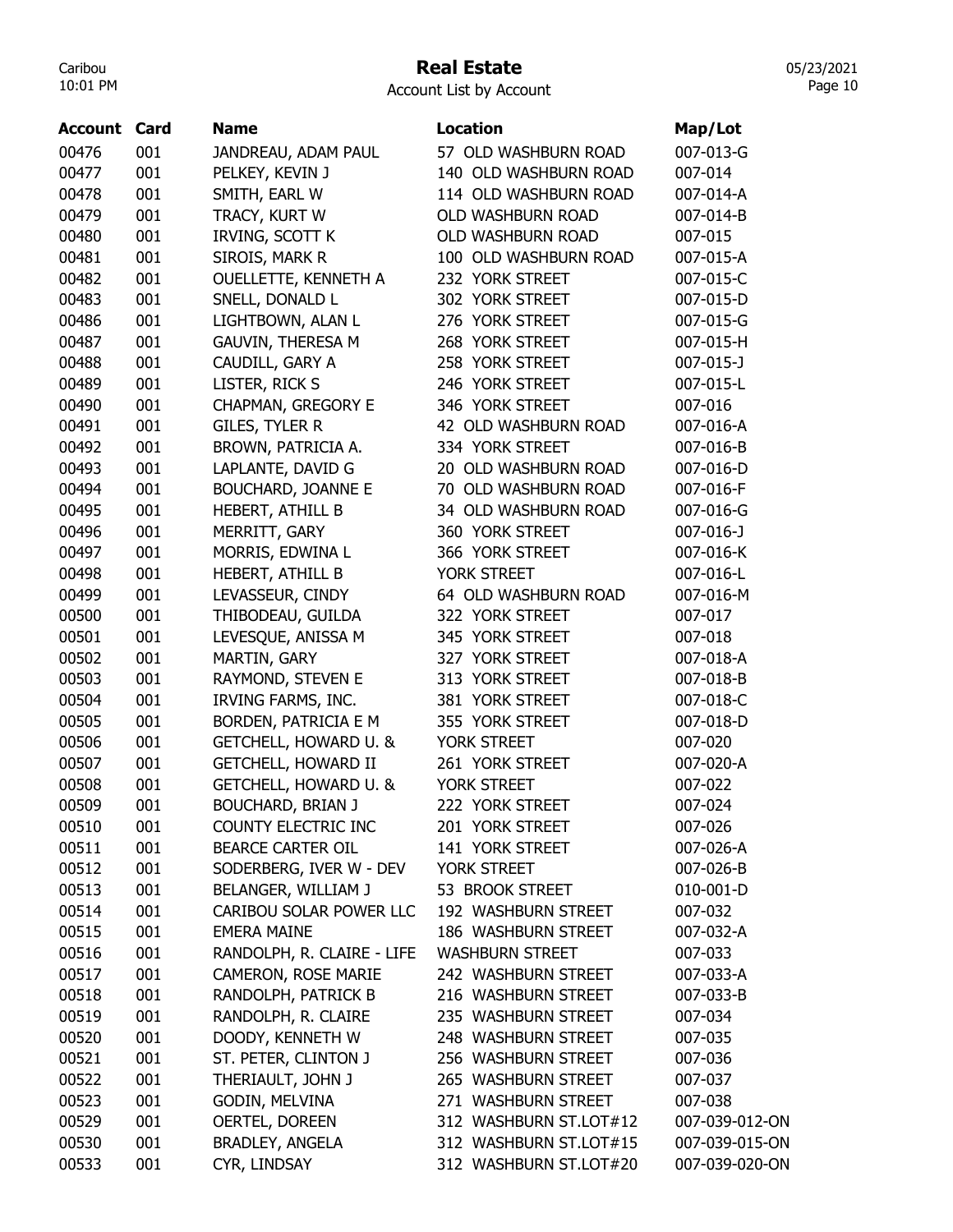## Real Estate

Account List by Account

| <b>Account Card</b> |     | <b>Name</b>                            | <b>Location</b>          | Map/Lot            |
|---------------------|-----|----------------------------------------|--------------------------|--------------------|
| 00476               | 001 |                                        | 57 OLD WASHBURN ROAD     | 007-013-G          |
| 00477               | 001 | JANDREAU, ADAM PAUL<br>PELKEY, KEVIN J | 140 OLD WASHBURN ROAD    | 007-014            |
| 00478               | 001 | SMITH, EARL W                          | 114 OLD WASHBURN ROAD    | 007-014-A          |
| 00479               | 001 | TRACY, KURT W                          | <b>OLD WASHBURN ROAD</b> | 007-014-B          |
| 00480               | 001 | IRVING, SCOTT K                        | OLD WASHBURN ROAD        | 007-015            |
| 00481               | 001 | SIROIS, MARK R                         | 100 OLD WASHBURN ROAD    | 007-015-A          |
| 00482               | 001 | <b>OUELLETTE, KENNETH A</b>            | 232 YORK STREET          | 007-015-C          |
| 00483               | 001 |                                        | 302 YORK STREET          | 007-015-D          |
|                     | 001 | SNELL, DONALD L                        |                          |                    |
| 00486               |     | LIGHTBOWN, ALAN L                      | 276 YORK STREET          | 007-015-G          |
| 00487               | 001 | <b>GAUVIN, THERESA M</b>               | 268 YORK STREET          | 007-015-H          |
| 00488               | 001 | CAUDILL, GARY A                        | 258 YORK STREET          | 007-015-J          |
| 00489               | 001 | LISTER, RICK S                         | 246 YORK STREET          | 007-015-L          |
| 00490               | 001 | CHAPMAN, GREGORY E                     | 346 YORK STREET          | 007-016            |
| 00491               | 001 | GILES, TYLER R                         | 42 OLD WASHBURN ROAD     | 007-016-A          |
| 00492               | 001 | BROWN, PATRICIA A.                     | 334 YORK STREET          | 007-016-B          |
| 00493               | 001 | LAPLANTE, DAVID G                      | 20 OLD WASHBURN ROAD     | 007-016-D          |
| 00494               | 001 | <b>BOUCHARD, JOANNE E</b>              | 70 OLD WASHBURN ROAD     | 007-016-F          |
| 00495               | 001 | HEBERT, ATHILL B                       | 34 OLD WASHBURN ROAD     | 007-016-G          |
| 00496               | 001 | MERRITT, GARY                          | 360 YORK STREET          | $007 - 016 - J$    |
| 00497               | 001 | MORRIS, EDWINA L                       | 366 YORK STREET          | 007-016-K          |
| 00498               | 001 | HEBERT, ATHILL B                       | YORK STREET              | 007-016-L          |
| 00499               | 001 | LEVASSEUR, CINDY                       | 64 OLD WASHBURN ROAD     | 007-016-M          |
| 00500               | 001 | THIBODEAU, GUILDA                      | 322 YORK STREET          | 007-017            |
| 00501               | 001 | LEVESQUE, ANISSA M                     | 345 YORK STREET          | 007-018            |
| 00502               | 001 | MARTIN, GARY                           | 327 YORK STREET          | 007-018-A          |
| 00503               | 001 | RAYMOND, STEVEN E                      | 313 YORK STREET          | 007-018-B          |
| 00504               | 001 | IRVING FARMS, INC.                     | 381 YORK STREET          | 007-018-C          |
| 00505               | 001 | <b>BORDEN, PATRICIA E M</b>            | 355 YORK STREET          | 007-018-D          |
| 00506               | 001 | GETCHELL, HOWARD U. &                  | YORK STREET              | 007-020            |
| 00507               | 001 | <b>GETCHELL, HOWARD II</b>             | 261 YORK STREET          | 007-020-A          |
| 00508               | 001 | GETCHELL, HOWARD U. &                  | YORK STREET              | 007-022            |
| 00509               | 001 | <b>BOUCHARD, BRIAN J</b>               | 222 YORK STREET          | 007-024            |
| 00510               | 001 | COUNTY ELECTRIC INC                    | 201 YORK STREET          | 007-026            |
| 00511               | 001 | BEARCE CARTER OIL                      | 141 YORK STREET          | 007-026-A          |
| 00512               | 001 | SODERBERG, IVER W - DEV                | YORK STREET              | 007-026-B          |
| 00513               | 001 | BELANGER, WILLIAM J                    | 53 BROOK STREET          | 010-001-D          |
| 00514               | 001 | CARIBOU SOLAR POWER LLC                | 192 WASHBURN STREET      | 007-032            |
| 00515               | 001 | <b>EMERA MAINE</b>                     | 186 WASHBURN STREET      | 007-032-A          |
| 00516               | 001 | RANDOLPH, R. CLAIRE - LIFE             | <b>WASHBURN STREET</b>   | 007-033            |
| 00517               | 001 | CAMERON, ROSE MARIE                    | 242 WASHBURN STREET      | 007-033-A          |
| 00518               | 001 | RANDOLPH, PATRICK B                    | 216 WASHBURN STREET      | 007-033-B          |
| 00519               | 001 | RANDOLPH, R. CLAIRE                    | 235 WASHBURN STREET      | 007-034            |
| 00520               | 001 | DOODY, KENNETH W                       | 248 WASHBURN STREET      | 007-035            |
| 00521               | 001 | ST. PETER, CLINTON J                   | 256 WASHBURN STREET      | 007-036            |
|                     |     | THERIAULT, JOHN J                      | 265 WASHBURN STREET      |                    |
| 00522               | 001 |                                        | 271 WASHBURN STREET      | 007-037<br>007-038 |
| 00523               | 001 | GODIN, MELVINA                         |                          |                    |
| 00529               | 001 | OERTEL, DOREEN                         | 312 WASHBURN ST.LOT#12   | 007-039-012-ON     |
| 00530               | 001 | <b>BRADLEY, ANGELA</b>                 | 312 WASHBURN ST.LOT#15   | 007-039-015-ON     |
| 00533               | 001 | CYR, LINDSAY                           | 312 WASHBURN ST.LOT#20   | 007-039-020-ON     |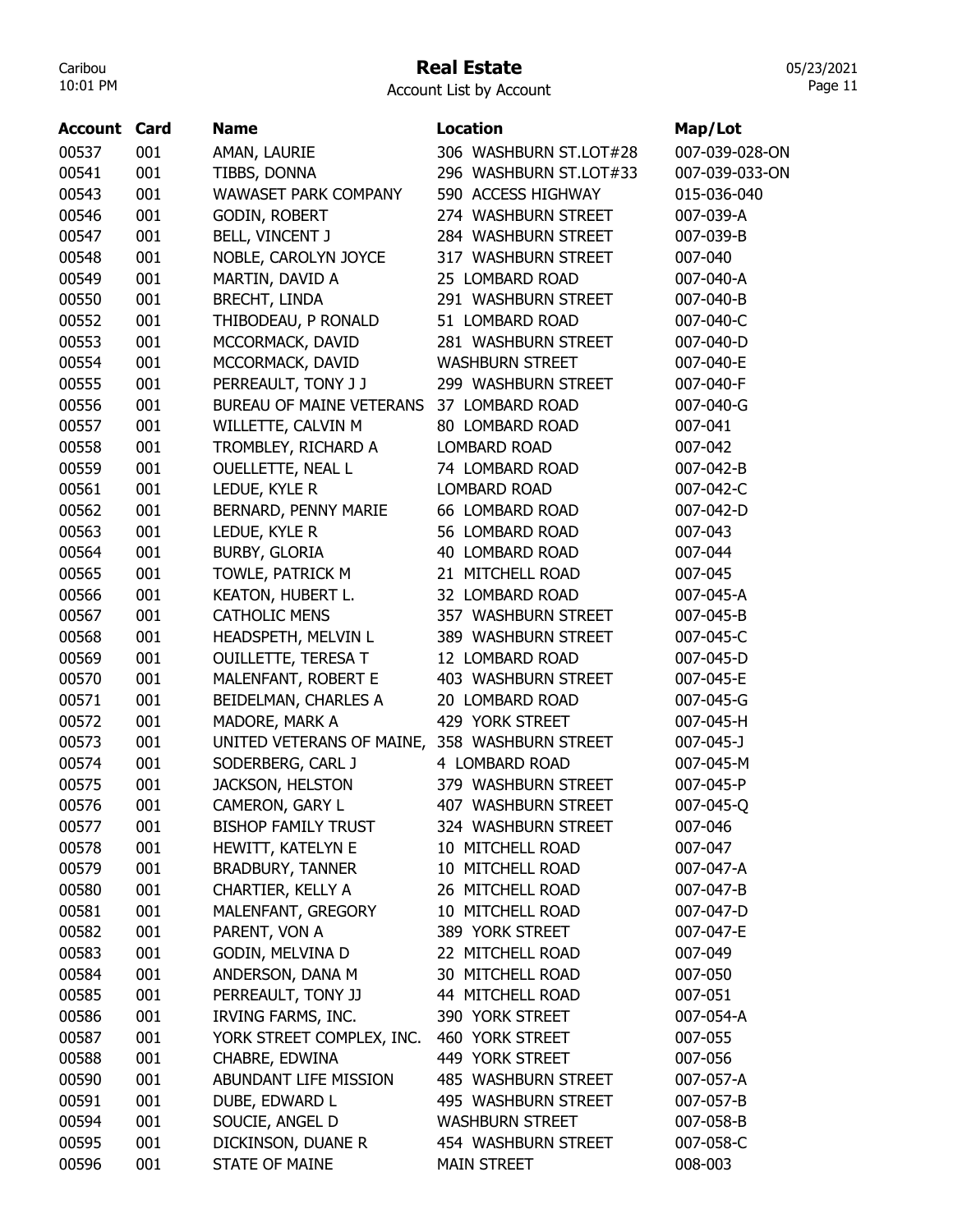## Real Estate

Account List by Account

| <b>Account Card</b> |     | <b>Name</b>                                   | <b>Location</b>        | Map/Lot        |
|---------------------|-----|-----------------------------------------------|------------------------|----------------|
| 00537               | 001 | AMAN, LAURIE                                  | 306 WASHBURN ST.LOT#28 | 007-039-028-ON |
| 00541               | 001 | TIBBS, DONNA                                  | 296 WASHBURN ST.LOT#33 | 007-039-033-ON |
| 00543               | 001 | <b>WAWASET PARK COMPANY</b>                   | 590 ACCESS HIGHWAY     | 015-036-040    |
| 00546               | 001 | <b>GODIN, ROBERT</b>                          | 274 WASHBURN STREET    | 007-039-A      |
| 00547               | 001 | BELL, VINCENT J                               | 284 WASHBURN STREET    | 007-039-B      |
| 00548               | 001 | NOBLE, CAROLYN JOYCE                          | 317 WASHBURN STREET    | 007-040        |
| 00549               | 001 | MARTIN, DAVID A                               | 25 LOMBARD ROAD        | 007-040-A      |
| 00550               | 001 | <b>BRECHT, LINDA</b>                          | 291 WASHBURN STREET    | 007-040-B      |
| 00552               | 001 | THIBODEAU, P RONALD                           | 51 LOMBARD ROAD        | 007-040-C      |
| 00553               | 001 | MCCORMACK, DAVID                              | 281 WASHBURN STREET    | 007-040-D      |
| 00554               | 001 | MCCORMACK, DAVID                              | <b>WASHBURN STREET</b> | 007-040-E      |
| 00555               | 001 | PERREAULT, TONY J J                           | 299 WASHBURN STREET    | 007-040-F      |
| 00556               | 001 | <b>BUREAU OF MAINE VETERANS</b>               | 37 LOMBARD ROAD        | 007-040-G      |
| 00557               | 001 | WILLETTE, CALVIN M                            | 80 LOMBARD ROAD        | 007-041        |
| 00558               | 001 | TROMBLEY, RICHARD A                           | <b>LOMBARD ROAD</b>    | 007-042        |
| 00559               | 001 | <b>OUELLETTE, NEAL L</b>                      | 74 LOMBARD ROAD        | 007-042-B      |
| 00561               | 001 | LEDUE, KYLE R                                 | LOMBARD ROAD           | 007-042-C      |
| 00562               | 001 | BERNARD, PENNY MARIE                          | 66 LOMBARD ROAD        | 007-042-D      |
| 00563               | 001 | LEDUE, KYLE R                                 | 56 LOMBARD ROAD        | 007-043        |
| 00564               | 001 | <b>BURBY, GLORIA</b>                          | 40 LOMBARD ROAD        | 007-044        |
| 00565               | 001 | TOWLE, PATRICK M                              | 21 MITCHELL ROAD       | 007-045        |
| 00566               | 001 | KEATON, HUBERT L.                             | 32 LOMBARD ROAD        | 007-045-A      |
| 00567               | 001 | <b>CATHOLIC MENS</b>                          | 357 WASHBURN STREET    | 007-045-B      |
| 00568               | 001 | HEADSPETH, MELVIN L                           | 389 WASHBURN STREET    | 007-045-C      |
| 00569               | 001 | <b>OUILLETTE, TERESA T</b>                    | 12 LOMBARD ROAD        | 007-045-D      |
| 00570               | 001 | MALENFANT, ROBERT E                           | 403 WASHBURN STREET    | 007-045-E      |
| 00571               | 001 | BEIDELMAN, CHARLES A                          | 20 LOMBARD ROAD        | 007-045-G      |
| 00572               | 001 | MADORE, MARK A                                | 429 YORK STREET        | 007-045-H      |
| 00573               | 001 | UNITED VETERANS OF MAINE, 358 WASHBURN STREET |                        | 007-045-J      |
| 00574               | 001 | SODERBERG, CARL J                             | 4 LOMBARD ROAD         | 007-045-M      |
| 00575               | 001 | <b>JACKSON, HELSTON</b>                       | 379 WASHBURN STREET    | 007-045-P      |
| 00576               | 001 | CAMERON, GARY L                               | 407 WASHBURN STREET    | 007-045-Q      |
| 00577               | 001 | <b>BISHOP FAMILY TRUST</b>                    | 324 WASHBURN STREET    | 007-046        |
| 00578               | 001 | HEWITT, KATELYN E                             | 10 MITCHELL ROAD       | 007-047        |
| 00579               | 001 | <b>BRADBURY, TANNER</b>                       | 10 MITCHELL ROAD       | 007-047-A      |
| 00580               | 001 | CHARTIER, KELLY A                             | 26 MITCHELL ROAD       | 007-047-B      |
| 00581               | 001 | MALENFANT, GREGORY                            | 10 MITCHELL ROAD       | 007-047-D      |
| 00582               | 001 | PARENT, VON A                                 | 389 YORK STREET        | 007-047-E      |
| 00583               | 001 | GODIN, MELVINA D                              | 22 MITCHELL ROAD       | 007-049        |
| 00584               | 001 | ANDERSON, DANA M                              | 30 MITCHELL ROAD       | 007-050        |
| 00585               | 001 | PERREAULT, TONY JJ                            | 44 MITCHELL ROAD       | 007-051        |
| 00586               | 001 | IRVING FARMS, INC.                            | 390 YORK STREET        | 007-054-A      |
| 00587               | 001 | YORK STREET COMPLEX, INC.                     | 460 YORK STREET        | 007-055        |
| 00588               | 001 | CHABRE, EDWINA                                | 449 YORK STREET        | 007-056        |
| 00590               | 001 | ABUNDANT LIFE MISSION                         | 485 WASHBURN STREET    | 007-057-A      |
| 00591               | 001 | DUBE, EDWARD L                                | 495 WASHBURN STREET    | 007-057-B      |
| 00594               | 001 | SOUCIE, ANGEL D                               | <b>WASHBURN STREET</b> | 007-058-B      |
| 00595               | 001 | DICKINSON, DUANE R                            | 454 WASHBURN STREET    | 007-058-C      |
| 00596               | 001 | <b>STATE OF MAINE</b>                         | <b>MAIN STREET</b>     | 008-003        |
|                     |     |                                               |                        |                |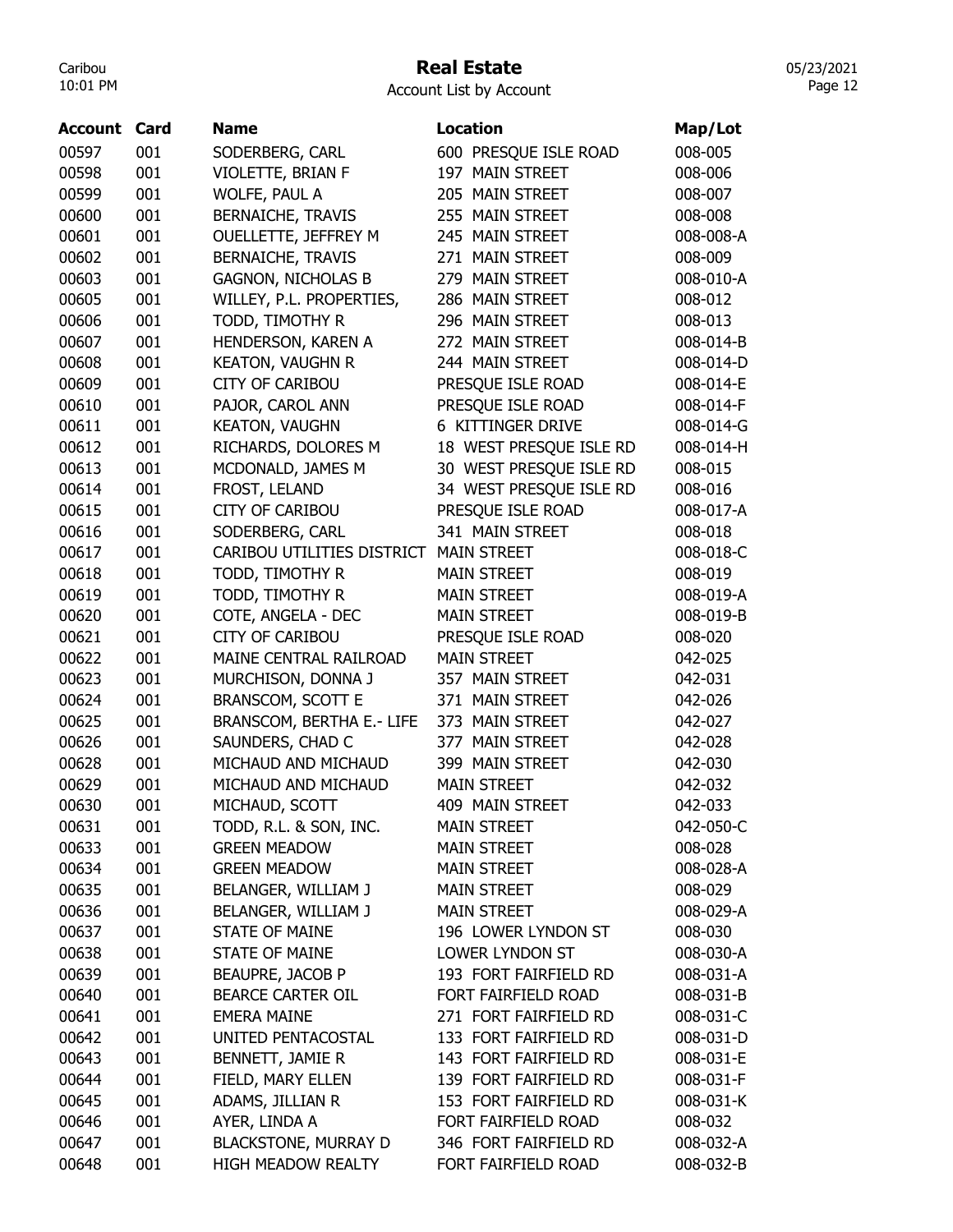## Real Estate

05/23/2021 Page 12

| <b>Account Card</b> |     | Name                        | Location                | Map/Lot   |
|---------------------|-----|-----------------------------|-------------------------|-----------|
| 00597               | 001 | SODERBERG, CARL             | 600 PRESQUE ISLE ROAD   | 008-005   |
| 00598               | 001 | VIOLETTE, BRIAN F           | 197 MAIN STREET         | 008-006   |
| 00599               | 001 | WOLFE, PAUL A               | 205 MAIN STREET         | 008-007   |
| 00600               | 001 | <b>BERNAICHE, TRAVIS</b>    | 255 MAIN STREET         | 008-008   |
| 00601               | 001 | OUELLETTE, JEFFREY M        | 245 MAIN STREET         | 008-008-A |
| 00602               | 001 | <b>BERNAICHE, TRAVIS</b>    | 271 MAIN STREET         | 008-009   |
| 00603               | 001 | <b>GAGNON, NICHOLAS B</b>   | 279 MAIN STREET         | 008-010-A |
| 00605               | 001 | WILLEY, P.L. PROPERTIES,    | 286 MAIN STREET         | 008-012   |
| 00606               | 001 | TODD, TIMOTHY R             | 296 MAIN STREET         | 008-013   |
| 00607               | 001 | HENDERSON, KAREN A          | 272 MAIN STREET         | 008-014-B |
| 00608               | 001 | <b>KEATON, VAUGHN R</b>     | 244 MAIN STREET         | 008-014-D |
| 00609               | 001 | <b>CITY OF CARIBOU</b>      | PRESQUE ISLE ROAD       | 008-014-E |
| 00610               | 001 | PAJOR, CAROL ANN            | PRESQUE ISLE ROAD       | 008-014-F |
| 00611               | 001 | <b>KEATON, VAUGHN</b>       | 6 KITTINGER DRIVE       | 008-014-G |
| 00612               | 001 | RICHARDS, DOLORES M         | 18 WEST PRESQUE ISLE RD | 008-014-H |
| 00613               | 001 | MCDONALD, JAMES M           | 30 WEST PRESQUE ISLE RD | 008-015   |
| 00614               | 001 | FROST, LELAND               | 34 WEST PRESQUE ISLE RD | 008-016   |
| 00615               | 001 | <b>CITY OF CARIBOU</b>      | PRESQUE ISLE ROAD       | 008-017-A |
| 00616               | 001 | SODERBERG, CARL             | 341 MAIN STREET         | 008-018   |
| 00617               | 001 | CARIBOU UTILITIES DISTRICT  | <b>MAIN STREET</b>      | 008-018-C |
| 00618               | 001 | TODD, TIMOTHY R             | <b>MAIN STREET</b>      | 008-019   |
| 00619               | 001 | TODD, TIMOTHY R             | <b>MAIN STREET</b>      | 008-019-A |
| 00620               | 001 | COTE, ANGELA - DEC          | <b>MAIN STREET</b>      | 008-019-B |
| 00621               | 001 | <b>CITY OF CARIBOU</b>      | PRESQUE ISLE ROAD       | 008-020   |
| 00622               | 001 | MAINE CENTRAL RAILROAD      | <b>MAIN STREET</b>      | 042-025   |
| 00623               | 001 | MURCHISON, DONNA J          | 357 MAIN STREET         | 042-031   |
| 00624               | 001 | BRANSCOM, SCOTT E           | 371 MAIN STREET         | 042-026   |
| 00625               | 001 | BRANSCOM, BERTHA E.- LIFE   | 373 MAIN STREET         | 042-027   |
| 00626               | 001 | SAUNDERS, CHAD C            | 377 MAIN STREET         | 042-028   |
| 00628               | 001 | MICHAUD AND MICHAUD         | 399 MAIN STREET         | 042-030   |
| 00629               | 001 | MICHAUD AND MICHAUD         | <b>MAIN STREET</b>      | 042-032   |
| 00630               | 001 | MICHAUD, SCOTT              | 409 MAIN STREET         | 042-033   |
| 00631               | 001 | TODD, R.L. & SON, INC.      | <b>MAIN STREET</b>      | 042-050-C |
| 00633               | 001 | <b>GREEN MEADOW</b>         | <b>MAIN STREET</b>      | 008-028   |
| 00634               | 001 | <b>GREEN MEADOW</b>         | <b>MAIN STREET</b>      | 008-028-A |
| 00635               | 001 | BELANGER, WILLIAM J         | <b>MAIN STREET</b>      | 008-029   |
| 00636               | 001 | BELANGER, WILLIAM J         | <b>MAIN STREET</b>      | 008-029-A |
| 00637               | 001 | <b>STATE OF MAINE</b>       | 196 LOWER LYNDON ST     | 008-030   |
| 00638               | 001 | <b>STATE OF MAINE</b>       | LOWER LYNDON ST         | 008-030-A |
| 00639               | 001 | BEAUPRE, JACOB P            | 193 FORT FAIRFIELD RD   | 008-031-A |
| 00640               | 001 | <b>BEARCE CARTER OIL</b>    | FORT FAIRFIELD ROAD     | 008-031-B |
| 00641               | 001 | <b>EMERA MAINE</b>          | 271 FORT FAIRFIELD RD   | 008-031-C |
| 00642               | 001 | UNITED PENTACOSTAL          | 133 FORT FAIRFIELD RD   | 008-031-D |
| 00643               | 001 | BENNETT, JAMIE R            | 143 FORT FAIRFIELD RD   | 008-031-E |
| 00644               | 001 | FIELD, MARY ELLEN           | 139 FORT FAIRFIELD RD   | 008-031-F |
| 00645               | 001 | ADAMS, JILLIAN R            | 153 FORT FAIRFIELD RD   | 008-031-K |
| 00646               | 001 | AYER, LINDA A               | FORT FAIRFIELD ROAD     | 008-032   |
| 00647               | 001 | <b>BLACKSTONE, MURRAY D</b> | 346 FORT FAIRFIELD RD   | 008-032-A |
| 00648               | 001 | HIGH MEADOW REALTY          | FORT FAIRFIELD ROAD     | 008-032-B |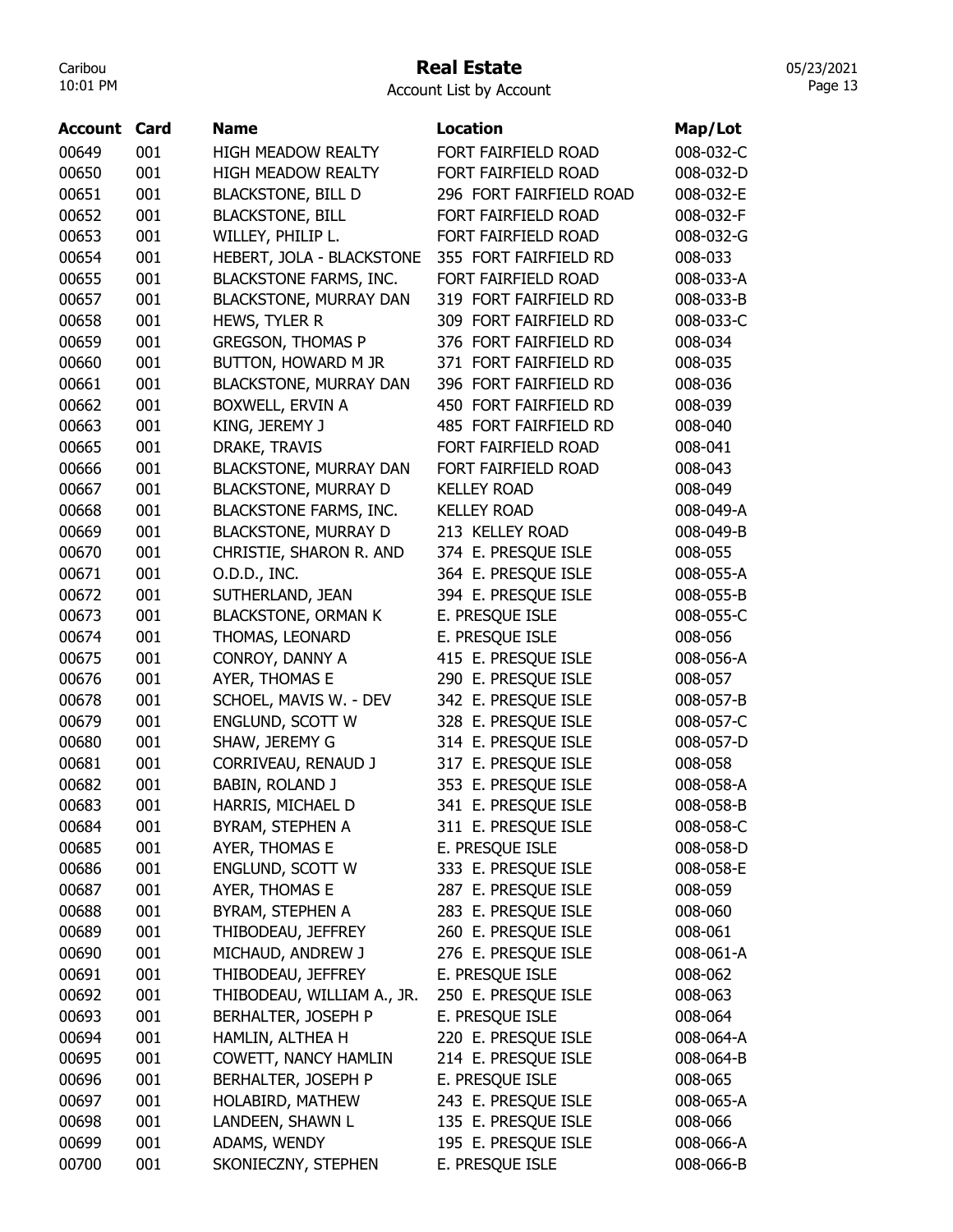#### Real Estate

Account List by Account

| Account | Card | <b>Name</b>                   | <b>Location</b>         | Map/Lot   |
|---------|------|-------------------------------|-------------------------|-----------|
| 00649   | 001  | <b>HIGH MEADOW REALTY</b>     | FORT FAIRFIELD ROAD     | 008-032-C |
| 00650   | 001  | <b>HIGH MEADOW REALTY</b>     | FORT FAIRFIELD ROAD     | 008-032-D |
| 00651   | 001  | <b>BLACKSTONE, BILL D</b>     | 296 FORT FAIRFIELD ROAD | 008-032-E |
| 00652   | 001  | <b>BLACKSTONE, BILL</b>       | FORT FAIRFIELD ROAD     | 008-032-F |
| 00653   | 001  | WILLEY, PHILIP L.             | FORT FAIRFIELD ROAD     | 008-032-G |
| 00654   | 001  | HEBERT, JOLA - BLACKSTONE     | 355 FORT FAIRFIELD RD   | 008-033   |
| 00655   | 001  | <b>BLACKSTONE FARMS, INC.</b> | FORT FAIRFIELD ROAD     | 008-033-A |
| 00657   | 001  | <b>BLACKSTONE, MURRAY DAN</b> | 319 FORT FAIRFIELD RD   | 008-033-B |
| 00658   | 001  | HEWS, TYLER R                 | 309 FORT FAIRFIELD RD   | 008-033-C |
| 00659   | 001  | <b>GREGSON, THOMAS P</b>      | 376 FORT FAIRFIELD RD   | 008-034   |
| 00660   | 001  | BUTTON, HOWARD M JR           | 371 FORT FAIRFIELD RD   | 008-035   |
| 00661   | 001  | <b>BLACKSTONE, MURRAY DAN</b> | 396 FORT FAIRFIELD RD   | 008-036   |
| 00662   | 001  | BOXWELL, ERVIN A              | 450 FORT FAIRFIELD RD   | 008-039   |
| 00663   | 001  | KING, JEREMY J                | 485 FORT FAIRFIELD RD   | 008-040   |
| 00665   | 001  | DRAKE, TRAVIS                 | FORT FAIRFIELD ROAD     | 008-041   |
| 00666   | 001  | <b>BLACKSTONE, MURRAY DAN</b> | FORT FAIRFIELD ROAD     | 008-043   |
| 00667   | 001  | <b>BLACKSTONE, MURRAY D</b>   | <b>KELLEY ROAD</b>      | 008-049   |
| 00668   | 001  | <b>BLACKSTONE FARMS, INC.</b> | <b>KELLEY ROAD</b>      | 008-049-A |
| 00669   | 001  | <b>BLACKSTONE, MURRAY D</b>   | 213 KELLEY ROAD         | 008-049-B |
| 00670   | 001  | CHRISTIE, SHARON R. AND       | 374 E. PRESQUE ISLE     | 008-055   |
| 00671   | 001  | O.D.D., INC.                  | 364 E. PRESQUE ISLE     | 008-055-A |
| 00672   | 001  | SUTHERLAND, JEAN              | 394 E. PRESQUE ISLE     | 008-055-B |
| 00673   | 001  | <b>BLACKSTONE, ORMAN K</b>    | E. PRESQUE ISLE         | 008-055-C |
| 00674   | 001  | THOMAS, LEONARD               | E. PRESQUE ISLE         | 008-056   |
| 00675   | 001  | CONROY, DANNY A               | 415 E. PRESQUE ISLE     | 008-056-A |
| 00676   | 001  | AYER, THOMAS E                | 290 E. PRESQUE ISLE     | 008-057   |
| 00678   | 001  | SCHOEL, MAVIS W. - DEV        | 342 E. PRESQUE ISLE     | 008-057-B |
| 00679   | 001  | ENGLUND, SCOTT W              | 328 E. PRESQUE ISLE     | 008-057-C |
| 00680   | 001  | SHAW, JEREMY G                | 314 E. PRESQUE ISLE     | 008-057-D |
| 00681   | 001  | CORRIVEAU, RENAUD J           | 317 E. PRESQUE ISLE     | 008-058   |
| 00682   | 001  | BABIN, ROLAND J               | 353 E. PRESQUE ISLE     | 008-058-A |
| 00683   | 001  | HARRIS, MICHAEL D             | 341 E. PRESQUE ISLE     | 008-058-B |
| 00684   | 001  | BYRAM, STEPHEN A              | 311 E. PRESQUE ISLE     | 008-058-C |
| 00685   | 001  | AYER, THOMAS E                | E. PRESQUE ISLE         | 008-058-D |
| 00686   | 001  | ENGLUND, SCOTT W              | 333 E. PRESQUE ISLE     | 008-058-E |
| 00687   | 001  | AYER, THOMAS E                | 287 E. PRESQUE ISLE     | 008-059   |
| 00688   | 001  | BYRAM, STEPHEN A              | 283 E. PRESQUE ISLE     | 008-060   |
| 00689   | 001  | THIBODEAU, JEFFREY            | 260 E. PRESQUE ISLE     | 008-061   |
| 00690   | 001  | MICHAUD, ANDREW J             | 276 E. PRESQUE ISLE     | 008-061-A |
| 00691   | 001  | THIBODEAU, JEFFREY            | E. PRESQUE ISLE         | 008-062   |
| 00692   | 001  | THIBODEAU, WILLIAM A., JR.    | 250 E. PRESQUE ISLE     | 008-063   |
| 00693   | 001  | BERHALTER, JOSEPH P           | E. PRESQUE ISLE         | 008-064   |
| 00694   | 001  | HAMLIN, ALTHEA H              | 220 E. PRESQUE ISLE     | 008-064-A |
| 00695   | 001  | COWETT, NANCY HAMLIN          | 214 E. PRESQUE ISLE     | 008-064-B |
| 00696   | 001  | BERHALTER, JOSEPH P           | E. PRESQUE ISLE         | 008-065   |
| 00697   | 001  | HOLABIRD, MATHEW              | 243 E. PRESQUE ISLE     | 008-065-A |
| 00698   | 001  | LANDEEN, SHAWN L              | 135 E. PRESQUE ISLE     | 008-066   |
| 00699   | 001  | ADAMS, WENDY                  | 195 E. PRESQUE ISLE     | 008-066-A |
| 00700   | 001  | SKONIECZNY, STEPHEN           | E. PRESQUE ISLE         | 008-066-B |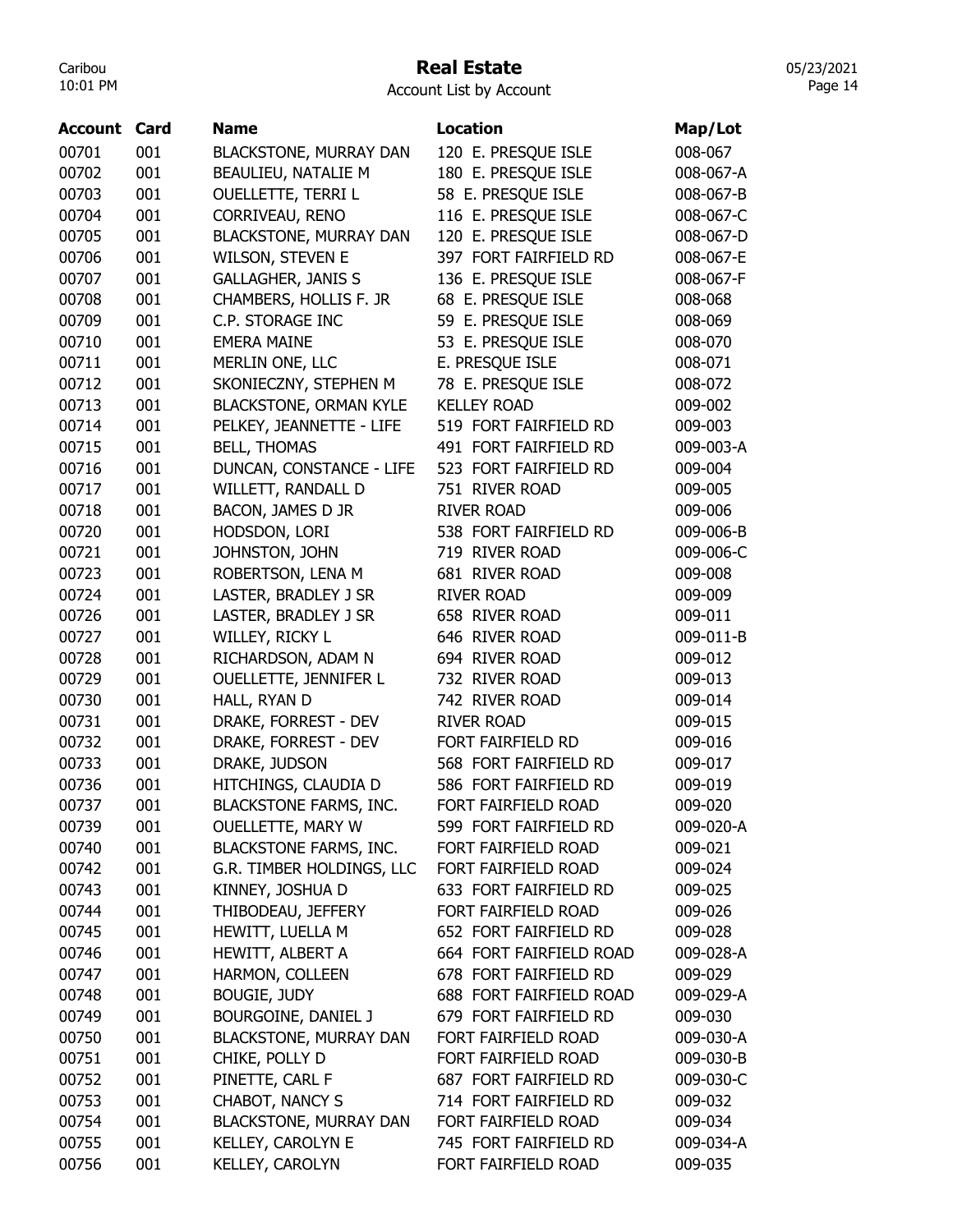## Real Estate

05/23/2021 Page 14

| <b>Account</b> | Card | <b>Name</b>                   | <b>Location</b>         | Map/Lot   |
|----------------|------|-------------------------------|-------------------------|-----------|
| 00701          | 001  | BLACKSTONE, MURRAY DAN        | 120 E. PRESQUE ISLE     | 008-067   |
| 00702          | 001  | BEAULIEU, NATALIE M           | 180 E. PRESQUE ISLE     | 008-067-A |
| 00703          | 001  | <b>OUELLETTE, TERRI L</b>     | 58 E. PRESQUE ISLE      | 008-067-B |
| 00704          | 001  | CORRIVEAU, RENO               | 116 E. PRESQUE ISLE     | 008-067-C |
| 00705          | 001  | <b>BLACKSTONE, MURRAY DAN</b> | 120 E. PRESQUE ISLE     | 008-067-D |
| 00706          | 001  | <b>WILSON, STEVEN E</b>       | 397 FORT FAIRFIELD RD   | 008-067-E |
| 00707          | 001  | <b>GALLAGHER, JANIS S</b>     | 136 E. PRESQUE ISLE     | 008-067-F |
| 00708          | 001  | CHAMBERS, HOLLIS F. JR        | 68 E. PRESQUE ISLE      | 008-068   |
| 00709          | 001  | C.P. STORAGE INC              | 59 E. PRESQUE ISLE      | 008-069   |
| 00710          | 001  | <b>EMERA MAINE</b>            | 53 E. PRESQUE ISLE      | 008-070   |
| 00711          | 001  | MERLIN ONE, LLC               | E. PRESQUE ISLE         | 008-071   |
| 00712          | 001  | SKONIECZNY, STEPHEN M         | 78 E. PRESQUE ISLE      | 008-072   |
| 00713          | 001  | <b>BLACKSTONE, ORMAN KYLE</b> | <b>KELLEY ROAD</b>      | 009-002   |
| 00714          | 001  | PELKEY, JEANNETTE - LIFE      | 519 FORT FAIRFIELD RD   | 009-003   |
| 00715          | 001  | <b>BELL, THOMAS</b>           | 491 FORT FAIRFIELD RD   | 009-003-A |
| 00716          | 001  | DUNCAN, CONSTANCE - LIFE      | 523 FORT FAIRFIELD RD   | 009-004   |
| 00717          | 001  | WILLETT, RANDALL D            | 751 RIVER ROAD          | 009-005   |
| 00718          | 001  | BACON, JAMES D JR             | <b>RIVER ROAD</b>       | 009-006   |
| 00720          | 001  | HODSDON, LORI                 | 538 FORT FAIRFIELD RD   | 009-006-B |
| 00721          | 001  | JOHNSTON, JOHN                | 719 RIVER ROAD          | 009-006-C |
| 00723          | 001  | ROBERTSON, LENA M             | 681 RIVER ROAD          | 009-008   |
| 00724          | 001  | LASTER, BRADLEY J SR          | <b>RIVER ROAD</b>       | 009-009   |
| 00726          | 001  | LASTER, BRADLEY J SR          | 658 RIVER ROAD          | 009-011   |
| 00727          | 001  | WILLEY, RICKY L               | 646 RIVER ROAD          | 009-011-B |
| 00728          | 001  | RICHARDSON, ADAM N            | 694 RIVER ROAD          | 009-012   |
| 00729          | 001  | OUELLETTE, JENNIFER L         | 732 RIVER ROAD          | 009-013   |
| 00730          | 001  | HALL, RYAN D                  | 742 RIVER ROAD          | 009-014   |
| 00731          | 001  | DRAKE, FORREST - DEV          | <b>RIVER ROAD</b>       | 009-015   |
| 00732          | 001  | DRAKE, FORREST - DEV          | FORT FAIRFIELD RD       | 009-016   |
| 00733          | 001  | DRAKE, JUDSON                 | 568 FORT FAIRFIELD RD   | 009-017   |
| 00736          | 001  | HITCHINGS, CLAUDIA D          | 586 FORT FAIRFIELD RD   | 009-019   |
| 00737          | 001  | <b>BLACKSTONE FARMS, INC.</b> | FORT FAIRFIELD ROAD     | 009-020   |
| 00739          | 001  | <b>OUELLETTE, MARY W</b>      | 599 FORT FAIRFIELD RD   | 009-020-A |
| 00740          | 001  | <b>BLACKSTONE FARMS, INC.</b> | FORT FAIRFIELD ROAD     | 009-021   |
| 00742          | 001  | G.R. TIMBER HOLDINGS, LLC     | FORT FAIRFIELD ROAD     | 009-024   |
| 00743          | 001  | KINNEY, JOSHUA D              | 633 FORT FAIRFIELD RD   | 009-025   |
| 00744          | 001  | THIBODEAU, JEFFERY            | FORT FAIRFIELD ROAD     | 009-026   |
| 00745          | 001  | HEWITT, LUELLA M              | 652 FORT FAIRFIELD RD   | 009-028   |
| 00746          | 001  | HEWITT, ALBERT A              | 664 FORT FAIRFIELD ROAD | 009-028-A |
| 00747          | 001  | HARMON, COLLEEN               | 678 FORT FAIRFIELD RD   | 009-029   |
| 00748          | 001  | <b>BOUGIE, JUDY</b>           | 688 FORT FAIRFIELD ROAD | 009-029-A |
| 00749          | 001  | BOURGOINE, DANIEL J           | 679 FORT FAIRFIELD RD   | 009-030   |
| 00750          | 001  | <b>BLACKSTONE, MURRAY DAN</b> | FORT FAIRFIELD ROAD     | 009-030-A |
| 00751          | 001  | CHIKE, POLLY D                | FORT FAIRFIELD ROAD     | 009-030-B |
| 00752          | 001  | PINETTE, CARL F               | 687 FORT FAIRFIELD RD   | 009-030-C |
| 00753          | 001  | CHABOT, NANCY S               | 714 FORT FAIRFIELD RD   | 009-032   |
| 00754          | 001  | <b>BLACKSTONE, MURRAY DAN</b> | FORT FAIRFIELD ROAD     | 009-034   |
| 00755          | 001  | KELLEY, CAROLYN E             | 745 FORT FAIRFIELD RD   | 009-034-A |
| 00756          | 001  | KELLEY, CAROLYN               | FORT FAIRFIELD ROAD     | 009-035   |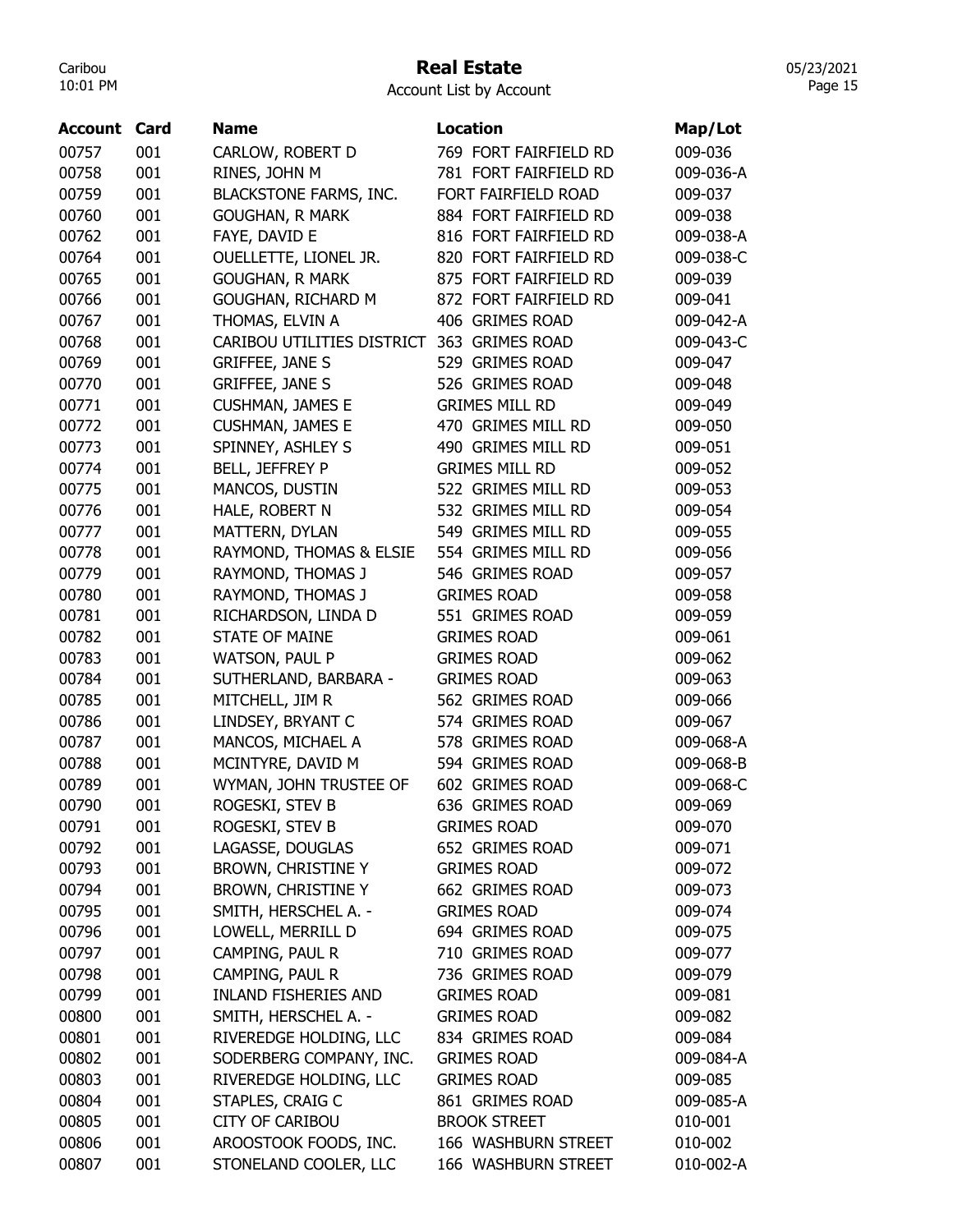#### Real Estate

05/23/2021 Page 15

| Account | Card | <b>Name</b>                   | <b>Location</b>       | Map/Lot   |
|---------|------|-------------------------------|-----------------------|-----------|
| 00757   | 001  | CARLOW, ROBERT D              | 769 FORT FAIRFIELD RD | 009-036   |
| 00758   | 001  | RINES, JOHN M                 | 781 FORT FAIRFIELD RD | 009-036-A |
| 00759   | 001  | <b>BLACKSTONE FARMS, INC.</b> | FORT FAIRFIELD ROAD   | 009-037   |
| 00760   | 001  | <b>GOUGHAN, R MARK</b>        | 884 FORT FAIRFIELD RD | 009-038   |
| 00762   | 001  | FAYE, DAVID E                 | 816 FORT FAIRFIELD RD | 009-038-A |
| 00764   | 001  | OUELLETTE, LIONEL JR.         | 820 FORT FAIRFIELD RD | 009-038-C |
| 00765   | 001  | <b>GOUGHAN, R MARK</b>        | 875 FORT FAIRFIELD RD | 009-039   |
| 00766   | 001  | GOUGHAN, RICHARD M            | 872 FORT FAIRFIELD RD | 009-041   |
| 00767   | 001  | THOMAS, ELVIN A               | 406 GRIMES ROAD       | 009-042-A |
| 00768   | 001  | CARIBOU UTILITIES DISTRICT    | 363 GRIMES ROAD       | 009-043-C |
| 00769   | 001  | <b>GRIFFEE, JANE S</b>        | 529 GRIMES ROAD       | 009-047   |
| 00770   | 001  | <b>GRIFFEE, JANE S</b>        | 526 GRIMES ROAD       | 009-048   |
| 00771   | 001  | <b>CUSHMAN, JAMES E</b>       | <b>GRIMES MILL RD</b> | 009-049   |
| 00772   | 001  | <b>CUSHMAN, JAMES E</b>       | 470 GRIMES MILL RD    | 009-050   |
| 00773   | 001  | SPINNEY, ASHLEY S             | 490 GRIMES MILL RD    | 009-051   |
| 00774   | 001  | BELL, JEFFREY P               | <b>GRIMES MILL RD</b> | 009-052   |
| 00775   | 001  | MANCOS, DUSTIN                | 522 GRIMES MILL RD    | 009-053   |
| 00776   | 001  | HALE, ROBERT N                | 532 GRIMES MILL RD    | 009-054   |
| 00777   | 001  | MATTERN, DYLAN                | 549 GRIMES MILL RD    | 009-055   |
| 00778   | 001  | RAYMOND, THOMAS & ELSIE       | 554 GRIMES MILL RD    | 009-056   |
| 00779   | 001  | RAYMOND, THOMAS J             | 546 GRIMES ROAD       | 009-057   |
| 00780   | 001  | RAYMOND, THOMAS J             | <b>GRIMES ROAD</b>    | 009-058   |
| 00781   | 001  | RICHARDSON, LINDA D           | 551 GRIMES ROAD       | 009-059   |
| 00782   | 001  | <b>STATE OF MAINE</b>         | <b>GRIMES ROAD</b>    | 009-061   |
| 00783   | 001  | <b>WATSON, PAUL P</b>         | <b>GRIMES ROAD</b>    | 009-062   |
| 00784   | 001  | SUTHERLAND, BARBARA -         | <b>GRIMES ROAD</b>    | 009-063   |
| 00785   | 001  | MITCHELL, JIM R               | 562 GRIMES ROAD       | 009-066   |
| 00786   | 001  | LINDSEY, BRYANT C             | 574 GRIMES ROAD       | 009-067   |
| 00787   | 001  | MANCOS, MICHAEL A             | 578 GRIMES ROAD       | 009-068-A |
| 00788   | 001  | MCINTYRE, DAVID M             | 594 GRIMES ROAD       | 009-068-B |
| 00789   | 001  | WYMAN, JOHN TRUSTEE OF        | 602 GRIMES ROAD       | 009-068-C |
| 00790   | 001  | ROGESKI, STEV B               | 636 GRIMES ROAD       | 009-069   |
| 00791   | 001  | ROGESKI, STEV B               | <b>GRIMES ROAD</b>    | 009-070   |
| 00792   | 001  | LAGASSE, DOUGLAS              | 652 GRIMES ROAD       | 009-071   |
| 00793   | 001  | <b>BROWN, CHRISTINE Y</b>     | <b>GRIMES ROAD</b>    | 009-072   |
| 00794   | 001  | <b>BROWN, CHRISTINE Y</b>     | 662 GRIMES ROAD       | 009-073   |
| 00795   | 001  | SMITH, HERSCHEL A. -          | <b>GRIMES ROAD</b>    | 009-074   |
| 00796   | 001  | LOWELL, MERRILL D             | 694 GRIMES ROAD       | 009-075   |
| 00797   | 001  | CAMPING, PAUL R               | 710 GRIMES ROAD       | 009-077   |
| 00798   | 001  | CAMPING, PAUL R               | 736 GRIMES ROAD       | 009-079   |
| 00799   | 001  | <b>INLAND FISHERIES AND</b>   | <b>GRIMES ROAD</b>    | 009-081   |
| 00800   | 001  | SMITH, HERSCHEL A. -          | <b>GRIMES ROAD</b>    | 009-082   |
| 00801   | 001  | RIVEREDGE HOLDING, LLC        | 834 GRIMES ROAD       | 009-084   |
| 00802   | 001  | SODERBERG COMPANY, INC.       | <b>GRIMES ROAD</b>    | 009-084-A |
| 00803   | 001  | RIVEREDGE HOLDING, LLC        | <b>GRIMES ROAD</b>    | 009-085   |
| 00804   | 001  | STAPLES, CRAIG C              | 861 GRIMES ROAD       | 009-085-A |
| 00805   | 001  | <b>CITY OF CARIBOU</b>        | <b>BROOK STREET</b>   | 010-001   |
| 00806   | 001  | AROOSTOOK FOODS, INC.         | 166 WASHBURN STREET   | 010-002   |
| 00807   | 001  | STONELAND COOLER, LLC         | 166 WASHBURN STREET   | 010-002-A |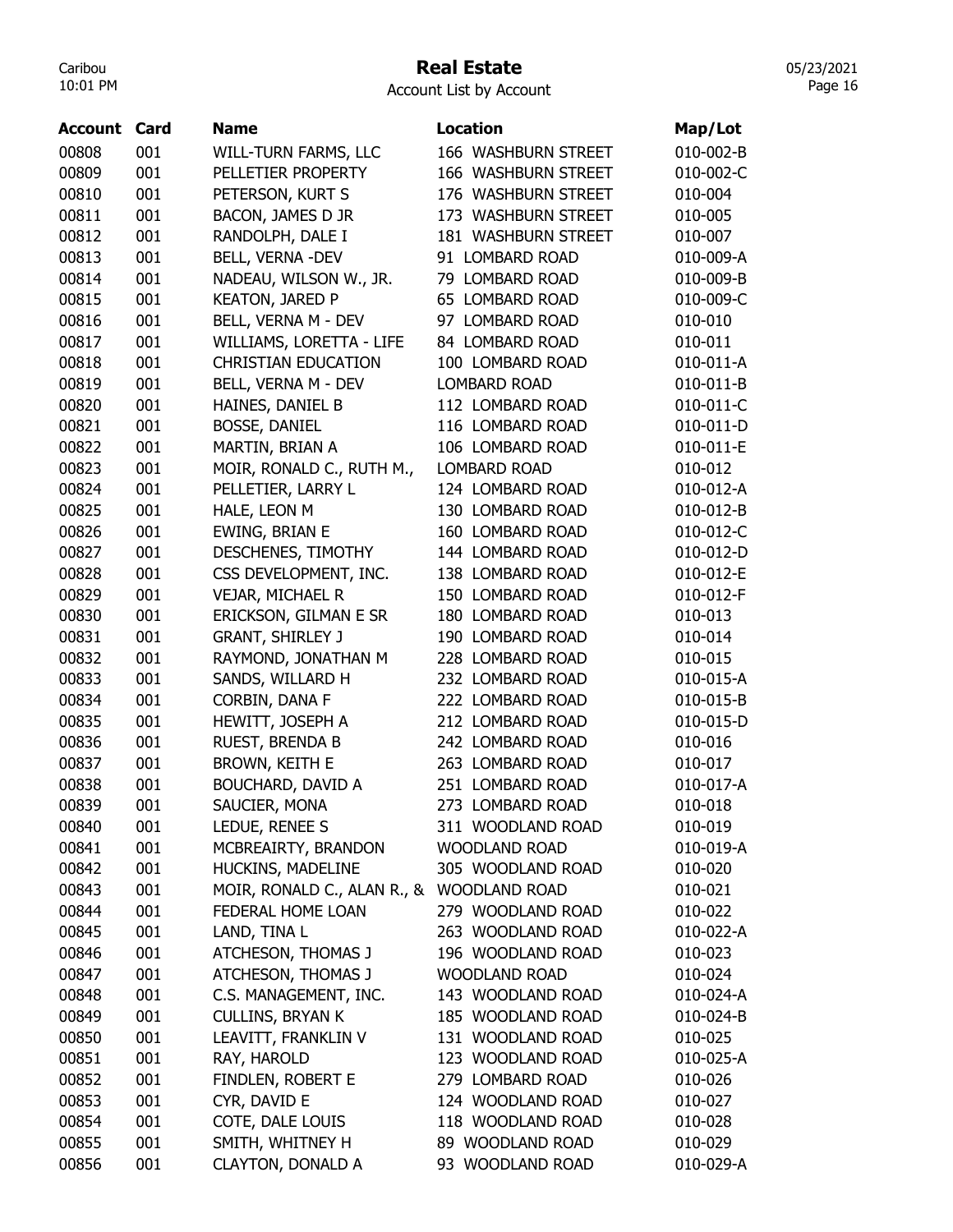#### Real Estate

05/23/2021 Page 16

| Account | Card | <b>Name</b>                               | <b>Location</b>        | Map/Lot   |
|---------|------|-------------------------------------------|------------------------|-----------|
| 00808   | 001  | WILL-TURN FARMS, LLC                      | 166 WASHBURN STREET    | 010-002-B |
| 00809   | 001  | PELLETIER PROPERTY                        | 166 WASHBURN STREET    | 010-002-C |
| 00810   | 001  | PETERSON, KURT S                          | 176 WASHBURN STREET    | 010-004   |
| 00811   | 001  | BACON, JAMES D JR                         | 173 WASHBURN STREET    | 010-005   |
| 00812   | 001  | RANDOLPH, DALE I                          | 181 WASHBURN STREET    | 010-007   |
| 00813   | 001  | BELL, VERNA -DEV                          | 91 LOMBARD ROAD        | 010-009-A |
| 00814   | 001  | NADEAU, WILSON W., JR.                    | 79 LOMBARD ROAD        | 010-009-B |
| 00815   | 001  | <b>KEATON, JARED P</b>                    | <b>65 LOMBARD ROAD</b> | 010-009-C |
| 00816   | 001  | BELL, VERNA M - DEV                       | 97 LOMBARD ROAD        | 010-010   |
| 00817   | 001  | WILLIAMS, LORETTA - LIFE                  | 84 LOMBARD ROAD        | 010-011   |
| 00818   | 001  | <b>CHRISTIAN EDUCATION</b>                | 100 LOMBARD ROAD       | 010-011-A |
| 00819   | 001  | BELL, VERNA M - DEV                       | <b>LOMBARD ROAD</b>    | 010-011-B |
| 00820   | 001  | HAINES, DANIEL B                          | 112 LOMBARD ROAD       | 010-011-C |
| 00821   | 001  | BOSSE, DANIEL                             | 116 LOMBARD ROAD       | 010-011-D |
| 00822   | 001  | MARTIN, BRIAN A                           | 106 LOMBARD ROAD       | 010-011-E |
| 00823   | 001  | MOIR, RONALD C., RUTH M.,                 | <b>LOMBARD ROAD</b>    | 010-012   |
| 00824   | 001  | PELLETIER, LARRY L                        | 124 LOMBARD ROAD       | 010-012-A |
| 00825   | 001  | HALE, LEON M                              | 130 LOMBARD ROAD       | 010-012-B |
| 00826   | 001  | <b>EWING, BRIAN E</b>                     | 160 LOMBARD ROAD       | 010-012-C |
| 00827   | 001  | DESCHENES, TIMOTHY                        | 144 LOMBARD ROAD       | 010-012-D |
| 00828   | 001  | CSS DEVELOPMENT, INC.                     | 138 LOMBARD ROAD       | 010-012-E |
| 00829   | 001  | VEJAR, MICHAEL R                          | 150 LOMBARD ROAD       | 010-012-F |
| 00830   | 001  | ERICKSON, GILMAN E SR                     | 180 LOMBARD ROAD       | 010-013   |
| 00831   | 001  | <b>GRANT, SHIRLEY J</b>                   | 190 LOMBARD ROAD       | 010-014   |
| 00832   | 001  | RAYMOND, JONATHAN M                       | 228 LOMBARD ROAD       | 010-015   |
| 00833   | 001  | SANDS, WILLARD H                          | 232 LOMBARD ROAD       | 010-015-A |
| 00834   | 001  | CORBIN, DANA F                            | 222 LOMBARD ROAD       | 010-015-B |
| 00835   | 001  | HEWITT, JOSEPH A                          | 212 LOMBARD ROAD       | 010-015-D |
| 00836   | 001  | RUEST, BRENDA B                           | 242 LOMBARD ROAD       | 010-016   |
| 00837   | 001  | <b>BROWN, KEITH E</b>                     | 263 LOMBARD ROAD       | 010-017   |
| 00838   | 001  | <b>BOUCHARD, DAVID A</b>                  | 251 LOMBARD ROAD       | 010-017-A |
| 00839   | 001  | SAUCIER, MONA                             | 273 LOMBARD ROAD       | 010-018   |
| 00840   | 001  | LEDUE, RENEE S                            | 311 WOODLAND ROAD      | 010-019   |
| 00841   | 001  | MCBREAIRTY, BRANDON                       | <b>WOODLAND ROAD</b>   | 010-019-A |
| 00842   | 001  | HUCKINS, MADELINE                         | 305 WOODLAND ROAD      | 010-020   |
| 00843   | 001  | MOIR, RONALD C., ALAN R., & WOODLAND ROAD |                        | 010-021   |
| 00844   | 001  | FEDERAL HOME LOAN                         | 279 WOODLAND ROAD      | 010-022   |
| 00845   | 001  | LAND, TINA L                              | 263 WOODLAND ROAD      | 010-022-A |
| 00846   | 001  | ATCHESON, THOMAS J                        | 196 WOODLAND ROAD      | 010-023   |
| 00847   | 001  | ATCHESON, THOMAS J                        | <b>WOODLAND ROAD</b>   | 010-024   |
| 00848   | 001  | C.S. MANAGEMENT, INC.                     | 143 WOODLAND ROAD      | 010-024-A |
| 00849   | 001  | <b>CULLINS, BRYAN K</b>                   | 185 WOODLAND ROAD      | 010-024-B |
| 00850   | 001  | LEAVITT, FRANKLIN V                       | 131 WOODLAND ROAD      | 010-025   |
| 00851   | 001  | RAY, HAROLD                               | 123 WOODLAND ROAD      | 010-025-A |
| 00852   | 001  | FINDLEN, ROBERT E                         | 279 LOMBARD ROAD       | 010-026   |
| 00853   | 001  | CYR, DAVID E                              | 124 WOODLAND ROAD      | 010-027   |
| 00854   | 001  | COTE, DALE LOUIS                          | 118 WOODLAND ROAD      | 010-028   |
| 00855   | 001  | SMITH, WHITNEY H                          | 89 WOODLAND ROAD       | 010-029   |
| 00856   | 001  | CLAYTON, DONALD A                         | 93 WOODLAND ROAD       | 010-029-A |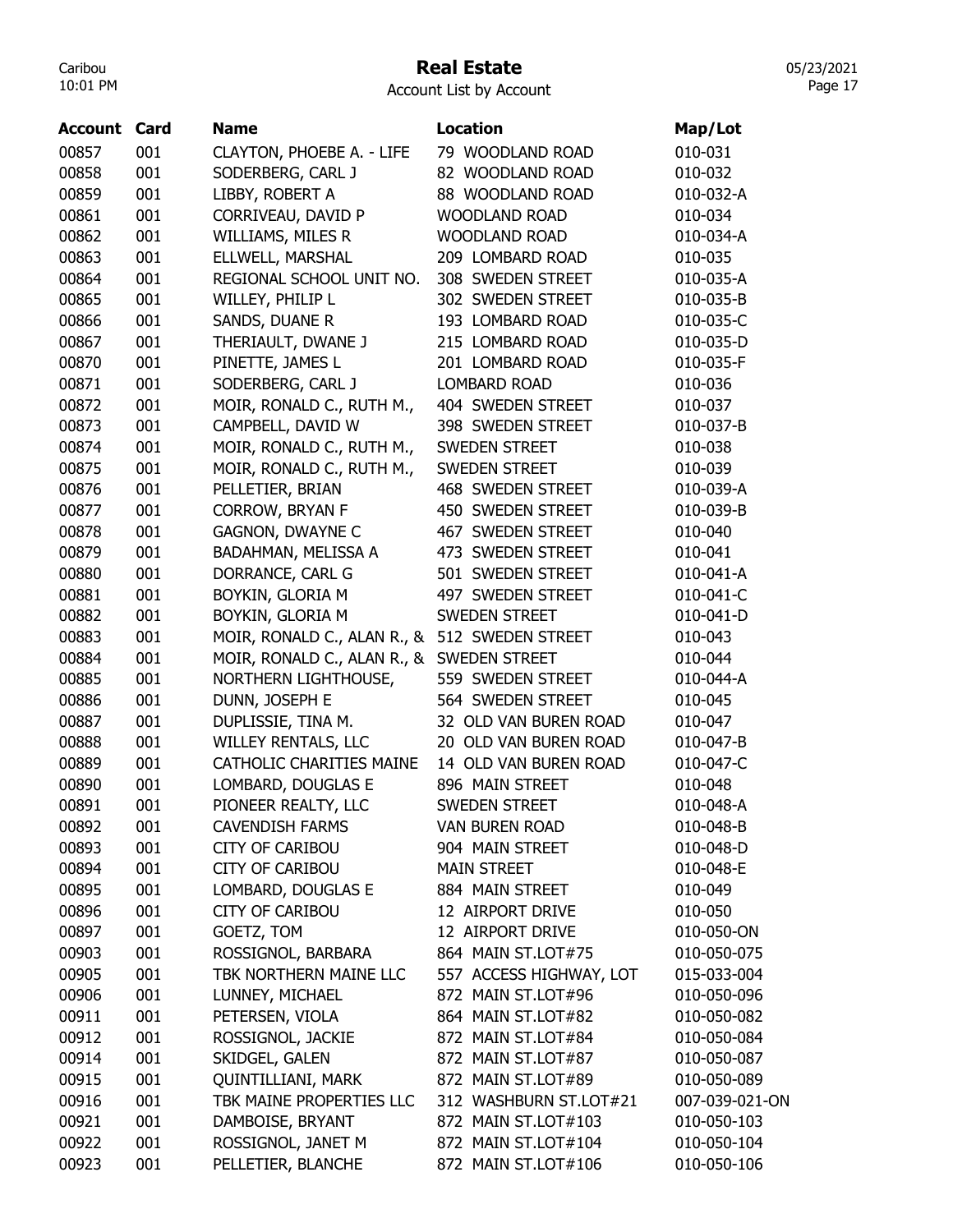#### Real Estate

05/23/2021 Page 17

| Account | Card | <b>Name</b>                                   | <b>Location</b>         | Map/Lot        |
|---------|------|-----------------------------------------------|-------------------------|----------------|
| 00857   | 001  | CLAYTON, PHOEBE A. - LIFE                     | 79 WOODLAND ROAD        | 010-031        |
| 00858   | 001  | SODERBERG, CARL J                             | 82 WOODLAND ROAD        | 010-032        |
| 00859   | 001  | LIBBY, ROBERT A                               | 88 WOODLAND ROAD        | 010-032-A      |
| 00861   | 001  | CORRIVEAU, DAVID P                            | <b>WOODLAND ROAD</b>    | 010-034        |
| 00862   | 001  | WILLIAMS, MILES R                             | <b>WOODLAND ROAD</b>    | 010-034-A      |
| 00863   | 001  | ELLWELL, MARSHAL                              | 209 LOMBARD ROAD        | 010-035        |
| 00864   | 001  | REGIONAL SCHOOL UNIT NO.                      | 308 SWEDEN STREET       | 010-035-A      |
| 00865   | 001  | WILLEY, PHILIP L                              | 302 SWEDEN STREET       | 010-035-B      |
| 00866   | 001  | SANDS, DUANE R                                | 193 LOMBARD ROAD        | 010-035-C      |
| 00867   | 001  | THERIAULT, DWANE J                            | 215 LOMBARD ROAD        | 010-035-D      |
| 00870   | 001  | PINETTE, JAMES L                              | 201 LOMBARD ROAD        | 010-035-F      |
| 00871   | 001  | SODERBERG, CARL J                             | <b>LOMBARD ROAD</b>     | 010-036        |
| 00872   | 001  | MOIR, RONALD C., RUTH M.,                     | 404 SWEDEN STREET       | 010-037        |
| 00873   | 001  | CAMPBELL, DAVID W                             | 398 SWEDEN STREET       | 010-037-B      |
| 00874   | 001  | MOIR, RONALD C., RUTH M.,                     | SWEDEN STREET           | 010-038        |
| 00875   | 001  | MOIR, RONALD C., RUTH M.,                     | SWEDEN STREET           | 010-039        |
| 00876   | 001  | PELLETIER, BRIAN                              | 468 SWEDEN STREET       | 010-039-A      |
| 00877   | 001  | <b>CORROW, BRYAN F</b>                        | 450 SWEDEN STREET       | 010-039-B      |
| 00878   | 001  | <b>GAGNON, DWAYNE C</b>                       | 467 SWEDEN STREET       | 010-040        |
| 00879   | 001  | BADAHMAN, MELISSA A                           | 473 SWEDEN STREET       | 010-041        |
| 00880   | 001  | DORRANCE, CARL G                              | 501 SWEDEN STREET       | 010-041-A      |
| 00881   | 001  | BOYKIN, GLORIA M                              | 497 SWEDEN STREET       | 010-041-C      |
| 00882   | 001  | BOYKIN, GLORIA M                              | SWEDEN STREET           | 010-041-D      |
| 00883   | 001  | MOIR, RONALD C., ALAN R., & 512 SWEDEN STREET |                         | 010-043        |
| 00884   | 001  | MOIR, RONALD C., ALAN R., & SWEDEN STREET     |                         | 010-044        |
| 00885   | 001  | NORTHERN LIGHTHOUSE,                          | 559 SWEDEN STREET       | 010-044-A      |
| 00886   | 001  | DUNN, JOSEPH E                                | 564 SWEDEN STREET       | 010-045        |
| 00887   | 001  | DUPLISSIE, TINA M.                            | 32 OLD VAN BUREN ROAD   | 010-047        |
| 00888   | 001  | WILLEY RENTALS, LLC                           | 20 OLD VAN BUREN ROAD   | 010-047-B      |
| 00889   | 001  | <b>CATHOLIC CHARITIES MAINE</b>               | 14 OLD VAN BUREN ROAD   | 010-047-C      |
| 00890   | 001  | LOMBARD, DOUGLAS E                            | 896 MAIN STREET         | 010-048        |
| 00891   | 001  | PIONEER REALTY, LLC                           | <b>SWEDEN STREET</b>    | 010-048-A      |
| 00892   | 001  | <b>CAVENDISH FARMS</b>                        | VAN BUREN ROAD          | 010-048-B      |
| 00893   | 001  | <b>CITY OF CARIBOU</b>                        | 904 MAIN STREET         | 010-048-D      |
| 00894   | 001  | <b>CITY OF CARIBOU</b>                        | <b>MAIN STREET</b>      | 010-048-E      |
| 00895   | 001  | LOMBARD, DOUGLAS E                            | 884 MAIN STREET         | 010-049        |
| 00896   | 001  | <b>CITY OF CARIBOU</b>                        | 12 AIRPORT DRIVE        | 010-050        |
| 00897   | 001  | GOETZ, TOM                                    | 12 AIRPORT DRIVE        | 010-050-ON     |
| 00903   | 001  | ROSSIGNOL, BARBARA                            | 864 MAIN ST.LOT#75      | 010-050-075    |
| 00905   | 001  | TBK NORTHERN MAINE LLC                        | 557 ACCESS HIGHWAY, LOT | 015-033-004    |
| 00906   | 001  | LUNNEY, MICHAEL                               | 872 MAIN ST.LOT#96      | 010-050-096    |
| 00911   | 001  | PETERSEN, VIOLA                               | 864 MAIN ST.LOT#82      | 010-050-082    |
| 00912   | 001  | ROSSIGNOL, JACKIE                             | 872 MAIN ST.LOT#84      | 010-050-084    |
| 00914   | 001  | SKIDGEL, GALEN                                | 872 MAIN ST.LOT#87      | 010-050-087    |
| 00915   | 001  | <b>QUINTILLIANI, MARK</b>                     | 872 MAIN ST.LOT#89      | 010-050-089    |
| 00916   | 001  | TBK MAINE PROPERTIES LLC                      | 312 WASHBURN ST.LOT#21  | 007-039-021-ON |
| 00921   | 001  | DAMBOISE, BRYANT                              | 872 MAIN ST.LOT#103     | 010-050-103    |
| 00922   | 001  | ROSSIGNOL, JANET M                            | 872 MAIN ST.LOT#104     | 010-050-104    |
| 00923   | 001  | PELLETIER, BLANCHE                            | 872 MAIN ST.LOT#106     | 010-050-106    |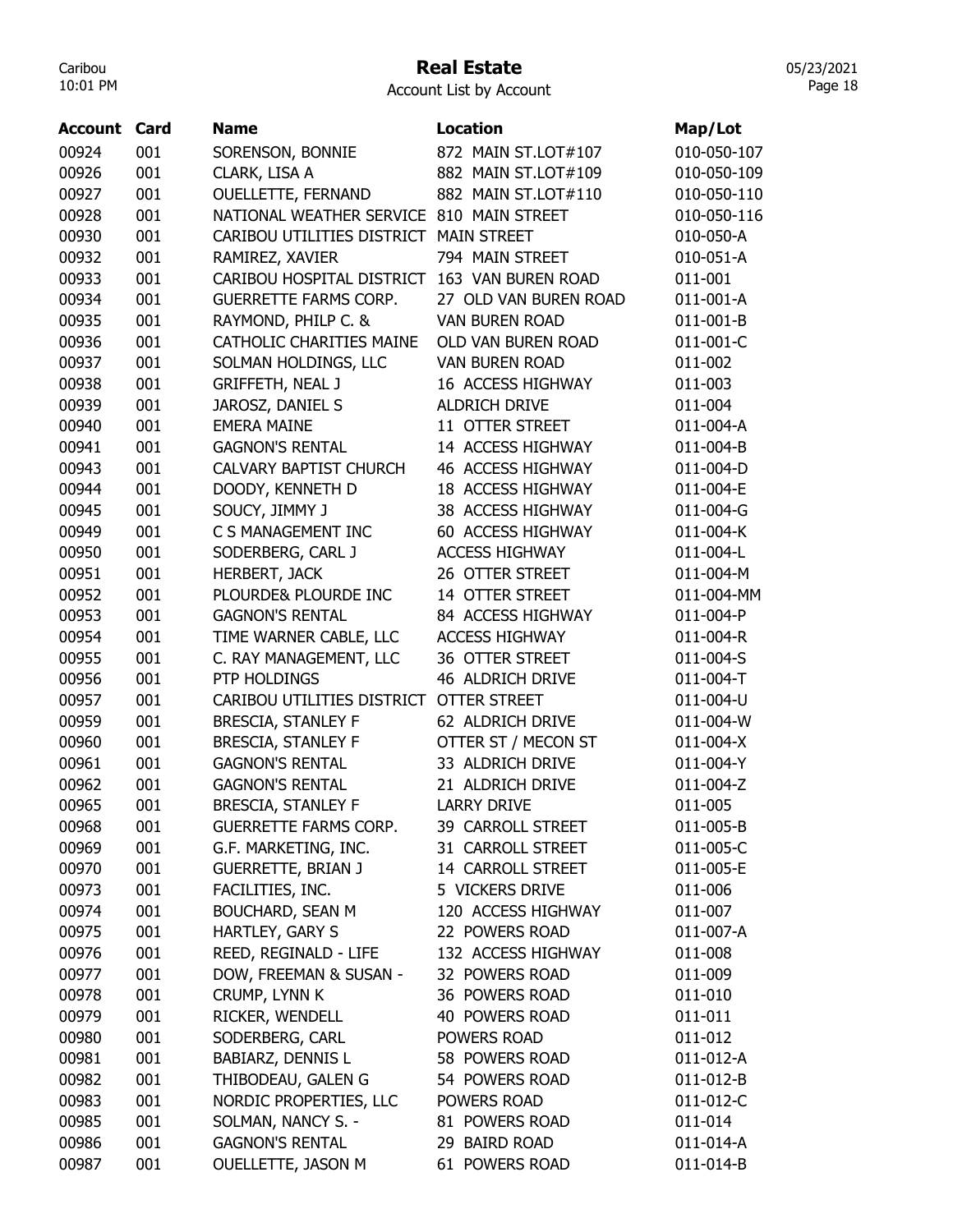## Real Estate

05/23/2021 Page 18

| <b>Account Card</b> |     | <b>Name</b>                              | <b>Location</b>       | Map/Lot     |
|---------------------|-----|------------------------------------------|-----------------------|-------------|
| 00924               | 001 | SORENSON, BONNIE                         | 872 MAIN ST.LOT#107   | 010-050-107 |
| 00926               | 001 | CLARK, LISA A                            | 882 MAIN ST.LOT#109   | 010-050-109 |
| 00927               | 001 | <b>OUELLETTE, FERNAND</b>                | 882 MAIN ST.LOT#110   | 010-050-110 |
| 00928               | 001 | NATIONAL WEATHER SERVICE 810 MAIN STREET |                       | 010-050-116 |
| 00930               | 001 | CARIBOU UTILITIES DISTRICT MAIN STREET   |                       | 010-050-A   |
| 00932               | 001 | RAMIREZ, XAVIER                          | 794 MAIN STREET       | 010-051-A   |
| 00933               | 001 | CARIBOU HOSPITAL DISTRICT                | 163 VAN BUREN ROAD    | 011-001     |
| 00934               | 001 | <b>GUERRETTE FARMS CORP.</b>             | 27 OLD VAN BUREN ROAD | 011-001-A   |
| 00935               | 001 | RAYMOND, PHILP C. &                      | <b>VAN BUREN ROAD</b> | 011-001-B   |
| 00936               | 001 | CATHOLIC CHARITIES MAINE                 | OLD VAN BUREN ROAD    | 011-001-C   |
| 00937               | 001 | SOLMAN HOLDINGS, LLC                     | <b>VAN BUREN ROAD</b> | 011-002     |
| 00938               | 001 | <b>GRIFFETH, NEAL J</b>                  | 16 ACCESS HIGHWAY     | 011-003     |
| 00939               | 001 | JAROSZ, DANIEL S                         | <b>ALDRICH DRIVE</b>  | 011-004     |
| 00940               | 001 | <b>EMERA MAINE</b>                       | 11 OTTER STREET       | 011-004-A   |
| 00941               | 001 | <b>GAGNON'S RENTAL</b>                   | 14 ACCESS HIGHWAY     | 011-004-B   |
| 00943               | 001 | <b>CALVARY BAPTIST CHURCH</b>            | 46 ACCESS HIGHWAY     | 011-004-D   |
| 00944               | 001 | DOODY, KENNETH D                         | 18 ACCESS HIGHWAY     | 011-004-E   |
| 00945               | 001 |                                          | 38 ACCESS HIGHWAY     | 011-004-G   |
| 00949               | 001 | SOUCY, JIMMY J<br>C S MANAGEMENT INC     | 60 ACCESS HIGHWAY     |             |
|                     | 001 |                                          | <b>ACCESS HIGHWAY</b> | 011-004-K   |
| 00950               | 001 | SODERBERG, CARL J                        |                       | 011-004-L   |
| 00951               |     | <b>HERBERT, JACK</b>                     | 26 OTTER STREET       | 011-004-M   |
| 00952               | 001 | PLOURDE& PLOURDE INC                     | 14 OTTER STREET       | 011-004-MM  |
| 00953               | 001 | <b>GAGNON'S RENTAL</b>                   | 84 ACCESS HIGHWAY     | 011-004-P   |
| 00954               | 001 | TIME WARNER CABLE, LLC                   | <b>ACCESS HIGHWAY</b> | 011-004-R   |
| 00955               | 001 | C. RAY MANAGEMENT, LLC                   | 36 OTTER STREET       | 011-004-S   |
| 00956               | 001 | PTP HOLDINGS                             | 46 ALDRICH DRIVE      | 011-004-T   |
| 00957               | 001 | CARIBOU UTILITIES DISTRICT               | <b>OTTER STREET</b>   | 011-004-U   |
| 00959               | 001 | <b>BRESCIA, STANLEY F</b>                | 62 ALDRICH DRIVE      | 011-004-W   |
| 00960               | 001 | <b>BRESCIA, STANLEY F</b>                | OTTER ST / MECON ST   | 011-004-X   |
| 00961               | 001 | <b>GAGNON'S RENTAL</b>                   | 33 ALDRICH DRIVE      | 011-004-Y   |
| 00962               | 001 | <b>GAGNON'S RENTAL</b>                   | 21 ALDRICH DRIVE      | 011-004-Z   |
| 00965               | 001 | BRESCIA, STANLEY F                       | <b>LARRY DRIVE</b>    | 011-005     |
| 00968               | 001 | GUERRETTE FARMS CORP.                    | 39 CARROLL STREET     | 011-005-B   |
| 00969               | 001 | G.F. MARKETING, INC.                     | 31 CARROLL STREET     | 011-005-C   |
| 00970               | 001 | <b>GUERRETTE, BRIAN J</b>                | 14 CARROLL STREET     | 011-005-E   |
| 00973               | 001 | FACILITIES, INC.                         | 5 VICKERS DRIVE       | 011-006     |
| 00974               | 001 | <b>BOUCHARD, SEAN M</b>                  | 120 ACCESS HIGHWAY    | 011-007     |
| 00975               | 001 | HARTLEY, GARY S                          | 22 POWERS ROAD        | 011-007-A   |
| 00976               | 001 | REED, REGINALD - LIFE                    | 132 ACCESS HIGHWAY    | 011-008     |
| 00977               | 001 | DOW, FREEMAN & SUSAN -                   | 32 POWERS ROAD        | 011-009     |
| 00978               | 001 | CRUMP, LYNN K                            | 36 POWERS ROAD        | 011-010     |
| 00979               | 001 | RICKER, WENDELL                          | 40 POWERS ROAD        | 011-011     |
| 00980               | 001 | SODERBERG, CARL                          | POWERS ROAD           | 011-012     |
| 00981               | 001 | BABIARZ, DENNIS L                        | 58 POWERS ROAD        | 011-012-A   |
| 00982               | 001 | THIBODEAU, GALEN G                       | 54 POWERS ROAD        | 011-012-B   |
| 00983               | 001 | NORDIC PROPERTIES, LLC                   | POWERS ROAD           | 011-012-C   |
| 00985               | 001 | SOLMAN, NANCY S. -                       | 81 POWERS ROAD        | 011-014     |
| 00986               | 001 | <b>GAGNON'S RENTAL</b>                   | 29 BAIRD ROAD         | 011-014-A   |
| 00987               | 001 | OUELLETTE, JASON M                       | 61 POWERS ROAD        | 011-014-B   |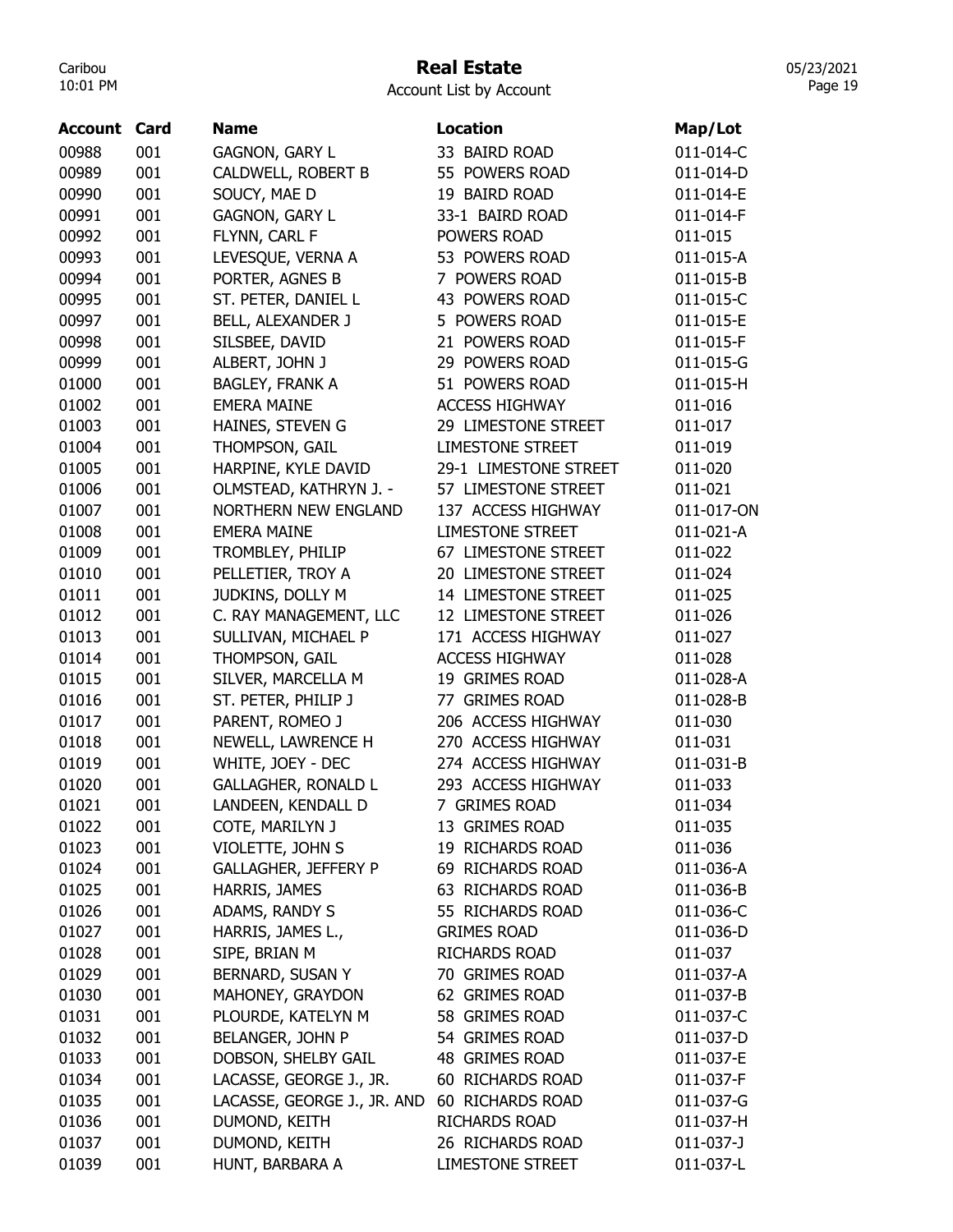## Real Estate

Account List by Account

| <b>Account Card</b> |     | Name                        | <b>Location</b>         | Map/Lot    |
|---------------------|-----|-----------------------------|-------------------------|------------|
| 00988               | 001 | GAGNON, GARY L              | 33 BAIRD ROAD           | 011-014-C  |
| 00989               | 001 | CALDWELL, ROBERT B          | 55 POWERS ROAD          | 011-014-D  |
| 00990               | 001 | SOUCY, MAE D                | 19 BAIRD ROAD           | 011-014-E  |
| 00991               | 001 | <b>GAGNON, GARY L</b>       | 33-1 BAIRD ROAD         | 011-014-F  |
| 00992               | 001 | FLYNN, CARL F               | POWERS ROAD             | 011-015    |
| 00993               | 001 | LEVESQUE, VERNA A           | 53 POWERS ROAD          | 011-015-A  |
| 00994               | 001 | PORTER, AGNES B             | 7 POWERS ROAD           | 011-015-B  |
| 00995               | 001 | ST. PETER, DANIEL L         | 43 POWERS ROAD          | 011-015-C  |
| 00997               | 001 | BELL, ALEXANDER J           | 5 POWERS ROAD           | 011-015-E  |
| 00998               | 001 | SILSBEE, DAVID              | 21 POWERS ROAD          | 011-015-F  |
| 00999               | 001 | ALBERT, JOHN J              | 29 POWERS ROAD          | 011-015-G  |
| 01000               | 001 | <b>BAGLEY, FRANK A</b>      | 51 POWERS ROAD          | 011-015-H  |
| 01002               | 001 | <b>EMERA MAINE</b>          | <b>ACCESS HIGHWAY</b>   | 011-016    |
| 01003               | 001 | HAINES, STEVEN G            | 29 LIMESTONE STREET     | 011-017    |
| 01004               | 001 | THOMPSON, GAIL              | <b>LIMESTONE STREET</b> | 011-019    |
| 01005               | 001 | HARPINE, KYLE DAVID         | 29-1 LIMESTONE STREET   | 011-020    |
| 01006               | 001 | OLMSTEAD, KATHRYN J. -      | 57 LIMESTONE STREET     | 011-021    |
| 01007               | 001 | <b>NORTHERN NEW ENGLAND</b> | 137 ACCESS HIGHWAY      | 011-017-ON |
| 01008               | 001 | <b>EMERA MAINE</b>          | <b>LIMESTONE STREET</b> | 011-021-A  |
| 01009               | 001 | TROMBLEY, PHILIP            | 67 LIMESTONE STREET     | 011-022    |
| 01010               | 001 | PELLETIER, TROY A           | 20 LIMESTONE STREET     | 011-024    |
| 01011               | 001 | JUDKINS, DOLLY M            | 14 LIMESTONE STREET     | 011-025    |
| 01012               | 001 | C. RAY MANAGEMENT, LLC      | 12 LIMESTONE STREET     | 011-026    |
| 01013               | 001 | SULLIVAN, MICHAEL P         | 171 ACCESS HIGHWAY      | 011-027    |
| 01014               | 001 | THOMPSON, GAIL              | <b>ACCESS HIGHWAY</b>   | 011-028    |
| 01015               | 001 | SILVER, MARCELLA M          | 19 GRIMES ROAD          | 011-028-A  |
| 01016               | 001 | ST. PETER, PHILIP J         | 77 GRIMES ROAD          | 011-028-B  |
| 01017               | 001 | PARENT, ROMEO J             | 206 ACCESS HIGHWAY      | 011-030    |
| 01018               | 001 | NEWELL, LAWRENCE H          | 270 ACCESS HIGHWAY      | 011-031    |
| 01019               | 001 | WHITE, JOEY - DEC           | 274 ACCESS HIGHWAY      | 011-031-B  |
| 01020               | 001 | <b>GALLAGHER, RONALD L</b>  | 293 ACCESS HIGHWAY      | 011-033    |
| 01021               | 001 | LANDEEN, KENDALL D          | 7 GRIMES ROAD           | 011-034    |
| 01022               | 001 | COTE, MARILYN J             | 13 GRIMES ROAD          | 011-035    |
| 01023               | 001 | VIOLETTE, JOHN S            | 19 RICHARDS ROAD        | 011-036    |
| 01024               | 001 | <b>GALLAGHER, JEFFERY P</b> | 69 RICHARDS ROAD        | 011-036-A  |
| 01025               | 001 | HARRIS, JAMES               | 63 RICHARDS ROAD        | 011-036-B  |
| 01026               | 001 | ADAMS, RANDY S              | 55 RICHARDS ROAD        | 011-036-C  |
| 01027               | 001 | HARRIS, JAMES L.,           | <b>GRIMES ROAD</b>      | 011-036-D  |
| 01028               | 001 | SIPE, BRIAN M               | RICHARDS ROAD           | 011-037    |
| 01029               | 001 | BERNARD, SUSAN Y            | 70 GRIMES ROAD          | 011-037-A  |
| 01030               | 001 | MAHONEY, GRAYDON            | 62 GRIMES ROAD          | 011-037-B  |
| 01031               | 001 | PLOURDE, KATELYN M          | 58 GRIMES ROAD          | 011-037-C  |
| 01032               | 001 | BELANGER, JOHN P            | 54 GRIMES ROAD          | 011-037-D  |
| 01033               | 001 | DOBSON, SHELBY GAIL         | 48 GRIMES ROAD          | 011-037-E  |
| 01034               | 001 | LACASSE, GEORGE J., JR.     | 60 RICHARDS ROAD        | 011-037-F  |
| 01035               | 001 | LACASSE, GEORGE J., JR. AND | 60 RICHARDS ROAD        | 011-037-G  |
| 01036               | 001 | DUMOND, KEITH               | <b>RICHARDS ROAD</b>    | 011-037-H  |
| 01037               | 001 | DUMOND, KEITH               | 26 RICHARDS ROAD        | 011-037-J  |
| 01039               | 001 | HUNT, BARBARA A             | <b>LIMESTONE STREET</b> | 011-037-L  |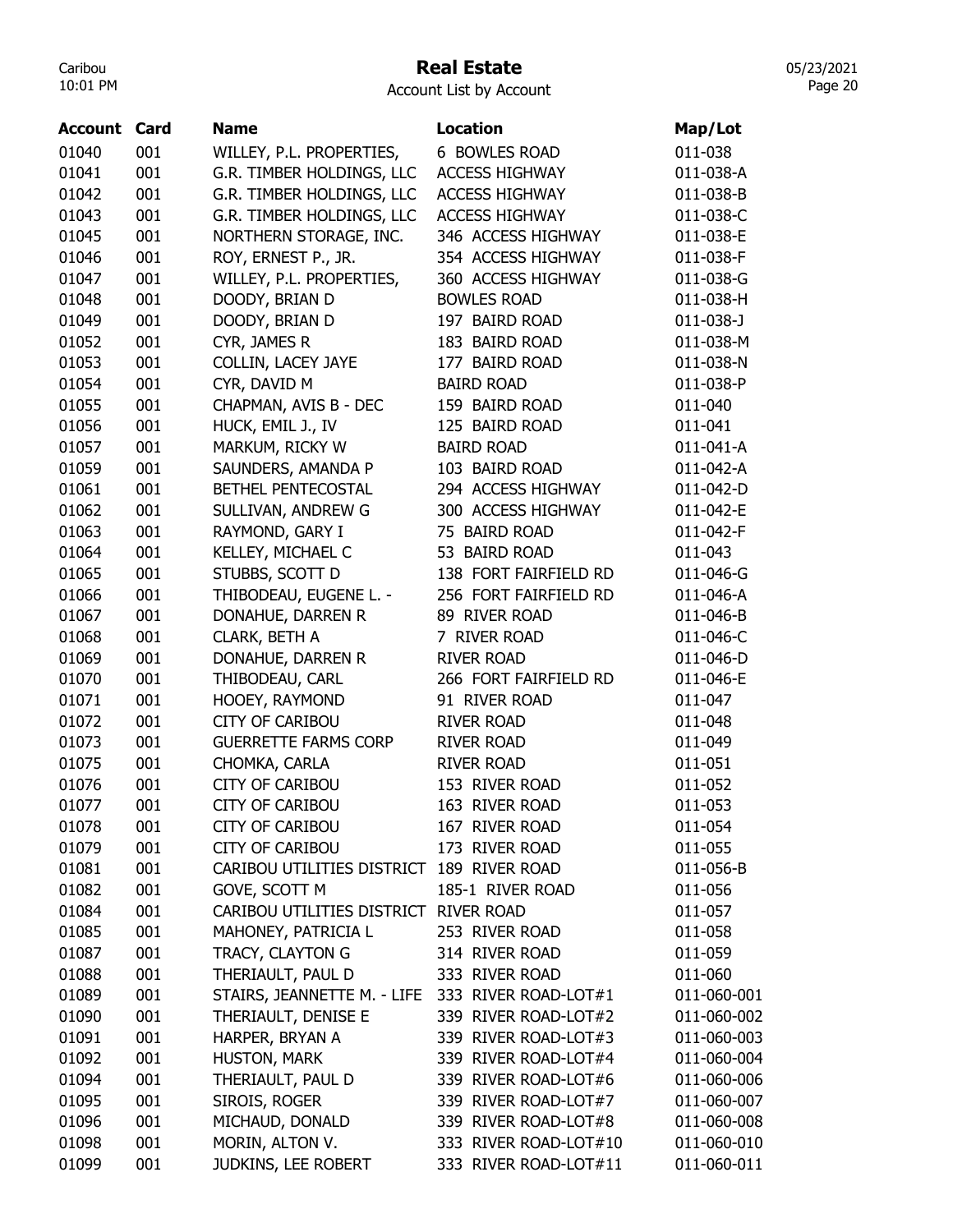## Real Estate

Account List by Account

| 01040<br>001<br>WILLEY, P.L. PROPERTIES,<br>6 BOWLES ROAD           | 011-038<br>011-038-A |
|---------------------------------------------------------------------|----------------------|
|                                                                     |                      |
| 01041<br>001<br>G.R. TIMBER HOLDINGS, LLC<br><b>ACCESS HIGHWAY</b>  |                      |
| 01042<br>001<br>G.R. TIMBER HOLDINGS, LLC<br><b>ACCESS HIGHWAY</b>  | 011-038-B            |
| 001<br>01043<br>G.R. TIMBER HOLDINGS, LLC<br><b>ACCESS HIGHWAY</b>  | 011-038-C            |
| 01045<br>001<br>346 ACCESS HIGHWAY<br>NORTHERN STORAGE, INC.        | 011-038-E            |
| 001<br>01046<br>354 ACCESS HIGHWAY<br>ROY, ERNEST P., JR.           | 011-038-F            |
| 001<br>01047<br>WILLEY, P.L. PROPERTIES,<br>360 ACCESS HIGHWAY      | 011-038-G            |
| 01048<br>001<br>DOODY, BRIAN D<br><b>BOWLES ROAD</b>                | 011-038-H            |
| DOODY, BRIAN D<br>197 BAIRD ROAD<br>01049<br>001                    | 011-038-J            |
| 01052<br>001<br>CYR, JAMES R<br>183 BAIRD ROAD                      | 011-038-M            |
| 01053<br>001<br>COLLIN, LACEY JAYE<br>177 BAIRD ROAD                | 011-038-N            |
| <b>BAIRD ROAD</b><br>01054<br>001<br>CYR, DAVID M                   | 011-038-P            |
| 01055<br>001<br>CHAPMAN, AVIS B - DEC<br>159 BAIRD ROAD             | 011-040              |
| 01056<br>001<br>HUCK, EMIL J., IV<br>125 BAIRD ROAD                 | 011-041              |
| 01057<br>001<br>MARKUM, RICKY W<br><b>BAIRD ROAD</b>                | 011-041-A            |
| 001<br>01059<br>SAUNDERS, AMANDA P<br>103 BAIRD ROAD                | 011-042-A            |
| 001<br>294 ACCESS HIGHWAY<br>01061<br>BETHEL PENTECOSTAL            | 011-042-D            |
| 001<br>300 ACCESS HIGHWAY<br>01062<br>SULLIVAN, ANDREW G            | 011-042-E            |
| 001<br>01063<br>RAYMOND, GARY I<br>75 BAIRD ROAD                    | 011-042-F            |
| 01064<br>001<br>KELLEY, MICHAEL C<br>53 BAIRD ROAD                  | 011-043              |
| 01065<br>001<br>STUBBS, SCOTT D<br>138 FORT FAIRFIELD RD            | 011-046-G            |
| 01066<br>001<br>THIBODEAU, EUGENE L. -<br>256 FORT FAIRFIELD RD     | 011-046-A            |
| 001<br>DONAHUE, DARREN R<br>01067<br>89 RIVER ROAD                  | 011-046-B            |
| 001<br>CLARK, BETH A<br>01068<br>7 RIVER ROAD                       | 011-046-C            |
| 001<br>01069<br>DONAHUE, DARREN R<br><b>RIVER ROAD</b>              | 011-046-D            |
| 001<br>01070<br>THIBODEAU, CARL<br>266 FORT FAIRFIELD RD            | 011-046-E            |
| 001<br>01071<br>HOOEY, RAYMOND<br>91 RIVER ROAD                     | 011-047              |
| 01072<br>001<br><b>CITY OF CARIBOU</b><br><b>RIVER ROAD</b>         | 011-048              |
| 01073<br>001<br><b>GUERRETTE FARMS CORP</b><br><b>RIVER ROAD</b>    | 011-049              |
| 01075<br>001<br>CHOMKA, CARLA<br><b>RIVER ROAD</b>                  | 011-051              |
| 001<br><b>CITY OF CARIBOU</b><br>153 RIVER ROAD<br>01076            | 011-052              |
| <b>CITY OF CARIBOU</b><br>163 RIVER ROAD<br>01077<br>001            | 011-053              |
| 01078<br>001<br><b>CITY OF CARIBOU</b><br>167 RIVER ROAD            | 011-054              |
| 001<br>01079<br><b>CITY OF CARIBOU</b><br>173 RIVER ROAD            | 011-055              |
| 001<br>CARIBOU UTILITIES DISTRICT 189 RIVER ROAD<br>01081           | 011-056-B            |
| 01082<br>001<br>185-1 RIVER ROAD<br>GOVE, SCOTT M                   | 011-056              |
| 01084<br>001<br>CARIBOU UTILITIES DISTRICT RIVER ROAD               | 011-057              |
| 01085<br>001<br>MAHONEY, PATRICIA L<br>253 RIVER ROAD               | 011-058              |
| 001<br>TRACY, CLAYTON G<br>314 RIVER ROAD<br>01087                  | 011-059              |
| 01088<br>001<br>THERIAULT, PAUL D<br>333 RIVER ROAD                 | 011-060              |
| 01089<br>001<br>STAIRS, JEANNETTE M. - LIFE<br>333 RIVER ROAD-LOT#1 | 011-060-001          |
| 01090<br>001<br>THERIAULT, DENISE E<br>339 RIVER ROAD-LOT#2         | 011-060-002          |
| HARPER, BRYAN A<br>339 RIVER ROAD-LOT#3<br>01091<br>001             | 011-060-003          |
| 01092<br>HUSTON, MARK<br>339 RIVER ROAD-LOT#4<br>001                | 011-060-004          |
| 01094<br>001<br>THERIAULT, PAUL D<br>339 RIVER ROAD-LOT#6           | 011-060-006          |
| 01095<br>001<br>SIROIS, ROGER<br>339 RIVER ROAD-LOT#7               | 011-060-007          |
| 01096<br>MICHAUD, DONALD<br>339 RIVER ROAD-LOT#8<br>001             | 011-060-008          |
| 01098<br>001<br>MORIN, ALTON V.<br>333 RIVER ROAD-LOT#10            | 011-060-010          |
| 01099<br>001<br>JUDKINS, LEE ROBERT<br>333 RIVER ROAD-LOT#11        | 011-060-011          |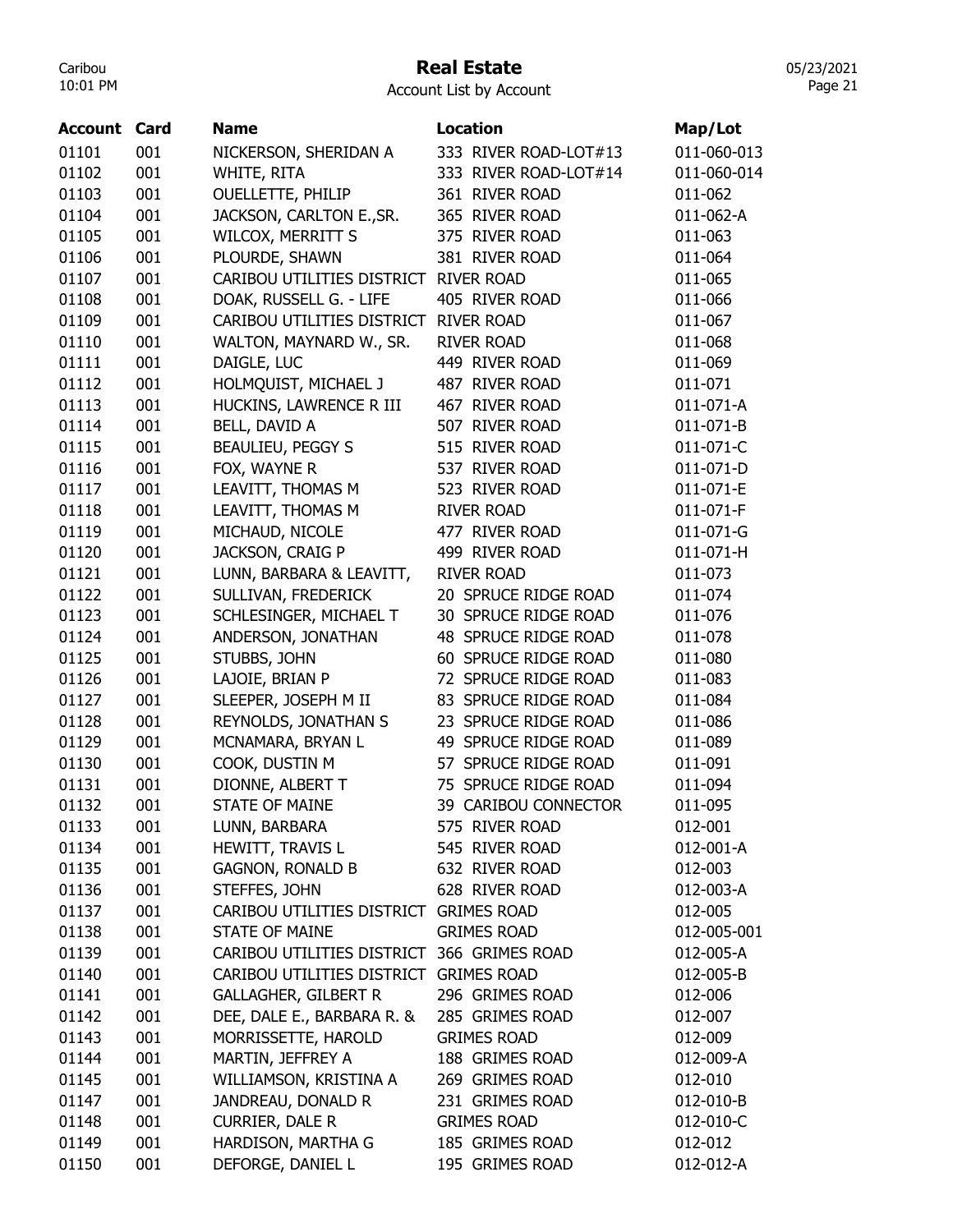#### Real Estate

Account List by Account

| <b>Account Card</b> |     | <b>Name</b>                                | <b>Location</b>                         | Map/Lot     |
|---------------------|-----|--------------------------------------------|-----------------------------------------|-------------|
|                     |     |                                            |                                         |             |
| 01101               | 001 | NICKERSON, SHERIDAN A                      | 333 RIVER ROAD-LOT#13                   | 011-060-013 |
| 01102               | 001 | WHITE, RITA                                | 333 RIVER ROAD-LOT#14<br>361 RIVER ROAD | 011-060-014 |
| 01103<br>01104      | 001 | <b>OUELLETTE, PHILIP</b>                   |                                         | 011-062     |
|                     | 001 | JACKSON, CARLTON E., SR.                   | 365 RIVER ROAD                          | 011-062-A   |
| 01105               | 001 | WILCOX, MERRITT S                          | 375 RIVER ROAD                          | 011-063     |
| 01106               | 001 | PLOURDE, SHAWN                             | 381 RIVER ROAD                          | 011-064     |
| 01107               | 001 | CARIBOU UTILITIES DISTRICT RIVER ROAD      |                                         | 011-065     |
| 01108               | 001 | DOAK, RUSSELL G. - LIFE                    | 405 RIVER ROAD                          | 011-066     |
| 01109               | 001 | CARIBOU UTILITIES DISTRICT                 | <b>RIVER ROAD</b>                       | 011-067     |
| 01110               | 001 | WALTON, MAYNARD W., SR.                    | <b>RIVER ROAD</b>                       | 011-068     |
| 01111               | 001 | DAIGLE, LUC                                | 449 RIVER ROAD                          | 011-069     |
| 01112               | 001 | HOLMQUIST, MICHAEL J                       | 487 RIVER ROAD                          | 011-071     |
| 01113               | 001 | HUCKINS, LAWRENCE R III                    | 467 RIVER ROAD                          | 011-071-A   |
| 01114               | 001 | BELL, DAVID A                              | 507 RIVER ROAD                          | 011-071-B   |
| 01115               | 001 | <b>BEAULIEU, PEGGY S</b>                   | 515 RIVER ROAD                          | 011-071-C   |
| 01116               | 001 | FOX, WAYNE R                               | 537 RIVER ROAD                          | 011-071-D   |
| 01117               | 001 | LEAVITT, THOMAS M                          | 523 RIVER ROAD                          | 011-071-E   |
| 01118               | 001 | LEAVITT, THOMAS M                          | <b>RIVER ROAD</b>                       | 011-071-F   |
| 01119               | 001 | MICHAUD, NICOLE                            | 477 RIVER ROAD                          | 011-071-G   |
| 01120               | 001 | JACKSON, CRAIG P                           | 499 RIVER ROAD                          | 011-071-H   |
| 01121               | 001 | LUNN, BARBARA & LEAVITT,                   | <b>RIVER ROAD</b>                       | 011-073     |
| 01122               | 001 | SULLIVAN, FREDERICK                        | 20 SPRUCE RIDGE ROAD                    | 011-074     |
| 01123               | 001 | SCHLESINGER, MICHAEL T                     | 30 SPRUCE RIDGE ROAD                    | 011-076     |
| 01124               | 001 | ANDERSON, JONATHAN                         | 48 SPRUCE RIDGE ROAD                    | 011-078     |
| 01125               | 001 | STUBBS, JOHN                               | 60 SPRUCE RIDGE ROAD                    | 011-080     |
| 01126               | 001 | LAJOIE, BRIAN P                            | 72 SPRUCE RIDGE ROAD                    | 011-083     |
| 01127               | 001 | SLEEPER, JOSEPH M II                       | 83 SPRUCE RIDGE ROAD                    | 011-084     |
| 01128               | 001 | REYNOLDS, JONATHAN S                       | 23 SPRUCE RIDGE ROAD                    | 011-086     |
| 01129               | 001 | MCNAMARA, BRYAN L                          | 49 SPRUCE RIDGE ROAD                    | 011-089     |
| 01130               | 001 | COOK, DUSTIN M                             | 57 SPRUCE RIDGE ROAD                    | 011-091     |
| 01131               | 001 | DIONNE, ALBERT T                           | 75 SPRUCE RIDGE ROAD                    | 011-094     |
| 01132               | 001 | <b>STATE OF MAINE</b>                      | 39 CARIBOU CONNECTOR                    | 011-095     |
| 01133               | 001 | LUNN, BARBARA                              | 575 RIVER ROAD                          | 012-001     |
| 01134               | 001 | HEWITT, TRAVIS L                           | 545 RIVER ROAD                          | 012-001-A   |
| 01135               | 001 | <b>GAGNON, RONALD B</b>                    | 632 RIVER ROAD                          | 012-003     |
| 01136               | 001 | STEFFES, JOHN                              | 628 RIVER ROAD                          | 012-003-A   |
| 01137               | 001 | CARIBOU UTILITIES DISTRICT GRIMES ROAD     |                                         | 012-005     |
| 01138               | 001 | <b>STATE OF MAINE</b>                      | <b>GRIMES ROAD</b>                      | 012-005-001 |
|                     | 001 | CARIBOU UTILITIES DISTRICT 366 GRIMES ROAD |                                         | 012-005-A   |
| 01139               |     |                                            |                                         | 012-005-B   |
| 01140               | 001 | CARIBOU UTILITIES DISTRICT GRIMES ROAD     |                                         |             |
| 01141               | 001 | <b>GALLAGHER, GILBERT R</b>                | 296 GRIMES ROAD                         | 012-006     |
| 01142               | 001 | DEE, DALE E., BARBARA R. &                 | 285 GRIMES ROAD                         | 012-007     |
| 01143               | 001 | MORRISSETTE, HAROLD                        | <b>GRIMES ROAD</b>                      | 012-009     |
| 01144               | 001 | MARTIN, JEFFREY A                          | 188 GRIMES ROAD                         | 012-009-A   |
| 01145               | 001 | WILLIAMSON, KRISTINA A                     | 269 GRIMES ROAD                         | 012-010     |
| 01147               | 001 | JANDREAU, DONALD R                         | 231 GRIMES ROAD                         | 012-010-B   |
| 01148               | 001 | <b>CURRIER, DALE R</b>                     | <b>GRIMES ROAD</b>                      | 012-010-C   |
| 01149               | 001 | HARDISON, MARTHA G                         | 185 GRIMES ROAD                         | 012-012     |
| 01150               | 001 | DEFORGE, DANIEL L                          | 195 GRIMES ROAD                         | 012-012-A   |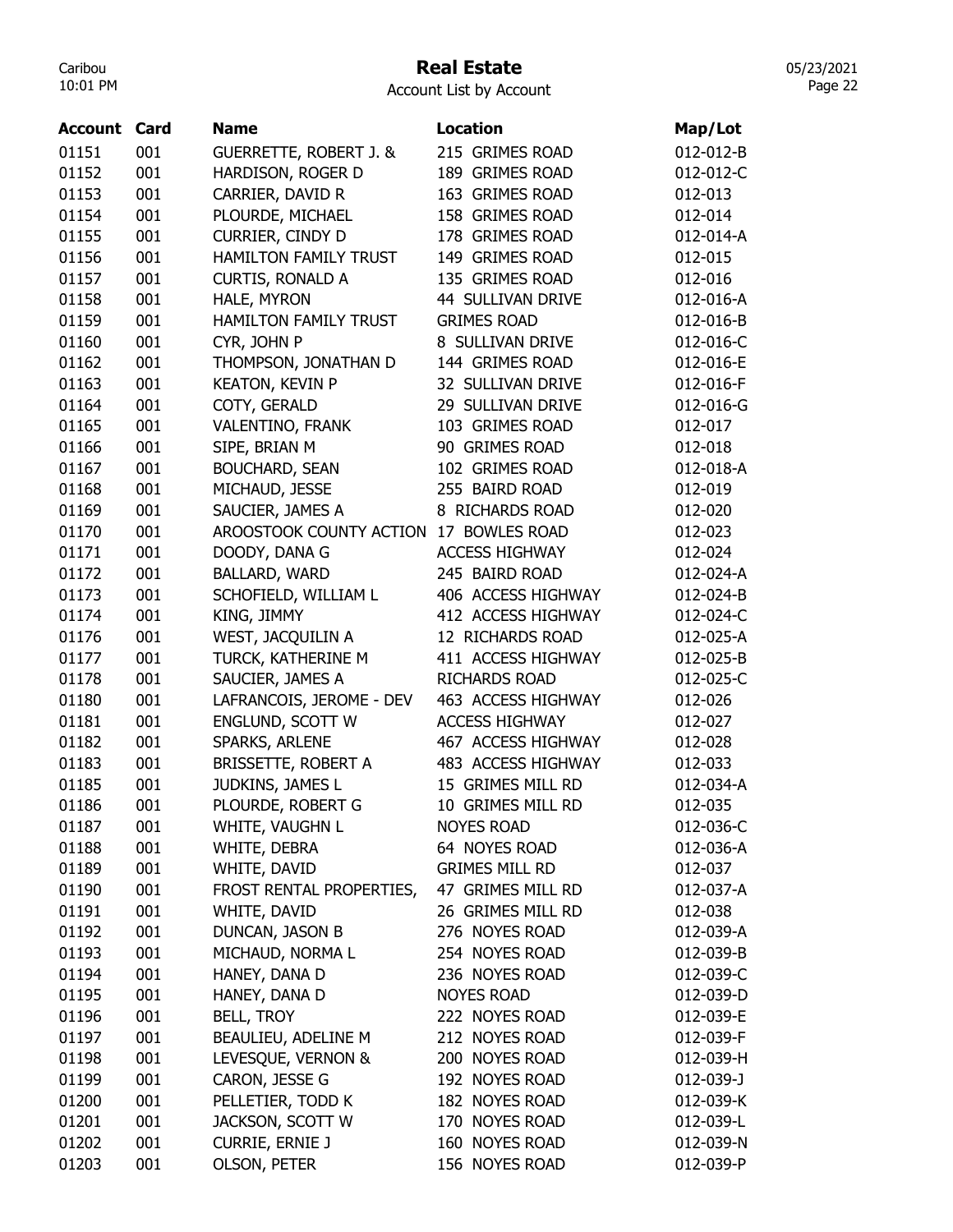## Real Estate

Account List by Account

| <b>Account Card</b> |     | <b>Name</b>                       | <b>Location</b>       | Map/Lot   |
|---------------------|-----|-----------------------------------|-----------------------|-----------|
| 01151               | 001 | <b>GUERRETTE, ROBERT J. &amp;</b> | 215 GRIMES ROAD       | 012-012-B |
| 01152               | 001 | HARDISON, ROGER D                 | 189 GRIMES ROAD       | 012-012-C |
| 01153               | 001 | CARRIER, DAVID R                  | 163 GRIMES ROAD       | 012-013   |
| 01154               | 001 | PLOURDE, MICHAEL                  | 158 GRIMES ROAD       | 012-014   |
| 01155               | 001 | CURRIER, CINDY D                  | 178 GRIMES ROAD       | 012-014-A |
| 01156               | 001 | <b>HAMILTON FAMILY TRUST</b>      | 149 GRIMES ROAD       | 012-015   |
| 01157               | 001 | <b>CURTIS, RONALD A</b>           | 135 GRIMES ROAD       | 012-016   |
| 01158               | 001 | HALE, MYRON                       | 44 SULLIVAN DRIVE     | 012-016-A |
| 01159               | 001 | <b>HAMILTON FAMILY TRUST</b>      | <b>GRIMES ROAD</b>    | 012-016-B |
| 01160               | 001 | CYR, JOHN P                       | 8 SULLIVAN DRIVE      | 012-016-C |
| 01162               | 001 | THOMPSON, JONATHAN D              | 144 GRIMES ROAD       | 012-016-E |
| 01163               | 001 | <b>KEATON, KEVIN P</b>            | 32 SULLIVAN DRIVE     | 012-016-F |
| 01164               | 001 | COTY, GERALD                      | 29 SULLIVAN DRIVE     | 012-016-G |
| 01165               | 001 | VALENTINO, FRANK                  | 103 GRIMES ROAD       | 012-017   |
| 01166               | 001 | SIPE, BRIAN M                     | 90 GRIMES ROAD        | 012-018   |
| 01167               | 001 | <b>BOUCHARD, SEAN</b>             | 102 GRIMES ROAD       | 012-018-A |
| 01168               | 001 | MICHAUD, JESSE                    | 255 BAIRD ROAD        | 012-019   |
| 01169               | 001 | SAUCIER, JAMES A                  | 8 RICHARDS ROAD       | 012-020   |
| 01170               | 001 | AROOSTOOK COUNTY ACTION           | 17 BOWLES ROAD        | 012-023   |
| 01171               | 001 | DOODY, DANA G                     | <b>ACCESS HIGHWAY</b> | 012-024   |
| 01172               | 001 | BALLARD, WARD                     | 245 BAIRD ROAD        | 012-024-A |
| 01173               | 001 | SCHOFIELD, WILLIAM L              | 406 ACCESS HIGHWAY    | 012-024-B |
| 01174               | 001 | KING, JIMMY                       | 412 ACCESS HIGHWAY    | 012-024-C |
| 01176               | 001 | WEST, JACQUILIN A                 | 12 RICHARDS ROAD      | 012-025-A |
| 01177               | 001 | TURCK, KATHERINE M                | 411 ACCESS HIGHWAY    | 012-025-B |
| 01178               | 001 | SAUCIER, JAMES A                  | <b>RICHARDS ROAD</b>  | 012-025-C |
| 01180               | 001 | LAFRANCOIS, JEROME - DEV          | 463 ACCESS HIGHWAY    | 012-026   |
| 01181               | 001 | ENGLUND, SCOTT W                  | <b>ACCESS HIGHWAY</b> | 012-027   |
| 01182               | 001 | SPARKS, ARLENE                    | 467 ACCESS HIGHWAY    | 012-028   |
| 01183               | 001 | BRISSETTE, ROBERT A               | 483 ACCESS HIGHWAY    | 012-033   |
| 01185               | 001 | JUDKINS, JAMES L                  | 15 GRIMES MILL RD     | 012-034-A |
| 01186               | 001 | PLOURDE, ROBERT G                 | 10 GRIMES MILL RD     | 012-035   |
| 01187               | 001 | WHITE, VAUGHN L                   | <b>NOYES ROAD</b>     | 012-036-C |
| 01188               | 001 | WHITE, DEBRA                      | 64 NOYES ROAD         | 012-036-A |
| 01189               | 001 | WHITE, DAVID                      | <b>GRIMES MILL RD</b> | 012-037   |
| 01190               | 001 | FROST RENTAL PROPERTIES,          | 47 GRIMES MILL RD     | 012-037-A |
| 01191               | 001 | WHITE, DAVID                      | 26 GRIMES MILL RD     | 012-038   |
| 01192               | 001 | DUNCAN, JASON B                   | 276 NOYES ROAD        | 012-039-A |
| 01193               | 001 | MICHAUD, NORMA L                  | 254 NOYES ROAD        | 012-039-B |
| 01194               | 001 | HANEY, DANA D                     | 236 NOYES ROAD        | 012-039-C |
| 01195               | 001 | HANEY, DANA D                     | <b>NOYES ROAD</b>     | 012-039-D |
| 01196               | 001 | <b>BELL, TROY</b>                 | 222 NOYES ROAD        | 012-039-E |
| 01197               | 001 | BEAULIEU, ADELINE M               | 212 NOYES ROAD        | 012-039-F |
| 01198               | 001 | LEVESQUE, VERNON &                | 200 NOYES ROAD        | 012-039-H |
| 01199               | 001 | CARON, JESSE G                    | 192 NOYES ROAD        | 012-039-J |
| 01200               | 001 | PELLETIER, TODD K                 | 182 NOYES ROAD        | 012-039-K |
| 01201               | 001 | JACKSON, SCOTT W                  | 170 NOYES ROAD        | 012-039-L |
| 01202               | 001 | <b>CURRIE, ERNIE J</b>            | 160 NOYES ROAD        | 012-039-N |
| 01203               | 001 | OLSON, PETER                      | 156 NOYES ROAD        | 012-039-P |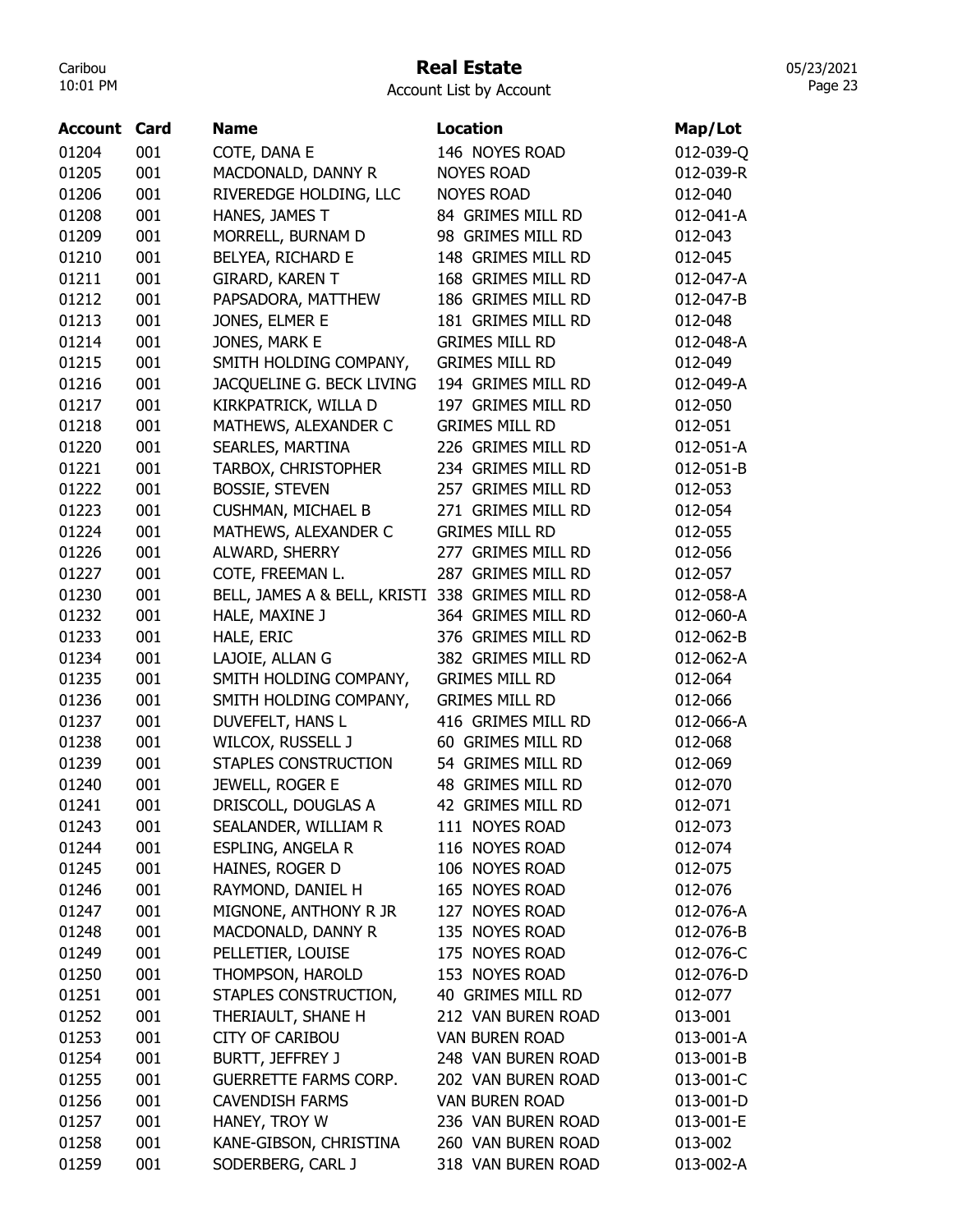## Real Estate

05/23/2021 Page 23

| Account | Card | <b>Name</b>                                     | <b>Location</b>       | Map/Lot   |
|---------|------|-------------------------------------------------|-----------------------|-----------|
| 01204   | 001  | COTE, DANA E                                    | 146 NOYES ROAD        | 012-039-Q |
| 01205   | 001  | MACDONALD, DANNY R                              | <b>NOYES ROAD</b>     | 012-039-R |
| 01206   | 001  | RIVEREDGE HOLDING, LLC                          | <b>NOYES ROAD</b>     | 012-040   |
| 01208   | 001  | HANES, JAMES T                                  | 84 GRIMES MILL RD     | 012-041-A |
| 01209   | 001  | MORRELL, BURNAM D                               | 98 GRIMES MILL RD     | 012-043   |
| 01210   | 001  | BELYEA, RICHARD E                               | 148 GRIMES MILL RD    | 012-045   |
| 01211   | 001  | GIRARD, KAREN T                                 | 168 GRIMES MILL RD    | 012-047-A |
| 01212   | 001  | PAPSADORA, MATTHEW                              | 186 GRIMES MILL RD    | 012-047-B |
| 01213   | 001  | JONES, ELMER E                                  | 181 GRIMES MILL RD    | 012-048   |
| 01214   | 001  | JONES, MARK E                                   | <b>GRIMES MILL RD</b> | 012-048-A |
| 01215   | 001  | SMITH HOLDING COMPANY,                          | <b>GRIMES MILL RD</b> | 012-049   |
| 01216   | 001  | JACQUELINE G. BECK LIVING                       | 194 GRIMES MILL RD    | 012-049-A |
| 01217   | 001  | KIRKPATRICK, WILLA D                            | 197 GRIMES MILL RD    | 012-050   |
| 01218   | 001  | MATHEWS, ALEXANDER C                            | <b>GRIMES MILL RD</b> | 012-051   |
| 01220   | 001  | SEARLES, MARTINA                                | 226 GRIMES MILL RD    | 012-051-A |
| 01221   | 001  | TARBOX, CHRISTOPHER                             | 234 GRIMES MILL RD    | 012-051-B |
| 01222   | 001  | <b>BOSSIE, STEVEN</b>                           | 257 GRIMES MILL RD    | 012-053   |
| 01223   | 001  | <b>CUSHMAN, MICHAEL B</b>                       | 271 GRIMES MILL RD    | 012-054   |
| 01224   | 001  | MATHEWS, ALEXANDER C                            | <b>GRIMES MILL RD</b> | 012-055   |
| 01226   | 001  | ALWARD, SHERRY                                  | 277 GRIMES MILL RD    | 012-056   |
| 01227   | 001  | COTE, FREEMAN L.                                | 287 GRIMES MILL RD    | 012-057   |
| 01230   | 001  | BELL, JAMES A & BELL, KRISTI 338 GRIMES MILL RD |                       | 012-058-A |
| 01232   | 001  | HALE, MAXINE J                                  | 364 GRIMES MILL RD    | 012-060-A |
| 01233   | 001  | HALE, ERIC                                      | 376 GRIMES MILL RD    | 012-062-B |
| 01234   | 001  | LAJOIE, ALLAN G                                 | 382 GRIMES MILL RD    | 012-062-A |
| 01235   | 001  | SMITH HOLDING COMPANY,                          | <b>GRIMES MILL RD</b> | 012-064   |
| 01236   | 001  | SMITH HOLDING COMPANY,                          | <b>GRIMES MILL RD</b> | 012-066   |
| 01237   | 001  | DUVEFELT, HANS L                                | 416 GRIMES MILL RD    | 012-066-A |
| 01238   | 001  | WILCOX, RUSSELL J                               | 60 GRIMES MILL RD     | 012-068   |
| 01239   | 001  | STAPLES CONSTRUCTION                            | 54 GRIMES MILL RD     | 012-069   |
| 01240   | 001  | JEWELL, ROGER E                                 | 48 GRIMES MILL RD     | 012-070   |
| 01241   | 001  | DRISCOLL, DOUGLAS A                             | 42 GRIMES MILL RD     | 012-071   |
| 01243   | 001  | SEALANDER, WILLIAM R                            | 111 NOYES ROAD        | 012-073   |
| 01244   | 001  | ESPLING, ANGELA R                               | 116 NOYES ROAD        | 012-074   |
| 01245   | 001  | HAINES, ROGER D                                 | 106 NOYES ROAD        | 012-075   |
| 01246   | 001  | RAYMOND, DANIEL H                               | 165 NOYES ROAD        | 012-076   |
| 01247   | 001  | MIGNONE, ANTHONY R JR                           | 127 NOYES ROAD        | 012-076-A |
| 01248   | 001  | MACDONALD, DANNY R                              | 135 NOYES ROAD        | 012-076-B |
| 01249   | 001  | PELLETIER, LOUISE                               | 175 NOYES ROAD        | 012-076-C |
| 01250   | 001  | THOMPSON, HAROLD                                | 153 NOYES ROAD        | 012-076-D |
| 01251   | 001  | STAPLES CONSTRUCTION,                           | 40 GRIMES MILL RD     | 012-077   |
| 01252   | 001  | THERIAULT, SHANE H                              | 212 VAN BUREN ROAD    | 013-001   |
| 01253   | 001  | <b>CITY OF CARIBOU</b>                          | <b>VAN BUREN ROAD</b> | 013-001-A |
| 01254   | 001  | BURTT, JEFFREY J                                | 248 VAN BUREN ROAD    | 013-001-B |
| 01255   | 001  | <b>GUERRETTE FARMS CORP.</b>                    | 202 VAN BUREN ROAD    | 013-001-C |
| 01256   | 001  | <b>CAVENDISH FARMS</b>                          | <b>VAN BUREN ROAD</b> | 013-001-D |
| 01257   | 001  | HANEY, TROY W                                   | 236 VAN BUREN ROAD    | 013-001-E |
| 01258   | 001  | KANE-GIBSON, CHRISTINA                          | 260 VAN BUREN ROAD    | 013-002   |
| 01259   | 001  | SODERBERG, CARL J                               | 318 VAN BUREN ROAD    | 013-002-A |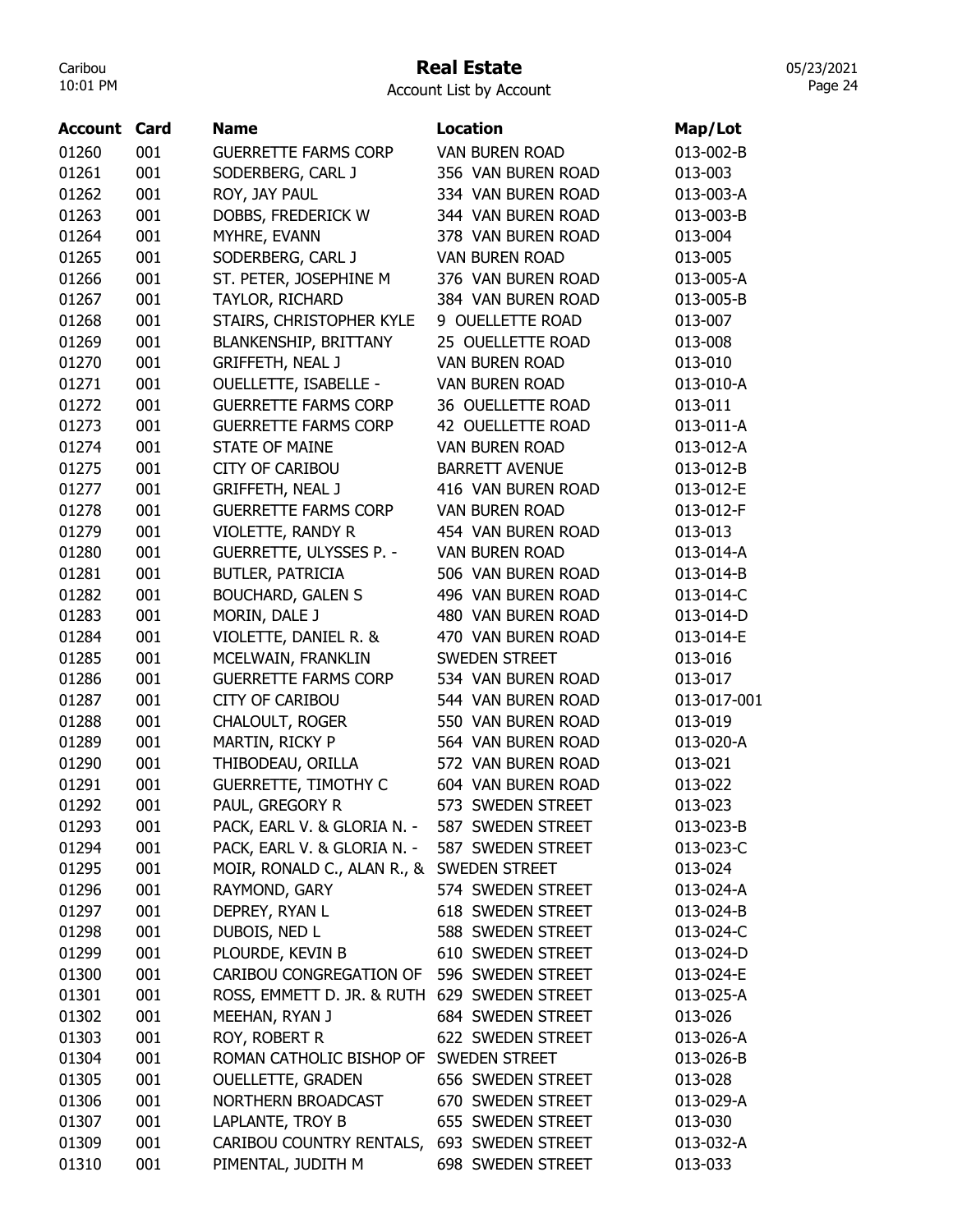## Real Estate

Account List by Account

| <b>Account Card</b> |     | <b>Name</b>                                  | <b>Location</b>       | Map/Lot     |
|---------------------|-----|----------------------------------------------|-----------------------|-------------|
| 01260               | 001 | <b>GUERRETTE FARMS CORP</b>                  | <b>VAN BUREN ROAD</b> | 013-002-B   |
| 01261               | 001 | SODERBERG, CARL J                            | 356 VAN BUREN ROAD    | 013-003     |
| 01262               | 001 | ROY, JAY PAUL                                | 334 VAN BUREN ROAD    | 013-003-A   |
| 01263               | 001 | DOBBS, FREDERICK W                           | 344 VAN BUREN ROAD    | 013-003-B   |
| 01264               | 001 | MYHRE, EVANN                                 | 378 VAN BUREN ROAD    | 013-004     |
| 01265               | 001 | SODERBERG, CARL J                            | <b>VAN BUREN ROAD</b> | 013-005     |
| 01266               | 001 | ST. PETER, JOSEPHINE M                       | 376 VAN BUREN ROAD    | 013-005-A   |
| 01267               | 001 | TAYLOR, RICHARD                              | 384 VAN BUREN ROAD    | 013-005-B   |
| 01268               | 001 | STAIRS, CHRISTOPHER KYLE                     | 9 OUELLETTE ROAD      | 013-007     |
| 01269               | 001 | <b>BLANKENSHIP, BRITTANY</b>                 | 25 OUELLETTE ROAD     | 013-008     |
| 01270               | 001 | <b>GRIFFETH, NEAL J</b>                      | <b>VAN BUREN ROAD</b> | 013-010     |
| 01271               | 001 | <b>OUELLETTE, ISABELLE -</b>                 | <b>VAN BUREN ROAD</b> | 013-010-A   |
| 01272               | 001 | <b>GUERRETTE FARMS CORP</b>                  | 36 OUELLETTE ROAD     | 013-011     |
| 01273               | 001 | <b>GUERRETTE FARMS CORP</b>                  | 42 OUELLETTE ROAD     | 013-011-A   |
| 01274               | 001 | <b>STATE OF MAINE</b>                        | <b>VAN BUREN ROAD</b> | 013-012-A   |
| 01275               | 001 | <b>CITY OF CARIBOU</b>                       | <b>BARRETT AVENUE</b> | 013-012-B   |
| 01277               | 001 | <b>GRIFFETH, NEAL J</b>                      | 416 VAN BUREN ROAD    | 013-012-E   |
| 01278               | 001 | <b>GUERRETTE FARMS CORP</b>                  | <b>VAN BUREN ROAD</b> | 013-012-F   |
| 01279               | 001 | VIOLETTE, RANDY R                            | 454 VAN BUREN ROAD    | 013-013     |
| 01280               | 001 | <b>GUERRETTE, ULYSSES P. -</b>               | <b>VAN BUREN ROAD</b> | 013-014-A   |
| 01281               | 001 | <b>BUTLER, PATRICIA</b>                      | 506 VAN BUREN ROAD    | 013-014-B   |
| 01282               | 001 | <b>BOUCHARD, GALEN S</b>                     | 496 VAN BUREN ROAD    | 013-014-C   |
| 01283               | 001 | MORIN, DALE J                                | 480 VAN BUREN ROAD    | 013-014-D   |
| 01284               | 001 | VIOLETTE, DANIEL R. &                        | 470 VAN BUREN ROAD    | 013-014-E   |
| 01285               | 001 | MCELWAIN, FRANKLIN                           | SWEDEN STREET         | 013-016     |
| 01286               | 001 | <b>GUERRETTE FARMS CORP</b>                  | 534 VAN BUREN ROAD    | 013-017     |
| 01287               | 001 | <b>CITY OF CARIBOU</b>                       | 544 VAN BUREN ROAD    | 013-017-001 |
| 01288               | 001 | <b>CHALOULT, ROGER</b>                       | 550 VAN BUREN ROAD    | 013-019     |
| 01289               | 001 | MARTIN, RICKY P                              | 564 VAN BUREN ROAD    | 013-020-A   |
| 01290               | 001 | THIBODEAU, ORILLA                            | 572 VAN BUREN ROAD    | 013-021     |
| 01291               | 001 | <b>GUERRETTE, TIMOTHY C</b>                  | 604 VAN BUREN ROAD    | 013-022     |
| 01292               | 001 | PAUL, GREGORY R                              | 573 SWEDEN STREET     | 013-023     |
| 01293               | 001 | PACK, EARL V. & GLORIA N. -                  | 587 SWEDEN STREET     | 013-023-B   |
| 01294               | 001 | PACK, EARL V. & GLORIA N. -                  | 587 SWEDEN STREET     | 013-023-C   |
| 01295               | 001 | MOIR, RONALD C., ALAN R., & SWEDEN STREET    |                       | 013-024     |
| 01296               | 001 | RAYMOND, GARY                                | 574 SWEDEN STREET     | 013-024-A   |
| 01297               | 001 | DEPREY, RYAN L                               | 618 SWEDEN STREET     | 013-024-B   |
| 01298               | 001 | DUBOIS, NED L                                | 588 SWEDEN STREET     | 013-024-C   |
| 01299               | 001 | PLOURDE, KEVIN B                             | 610 SWEDEN STREET     | 013-024-D   |
| 01300               | 001 | CARIBOU CONGREGATION OF                      | 596 SWEDEN STREET     | 013-024-E   |
| 01301               | 001 | ROSS, EMMETT D. JR. & RUTH 629 SWEDEN STREET |                       | 013-025-A   |
| 01302               | 001 | MEEHAN, RYAN J                               | 684 SWEDEN STREET     | 013-026     |
| 01303               | 001 | ROY, ROBERT R                                | 622 SWEDEN STREET     | 013-026-A   |
| 01304               | 001 | ROMAN CATHOLIC BISHOP OF SWEDEN STREET       |                       | 013-026-B   |
| 01305               | 001 | <b>OUELLETTE, GRADEN</b>                     | 656 SWEDEN STREET     | 013-028     |
| 01306               | 001 | NORTHERN BROADCAST                           | 670 SWEDEN STREET     | 013-029-A   |
| 01307               | 001 | LAPLANTE, TROY B                             | 655 SWEDEN STREET     | 013-030     |
| 01309               | 001 | CARIBOU COUNTRY RENTALS, 693 SWEDEN STREET   |                       | 013-032-A   |
| 01310               | 001 | PIMENTAL, JUDITH M                           | 698 SWEDEN STREET     | 013-033     |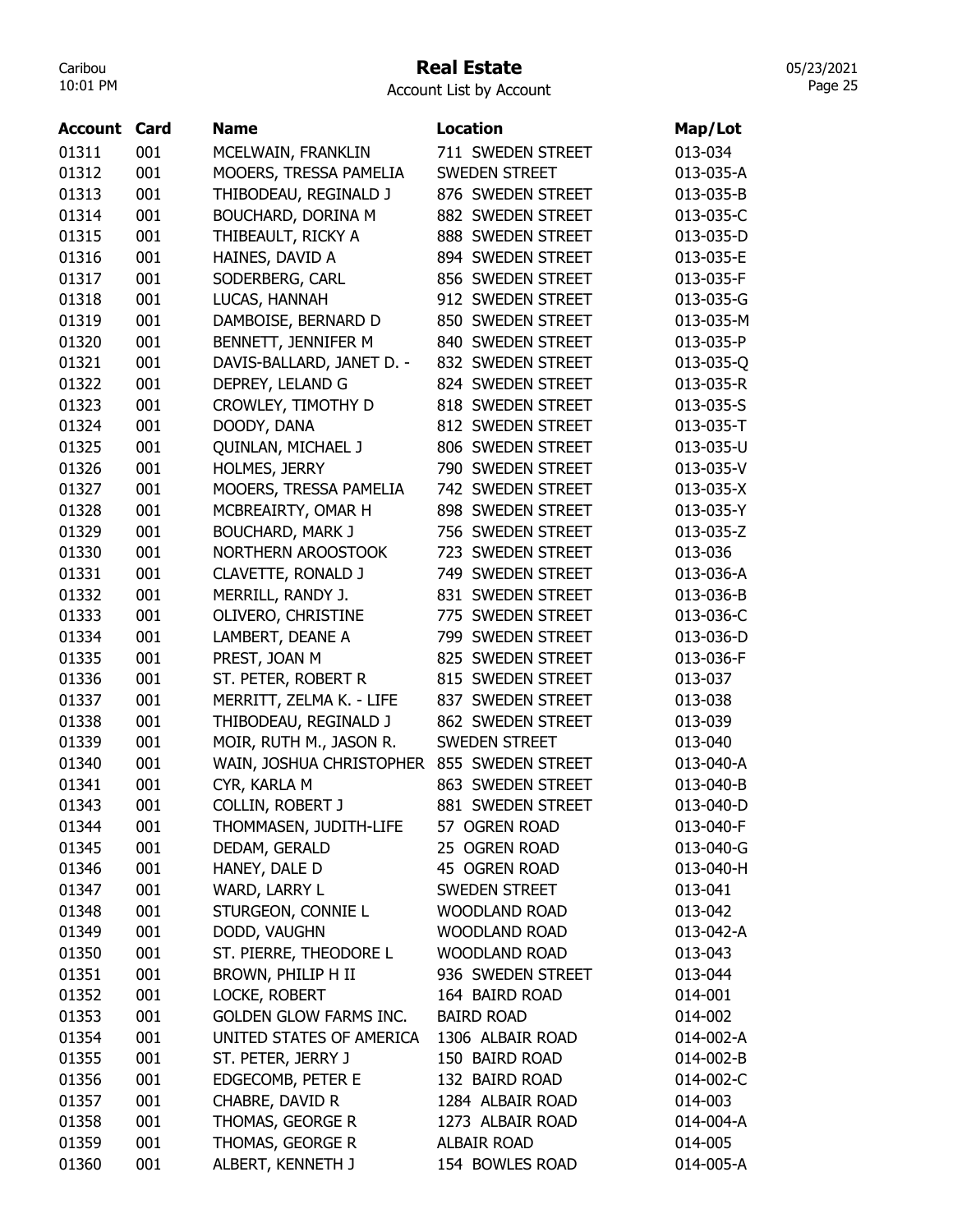#### Real Estate

Account List by Account

| Account | Card | <b>Name</b>               | <b>Location</b>      | Map/Lot   |
|---------|------|---------------------------|----------------------|-----------|
|         |      |                           |                      |           |
| 01311   | 001  | MCELWAIN, FRANKLIN        | 711 SWEDEN STREET    | 013-034   |
| 01312   | 001  | MOOERS, TRESSA PAMELIA    | <b>SWEDEN STREET</b> | 013-035-A |
| 01313   | 001  | THIBODEAU, REGINALD J     | 876 SWEDEN STREET    | 013-035-B |
| 01314   | 001  | BOUCHARD, DORINA M        | 882 SWEDEN STREET    | 013-035-C |
| 01315   | 001  | THIBEAULT, RICKY A        | 888 SWEDEN STREET    | 013-035-D |
| 01316   | 001  | HAINES, DAVID A           | 894 SWEDEN STREET    | 013-035-E |
| 01317   | 001  | SODERBERG, CARL           | 856 SWEDEN STREET    | 013-035-F |
| 01318   | 001  | LUCAS, HANNAH             | 912 SWEDEN STREET    | 013-035-G |
| 01319   | 001  | DAMBOISE, BERNARD D       | 850 SWEDEN STREET    | 013-035-M |
| 01320   | 001  | BENNETT, JENNIFER M       | 840 SWEDEN STREET    | 013-035-P |
| 01321   | 001  | DAVIS-BALLARD, JANET D. - | 832 SWEDEN STREET    | 013-035-Q |
| 01322   | 001  | DEPREY, LELAND G          | 824 SWEDEN STREET    | 013-035-R |
| 01323   | 001  | CROWLEY, TIMOTHY D        | 818 SWEDEN STREET    | 013-035-S |
| 01324   | 001  | DOODY, DANA               | 812 SWEDEN STREET    | 013-035-T |
| 01325   | 001  | QUINLAN, MICHAEL J        | 806 SWEDEN STREET    | 013-035-U |
| 01326   | 001  | HOLMES, JERRY             | 790 SWEDEN STREET    | 013-035-V |
| 01327   | 001  | MOOERS, TRESSA PAMELIA    | 742 SWEDEN STREET    | 013-035-X |
| 01328   | 001  | MCBREAIRTY, OMAR H        | 898 SWEDEN STREET    | 013-035-Y |
| 01329   | 001  | <b>BOUCHARD, MARK J</b>   | 756 SWEDEN STREET    | 013-035-Z |
| 01330   | 001  | NORTHERN AROOSTOOK        | 723 SWEDEN STREET    | 013-036   |
| 01331   | 001  | CLAVETTE, RONALD J        | 749 SWEDEN STREET    | 013-036-A |
| 01332   | 001  | MERRILL, RANDY J.         | 831 SWEDEN STREET    | 013-036-B |
| 01333   | 001  | OLIVERO, CHRISTINE        | 775 SWEDEN STREET    | 013-036-C |
| 01334   | 001  | LAMBERT, DEANE A          | 799 SWEDEN STREET    | 013-036-D |
| 01335   | 001  | PREST, JOAN M             | 825 SWEDEN STREET    | 013-036-F |
| 01336   | 001  | ST. PETER, ROBERT R       | 815 SWEDEN STREET    | 013-037   |
| 01337   | 001  | MERRITT, ZELMA K. - LIFE  | 837 SWEDEN STREET    | 013-038   |
| 01338   | 001  | THIBODEAU, REGINALD J     | 862 SWEDEN STREET    | 013-039   |
| 01339   | 001  | MOIR, RUTH M., JASON R.   | <b>SWEDEN STREET</b> | 013-040   |
| 01340   | 001  | WAIN, JOSHUA CHRISTOPHER  | 855 SWEDEN STREET    | 013-040-A |
| 01341   | 001  | CYR, KARLA M              | 863 SWEDEN STREET    | 013-040-B |
| 01343   | 001  | COLLIN, ROBERT J          | 881 SWEDEN STREET    | 013-040-D |
| 01344   | 001  | THOMMASEN, JUDITH-LIFE    | 57 OGREN ROAD        | 013-040-F |
| 01345   | 001  | DEDAM, GERALD             | 25 OGREN ROAD        | 013-040-G |
| 01346   | 001  | HANEY, DALE D             | 45 OGREN ROAD        | 013-040-H |
| 01347   | 001  | WARD, LARRY L             | SWEDEN STREET        | 013-041   |
| 01348   | 001  | STURGEON, CONNIE L        | <b>WOODLAND ROAD</b> | 013-042   |
|         |      |                           |                      |           |
| 01349   | 001  | DODD, VAUGHN              | <b>WOODLAND ROAD</b> | 013-042-A |
| 01350   | 001  | ST. PIERRE, THEODORE L    | <b>WOODLAND ROAD</b> | 013-043   |
| 01351   | 001  | BROWN, PHILIP H II        | 936 SWEDEN STREET    | 013-044   |
| 01352   | 001  | LOCKE, ROBERT             | 164 BAIRD ROAD       | 014-001   |
| 01353   | 001  | GOLDEN GLOW FARMS INC.    | <b>BAIRD ROAD</b>    | 014-002   |
| 01354   | 001  | UNITED STATES OF AMERICA  | 1306 ALBAIR ROAD     | 014-002-A |
| 01355   | 001  | ST. PETER, JERRY J        | 150 BAIRD ROAD       | 014-002-B |
| 01356   | 001  | EDGECOMB, PETER E         | 132 BAIRD ROAD       | 014-002-C |
| 01357   | 001  | CHABRE, DAVID R           | 1284 ALBAIR ROAD     | 014-003   |
| 01358   | 001  | THOMAS, GEORGE R          | 1273 ALBAIR ROAD     | 014-004-A |
| 01359   | 001  | THOMAS, GEORGE R          | ALBAIR ROAD          | 014-005   |
| 01360   | 001  | ALBERT, KENNETH J         | 154 BOWLES ROAD      | 014-005-A |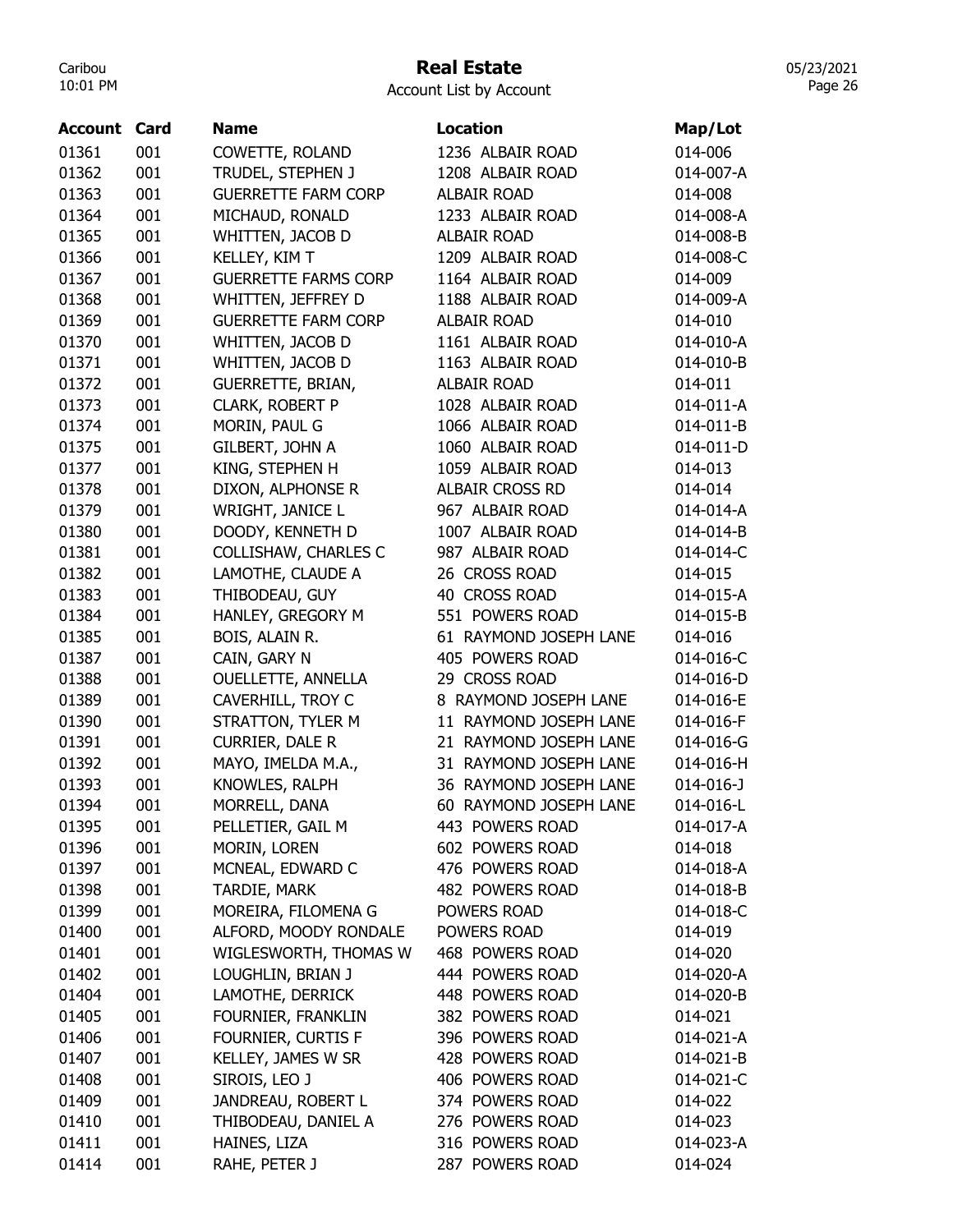## Real Estate

05/23/2021 Page 26

| Account | Card | <b>Name</b>                 | Location               | Map/Lot         |
|---------|------|-----------------------------|------------------------|-----------------|
| 01361   | 001  | COWETTE, ROLAND             | 1236 ALBAIR ROAD       | 014-006         |
| 01362   | 001  | TRUDEL, STEPHEN J           | 1208 ALBAIR ROAD       | 014-007-A       |
| 01363   | 001  | <b>GUERRETTE FARM CORP</b>  | <b>ALBAIR ROAD</b>     | 014-008         |
| 01364   | 001  | MICHAUD, RONALD             | 1233 ALBAIR ROAD       | 014-008-A       |
| 01365   | 001  | WHITTEN, JACOB D            | <b>ALBAIR ROAD</b>     | 014-008-B       |
| 01366   | 001  | KELLEY, KIM T               | 1209 ALBAIR ROAD       | 014-008-C       |
| 01367   | 001  | <b>GUERRETTE FARMS CORP</b> | 1164 ALBAIR ROAD       | 014-009         |
| 01368   | 001  | WHITTEN, JEFFREY D          | 1188 ALBAIR ROAD       | 014-009-A       |
| 01369   | 001  | <b>GUERRETTE FARM CORP</b>  | <b>ALBAIR ROAD</b>     | 014-010         |
| 01370   | 001  | WHITTEN, JACOB D            | 1161 ALBAIR ROAD       | 014-010-A       |
| 01371   | 001  | WHITTEN, JACOB D            | 1163 ALBAIR ROAD       | 014-010-B       |
| 01372   | 001  | GUERRETTE, BRIAN,           | <b>ALBAIR ROAD</b>     | 014-011         |
| 01373   | 001  | CLARK, ROBERT P             | 1028 ALBAIR ROAD       | 014-011-A       |
| 01374   | 001  | MORIN, PAUL G               | 1066 ALBAIR ROAD       | 014-011-B       |
| 01375   | 001  | GILBERT, JOHN A             | 1060 ALBAIR ROAD       | 014-011-D       |
| 01377   | 001  | KING, STEPHEN H             | 1059 ALBAIR ROAD       | 014-013         |
| 01378   | 001  | DIXON, ALPHONSE R           | <b>ALBAIR CROSS RD</b> | 014-014         |
| 01379   | 001  | WRIGHT, JANICE L            | 967 ALBAIR ROAD        | 014-014-A       |
| 01380   | 001  | DOODY, KENNETH D            | 1007 ALBAIR ROAD       | 014-014-B       |
| 01381   | 001  | <b>COLLISHAW, CHARLES C</b> | 987 ALBAIR ROAD        | 014-014-C       |
| 01382   | 001  | LAMOTHE, CLAUDE A           | 26 CROSS ROAD          | 014-015         |
| 01383   | 001  | THIBODEAU, GUY              | 40 CROSS ROAD          | 014-015-A       |
| 01384   | 001  | HANLEY, GREGORY M           | 551 POWERS ROAD        | 014-015-B       |
| 01385   | 001  | BOIS, ALAIN R.              | 61 RAYMOND JOSEPH LANE | 014-016         |
| 01387   | 001  | CAIN, GARY N                | 405 POWERS ROAD        | 014-016-C       |
| 01388   | 001  | <b>OUELLETTE, ANNELLA</b>   | 29 CROSS ROAD          | 014-016-D       |
| 01389   | 001  | CAVERHILL, TROY C           | 8 RAYMOND JOSEPH LANE  | 014-016-E       |
| 01390   | 001  | STRATTON, TYLER M           | 11 RAYMOND JOSEPH LANE | 014-016-F       |
| 01391   | 001  | CURRIER, DALE R             | 21 RAYMOND JOSEPH LANE | 014-016-G       |
| 01392   | 001  | MAYO, IMELDA M.A.,          | 31 RAYMOND JOSEPH LANE | 014-016-H       |
| 01393   | 001  | KNOWLES, RALPH              | 36 RAYMOND JOSEPH LANE | $014 - 016 - J$ |
| 01394   | 001  | MORRELL, DANA               | 60 RAYMOND JOSEPH LANE | 014-016-L       |
| 01395   | 001  | PELLETIER, GAIL M           | 443 POWERS ROAD        | 014-017-A       |
| 01396   | 001  | MORIN, LOREN                | 602 POWERS ROAD        | 014-018         |
| 01397   | 001  | MCNEAL, EDWARD C            | 476 POWERS ROAD        | 014-018-A       |
| 01398   | 001  | <b>TARDIE, MARK</b>         | 482 POWERS ROAD        | 014-018-B       |
| 01399   | 001  | MOREIRA, FILOMENA G         | POWERS ROAD            | 014-018-C       |
| 01400   | 001  | ALFORD, MOODY RONDALE       | POWERS ROAD            | 014-019         |
| 01401   | 001  | WIGLESWORTH, THOMAS W       | 468 POWERS ROAD        | 014-020         |
| 01402   | 001  | LOUGHLIN, BRIAN J           | 444 POWERS ROAD        | 014-020-A       |
| 01404   | 001  | LAMOTHE, DERRICK            | 448 POWERS ROAD        | 014-020-B       |
| 01405   | 001  | FOURNIER, FRANKLIN          | 382 POWERS ROAD        | 014-021         |
| 01406   | 001  | FOURNIER, CURTIS F          | 396 POWERS ROAD        | 014-021-A       |
| 01407   | 001  | KELLEY, JAMES W SR          | 428 POWERS ROAD        | 014-021-B       |
| 01408   | 001  | SIROIS, LEO J               | 406 POWERS ROAD        | 014-021-C       |
| 01409   | 001  | JANDREAU, ROBERT L          | 374 POWERS ROAD        | 014-022         |
| 01410   | 001  | THIBODEAU, DANIEL A         | 276 POWERS ROAD        | 014-023         |
| 01411   | 001  | HAINES, LIZA                | 316 POWERS ROAD        | 014-023-A       |
| 01414   | 001  | RAHE, PETER J               | 287 POWERS ROAD        | 014-024         |
|         |      |                             |                        |                 |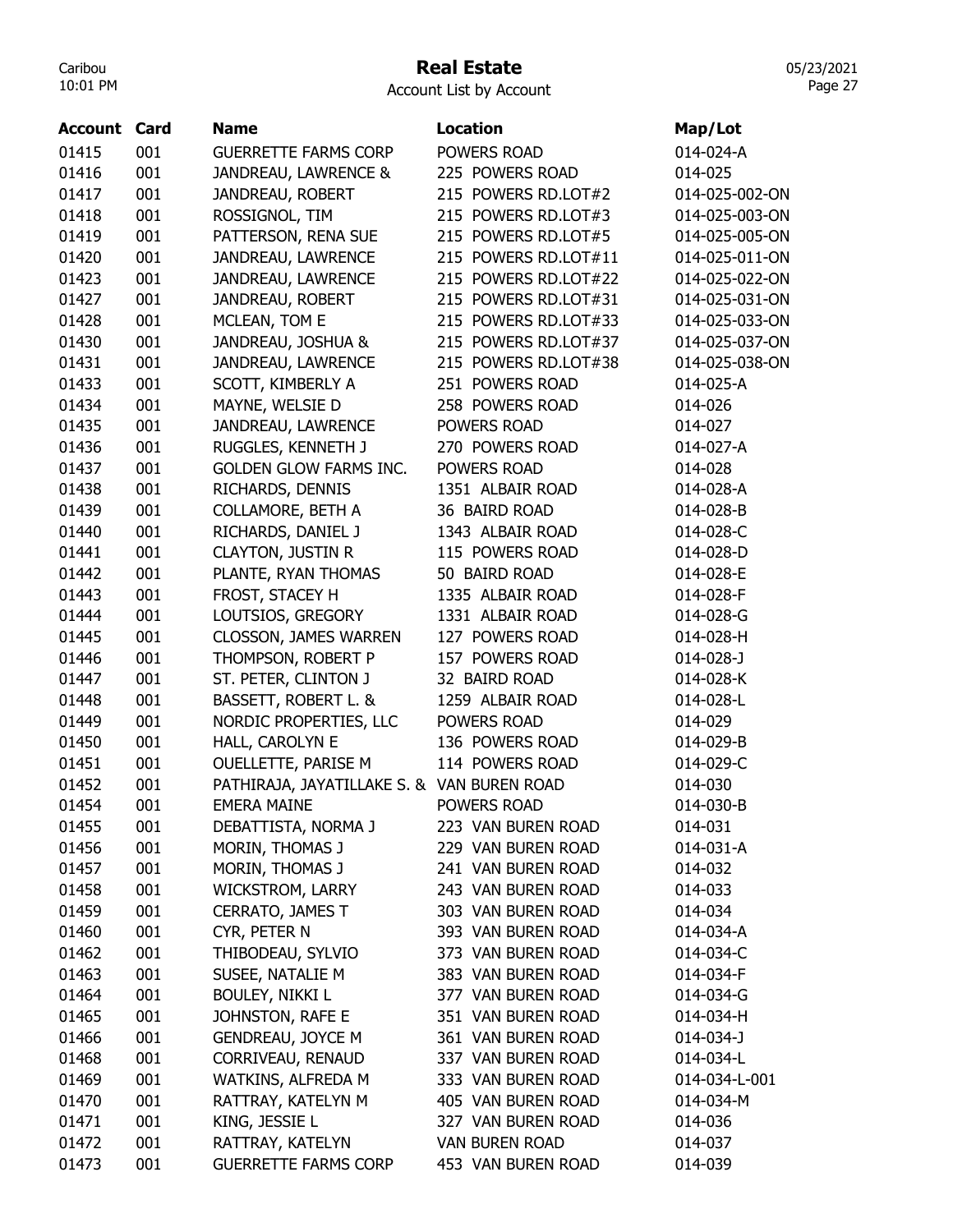## Real Estate

Account List by Account

| <b>Account Card</b> |     | <b>Name</b>                                | <b>Location</b>       | Map/Lot         |
|---------------------|-----|--------------------------------------------|-----------------------|-----------------|
| 01415               | 001 | <b>GUERRETTE FARMS CORP</b>                | POWERS ROAD           | 014-024-A       |
| 01416               | 001 | JANDREAU, LAWRENCE &                       | 225 POWERS ROAD       | 014-025         |
| 01417               | 001 | JANDREAU, ROBERT                           | 215 POWERS RD.LOT#2   | 014-025-002-ON  |
| 01418               | 001 | ROSSIGNOL, TIM                             | 215 POWERS RD.LOT#3   | 014-025-003-ON  |
| 01419               | 001 | PATTERSON, RENA SUE                        | 215 POWERS RD.LOT#5   | 014-025-005-ON  |
| 01420               | 001 | JANDREAU, LAWRENCE                         | 215 POWERS RD.LOT#11  | 014-025-011-ON  |
| 01423               | 001 | JANDREAU, LAWRENCE                         | 215 POWERS RD.LOT#22  | 014-025-022-ON  |
| 01427               | 001 | JANDREAU, ROBERT                           | 215 POWERS RD.LOT#31  | 014-025-031-ON  |
| 01428               | 001 | MCLEAN, TOM E                              | 215 POWERS RD.LOT#33  | 014-025-033-ON  |
| 01430               | 001 | JANDREAU, JOSHUA &                         | 215 POWERS RD.LOT#37  | 014-025-037-ON  |
| 01431               | 001 | JANDREAU, LAWRENCE                         | 215 POWERS RD.LOT#38  | 014-025-038-ON  |
| 01433               | 001 | SCOTT, KIMBERLY A                          | 251 POWERS ROAD       | 014-025-A       |
| 01434               | 001 | MAYNE, WELSIE D                            | 258 POWERS ROAD       | 014-026         |
| 01435               | 001 | JANDREAU, LAWRENCE                         | POWERS ROAD           | 014-027         |
| 01436               | 001 | RUGGLES, KENNETH J                         | 270 POWERS ROAD       | 014-027-A       |
| 01437               | 001 | <b>GOLDEN GLOW FARMS INC.</b>              | POWERS ROAD           | 014-028         |
| 01438               | 001 | RICHARDS, DENNIS                           | 1351 ALBAIR ROAD      | 014-028-A       |
| 01439               | 001 | <b>COLLAMORE, BETH A</b>                   | 36 BAIRD ROAD         | 014-028-B       |
| 01440               | 001 | RICHARDS, DANIEL J                         | 1343 ALBAIR ROAD      | 014-028-C       |
| 01441               | 001 | <b>CLAYTON, JUSTIN R</b>                   | 115 POWERS ROAD       | 014-028-D       |
| 01442               | 001 | PLANTE, RYAN THOMAS                        | 50 BAIRD ROAD         | 014-028-E       |
| 01443               | 001 | FROST, STACEY H                            | 1335 ALBAIR ROAD      | 014-028-F       |
| 01444               | 001 | LOUTSIOS, GREGORY                          | 1331 ALBAIR ROAD      | 014-028-G       |
| 01445               | 001 | CLOSSON, JAMES WARREN                      | 127 POWERS ROAD       | 014-028-H       |
| 01446               | 001 | THOMPSON, ROBERT P                         | 157 POWERS ROAD       | $014 - 028 - J$ |
| 01447               | 001 | ST. PETER, CLINTON J                       | 32 BAIRD ROAD         | 014-028-K       |
| 01448               | 001 | BASSETT, ROBERT L. &                       | 1259 ALBAIR ROAD      | 014-028-L       |
| 01449               | 001 | NORDIC PROPERTIES, LLC                     | POWERS ROAD           | 014-029         |
| 01450               | 001 | HALL, CAROLYN E                            | 136 POWERS ROAD       | 014-029-B       |
| 01451               | 001 | OUELLETTE, PARISE M                        | 114 POWERS ROAD       | 014-029-C       |
| 01452               | 001 | PATHIRAJA, JAYATILLAKE S. & VAN BUREN ROAD |                       | 014-030         |
| 01454               | 001 | <b>EMERA MAINE</b>                         | POWERS ROAD           | 014-030-B       |
| 01455               | 001 | DEBATTISTA, NORMA J                        | 223 VAN BUREN ROAD    | 014-031         |
| 01456               | 001 | MORIN, THOMAS J                            | 229 VAN BUREN ROAD    | 014-031-A       |
| 01457               | 001 | MORIN, THOMAS J                            | 241 VAN BUREN ROAD    | 014-032         |
| 01458               | 001 | <b>WICKSTROM, LARRY</b>                    | 243 VAN BUREN ROAD    | 014-033         |
| 01459               | 001 | CERRATO, JAMES T                           | 303 VAN BUREN ROAD    | 014-034         |
| 01460               | 001 | CYR, PETER N                               | 393 VAN BUREN ROAD    | 014-034-A       |
| 01462               | 001 | THIBODEAU, SYLVIO                          | 373 VAN BUREN ROAD    | 014-034-C       |
| 01463               | 001 | SUSEE, NATALIE M                           | 383 VAN BUREN ROAD    | 014-034-F       |
| 01464               | 001 | <b>BOULEY, NIKKI L</b>                     | 377 VAN BUREN ROAD    | 014-034-G       |
| 01465               | 001 | JOHNSTON, RAFE E                           | 351 VAN BUREN ROAD    | 014-034-H       |
| 01466               | 001 | <b>GENDREAU, JOYCE M</b>                   | 361 VAN BUREN ROAD    | 014-034-J       |
| 01468               | 001 | CORRIVEAU, RENAUD                          | 337 VAN BUREN ROAD    | 014-034-L       |
| 01469               | 001 | WATKINS, ALFREDA M                         | 333 VAN BUREN ROAD    | 014-034-L-001   |
| 01470               | 001 | RATTRAY, KATELYN M                         | 405 VAN BUREN ROAD    | 014-034-M       |
| 01471               | 001 | KING, JESSIE L                             | 327 VAN BUREN ROAD    | 014-036         |
| 01472               | 001 | RATTRAY, KATELYN                           | <b>VAN BUREN ROAD</b> | 014-037         |
| 01473               | 001 | <b>GUERRETTE FARMS CORP</b>                | 453 VAN BUREN ROAD    | 014-039         |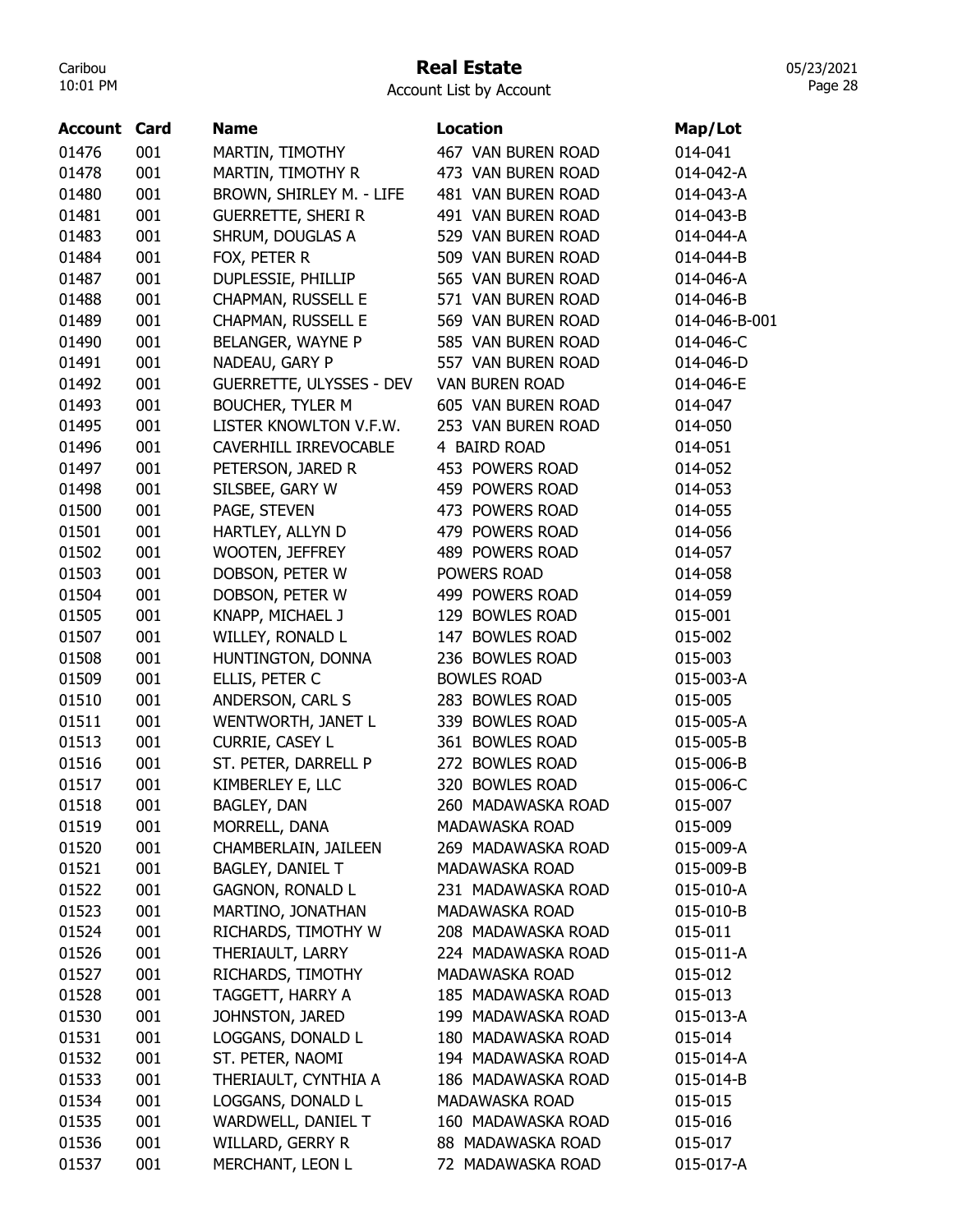## Real Estate

Account List by Account

| <b>Account Card</b> |     | <b>Name</b>                     | <b>Location</b>       | Map/Lot       |
|---------------------|-----|---------------------------------|-----------------------|---------------|
| 01476               | 001 | MARTIN, TIMOTHY                 | 467 VAN BUREN ROAD    | 014-041       |
| 01478               | 001 | MARTIN, TIMOTHY R               | 473 VAN BUREN ROAD    | 014-042-A     |
| 01480               | 001 | BROWN, SHIRLEY M. - LIFE        | 481 VAN BUREN ROAD    | 014-043-A     |
| 01481               | 001 | <b>GUERRETTE, SHERI R</b>       | 491 VAN BUREN ROAD    | 014-043-B     |
| 01483               | 001 | SHRUM, DOUGLAS A                | 529 VAN BUREN ROAD    | 014-044-A     |
| 01484               | 001 | FOX, PETER R                    | 509 VAN BUREN ROAD    | 014-044-B     |
| 01487               | 001 | DUPLESSIE, PHILLIP              | 565 VAN BUREN ROAD    | 014-046-A     |
| 01488               | 001 | CHAPMAN, RUSSELL E              | 571 VAN BUREN ROAD    | 014-046-B     |
| 01489               | 001 | CHAPMAN, RUSSELL E              | 569 VAN BUREN ROAD    | 014-046-B-001 |
| 01490               | 001 | BELANGER, WAYNE P               | 585 VAN BUREN ROAD    | 014-046-C     |
| 01491               | 001 | NADEAU, GARY P                  | 557 VAN BUREN ROAD    | 014-046-D     |
| 01492               | 001 | <b>GUERRETTE, ULYSSES - DEV</b> | <b>VAN BUREN ROAD</b> | 014-046-E     |
| 01493               | 001 | <b>BOUCHER, TYLER M</b>         | 605 VAN BUREN ROAD    | 014-047       |
| 01495               | 001 | LISTER KNOWLTON V.F.W.          | 253 VAN BUREN ROAD    | 014-050       |
| 01496               | 001 | CAVERHILL IRREVOCABLE           | 4 BAIRD ROAD          | 014-051       |
| 01497               | 001 | PETERSON, JARED R               | 453 POWERS ROAD       | 014-052       |
| 01498               | 001 | SILSBEE, GARY W                 | 459 POWERS ROAD       | 014-053       |
| 01500               | 001 | PAGE, STEVEN                    | 473 POWERS ROAD       | 014-055       |
| 01501               | 001 | HARTLEY, ALLYN D                | 479 POWERS ROAD       | 014-056       |
| 01502               | 001 | <b>WOOTEN, JEFFREY</b>          | 489 POWERS ROAD       | 014-057       |
| 01503               | 001 | DOBSON, PETER W                 | POWERS ROAD           | 014-058       |
| 01504               | 001 | DOBSON, PETER W                 | 499 POWERS ROAD       | 014-059       |
| 01505               | 001 | KNAPP, MICHAEL J                | 129 BOWLES ROAD       | 015-001       |
| 01507               | 001 | WILLEY, RONALD L                | 147 BOWLES ROAD       | 015-002       |
| 01508               | 001 | HUNTINGTON, DONNA               | 236 BOWLES ROAD       | 015-003       |
| 01509               | 001 | ELLIS, PETER C                  | <b>BOWLES ROAD</b>    | 015-003-A     |
| 01510               | 001 | ANDERSON, CARL S                | 283 BOWLES ROAD       | 015-005       |
| 01511               | 001 | WENTWORTH, JANET L              | 339 BOWLES ROAD       | 015-005-A     |
| 01513               | 001 | CURRIE, CASEY L                 | 361 BOWLES ROAD       | 015-005-B     |
| 01516               | 001 | ST. PETER, DARRELL P            | 272 BOWLES ROAD       | 015-006-B     |
| 01517               | 001 | KIMBERLEY E, LLC                | 320 BOWLES ROAD       | 015-006-C     |
| 01518               | 001 | BAGLEY, DAN                     | 260 MADAWASKA ROAD    | 015-007       |
| 01519               | 001 | MORRELL, DANA                   | MADAWASKA ROAD        | 015-009       |
| 01520               | 001 | CHAMBERLAIN, JAILEEN            | 269 MADAWASKA ROAD    | 015-009-A     |
| 01521               | 001 | BAGLEY, DANIEL T                | MADAWASKA ROAD        | 015-009-B     |
| 01522               | 001 | <b>GAGNON, RONALD L</b>         | 231 MADAWASKA ROAD    | 015-010-A     |
| 01523               | 001 | MARTINO, JONATHAN               | MADAWASKA ROAD        | 015-010-B     |
| 01524               | 001 | RICHARDS, TIMOTHY W             | 208 MADAWASKA ROAD    | 015-011       |
| 01526               | 001 | THERIAULT, LARRY                | 224 MADAWASKA ROAD    | 015-011-A     |
| 01527               | 001 | RICHARDS, TIMOTHY               | MADAWASKA ROAD        | 015-012       |
| 01528               | 001 | TAGGETT, HARRY A                | 185 MADAWASKA ROAD    | 015-013       |
| 01530               | 001 | JOHNSTON, JARED                 | 199 MADAWASKA ROAD    | 015-013-A     |
| 01531               | 001 | LOGGANS, DONALD L               | 180 MADAWASKA ROAD    | 015-014       |
| 01532               | 001 | ST. PETER, NAOMI                | 194 MADAWASKA ROAD    | 015-014-A     |
| 01533               | 001 | THERIAULT, CYNTHIA A            | 186 MADAWASKA ROAD    | 015-014-B     |
| 01534               | 001 | LOGGANS, DONALD L               | MADAWASKA ROAD        | 015-015       |
| 01535               | 001 | WARDWELL, DANIEL T              | 160 MADAWASKA ROAD    | 015-016       |
| 01536               | 001 | WILLARD, GERRY R                | 88 MADAWASKA ROAD     | 015-017       |
| 01537               | 001 | MERCHANT, LEON L                | 72 MADAWASKA ROAD     | 015-017-A     |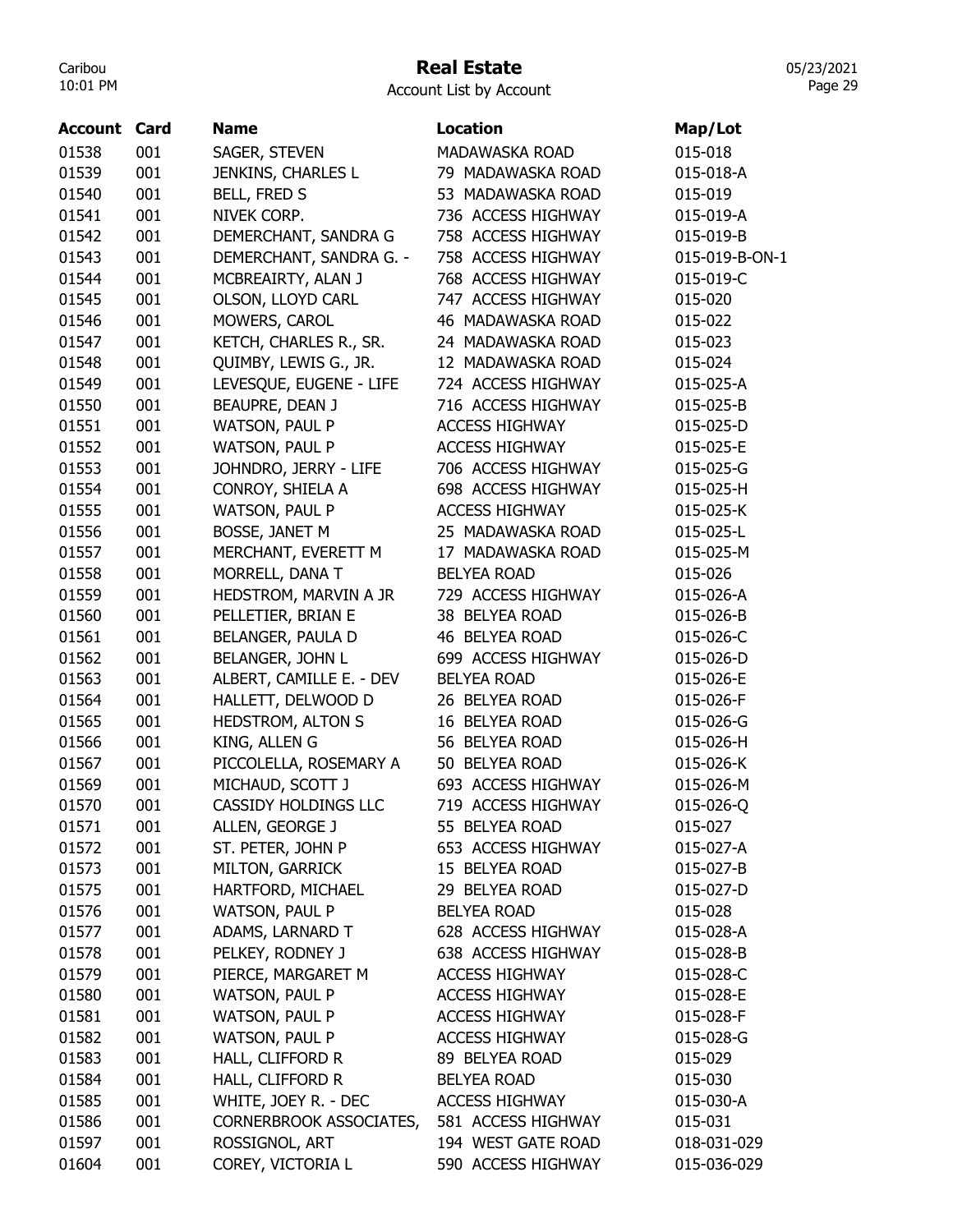# Real Estate

|  |  | Account List by Account |
|--|--|-------------------------|
|--|--|-------------------------|

| <b>Account Card</b> |     | <b>Name</b>                 | <b>Location</b>       | Map/Lot        |
|---------------------|-----|-----------------------------|-----------------------|----------------|
| 01538               | 001 | SAGER, STEVEN               | <b>MADAWASKA ROAD</b> | 015-018        |
| 01539               | 001 | JENKINS, CHARLES L          | 79 MADAWASKA ROAD     | 015-018-A      |
| 01540               | 001 | BELL, FRED S                | 53 MADAWASKA ROAD     | 015-019        |
| 01541               | 001 | NIVEK CORP.                 | 736 ACCESS HIGHWAY    | 015-019-A      |
| 01542               | 001 | DEMERCHANT, SANDRA G        | 758 ACCESS HIGHWAY    | 015-019-B      |
| 01543               | 001 | DEMERCHANT, SANDRA G. -     | 758 ACCESS HIGHWAY    | 015-019-B-ON-1 |
| 01544               | 001 | MCBREAIRTY, ALAN J          | 768 ACCESS HIGHWAY    | 015-019-C      |
| 01545               | 001 | OLSON, LLOYD CARL           | 747 ACCESS HIGHWAY    | 015-020        |
| 01546               | 001 | MOWERS, CAROL               | 46 MADAWASKA ROAD     | 015-022        |
| 01547               | 001 | KETCH, CHARLES R., SR.      | 24 MADAWASKA ROAD     | 015-023        |
| 01548               | 001 | QUIMBY, LEWIS G., JR.       | 12 MADAWASKA ROAD     | 015-024        |
| 01549               | 001 | LEVESQUE, EUGENE - LIFE     | 724 ACCESS HIGHWAY    | 015-025-A      |
| 01550               | 001 | BEAUPRE, DEAN J             | 716 ACCESS HIGHWAY    | 015-025-B      |
| 01551               | 001 | WATSON, PAUL P              | <b>ACCESS HIGHWAY</b> | 015-025-D      |
| 01552               | 001 | WATSON, PAUL P              | <b>ACCESS HIGHWAY</b> | 015-025-E      |
| 01553               | 001 | JOHNDRO, JERRY - LIFE       | 706 ACCESS HIGHWAY    | 015-025-G      |
| 01554               | 001 | CONROY, SHIELA A            | 698 ACCESS HIGHWAY    | 015-025-H      |
| 01555               | 001 | WATSON, PAUL P              | <b>ACCESS HIGHWAY</b> | 015-025-K      |
| 01556               | 001 | BOSSE, JANET M              | 25 MADAWASKA ROAD     | 015-025-L      |
| 01557               | 001 | MERCHANT, EVERETT M         | 17 MADAWASKA ROAD     | 015-025-M      |
| 01558               | 001 | MORRELL, DANA T             | <b>BELYEA ROAD</b>    | 015-026        |
| 01559               | 001 | HEDSTROM, MARVIN A JR       | 729 ACCESS HIGHWAY    | 015-026-A      |
| 01560               | 001 | PELLETIER, BRIAN E          | 38 BELYEA ROAD        | 015-026-B      |
| 01561               | 001 | BELANGER, PAULA D           | 46 BELYEA ROAD        | 015-026-C      |
| 01562               | 001 | BELANGER, JOHN L            | 699 ACCESS HIGHWAY    | 015-026-D      |
| 01563               | 001 | ALBERT, CAMILLE E. - DEV    | <b>BELYEA ROAD</b>    | 015-026-E      |
| 01564               | 001 | HALLETT, DELWOOD D          | 26 BELYEA ROAD        | 015-026-F      |
| 01565               | 001 | HEDSTROM, ALTON S           | 16 BELYEA ROAD        | 015-026-G      |
| 01566               | 001 | KING, ALLEN G               | 56 BELYEA ROAD        | 015-026-H      |
| 01567               | 001 | PICCOLELLA, ROSEMARY A      | 50 BELYEA ROAD        | 015-026-K      |
| 01569               | 001 | MICHAUD, SCOTT J            | 693 ACCESS HIGHWAY    | 015-026-M      |
| 01570               | 001 | <b>CASSIDY HOLDINGS LLC</b> | 719 ACCESS HIGHWAY    | 015-026-Q      |
| 01571               | 001 | ALLEN, GEORGE J             | 55 BELYEA ROAD        | 015-027        |
| 01572               | 001 | ST. PETER, JOHN P           | 653 ACCESS HIGHWAY    | 015-027-A      |
| 01573               | 001 | MILTON, GARRICK             | 15 BELYEA ROAD        | 015-027-B      |
| 01575               | 001 | HARTFORD, MICHAEL           | 29 BELYEA ROAD        | 015-027-D      |
| 01576               | 001 | WATSON, PAUL P              | <b>BELYEA ROAD</b>    | 015-028        |
| 01577               | 001 | ADAMS, LARNARD T            | 628 ACCESS HIGHWAY    | 015-028-A      |
| 01578               | 001 | PELKEY, RODNEY J            | 638 ACCESS HIGHWAY    | 015-028-B      |
| 01579               | 001 | PIERCE, MARGARET M          | <b>ACCESS HIGHWAY</b> | 015-028-C      |
| 01580               | 001 | <b>WATSON, PAUL P</b>       | <b>ACCESS HIGHWAY</b> | 015-028-E      |
| 01581               | 001 | WATSON, PAUL P              | <b>ACCESS HIGHWAY</b> | 015-028-F      |
| 01582               | 001 | WATSON, PAUL P              | <b>ACCESS HIGHWAY</b> | 015-028-G      |
| 01583               | 001 | HALL, CLIFFORD R            | 89 BELYEA ROAD        | 015-029        |
| 01584               | 001 | HALL, CLIFFORD R            | <b>BELYEA ROAD</b>    | 015-030        |
| 01585               | 001 | WHITE, JOEY R. - DEC        | <b>ACCESS HIGHWAY</b> | 015-030-A      |
| 01586               | 001 | CORNERBROOK ASSOCIATES,     | 581 ACCESS HIGHWAY    | 015-031        |
| 01597               | 001 | ROSSIGNOL, ART              | 194 WEST GATE ROAD    | 018-031-029    |
| 01604               | 001 | COREY, VICTORIA L           | 590 ACCESS HIGHWAY    | 015-036-029    |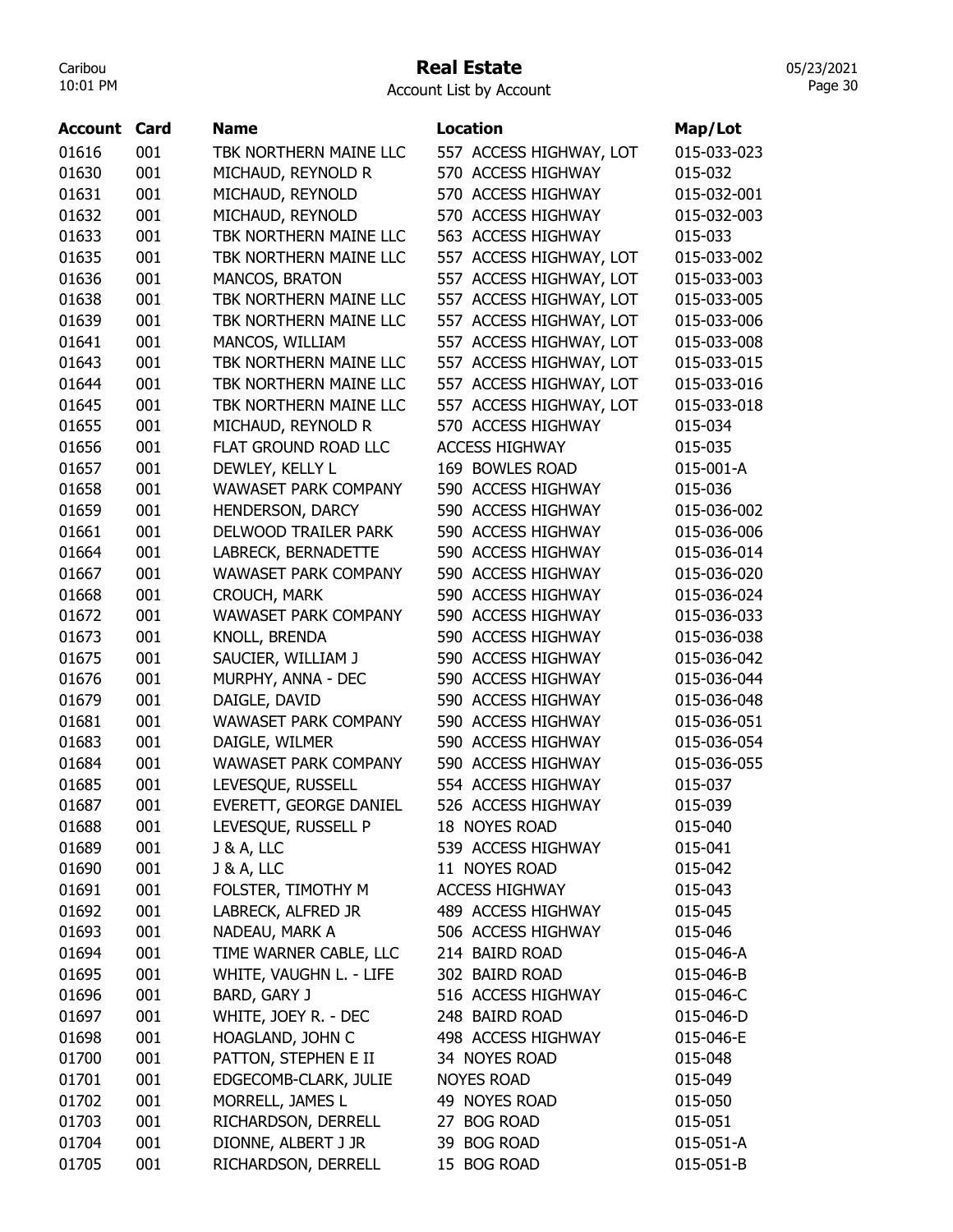#### Real Estate

05/23/2021 Page 30

| Account | Card | <b>Name</b>                   | <b>Location</b>         | Map/Lot     |
|---------|------|-------------------------------|-------------------------|-------------|
| 01616   | 001  | TBK NORTHERN MAINE LLC        | 557 ACCESS HIGHWAY, LOT | 015-033-023 |
| 01630   | 001  | MICHAUD, REYNOLD R            | 570 ACCESS HIGHWAY      | 015-032     |
| 01631   | 001  | MICHAUD, REYNOLD              | 570 ACCESS HIGHWAY      | 015-032-001 |
| 01632   | 001  | MICHAUD, REYNOLD              | 570 ACCESS HIGHWAY      | 015-032-003 |
| 01633   | 001  | TBK NORTHERN MAINE LLC        | 563 ACCESS HIGHWAY      | 015-033     |
| 01635   | 001  | TBK NORTHERN MAINE LLC        | 557 ACCESS HIGHWAY, LOT | 015-033-002 |
| 01636   | 001  | MANCOS, BRATON                | 557 ACCESS HIGHWAY, LOT | 015-033-003 |
| 01638   | 001  | TBK NORTHERN MAINE LLC        | 557 ACCESS HIGHWAY, LOT | 015-033-005 |
| 01639   | 001  | TBK NORTHERN MAINE LLC        | 557 ACCESS HIGHWAY, LOT | 015-033-006 |
| 01641   | 001  | MANCOS, WILLIAM               | 557 ACCESS HIGHWAY, LOT | 015-033-008 |
| 01643   | 001  | TBK NORTHERN MAINE LLC        | 557 ACCESS HIGHWAY, LOT | 015-033-015 |
| 01644   | 001  | TBK NORTHERN MAINE LLC        | 557 ACCESS HIGHWAY, LOT | 015-033-016 |
| 01645   | 001  | TBK NORTHERN MAINE LLC        | 557 ACCESS HIGHWAY, LOT | 015-033-018 |
| 01655   | 001  | MICHAUD, REYNOLD R            | 570 ACCESS HIGHWAY      | 015-034     |
| 01656   | 001  | FLAT GROUND ROAD LLC          | <b>ACCESS HIGHWAY</b>   | 015-035     |
| 01657   | 001  | DEWLEY, KELLY L               | 169 BOWLES ROAD         | 015-001-A   |
| 01658   | 001  | <b>WAWASET PARK COMPANY</b>   | 590 ACCESS HIGHWAY      | 015-036     |
| 01659   | 001  | HENDERSON, DARCY              | 590 ACCESS HIGHWAY      | 015-036-002 |
| 01661   | 001  | DELWOOD TRAILER PARK          | 590 ACCESS HIGHWAY      | 015-036-006 |
| 01664   | 001  | LABRECK, BERNADETTE           | 590 ACCESS HIGHWAY      | 015-036-014 |
| 01667   | 001  | <b>WAWASET PARK COMPANY</b>   | 590 ACCESS HIGHWAY      | 015-036-020 |
| 01668   | 001  | CROUCH, MARK                  | 590 ACCESS HIGHWAY      | 015-036-024 |
| 01672   | 001  | <b>WAWASET PARK COMPANY</b>   | 590 ACCESS HIGHWAY      | 015-036-033 |
| 01673   | 001  | KNOLL, BRENDA                 | 590 ACCESS HIGHWAY      | 015-036-038 |
| 01675   | 001  | SAUCIER, WILLIAM J            | 590 ACCESS HIGHWAY      | 015-036-042 |
| 01676   | 001  | MURPHY, ANNA - DEC            | 590 ACCESS HIGHWAY      | 015-036-044 |
| 01679   | 001  | DAIGLE, DAVID                 | 590 ACCESS HIGHWAY      | 015-036-048 |
| 01681   | 001  | WAWASET PARK COMPANY          | 590 ACCESS HIGHWAY      | 015-036-051 |
| 01683   | 001  | DAIGLE, WILMER                | 590 ACCESS HIGHWAY      | 015-036-054 |
| 01684   | 001  | <b>WAWASET PARK COMPANY</b>   | 590 ACCESS HIGHWAY      | 015-036-055 |
| 01685   | 001  | LEVESQUE, RUSSELL             | 554 ACCESS HIGHWAY      | 015-037     |
| 01687   | 001  | <b>EVERETT, GEORGE DANIEL</b> | 526 ACCESS HIGHWAY      | 015-039     |
| 01688   | 001  | LEVESQUE, RUSSELL P           | 18 NOYES ROAD           | 015-040     |
| 01689   | 001  | <b>J &amp; A, LLC</b>         | 539 ACCESS HIGHWAY      | 015-041     |
| 01690   | 001  | <b>J &amp; A, LLC</b>         | 11 NOYES ROAD           | 015-042     |
| 01691   | 001  | FOLSTER, TIMOTHY M            | <b>ACCESS HIGHWAY</b>   | 015-043     |
| 01692   | 001  | LABRECK, ALFRED JR            | 489 ACCESS HIGHWAY      | 015-045     |
| 01693   | 001  | NADEAU, MARK A                | 506 ACCESS HIGHWAY      | 015-046     |
| 01694   | 001  | TIME WARNER CABLE, LLC        | 214 BAIRD ROAD          | 015-046-A   |
| 01695   | 001  | WHITE, VAUGHN L. - LIFE       | 302 BAIRD ROAD          | 015-046-B   |
| 01696   | 001  | BARD, GARY J                  | 516 ACCESS HIGHWAY      | 015-046-C   |
| 01697   | 001  | WHITE, JOEY R. - DEC          | 248 BAIRD ROAD          | 015-046-D   |
| 01698   | 001  | HOAGLAND, JOHN C              | 498 ACCESS HIGHWAY      | 015-046-E   |
| 01700   | 001  | PATTON, STEPHEN E II          | 34 NOYES ROAD           | 015-048     |
| 01701   | 001  | EDGECOMB-CLARK, JULIE         | <b>NOYES ROAD</b>       | 015-049     |
| 01702   | 001  | MORRELL, JAMES L              | 49 NOYES ROAD           | 015-050     |
| 01703   | 001  | RICHARDSON, DERRELL           | 27 BOG ROAD             | 015-051     |
| 01704   | 001  | DIONNE, ALBERT J JR           | 39 BOG ROAD             | 015-051-A   |
| 01705   | 001  | RICHARDSON, DERRELL           | 15 BOG ROAD             | 015-051-B   |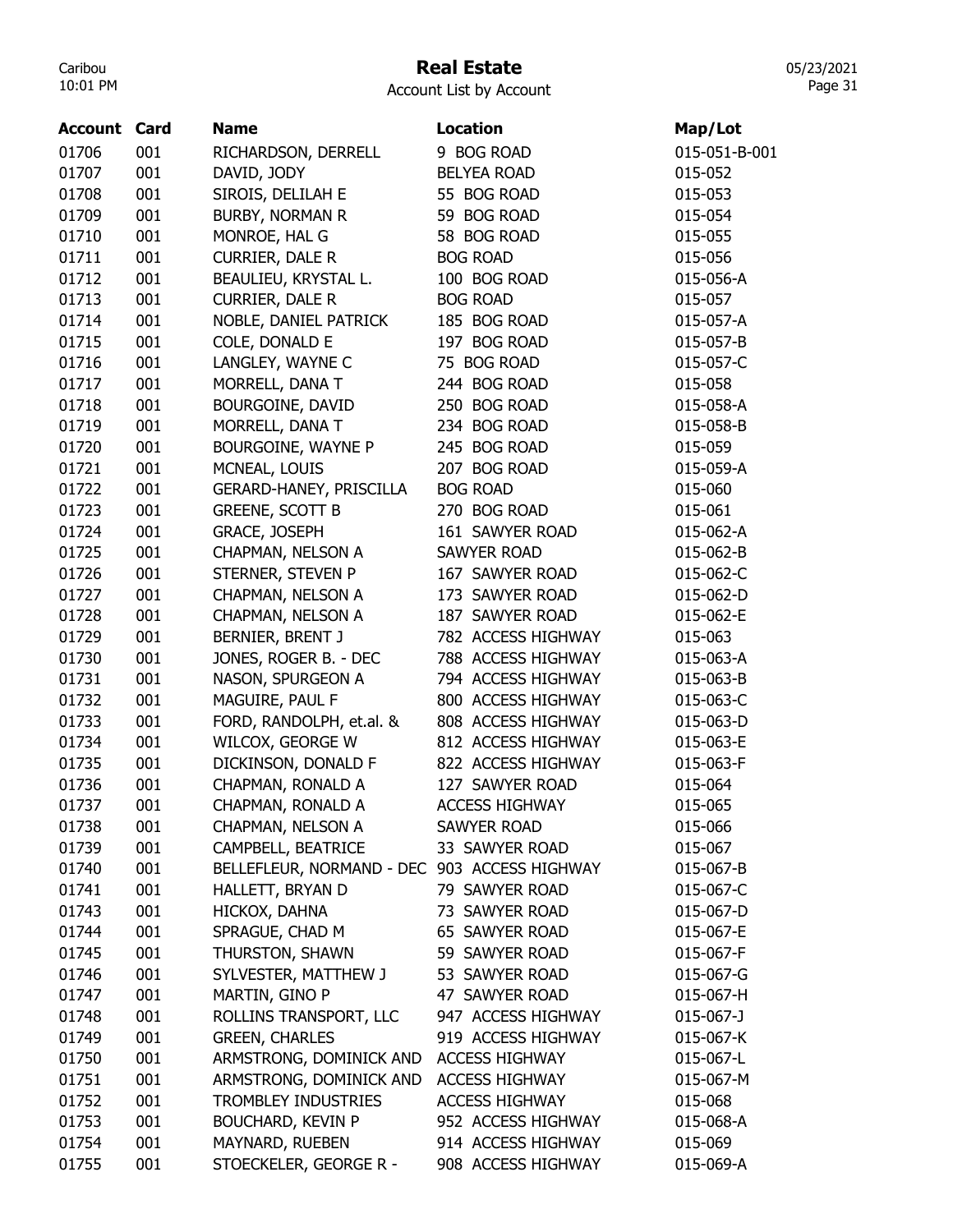## Real Estate

Account List by Account

| Account | Card | <b>Name</b>                                  | <b>Location</b>       | Map/Lot         |
|---------|------|----------------------------------------------|-----------------------|-----------------|
| 01706   | 001  | RICHARDSON, DERRELL                          | 9 BOG ROAD            | 015-051-B-001   |
| 01707   | 001  | DAVID, JODY                                  | <b>BELYEA ROAD</b>    | 015-052         |
| 01708   | 001  | SIROIS, DELILAH E                            | 55 BOG ROAD           | 015-053         |
| 01709   | 001  | <b>BURBY, NORMAN R</b>                       | 59 BOG ROAD           | 015-054         |
| 01710   | 001  | MONROE, HAL G                                | 58 BOG ROAD           | 015-055         |
| 01711   | 001  | <b>CURRIER, DALE R</b>                       | <b>BOG ROAD</b>       | 015-056         |
| 01712   | 001  | BEAULIEU, KRYSTAL L.                         | 100 BOG ROAD          | 015-056-A       |
| 01713   | 001  | <b>CURRIER, DALE R</b>                       | <b>BOG ROAD</b>       | 015-057         |
| 01714   | 001  | NOBLE, DANIEL PATRICK                        | 185 BOG ROAD          | 015-057-A       |
| 01715   | 001  | COLE, DONALD E                               | 197 BOG ROAD          | 015-057-B       |
| 01716   | 001  | LANGLEY, WAYNE C                             | 75 BOG ROAD           | 015-057-C       |
| 01717   | 001  | MORRELL, DANA T                              | 244 BOG ROAD          | 015-058         |
| 01718   | 001  | BOURGOINE, DAVID                             | 250 BOG ROAD          | 015-058-A       |
| 01719   | 001  | MORRELL, DANA T                              | 234 BOG ROAD          | 015-058-B       |
| 01720   | 001  | BOURGOINE, WAYNE P                           | 245 BOG ROAD          | 015-059         |
| 01721   | 001  | MCNEAL, LOUIS                                | 207 BOG ROAD          | 015-059-A       |
| 01722   | 001  | GERARD-HANEY, PRISCILLA                      | <b>BOG ROAD</b>       | 015-060         |
| 01723   | 001  | <b>GREENE, SCOTT B</b>                       | 270 BOG ROAD          | 015-061         |
| 01724   | 001  | <b>GRACE, JOSEPH</b>                         | 161 SAWYER ROAD       | 015-062-A       |
| 01725   | 001  | CHAPMAN, NELSON A                            | <b>SAWYER ROAD</b>    | 015-062-B       |
| 01726   | 001  | STERNER, STEVEN P                            | 167 SAWYER ROAD       | 015-062-C       |
| 01727   | 001  | CHAPMAN, NELSON A                            | 173 SAWYER ROAD       | 015-062-D       |
| 01728   | 001  | CHAPMAN, NELSON A                            | 187 SAWYER ROAD       | 015-062-E       |
| 01729   | 001  | BERNIER, BRENT J                             | 782 ACCESS HIGHWAY    | 015-063         |
| 01730   | 001  | JONES, ROGER B. - DEC                        | 788 ACCESS HIGHWAY    | 015-063-A       |
| 01731   | 001  | NASON, SPURGEON A                            | 794 ACCESS HIGHWAY    | 015-063-B       |
| 01732   | 001  | MAGUIRE, PAUL F                              | 800 ACCESS HIGHWAY    | 015-063-C       |
| 01733   | 001  | FORD, RANDOLPH, et.al. &                     | 808 ACCESS HIGHWAY    | 015-063-D       |
| 01734   | 001  | WILCOX, GEORGE W                             | 812 ACCESS HIGHWAY    | 015-063-E       |
| 01735   | 001  | DICKINSON, DONALD F                          | 822 ACCESS HIGHWAY    | 015-063-F       |
| 01736   | 001  | CHAPMAN, RONALD A                            | 127 SAWYER ROAD       | 015-064         |
| 01737   | 001  | CHAPMAN, RONALD A                            | <b>ACCESS HIGHWAY</b> | 015-065         |
| 01738   | 001  | CHAPMAN, NELSON A                            | <b>SAWYER ROAD</b>    | 015-066         |
| 01739   | 001  | CAMPBELL, BEATRICE                           | 33 SAWYER ROAD        | 015-067         |
| 01740   | 001  | BELLEFLEUR, NORMAND - DEC 903 ACCESS HIGHWAY |                       | 015-067-B       |
| 01741   | 001  | HALLETT, BRYAN D                             | 79 SAWYER ROAD        | 015-067-C       |
| 01743   | 001  | HICKOX, DAHNA                                | 73 SAWYER ROAD        | 015-067-D       |
| 01744   | 001  | SPRAGUE, CHAD M                              | 65 SAWYER ROAD        | 015-067-E       |
| 01745   | 001  | THURSTON, SHAWN                              | 59 SAWYER ROAD        | 015-067-F       |
| 01746   | 001  | SYLVESTER, MATTHEW J                         | 53 SAWYER ROAD        | 015-067-G       |
| 01747   | 001  | MARTIN, GINO P                               | 47 SAWYER ROAD        | 015-067-H       |
| 01748   | 001  | ROLLINS TRANSPORT, LLC                       | 947 ACCESS HIGHWAY    | $015 - 067 - J$ |
| 01749   | 001  | <b>GREEN, CHARLES</b>                        | 919 ACCESS HIGHWAY    | 015-067-K       |
| 01750   | 001  | ARMSTRONG, DOMINICK AND                      | <b>ACCESS HIGHWAY</b> | 015-067-L       |
| 01751   | 001  | ARMSTRONG, DOMINICK AND                      | <b>ACCESS HIGHWAY</b> | 015-067-M       |
| 01752   | 001  | TROMBLEY INDUSTRIES                          | <b>ACCESS HIGHWAY</b> | 015-068         |
| 01753   | 001  | <b>BOUCHARD, KEVIN P</b>                     | 952 ACCESS HIGHWAY    | 015-068-A       |
| 01754   | 001  | MAYNARD, RUEBEN                              | 914 ACCESS HIGHWAY    | 015-069         |
| 01755   | 001  | STOECKELER, GEORGE R -                       | 908 ACCESS HIGHWAY    | 015-069-A       |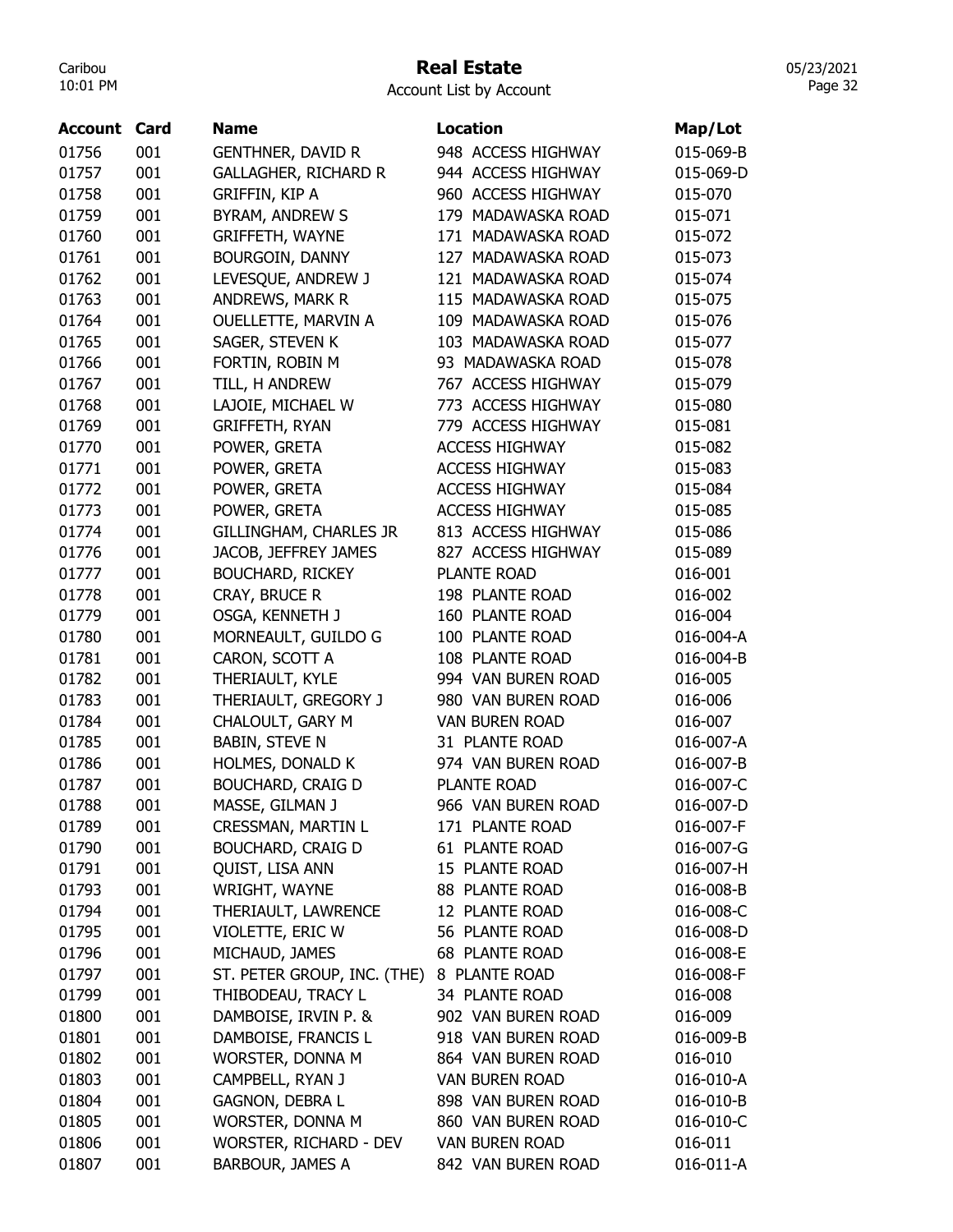#### Real Estate

Account List by Account

| <b>Account Card</b> |     | <b>Name</b>                 | <b>Location</b>       | Map/Lot   |
|---------------------|-----|-----------------------------|-----------------------|-----------|
| 01756               | 001 | <b>GENTHNER, DAVID R</b>    | 948 ACCESS HIGHWAY    | 015-069-B |
| 01757               | 001 | <b>GALLAGHER, RICHARD R</b> | 944 ACCESS HIGHWAY    | 015-069-D |
| 01758               | 001 | <b>GRIFFIN, KIP A</b>       | 960 ACCESS HIGHWAY    | 015-070   |
| 01759               | 001 | <b>BYRAM, ANDREW S</b>      | 179 MADAWASKA ROAD    | 015-071   |
| 01760               | 001 | <b>GRIFFETH, WAYNE</b>      | 171 MADAWASKA ROAD    | 015-072   |
| 01761               | 001 | BOURGOIN, DANNY             | 127 MADAWASKA ROAD    | 015-073   |
| 01762               | 001 | LEVESQUE, ANDREW J          | 121 MADAWASKA ROAD    | 015-074   |
| 01763               | 001 | ANDREWS, MARK R             | 115 MADAWASKA ROAD    | 015-075   |
| 01764               | 001 | OUELLETTE, MARVIN A         | 109 MADAWASKA ROAD    | 015-076   |
| 01765               | 001 | SAGER, STEVEN K             | 103 MADAWASKA ROAD    | 015-077   |
| 01766               | 001 | FORTIN, ROBIN M             | 93 MADAWASKA ROAD     | 015-078   |
| 01767               | 001 | TILL, H ANDREW              | 767 ACCESS HIGHWAY    | 015-079   |
| 01768               | 001 | LAJOIE, MICHAEL W           | 773 ACCESS HIGHWAY    | 015-080   |
| 01769               | 001 | <b>GRIFFETH, RYAN</b>       | 779 ACCESS HIGHWAY    | 015-081   |
| 01770               | 001 | POWER, GRETA                | <b>ACCESS HIGHWAY</b> | 015-082   |
| 01771               | 001 | POWER, GRETA                | <b>ACCESS HIGHWAY</b> | 015-083   |
| 01772               | 001 | POWER, GRETA                | <b>ACCESS HIGHWAY</b> | 015-084   |
| 01773               | 001 | POWER, GRETA                | <b>ACCESS HIGHWAY</b> | 015-085   |
| 01774               | 001 | GILLINGHAM, CHARLES JR      | 813 ACCESS HIGHWAY    | 015-086   |
| 01776               | 001 | JACOB, JEFFREY JAMES        | 827 ACCESS HIGHWAY    | 015-089   |
| 01777               | 001 | <b>BOUCHARD, RICKEY</b>     | PLANTE ROAD           | 016-001   |
| 01778               | 001 | CRAY, BRUCE R               | 198 PLANTE ROAD       | 016-002   |
| 01779               | 001 | OSGA, KENNETH J             | 160 PLANTE ROAD       | 016-004   |
| 01780               | 001 | MORNEAULT, GUILDO G         | 100 PLANTE ROAD       | 016-004-A |
| 01781               | 001 | CARON, SCOTT A              | 108 PLANTE ROAD       | 016-004-B |
| 01782               | 001 | THERIAULT, KYLE             | 994 VAN BUREN ROAD    | 016-005   |
| 01783               | 001 | THERIAULT, GREGORY J        | 980 VAN BUREN ROAD    | 016-006   |
| 01784               | 001 | CHALOULT, GARY M            | <b>VAN BUREN ROAD</b> | 016-007   |
| 01785               | 001 | <b>BABIN, STEVE N</b>       | 31 PLANTE ROAD        | 016-007-A |
| 01786               | 001 | HOLMES, DONALD K            | 974 VAN BUREN ROAD    | 016-007-B |
| 01787               | 001 | <b>BOUCHARD, CRAIG D</b>    | <b>PLANTE ROAD</b>    | 016-007-C |
| 01788               | 001 | MASSE, GILMAN J             | 966 VAN BUREN ROAD    | 016-007-D |
| 01789               | 001 | CRESSMAN, MARTIN L          | 171 PLANTE ROAD       | 016-007-F |
| 01790               | 001 | <b>BOUCHARD, CRAIG D</b>    | 61 PLANTE ROAD        | 016-007-G |
| 01791               | 001 | QUIST, LISA ANN             | 15 PLANTE ROAD        | 016-007-H |
| 01793               | 001 | WRIGHT, WAYNE               | 88 PLANTE ROAD        | 016-008-B |
| 01794               | 001 | THERIAULT, LAWRENCE         | 12 PLANTE ROAD        | 016-008-C |
| 01795               | 001 | VIOLETTE, ERIC W            | 56 PLANTE ROAD        | 016-008-D |
| 01796               | 001 | MICHAUD, JAMES              | 68 PLANTE ROAD        | 016-008-E |
| 01797               | 001 | ST. PETER GROUP, INC. (THE) | 8 PLANTE ROAD         | 016-008-F |
| 01799               | 001 | THIBODEAU, TRACY L          | 34 PLANTE ROAD        | 016-008   |
| 01800               | 001 | DAMBOISE, IRVIN P. &        | 902 VAN BUREN ROAD    | 016-009   |
| 01801               | 001 | DAMBOISE, FRANCIS L         | 918 VAN BUREN ROAD    | 016-009-B |
| 01802               | 001 | WORSTER, DONNA M            | 864 VAN BUREN ROAD    | 016-010   |
| 01803               | 001 | CAMPBELL, RYAN J            | <b>VAN BUREN ROAD</b> | 016-010-A |
| 01804               | 001 | <b>GAGNON, DEBRA L</b>      | 898 VAN BUREN ROAD    | 016-010-B |
| 01805               | 001 | WORSTER, DONNA M            | 860 VAN BUREN ROAD    | 016-010-C |
| 01806               | 001 | WORSTER, RICHARD - DEV      | <b>VAN BUREN ROAD</b> | 016-011   |
| 01807               | 001 | BARBOUR, JAMES A            | 842 VAN BUREN ROAD    | 016-011-A |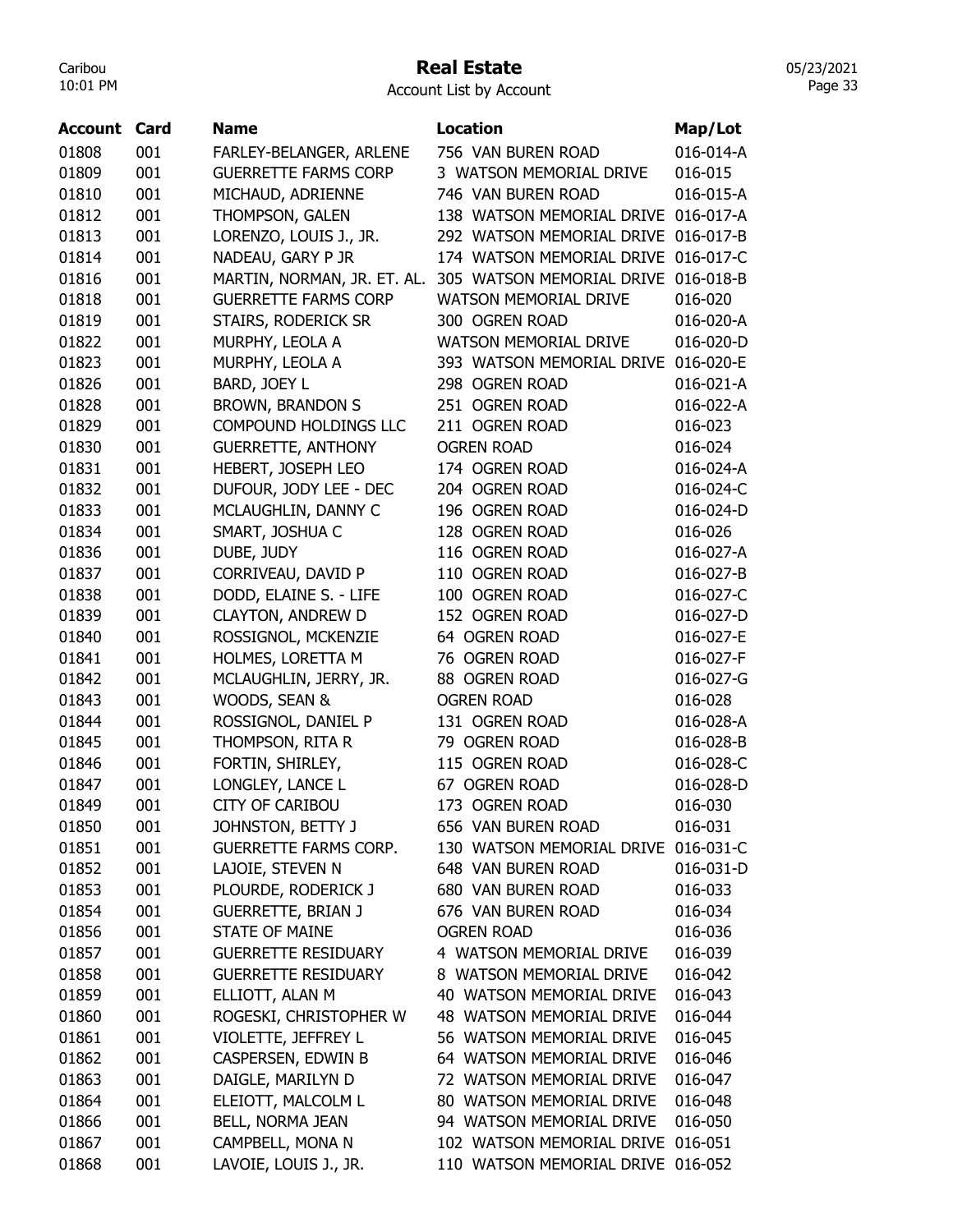## Real Estate

Account List by Account

| Account | Card | <b>Name</b>                  | <b>Location</b>                     | Map/Lot   |
|---------|------|------------------------------|-------------------------------------|-----------|
| 01808   | 001  | FARLEY-BELANGER, ARLENE      | 756 VAN BUREN ROAD                  | 016-014-A |
| 01809   | 001  | <b>GUERRETTE FARMS CORP</b>  | 3 WATSON MEMORIAL DRIVE             | 016-015   |
| 01810   | 001  | MICHAUD, ADRIENNE            | 746 VAN BUREN ROAD                  | 016-015-A |
| 01812   | 001  | THOMPSON, GALEN              | 138 WATSON MEMORIAL DRIVE           | 016-017-A |
| 01813   | 001  | LORENZO, LOUIS J., JR.       | 292 WATSON MEMORIAL DRIVE           | 016-017-B |
| 01814   | 001  | NADEAU, GARY P JR            | 174 WATSON MEMORIAL DRIVE 016-017-C |           |
| 01816   | 001  | MARTIN, NORMAN, JR. ET. AL.  | 305 WATSON MEMORIAL DRIVE           | 016-018-B |
| 01818   | 001  | <b>GUERRETTE FARMS CORP</b>  | <b>WATSON MEMORIAL DRIVE</b>        | 016-020   |
| 01819   | 001  | STAIRS, RODERICK SR          | 300 OGREN ROAD                      | 016-020-A |
| 01822   | 001  | MURPHY, LEOLA A              | <b>WATSON MEMORIAL DRIVE</b>        | 016-020-D |
| 01823   | 001  | MURPHY, LEOLA A              | 393 WATSON MEMORIAL DRIVE           | 016-020-E |
| 01826   | 001  | BARD, JOEY L                 | 298 OGREN ROAD                      | 016-021-A |
| 01828   | 001  | <b>BROWN, BRANDON S</b>      | 251 OGREN ROAD                      | 016-022-A |
| 01829   | 001  | <b>COMPOUND HOLDINGS LLC</b> | 211 OGREN ROAD                      | 016-023   |
| 01830   | 001  | <b>GUERRETTE, ANTHONY</b>    | <b>OGREN ROAD</b>                   | 016-024   |
| 01831   | 001  | HEBERT, JOSEPH LEO           | 174 OGREN ROAD                      | 016-024-A |
| 01832   | 001  | DUFOUR, JODY LEE - DEC       | 204 OGREN ROAD                      | 016-024-C |
| 01833   | 001  | MCLAUGHLIN, DANNY C          | 196 OGREN ROAD                      | 016-024-D |
| 01834   | 001  | SMART, JOSHUA C              | 128 OGREN ROAD                      | 016-026   |
| 01836   | 001  | DUBE, JUDY                   | 116 OGREN ROAD                      | 016-027-A |
| 01837   | 001  | CORRIVEAU, DAVID P           | 110 OGREN ROAD                      | 016-027-B |
| 01838   | 001  | DODD, ELAINE S. - LIFE       | 100 OGREN ROAD                      | 016-027-C |
| 01839   | 001  | <b>CLAYTON, ANDREW D</b>     | 152 OGREN ROAD                      | 016-027-D |
| 01840   | 001  | ROSSIGNOL, MCKENZIE          | 64 OGREN ROAD                       | 016-027-E |
| 01841   | 001  | HOLMES, LORETTA M            | 76 OGREN ROAD                       | 016-027-F |
| 01842   | 001  | MCLAUGHLIN, JERRY, JR.       | 88 OGREN ROAD                       | 016-027-G |
| 01843   | 001  | WOODS, SEAN &                | <b>OGREN ROAD</b>                   | 016-028   |
| 01844   | 001  | ROSSIGNOL, DANIEL P          | 131 OGREN ROAD                      | 016-028-A |
| 01845   | 001  | THOMPSON, RITA R             | 79 OGREN ROAD                       | 016-028-B |
| 01846   | 001  | FORTIN, SHIRLEY,             | 115 OGREN ROAD                      | 016-028-C |
| 01847   | 001  | LONGLEY, LANCE L             | 67 OGREN ROAD                       | 016-028-D |
| 01849   | 001  | <b>CITY OF CARIBOU</b>       | 173 OGREN ROAD                      | 016-030   |
| 01850   | 001  | JOHNSTON, BETTY J            | 656 VAN BUREN ROAD                  | 016-031   |
| 01851   | 001  | <b>GUERRETTE FARMS CORP.</b> | 130 WATSON MEMORIAL DRIVE           | 016-031-C |
| 01852   | 001  | LAJOIE, STEVEN N             | 648 VAN BUREN ROAD                  | 016-031-D |
| 01853   | 001  | PLOURDE, RODERICK J          | 680 VAN BUREN ROAD                  | 016-033   |
| 01854   | 001  | <b>GUERRETTE, BRIAN J</b>    | 676 VAN BUREN ROAD                  | 016-034   |
| 01856   | 001  | <b>STATE OF MAINE</b>        | <b>OGREN ROAD</b>                   | 016-036   |
| 01857   | 001  | <b>GUERRETTE RESIDUARY</b>   | 4 WATSON MEMORIAL DRIVE             | 016-039   |
| 01858   | 001  | <b>GUERRETTE RESIDUARY</b>   | 8 WATSON MEMORIAL DRIVE             | 016-042   |
| 01859   | 001  | ELLIOTT, ALAN M              | 40 WATSON MEMORIAL DRIVE            | 016-043   |
| 01860   | 001  | ROGESKI, CHRISTOPHER W       | 48 WATSON MEMORIAL DRIVE            | 016-044   |
| 01861   | 001  | VIOLETTE, JEFFREY L          | 56 WATSON MEMORIAL DRIVE            | 016-045   |
| 01862   | 001  | CASPERSEN, EDWIN B           | 64 WATSON MEMORIAL DRIVE            | 016-046   |
| 01863   | 001  | DAIGLE, MARILYN D            | 72 WATSON MEMORIAL DRIVE            | 016-047   |
| 01864   | 001  | ELEIOTT, MALCOLM L           | 80 WATSON MEMORIAL DRIVE            | 016-048   |
| 01866   | 001  | BELL, NORMA JEAN             | 94 WATSON MEMORIAL DRIVE            | 016-050   |
| 01867   | 001  | CAMPBELL, MONA N             | 102 WATSON MEMORIAL DRIVE 016-051   |           |
| 01868   | 001  | LAVOIE, LOUIS J., JR.        | 110 WATSON MEMORIAL DRIVE 016-052   |           |
|         |      |                              |                                     |           |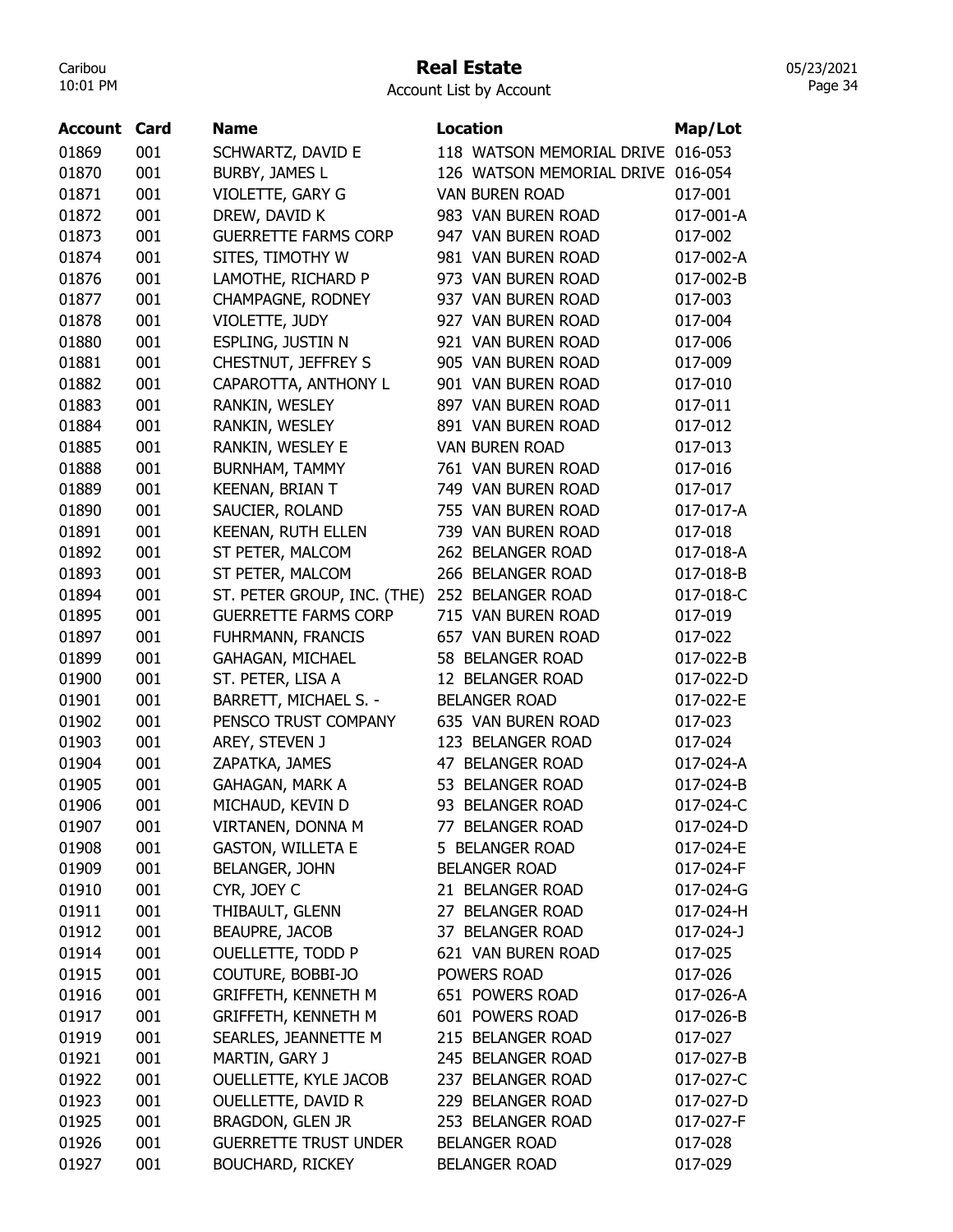#### Real Estate

Account List by Account

| <b>Account Card</b> |     | Name                         | <b>Location</b>           | Map/Lot         |
|---------------------|-----|------------------------------|---------------------------|-----------------|
| 01869               | 001 | SCHWARTZ, DAVID E            | 118 WATSON MEMORIAL DRIVE | 016-053         |
| 01870               | 001 | BURBY, JAMES L               | 126 WATSON MEMORIAL DRIVE | 016-054         |
| 01871               | 001 | VIOLETTE, GARY G             | <b>VAN BUREN ROAD</b>     | 017-001         |
| 01872               | 001 | DREW, DAVID K                | 983 VAN BUREN ROAD        | 017-001-A       |
| 01873               | 001 | <b>GUERRETTE FARMS CORP</b>  | 947 VAN BUREN ROAD        | 017-002         |
| 01874               | 001 | SITES, TIMOTHY W             | 981 VAN BUREN ROAD        | 017-002-A       |
| 01876               | 001 | LAMOTHE, RICHARD P           | 973 VAN BUREN ROAD        | 017-002-B       |
| 01877               | 001 | CHAMPAGNE, RODNEY            | 937 VAN BUREN ROAD        | 017-003         |
| 01878               | 001 | VIOLETTE, JUDY               | 927 VAN BUREN ROAD        | 017-004         |
| 01880               | 001 | ESPLING, JUSTIN N            | 921 VAN BUREN ROAD        | 017-006         |
| 01881               | 001 | CHESTNUT, JEFFREY S          | 905 VAN BUREN ROAD        | 017-009         |
| 01882               | 001 | CAPAROTTA, ANTHONY L         | 901 VAN BUREN ROAD        | 017-010         |
| 01883               | 001 | RANKIN, WESLEY               | 897 VAN BUREN ROAD        | 017-011         |
| 01884               | 001 | RANKIN, WESLEY               | 891 VAN BUREN ROAD        | 017-012         |
| 01885               | 001 | RANKIN, WESLEY E             | <b>VAN BUREN ROAD</b>     | 017-013         |
| 01888               | 001 | <b>BURNHAM, TAMMY</b>        | 761 VAN BUREN ROAD        | 017-016         |
| 01889               | 001 | <b>KEENAN, BRIAN T</b>       | 749 VAN BUREN ROAD        | 017-017         |
| 01890               | 001 | SAUCIER, ROLAND              | 755 VAN BUREN ROAD        | 017-017-A       |
| 01891               | 001 | <b>KEENAN, RUTH ELLEN</b>    | 739 VAN BUREN ROAD        | 017-018         |
| 01892               | 001 | ST PETER, MALCOM             | 262 BELANGER ROAD         | 017-018-A       |
| 01893               | 001 | ST PETER, MALCOM             | 266 BELANGER ROAD         | 017-018-B       |
| 01894               | 001 | ST. PETER GROUP, INC. (THE)  | 252 BELANGER ROAD         | 017-018-C       |
| 01895               | 001 | <b>GUERRETTE FARMS CORP</b>  | 715 VAN BUREN ROAD        | 017-019         |
| 01897               | 001 | <b>FUHRMANN, FRANCIS</b>     | 657 VAN BUREN ROAD        | 017-022         |
| 01899               | 001 | <b>GAHAGAN, MICHAEL</b>      | 58 BELANGER ROAD          | 017-022-B       |
| 01900               | 001 | ST. PETER, LISA A            | 12 BELANGER ROAD          | 017-022-D       |
| 01901               | 001 | <b>BARRETT, MICHAEL S. -</b> | <b>BELANGER ROAD</b>      | 017-022-E       |
| 01902               | 001 | PENSCO TRUST COMPANY         | 635 VAN BUREN ROAD        | 017-023         |
| 01903               | 001 | AREY, STEVEN J               | 123 BELANGER ROAD         | 017-024         |
| 01904               | 001 | ZAPATKA, JAMES               | 47 BELANGER ROAD          | 017-024-A       |
| 01905               | 001 | <b>GAHAGAN, MARK A</b>       | 53 BELANGER ROAD          | 017-024-B       |
| 01906               | 001 | MICHAUD, KEVIN D             | 93 BELANGER ROAD          | 017-024-C       |
| 01907               | 001 | VIRTANEN, DONNA M            | 77 BELANGER ROAD          | 017-024-D       |
| 01908               | 001 | <b>GASTON, WILLETA E</b>     | 5 BELANGER ROAD           | 017-024-E       |
| 01909               | 001 | <b>BELANGER, JOHN</b>        | <b>BELANGER ROAD</b>      | 017-024-F       |
| 01910               | 001 | CYR, JOEY C                  | 21 BELANGER ROAD          | 017-024-G       |
| 01911               | 001 | THIBAULT, GLENN              | 27 BELANGER ROAD          | 017-024-H       |
| 01912               | 001 | <b>BEAUPRE, JACOB</b>        | 37 BELANGER ROAD          | $017 - 024 - J$ |
| 01914               | 001 | OUELLETTE, TODD P            | 621 VAN BUREN ROAD        | 017-025         |
| 01915               | 001 | COUTURE, BOBBI-JO            | POWERS ROAD               | 017-026         |
| 01916               | 001 | <b>GRIFFETH, KENNETH M</b>   | 651 POWERS ROAD           | 017-026-A       |
| 01917               | 001 | <b>GRIFFETH, KENNETH M</b>   | 601 POWERS ROAD           | 017-026-B       |
| 01919               | 001 | SEARLES, JEANNETTE M         | 215 BELANGER ROAD         | 017-027         |
| 01921               | 001 | MARTIN, GARY J               | 245 BELANGER ROAD         | 017-027-B       |
| 01922               | 001 | OUELLETTE, KYLE JACOB        | 237 BELANGER ROAD         | 017-027-C       |
| 01923               | 001 | OUELLETTE, DAVID R           | 229 BELANGER ROAD         | 017-027-D       |
| 01925               | 001 | BRAGDON, GLEN JR             | 253 BELANGER ROAD         | 017-027-F       |
| 01926               | 001 | <b>GUERRETTE TRUST UNDER</b> | <b>BELANGER ROAD</b>      | 017-028         |
| 01927               | 001 | <b>BOUCHARD, RICKEY</b>      | <b>BELANGER ROAD</b>      | 017-029         |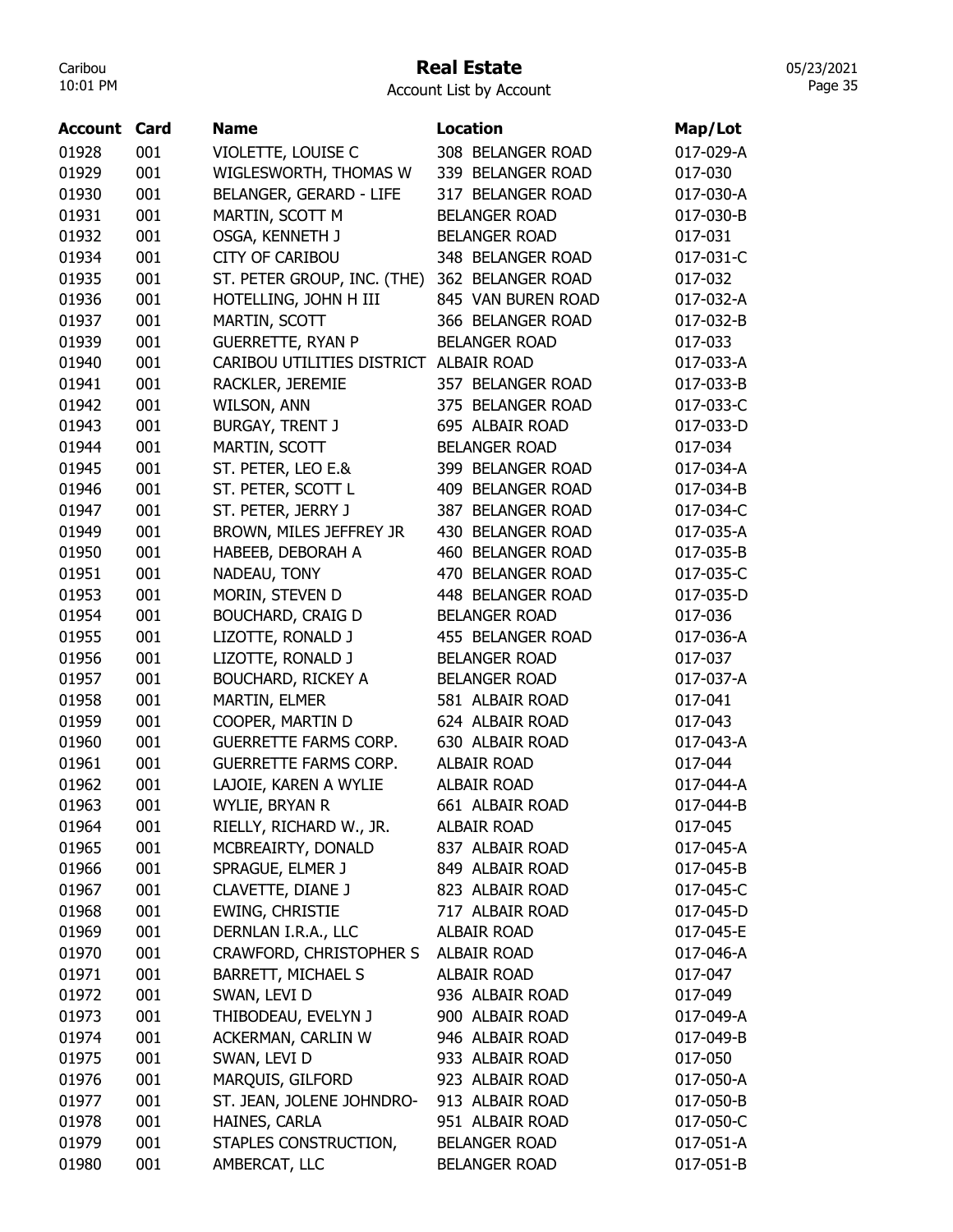#### Real Estate

Account List by Account

| <b>Account</b> | Card | <b>Name</b>                            | <b>Location</b>      | Map/Lot   |
|----------------|------|----------------------------------------|----------------------|-----------|
| 01928          | 001  | VIOLETTE, LOUISE C                     | 308 BELANGER ROAD    | 017-029-A |
| 01929          | 001  | WIGLESWORTH, THOMAS W                  | 339 BELANGER ROAD    | 017-030   |
| 01930          | 001  | <b>BELANGER, GERARD - LIFE</b>         | 317 BELANGER ROAD    | 017-030-A |
| 01931          | 001  | MARTIN, SCOTT M                        | <b>BELANGER ROAD</b> | 017-030-B |
| 01932          | 001  | OSGA, KENNETH J                        | <b>BELANGER ROAD</b> | 017-031   |
| 01934          | 001  | <b>CITY OF CARIBOU</b>                 | 348 BELANGER ROAD    | 017-031-C |
| 01935          | 001  | ST. PETER GROUP, INC. (THE)            | 362 BELANGER ROAD    | 017-032   |
| 01936          | 001  | HOTELLING, JOHN H III                  | 845 VAN BUREN ROAD   | 017-032-A |
| 01937          | 001  |                                        | 366 BELANGER ROAD    |           |
|                |      | MARTIN, SCOTT                          |                      | 017-032-B |
| 01939          | 001  | <b>GUERRETTE, RYAN P</b>               | <b>BELANGER ROAD</b> | 017-033   |
| 01940          | 001  | CARIBOU UTILITIES DISTRICT ALBAIR ROAD |                      | 017-033-A |
| 01941          | 001  | RACKLER, JEREMIE                       | 357 BELANGER ROAD    | 017-033-B |
| 01942          | 001  | WILSON, ANN                            | 375 BELANGER ROAD    | 017-033-C |
| 01943          | 001  | <b>BURGAY, TRENT J</b>                 | 695 ALBAIR ROAD      | 017-033-D |
| 01944          | 001  | MARTIN, SCOTT                          | <b>BELANGER ROAD</b> | 017-034   |
| 01945          | 001  | ST. PETER, LEO E.&                     | 399 BELANGER ROAD    | 017-034-A |
| 01946          | 001  | ST. PETER, SCOTT L                     | 409 BELANGER ROAD    | 017-034-B |
| 01947          | 001  | ST. PETER, JERRY J                     | 387 BELANGER ROAD    | 017-034-C |
| 01949          | 001  | BROWN, MILES JEFFREY JR                | 430 BELANGER ROAD    | 017-035-A |
| 01950          | 001  | HABEEB, DEBORAH A                      | 460 BELANGER ROAD    | 017-035-B |
| 01951          | 001  | NADEAU, TONY                           | 470 BELANGER ROAD    | 017-035-C |
| 01953          | 001  | MORIN, STEVEN D                        | 448 BELANGER ROAD    | 017-035-D |
| 01954          | 001  | <b>BOUCHARD, CRAIG D</b>               | <b>BELANGER ROAD</b> | 017-036   |
| 01955          | 001  | LIZOTTE, RONALD J                      | 455 BELANGER ROAD    | 017-036-A |
| 01956          | 001  | LIZOTTE, RONALD J                      | <b>BELANGER ROAD</b> | 017-037   |
| 01957          | 001  | <b>BOUCHARD, RICKEY A</b>              | <b>BELANGER ROAD</b> | 017-037-A |
| 01958          | 001  | MARTIN, ELMER                          | 581 ALBAIR ROAD      | 017-041   |
| 01959          | 001  | COOPER, MARTIN D                       | 624 ALBAIR ROAD      | 017-043   |
| 01960          | 001  | <b>GUERRETTE FARMS CORP.</b>           | 630 ALBAIR ROAD      | 017-043-A |
| 01961          | 001  | <b>GUERRETTE FARMS CORP.</b>           | <b>ALBAIR ROAD</b>   | 017-044   |
| 01962          | 001  | LAJOIE, KAREN A WYLIE                  | <b>ALBAIR ROAD</b>   | 017-044-A |
| 01963          | 001  | WYLIE, BRYAN R                         | 661 ALBAIR ROAD      | 017-044-B |
| 01964          | 001  | RIELLY, RICHARD W., JR.                | ALBAIR ROAD          | 017-045   |
| 01965          | 001  | MCBREAIRTY, DONALD                     | 837 ALBAIR ROAD      | 017-045-A |
| 01966          | 001  | SPRAGUE, ELMER J                       | 849 ALBAIR ROAD      | 017-045-B |
| 01967          | 001  | CLAVETTE, DIANE J                      | 823 ALBAIR ROAD      | 017-045-C |
| 01968          | 001  | EWING, CHRISTIE                        | 717 ALBAIR ROAD      | 017-045-D |
| 01969          | 001  | DERNLAN I.R.A., LLC                    | <b>ALBAIR ROAD</b>   | 017-045-E |
| 01970          | 001  | CRAWFORD, CHRISTOPHER S                | <b>ALBAIR ROAD</b>   | 017-046-A |
| 01971          | 001  | BARRETT, MICHAEL S                     | ALBAIR ROAD          | 017-047   |
| 01972          | 001  | SWAN, LEVI D                           | 936 ALBAIR ROAD      | 017-049   |
| 01973          | 001  | THIBODEAU, EVELYN J                    | 900 ALBAIR ROAD      | 017-049-A |
| 01974          | 001  | ACKERMAN, CARLIN W                     | 946 ALBAIR ROAD      | 017-049-B |
| 01975          | 001  | SWAN, LEVI D                           | 933 ALBAIR ROAD      | 017-050   |
| 01976          | 001  | MARQUIS, GILFORD                       | 923 ALBAIR ROAD      | 017-050-A |
| 01977          | 001  | ST. JEAN, JOLENE JOHNDRO-              | 913 ALBAIR ROAD      | 017-050-B |
| 01978          | 001  | HAINES, CARLA                          | 951 ALBAIR ROAD      | 017-050-C |
| 01979          | 001  |                                        |                      |           |
|                |      | STAPLES CONSTRUCTION,                  | <b>BELANGER ROAD</b> | 017-051-A |
| 01980          | 001  | AMBERCAT, LLC                          | <b>BELANGER ROAD</b> | 017-051-B |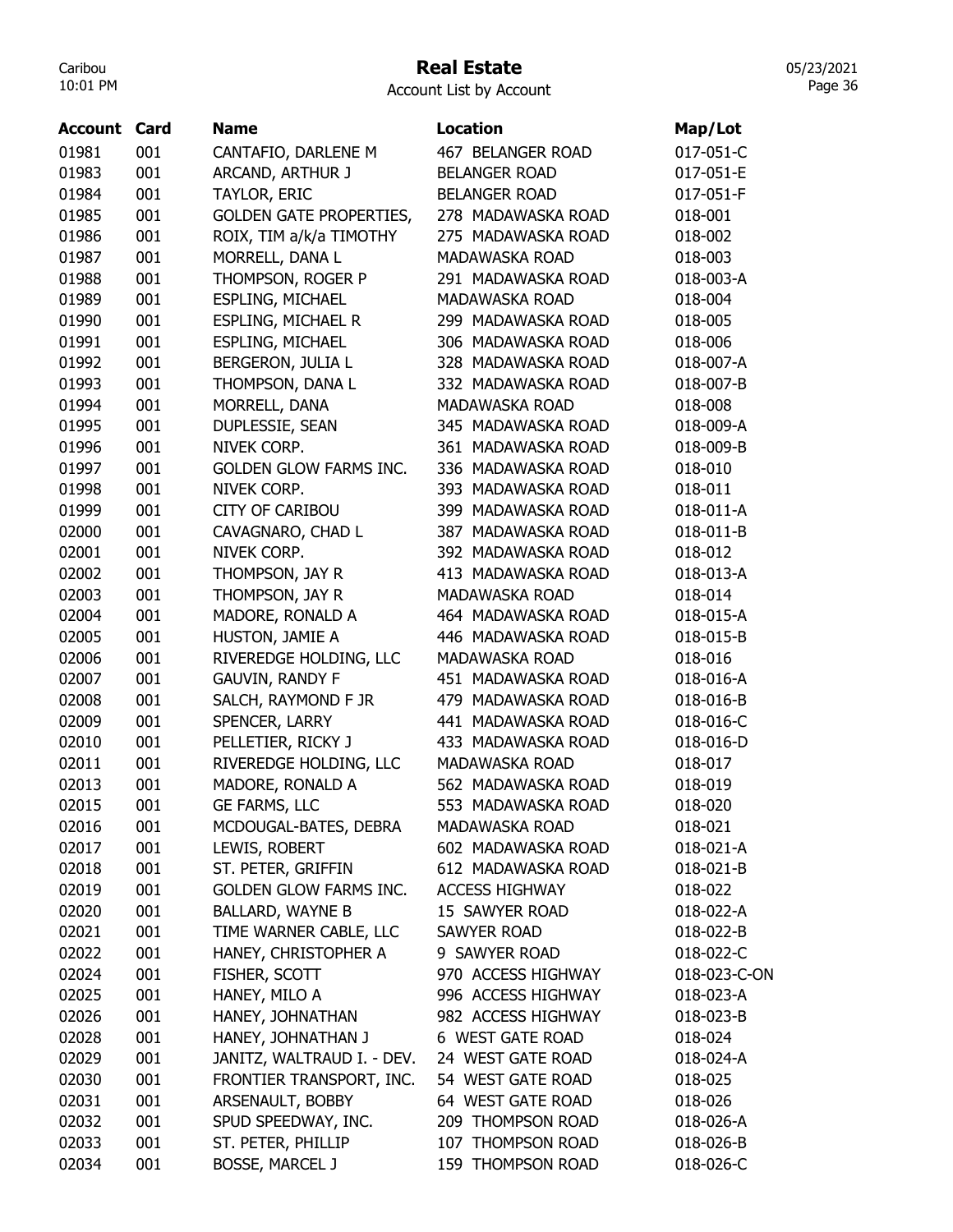## Real Estate

Account List by Account

| <b>Account Card</b> |     | <b>Name</b>                    | <b>Location</b>       | Map/Lot      |
|---------------------|-----|--------------------------------|-----------------------|--------------|
| 01981               | 001 | CANTAFIO, DARLENE M            | 467 BELANGER ROAD     | 017-051-C    |
| 01983               | 001 | ARCAND, ARTHUR J               | <b>BELANGER ROAD</b>  | 017-051-E    |
| 01984               | 001 | TAYLOR, ERIC                   | <b>BELANGER ROAD</b>  | 017-051-F    |
| 01985               | 001 | <b>GOLDEN GATE PROPERTIES,</b> | 278 MADAWASKA ROAD    | 018-001      |
| 01986               | 001 | ROIX, TIM a/k/a TIMOTHY        | 275 MADAWASKA ROAD    | 018-002      |
| 01987               | 001 | MORRELL, DANA L                | MADAWASKA ROAD        | 018-003      |
| 01988               | 001 | THOMPSON, ROGER P              | 291 MADAWASKA ROAD    | 018-003-A    |
| 01989               | 001 | <b>ESPLING, MICHAEL</b>        | MADAWASKA ROAD        | 018-004      |
| 01990               | 001 | <b>ESPLING, MICHAEL R</b>      | 299 MADAWASKA ROAD    | 018-005      |
| 01991               | 001 | <b>ESPLING, MICHAEL</b>        | 306 MADAWASKA ROAD    | 018-006      |
| 01992               | 001 | BERGERON, JULIA L              | 328 MADAWASKA ROAD    | 018-007-A    |
| 01993               | 001 | THOMPSON, DANA L               | 332 MADAWASKA ROAD    | 018-007-B    |
| 01994               | 001 | MORRELL, DANA                  | MADAWASKA ROAD        | 018-008      |
| 01995               | 001 | DUPLESSIE, SEAN                | 345 MADAWASKA ROAD    | 018-009-A    |
| 01996               | 001 | NIVEK CORP.                    | 361 MADAWASKA ROAD    | 018-009-B    |
| 01997               | 001 | <b>GOLDEN GLOW FARMS INC.</b>  | 336 MADAWASKA ROAD    | 018-010      |
| 01998               | 001 | NIVEK CORP.                    | 393 MADAWASKA ROAD    | 018-011      |
| 01999               | 001 | <b>CITY OF CARIBOU</b>         | 399 MADAWASKA ROAD    | 018-011-A    |
| 02000               | 001 | CAVAGNARO, CHAD L              | 387 MADAWASKA ROAD    | 018-011-B    |
| 02001               | 001 | NIVEK CORP.                    | 392 MADAWASKA ROAD    | 018-012      |
| 02002               | 001 | THOMPSON, JAY R                | 413 MADAWASKA ROAD    | 018-013-A    |
| 02003               | 001 | THOMPSON, JAY R                | <b>MADAWASKA ROAD</b> | 018-014      |
| 02004               | 001 | MADORE, RONALD A               | 464 MADAWASKA ROAD    | 018-015-A    |
| 02005               | 001 | HUSTON, JAMIE A                | 446 MADAWASKA ROAD    | 018-015-B    |
| 02006               | 001 | RIVEREDGE HOLDING, LLC         | MADAWASKA ROAD        | 018-016      |
| 02007               | 001 | <b>GAUVIN, RANDY F</b>         | 451 MADAWASKA ROAD    | 018-016-A    |
| 02008               | 001 | SALCH, RAYMOND F JR            | 479 MADAWASKA ROAD    | 018-016-B    |
| 02009               | 001 | SPENCER, LARRY                 | 441 MADAWASKA ROAD    | 018-016-C    |
| 02010               | 001 | PELLETIER, RICKY J             | 433 MADAWASKA ROAD    | 018-016-D    |
| 02011               | 001 | RIVEREDGE HOLDING, LLC         | MADAWASKA ROAD        | 018-017      |
| 02013               | 001 | MADORE, RONALD A               | 562 MADAWASKA ROAD    | 018-019      |
| 02015               | 001 | GE FARMS, LLC                  | 553 MADAWASKA ROAD    | 018-020      |
| 02016               | 001 | MCDOUGAL-BATES, DEBRA          | MADAWASKA ROAD        | 018-021      |
| 02017               | 001 | LEWIS, ROBERT                  | 602 MADAWASKA ROAD    | 018-021-A    |
| 02018               | 001 | ST. PETER, GRIFFIN             | 612 MADAWASKA ROAD    | 018-021-B    |
| 02019               | 001 | <b>GOLDEN GLOW FARMS INC.</b>  | <b>ACCESS HIGHWAY</b> | 018-022      |
| 02020               | 001 | <b>BALLARD, WAYNE B</b>        | 15 SAWYER ROAD        | 018-022-A    |
| 02021               | 001 | TIME WARNER CABLE, LLC         | <b>SAWYER ROAD</b>    | 018-022-B    |
| 02022               | 001 | HANEY, CHRISTOPHER A           | 9 SAWYER ROAD         | 018-022-C    |
| 02024               | 001 | FISHER, SCOTT                  | 970 ACCESS HIGHWAY    | 018-023-C-ON |
| 02025               | 001 | HANEY, MILO A                  | 996 ACCESS HIGHWAY    | 018-023-A    |
| 02026               | 001 | HANEY, JOHNATHAN               | 982 ACCESS HIGHWAY    | 018-023-B    |
| 02028               | 001 | HANEY, JOHNATHAN J             | 6 WEST GATE ROAD      | 018-024      |
| 02029               | 001 | JANITZ, WALTRAUD I. - DEV.     | 24 WEST GATE ROAD     | 018-024-A    |
| 02030               | 001 | FRONTIER TRANSPORT, INC.       | 54 WEST GATE ROAD     | 018-025      |
| 02031               | 001 | ARSENAULT, BOBBY               | 64 WEST GATE ROAD     | 018-026      |
| 02032               | 001 | SPUD SPEEDWAY, INC.            | 209 THOMPSON ROAD     | 018-026-A    |
| 02033               | 001 | ST. PETER, PHILLIP             | 107 THOMPSON ROAD     | 018-026-B    |
| 02034               | 001 | <b>BOSSE, MARCEL J</b>         | 159 THOMPSON ROAD     | 018-026-C    |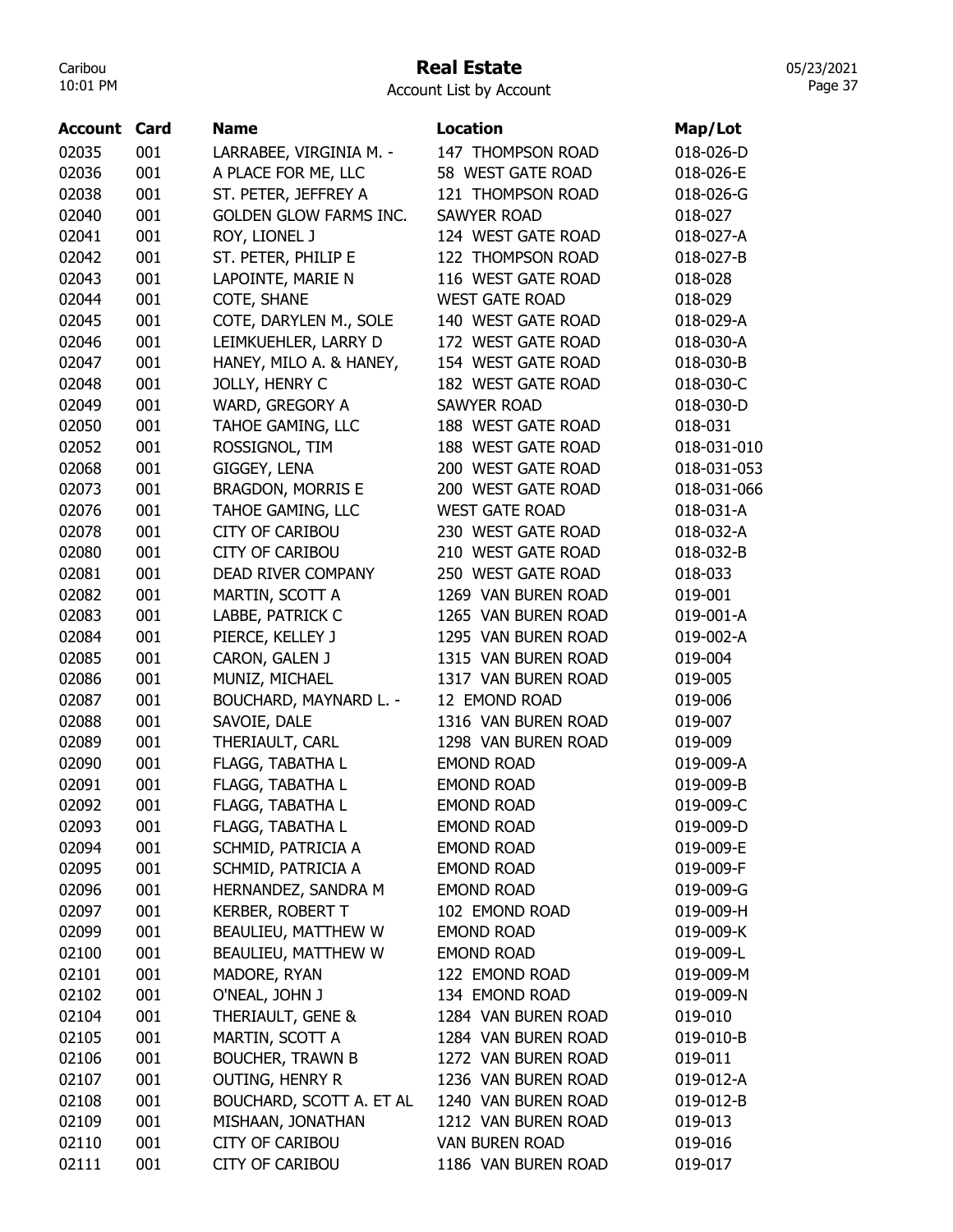#### Real Estate

Account List by Account

| Account | Card | <b>Name</b>                   | <b>Location</b>       | Map/Lot     |
|---------|------|-------------------------------|-----------------------|-------------|
| 02035   | 001  | LARRABEE, VIRGINIA M. -       | 147 THOMPSON ROAD     | 018-026-D   |
| 02036   | 001  | A PLACE FOR ME, LLC           | 58 WEST GATE ROAD     | 018-026-E   |
| 02038   | 001  | ST. PETER, JEFFREY A          | 121 THOMPSON ROAD     | 018-026-G   |
| 02040   | 001  | <b>GOLDEN GLOW FARMS INC.</b> | <b>SAWYER ROAD</b>    | 018-027     |
| 02041   | 001  | ROY, LIONEL J                 | 124 WEST GATE ROAD    | 018-027-A   |
| 02042   | 001  | ST. PETER, PHILIP E           | 122 THOMPSON ROAD     | 018-027-B   |
| 02043   | 001  | LAPOINTE, MARIE N             | 116 WEST GATE ROAD    | 018-028     |
| 02044   | 001  | COTE, SHANE                   | <b>WEST GATE ROAD</b> | 018-029     |
| 02045   | 001  | COTE, DARYLEN M., SOLE        | 140 WEST GATE ROAD    | 018-029-A   |
| 02046   | 001  | LEIMKUEHLER, LARRY D          | 172 WEST GATE ROAD    | 018-030-A   |
| 02047   | 001  | HANEY, MILO A. & HANEY,       | 154 WEST GATE ROAD    | 018-030-B   |
| 02048   | 001  | JOLLY, HENRY C                | 182 WEST GATE ROAD    | 018-030-C   |
| 02049   | 001  | WARD, GREGORY A               | <b>SAWYER ROAD</b>    | 018-030-D   |
| 02050   | 001  | TAHOE GAMING, LLC             | 188 WEST GATE ROAD    | 018-031     |
| 02052   | 001  | ROSSIGNOL, TIM                | 188 WEST GATE ROAD    | 018-031-010 |
| 02068   | 001  | GIGGEY, LENA                  | 200 WEST GATE ROAD    | 018-031-053 |
|         | 001  |                               | 200 WEST GATE ROAD    |             |
| 02073   |      | <b>BRAGDON, MORRIS E</b>      |                       | 018-031-066 |
| 02076   | 001  | TAHOE GAMING, LLC             | <b>WEST GATE ROAD</b> | 018-031-A   |
| 02078   | 001  | <b>CITY OF CARIBOU</b>        | 230 WEST GATE ROAD    | 018-032-A   |
| 02080   | 001  | <b>CITY OF CARIBOU</b>        | 210 WEST GATE ROAD    | 018-032-B   |
| 02081   | 001  | DEAD RIVER COMPANY            | 250 WEST GATE ROAD    | 018-033     |
| 02082   | 001  | MARTIN, SCOTT A               | 1269 VAN BUREN ROAD   | 019-001     |
| 02083   | 001  | LABBE, PATRICK C              | 1265 VAN BUREN ROAD   | 019-001-A   |
| 02084   | 001  | PIERCE, KELLEY J              | 1295 VAN BUREN ROAD   | 019-002-A   |
| 02085   | 001  | CARON, GALEN J                | 1315 VAN BUREN ROAD   | 019-004     |
| 02086   | 001  | MUNIZ, MICHAEL                | 1317 VAN BUREN ROAD   | 019-005     |
| 02087   | 001  | <b>BOUCHARD, MAYNARD L. -</b> | 12 EMOND ROAD         | 019-006     |
| 02088   | 001  | SAVOIE, DALE                  | 1316 VAN BUREN ROAD   | 019-007     |
| 02089   | 001  | THERIAULT, CARL               | 1298 VAN BUREN ROAD   | 019-009     |
| 02090   | 001  | FLAGG, TABATHA L              | <b>EMOND ROAD</b>     | 019-009-A   |
| 02091   | 001  | FLAGG, TABATHA L              | <b>EMOND ROAD</b>     | 019-009-B   |
| 02092   | 001  | FLAGG, TABATHA L              | <b>EMOND ROAD</b>     | 019-009-C   |
| 02093   | 001  | FLAGG, TABATHA L              | <b>EMOND ROAD</b>     | 019-009-D   |
| 02094   | 001  | SCHMID, PATRICIA A            | <b>EMOND ROAD</b>     | 019-009-E   |
| 02095   | 001  | SCHMID, PATRICIA A            | <b>EMOND ROAD</b>     | 019-009-F   |
| 02096   | 001  | HERNANDEZ, SANDRA M           | <b>EMOND ROAD</b>     | 019-009-G   |
| 02097   | 001  | <b>KERBER, ROBERT T</b>       | 102 EMOND ROAD        | 019-009-H   |
| 02099   | 001  | BEAULIEU, MATTHEW W           | <b>EMOND ROAD</b>     | 019-009-K   |
| 02100   | 001  | BEAULIEU, MATTHEW W           | <b>EMOND ROAD</b>     | 019-009-L   |
| 02101   | 001  | MADORE, RYAN                  | 122 EMOND ROAD        | 019-009-M   |
| 02102   | 001  | O'NEAL, JOHN J                | 134 EMOND ROAD        | 019-009-N   |
| 02104   | 001  | THERIAULT, GENE &             | 1284 VAN BUREN ROAD   | 019-010     |
| 02105   | 001  | MARTIN, SCOTT A               | 1284 VAN BUREN ROAD   | 019-010-B   |
| 02106   | 001  | <b>BOUCHER, TRAWN B</b>       | 1272 VAN BUREN ROAD   | 019-011     |
| 02107   | 001  | <b>OUTING, HENRY R</b>        | 1236 VAN BUREN ROAD   | 019-012-A   |
| 02108   | 001  | BOUCHARD, SCOTT A. ET AL      | 1240 VAN BUREN ROAD   | 019-012-B   |
| 02109   | 001  | MISHAAN, JONATHAN             | 1212 VAN BUREN ROAD   | 019-013     |
|         | 001  |                               | <b>VAN BUREN ROAD</b> | 019-016     |
| 02110   |      | <b>CITY OF CARIBOU</b>        |                       |             |
| 02111   | 001  | <b>CITY OF CARIBOU</b>        | 1186 VAN BUREN ROAD   | 019-017     |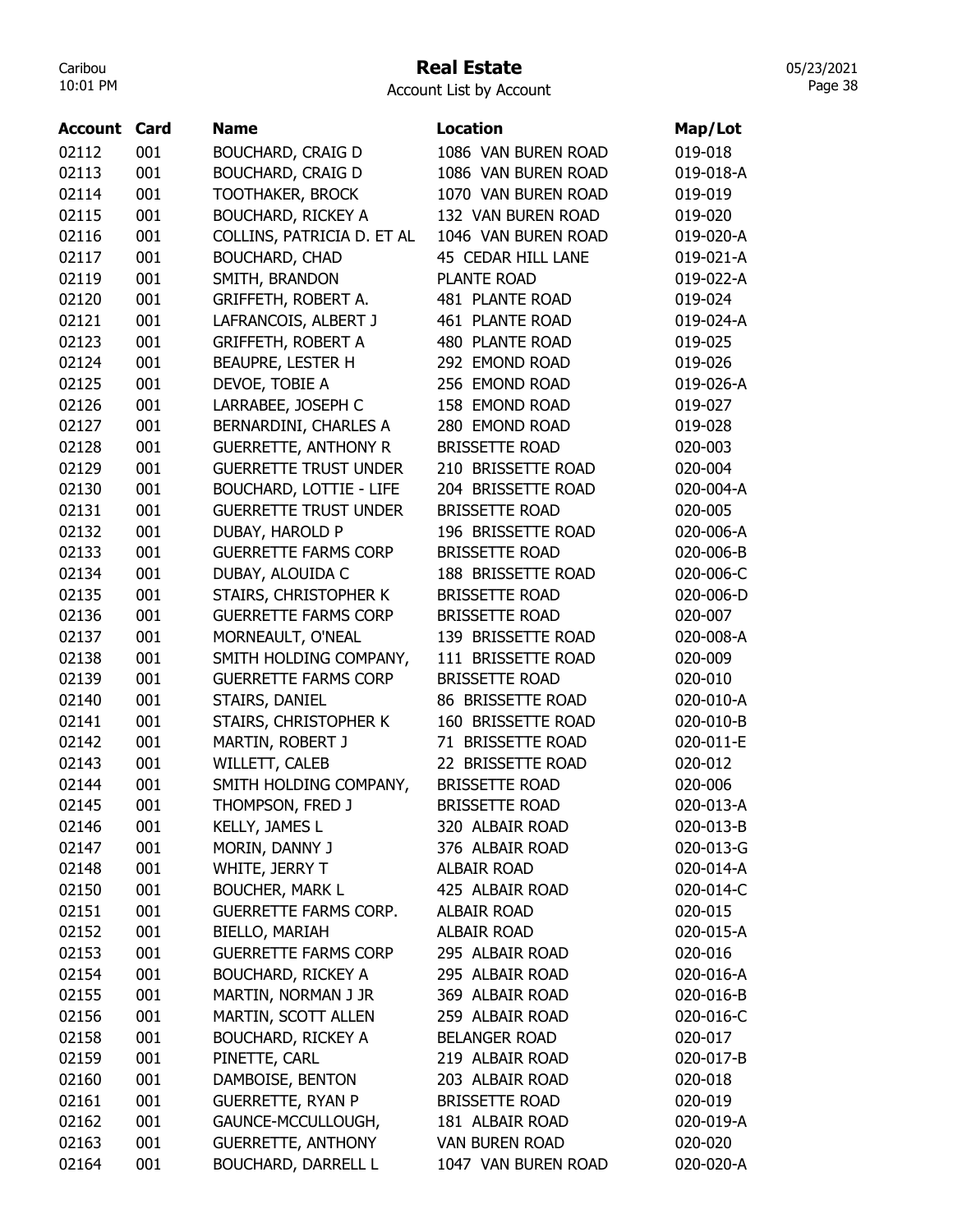## Real Estate

Account List by Account

| <b>Account</b> | Card | <b>Name</b>                    | Location              | Map/Lot   |
|----------------|------|--------------------------------|-----------------------|-----------|
| 02112          | 001  | <b>BOUCHARD, CRAIG D</b>       | 1086 VAN BUREN ROAD   | 019-018   |
| 02113          | 001  | <b>BOUCHARD, CRAIG D</b>       | 1086 VAN BUREN ROAD   | 019-018-A |
| 02114          | 001  | <b>TOOTHAKER, BROCK</b>        | 1070 VAN BUREN ROAD   | 019-019   |
| 02115          | 001  | <b>BOUCHARD, RICKEY A</b>      | 132 VAN BUREN ROAD    | 019-020   |
| 02116          | 001  | COLLINS, PATRICIA D. ET AL     | 1046 VAN BUREN ROAD   | 019-020-A |
| 02117          | 001  | <b>BOUCHARD, CHAD</b>          | 45 CEDAR HILL LANE    | 019-021-A |
| 02119          | 001  | SMITH, BRANDON                 | PLANTE ROAD           | 019-022-A |
| 02120          | 001  | GRIFFETH, ROBERT A.            | 481 PLANTE ROAD       | 019-024   |
| 02121          | 001  | LAFRANCOIS, ALBERT J           | 461 PLANTE ROAD       | 019-024-A |
| 02123          | 001  | <b>GRIFFETH, ROBERT A</b>      | 480 PLANTE ROAD       | 019-025   |
| 02124          | 001  | BEAUPRE, LESTER H              | 292 EMOND ROAD        | 019-026   |
| 02125          | 001  | DEVOE, TOBIE A                 | 256 EMOND ROAD        | 019-026-A |
| 02126          | 001  | LARRABEE, JOSEPH C             | 158 EMOND ROAD        | 019-027   |
| 02127          | 001  | BERNARDINI, CHARLES A          | 280 EMOND ROAD        | 019-028   |
| 02128          | 001  | <b>GUERRETTE, ANTHONY R</b>    | <b>BRISSETTE ROAD</b> | 020-003   |
| 02129          | 001  | <b>GUERRETTE TRUST UNDER</b>   | 210 BRISSETTE ROAD    | 020-004   |
| 02130          | 001  | <b>BOUCHARD, LOTTIE - LIFE</b> | 204 BRISSETTE ROAD    | 020-004-A |
| 02131          | 001  | <b>GUERRETTE TRUST UNDER</b>   | <b>BRISSETTE ROAD</b> | 020-005   |
| 02132          | 001  | DUBAY, HAROLD P                | 196 BRISSETTE ROAD    | 020-006-A |
| 02133          | 001  | <b>GUERRETTE FARMS CORP</b>    | <b>BRISSETTE ROAD</b> | 020-006-B |
| 02134          | 001  | DUBAY, ALOUIDA C               | 188 BRISSETTE ROAD    | 020-006-C |
| 02135          | 001  | STAIRS, CHRISTOPHER K          | <b>BRISSETTE ROAD</b> | 020-006-D |
| 02136          | 001  | <b>GUERRETTE FARMS CORP</b>    | <b>BRISSETTE ROAD</b> | 020-007   |
| 02137          | 001  | MORNEAULT, O'NEAL              | 139 BRISSETTE ROAD    | 020-008-A |
| 02138          | 001  | SMITH HOLDING COMPANY,         | 111 BRISSETTE ROAD    | 020-009   |
| 02139          | 001  | <b>GUERRETTE FARMS CORP</b>    | <b>BRISSETTE ROAD</b> | 020-010   |
| 02140          | 001  | STAIRS, DANIEL                 | 86 BRISSETTE ROAD     | 020-010-A |
| 02141          | 001  | STAIRS, CHRISTOPHER K          | 160 BRISSETTE ROAD    | 020-010-B |
| 02142          | 001  | MARTIN, ROBERT J               | 71 BRISSETTE ROAD     | 020-011-E |
| 02143          | 001  | WILLETT, CALEB                 | 22 BRISSETTE ROAD     | 020-012   |
| 02144          | 001  | SMITH HOLDING COMPANY,         | <b>BRISSETTE ROAD</b> | 020-006   |
| 02145          | 001  | THOMPSON, FRED J               | <b>BRISSETTE ROAD</b> | 020-013-A |
| 02146          | 001  | KELLY, JAMES L                 | 320 ALBAIR ROAD       | 020-013-B |
| 02147          | 001  | MORIN, DANNY J                 | 376 ALBAIR ROAD       | 020-013-G |
| 02148          | 001  | WHITE, JERRY T                 | <b>ALBAIR ROAD</b>    | 020-014-A |
| 02150          | 001  | <b>BOUCHER, MARK L</b>         | 425 ALBAIR ROAD       | 020-014-C |
| 02151          | 001  | <b>GUERRETTE FARMS CORP.</b>   | ALBAIR ROAD           | 020-015   |
| 02152          | 001  | BIELLO, MARIAH                 | <b>ALBAIR ROAD</b>    | 020-015-A |
| 02153          | 001  | <b>GUERRETTE FARMS CORP</b>    | 295 ALBAIR ROAD       | 020-016   |
| 02154          | 001  | <b>BOUCHARD, RICKEY A</b>      | 295 ALBAIR ROAD       | 020-016-A |
| 02155          | 001  | MARTIN, NORMAN J JR            | 369 ALBAIR ROAD       | 020-016-B |
| 02156          | 001  | MARTIN, SCOTT ALLEN            | 259 ALBAIR ROAD       | 020-016-C |
| 02158          | 001  | <b>BOUCHARD, RICKEY A</b>      | <b>BELANGER ROAD</b>  | 020-017   |
| 02159          | 001  | PINETTE, CARL                  | 219 ALBAIR ROAD       | 020-017-B |
| 02160          | 001  | DAMBOISE, BENTON               | 203 ALBAIR ROAD       | 020-018   |
| 02161          | 001  | <b>GUERRETTE, RYAN P</b>       | <b>BRISSETTE ROAD</b> | 020-019   |
| 02162          | 001  | GAUNCE-MCCULLOUGH,             | 181 ALBAIR ROAD       | 020-019-A |
| 02163          | 001  | <b>GUERRETTE, ANTHONY</b>      | <b>VAN BUREN ROAD</b> | 020-020   |
| 02164          | 001  | <b>BOUCHARD, DARRELL L</b>     | 1047 VAN BUREN ROAD   | 020-020-A |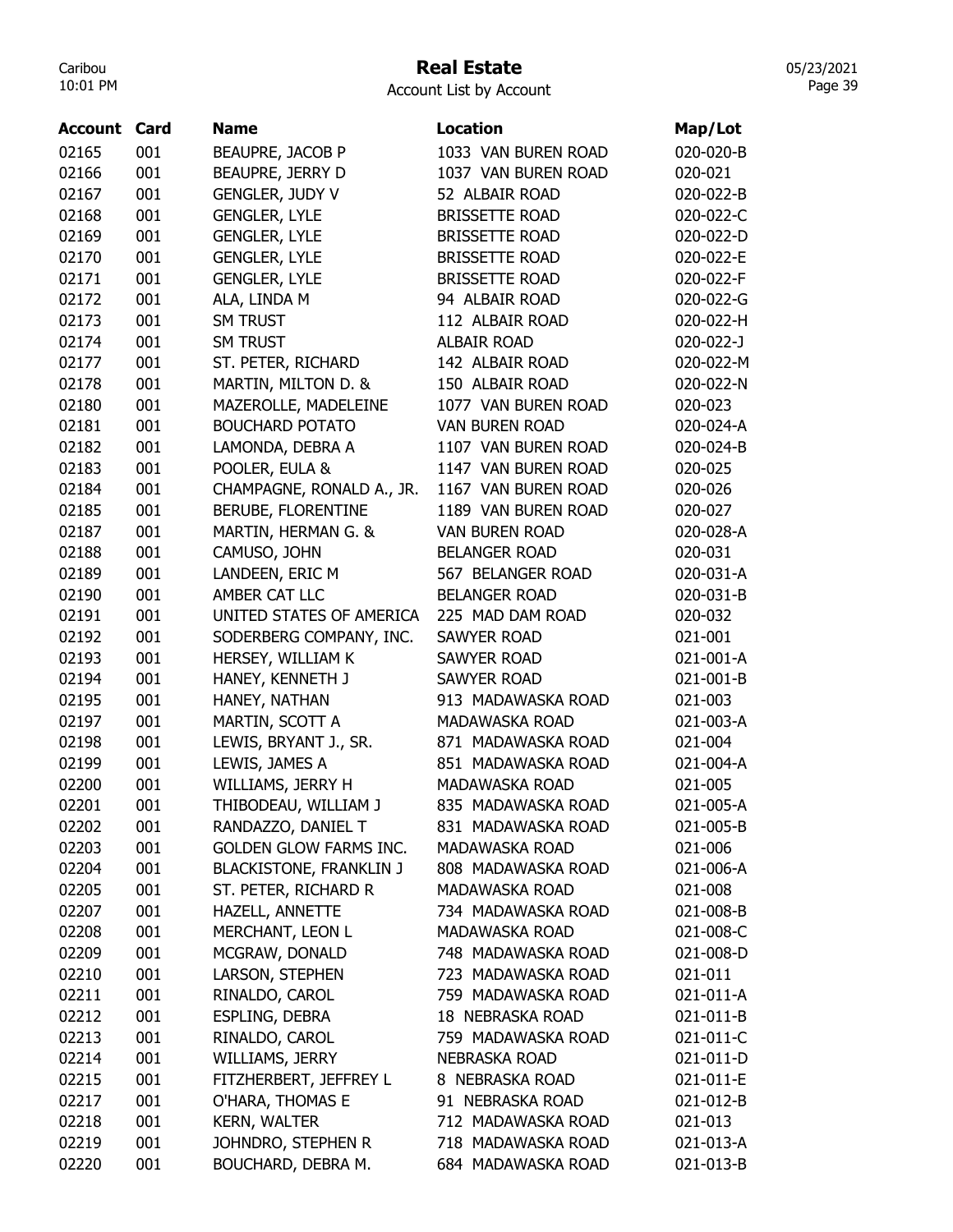## Real Estate Account List by Account

| <b>Account Card</b> |     | <b>Name</b>                    | <b>Location</b>       | Map/Lot   |
|---------------------|-----|--------------------------------|-----------------------|-----------|
| 02165               | 001 | BEAUPRE, JACOB P               | 1033 VAN BUREN ROAD   | 020-020-B |
| 02166               | 001 | BEAUPRE, JERRY D               | 1037 VAN BUREN ROAD   | 020-021   |
| 02167               | 001 | <b>GENGLER, JUDY V</b>         | 52 ALBAIR ROAD        | 020-022-B |
| 02168               | 001 | <b>GENGLER, LYLE</b>           | <b>BRISSETTE ROAD</b> | 020-022-C |
| 02169               | 001 | <b>GENGLER, LYLE</b>           | <b>BRISSETTE ROAD</b> | 020-022-D |
| 02170               | 001 | <b>GENGLER, LYLE</b>           | <b>BRISSETTE ROAD</b> | 020-022-E |
| 02171               | 001 | <b>GENGLER, LYLE</b>           | <b>BRISSETTE ROAD</b> | 020-022-F |
| 02172               | 001 | ALA, LINDA M                   | 94 ALBAIR ROAD        | 020-022-G |
| 02173               | 001 | <b>SM TRUST</b>                | 112 ALBAIR ROAD       | 020-022-H |
| 02174               | 001 | SM TRUST                       | <b>ALBAIR ROAD</b>    | 020-022-J |
| 02177               | 001 | ST. PETER, RICHARD             | 142 ALBAIR ROAD       | 020-022-M |
| 02178               | 001 | MARTIN, MILTON D. &            | 150 ALBAIR ROAD       | 020-022-N |
| 02180               | 001 | MAZEROLLE, MADELEINE           | 1077 VAN BUREN ROAD   | 020-023   |
| 02181               | 001 | <b>BOUCHARD POTATO</b>         | <b>VAN BUREN ROAD</b> | 020-024-A |
| 02182               | 001 | LAMONDA, DEBRA A               | 1107 VAN BUREN ROAD   | 020-024-B |
| 02183               | 001 | POOLER, EULA &                 | 1147 VAN BUREN ROAD   | 020-025   |
| 02184               | 001 | CHAMPAGNE, RONALD A., JR.      | 1167 VAN BUREN ROAD   | 020-026   |
| 02185               | 001 | BERUBE, FLORENTINE             | 1189 VAN BUREN ROAD   | 020-027   |
| 02187               | 001 | MARTIN, HERMAN G. &            | <b>VAN BUREN ROAD</b> | 020-028-A |
|                     | 001 | CAMUSO, JOHN                   | <b>BELANGER ROAD</b>  | 020-031   |
| 02188<br>02189      | 001 |                                |                       |           |
|                     |     | LANDEEN, ERIC M                | 567 BELANGER ROAD     | 020-031-A |
| 02190               | 001 | AMBER CAT LLC                  | <b>BELANGER ROAD</b>  | 020-031-B |
| 02191               | 001 | UNITED STATES OF AMERICA       | 225 MAD DAM ROAD      | 020-032   |
| 02192               | 001 | SODERBERG COMPANY, INC.        | <b>SAWYER ROAD</b>    | 021-001   |
| 02193               | 001 | HERSEY, WILLIAM K              | <b>SAWYER ROAD</b>    | 021-001-A |
| 02194               | 001 | HANEY, KENNETH J               | SAWYER ROAD           | 021-001-B |
| 02195               | 001 | HANEY, NATHAN                  | 913 MADAWASKA ROAD    | 021-003   |
| 02197               | 001 | MARTIN, SCOTT A                | <b>MADAWASKA ROAD</b> | 021-003-A |
| 02198               | 001 | LEWIS, BRYANT J., SR.          | 871 MADAWASKA ROAD    | 021-004   |
| 02199               | 001 | LEWIS, JAMES A                 | 851 MADAWASKA ROAD    | 021-004-A |
| 02200               | 001 | WILLIAMS, JERRY H              | MADAWASKA ROAD        | 021-005   |
| 02201               | 001 | THIBODEAU, WILLIAM J           | 835 MADAWASKA ROAD    | 021-005-A |
| 02202               | 001 | RANDAZZO, DANIEL T             | 831 MADAWASKA ROAD    | 021-005-B |
| 02203               | 001 | <b>GOLDEN GLOW FARMS INC.</b>  | MADAWASKA ROAD        | 021-006   |
| 02204               | 001 | <b>BLACKISTONE, FRANKLIN J</b> | 808 MADAWASKA ROAD    | 021-006-A |
| 02205               | 001 | ST. PETER, RICHARD R           | MADAWASKA ROAD        | 021-008   |
| 02207               | 001 | HAZELL, ANNETTE                | 734 MADAWASKA ROAD    | 021-008-B |
| 02208               | 001 | MERCHANT, LEON L               | <b>MADAWASKA ROAD</b> | 021-008-C |
| 02209               | 001 | MCGRAW, DONALD                 | 748 MADAWASKA ROAD    | 021-008-D |
| 02210               | 001 | LARSON, STEPHEN                | 723 MADAWASKA ROAD    | 021-011   |
| 02211               | 001 | RINALDO, CAROL                 | 759 MADAWASKA ROAD    | 021-011-A |
| 02212               | 001 | ESPLING, DEBRA                 | 18 NEBRASKA ROAD      | 021-011-B |
| 02213               | 001 | RINALDO, CAROL                 | 759 MADAWASKA ROAD    | 021-011-C |
| 02214               | 001 | WILLIAMS, JERRY                | <b>NEBRASKA ROAD</b>  | 021-011-D |
| 02215               | 001 | FITZHERBERT, JEFFREY L         | 8 NEBRASKA ROAD       | 021-011-E |
| 02217               | 001 | O'HARA, THOMAS E               | 91 NEBRASKA ROAD      | 021-012-B |
| 02218               | 001 | <b>KERN, WALTER</b>            | 712 MADAWASKA ROAD    | 021-013   |
| 02219               | 001 | JOHNDRO, STEPHEN R             | 718 MADAWASKA ROAD    | 021-013-A |
| 02220               | 001 | BOUCHARD, DEBRA M.             | 684 MADAWASKA ROAD    | 021-013-B |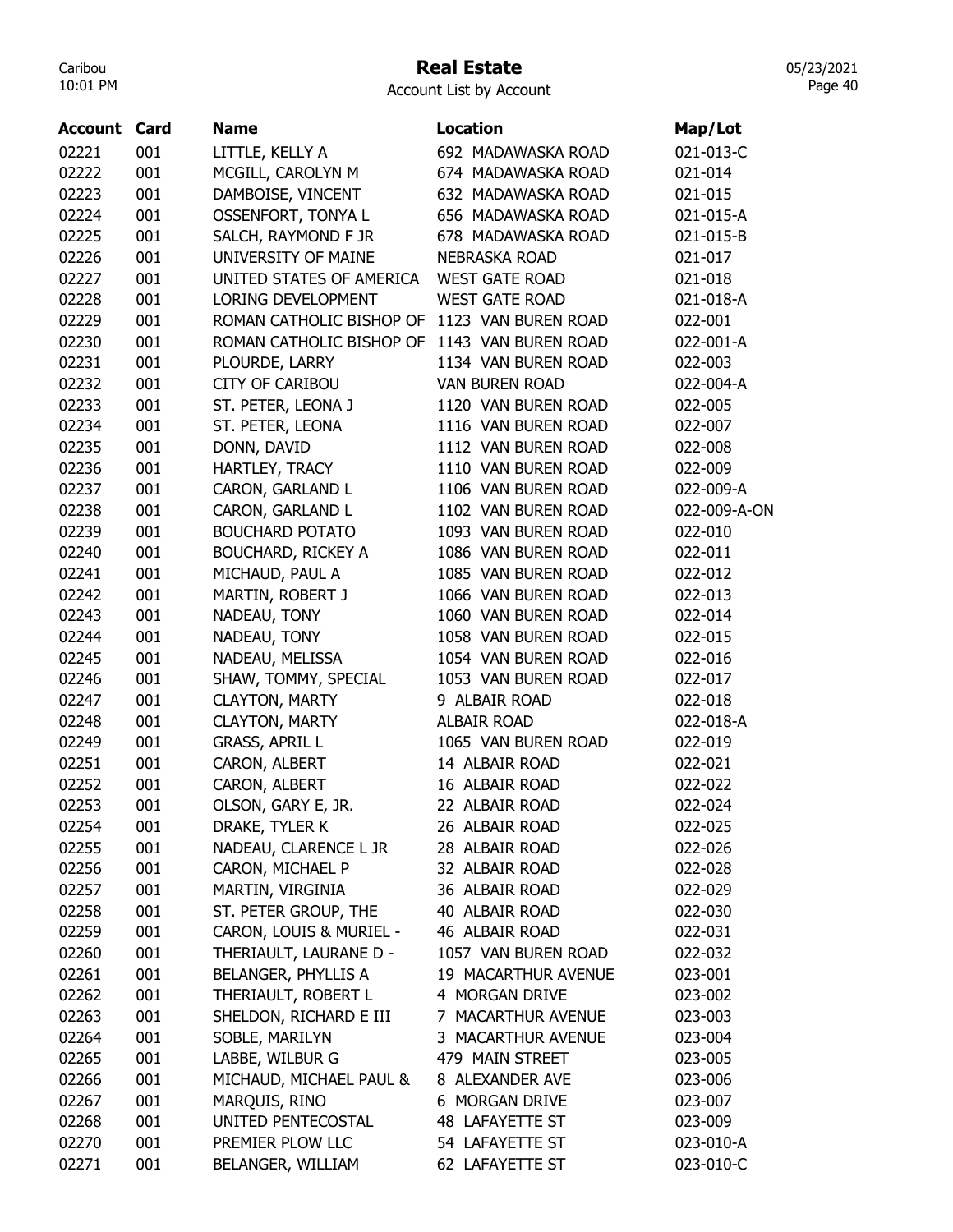### Real Estate

05/23/2021 Page 40

| <b>Account Card</b> |     | <b>Name</b>                | <b>Location</b>       | Map/Lot      |
|---------------------|-----|----------------------------|-----------------------|--------------|
| 02221               | 001 | LITTLE, KELLY A            | 692 MADAWASKA ROAD    | 021-013-C    |
| 02222               | 001 | MCGILL, CAROLYN M          | 674 MADAWASKA ROAD    | 021-014      |
| 02223               | 001 | DAMBOISE, VINCENT          | 632 MADAWASKA ROAD    | 021-015      |
| 02224               | 001 | OSSENFORT, TONYA L         | 656 MADAWASKA ROAD    | 021-015-A    |
| 02225               | 001 | SALCH, RAYMOND F JR        | 678 MADAWASKA ROAD    | 021-015-B    |
| 02226               | 001 | UNIVERSITY OF MAINE        | <b>NEBRASKA ROAD</b>  | 021-017      |
| 02227               | 001 | UNITED STATES OF AMERICA   | <b>WEST GATE ROAD</b> | 021-018      |
| 02228               | 001 | LORING DEVELOPMENT         | <b>WEST GATE ROAD</b> | 021-018-A    |
| 02229               | 001 | ROMAN CATHOLIC BISHOP OF   | 1123 VAN BUREN ROAD   | 022-001      |
| 02230               | 001 | ROMAN CATHOLIC BISHOP OF   | 1143 VAN BUREN ROAD   | 022-001-A    |
| 02231               | 001 | PLOURDE, LARRY             | 1134 VAN BUREN ROAD   | 022-003      |
| 02232               | 001 | <b>CITY OF CARIBOU</b>     | <b>VAN BUREN ROAD</b> | 022-004-A    |
| 02233               | 001 | ST. PETER, LEONA J         | 1120 VAN BUREN ROAD   | 022-005      |
| 02234               | 001 | ST. PETER, LEONA           | 1116 VAN BUREN ROAD   | 022-007      |
| 02235               | 001 | DONN, DAVID                | 1112 VAN BUREN ROAD   | 022-008      |
| 02236               | 001 | HARTLEY, TRACY             | 1110 VAN BUREN ROAD   | 022-009      |
| 02237               | 001 | CARON, GARLAND L           | 1106 VAN BUREN ROAD   | 022-009-A    |
| 02238               | 001 | CARON, GARLAND L           | 1102 VAN BUREN ROAD   | 022-009-A-ON |
| 02239               | 001 | <b>BOUCHARD POTATO</b>     | 1093 VAN BUREN ROAD   | 022-010      |
| 02240               | 001 | <b>BOUCHARD, RICKEY A</b>  | 1086 VAN BUREN ROAD   | 022-011      |
| 02241               | 001 | MICHAUD, PAUL A            | 1085 VAN BUREN ROAD   | 022-012      |
| 02242               | 001 | MARTIN, ROBERT J           | 1066 VAN BUREN ROAD   | 022-013      |
| 02243               | 001 | NADEAU, TONY               | 1060 VAN BUREN ROAD   | 022-014      |
| 02244               | 001 | NADEAU, TONY               | 1058 VAN BUREN ROAD   | 022-015      |
| 02245               | 001 | NADEAU, MELISSA            | 1054 VAN BUREN ROAD   | 022-016      |
| 02246               | 001 | SHAW, TOMMY, SPECIAL       | 1053 VAN BUREN ROAD   | 022-017      |
| 02247               | 001 | <b>CLAYTON, MARTY</b>      | 9 ALBAIR ROAD         | 022-018      |
| 02248               | 001 | <b>CLAYTON, MARTY</b>      | <b>ALBAIR ROAD</b>    | 022-018-A    |
| 02249               | 001 | <b>GRASS, APRIL L</b>      | 1065 VAN BUREN ROAD   | 022-019      |
| 02251               | 001 | CARON, ALBERT              | 14 ALBAIR ROAD        | 022-021      |
| 02252               | 001 | CARON, ALBERT              | 16 ALBAIR ROAD        | 022-022      |
| 02253               | 001 | OLSON, GARY E, JR.         | 22 ALBAIR ROAD        | 022-024      |
| 02254               | 001 | DRAKE, TYLER K             | 26 ALBAIR ROAD        | 022-025      |
| 02255               | 001 | NADEAU, CLARENCE L JR      | 28 ALBAIR ROAD        | 022-026      |
| 02256               | 001 | CARON, MICHAEL P           | 32 ALBAIR ROAD        | 022-028      |
| 02257               | 001 | MARTIN, VIRGINIA           | 36 ALBAIR ROAD        | 022-029      |
| 02258               | 001 | ST. PETER GROUP, THE       | 40 ALBAIR ROAD        | 022-030      |
| 02259               | 001 | CARON, LOUIS & MURIEL -    | 46 ALBAIR ROAD        | 022-031      |
| 02260               | 001 | THERIAULT, LAURANE D -     | 1057 VAN BUREN ROAD   | 022-032      |
| 02261               | 001 | <b>BELANGER, PHYLLIS A</b> | 19 MACARTHUR AVENUE   | 023-001      |
| 02262               | 001 | THERIAULT, ROBERT L        | 4 MORGAN DRIVE        | 023-002      |
| 02263               | 001 | SHELDON, RICHARD E III     | 7 MACARTHUR AVENUE    | 023-003      |
| 02264               | 001 | SOBLE, MARILYN             | 3 MACARTHUR AVENUE    | 023-004      |
| 02265               | 001 | LABBE, WILBUR G            | 479 MAIN STREET       | 023-005      |
| 02266               | 001 | MICHAUD, MICHAEL PAUL &    | 8 ALEXANDER AVE       | 023-006      |
| 02267               | 001 | MARQUIS, RINO              | 6 MORGAN DRIVE        | 023-007      |
| 02268               | 001 | UNITED PENTECOSTAL         | 48 LAFAYETTE ST       | 023-009      |
| 02270               | 001 | PREMIER PLOW LLC           | 54 LAFAYETTE ST       | 023-010-A    |
| 02271               | 001 | BELANGER, WILLIAM          | 62 LAFAYETTE ST       | 023-010-C    |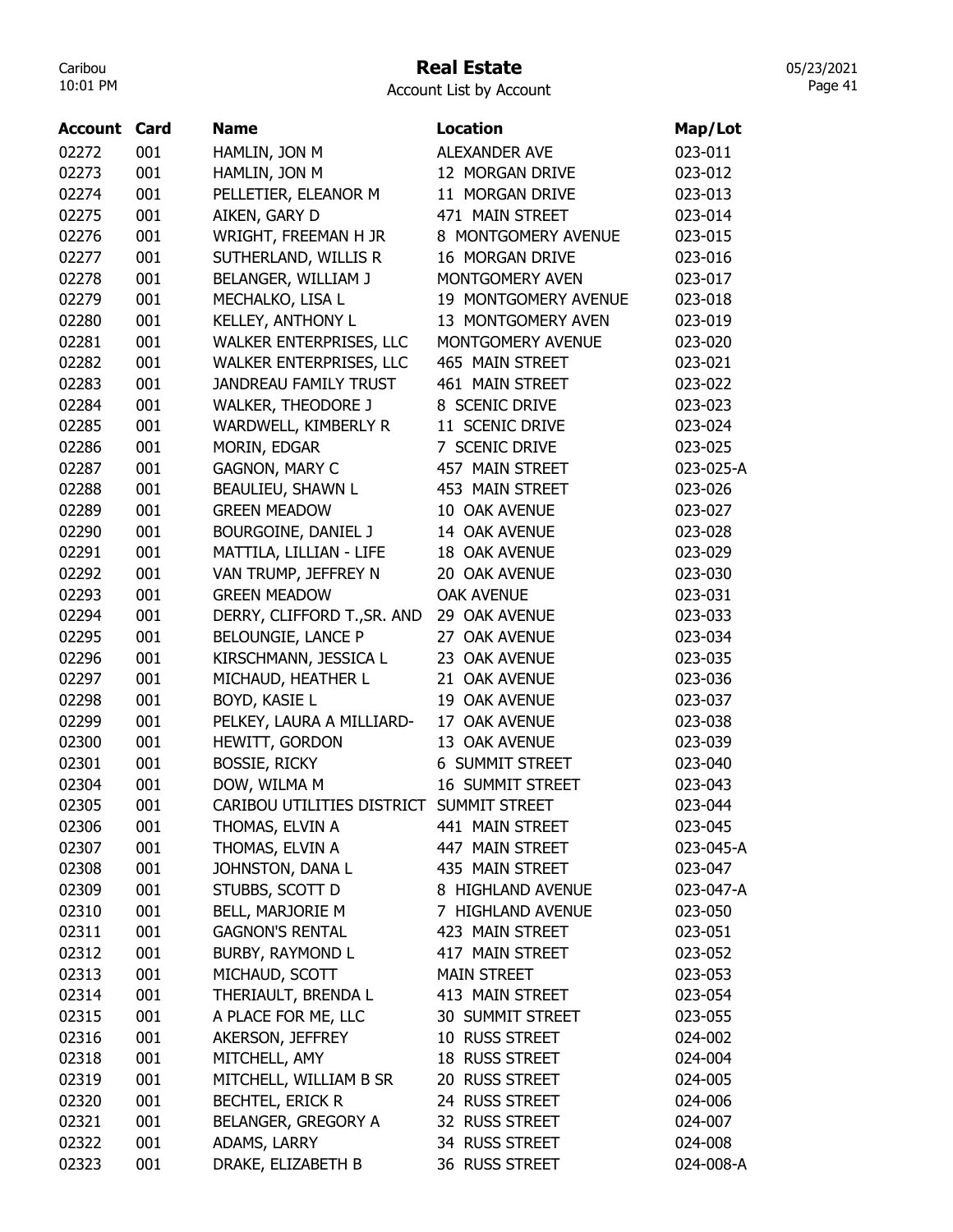## Real Estate

Account List by Account

| <b>Account Card</b> |     | <b>Name</b>                              | <b>Location</b>         | Map/Lot   |
|---------------------|-----|------------------------------------------|-------------------------|-----------|
| 02272               | 001 | HAMLIN, JON M                            | <b>ALEXANDER AVE</b>    | 023-011   |
| 02273               | 001 | HAMLIN, JON M                            | 12 MORGAN DRIVE         | 023-012   |
| 02274               | 001 | PELLETIER, ELEANOR M                     | 11 MORGAN DRIVE         | 023-013   |
| 02275               | 001 | AIKEN, GARY D                            | 471 MAIN STREET         | 023-014   |
| 02276               | 001 | WRIGHT, FREEMAN H JR                     | 8 MONTGOMERY AVENUE     | 023-015   |
| 02277               | 001 | SUTHERLAND, WILLIS R                     | 16 MORGAN DRIVE         | 023-016   |
| 02278               | 001 | BELANGER, WILLIAM J                      | MONTGOMERY AVEN         | 023-017   |
| 02279               | 001 | MECHALKO, LISA L                         | 19 MONTGOMERY AVENUE    | 023-018   |
| 02280               | 001 | KELLEY, ANTHONY L                        | 13 MONTGOMERY AVEN      | 023-019   |
| 02281               | 001 | WALKER ENTERPRISES, LLC                  | MONTGOMERY AVENUE       | 023-020   |
| 02282               | 001 | WALKER ENTERPRISES, LLC                  | 465 MAIN STREET         | 023-021   |
| 02283               | 001 | <b>JANDREAU FAMILY TRUST</b>             | 461 MAIN STREET         | 023-022   |
| 02284               | 001 | <b>WALKER, THEODORE J</b>                | 8 SCENIC DRIVE          | 023-023   |
| 02285               | 001 | WARDWELL, KIMBERLY R                     | 11 SCENIC DRIVE         | 023-024   |
| 02286               | 001 | MORIN, EDGAR                             | 7 SCENIC DRIVE          | 023-025   |
| 02287               | 001 | <b>GAGNON, MARY C</b>                    | 457 MAIN STREET         | 023-025-A |
| 02288               | 001 | BEAULIEU, SHAWN L                        | 453 MAIN STREET         | 023-026   |
| 02289               | 001 | <b>GREEN MEADOW</b>                      | 10 OAK AVENUE           | 023-027   |
| 02290               | 001 | BOURGOINE, DANIEL J                      | 14 OAK AVENUE           | 023-028   |
| 02291               | 001 | MATTILA, LILLIAN - LIFE                  | 18 OAK AVENUE           | 023-029   |
| 02292               | 001 | VAN TRUMP, JEFFREY N                     | 20 OAK AVENUE           | 023-030   |
| 02293               | 001 | <b>GREEN MEADOW</b>                      | <b>OAK AVENUE</b>       | 023-031   |
| 02294               | 001 | DERRY, CLIFFORD T., SR. AND              | 29 OAK AVENUE           | 023-033   |
| 02295               | 001 | <b>BELOUNGIE, LANCE P</b>                | 27 OAK AVENUE           | 023-034   |
| 02296               | 001 | KIRSCHMANN, JESSICA L                    | 23 OAK AVENUE           | 023-035   |
| 02297               | 001 | MICHAUD, HEATHER L                       | 21 OAK AVENUE           | 023-036   |
| 02298               | 001 | BOYD, KASIE L                            | 19 OAK AVENUE           | 023-037   |
| 02299               | 001 | PELKEY, LAURA A MILLIARD-                | 17 OAK AVENUE           | 023-038   |
| 02300               | 001 | HEWITT, GORDON                           | 13 OAK AVENUE           | 023-039   |
| 02301               | 001 | <b>BOSSIE, RICKY</b>                     | <b>6 SUMMIT STREET</b>  | 023-040   |
| 02304               | 001 | DOW, WILMA M                             | <b>16 SUMMIT STREET</b> | 023-043   |
| 02305               | 001 | CARIBOU UTILITIES DISTRICT SUMMIT STREET |                         | 023-044   |
| 02306               | 001 | THOMAS, ELVIN A                          | 441 MAIN STREET         | 023-045   |
| 02307               | 001 | THOMAS, ELVIN A                          | 447 MAIN STREET         | 023-045-A |
| 02308               | 001 | JOHNSTON, DANA L                         | 435 MAIN STREET         | 023-047   |
| 02309               | 001 | STUBBS, SCOTT D                          | 8 HIGHLAND AVENUE       | 023-047-A |
| 02310               | 001 | BELL, MARJORIE M                         | 7 HIGHLAND AVENUE       | 023-050   |
| 02311               | 001 | <b>GAGNON'S RENTAL</b>                   | 423 MAIN STREET         | 023-051   |
| 02312               | 001 | BURBY, RAYMOND L                         | 417 MAIN STREET         | 023-052   |
| 02313               | 001 | MICHAUD, SCOTT                           | <b>MAIN STREET</b>      | 023-053   |
| 02314               | 001 | THERIAULT, BRENDA L                      | 413 MAIN STREET         | 023-054   |
| 02315               | 001 | A PLACE FOR ME, LLC                      | 30 SUMMIT STREET        | 023-055   |
| 02316               | 001 | AKERSON, JEFFREY                         | 10 RUSS STREET          | 024-002   |
| 02318               | 001 | MITCHELL, AMY                            | 18 RUSS STREET          | 024-004   |
| 02319               | 001 | MITCHELL, WILLIAM B SR                   | 20 RUSS STREET          | 024-005   |
| 02320               | 001 | <b>BECHTEL, ERICK R</b>                  | 24 RUSS STREET          | 024-006   |
| 02321               | 001 | BELANGER, GREGORY A                      | 32 RUSS STREET          | 024-007   |
| 02322               | 001 | ADAMS, LARRY                             | 34 RUSS STREET          | 024-008   |
| 02323               | 001 | DRAKE, ELIZABETH B                       | 36 RUSS STREET          | 024-008-A |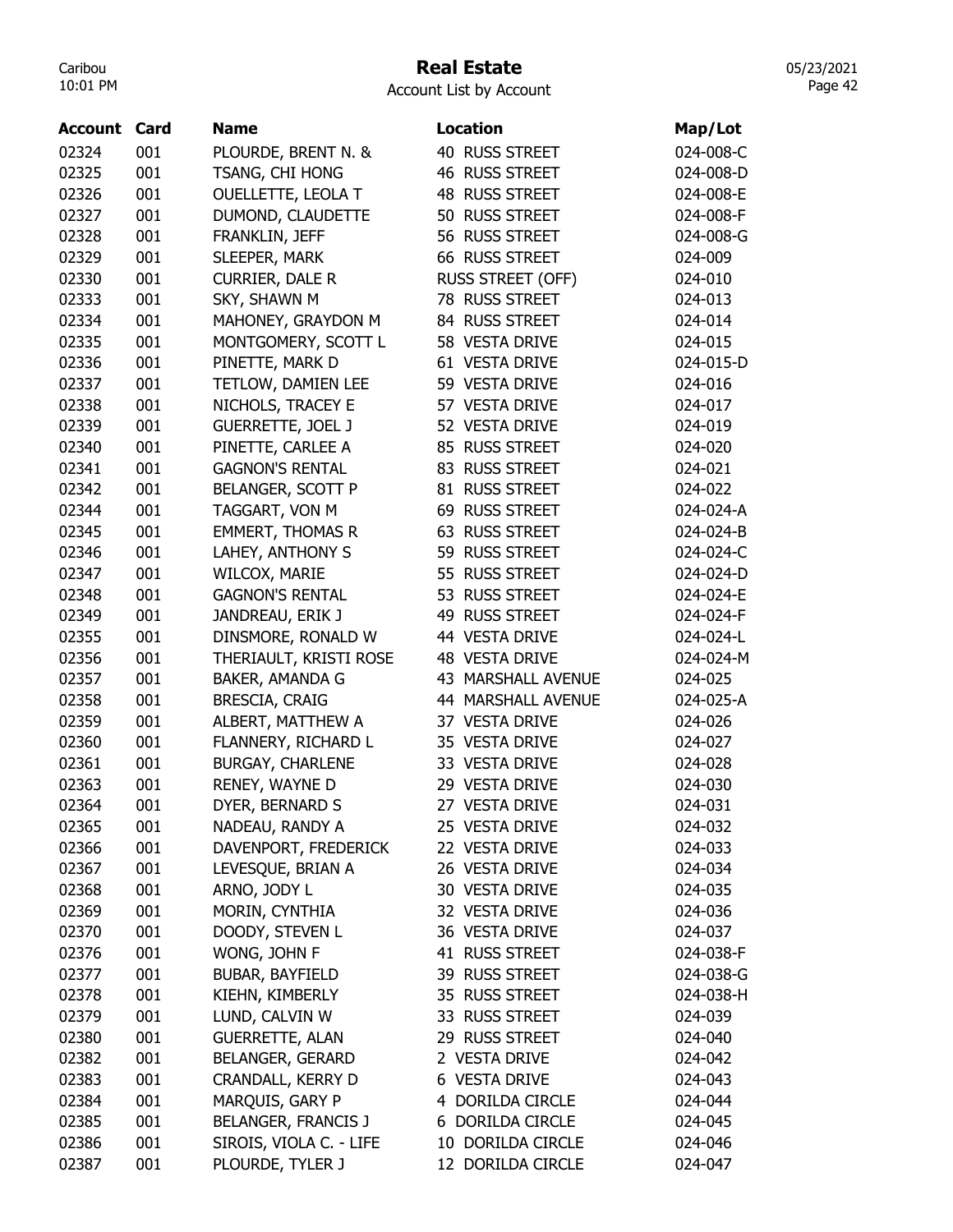## Real Estate

Account List by Account

| Account | Card | <b>Name</b>                | <b>Location</b>           | Map/Lot   |
|---------|------|----------------------------|---------------------------|-----------|
| 02324   | 001  | PLOURDE, BRENT N. &        | 40 RUSS STREET            | 024-008-C |
| 02325   | 001  | TSANG, CHI HONG            | 46 RUSS STREET            | 024-008-D |
| 02326   | 001  | OUELLETTE, LEOLA T         | 48 RUSS STREET            | 024-008-E |
| 02327   | 001  | DUMOND, CLAUDETTE          | 50 RUSS STREET            | 024-008-F |
| 02328   | 001  | FRANKLIN, JEFF             | 56 RUSS STREET            | 024-008-G |
| 02329   | 001  | SLEEPER, MARK              | 66 RUSS STREET            | 024-009   |
| 02330   | 001  | <b>CURRIER, DALE R</b>     | RUSS STREET (OFF)         | 024-010   |
| 02333   | 001  | SKY, SHAWN M               | 78 RUSS STREET            | 024-013   |
| 02334   | 001  | MAHONEY, GRAYDON M         | 84 RUSS STREET            | 024-014   |
| 02335   | 001  | MONTGOMERY, SCOTT L        | 58 VESTA DRIVE            | 024-015   |
| 02336   | 001  | PINETTE, MARK D            | 61 VESTA DRIVE            | 024-015-D |
| 02337   | 001  | TETLOW, DAMIEN LEE         | 59 VESTA DRIVE            | 024-016   |
| 02338   | 001  | NICHOLS, TRACEY E          | 57 VESTA DRIVE            | 024-017   |
| 02339   | 001  | <b>GUERRETTE, JOEL J</b>   | 52 VESTA DRIVE            | 024-019   |
| 02340   | 001  | PINETTE, CARLEE A          | 85 RUSS STREET            | 024-020   |
| 02341   | 001  | <b>GAGNON'S RENTAL</b>     | 83 RUSS STREET            | 024-021   |
| 02342   | 001  | BELANGER, SCOTT P          | 81 RUSS STREET            | 024-022   |
| 02344   | 001  | TAGGART, VON M             | 69 RUSS STREET            | 024-024-A |
| 02345   | 001  | <b>EMMERT, THOMAS R</b>    | 63 RUSS STREET            | 024-024-B |
| 02346   | 001  | LAHEY, ANTHONY S           | 59 RUSS STREET            | 024-024-C |
| 02347   | 001  | WILCOX, MARIE              | 55 RUSS STREET            | 024-024-D |
| 02348   | 001  | <b>GAGNON'S RENTAL</b>     | 53 RUSS STREET            | 024-024-E |
| 02349   | 001  | JANDREAU, ERIK J           | 49 RUSS STREET            | 024-024-F |
| 02355   | 001  | DINSMORE, RONALD W         | 44 VESTA DRIVE            | 024-024-L |
| 02356   | 001  | THERIAULT, KRISTI ROSE     | 48 VESTA DRIVE            | 024-024-M |
| 02357   | 001  | BAKER, AMANDA G            | 43 MARSHALL AVENUE        | 024-025   |
| 02358   | 001  | BRESCIA, CRAIG             | <b>44 MARSHALL AVENUE</b> | 024-025-A |
| 02359   | 001  | ALBERT, MATTHEW A          | 37 VESTA DRIVE            | 024-026   |
| 02360   | 001  | FLANNERY, RICHARD L        | 35 VESTA DRIVE            | 024-027   |
| 02361   | 001  | <b>BURGAY, CHARLENE</b>    | 33 VESTA DRIVE            | 024-028   |
| 02363   | 001  | RENEY, WAYNE D             | 29 VESTA DRIVE            | 024-030   |
| 02364   | 001  | DYER, BERNARD S            | 27 VESTA DRIVE            | 024-031   |
| 02365   | 001  | NADEAU, RANDY A            | 25 VESTA DRIVE            | 024-032   |
| 02366   | 001  | DAVENPORT, FREDERICK       | 22 VESTA DRIVE            | 024-033   |
| 02367   | 001  | LEVESQUE, BRIAN A          | 26 VESTA DRIVE            | 024-034   |
| 02368   | 001  | ARNO, JODY L               | 30 VESTA DRIVE            | 024-035   |
| 02369   | 001  | MORIN, CYNTHIA             | 32 VESTA DRIVE            | 024-036   |
| 02370   | 001  | DOODY, STEVEN L            | 36 VESTA DRIVE            | 024-037   |
| 02376   | 001  | WONG, JOHN F               | 41 RUSS STREET            | 024-038-F |
| 02377   | 001  | <b>BUBAR, BAYFIELD</b>     | 39 RUSS STREET            | 024-038-G |
| 02378   | 001  | KIEHN, KIMBERLY            | 35 RUSS STREET            | 024-038-H |
| 02379   | 001  | LUND, CALVIN W             | 33 RUSS STREET            | 024-039   |
| 02380   | 001  | <b>GUERRETTE, ALAN</b>     | 29 RUSS STREET            | 024-040   |
| 02382   | 001  | <b>BELANGER, GERARD</b>    | 2 VESTA DRIVE             | 024-042   |
| 02383   | 001  | CRANDALL, KERRY D          | 6 VESTA DRIVE             | 024-043   |
| 02384   | 001  | MARQUIS, GARY P            | 4 DORILDA CIRCLE          | 024-044   |
| 02385   | 001  | <b>BELANGER, FRANCIS J</b> | 6 DORILDA CIRCLE          | 024-045   |
| 02386   | 001  | SIROIS, VIOLA C. - LIFE    | 10 DORILDA CIRCLE         | 024-046   |
| 02387   | 001  | PLOURDE, TYLER J           | 12 DORILDA CIRCLE         | 024-047   |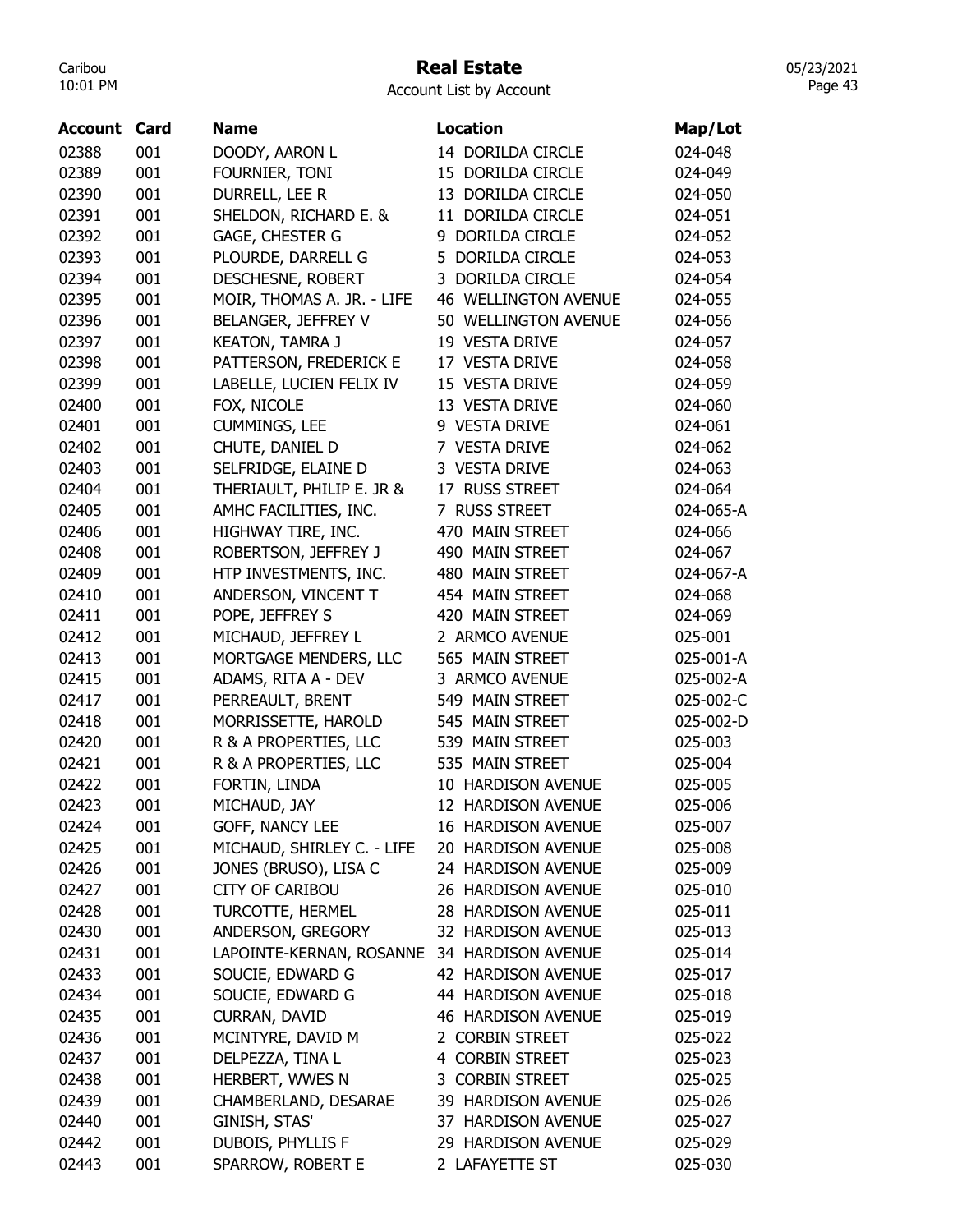## Real Estate

05/23/2021 Page 43

| <b>Account Card</b> |     | <b>Name</b>                                        | <b>Location</b>             | Map/Lot   |
|---------------------|-----|----------------------------------------------------|-----------------------------|-----------|
| 02388               | 001 | DOODY, AARON L                                     | 14 DORILDA CIRCLE           | 024-048   |
| 02389               | 001 | FOURNIER, TONI                                     | 15 DORILDA CIRCLE           | 024-049   |
| 02390               | 001 | DURRELL, LEE R                                     | 13 DORILDA CIRCLE           | 024-050   |
| 02391               | 001 | SHELDON, RICHARD E. &                              | 11 DORILDA CIRCLE           | 024-051   |
| 02392               | 001 | GAGE, CHESTER G                                    | 9 DORILDA CIRCLE            | 024-052   |
| 02393               | 001 | PLOURDE, DARRELL G                                 | 5 DORILDA CIRCLE            | 024-053   |
| 02394               | 001 | DESCHESNE, ROBERT                                  | 3 DORILDA CIRCLE            | 024-054   |
| 02395               | 001 | MOIR, THOMAS A. JR. - LIFE                         | <b>46 WELLINGTON AVENUE</b> | 024-055   |
| 02396               | 001 | BELANGER, JEFFREY V                                | 50 WELLINGTON AVENUE        | 024-056   |
| 02397               | 001 | <b>KEATON, TAMRA J</b>                             | 19 VESTA DRIVE              | 024-057   |
|                     | 001 |                                                    | 17 VESTA DRIVE              | 024-058   |
| 02398<br>02399      | 001 | PATTERSON, FREDERICK E<br>LABELLE, LUCIEN FELIX IV | 15 VESTA DRIVE              | 024-059   |
| 02400               | 001 |                                                    | 13 VESTA DRIVE              | 024-060   |
|                     |     | FOX, NICOLE                                        |                             |           |
| 02401               | 001 | <b>CUMMINGS, LEE</b>                               | 9 VESTA DRIVE               | 024-061   |
| 02402               | 001 | CHUTE, DANIEL D                                    | 7 VESTA DRIVE               | 024-062   |
| 02403               | 001 | SELFRIDGE, ELAINE D                                | 3 VESTA DRIVE               | 024-063   |
| 02404               | 001 | THERIAULT, PHILIP E. JR &                          | 17 RUSS STREET              | 024-064   |
| 02405               | 001 | AMHC FACILITIES, INC.                              | 7 RUSS STREET               | 024-065-A |
| 02406               | 001 | HIGHWAY TIRE, INC.                                 | 470 MAIN STREET             | 024-066   |
| 02408               | 001 | ROBERTSON, JEFFREY J                               | 490 MAIN STREET             | 024-067   |
| 02409               | 001 | HTP INVESTMENTS, INC.                              | 480 MAIN STREET             | 024-067-A |
| 02410               | 001 | ANDERSON, VINCENT T                                | 454 MAIN STREET             | 024-068   |
| 02411               | 001 | POPE, JEFFREY S                                    | 420 MAIN STREET             | 024-069   |
| 02412               | 001 | MICHAUD, JEFFREY L                                 | 2 ARMCO AVENUE              | 025-001   |
| 02413               | 001 | MORTGAGE MENDERS, LLC                              | 565 MAIN STREET             | 025-001-A |
| 02415               | 001 | ADAMS, RITA A - DEV                                | 3 ARMCO AVENUE              | 025-002-A |
| 02417               | 001 | PERREAULT, BRENT                                   | 549 MAIN STREET             | 025-002-C |
| 02418               | 001 | MORRISSETTE, HAROLD                                | 545 MAIN STREET             | 025-002-D |
| 02420               | 001 | R & A PROPERTIES, LLC                              | 539 MAIN STREET             | 025-003   |
| 02421               | 001 | R & A PROPERTIES, LLC                              | 535 MAIN STREET             | 025-004   |
| 02422               | 001 | FORTIN, LINDA                                      | 10 HARDISON AVENUE          | 025-005   |
| 02423               | 001 | MICHAUD, JAY                                       | 12 HARDISON AVENUE          | 025-006   |
| 02424               | 001 | GOFF, NANCY LEE                                    | 16 HARDISON AVENUE          | 025-007   |
| 02425               | 001 | MICHAUD, SHIRLEY C. - LIFE                         | 20 HARDISON AVENUE          | 025-008   |
| 02426               | 001 | JONES (BRUSO), LISA C                              | 24 HARDISON AVENUE          | 025-009   |
| 02427               | 001 | <b>CITY OF CARIBOU</b>                             | 26 HARDISON AVENUE          | 025-010   |
| 02428               | 001 | TURCOTTE, HERMEL                                   | 28 HARDISON AVENUE          | 025-011   |
| 02430               | 001 | ANDERSON, GREGORY                                  | 32 HARDISON AVENUE          | 025-013   |
| 02431               | 001 | LAPOINTE-KERNAN, ROSANNE 34 HARDISON AVENUE        |                             | 025-014   |
| 02433               | 001 | SOUCIE, EDWARD G                                   | 42 HARDISON AVENUE          | 025-017   |
| 02434               | 001 | SOUCIE, EDWARD G                                   | 44 HARDISON AVENUE          | 025-018   |
| 02435               | 001 | CURRAN, DAVID                                      | 46 HARDISON AVENUE          | 025-019   |
| 02436               | 001 | MCINTYRE, DAVID M                                  | 2 CORBIN STREET             | 025-022   |
| 02437               | 001 | DELPEZZA, TINA L                                   | 4 CORBIN STREET             | 025-023   |
| 02438               | 001 | HERBERT, WWES N                                    | 3 CORBIN STREET             | 025-025   |
| 02439               | 001 | CHAMBERLAND, DESARAE                               | 39 HARDISON AVENUE          | 025-026   |
| 02440               | 001 | GINISH, STAS'                                      | 37 HARDISON AVENUE          | 025-027   |
| 02442               | 001 | <b>DUBOIS, PHYLLIS F</b>                           | 29 HARDISON AVENUE          | 025-029   |
| 02443               | 001 | SPARROW, ROBERT E                                  | 2 LAFAYETTE ST              | 025-030   |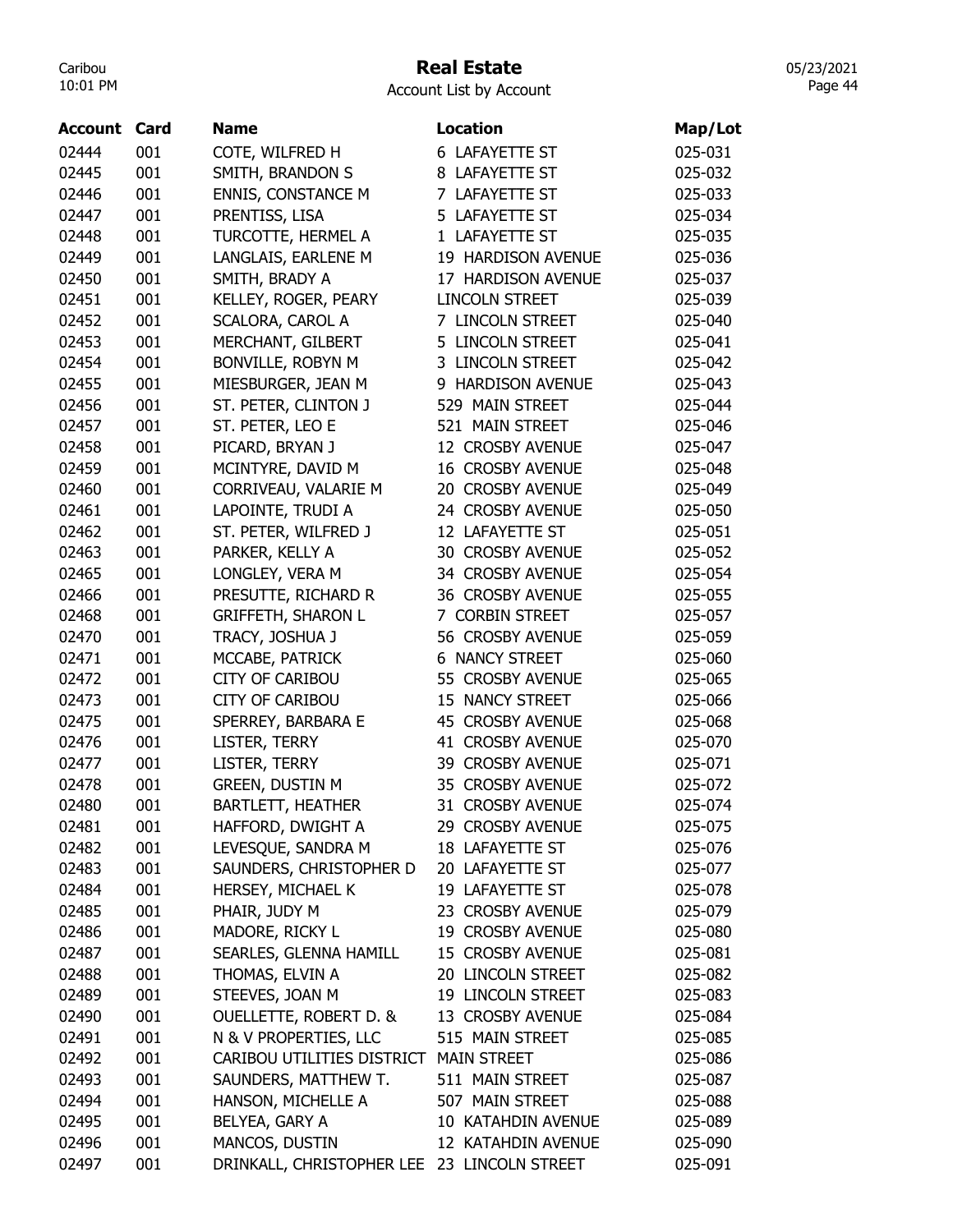# Real Estate

| <b>Account List by Account</b> |  |  |  |
|--------------------------------|--|--|--|
|--------------------------------|--|--|--|

| <b>Account</b> | Card | <b>Name</b>                                 | <b>Location</b>         | Map/Lot |
|----------------|------|---------------------------------------------|-------------------------|---------|
| 02444          | 001  | COTE, WILFRED H                             | 6 LAFAYETTE ST          | 025-031 |
| 02445          | 001  | SMITH, BRANDON S                            | 8 LAFAYETTE ST          | 025-032 |
| 02446          | 001  | <b>ENNIS, CONSTANCE M</b>                   | 7 LAFAYETTE ST          | 025-033 |
| 02447          | 001  | PRENTISS, LISA                              | 5 LAFAYETTE ST          | 025-034 |
| 02448          | 001  | TURCOTTE, HERMEL A                          | 1 LAFAYETTE ST          | 025-035 |
| 02449          | 001  | LANGLAIS, EARLENE M                         | 19 HARDISON AVENUE      | 025-036 |
| 02450          | 001  | SMITH, BRADY A                              | 17 HARDISON AVENUE      | 025-037 |
| 02451          | 001  | KELLEY, ROGER, PEARY                        | <b>LINCOLN STREET</b>   | 025-039 |
| 02452          | 001  | SCALORA, CAROL A                            | 7 LINCOLN STREET        | 025-040 |
| 02453          | 001  | MERCHANT, GILBERT                           | 5 LINCOLN STREET        | 025-041 |
| 02454          | 001  | BONVILLE, ROBYN M                           | 3 LINCOLN STREET        | 025-042 |
| 02455          | 001  | MIESBURGER, JEAN M                          | 9 HARDISON AVENUE       | 025-043 |
| 02456          | 001  | ST. PETER, CLINTON J                        | 529 MAIN STREET         | 025-044 |
| 02457          | 001  | ST. PETER, LEO E                            | 521 MAIN STREET         | 025-046 |
| 02458          | 001  | PICARD, BRYAN J                             | 12 CROSBY AVENUE        | 025-047 |
| 02459          | 001  | MCINTYRE, DAVID M                           | <b>16 CROSBY AVENUE</b> | 025-048 |
| 02460          | 001  | CORRIVEAU, VALARIE M                        | 20 CROSBY AVENUE        | 025-049 |
| 02461          | 001  | LAPOINTE, TRUDI A                           | 24 CROSBY AVENUE        | 025-050 |
| 02462          | 001  | ST. PETER, WILFRED J                        | 12 LAFAYETTE ST         | 025-051 |
| 02463          | 001  | PARKER, KELLY A                             | 30 CROSBY AVENUE        | 025-052 |
| 02465          | 001  | LONGLEY, VERA M                             | 34 CROSBY AVENUE        | 025-054 |
| 02466          | 001  | PRESUTTE, RICHARD R                         | 36 CROSBY AVENUE        | 025-055 |
| 02468          | 001  | <b>GRIFFETH, SHARON L</b>                   | 7 CORBIN STREET         | 025-057 |
| 02470          | 001  | TRACY, JOSHUA J                             | 56 CROSBY AVENUE        | 025-059 |
| 02471          | 001  | MCCABE, PATRICK                             | <b>6 NANCY STREET</b>   | 025-060 |
| 02472          | 001  | <b>CITY OF CARIBOU</b>                      | 55 CROSBY AVENUE        | 025-065 |
| 02473          | 001  | <b>CITY OF CARIBOU</b>                      | 15 NANCY STREET         | 025-066 |
| 02475          | 001  | SPERREY, BARBARA E                          | 45 CROSBY AVENUE        | 025-068 |
| 02476          | 001  | LISTER, TERRY                               | 41 CROSBY AVENUE        | 025-070 |
| 02477          | 001  | LISTER, TERRY                               | 39 CROSBY AVENUE        | 025-071 |
| 02478          | 001  | <b>GREEN, DUSTIN M</b>                      | 35 CROSBY AVENUE        | 025-072 |
| 02480          | 001  | <b>BARTLETT, HEATHER</b>                    | 31 CROSBY AVENUE        | 025-074 |
| 02481          | 001  | HAFFORD, DWIGHT A                           | 29 CROSBY AVENUE        | 025-075 |
| 02482          | 001  | LEVESQUE, SANDRA M                          | 18 LAFAYETTE ST         | 025-076 |
| 02483          | 001  | SAUNDERS, CHRISTOPHER D                     | 20 LAFAYETTE ST         | 025-077 |
| 02484          | 001  | HERSEY, MICHAEL K                           | 19 LAFAYETTE ST         | 025-078 |
| 02485          | 001  | PHAIR, JUDY M                               | 23 CROSBY AVENUE        | 025-079 |
| 02486          | 001  | MADORE, RICKY L                             | 19 CROSBY AVENUE        | 025-080 |
| 02487          | 001  | SEARLES, GLENNA HAMILL                      | 15 CROSBY AVENUE        | 025-081 |
| 02488          | 001  | THOMAS, ELVIN A                             | 20 LINCOLN STREET       | 025-082 |
| 02489          | 001  | STEEVES, JOAN M                             | 19 LINCOLN STREET       | 025-083 |
| 02490          | 001  | <b>OUELLETTE, ROBERT D. &amp;</b>           | 13 CROSBY AVENUE        | 025-084 |
| 02491          | 001  | N & V PROPERTIES, LLC                       | 515 MAIN STREET         | 025-085 |
| 02492          | 001  | CARIBOU UTILITIES DISTRICT MAIN STREET      |                         | 025-086 |
| 02493          | 001  | SAUNDERS, MATTHEW T.                        | 511 MAIN STREET         | 025-087 |
| 02494          | 001  | HANSON, MICHELLE A                          | 507 MAIN STREET         | 025-088 |
| 02495          | 001  | BELYEA, GARY A                              | 10 KATAHDIN AVENUE      | 025-089 |
| 02496          | 001  | MANCOS, DUSTIN                              | 12 KATAHDIN AVENUE      | 025-090 |
| 02497          | 001  | DRINKALL, CHRISTOPHER LEE 23 LINCOLN STREET |                         | 025-091 |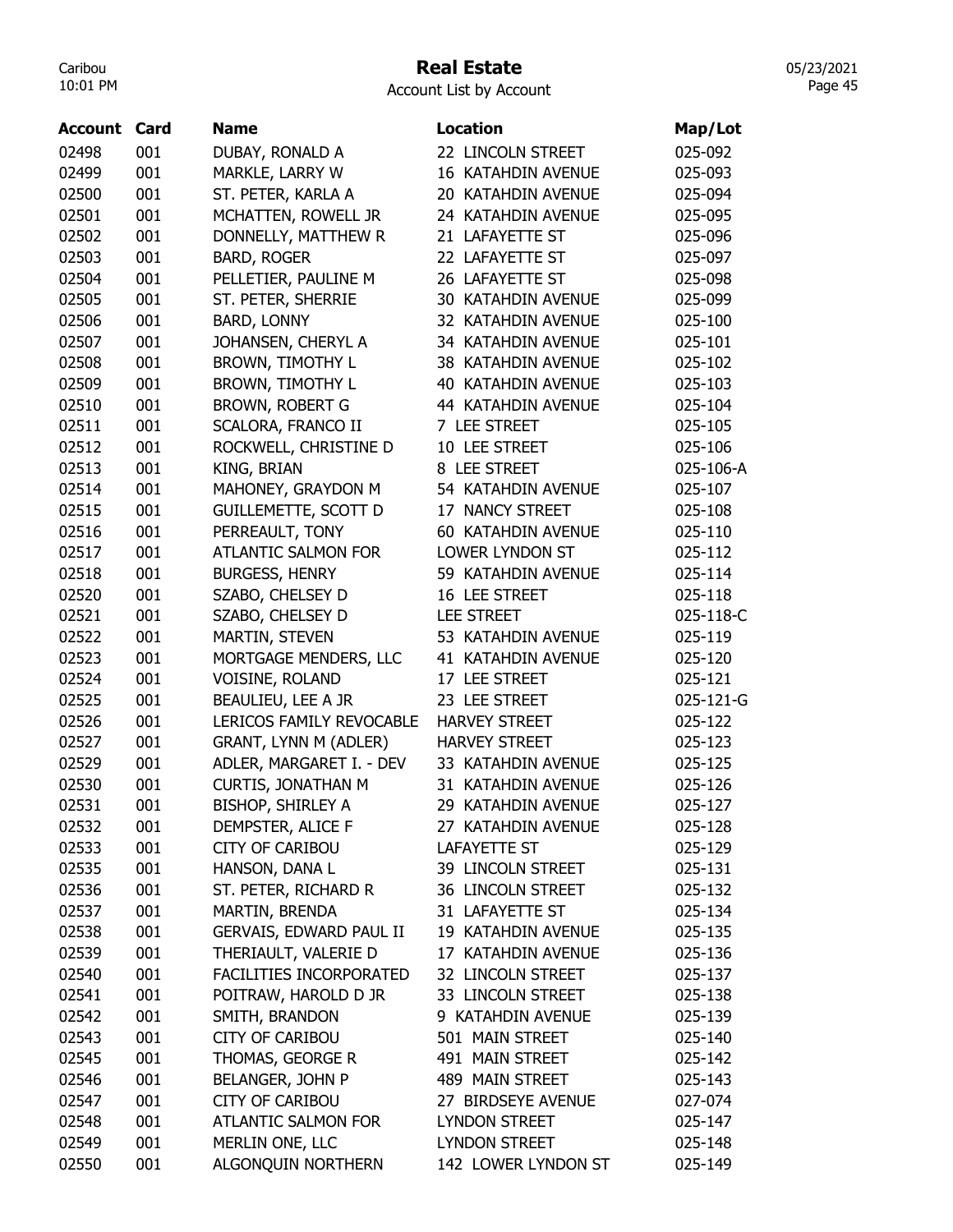## Real Estate

Account List by Account

| <b>Account Card</b> |     | <b>Name</b>                 | <b>Location</b>           | Map/Lot   |
|---------------------|-----|-----------------------------|---------------------------|-----------|
| 02498               | 001 | DUBAY, RONALD A             | 22 LINCOLN STREET         | 025-092   |
| 02499               | 001 | MARKLE, LARRY W             | 16 KATAHDIN AVENUE        | 025-093   |
| 02500               | 001 | ST. PETER, KARLA A          | 20 KATAHDIN AVENUE        | 025-094   |
| 02501               | 001 | MCHATTEN, ROWELL JR         | 24 KATAHDIN AVENUE        | 025-095   |
| 02502               | 001 | DONNELLY, MATTHEW R         | 21 LAFAYETTE ST           | 025-096   |
| 02503               | 001 | <b>BARD, ROGER</b>          | 22 LAFAYETTE ST           | 025-097   |
| 02504               | 001 | PELLETIER, PAULINE M        | 26 LAFAYETTE ST           | 025-098   |
| 02505               | 001 | ST. PETER, SHERRIE          | 30 KATAHDIN AVENUE        | 025-099   |
| 02506               | 001 | <b>BARD, LONNY</b>          | 32 KATAHDIN AVENUE        | 025-100   |
| 02507               | 001 | JOHANSEN, CHERYL A          | 34 KATAHDIN AVENUE        | 025-101   |
| 02508               | 001 | <b>BROWN, TIMOTHY L</b>     | 38 KATAHDIN AVENUE        | 025-102   |
| 02509               | 001 | <b>BROWN, TIMOTHY L</b>     | <b>40 KATAHDIN AVENUE</b> | 025-103   |
| 02510               | 001 | <b>BROWN, ROBERT G</b>      | 44 KATAHDIN AVENUE        | 025-104   |
| 02511               | 001 | SCALORA, FRANCO II          | 7 LEE STREET              | 025-105   |
| 02512               | 001 | ROCKWELL, CHRISTINE D       | 10 LEE STREET             | 025-106   |
| 02513               | 001 | <b>KING, BRIAN</b>          | 8 LEE STREET              | 025-106-A |
| 02514               | 001 | MAHONEY, GRAYDON M          | 54 KATAHDIN AVENUE        | 025-107   |
| 02515               | 001 | <b>GUILLEMETTE, SCOTT D</b> | 17 NANCY STREET           | 025-108   |
| 02516               | 001 | PERREAULT, TONY             | 60 KATAHDIN AVENUE        | 025-110   |
| 02517               | 001 | <b>ATLANTIC SALMON FOR</b>  | LOWER LYNDON ST           | 025-112   |
| 02518               | 001 | <b>BURGESS, HENRY</b>       | 59 KATAHDIN AVENUE        | 025-114   |
| 02520               | 001 | SZABO, CHELSEY D            | 16 LEE STREET             | 025-118   |
| 02521               | 001 | SZABO, CHELSEY D            | <b>LEE STREET</b>         | 025-118-C |
| 02522               | 001 | MARTIN, STEVEN              | 53 KATAHDIN AVENUE        | 025-119   |
| 02523               | 001 | MORTGAGE MENDERS, LLC       | 41 KATAHDIN AVENUE        | 025-120   |
| 02524               | 001 | VOISINE, ROLAND             | 17 LEE STREET             | 025-121   |
| 02525               | 001 | BEAULIEU, LEE A JR          | 23 LEE STREET             | 025-121-G |
| 02526               | 001 | LERICOS FAMILY REVOCABLE    | <b>HARVEY STREET</b>      | 025-122   |
| 02527               | 001 | GRANT, LYNN M (ADLER)       | <b>HARVEY STREET</b>      | 025-123   |
| 02529               | 001 | ADLER, MARGARET I. - DEV    | 33 KATAHDIN AVENUE        | 025-125   |
| 02530               | 001 | <b>CURTIS, JONATHAN M</b>   | 31 KATAHDIN AVENUE        | 025-126   |
| 02531               | 001 | <b>BISHOP, SHIRLEY A</b>    | 29 KATAHDIN AVENUE        | 025-127   |
| 02532               | 001 | DEMPSTER, ALICE F           | 27 KATAHDIN AVENUE        | 025-128   |
| 02533               | 001 | CITY OF CARIBOU             | LAFAYETTE ST              | 025-129   |
| 02535               | 001 | HANSON, DANA L              | 39 LINCOLN STREET         | 025-131   |
| 02536               | 001 | ST. PETER, RICHARD R        | 36 LINCOLN STREET         | 025-132   |
| 02537               | 001 | MARTIN, BRENDA              | 31 LAFAYETTE ST           | 025-134   |
| 02538               | 001 | GERVAIS, EDWARD PAUL II     | 19 KATAHDIN AVENUE        | 025-135   |
| 02539               | 001 | THERIAULT, VALERIE D        | 17 KATAHDIN AVENUE        | 025-136   |
| 02540               | 001 | FACILITIES INCORPORATED     | 32 LINCOLN STREET         | 025-137   |
| 02541               | 001 | POITRAW, HAROLD D JR        | 33 LINCOLN STREET         | 025-138   |
| 02542               | 001 | SMITH, BRANDON              | 9 KATAHDIN AVENUE         | 025-139   |
| 02543               | 001 | <b>CITY OF CARIBOU</b>      | 501 MAIN STREET           | 025-140   |
| 02545               | 001 | THOMAS, GEORGE R            | 491 MAIN STREET           | 025-142   |
| 02546               | 001 | BELANGER, JOHN P            | 489 MAIN STREET           | 025-143   |
| 02547               | 001 | <b>CITY OF CARIBOU</b>      | 27 BIRDSEYE AVENUE        | 027-074   |
| 02548               | 001 | ATLANTIC SALMON FOR         | LYNDON STREET             | 025-147   |
| 02549               | 001 | MERLIN ONE, LLC             | LYNDON STREET             | 025-148   |
| 02550               | 001 | ALGONQUIN NORTHERN          | 142 LOWER LYNDON ST       | 025-149   |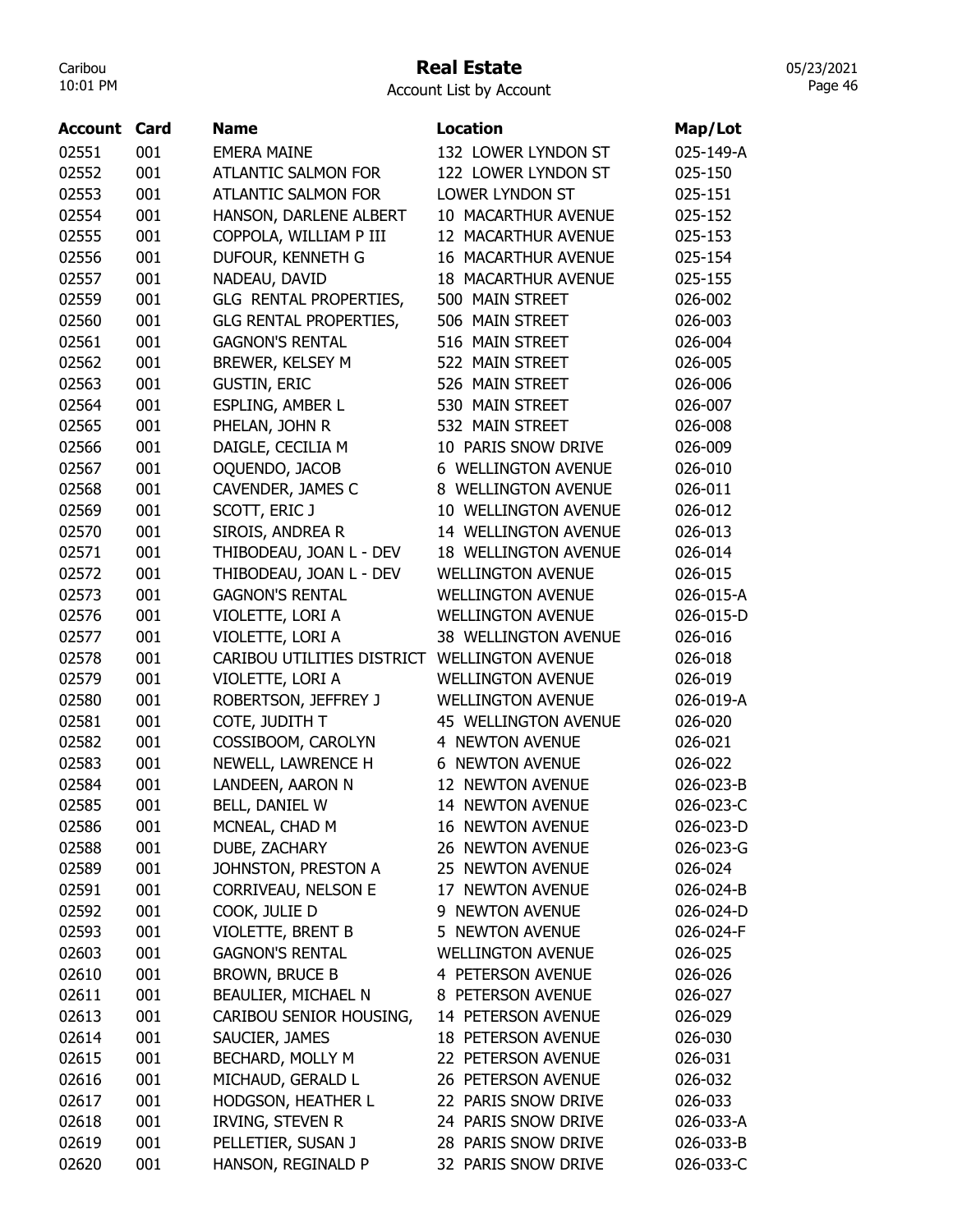#### Real Estate

Account List by Account

| <b>Account Card</b> |     | <b>Name</b>                   | <b>Location</b>             | Map/Lot   |
|---------------------|-----|-------------------------------|-----------------------------|-----------|
| 02551               | 001 | <b>EMERA MAINE</b>            | 132 LOWER LYNDON ST         | 025-149-A |
| 02552               | 001 | <b>ATLANTIC SALMON FOR</b>    | 122 LOWER LYNDON ST         | 025-150   |
| 02553               | 001 | <b>ATLANTIC SALMON FOR</b>    | LOWER LYNDON ST             | 025-151   |
| 02554               | 001 | HANSON, DARLENE ALBERT        | 10 MACARTHUR AVENUE         | 025-152   |
| 02555               | 001 | COPPOLA, WILLIAM P III        | 12 MACARTHUR AVENUE         | 025-153   |
| 02556               | 001 | DUFOUR, KENNETH G             | <b>16 MACARTHUR AVENUE</b>  | 025-154   |
| 02557               | 001 | NADEAU, DAVID                 | <b>18 MACARTHUR AVENUE</b>  | 025-155   |
| 02559               | 001 | GLG RENTAL PROPERTIES,        | 500 MAIN STREET             | 026-002   |
| 02560               | 001 | <b>GLG RENTAL PROPERTIES,</b> | 506 MAIN STREET             | 026-003   |
| 02561               | 001 | <b>GAGNON'S RENTAL</b>        | 516 MAIN STREET             | 026-004   |
| 02562               | 001 | BREWER, KELSEY M              | 522 MAIN STREET             | 026-005   |
| 02563               | 001 | <b>GUSTIN, ERIC</b>           | 526 MAIN STREET             | 026-006   |
| 02564               | 001 | ESPLING, AMBER L              | 530 MAIN STREET             | 026-007   |
| 02565               | 001 | PHELAN, JOHN R                | 532 MAIN STREET             | 026-008   |
| 02566               | 001 | DAIGLE, CECILIA M             | 10 PARIS SNOW DRIVE         | 026-009   |
| 02567               | 001 | OQUENDO, JACOB                | <b>6 WELLINGTON AVENUE</b>  | 026-010   |
| 02568               | 001 | CAVENDER, JAMES C             | 8 WELLINGTON AVENUE         | 026-011   |
| 02569               | 001 | SCOTT, ERIC J                 | 10 WELLINGTON AVENUE        | 026-012   |
| 02570               | 001 | SIROIS, ANDREA R              | 14 WELLINGTON AVENUE        | 026-013   |
| 02571               | 001 | THIBODEAU, JOAN L - DEV       | <b>18 WELLINGTON AVENUE</b> | 026-014   |
| 02572               | 001 | THIBODEAU, JOAN L - DEV       | <b>WELLINGTON AVENUE</b>    | 026-015   |
| 02573               | 001 | <b>GAGNON'S RENTAL</b>        | <b>WELLINGTON AVENUE</b>    | 026-015-A |
| 02576               | 001 | VIOLETTE, LORI A              | <b>WELLINGTON AVENUE</b>    | 026-015-D |
| 02577               | 001 | VIOLETTE, LORI A              | 38 WELLINGTON AVENUE        | 026-016   |
| 02578               | 001 | CARIBOU UTILITIES DISTRICT    | <b>WELLINGTON AVENUE</b>    | 026-018   |
| 02579               | 001 | VIOLETTE, LORI A              | <b>WELLINGTON AVENUE</b>    | 026-019   |
| 02580               | 001 | ROBERTSON, JEFFREY J          | <b>WELLINGTON AVENUE</b>    | 026-019-A |
| 02581               | 001 | COTE, JUDITH T                | 45 WELLINGTON AVENUE        | 026-020   |
| 02582               | 001 | COSSIBOOM, CAROLYN            | 4 NEWTON AVENUE             | 026-021   |
| 02583               | 001 | NEWELL, LAWRENCE H            | <b>6 NEWTON AVENUE</b>      | 026-022   |
| 02584               | 001 | LANDEEN, AARON N              | 12 NEWTON AVENUE            | 026-023-B |
| 02585               | 001 | BELL, DANIEL W                | 14 NEWTON AVENUE            | 026-023-C |
| 02586               | 001 | MCNEAL, CHAD M                | <b>16 NEWTON AVENUE</b>     | 026-023-D |
| 02588               | 001 | DUBE, ZACHARY                 | 26 NEWTON AVENUE            | 026-023-G |
| 02589               | 001 | JOHNSTON, PRESTON A           | 25 NEWTON AVENUE            | 026-024   |
| 02591               | 001 | CORRIVEAU, NELSON E           | 17 NEWTON AVENUE            | 026-024-B |
| 02592               | 001 | COOK, JULIE D                 | 9 NEWTON AVENUE             | 026-024-D |
| 02593               | 001 | VIOLETTE, BRENT B             | 5 NEWTON AVENUE             | 026-024-F |
| 02603               | 001 | <b>GAGNON'S RENTAL</b>        | <b>WELLINGTON AVENUE</b>    | 026-025   |
| 02610               | 001 | BROWN, BRUCE B                | 4 PETERSON AVENUE           | 026-026   |
| 02611               | 001 | BEAULIER, MICHAEL N           | 8 PETERSON AVENUE           | 026-027   |
| 02613               | 001 | CARIBOU SENIOR HOUSING,       | 14 PETERSON AVENUE          | 026-029   |
| 02614               | 001 | SAUCIER, JAMES                | <b>18 PETERSON AVENUE</b>   | 026-030   |
| 02615               | 001 | BECHARD, MOLLY M              | 22 PETERSON AVENUE          | 026-031   |
| 02616               | 001 | MICHAUD, GERALD L             | 26 PETERSON AVENUE          | 026-032   |
| 02617               | 001 | HODGSON, HEATHER L            | 22 PARIS SNOW DRIVE         | 026-033   |
| 02618               | 001 | IRVING, STEVEN R              | 24 PARIS SNOW DRIVE         | 026-033-A |
| 02619               | 001 | PELLETIER, SUSAN J            | 28 PARIS SNOW DRIVE         | 026-033-B |
| 02620               | 001 | HANSON, REGINALD P            | 32 PARIS SNOW DRIVE         | 026-033-C |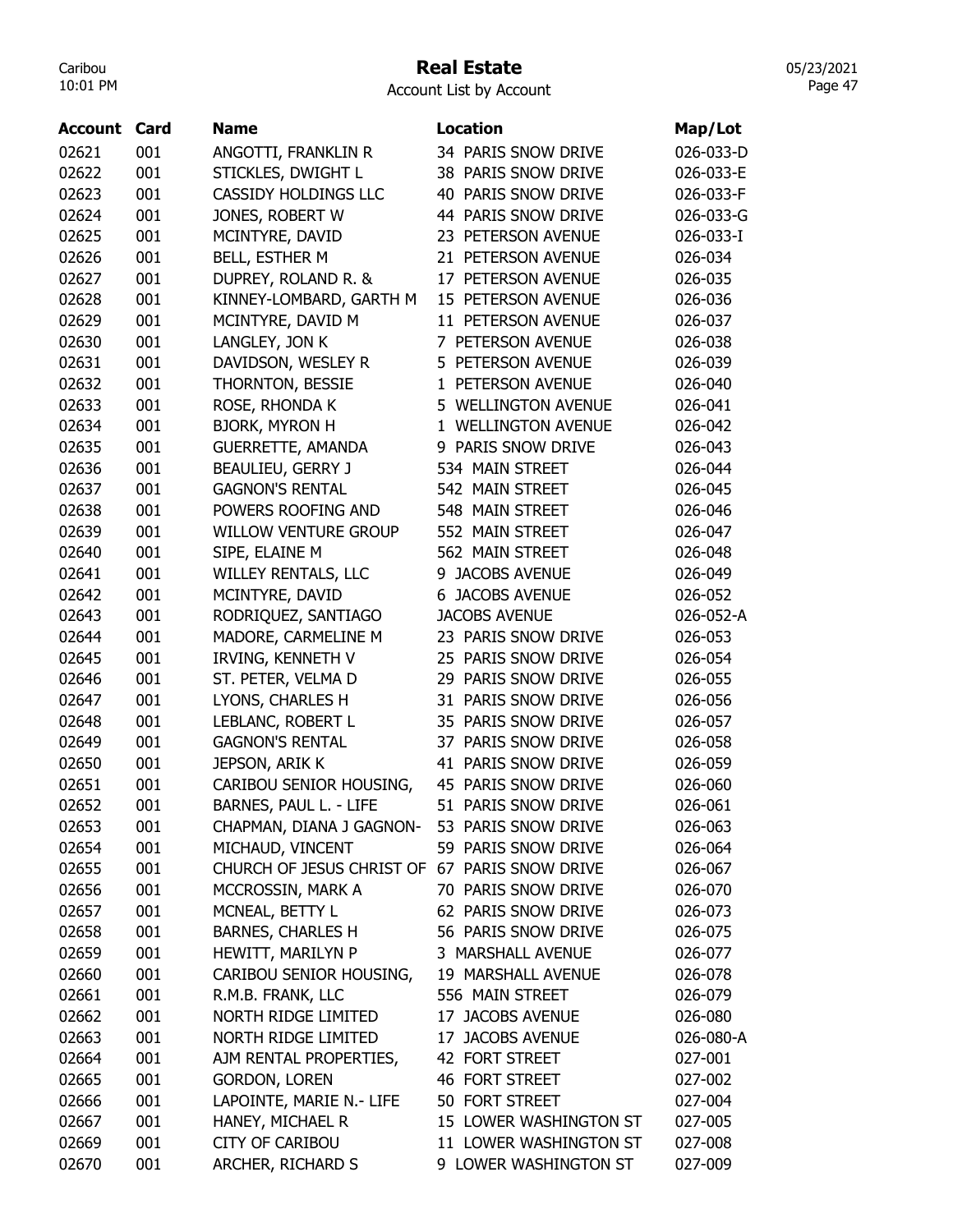### Real Estate

05/23/2021 Page 47

| Account | Card | Name                                          | <b>Location</b>            | Map/Lot   |
|---------|------|-----------------------------------------------|----------------------------|-----------|
| 02621   | 001  | ANGOTTI, FRANKLIN R                           | 34 PARIS SNOW DRIVE        | 026-033-D |
| 02622   | 001  | STICKLES, DWIGHT L                            | 38 PARIS SNOW DRIVE        | 026-033-E |
| 02623   | 001  | <b>CASSIDY HOLDINGS LLC</b>                   | <b>40 PARIS SNOW DRIVE</b> | 026-033-F |
| 02624   | 001  | JONES, ROBERT W                               | 44 PARIS SNOW DRIVE        | 026-033-G |
| 02625   | 001  | MCINTYRE, DAVID                               | 23 PETERSON AVENUE         | 026-033-I |
| 02626   | 001  | <b>BELL, ESTHER M</b>                         | 21 PETERSON AVENUE         | 026-034   |
| 02627   | 001  | DUPREY, ROLAND R. &                           | 17 PETERSON AVENUE         | 026-035   |
|         | 001  |                                               | 15 PETERSON AVENUE         |           |
| 02628   |      | KINNEY-LOMBARD, GARTH M                       | 11 PETERSON AVENUE         | 026-036   |
| 02629   | 001  | MCINTYRE, DAVID M                             |                            | 026-037   |
| 02630   | 001  | LANGLEY, JON K                                | 7 PETERSON AVENUE          | 026-038   |
| 02631   | 001  | DAVIDSON, WESLEY R                            | 5 PETERSON AVENUE          | 026-039   |
| 02632   | 001  | THORNTON, BESSIE                              | 1 PETERSON AVENUE          | 026-040   |
| 02633   | 001  | ROSE, RHONDA K                                | 5 WELLINGTON AVENUE        | 026-041   |
| 02634   | 001  | <b>BJORK, MYRON H</b>                         | 1 WELLINGTON AVENUE        | 026-042   |
| 02635   | 001  | <b>GUERRETTE, AMANDA</b>                      | 9 PARIS SNOW DRIVE         | 026-043   |
| 02636   | 001  | <b>BEAULIEU, GERRY J</b>                      | 534 MAIN STREET            | 026-044   |
| 02637   | 001  | <b>GAGNON'S RENTAL</b>                        | 542 MAIN STREET            | 026-045   |
| 02638   | 001  | POWERS ROOFING AND                            | 548 MAIN STREET            | 026-046   |
| 02639   | 001  | <b>WILLOW VENTURE GROUP</b>                   | 552 MAIN STREET            | 026-047   |
| 02640   | 001  | SIPE, ELAINE M                                | 562 MAIN STREET            | 026-048   |
| 02641   | 001  | <b>WILLEY RENTALS, LLC</b>                    | 9 JACOBS AVENUE            | 026-049   |
| 02642   | 001  | MCINTYRE, DAVID                               | <b>6 JACOBS AVENUE</b>     | 026-052   |
| 02643   | 001  | RODRIQUEZ, SANTIAGO                           | <b>JACOBS AVENUE</b>       | 026-052-A |
| 02644   | 001  | MADORE, CARMELINE M                           | 23 PARIS SNOW DRIVE        | 026-053   |
| 02645   | 001  | IRVING, KENNETH V                             | 25 PARIS SNOW DRIVE        | 026-054   |
| 02646   | 001  | ST. PETER, VELMA D                            | 29 PARIS SNOW DRIVE        | 026-055   |
| 02647   | 001  | LYONS, CHARLES H                              | 31 PARIS SNOW DRIVE        | 026-056   |
| 02648   | 001  | LEBLANC, ROBERT L                             | 35 PARIS SNOW DRIVE        | 026-057   |
| 02649   | 001  | <b>GAGNON'S RENTAL</b>                        | 37 PARIS SNOW DRIVE        | 026-058   |
| 02650   | 001  | JEPSON, ARIK K                                | 41 PARIS SNOW DRIVE        | 026-059   |
| 02651   | 001  | CARIBOU SENIOR HOUSING,                       | 45 PARIS SNOW DRIVE        | 026-060   |
| 02652   | 001  | BARNES, PAUL L. - LIFE                        | PARIS SNOW DRIVE<br>51     | 026-061   |
| 02653   | 001  | CHAPMAN, DIANA J GAGNON- 53 PARIS SNOW DRIVE  |                            | 026-063   |
| 02654   | 001  | MICHAUD, VINCENT                              | 59 PARIS SNOW DRIVE        | 026-064   |
| 02655   | 001  | CHURCH OF JESUS CHRIST OF 67 PARIS SNOW DRIVE |                            |           |
|         | 001  |                                               | 70 PARIS SNOW DRIVE        | 026-067   |
| 02656   |      | MCCROSSIN, MARK A                             |                            | 026-070   |
| 02657   | 001  | MCNEAL, BETTY L                               | 62 PARIS SNOW DRIVE        | 026-073   |
| 02658   | 001  | <b>BARNES, CHARLES H</b>                      | 56 PARIS SNOW DRIVE        | 026-075   |
| 02659   | 001  | HEWITT, MARILYN P                             | 3 MARSHALL AVENUE          | 026-077   |
| 02660   | 001  | CARIBOU SENIOR HOUSING,                       | 19 MARSHALL AVENUE         | 026-078   |
| 02661   | 001  | R.M.B. FRANK, LLC                             | 556 MAIN STREET            | 026-079   |
| 02662   | 001  | NORTH RIDGE LIMITED                           | 17 JACOBS AVENUE           | 026-080   |
| 02663   | 001  | NORTH RIDGE LIMITED                           | 17 JACOBS AVENUE           | 026-080-A |
| 02664   | 001  | AJM RENTAL PROPERTIES,                        | 42 FORT STREET             | 027-001   |
| 02665   | 001  | <b>GORDON, LOREN</b>                          | 46 FORT STREET             | 027-002   |
| 02666   | 001  | LAPOINTE, MARIE N.- LIFE                      | 50 FORT STREET             | 027-004   |
| 02667   | 001  | HANEY, MICHAEL R                              | 15 LOWER WASHINGTON ST     | 027-005   |
| 02669   | 001  | <b>CITY OF CARIBOU</b>                        | 11 LOWER WASHINGTON ST     | 027-008   |
| 02670   | 001  | ARCHER, RICHARD S                             | 9 LOWER WASHINGTON ST      | 027-009   |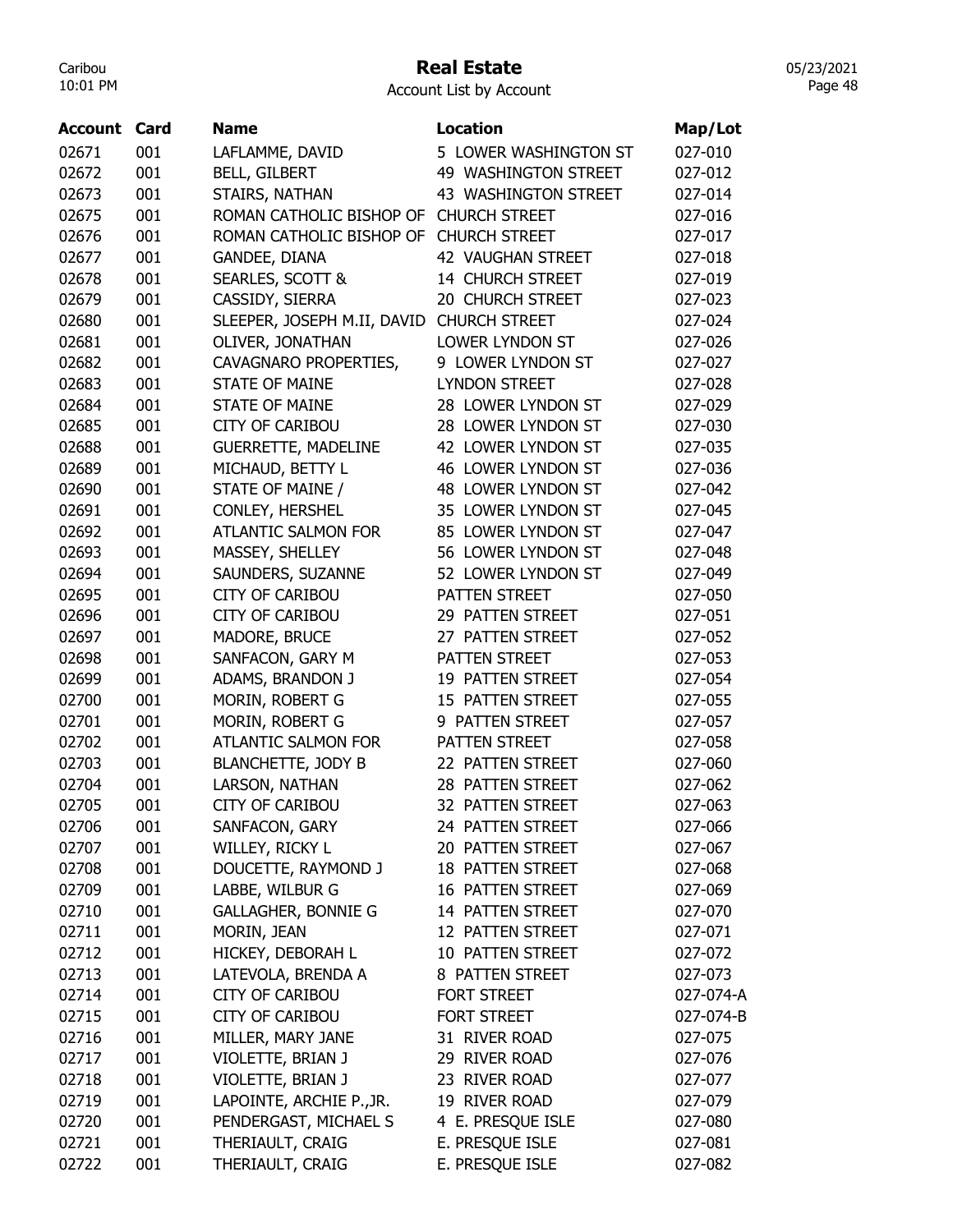#### Real Estate

Account List by Account

|         |      | Name                        | <b>Location</b>       |                    |
|---------|------|-----------------------------|-----------------------|--------------------|
| Account | Card |                             |                       | Map/Lot            |
| 02671   | 001  | LAFLAMME, DAVID             | 5 LOWER WASHINGTON ST | 027-010            |
| 02672   | 001  | <b>BELL, GILBERT</b>        | 49 WASHINGTON STREET  | 027-012            |
| 02673   | 001  | STAIRS, NATHAN              | 43 WASHINGTON STREET  | 027-014            |
| 02675   | 001  | ROMAN CATHOLIC BISHOP OF    | <b>CHURCH STREET</b>  | 027-016            |
| 02676   | 001  | ROMAN CATHOLIC BISHOP OF    | <b>CHURCH STREET</b>  | 027-017            |
| 02677   | 001  | GANDEE, DIANA               | 42 VAUGHAN STREET     | 027-018            |
| 02678   | 001  | SEARLES, SCOTT &            | 14 CHURCH STREET      | 027-019            |
| 02679   | 001  | CASSIDY, SIERRA             | 20 CHURCH STREET      | 027-023            |
| 02680   | 001  | SLEEPER, JOSEPH M.II, DAVID | <b>CHURCH STREET</b>  | 027-024            |
| 02681   | 001  | OLIVER, JONATHAN            | LOWER LYNDON ST       | 027-026            |
| 02682   | 001  | CAVAGNARO PROPERTIES,       | 9 LOWER LYNDON ST     | 027-027            |
| 02683   | 001  | <b>STATE OF MAINE</b>       | <b>LYNDON STREET</b>  | 027-028            |
| 02684   | 001  | <b>STATE OF MAINE</b>       | 28 LOWER LYNDON ST    | 027-029            |
| 02685   | 001  | <b>CITY OF CARIBOU</b>      | 28 LOWER LYNDON ST    | 027-030            |
| 02688   | 001  | <b>GUERRETTE, MADELINE</b>  | 42 LOWER LYNDON ST    | 027-035            |
| 02689   | 001  | MICHAUD, BETTY L            | 46 LOWER LYNDON ST    | 027-036            |
| 02690   | 001  | STATE OF MAINE /            | 48 LOWER LYNDON ST    | 027-042            |
| 02691   | 001  | CONLEY, HERSHEL             | 35 LOWER LYNDON ST    | 027-045            |
| 02692   | 001  | <b>ATLANTIC SALMON FOR</b>  | 85 LOWER LYNDON ST    | 027-047            |
| 02693   | 001  | MASSEY, SHELLEY             | 56 LOWER LYNDON ST    | 027-048            |
| 02694   | 001  | SAUNDERS, SUZANNE           | 52 LOWER LYNDON ST    | 027-049            |
| 02695   | 001  | <b>CITY OF CARIBOU</b>      | PATTEN STREET         | 027-050            |
| 02696   | 001  | <b>CITY OF CARIBOU</b>      | 29 PATTEN STREET      | 027-051            |
| 02697   | 001  | MADORE, BRUCE               | 27 PATTEN STREET      | 027-052            |
| 02698   | 001  | SANFACON, GARY M            | PATTEN STREET         | 027-053            |
| 02699   | 001  | ADAMS, BRANDON J            | 19 PATTEN STREET      | 027-054            |
| 02700   | 001  | MORIN, ROBERT G             | 15 PATTEN STREET      | 027-055            |
| 02701   | 001  | MORIN, ROBERT G             | 9 PATTEN STREET       | 027-057            |
| 02702   | 001  | ATLANTIC SALMON FOR         | PATTEN STREET         | 027-058            |
|         |      |                             |                       |                    |
| 02703   | 001  | <b>BLANCHETTE, JODY B</b>   | 22 PATTEN STREET      | 027-060<br>027-062 |
| 02704   | 001  | LARSON, NATHAN              | 28 PATTEN STREET      |                    |
| 02705   | 001  | <b>CITY OF CARIBOU</b>      | 32 PATTEN STREET      | 027-063            |
| 02706   | 001  | SANFACON, GARY              | 24 PATTEN STREET      | 027-066            |
| 02707   | 001  | WILLEY, RICKY L             | 20 PATTEN STREET      | 027-067            |
| 02708   | 001  | DOUCETTE, RAYMOND J         | 18 PATTEN STREET      | 027-068            |
| 02709   | 001  | LABBE, WILBUR G             | 16 PATTEN STREET      | 027-069            |
| 02710   | 001  | <b>GALLAGHER, BONNIE G</b>  | 14 PATTEN STREET      | 027-070            |
| 02711   | 001  | MORIN, JEAN                 | 12 PATTEN STREET      | 027-071            |
| 02712   | 001  | HICKEY, DEBORAH L           | 10 PATTEN STREET      | 027-072            |
| 02713   | 001  | LATEVOLA, BRENDA A          | 8 PATTEN STREET       | 027-073            |
| 02714   | 001  | <b>CITY OF CARIBOU</b>      | <b>FORT STREET</b>    | 027-074-A          |
| 02715   | 001  | <b>CITY OF CARIBOU</b>      | FORT STREET           | 027-074-B          |
| 02716   | 001  | MILLER, MARY JANE           | 31 RIVER ROAD         | 027-075            |
| 02717   | 001  | VIOLETTE, BRIAN J           | 29 RIVER ROAD         | 027-076            |
| 02718   | 001  | VIOLETTE, BRIAN J           | 23 RIVER ROAD         | 027-077            |
| 02719   | 001  | LAPOINTE, ARCHIE P., JR.    | 19 RIVER ROAD         | 027-079            |
| 02720   | 001  | PENDERGAST, MICHAEL S       | 4 E. PRESQUE ISLE     | 027-080            |
| 02721   | 001  | THERIAULT, CRAIG            | E. PRESQUE ISLE       | 027-081            |
| 02722   | 001  | THERIAULT, CRAIG            | E. PRESQUE ISLE       | 027-082            |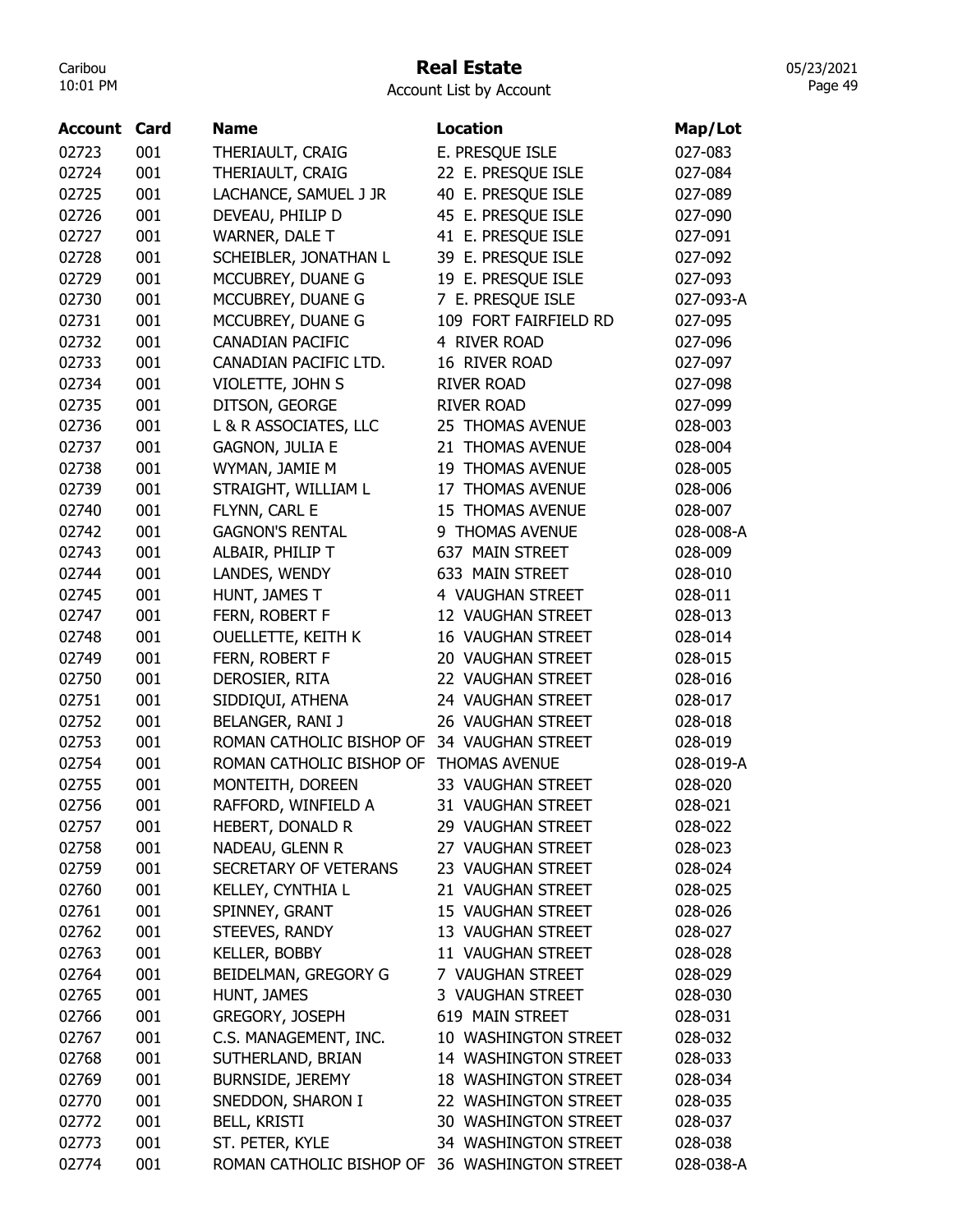## Real Estate

05/23/2021 Page 49

| <b>Account Card</b> |     | <b>Name</b>                                   | <b>Location</b>             | Map/Lot   |
|---------------------|-----|-----------------------------------------------|-----------------------------|-----------|
| 02723               | 001 | THERIAULT, CRAIG                              | E. PRESQUE ISLE             | 027-083   |
| 02724               | 001 | THERIAULT, CRAIG                              | 22 E. PRESQUE ISLE          | 027-084   |
| 02725               | 001 | LACHANCE, SAMUEL J JR                         | 40 E. PRESQUE ISLE          | 027-089   |
| 02726               | 001 | DEVEAU, PHILIP D                              | 45 E. PRESQUE ISLE          | 027-090   |
| 02727               | 001 | WARNER, DALE T                                | 41 E. PRESQUE ISLE          | 027-091   |
| 02728               | 001 | SCHEIBLER, JONATHAN L                         | 39 E. PRESQUE ISLE          | 027-092   |
| 02729               | 001 | MCCUBREY, DUANE G                             | 19 E. PRESQUE ISLE          | 027-093   |
| 02730               | 001 | MCCUBREY, DUANE G                             | 7 E. PRESQUE ISLE           | 027-093-A |
| 02731               | 001 | MCCUBREY, DUANE G                             | 109 FORT FAIRFIELD RD       | 027-095   |
| 02732               | 001 | <b>CANADIAN PACIFIC</b>                       | 4 RIVER ROAD                | 027-096   |
| 02733               | 001 | CANADIAN PACIFIC LTD.                         | 16 RIVER ROAD               | 027-097   |
| 02734               | 001 | VIOLETTE, JOHN S                              | <b>RIVER ROAD</b>           | 027-098   |
| 02735               | 001 | DITSON, GEORGE                                | <b>RIVER ROAD</b>           | 027-099   |
| 02736               | 001 | L & R ASSOCIATES, LLC                         | 25 THOMAS AVENUE            | 028-003   |
| 02737               | 001 | <b>GAGNON, JULIA E</b>                        | 21 THOMAS AVENUE            | 028-004   |
| 02738               | 001 | WYMAN, JAMIE M                                | <b>19 THOMAS AVENUE</b>     | 028-005   |
| 02739               | 001 | STRAIGHT, WILLIAM L                           | 17 THOMAS AVENUE            | 028-006   |
| 02740               | 001 | FLYNN, CARL E                                 | 15 THOMAS AVENUE            | 028-007   |
| 02742               | 001 | <b>GAGNON'S RENTAL</b>                        | 9 THOMAS AVENUE             | 028-008-A |
| 02743               | 001 | ALBAIR, PHILIP T                              | 637 MAIN STREET             | 028-009   |
| 02744               | 001 | LANDES, WENDY                                 | 633 MAIN STREET             | 028-010   |
| 02745               | 001 | HUNT, JAMES T                                 | 4 VAUGHAN STREET            | 028-011   |
| 02747               | 001 | FERN, ROBERT F                                | 12 VAUGHAN STREET           | 028-013   |
| 02748               | 001 | <b>OUELLETTE, KEITH K</b>                     | 16 VAUGHAN STREET           | 028-014   |
| 02749               | 001 | FERN, ROBERT F                                | 20 VAUGHAN STREET           | 028-015   |
| 02750               | 001 | DEROSIER, RITA                                | 22 VAUGHAN STREET           | 028-016   |
| 02751               | 001 | SIDDIQUI, ATHENA                              | 24 VAUGHAN STREET           | 028-017   |
| 02752               | 001 | BELANGER, RANI J                              | 26 VAUGHAN STREET           | 028-018   |
| 02753               | 001 | ROMAN CATHOLIC BISHOP OF                      | 34 VAUGHAN STREET           | 028-019   |
| 02754               | 001 | ROMAN CATHOLIC BISHOP OF                      | THOMAS AVENUE               | 028-019-A |
| 02755               | 001 | MONTEITH, DOREEN                              | 33 VAUGHAN STREET           | 028-020   |
| 02756               | 001 | RAFFORD, WINFIELD A                           | 31 VAUGHAN STREET           | 028-021   |
| 02757               | 001 | HEBERT, DONALD R                              | 29 VAUGHAN STREET           | 028-022   |
| 02758               | 001 | NADEAU, GLENN R                               | 27 VAUGHAN STREET           | 028-023   |
| 02759               | 001 | SECRETARY OF VETERANS                         | 23 VAUGHAN STREET           | 028-024   |
| 02760               | 001 | KELLEY, CYNTHIA L                             | 21 VAUGHAN STREET           | 028-025   |
| 02761               | 001 | SPINNEY, GRANT                                | 15 VAUGHAN STREET           | 028-026   |
| 02762               | 001 | STEEVES, RANDY                                | 13 VAUGHAN STREET           | 028-027   |
| 02763               | 001 | <b>KELLER, BOBBY</b>                          | 11 VAUGHAN STREET           | 028-028   |
| 02764               | 001 | BEIDELMAN, GREGORY G                          | 7 VAUGHAN STREET            | 028-029   |
| 02765               | 001 | HUNT, JAMES                                   | 3 VAUGHAN STREET            | 028-030   |
| 02766               | 001 | GREGORY, JOSEPH                               | 619 MAIN STREET             | 028-031   |
| 02767               | 001 | C.S. MANAGEMENT, INC.                         | 10 WASHINGTON STREET        | 028-032   |
| 02768               | 001 | SUTHERLAND, BRIAN                             | 14 WASHINGTON STREET        | 028-033   |
| 02769               | 001 | <b>BURNSIDE, JEREMY</b>                       | <b>18 WASHINGTON STREET</b> | 028-034   |
| 02770               | 001 | SNEDDON, SHARON I                             | 22 WASHINGTON STREET        | 028-035   |
| 02772               | 001 | <b>BELL, KRISTI</b>                           | 30 WASHINGTON STREET        | 028-037   |
| 02773               | 001 | ST. PETER, KYLE                               | 34 WASHINGTON STREET        | 028-038   |
| 02774               | 001 | ROMAN CATHOLIC BISHOP OF 36 WASHINGTON STREET |                             | 028-038-A |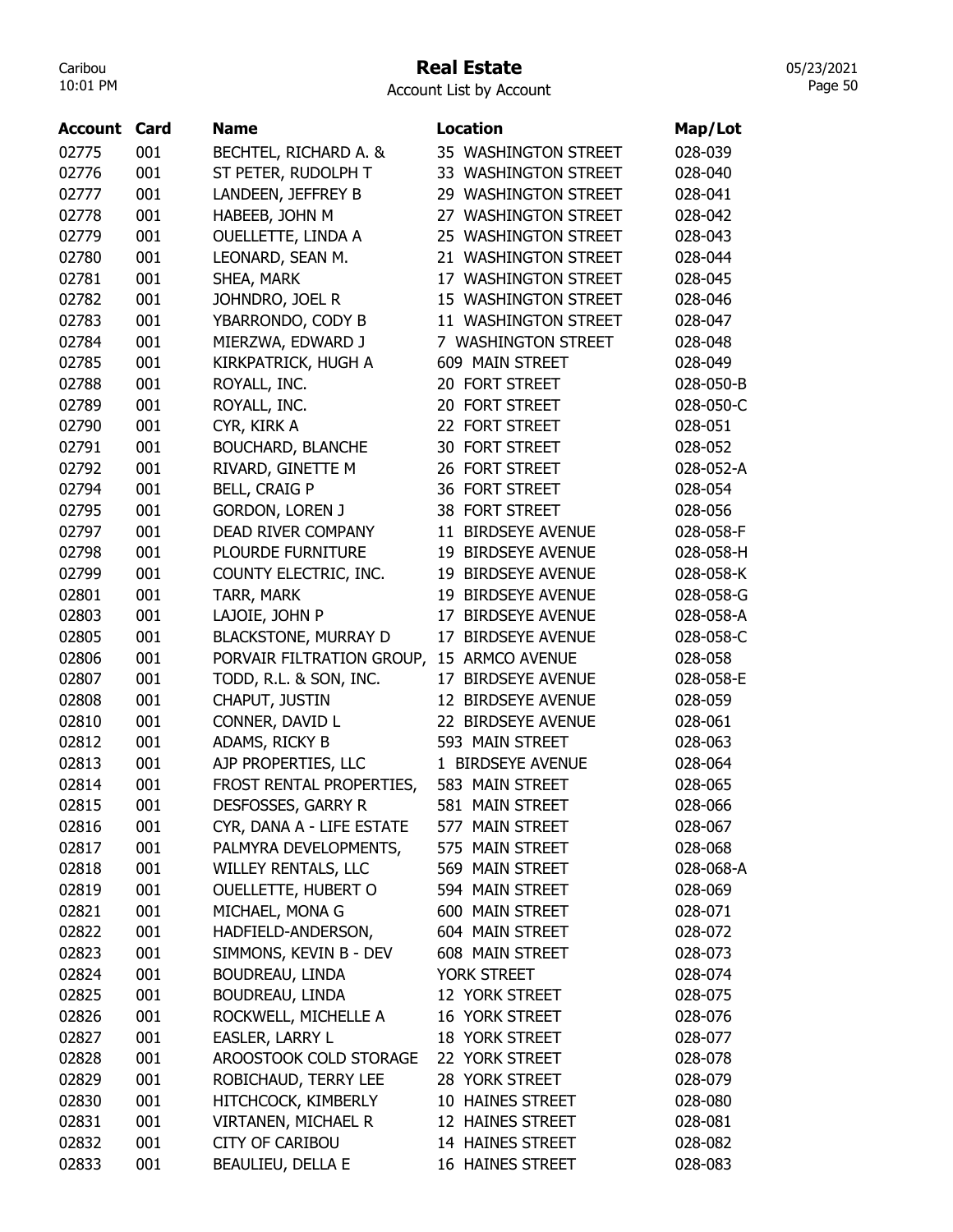## Real Estate

05/23/2021 Page 50

| <b>Account Card</b> |     | <b>Name</b>                 | <b>Location</b>      | Map/Lot   |
|---------------------|-----|-----------------------------|----------------------|-----------|
| 02775               | 001 | BECHTEL, RICHARD A. &       | 35 WASHINGTON STREET | 028-039   |
| 02776               | 001 | ST PETER, RUDOLPH T         | 33 WASHINGTON STREET | 028-040   |
| 02777               | 001 | LANDEEN, JEFFREY B          | 29 WASHINGTON STREET | 028-041   |
| 02778               | 001 | HABEEB, JOHN M              | 27 WASHINGTON STREET | 028-042   |
| 02779               | 001 | OUELLETTE, LINDA A          | 25 WASHINGTON STREET | 028-043   |
| 02780               | 001 | LEONARD, SEAN M.            | 21 WASHINGTON STREET | 028-044   |
| 02781               | 001 | SHEA, MARK                  | 17 WASHINGTON STREET | 028-045   |
| 02782               | 001 | JOHNDRO, JOEL R             | 15 WASHINGTON STREET | 028-046   |
| 02783               | 001 | YBARRONDO, CODY B           | 11 WASHINGTON STREET | 028-047   |
| 02784               | 001 | MIERZWA, EDWARD J           | 7 WASHINGTON STREET  | 028-048   |
| 02785               | 001 | KIRKPATRICK, HUGH A         | 609 MAIN STREET      | 028-049   |
| 02788               | 001 | ROYALL, INC.                | 20 FORT STREET       | 028-050-B |
| 02789               | 001 | ROYALL, INC.                | 20 FORT STREET       | 028-050-C |
| 02790               | 001 | CYR, KIRK A                 | 22 FORT STREET       | 028-051   |
| 02791               | 001 | BOUCHARD, BLANCHE           | 30 FORT STREET       | 028-052   |
| 02792               | 001 | RIVARD, GINETTE M           | 26 FORT STREET       | 028-052-A |
| 02794               | 001 | <b>BELL, CRAIG P</b>        | 36 FORT STREET       | 028-054   |
| 02795               | 001 | <b>GORDON, LOREN J</b>      | 38 FORT STREET       | 028-056   |
| 02797               | 001 | DEAD RIVER COMPANY          | 11 BIRDSEYE AVENUE   | 028-058-F |
| 02798               | 001 | PLOURDE FURNITURE           | 19 BIRDSEYE AVENUE   | 028-058-H |
| 02799               | 001 | COUNTY ELECTRIC, INC.       | 19 BIRDSEYE AVENUE   | 028-058-K |
| 02801               | 001 | TARR, MARK                  | 19 BIRDSEYE AVENUE   | 028-058-G |
| 02803               | 001 | LAJOIE, JOHN P              | 17 BIRDSEYE AVENUE   | 028-058-A |
| 02805               | 001 | <b>BLACKSTONE, MURRAY D</b> | 17 BIRDSEYE AVENUE   | 028-058-C |
| 02806               | 001 | PORVAIR FILTRATION GROUP,   | 15 ARMCO AVENUE      | 028-058   |
| 02807               | 001 | TODD, R.L. & SON, INC.      | 17 BIRDSEYE AVENUE   | 028-058-E |
| 02808               | 001 | CHAPUT, JUSTIN              | 12 BIRDSEYE AVENUE   | 028-059   |
| 02810               | 001 | CONNER, DAVID L             | 22 BIRDSEYE AVENUE   | 028-061   |
| 02812               | 001 | ADAMS, RICKY B              | 593 MAIN STREET      | 028-063   |
| 02813               | 001 | AJP PROPERTIES, LLC         | 1 BIRDSEYE AVENUE    | 028-064   |
| 02814               | 001 | FROST RENTAL PROPERTIES,    | 583 MAIN STREET      | 028-065   |
| 02815               | 001 | DESFOSSES, GARRY R          | 581 MAIN STREET      | 028-066   |
| 02816               | 001 | CYR, DANA A - LIFE ESTATE   | 577 MAIN STREET      | 028-067   |
| 02817               | 001 | PALMYRA DEVELOPMENTS,       | 575 MAIN STREET      | 028-068   |
| 02818               | 001 | <b>WILLEY RENTALS, LLC</b>  | 569 MAIN STREET      | 028-068-A |
| 02819               | 001 | OUELLETTE, HUBERT O         | 594 MAIN STREET      | 028-069   |
| 02821               | 001 | MICHAEL, MONA G             | 600 MAIN STREET      | 028-071   |
| 02822               | 001 | HADFIELD-ANDERSON,          | 604 MAIN STREET      | 028-072   |
| 02823               | 001 | SIMMONS, KEVIN B - DEV      | 608 MAIN STREET      | 028-073   |
| 02824               | 001 | BOUDREAU, LINDA             | YORK STREET          | 028-074   |
| 02825               | 001 | BOUDREAU, LINDA             | 12 YORK STREET       | 028-075   |
| 02826               | 001 | ROCKWELL, MICHELLE A        | 16 YORK STREET       | 028-076   |
| 02827               | 001 | EASLER, LARRY L             | 18 YORK STREET       | 028-077   |
| 02828               | 001 | AROOSTOOK COLD STORAGE      | 22 YORK STREET       | 028-078   |
| 02829               | 001 | ROBICHAUD, TERRY LEE        | 28 YORK STREET       | 028-079   |
| 02830               | 001 | HITCHCOCK, KIMBERLY         | 10 HAINES STREET     | 028-080   |
| 02831               | 001 | VIRTANEN, MICHAEL R         | 12 HAINES STREET     | 028-081   |
| 02832               | 001 | <b>CITY OF CARIBOU</b>      | 14 HAINES STREET     | 028-082   |
| 02833               | 001 | BEAULIEU, DELLA E           | 16 HAINES STREET     | 028-083   |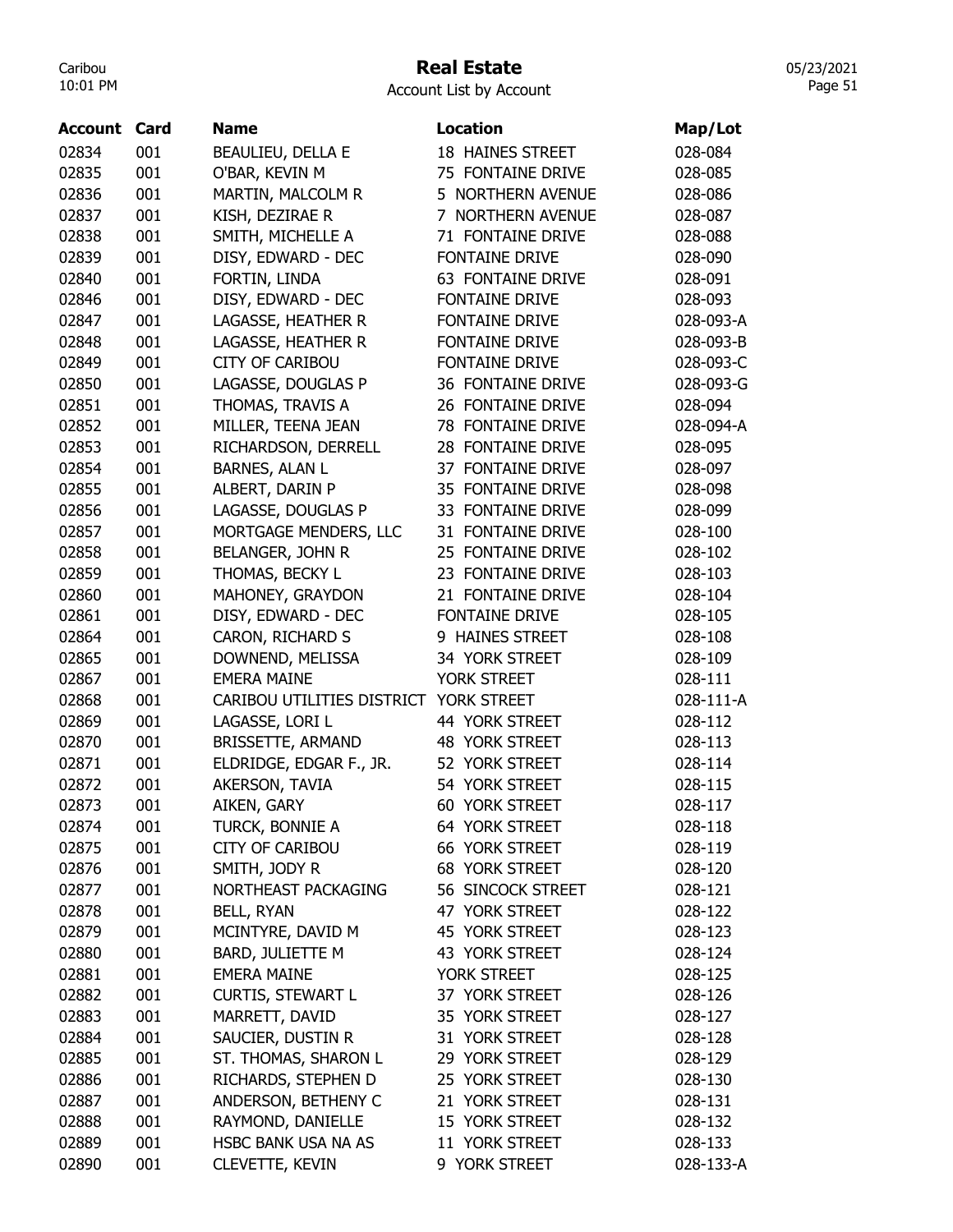#### Real Estate

05/23/2021 Page 51

| Account | Card | <b>Name</b>                | <b>Location</b>          | Map/Lot   |
|---------|------|----------------------------|--------------------------|-----------|
| 02834   | 001  | BEAULIEU, DELLA E          | <b>18 HAINES STREET</b>  | 028-084   |
| 02835   | 001  | O'BAR, KEVIN M             | 75 FONTAINE DRIVE        | 028-085   |
| 02836   | 001  | MARTIN, MALCOLM R          | 5 NORTHERN AVENUE        | 028-086   |
| 02837   | 001  | KISH, DEZIRAE R            | 7 NORTHERN AVENUE        | 028-087   |
| 02838   | 001  | SMITH, MICHELLE A          | 71 FONTAINE DRIVE        | 028-088   |
| 02839   | 001  | DISY, EDWARD - DEC         | <b>FONTAINE DRIVE</b>    | 028-090   |
| 02840   | 001  | FORTIN, LINDA              | <b>63 FONTAINE DRIVE</b> | 028-091   |
| 02846   | 001  | DISY, EDWARD - DEC         | FONTAINE DRIVE           | 028-093   |
| 02847   | 001  | LAGASSE, HEATHER R         | FONTAINE DRIVE           | 028-093-A |
| 02848   | 001  | LAGASSE, HEATHER R         | FONTAINE DRIVE           | 028-093-B |
| 02849   | 001  | <b>CITY OF CARIBOU</b>     | FONTAINE DRIVE           | 028-093-C |
| 02850   | 001  | LAGASSE, DOUGLAS P         | 36 FONTAINE DRIVE        | 028-093-G |
| 02851   | 001  | THOMAS, TRAVIS A           | 26 FONTAINE DRIVE        | 028-094   |
| 02852   | 001  | MILLER, TEENA JEAN         | 78 FONTAINE DRIVE        | 028-094-A |
| 02853   | 001  | RICHARDSON, DERRELL        | 28 FONTAINE DRIVE        | 028-095   |
| 02854   | 001  | <b>BARNES, ALAN L</b>      | 37 FONTAINE DRIVE        | 028-097   |
| 02855   | 001  | ALBERT, DARIN P            | 35 FONTAINE DRIVE        | 028-098   |
| 02856   | 001  | LAGASSE, DOUGLAS P         | 33 FONTAINE DRIVE        | 028-099   |
| 02857   | 001  | MORTGAGE MENDERS, LLC      | 31 FONTAINE DRIVE        | 028-100   |
| 02858   | 001  | BELANGER, JOHN R           | 25 FONTAINE DRIVE        | 028-102   |
| 02859   | 001  | THOMAS, BECKY L            | 23 FONTAINE DRIVE        | 028-103   |
| 02860   | 001  | MAHONEY, GRAYDON           | 21 FONTAINE DRIVE        | 028-104   |
| 02861   | 001  | DISY, EDWARD - DEC         | FONTAINE DRIVE           | 028-105   |
| 02864   | 001  | CARON, RICHARD S           | 9 HAINES STREET          | 028-108   |
| 02865   | 001  | DOWNEND, MELISSA           | 34 YORK STREET           | 028-109   |
| 02867   | 001  | <b>EMERA MAINE</b>         | YORK STREET              | 028-111   |
| 02868   | 001  | CARIBOU UTILITIES DISTRICT | YORK STREET              | 028-111-A |
| 02869   | 001  | LAGASSE, LORI L            | 44 YORK STREET           | 028-112   |
| 02870   | 001  | <b>BRISSETTE, ARMAND</b>   | <b>48 YORK STREET</b>    | 028-113   |
| 02871   | 001  | ELDRIDGE, EDGAR F., JR.    | 52 YORK STREET           | 028-114   |
| 02872   | 001  | AKERSON, TAVIA             | 54 YORK STREET           | 028-115   |
| 02873   | 001  | AIKEN, GARY                | <b>60 YORK STREET</b>    | 028-117   |
| 02874   | 001  | TURCK, BONNIE A            | 64 YORK STREET           | 028-118   |
| 02875   | 001  | <b>CITY OF CARIBOU</b>     | 66 YORK STREET           | 028-119   |
| 02876   | 001  | SMITH, JODY R              | <b>68 YORK STREET</b>    | 028-120   |
| 02877   | 001  | NORTHEAST PACKAGING        | 56 SINCOCK STREET        | 028-121   |
| 02878   | 001  | BELL, RYAN                 | 47 YORK STREET           | 028-122   |
| 02879   | 001  | MCINTYRE, DAVID M          | 45 YORK STREET           | 028-123   |
| 02880   | 001  | BARD, JULIETTE M           | 43 YORK STREET           | 028-124   |
| 02881   | 001  | <b>EMERA MAINE</b>         | YORK STREET              | 028-125   |
| 02882   | 001  | <b>CURTIS, STEWART L</b>   | 37 YORK STREET           | 028-126   |
| 02883   | 001  | MARRETT, DAVID             | 35 YORK STREET           | 028-127   |
| 02884   | 001  | SAUCIER, DUSTIN R          | 31 YORK STREET           | 028-128   |
| 02885   | 001  | ST. THOMAS, SHARON L       | 29 YORK STREET           | 028-129   |
| 02886   | 001  | RICHARDS, STEPHEN D        | 25 YORK STREET           | 028-130   |
| 02887   | 001  | ANDERSON, BETHENY C        | 21 YORK STREET           | 028-131   |
| 02888   | 001  | RAYMOND, DANIELLE          | 15 YORK STREET           | 028-132   |
| 02889   | 001  | HSBC BANK USA NA AS        | 11 YORK STREET           | 028-133   |
| 02890   | 001  | <b>CLEVETTE, KEVIN</b>     | 9 YORK STREET            | 028-133-A |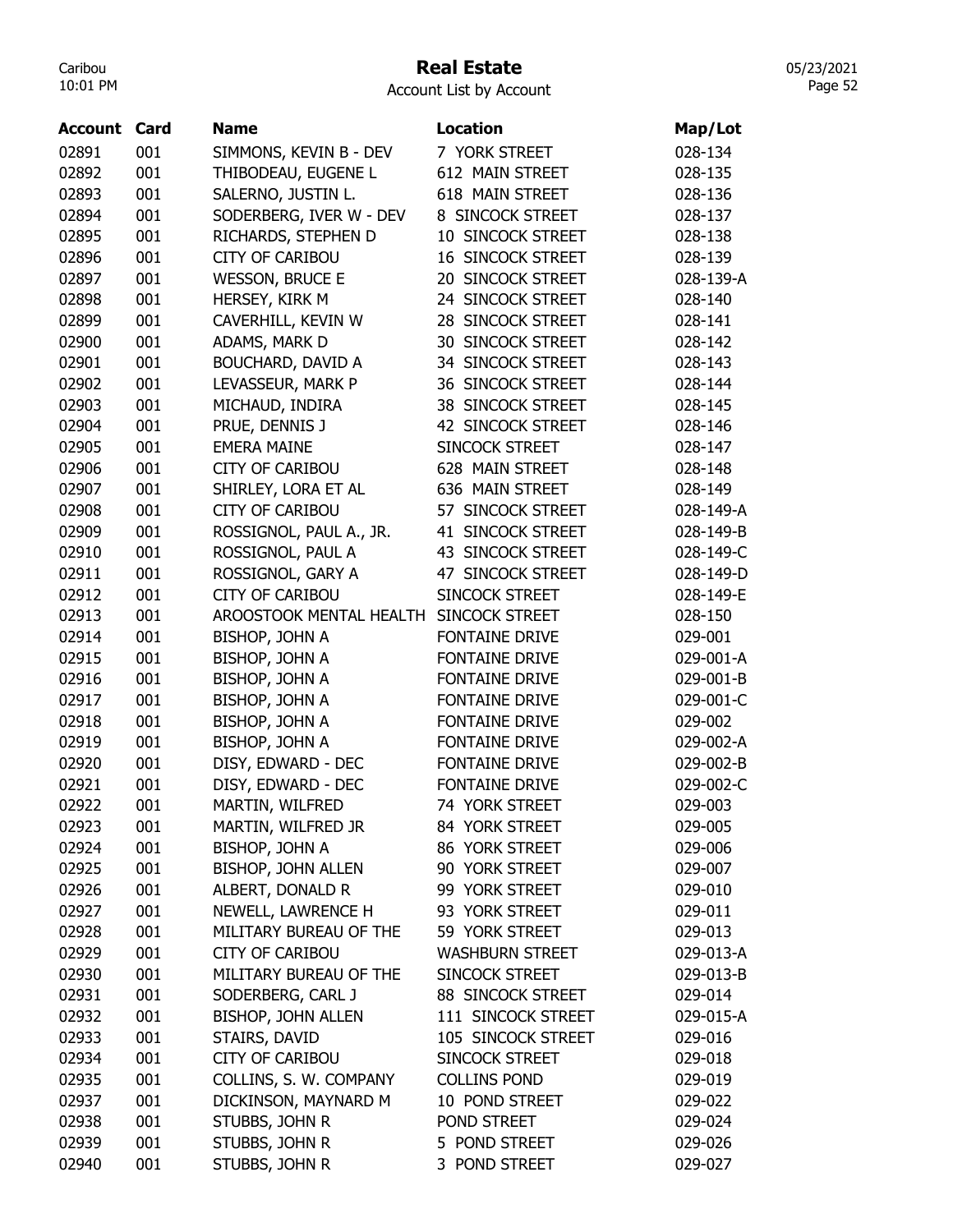## Real Estate

05/23/2021 Page 52

| <b>Account Card</b> |     | Name                      | Location                 | Map/Lot   |
|---------------------|-----|---------------------------|--------------------------|-----------|
| 02891               | 001 | SIMMONS, KEVIN B - DEV    | 7 YORK STREET            | 028-134   |
| 02892               | 001 | THIBODEAU, EUGENE L       | 612 MAIN STREET          | 028-135   |
| 02893               | 001 | SALERNO, JUSTIN L.        | 618 MAIN STREET          | 028-136   |
| 02894               | 001 | SODERBERG, IVER W - DEV   | 8 SINCOCK STREET         | 028-137   |
| 02895               | 001 | RICHARDS, STEPHEN D       | 10 SINCOCK STREET        | 028-138   |
| 02896               | 001 | <b>CITY OF CARIBOU</b>    | <b>16 SINCOCK STREET</b> | 028-139   |
| 02897               | 001 | <b>WESSON, BRUCE E</b>    | 20 SINCOCK STREET        | 028-139-A |
| 02898               | 001 | HERSEY, KIRK M            | 24 SINCOCK STREET        | 028-140   |
| 02899               | 001 | CAVERHILL, KEVIN W        | 28 SINCOCK STREET        | 028-141   |
| 02900               | 001 | ADAMS, MARK D             | <b>30 SINCOCK STREET</b> | 028-142   |
| 02901               | 001 | BOUCHARD, DAVID A         | 34 SINCOCK STREET        | 028-143   |
| 02902               | 001 | LEVASSEUR, MARK P         | 36 SINCOCK STREET        | 028-144   |
| 02903               | 001 | MICHAUD, INDIRA           | 38 SINCOCK STREET        | 028-145   |
| 02904               | 001 | PRUE, DENNIS J            | 42 SINCOCK STREET        | 028-146   |
| 02905               | 001 | <b>EMERA MAINE</b>        | SINCOCK STREET           | 028-147   |
| 02906               | 001 | <b>CITY OF CARIBOU</b>    | 628 MAIN STREET          | 028-148   |
| 02907               | 001 | SHIRLEY, LORA ET AL       | 636 MAIN STREET          | 028-149   |
| 02908               | 001 | <b>CITY OF CARIBOU</b>    | 57 SINCOCK STREET        | 028-149-A |
| 02909               | 001 | ROSSIGNOL, PAUL A., JR.   | 41 SINCOCK STREET        | 028-149-B |
| 02910               | 001 | ROSSIGNOL, PAUL A         | 43 SINCOCK STREET        | 028-149-C |
| 02911               | 001 | ROSSIGNOL, GARY A         | 47 SINCOCK STREET        | 028-149-D |
| 02912               | 001 | <b>CITY OF CARIBOU</b>    | SINCOCK STREET           | 028-149-E |
| 02913               | 001 | AROOSTOOK MENTAL HEALTH   | SINCOCK STREET           | 028-150   |
| 02914               | 001 | BISHOP, JOHN A            | FONTAINE DRIVE           | 029-001   |
| 02915               | 001 | BISHOP, JOHN A            | FONTAINE DRIVE           | 029-001-A |
| 02916               | 001 | <b>BISHOP, JOHN A</b>     | FONTAINE DRIVE           | 029-001-B |
| 02917               | 001 | <b>BISHOP, JOHN A</b>     | FONTAINE DRIVE           | 029-001-C |
| 02918               | 001 | BISHOP, JOHN A            | <b>FONTAINE DRIVE</b>    | 029-002   |
| 02919               | 001 | <b>BISHOP, JOHN A</b>     | FONTAINE DRIVE           | 029-002-A |
| 02920               | 001 | DISY, EDWARD - DEC        | <b>FONTAINE DRIVE</b>    | 029-002-B |
| 02921               | 001 | DISY, EDWARD - DEC        | <b>FONTAINE DRIVE</b>    | 029-002-C |
| 02922               | 001 | MARTIN, WILFRED           | 74 YORK STREET           | 029-003   |
| 02923               | 001 | MARTIN, WILFRED JR        | 84 YORK STREET           | 029-005   |
| 02924               | 001 | BISHOP, JOHN A            | 86 YORK STREET           | 029-006   |
| 02925               | 001 | BISHOP, JOHN ALLEN        | 90 YORK STREET           | 029-007   |
| 02926               | 001 | ALBERT, DONALD R          | 99 YORK STREET           | 029-010   |
| 02927               | 001 | NEWELL, LAWRENCE H        | 93 YORK STREET           | 029-011   |
| 02928               | 001 | MILITARY BUREAU OF THE    | 59 YORK STREET           | 029-013   |
| 02929               | 001 | <b>CITY OF CARIBOU</b>    | <b>WASHBURN STREET</b>   | 029-013-A |
| 02930               | 001 | MILITARY BUREAU OF THE    | SINCOCK STREET           | 029-013-B |
| 02931               | 001 | SODERBERG, CARL J         | 88 SINCOCK STREET        | 029-014   |
| 02932               | 001 | <b>BISHOP, JOHN ALLEN</b> | 111 SINCOCK STREET       | 029-015-A |
| 02933               | 001 | STAIRS, DAVID             | 105 SINCOCK STREET       | 029-016   |
| 02934               | 001 | <b>CITY OF CARIBOU</b>    | SINCOCK STREET           | 029-018   |
| 02935               | 001 | COLLINS, S. W. COMPANY    | <b>COLLINS POND</b>      | 029-019   |
| 02937               | 001 | DICKINSON, MAYNARD M      | 10 POND STREET           | 029-022   |
| 02938               | 001 | STUBBS, JOHN R            | POND STREET              | 029-024   |
| 02939               | 001 | STUBBS, JOHN R            | 5 POND STREET            | 029-026   |
| 02940               | 001 | STUBBS, JOHN R            | 3 POND STREET            | 029-027   |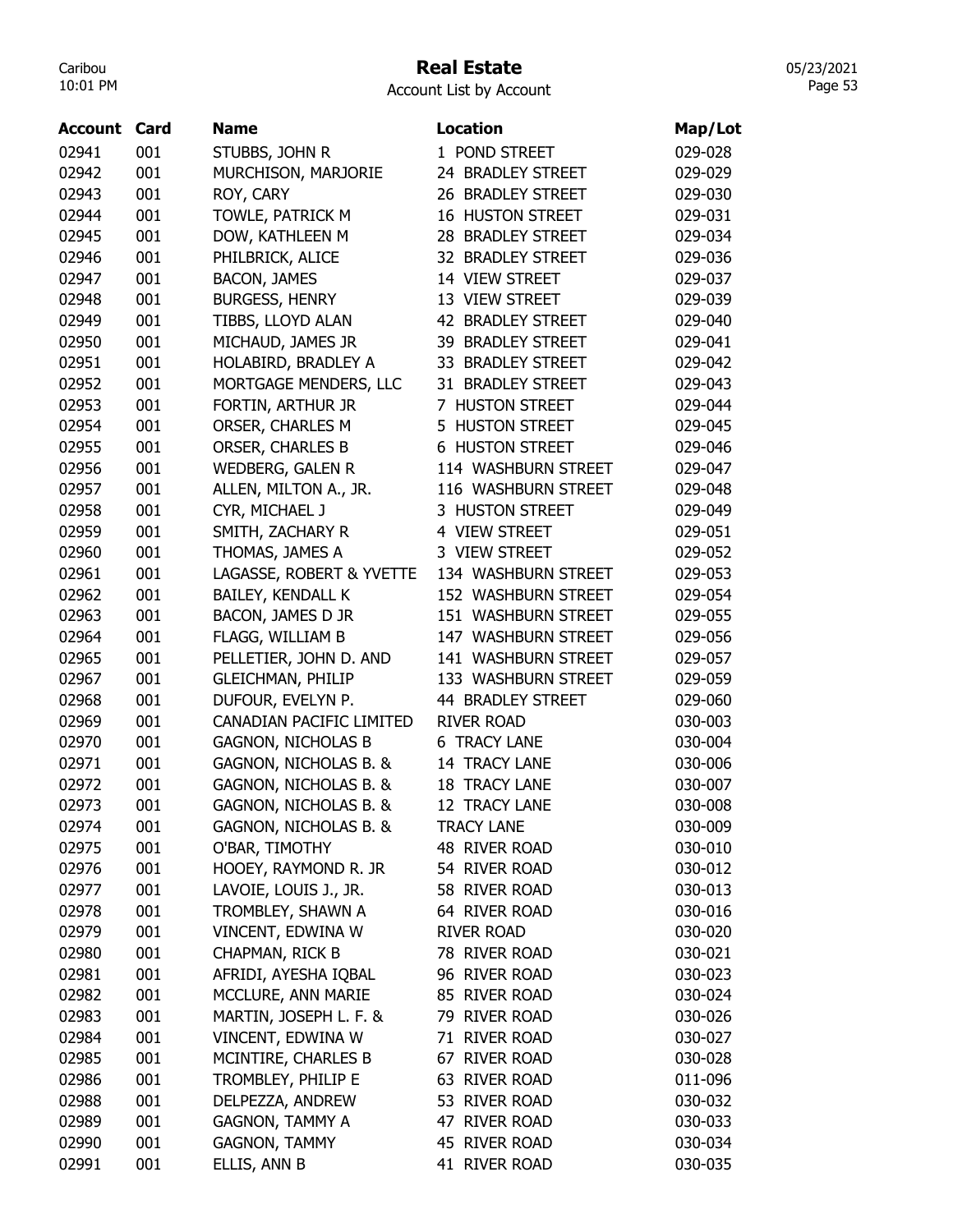## Real Estate

05/23/2021 Page 53

| <b>Account Card</b> |            | <b>Name</b>                             | <b>Location</b>                | Map/Lot |
|---------------------|------------|-----------------------------------------|--------------------------------|---------|
| 02941               | 001        | STUBBS, JOHN R                          | 1 POND STREET                  | 029-028 |
| 02942               | 001        | MURCHISON, MARJORIE                     | 24 BRADLEY STREET              | 029-029 |
| 02943               | 001        | ROY, CARY                               | 26 BRADLEY STREET              | 029-030 |
| 02944               | 001        | TOWLE, PATRICK M                        | <b>16 HUSTON STREET</b>        | 029-031 |
| 02945               | 001        | DOW, KATHLEEN M                         | 28 BRADLEY STREET              | 029-034 |
| 02946               | 001        | PHILBRICK, ALICE                        | 32 BRADLEY STREET              | 029-036 |
| 02947               | 001        | <b>BACON, JAMES</b>                     | 14 VIEW STREET                 | 029-037 |
| 02948               | 001        | <b>BURGESS, HENRY</b>                   | 13 VIEW STREET                 | 029-039 |
| 02949               | 001        | TIBBS, LLOYD ALAN                       | 42 BRADLEY STREET              | 029-040 |
| 02950               | 001        | MICHAUD, JAMES JR                       | 39 BRADLEY STREET              | 029-041 |
| 02951               | 001        | HOLABIRD, BRADLEY A                     | 33 BRADLEY STREET              | 029-042 |
| 02952               | 001        | MORTGAGE MENDERS, LLC                   | 31 BRADLEY STREET              | 029-043 |
| 02953               | 001        | FORTIN, ARTHUR JR                       | 7 HUSTON STREET                | 029-044 |
| 02954               | 001        | ORSER, CHARLES M                        | 5 HUSTON STREET                | 029-045 |
| 02955               | 001        | <b>ORSER, CHARLES B</b>                 | <b>6 HUSTON STREET</b>         | 029-046 |
| 02956               | 001        | <b>WEDBERG, GALEN R</b>                 | 114 WASHBURN STREET            | 029-047 |
| 02957               | 001        | ALLEN, MILTON A., JR.                   | 116 WASHBURN STREET            | 029-048 |
| 02958               | 001        | CYR, MICHAEL J                          | 3 HUSTON STREET                | 029-049 |
| 02959               | 001        | SMITH, ZACHARY R                        | 4 VIEW STREET                  | 029-051 |
| 02960               | 001        | THOMAS, JAMES A                         | 3 VIEW STREET                  | 029-052 |
| 02961               | 001        | LAGASSE, ROBERT & YVETTE                | 134 WASHBURN STREET            | 029-053 |
| 02962               | 001        | BAILEY, KENDALL K                       | 152 WASHBURN STREET            | 029-054 |
| 02963               | 001        | BACON, JAMES D JR                       | 151 WASHBURN STREET            | 029-055 |
| 02964               | 001        | FLAGG, WILLIAM B                        | 147 WASHBURN STREET            | 029-056 |
| 02965               | 001        | PELLETIER, JOHN D. AND                  | 141 WASHBURN STREET            | 029-057 |
| 02967               | 001        | <b>GLEICHMAN, PHILIP</b>                | 133 WASHBURN STREET            | 029-059 |
| 02968               | 001        | DUFOUR, EVELYN P.                       | 44 BRADLEY STREET              | 029-060 |
| 02969               | 001        | CANADIAN PACIFIC LIMITED                | <b>RIVER ROAD</b>              | 030-003 |
| 02970               | 001        | <b>GAGNON, NICHOLAS B</b>               | <b>6 TRACY LANE</b>            | 030-004 |
| 02971               | 001        | GAGNON, NICHOLAS B. &                   | 14 TRACY LANE                  | 030-006 |
| 02972               | 001        | GAGNON, NICHOLAS B. &                   | <b>18 TRACY LANE</b>           | 030-007 |
| 02973               | 001        | GAGNON, NICHOLAS B. &                   | 12 TRACY LANE                  | 030-008 |
| 02974               | 001        | GAGNON, NICHOLAS B. &                   | <b>TRACY LANE</b>              | 030-009 |
| 02975               | 001        | O'BAR, TIMOTHY                          | 48 RIVER ROAD                  | 030-010 |
|                     |            | HOOEY, RAYMOND R. JR                    |                                |         |
| 02976<br>02977      | 001<br>001 | LAVOIE, LOUIS J., JR.                   | 54 RIVER ROAD<br>58 RIVER ROAD | 030-012 |
|                     |            |                                         | 64 RIVER ROAD                  | 030-013 |
| 02978               | 001        | TROMBLEY, SHAWN A                       |                                | 030-016 |
| 02979               | 001        | VINCENT, EDWINA W                       | <b>RIVER ROAD</b>              | 030-020 |
| 02980               | 001        | CHAPMAN, RICK B<br>AFRIDI, AYESHA IQBAL | 78 RIVER ROAD                  | 030-021 |
| 02981               | 001        |                                         | 96 RIVER ROAD                  | 030-023 |
| 02982               | 001        | MCCLURE, ANN MARIE                      | 85 RIVER ROAD                  | 030-024 |
| 02983               | 001        | MARTIN, JOSEPH L. F. &                  | 79 RIVER ROAD                  | 030-026 |
| 02984               | 001        | VINCENT, EDWINA W                       | 71 RIVER ROAD                  | 030-027 |
| 02985               | 001        | MCINTIRE, CHARLES B                     | 67 RIVER ROAD                  | 030-028 |
| 02986               | 001        | TROMBLEY, PHILIP E                      | 63 RIVER ROAD                  | 011-096 |
| 02988               | 001        | DELPEZZA, ANDREW                        | 53 RIVER ROAD                  | 030-032 |
| 02989               | 001        | <b>GAGNON, TAMMY A</b>                  | 47 RIVER ROAD                  | 030-033 |
| 02990               | 001        | <b>GAGNON, TAMMY</b>                    | 45 RIVER ROAD                  | 030-034 |
| 02991               | 001        | ELLIS, ANN B                            | 41 RIVER ROAD                  | 030-035 |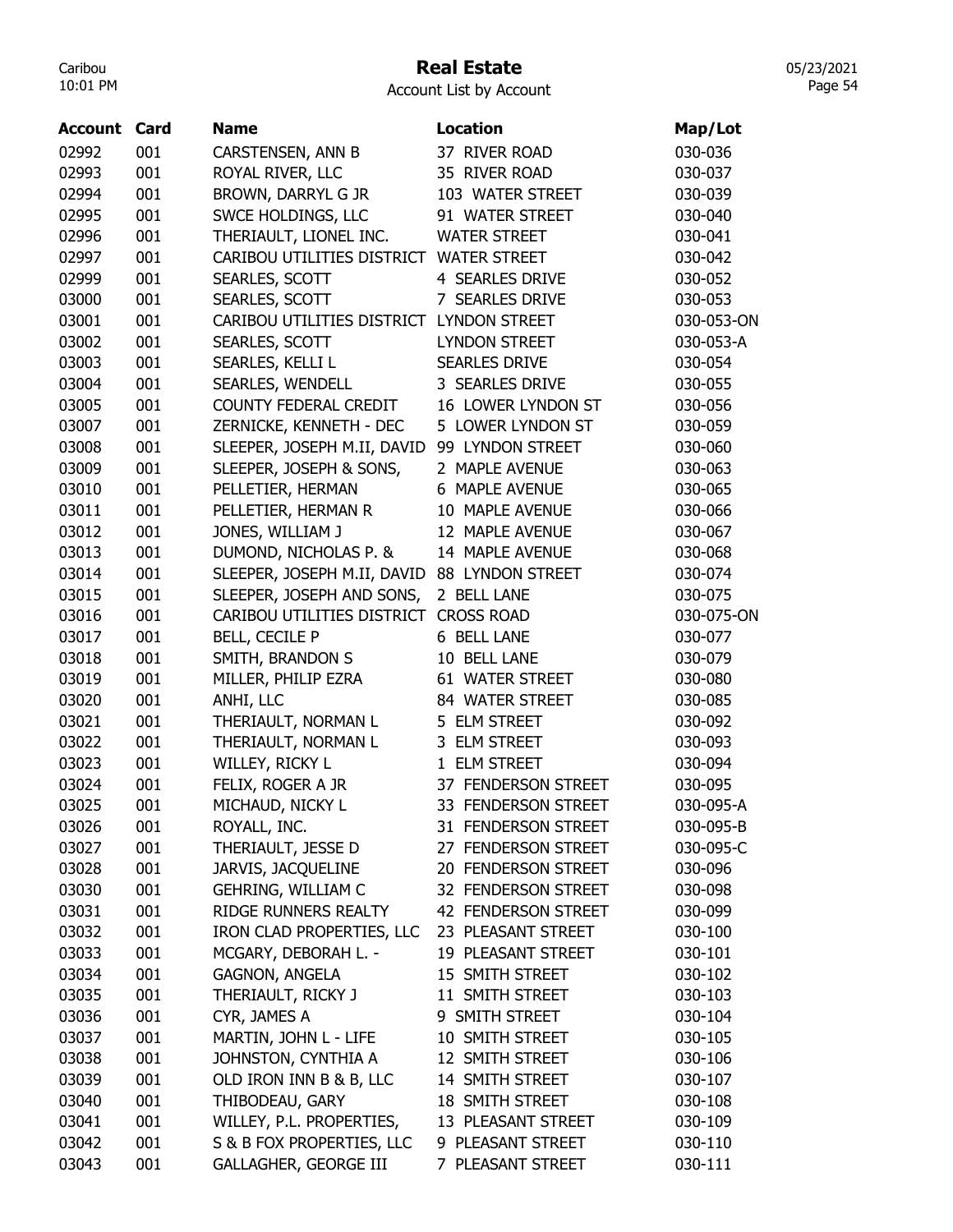# Real Estate

05/23/2021 Page 54

| <b>Account Card</b> |     | <b>Name</b>                                  | Location               | Map/Lot    |
|---------------------|-----|----------------------------------------------|------------------------|------------|
| 02992               | 001 | CARSTENSEN, ANN B                            | 37 RIVER ROAD          | 030-036    |
| 02993               | 001 | ROYAL RIVER, LLC                             | 35 RIVER ROAD          | 030-037    |
| 02994               | 001 | BROWN, DARRYL G JR                           | 103 WATER STREET       | 030-039    |
| 02995               | 001 | SWCE HOLDINGS, LLC                           | 91 WATER STREET        | 030-040    |
| 02996               | 001 | THERIAULT, LIONEL INC.                       | <b>WATER STREET</b>    | 030-041    |
| 02997               | 001 | CARIBOU UTILITIES DISTRICT WATER STREET      |                        | 030-042    |
| 02999               | 001 | SEARLES, SCOTT                               | <b>4 SEARLES DRIVE</b> | 030-052    |
| 03000               | 001 | SEARLES, SCOTT                               | 7 SEARLES DRIVE        | 030-053    |
| 03001               | 001 | CARIBOU UTILITIES DISTRICT LYNDON STREET     |                        | 030-053-ON |
| 03002               | 001 | SEARLES, SCOTT                               | <b>LYNDON STREET</b>   | 030-053-A  |
| 03003               | 001 | SEARLES, KELLI L                             | <b>SEARLES DRIVE</b>   | 030-054    |
| 03004               | 001 | SEARLES, WENDELL                             | 3 SEARLES DRIVE        | 030-055    |
| 03005               | 001 | COUNTY FEDERAL CREDIT                        | 16 LOWER LYNDON ST     | 030-056    |
| 03007               | 001 | ZERNICKE, KENNETH - DEC                      | 5 LOWER LYNDON ST      | 030-059    |
| 03008               | 001 | SLEEPER, JOSEPH M.II, DAVID 99 LYNDON STREET |                        | 030-060    |
| 03009               | 001 | SLEEPER, JOSEPH & SONS,                      | 2 MAPLE AVENUE         | 030-063    |
| 03010               | 001 | PELLETIER, HERMAN                            | 6 MAPLE AVENUE         | 030-065    |
| 03011               | 001 | PELLETIER, HERMAN R                          | 10 MAPLE AVENUE        | 030-066    |
| 03012               | 001 | JONES, WILLIAM J                             | 12 MAPLE AVENUE        | 030-067    |
| 03013               | 001 | DUMOND, NICHOLAS P. &                        | 14 MAPLE AVENUE        | 030-068    |
| 03014               | 001 | SLEEPER, JOSEPH M.II, DAVID 88 LYNDON STREET |                        | 030-074    |
| 03015               | 001 | SLEEPER, JOSEPH AND SONS,                    | 2 BELL LANE            | 030-075    |
| 03016               | 001 | CARIBOU UTILITIES DISTRICT CROSS ROAD        |                        | 030-075-ON |
| 03017               | 001 | BELL, CECILE P                               | 6 BELL LANE            | 030-077    |
| 03018               | 001 | SMITH, BRANDON S                             | 10 BELL LANE           | 030-079    |
| 03019               | 001 | MILLER, PHILIP EZRA                          | 61 WATER STREET        | 030-080    |
| 03020               | 001 | ANHI, LLC                                    | 84 WATER STREET        | 030-085    |
| 03021               | 001 | THERIAULT, NORMAN L                          | 5 ELM STREET           | 030-092    |
| 03022               | 001 | THERIAULT, NORMAN L                          | 3 ELM STREET           | 030-093    |
| 03023               | 001 | WILLEY, RICKY L                              | 1 ELM STREET           | 030-094    |
| 03024               | 001 | FELIX, ROGER A JR                            | 37 FENDERSON STREET    | 030-095    |
| 03025               | 001 | MICHAUD, NICKY L                             | 33 FENDERSON STREET    | 030-095-A  |
| 03026               | 001 | ROYALL, INC.                                 | 31 FENDERSON STREET    | 030-095-B  |
| 03027               | 001 | THERIAULT, JESSE D                           | 27 FENDERSON STREET    | 030-095-C  |
| 03028               | 001 | JARVIS, JACQUELINE                           | 20 FENDERSON STREET    | 030-096    |
| 03030               | 001 | GEHRING, WILLIAM C                           | 32 FENDERSON STREET    | 030-098    |
| 03031               | 001 | RIDGE RUNNERS REALTY                         | 42 FENDERSON STREET    | 030-099    |
| 03032               | 001 | IRON CLAD PROPERTIES, LLC                    | 23 PLEASANT STREET     | 030-100    |
| 03033               | 001 | MCGARY, DEBORAH L. -                         | 19 PLEASANT STREET     | 030-101    |
| 03034               | 001 | <b>GAGNON, ANGELA</b>                        | 15 SMITH STREET        | 030-102    |
| 03035               | 001 | THERIAULT, RICKY J                           | 11 SMITH STREET        | 030-103    |
| 03036               | 001 | CYR, JAMES A                                 | 9 SMITH STREET         | 030-104    |
| 03037               | 001 | MARTIN, JOHN L - LIFE                        | 10 SMITH STREET        | 030-105    |
| 03038               | 001 | JOHNSTON, CYNTHIA A                          | 12 SMITH STREET        | 030-106    |
| 03039               | 001 | OLD IRON INN B & B, LLC                      | 14 SMITH STREET        | 030-107    |
| 03040               | 001 | THIBODEAU, GARY                              | 18 SMITH STREET        | 030-108    |
| 03041               | 001 | WILLEY, P.L. PROPERTIES,                     | 13 PLEASANT STREET     | 030-109    |
| 03042               | 001 | S & B FOX PROPERTIES, LLC                    | 9 PLEASANT STREET      | 030-110    |
| 03043               | 001 | GALLAGHER, GEORGE III                        | 7 PLEASANT STREET      | 030-111    |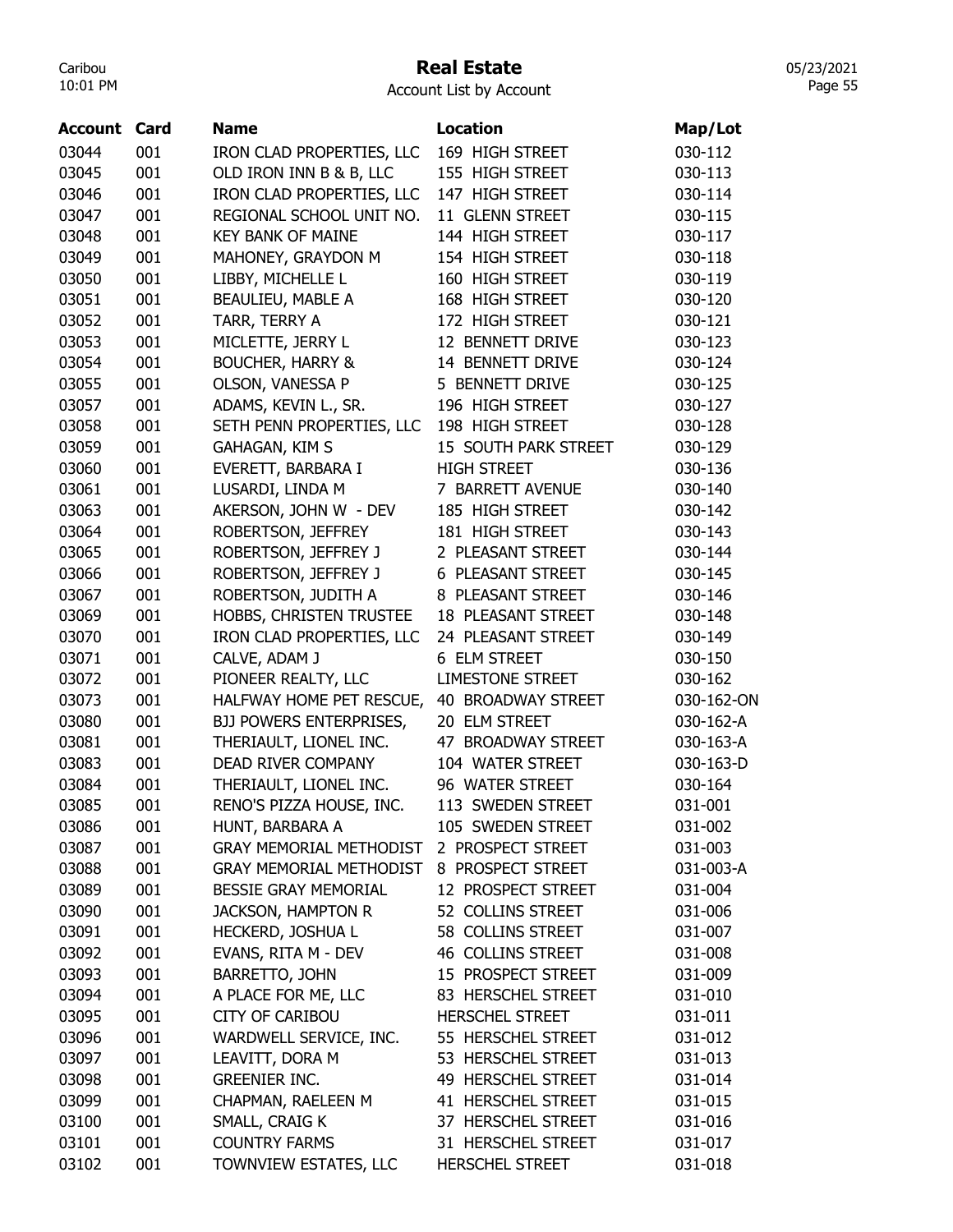## Real Estate

05/23/2021 Page 55

| <b>Account Card</b> |     | <b>Name</b>                    | Location                  | Map/Lot    |
|---------------------|-----|--------------------------------|---------------------------|------------|
| 03044               | 001 | IRON CLAD PROPERTIES, LLC      | 169 HIGH STREET           | 030-112    |
| 03045               | 001 | OLD IRON INN B & B, LLC        | 155 HIGH STREET           | 030-113    |
| 03046               | 001 | IRON CLAD PROPERTIES, LLC      | 147 HIGH STREET           | 030-114    |
| 03047               | 001 | REGIONAL SCHOOL UNIT NO.       | 11 GLENN STREET           | 030-115    |
| 03048               | 001 | <b>KEY BANK OF MAINE</b>       | 144 HIGH STREET           | 030-117    |
| 03049               | 001 | MAHONEY, GRAYDON M             | 154 HIGH STREET           | 030-118    |
| 03050               | 001 | LIBBY, MICHELLE L              | 160 HIGH STREET           | 030-119    |
| 03051               | 001 | BEAULIEU, MABLE A              | 168 HIGH STREET           | 030-120    |
| 03052               | 001 | TARR, TERRY A                  | 172 HIGH STREET           | 030-121    |
| 03053               | 001 | MICLETTE, JERRY L              | 12 BENNETT DRIVE          | 030-123    |
| 03054               | 001 | <b>BOUCHER, HARRY &amp;</b>    | 14 BENNETT DRIVE          | 030-124    |
| 03055               | 001 | OLSON, VANESSA P               | 5 BENNETT DRIVE           | 030-125    |
| 03057               | 001 | ADAMS, KEVIN L., SR.           | 196 HIGH STREET           | 030-127    |
| 03058               | 001 | SETH PENN PROPERTIES, LLC      | 198 HIGH STREET           | 030-128    |
| 03059               | 001 | GAHAGAN, KIM S                 | 15 SOUTH PARK STREET      | 030-129    |
| 03060               | 001 | EVERETT, BARBARA I             | <b>HIGH STREET</b>        | 030-136    |
| 03061               | 001 | LUSARDI, LINDA M               | 7 BARRETT AVENUE          | 030-140    |
| 03063               | 001 | AKERSON, JOHN W - DEV          | 185 HIGH STREET           | 030-142    |
| 03064               | 001 | ROBERTSON, JEFFREY             | 181 HIGH STREET           | 030-143    |
| 03065               | 001 | ROBERTSON, JEFFREY J           | 2 PLEASANT STREET         | 030-144    |
| 03066               | 001 | ROBERTSON, JEFFREY J           | 6 PLEASANT STREET         | 030-145    |
| 03067               | 001 | ROBERTSON, JUDITH A            | 8 PLEASANT STREET         | 030-146    |
| 03069               | 001 | HOBBS, CHRISTEN TRUSTEE        | <b>18 PLEASANT STREET</b> | 030-148    |
| 03070               | 001 | IRON CLAD PROPERTIES, LLC      | 24 PLEASANT STREET        | 030-149    |
| 03071               | 001 | CALVE, ADAM J                  | 6 ELM STREET              | 030-150    |
| 03072               | 001 | PIONEER REALTY, LLC            | <b>LIMESTONE STREET</b>   | 030-162    |
| 03073               | 001 | HALFWAY HOME PET RESCUE,       | 40 BROADWAY STREET        | 030-162-ON |
| 03080               | 001 | <b>BJJ POWERS ENTERPRISES,</b> | 20 ELM STREET             | 030-162-A  |
| 03081               | 001 | THERIAULT, LIONEL INC.         | 47 BROADWAY STREET        | 030-163-A  |
| 03083               | 001 | DEAD RIVER COMPANY             | 104 WATER STREET          | 030-163-D  |
| 03084               | 001 | THERIAULT, LIONEL INC.         | 96 WATER STREET           | 030-164    |
| 03085               | 001 | RENO'S PIZZA HOUSE, INC.       | 113 SWEDEN STREET         | 031-001    |
| 03086               | 001 | HUNT, BARBARA A                | 105 SWEDEN STREET         | 031-002    |
| 03087               | 001 | <b>GRAY MEMORIAL METHODIST</b> | 2 PROSPECT STREET         | 031-003    |
| 03088               | 001 | <b>GRAY MEMORIAL METHODIST</b> | 8 PROSPECT STREET         | 031-003-A  |
| 03089               | 001 | <b>BESSIE GRAY MEMORIAL</b>    | 12 PROSPECT STREET        | 031-004    |
| 03090               | 001 | JACKSON, HAMPTON R             | 52 COLLINS STREET         | 031-006    |
| 03091               | 001 | HECKERD, JOSHUA L              | 58 COLLINS STREET         | 031-007    |
| 03092               | 001 | EVANS, RITA M - DEV            | 46 COLLINS STREET         | 031-008    |
| 03093               | 001 | BARRETTO, JOHN                 | 15 PROSPECT STREET        | 031-009    |
| 03094               | 001 | A PLACE FOR ME, LLC            | 83 HERSCHEL STREET        | 031-010    |
| 03095               | 001 | <b>CITY OF CARIBOU</b>         | <b>HERSCHEL STREET</b>    | 031-011    |
| 03096               | 001 | WARDWELL SERVICE, INC.         | 55 HERSCHEL STREET        | 031-012    |
| 03097               | 001 | LEAVITT, DORA M                | 53 HERSCHEL STREET        | 031-013    |
| 03098               | 001 | <b>GREENIER INC.</b>           | 49 HERSCHEL STREET        | 031-014    |
| 03099               | 001 | CHAPMAN, RAELEEN M             | 41 HERSCHEL STREET        | 031-015    |
| 03100               | 001 | SMALL, CRAIG K                 | 37 HERSCHEL STREET        | 031-016    |
| 03101               | 001 | <b>COUNTRY FARMS</b>           | 31 HERSCHEL STREET        | 031-017    |
| 03102               | 001 | TOWNVIEW ESTATES, LLC          | <b>HERSCHEL STREET</b>    | 031-018    |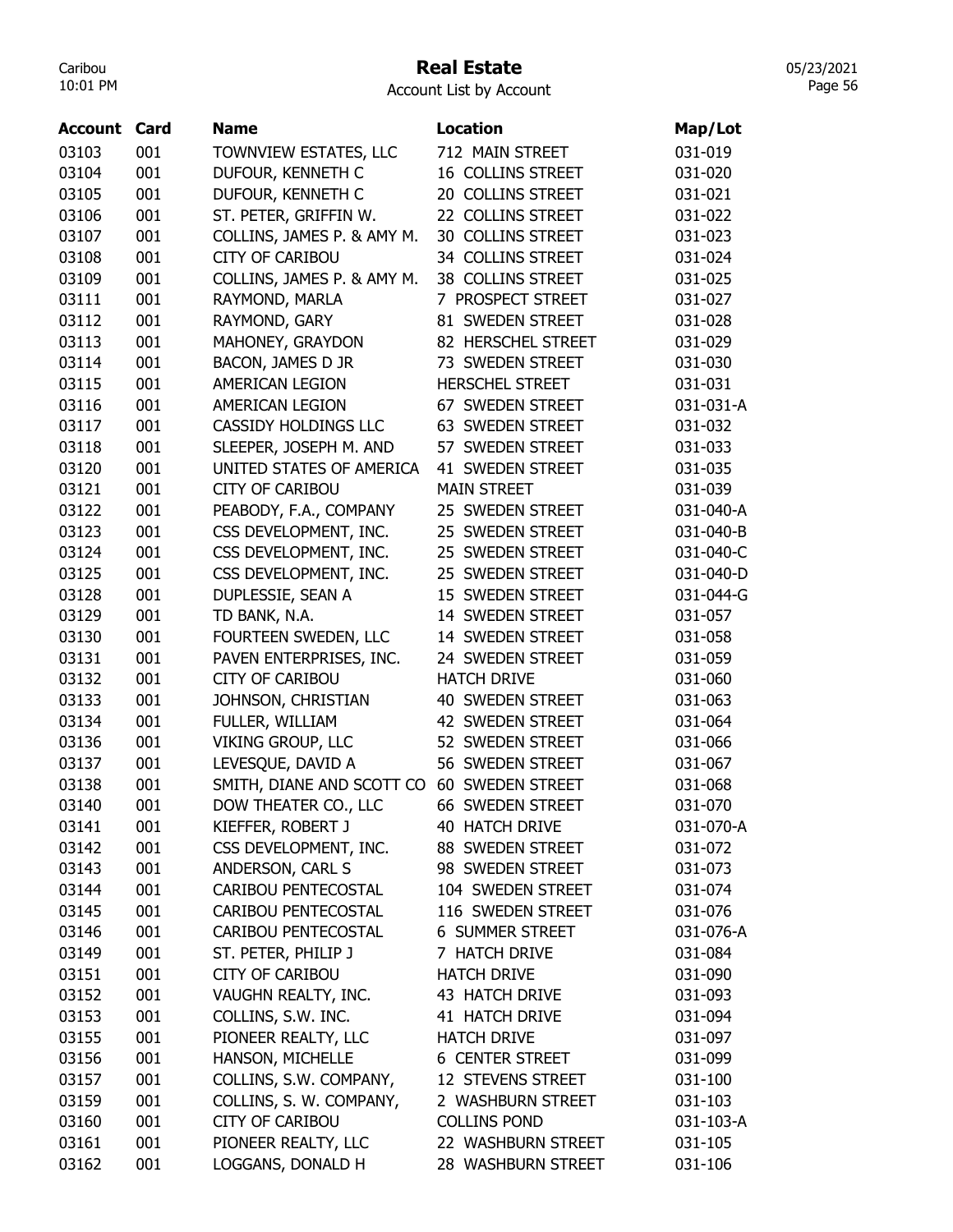#### Real Estate

Account List by Account

| Account | Card | <b>Name</b>                                     | <b>Location</b>                      | Map/Lot   |
|---------|------|-------------------------------------------------|--------------------------------------|-----------|
| 03103   | 001  | TOWNVIEW ESTATES, LLC                           | 712 MAIN STREET                      | 031-019   |
| 03104   | 001  | DUFOUR, KENNETH C                               | 16 COLLINS STREET                    | 031-020   |
| 03105   | 001  | DUFOUR, KENNETH C                               | 20 COLLINS STREET                    | 031-021   |
| 03106   | 001  | ST. PETER, GRIFFIN W.                           | 22 COLLINS STREET                    | 031-022   |
| 03107   | 001  | COLLINS, JAMES P. & AMY M.                      | 30 COLLINS STREET                    | 031-023   |
| 03108   | 001  | <b>CITY OF CARIBOU</b>                          | 34 COLLINS STREET                    | 031-024   |
| 03109   | 001  | COLLINS, JAMES P. & AMY M.                      | 38 COLLINS STREET                    | 031-025   |
| 03111   | 001  | RAYMOND, MARLA                                  | 7 PROSPECT STREET                    | 031-027   |
| 03112   | 001  | RAYMOND, GARY                                   | 81 SWEDEN STREET                     | 031-028   |
| 03113   | 001  | MAHONEY, GRAYDON                                | 82 HERSCHEL STREET                   | 031-029   |
| 03114   | 001  | BACON, JAMES D JR                               | 73 SWEDEN STREET                     | 031-030   |
| 03115   | 001  | AMERICAN LEGION                                 | <b>HERSCHEL STREET</b>               | 031-031   |
| 03116   | 001  | AMERICAN LEGION                                 | 67 SWEDEN STREET                     | 031-031-A |
| 03117   | 001  | CASSIDY HOLDINGS LLC                            | 63 SWEDEN STREET                     | 031-032   |
| 03118   | 001  | SLEEPER, JOSEPH M. AND                          | 57 SWEDEN STREET                     | 031-033   |
| 03120   | 001  | UNITED STATES OF AMERICA                        | 41 SWEDEN STREET                     | 031-035   |
| 03121   | 001  | <b>CITY OF CARIBOU</b>                          | <b>MAIN STREET</b>                   | 031-039   |
| 03122   | 001  |                                                 | 25 SWEDEN STREET                     | 031-040-A |
| 03123   | 001  | PEABODY, F.A., COMPANY<br>CSS DEVELOPMENT, INC. | 25 SWEDEN STREET                     | 031-040-B |
| 03124   | 001  | CSS DEVELOPMENT, INC.                           | 25 SWEDEN STREET                     | 031-040-C |
| 03125   | 001  |                                                 |                                      | 031-040-D |
|         | 001  | CSS DEVELOPMENT, INC.                           | 25 SWEDEN STREET<br>15 SWEDEN STREET | 031-044-G |
| 03128   |      | DUPLESSIE, SEAN A                               |                                      |           |
| 03129   | 001  | TD BANK, N.A.                                   | 14 SWEDEN STREET                     | 031-057   |
| 03130   | 001  | FOURTEEN SWEDEN, LLC                            | 14 SWEDEN STREET                     | 031-058   |
| 03131   | 001  | PAVEN ENTERPRISES, INC.                         | 24 SWEDEN STREET                     | 031-059   |
| 03132   | 001  | <b>CITY OF CARIBOU</b>                          | <b>HATCH DRIVE</b>                   | 031-060   |
| 03133   | 001  | JOHNSON, CHRISTIAN                              | 40 SWEDEN STREET                     | 031-063   |
| 03134   | 001  | FULLER, WILLIAM                                 | 42 SWEDEN STREET                     | 031-064   |
| 03136   | 001  | <b>VIKING GROUP, LLC</b>                        | 52 SWEDEN STREET                     | 031-066   |
| 03137   | 001  | LEVESQUE, DAVID A                               | 56 SWEDEN STREET                     | 031-067   |
| 03138   | 001  | SMITH, DIANE AND SCOTT CO                       | 60 SWEDEN STREET                     | 031-068   |
| 03140   | 001  | DOW THEATER CO., LLC                            | 66 SWEDEN STREET                     | 031-070   |
| 03141   | 001  | KIEFFER, ROBERT J                               | 40 HATCH DRIVE                       | 031-070-A |
| 03142   | 001  | CSS DEVELOPMENT, INC.                           | 88 SWEDEN STREET                     | 031-072   |
| 03143   | 001  | ANDERSON, CARL S                                | 98 SWEDEN STREET                     | 031-073   |
| 03144   | 001  | CARIBOU PENTECOSTAL                             | 104 SWEDEN STREET                    | 031-074   |
| 03145   | 001  | CARIBOU PENTECOSTAL                             | 116 SWEDEN STREET                    | 031-076   |
| 03146   | 001  | CARIBOU PENTECOSTAL                             | <b>6 SUMMER STREET</b>               | 031-076-A |
| 03149   | 001  | ST. PETER, PHILIP J                             | 7 HATCH DRIVE                        | 031-084   |
| 03151   | 001  | <b>CITY OF CARIBOU</b>                          | <b>HATCH DRIVE</b>                   | 031-090   |
| 03152   | 001  | VAUGHN REALTY, INC.                             | 43 HATCH DRIVE                       | 031-093   |
| 03153   | 001  | COLLINS, S.W. INC.                              | 41 HATCH DRIVE                       | 031-094   |
| 03155   | 001  | PIONEER REALTY, LLC                             | <b>HATCH DRIVE</b>                   | 031-097   |
| 03156   | 001  | HANSON, MICHELLE                                | <b>6 CENTER STREET</b>               | 031-099   |
| 03157   | 001  | COLLINS, S.W. COMPANY,                          | 12 STEVENS STREET                    | 031-100   |
| 03159   | 001  | COLLINS, S. W. COMPANY,                         | 2 WASHBURN STREET                    | 031-103   |
| 03160   | 001  | CITY OF CARIBOU                                 | <b>COLLINS POND</b>                  | 031-103-A |
| 03161   | 001  | PIONEER REALTY, LLC                             | 22 WASHBURN STREET                   | 031-105   |
| 03162   | 001  | LOGGANS, DONALD H                               | 28 WASHBURN STREET                   | 031-106   |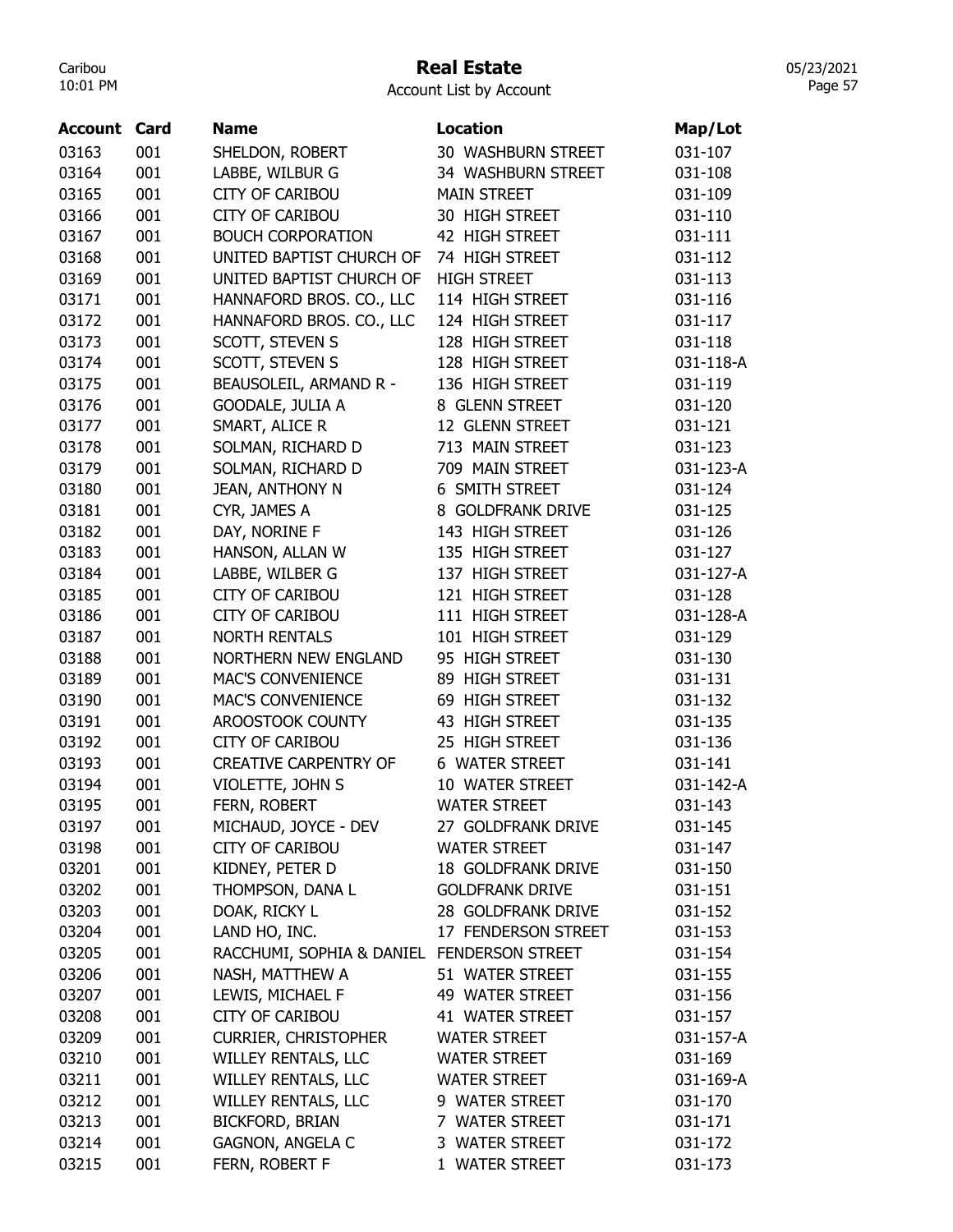#### Real Estate

05/23/2021 Page 57

| <b>Account Card</b> |     | <b>Name</b>                                | <b>Location</b>           | Map/Lot   |
|---------------------|-----|--------------------------------------------|---------------------------|-----------|
| 03163               | 001 | SHELDON, ROBERT                            | 30 WASHBURN STREET        | 031-107   |
| 03164               | 001 | LABBE, WILBUR G                            | 34 WASHBURN STREET        | 031-108   |
| 03165               | 001 | <b>CITY OF CARIBOU</b>                     | <b>MAIN STREET</b>        | 031-109   |
| 03166               | 001 | <b>CITY OF CARIBOU</b>                     | 30 HIGH STREET            | 031-110   |
| 03167               | 001 | <b>BOUCH CORPORATION</b>                   | 42 HIGH STREET            | 031-111   |
| 03168               | 001 | UNITED BAPTIST CHURCH OF                   | 74 HIGH STREET            | 031-112   |
| 03169               | 001 | UNITED BAPTIST CHURCH OF                   | <b>HIGH STREET</b>        | 031-113   |
| 03171               | 001 | HANNAFORD BROS. CO., LLC                   | 114 HIGH STREET           | 031-116   |
| 03172               | 001 | HANNAFORD BROS. CO., LLC                   | 124 HIGH STREET           | 031-117   |
| 03173               | 001 | SCOTT, STEVEN S                            | 128 HIGH STREET           | 031-118   |
| 03174               | 001 | SCOTT, STEVEN S                            | 128 HIGH STREET           | 031-118-A |
| 03175               | 001 | BEAUSOLEIL, ARMAND R -                     | 136 HIGH STREET           | 031-119   |
| 03176               | 001 | GOODALE, JULIA A                           | 8 GLENN STREET            | 031-120   |
| 03177               | 001 | SMART, ALICE R                             | 12 GLENN STREET           | 031-121   |
| 03178               | 001 | SOLMAN, RICHARD D                          | 713 MAIN STREET           | 031-123   |
| 03179               | 001 | SOLMAN, RICHARD D                          | 709 MAIN STREET           | 031-123-A |
| 03180               | 001 | JEAN, ANTHONY N                            | 6 SMITH STREET            | 031-124   |
| 03181               | 001 | CYR, JAMES A                               | 8 GOLDFRANK DRIVE         | 031-125   |
| 03182               | 001 | DAY, NORINE F                              | 143 HIGH STREET           | 031-126   |
| 03183               | 001 | HANSON, ALLAN W                            | 135 HIGH STREET           | 031-127   |
| 03184               | 001 | LABBE, WILBER G                            | 137 HIGH STREET           | 031-127-A |
| 03185               | 001 | <b>CITY OF CARIBOU</b>                     | 121 HIGH STREET           | 031-128   |
| 03186               | 001 | <b>CITY OF CARIBOU</b>                     | 111 HIGH STREET           | 031-128-A |
| 03187               | 001 | <b>NORTH RENTALS</b>                       | 101 HIGH STREET           | 031-129   |
| 03188               | 001 | <b>NORTHERN NEW ENGLAND</b>                | 95 HIGH STREET            | 031-130   |
| 03189               | 001 | <b>MAC'S CONVENIENCE</b>                   | 89 HIGH STREET            | 031-131   |
| 03190               | 001 | <b>MAC'S CONVENIENCE</b>                   | 69 HIGH STREET            | 031-132   |
| 03191               | 001 | AROOSTOOK COUNTY                           | 43 HIGH STREET            | 031-135   |
| 03192               | 001 | <b>CITY OF CARIBOU</b>                     | 25 HIGH STREET            | 031-136   |
| 03193               | 001 | <b>CREATIVE CARPENTRY OF</b>               | <b>6 WATER STREET</b>     | 031-141   |
| 03194               | 001 | VIOLETTE, JOHN S                           | 10 WATER STREET           | 031-142-A |
| 03195               | 001 | FERN, ROBERT                               | <b>WATER STREET</b>       | 031-143   |
| 03197               | 001 | MICHAUD, JOYCE - DEV                       | 27 GOLDFRANK DRIVE        | 031-145   |
| 03198               | 001 | <b>CITY OF CARIBOU</b>                     | <b>WATER STREET</b>       | 031-147   |
| 03201               | 001 | KIDNEY, PETER D                            | <b>18 GOLDFRANK DRIVE</b> | 031-150   |
| 03202               | 001 | THOMPSON, DANA L                           | <b>GOLDFRANK DRIVE</b>    | 031-151   |
| 03203               | 001 | DOAK, RICKY L                              | 28 GOLDFRANK DRIVE        | 031-152   |
| 03204               | 001 | LAND HO, INC.                              | 17 FENDERSON STREET       | 031-153   |
| 03205               | 001 | RACCHUMI, SOPHIA & DANIEL FENDERSON STREET |                           | 031-154   |
| 03206               | 001 | NASH, MATTHEW A                            | 51 WATER STREET           | 031-155   |
| 03207               | 001 | LEWIS, MICHAEL F                           | 49 WATER STREET           | 031-156   |
| 03208               | 001 | <b>CITY OF CARIBOU</b>                     | 41 WATER STREET           | 031-157   |
| 03209               | 001 | <b>CURRIER, CHRISTOPHER</b>                | <b>WATER STREET</b>       | 031-157-A |
|                     |     |                                            |                           |           |
| 03210               | 001 | WILLEY RENTALS, LLC                        | <b>WATER STREET</b>       | 031-169   |
| 03211               | 001 | WILLEY RENTALS, LLC                        | <b>WATER STREET</b>       | 031-169-A |
| 03212               | 001 | WILLEY RENTALS, LLC                        | 9 WATER STREET            | 031-170   |
| 03213               | 001 | <b>BICKFORD, BRIAN</b>                     | 7 WATER STREET            | 031-171   |
| 03214               | 001 | <b>GAGNON, ANGELA C</b>                    | 3 WATER STREET            | 031-172   |
| 03215               | 001 | FERN, ROBERT F                             | 1 WATER STREET            | 031-173   |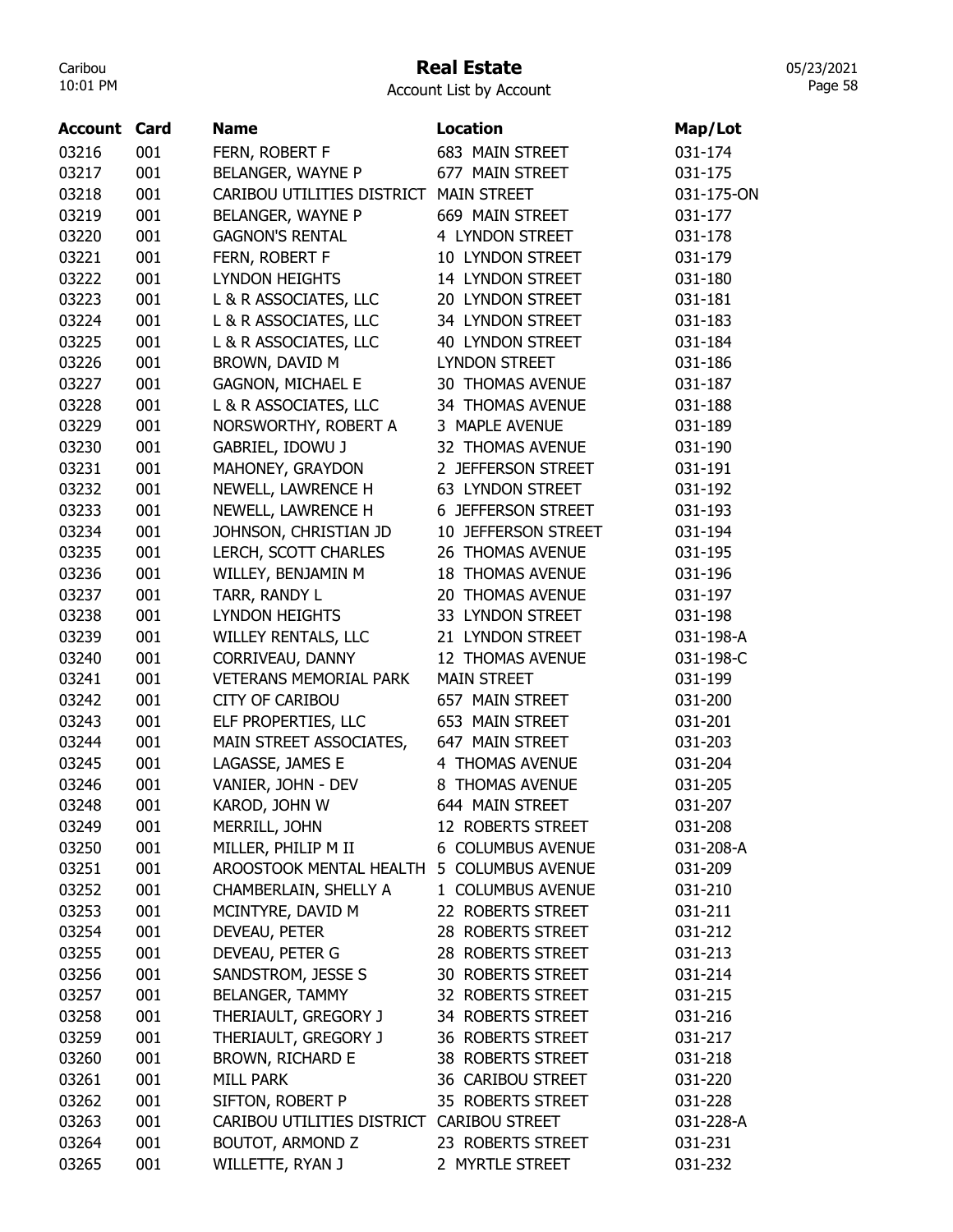## Real Estate

Account List by Account

| <b>Account Card</b> |     | <b>Name</b>                               | <b>Location</b>          | Map/Lot    |
|---------------------|-----|-------------------------------------------|--------------------------|------------|
| 03216               | 001 | FERN, ROBERT F                            | 683 MAIN STREET          | 031-174    |
| 03217               | 001 | BELANGER, WAYNE P                         | 677 MAIN STREET          | 031-175    |
| 03218               | 001 | CARIBOU UTILITIES DISTRICT                | <b>MAIN STREET</b>       | 031-175-ON |
| 03219               | 001 | BELANGER, WAYNE P                         | 669 MAIN STREET          | 031-177    |
| 03220               | 001 | <b>GAGNON'S RENTAL</b>                    | 4 LYNDON STREET          | 031-178    |
| 03221               | 001 | FERN, ROBERT F                            | 10 LYNDON STREET         | 031-179    |
| 03222               | 001 | <b>LYNDON HEIGHTS</b>                     | 14 LYNDON STREET         | 031-180    |
| 03223               | 001 | L & R ASSOCIATES, LLC                     | 20 LYNDON STREET         | 031-181    |
| 03224               | 001 | L & R ASSOCIATES, LLC                     | 34 LYNDON STREET         | 031-183    |
| 03225               | 001 | L & R ASSOCIATES, LLC                     | <b>40 LYNDON STREET</b>  | 031-184    |
| 03226               | 001 | BROWN, DAVID M                            | <b>LYNDON STREET</b>     | 031-186    |
| 03227               | 001 | <b>GAGNON, MICHAEL E</b>                  | <b>30 THOMAS AVENUE</b>  | 031-187    |
| 03228               | 001 | L & R ASSOCIATES, LLC                     | 34 THOMAS AVENUE         | 031-188    |
| 03229               | 001 | NORSWORTHY, ROBERT A                      | 3 MAPLE AVENUE           | 031-189    |
| 03230               | 001 | <b>GABRIEL, IDOWU J</b>                   | 32 THOMAS AVENUE         | 031-190    |
| 03231               | 001 | MAHONEY, GRAYDON                          | 2 JEFFERSON STREET       | 031-191    |
| 03232               | 001 | NEWELL, LAWRENCE H                        | <b>63 LYNDON STREET</b>  | 031-192    |
| 03233               | 001 | NEWELL, LAWRENCE H                        | 6 JEFFERSON STREET       | 031-193    |
| 03234               | 001 | JOHNSON, CHRISTIAN JD                     | 10 JEFFERSON STREET      | 031-194    |
| 03235               | 001 | LERCH, SCOTT CHARLES                      | 26 THOMAS AVENUE         | 031-195    |
| 03236               | 001 | WILLEY, BENJAMIN M                        | <b>18 THOMAS AVENUE</b>  | 031-196    |
| 03237               | 001 | TARR, RANDY L                             | 20 THOMAS AVENUE         | 031-197    |
| 03238               | 001 | <b>LYNDON HEIGHTS</b>                     | 33 LYNDON STREET         | 031-198    |
| 03239               | 001 | <b>WILLEY RENTALS, LLC</b>                | 21 LYNDON STREET         | 031-198-A  |
| 03240               | 001 | CORRIVEAU, DANNY                          | 12 THOMAS AVENUE         | 031-198-C  |
| 03241               | 001 | <b>VETERANS MEMORIAL PARK</b>             | <b>MAIN STREET</b>       | 031-199    |
| 03242               | 001 | <b>CITY OF CARIBOU</b>                    | 657 MAIN STREET          | 031-200    |
| 03243               | 001 | ELF PROPERTIES, LLC                       | 653 MAIN STREET          | 031-201    |
| 03244               | 001 | MAIN STREET ASSOCIATES,                   | 647 MAIN STREET          | 031-203    |
| 03245               | 001 | LAGASSE, JAMES E                          | 4 THOMAS AVENUE          | 031-204    |
| 03246               | 001 | VANIER, JOHN - DEV                        | 8 THOMAS AVENUE          | 031-205    |
| 03248               | 001 | KAROD, JOHN W                             | 644 MAIN STREET          | 031-207    |
| 03249               | 001 | MERRILL, JOHN                             | 12 ROBERTS STREET        | 031-208    |
| 03250               | 001 | MILLER, PHILIP M II                       | 6 COLUMBUS AVENUE        | 031-208-A  |
| 03251               | 001 | AROOSTOOK MENTAL HEALTH 5 COLUMBUS AVENUE |                          | 031-209    |
| 03252               | 001 | CHAMBERLAIN, SHELLY A                     | 1 COLUMBUS AVENUE        | 031-210    |
| 03253               | 001 | MCINTYRE, DAVID M                         | 22 ROBERTS STREET        | 031-211    |
| 03254               | 001 | DEVEAU, PETER                             | 28 ROBERTS STREET        | 031-212    |
| 03255               | 001 | DEVEAU, PETER G                           | 28 ROBERTS STREET        | 031-213    |
| 03256               | 001 | SANDSTROM, JESSE S                        | <b>30 ROBERTS STREET</b> | 031-214    |
| 03257               | 001 | <b>BELANGER, TAMMY</b>                    | 32 ROBERTS STREET        | 031-215    |
| 03258               | 001 | THERIAULT, GREGORY J                      | 34 ROBERTS STREET        | 031-216    |
| 03259               | 001 | THERIAULT, GREGORY J                      | 36 ROBERTS STREET        | 031-217    |
| 03260               | 001 | <b>BROWN, RICHARD E</b>                   | 38 ROBERTS STREET        | 031-218    |
| 03261               | 001 | <b>MILL PARK</b>                          | 36 CARIBOU STREET        | 031-220    |
| 03262               | 001 | SIFTON, ROBERT P                          | 35 ROBERTS STREET        | 031-228    |
| 03263               | 001 | CARIBOU UTILITIES DISTRICT CARIBOU STREET |                          | 031-228-A  |
| 03264               | 001 | <b>BOUTOT, ARMOND Z</b>                   | 23 ROBERTS STREET        | 031-231    |
| 03265               | 001 | WILLETTE, RYAN J                          | 2 MYRTLE STREET          | 031-232    |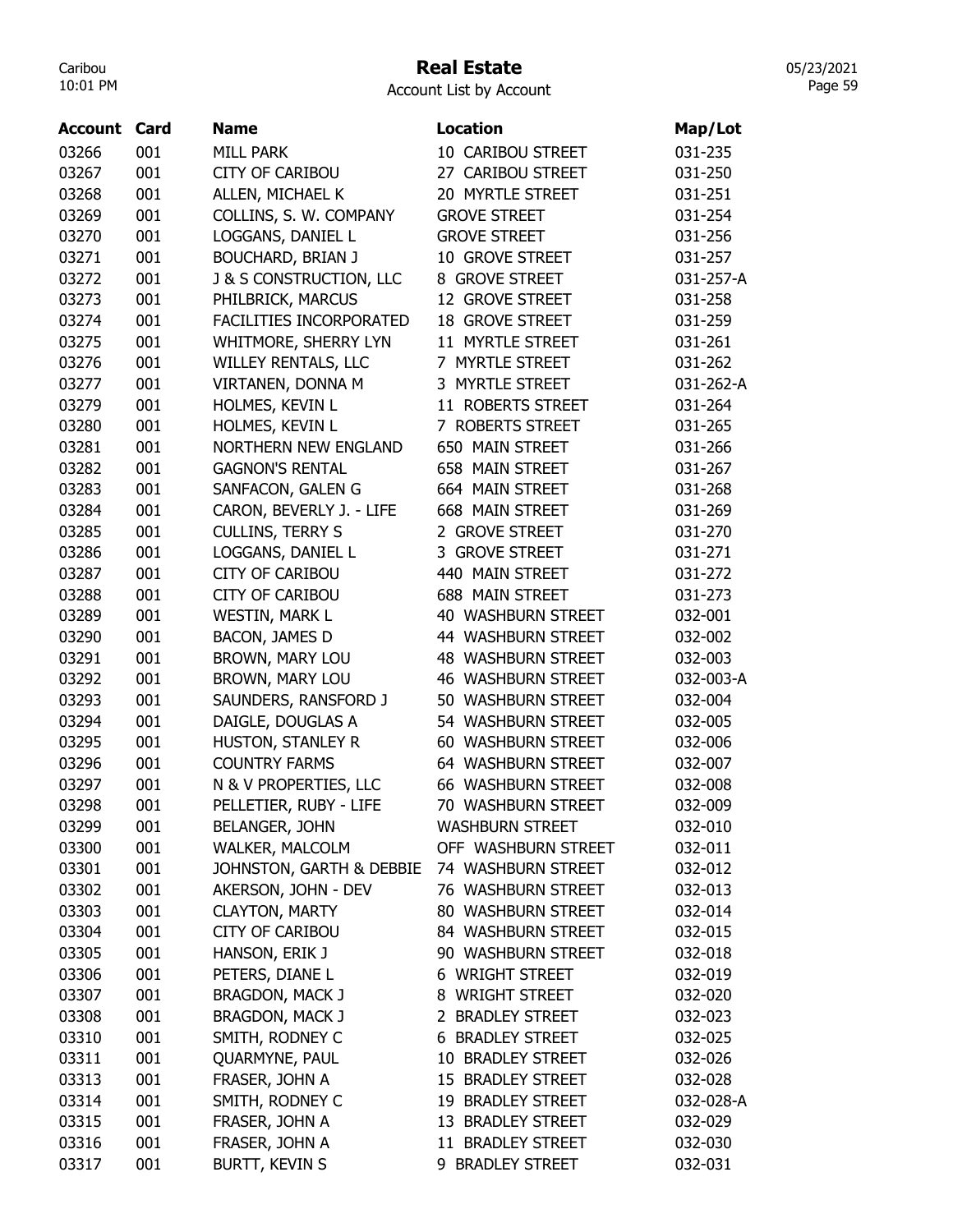# Real Estate

|  |  | Account List by Account |
|--|--|-------------------------|
|--|--|-------------------------|

| 03266<br>001<br><b>MILL PARK</b><br>10 CARIBOU STREET<br>031-235<br>001<br>03267<br><b>CITY OF CARIBOU</b><br>27 CARIBOU STREET<br>031-250<br>03268<br>001<br>ALLEN, MICHAEL K<br>20 MYRTLE STREET<br>031-251<br>03269<br>001<br>COLLINS, S. W. COMPANY<br><b>GROVE STREET</b><br>031-254<br>03270<br>001<br>LOGGANS, DANIEL L<br><b>GROVE STREET</b><br>031-256<br>001<br>03271<br><b>BOUCHARD, BRIAN J</b><br>10 GROVE STREET<br>031-257<br>03272<br>001<br><b>J &amp; S CONSTRUCTION, LLC</b><br>8 GROVE STREET<br>031-257-A<br>03273<br>001<br>PHILBRICK, MARCUS<br>12 GROVE STREET<br>031-258<br>03274<br>001<br>FACILITIES INCORPORATED<br><b>18 GROVE STREET</b><br>031-259<br>001<br>03275<br>WHITMORE, SHERRY LYN<br>11 MYRTLE STREET<br>031-261<br>03276<br>001<br>WILLEY RENTALS, LLC<br>7 MYRTLE STREET<br>031-262<br>001<br>3 MYRTLE STREET<br>03277<br>VIRTANEN, DONNA M<br>031-262-A<br>001<br>03279<br>HOLMES, KEVIN L<br>11 ROBERTS STREET<br>031-264<br>001<br>HOLMES, KEVIN L<br>03280<br>7 ROBERTS STREET<br>031-265<br>03281<br>001<br><b>NORTHERN NEW ENGLAND</b><br>650 MAIN STREET<br>031-266<br>001<br>658 MAIN STREET<br>03282<br><b>GAGNON'S RENTAL</b><br>031-267<br>03283<br>001<br>SANFACON, GALEN G<br>664 MAIN STREET<br>031-268<br>03284<br>001<br>CARON, BEVERLY J. - LIFE<br>668 MAIN STREET<br>031-269<br>03285<br>001<br><b>CULLINS, TERRY S</b><br>2 GROVE STREET<br>031-270<br>001<br>3 GROVE STREET<br>03286<br>LOGGANS, DANIEL L<br>031-271<br>001<br>03287<br><b>CITY OF CARIBOU</b><br>440 MAIN STREET<br>031-272<br>03288<br>001<br><b>CITY OF CARIBOU</b><br><b>688 MAIN STREET</b><br>031-273<br>03289<br>001<br><b>WESTIN, MARK L</b><br>40 WASHBURN STREET<br>032-001<br>03290<br>001<br>BACON, JAMES D<br>44 WASHBURN STREET<br>032-002<br>001<br>03291<br>BROWN, MARY LOU<br><b>48 WASHBURN STREET</b><br>032-003<br>03292<br>001<br>BROWN, MARY LOU<br><b>46 WASHBURN STREET</b><br>032-003-A<br>03293<br>001<br>SAUNDERS, RANSFORD J<br>50 WASHBURN STREET<br>032-004<br>001<br>DAIGLE, DOUGLAS A<br>54 WASHBURN STREET<br>03294<br>032-005<br>001<br>03295<br>HUSTON, STANLEY R<br>60 WASHBURN STREET<br>032-006<br>03296<br>001<br><b>COUNTRY FARMS</b><br>64 WASHBURN STREET<br>032-007<br>03297<br>001<br>N & V PROPERTIES, LLC<br><b>66 WASHBURN STREET</b><br>032-008<br>032-009<br>03298<br>001<br>PELLETIER, RUBY - LIFE<br><b>70 WASHBURN STREET</b><br>001<br>BELANGER, JOHN<br><b>WASHBURN STREET</b><br>032-010<br>03299<br>03300<br>001<br>OFF WASHBURN STREET<br>032-011<br><b>WALKER, MALCOLM</b><br>03301<br>JOHNSTON, GARTH & DEBBIE<br>74 WASHBURN STREET<br>001<br>032-012<br>03302<br>AKERSON, JOHN - DEV<br>76 WASHBURN STREET<br>001<br>032-013<br>03303<br>001<br>80 WASHBURN STREET<br><b>CLAYTON, MARTY</b><br>032-014<br>CITY OF CARIBOU<br>84 WASHBURN STREET<br>03304<br>001<br>032-015<br>001<br>HANSON, ERIK J<br>90 WASHBURN STREET<br>03305<br>032-018<br>001<br>PETERS, DIANE L<br>6 WRIGHT STREET<br>03306<br>032-019<br>001<br>BRAGDON, MACK J<br>03307<br>8 WRIGHT STREET<br>032-020<br>BRAGDON, MACK J<br>2 BRADLEY STREET<br>03308<br>001<br>032-023<br>03310<br>SMITH, RODNEY C<br>6 BRADLEY STREET<br>001<br>032-025<br>03311<br>001<br>10 BRADLEY STREET<br>QUARMYNE, PAUL<br>032-026<br>FRASER, JOHN A<br>03313<br>001<br>15 BRADLEY STREET<br>032-028<br>SMITH, RODNEY C<br>19 BRADLEY STREET<br>03314<br>001<br>032-028-A<br>13 BRADLEY STREET<br>03315<br>001<br>FRASER, JOHN A<br>032-029<br>03316<br>001<br>FRASER, JOHN A<br>11 BRADLEY STREET<br>032-030 | <b>Account Card</b> |     | Name                  | <b>Location</b>  | Map/Lot |
|---------------------------------------------------------------------------------------------------------------------------------------------------------------------------------------------------------------------------------------------------------------------------------------------------------------------------------------------------------------------------------------------------------------------------------------------------------------------------------------------------------------------------------------------------------------------------------------------------------------------------------------------------------------------------------------------------------------------------------------------------------------------------------------------------------------------------------------------------------------------------------------------------------------------------------------------------------------------------------------------------------------------------------------------------------------------------------------------------------------------------------------------------------------------------------------------------------------------------------------------------------------------------------------------------------------------------------------------------------------------------------------------------------------------------------------------------------------------------------------------------------------------------------------------------------------------------------------------------------------------------------------------------------------------------------------------------------------------------------------------------------------------------------------------------------------------------------------------------------------------------------------------------------------------------------------------------------------------------------------------------------------------------------------------------------------------------------------------------------------------------------------------------------------------------------------------------------------------------------------------------------------------------------------------------------------------------------------------------------------------------------------------------------------------------------------------------------------------------------------------------------------------------------------------------------------------------------------------------------------------------------------------------------------------------------------------------------------------------------------------------------------------------------------------------------------------------------------------------------------------------------------------------------------------------------------------------------------------------------------------------------------------------------------------------------------------------------------------------------------------------------------------------------------------------------------------------------------------------------------------------------------------------------------------------------------------------------------------------------------------------------------------------------------------------------------------------------------------------------------------------------------------------------------------------------------|---------------------|-----|-----------------------|------------------|---------|
|                                                                                                                                                                                                                                                                                                                                                                                                                                                                                                                                                                                                                                                                                                                                                                                                                                                                                                                                                                                                                                                                                                                                                                                                                                                                                                                                                                                                                                                                                                                                                                                                                                                                                                                                                                                                                                                                                                                                                                                                                                                                                                                                                                                                                                                                                                                                                                                                                                                                                                                                                                                                                                                                                                                                                                                                                                                                                                                                                                                                                                                                                                                                                                                                                                                                                                                                                                                                                                                                                                                                                               |                     |     |                       |                  |         |
|                                                                                                                                                                                                                                                                                                                                                                                                                                                                                                                                                                                                                                                                                                                                                                                                                                                                                                                                                                                                                                                                                                                                                                                                                                                                                                                                                                                                                                                                                                                                                                                                                                                                                                                                                                                                                                                                                                                                                                                                                                                                                                                                                                                                                                                                                                                                                                                                                                                                                                                                                                                                                                                                                                                                                                                                                                                                                                                                                                                                                                                                                                                                                                                                                                                                                                                                                                                                                                                                                                                                                               |                     |     |                       |                  |         |
|                                                                                                                                                                                                                                                                                                                                                                                                                                                                                                                                                                                                                                                                                                                                                                                                                                                                                                                                                                                                                                                                                                                                                                                                                                                                                                                                                                                                                                                                                                                                                                                                                                                                                                                                                                                                                                                                                                                                                                                                                                                                                                                                                                                                                                                                                                                                                                                                                                                                                                                                                                                                                                                                                                                                                                                                                                                                                                                                                                                                                                                                                                                                                                                                                                                                                                                                                                                                                                                                                                                                                               |                     |     |                       |                  |         |
|                                                                                                                                                                                                                                                                                                                                                                                                                                                                                                                                                                                                                                                                                                                                                                                                                                                                                                                                                                                                                                                                                                                                                                                                                                                                                                                                                                                                                                                                                                                                                                                                                                                                                                                                                                                                                                                                                                                                                                                                                                                                                                                                                                                                                                                                                                                                                                                                                                                                                                                                                                                                                                                                                                                                                                                                                                                                                                                                                                                                                                                                                                                                                                                                                                                                                                                                                                                                                                                                                                                                                               |                     |     |                       |                  |         |
|                                                                                                                                                                                                                                                                                                                                                                                                                                                                                                                                                                                                                                                                                                                                                                                                                                                                                                                                                                                                                                                                                                                                                                                                                                                                                                                                                                                                                                                                                                                                                                                                                                                                                                                                                                                                                                                                                                                                                                                                                                                                                                                                                                                                                                                                                                                                                                                                                                                                                                                                                                                                                                                                                                                                                                                                                                                                                                                                                                                                                                                                                                                                                                                                                                                                                                                                                                                                                                                                                                                                                               |                     |     |                       |                  |         |
|                                                                                                                                                                                                                                                                                                                                                                                                                                                                                                                                                                                                                                                                                                                                                                                                                                                                                                                                                                                                                                                                                                                                                                                                                                                                                                                                                                                                                                                                                                                                                                                                                                                                                                                                                                                                                                                                                                                                                                                                                                                                                                                                                                                                                                                                                                                                                                                                                                                                                                                                                                                                                                                                                                                                                                                                                                                                                                                                                                                                                                                                                                                                                                                                                                                                                                                                                                                                                                                                                                                                                               |                     |     |                       |                  |         |
|                                                                                                                                                                                                                                                                                                                                                                                                                                                                                                                                                                                                                                                                                                                                                                                                                                                                                                                                                                                                                                                                                                                                                                                                                                                                                                                                                                                                                                                                                                                                                                                                                                                                                                                                                                                                                                                                                                                                                                                                                                                                                                                                                                                                                                                                                                                                                                                                                                                                                                                                                                                                                                                                                                                                                                                                                                                                                                                                                                                                                                                                                                                                                                                                                                                                                                                                                                                                                                                                                                                                                               |                     |     |                       |                  |         |
|                                                                                                                                                                                                                                                                                                                                                                                                                                                                                                                                                                                                                                                                                                                                                                                                                                                                                                                                                                                                                                                                                                                                                                                                                                                                                                                                                                                                                                                                                                                                                                                                                                                                                                                                                                                                                                                                                                                                                                                                                                                                                                                                                                                                                                                                                                                                                                                                                                                                                                                                                                                                                                                                                                                                                                                                                                                                                                                                                                                                                                                                                                                                                                                                                                                                                                                                                                                                                                                                                                                                                               |                     |     |                       |                  |         |
|                                                                                                                                                                                                                                                                                                                                                                                                                                                                                                                                                                                                                                                                                                                                                                                                                                                                                                                                                                                                                                                                                                                                                                                                                                                                                                                                                                                                                                                                                                                                                                                                                                                                                                                                                                                                                                                                                                                                                                                                                                                                                                                                                                                                                                                                                                                                                                                                                                                                                                                                                                                                                                                                                                                                                                                                                                                                                                                                                                                                                                                                                                                                                                                                                                                                                                                                                                                                                                                                                                                                                               |                     |     |                       |                  |         |
|                                                                                                                                                                                                                                                                                                                                                                                                                                                                                                                                                                                                                                                                                                                                                                                                                                                                                                                                                                                                                                                                                                                                                                                                                                                                                                                                                                                                                                                                                                                                                                                                                                                                                                                                                                                                                                                                                                                                                                                                                                                                                                                                                                                                                                                                                                                                                                                                                                                                                                                                                                                                                                                                                                                                                                                                                                                                                                                                                                                                                                                                                                                                                                                                                                                                                                                                                                                                                                                                                                                                                               |                     |     |                       |                  |         |
|                                                                                                                                                                                                                                                                                                                                                                                                                                                                                                                                                                                                                                                                                                                                                                                                                                                                                                                                                                                                                                                                                                                                                                                                                                                                                                                                                                                                                                                                                                                                                                                                                                                                                                                                                                                                                                                                                                                                                                                                                                                                                                                                                                                                                                                                                                                                                                                                                                                                                                                                                                                                                                                                                                                                                                                                                                                                                                                                                                                                                                                                                                                                                                                                                                                                                                                                                                                                                                                                                                                                                               |                     |     |                       |                  |         |
|                                                                                                                                                                                                                                                                                                                                                                                                                                                                                                                                                                                                                                                                                                                                                                                                                                                                                                                                                                                                                                                                                                                                                                                                                                                                                                                                                                                                                                                                                                                                                                                                                                                                                                                                                                                                                                                                                                                                                                                                                                                                                                                                                                                                                                                                                                                                                                                                                                                                                                                                                                                                                                                                                                                                                                                                                                                                                                                                                                                                                                                                                                                                                                                                                                                                                                                                                                                                                                                                                                                                                               |                     |     |                       |                  |         |
|                                                                                                                                                                                                                                                                                                                                                                                                                                                                                                                                                                                                                                                                                                                                                                                                                                                                                                                                                                                                                                                                                                                                                                                                                                                                                                                                                                                                                                                                                                                                                                                                                                                                                                                                                                                                                                                                                                                                                                                                                                                                                                                                                                                                                                                                                                                                                                                                                                                                                                                                                                                                                                                                                                                                                                                                                                                                                                                                                                                                                                                                                                                                                                                                                                                                                                                                                                                                                                                                                                                                                               |                     |     |                       |                  |         |
|                                                                                                                                                                                                                                                                                                                                                                                                                                                                                                                                                                                                                                                                                                                                                                                                                                                                                                                                                                                                                                                                                                                                                                                                                                                                                                                                                                                                                                                                                                                                                                                                                                                                                                                                                                                                                                                                                                                                                                                                                                                                                                                                                                                                                                                                                                                                                                                                                                                                                                                                                                                                                                                                                                                                                                                                                                                                                                                                                                                                                                                                                                                                                                                                                                                                                                                                                                                                                                                                                                                                                               |                     |     |                       |                  |         |
|                                                                                                                                                                                                                                                                                                                                                                                                                                                                                                                                                                                                                                                                                                                                                                                                                                                                                                                                                                                                                                                                                                                                                                                                                                                                                                                                                                                                                                                                                                                                                                                                                                                                                                                                                                                                                                                                                                                                                                                                                                                                                                                                                                                                                                                                                                                                                                                                                                                                                                                                                                                                                                                                                                                                                                                                                                                                                                                                                                                                                                                                                                                                                                                                                                                                                                                                                                                                                                                                                                                                                               |                     |     |                       |                  |         |
|                                                                                                                                                                                                                                                                                                                                                                                                                                                                                                                                                                                                                                                                                                                                                                                                                                                                                                                                                                                                                                                                                                                                                                                                                                                                                                                                                                                                                                                                                                                                                                                                                                                                                                                                                                                                                                                                                                                                                                                                                                                                                                                                                                                                                                                                                                                                                                                                                                                                                                                                                                                                                                                                                                                                                                                                                                                                                                                                                                                                                                                                                                                                                                                                                                                                                                                                                                                                                                                                                                                                                               |                     |     |                       |                  |         |
|                                                                                                                                                                                                                                                                                                                                                                                                                                                                                                                                                                                                                                                                                                                                                                                                                                                                                                                                                                                                                                                                                                                                                                                                                                                                                                                                                                                                                                                                                                                                                                                                                                                                                                                                                                                                                                                                                                                                                                                                                                                                                                                                                                                                                                                                                                                                                                                                                                                                                                                                                                                                                                                                                                                                                                                                                                                                                                                                                                                                                                                                                                                                                                                                                                                                                                                                                                                                                                                                                                                                                               |                     |     |                       |                  |         |
|                                                                                                                                                                                                                                                                                                                                                                                                                                                                                                                                                                                                                                                                                                                                                                                                                                                                                                                                                                                                                                                                                                                                                                                                                                                                                                                                                                                                                                                                                                                                                                                                                                                                                                                                                                                                                                                                                                                                                                                                                                                                                                                                                                                                                                                                                                                                                                                                                                                                                                                                                                                                                                                                                                                                                                                                                                                                                                                                                                                                                                                                                                                                                                                                                                                                                                                                                                                                                                                                                                                                                               |                     |     |                       |                  |         |
|                                                                                                                                                                                                                                                                                                                                                                                                                                                                                                                                                                                                                                                                                                                                                                                                                                                                                                                                                                                                                                                                                                                                                                                                                                                                                                                                                                                                                                                                                                                                                                                                                                                                                                                                                                                                                                                                                                                                                                                                                                                                                                                                                                                                                                                                                                                                                                                                                                                                                                                                                                                                                                                                                                                                                                                                                                                                                                                                                                                                                                                                                                                                                                                                                                                                                                                                                                                                                                                                                                                                                               |                     |     |                       |                  |         |
|                                                                                                                                                                                                                                                                                                                                                                                                                                                                                                                                                                                                                                                                                                                                                                                                                                                                                                                                                                                                                                                                                                                                                                                                                                                                                                                                                                                                                                                                                                                                                                                                                                                                                                                                                                                                                                                                                                                                                                                                                                                                                                                                                                                                                                                                                                                                                                                                                                                                                                                                                                                                                                                                                                                                                                                                                                                                                                                                                                                                                                                                                                                                                                                                                                                                                                                                                                                                                                                                                                                                                               |                     |     |                       |                  |         |
|                                                                                                                                                                                                                                                                                                                                                                                                                                                                                                                                                                                                                                                                                                                                                                                                                                                                                                                                                                                                                                                                                                                                                                                                                                                                                                                                                                                                                                                                                                                                                                                                                                                                                                                                                                                                                                                                                                                                                                                                                                                                                                                                                                                                                                                                                                                                                                                                                                                                                                                                                                                                                                                                                                                                                                                                                                                                                                                                                                                                                                                                                                                                                                                                                                                                                                                                                                                                                                                                                                                                                               |                     |     |                       |                  |         |
|                                                                                                                                                                                                                                                                                                                                                                                                                                                                                                                                                                                                                                                                                                                                                                                                                                                                                                                                                                                                                                                                                                                                                                                                                                                                                                                                                                                                                                                                                                                                                                                                                                                                                                                                                                                                                                                                                                                                                                                                                                                                                                                                                                                                                                                                                                                                                                                                                                                                                                                                                                                                                                                                                                                                                                                                                                                                                                                                                                                                                                                                                                                                                                                                                                                                                                                                                                                                                                                                                                                                                               |                     |     |                       |                  |         |
|                                                                                                                                                                                                                                                                                                                                                                                                                                                                                                                                                                                                                                                                                                                                                                                                                                                                                                                                                                                                                                                                                                                                                                                                                                                                                                                                                                                                                                                                                                                                                                                                                                                                                                                                                                                                                                                                                                                                                                                                                                                                                                                                                                                                                                                                                                                                                                                                                                                                                                                                                                                                                                                                                                                                                                                                                                                                                                                                                                                                                                                                                                                                                                                                                                                                                                                                                                                                                                                                                                                                                               |                     |     |                       |                  |         |
|                                                                                                                                                                                                                                                                                                                                                                                                                                                                                                                                                                                                                                                                                                                                                                                                                                                                                                                                                                                                                                                                                                                                                                                                                                                                                                                                                                                                                                                                                                                                                                                                                                                                                                                                                                                                                                                                                                                                                                                                                                                                                                                                                                                                                                                                                                                                                                                                                                                                                                                                                                                                                                                                                                                                                                                                                                                                                                                                                                                                                                                                                                                                                                                                                                                                                                                                                                                                                                                                                                                                                               |                     |     |                       |                  |         |
|                                                                                                                                                                                                                                                                                                                                                                                                                                                                                                                                                                                                                                                                                                                                                                                                                                                                                                                                                                                                                                                                                                                                                                                                                                                                                                                                                                                                                                                                                                                                                                                                                                                                                                                                                                                                                                                                                                                                                                                                                                                                                                                                                                                                                                                                                                                                                                                                                                                                                                                                                                                                                                                                                                                                                                                                                                                                                                                                                                                                                                                                                                                                                                                                                                                                                                                                                                                                                                                                                                                                                               |                     |     |                       |                  |         |
|                                                                                                                                                                                                                                                                                                                                                                                                                                                                                                                                                                                                                                                                                                                                                                                                                                                                                                                                                                                                                                                                                                                                                                                                                                                                                                                                                                                                                                                                                                                                                                                                                                                                                                                                                                                                                                                                                                                                                                                                                                                                                                                                                                                                                                                                                                                                                                                                                                                                                                                                                                                                                                                                                                                                                                                                                                                                                                                                                                                                                                                                                                                                                                                                                                                                                                                                                                                                                                                                                                                                                               |                     |     |                       |                  |         |
|                                                                                                                                                                                                                                                                                                                                                                                                                                                                                                                                                                                                                                                                                                                                                                                                                                                                                                                                                                                                                                                                                                                                                                                                                                                                                                                                                                                                                                                                                                                                                                                                                                                                                                                                                                                                                                                                                                                                                                                                                                                                                                                                                                                                                                                                                                                                                                                                                                                                                                                                                                                                                                                                                                                                                                                                                                                                                                                                                                                                                                                                                                                                                                                                                                                                                                                                                                                                                                                                                                                                                               |                     |     |                       |                  |         |
|                                                                                                                                                                                                                                                                                                                                                                                                                                                                                                                                                                                                                                                                                                                                                                                                                                                                                                                                                                                                                                                                                                                                                                                                                                                                                                                                                                                                                                                                                                                                                                                                                                                                                                                                                                                                                                                                                                                                                                                                                                                                                                                                                                                                                                                                                                                                                                                                                                                                                                                                                                                                                                                                                                                                                                                                                                                                                                                                                                                                                                                                                                                                                                                                                                                                                                                                                                                                                                                                                                                                                               |                     |     |                       |                  |         |
|                                                                                                                                                                                                                                                                                                                                                                                                                                                                                                                                                                                                                                                                                                                                                                                                                                                                                                                                                                                                                                                                                                                                                                                                                                                                                                                                                                                                                                                                                                                                                                                                                                                                                                                                                                                                                                                                                                                                                                                                                                                                                                                                                                                                                                                                                                                                                                                                                                                                                                                                                                                                                                                                                                                                                                                                                                                                                                                                                                                                                                                                                                                                                                                                                                                                                                                                                                                                                                                                                                                                                               |                     |     |                       |                  |         |
|                                                                                                                                                                                                                                                                                                                                                                                                                                                                                                                                                                                                                                                                                                                                                                                                                                                                                                                                                                                                                                                                                                                                                                                                                                                                                                                                                                                                                                                                                                                                                                                                                                                                                                                                                                                                                                                                                                                                                                                                                                                                                                                                                                                                                                                                                                                                                                                                                                                                                                                                                                                                                                                                                                                                                                                                                                                                                                                                                                                                                                                                                                                                                                                                                                                                                                                                                                                                                                                                                                                                                               |                     |     |                       |                  |         |
|                                                                                                                                                                                                                                                                                                                                                                                                                                                                                                                                                                                                                                                                                                                                                                                                                                                                                                                                                                                                                                                                                                                                                                                                                                                                                                                                                                                                                                                                                                                                                                                                                                                                                                                                                                                                                                                                                                                                                                                                                                                                                                                                                                                                                                                                                                                                                                                                                                                                                                                                                                                                                                                                                                                                                                                                                                                                                                                                                                                                                                                                                                                                                                                                                                                                                                                                                                                                                                                                                                                                                               |                     |     |                       |                  |         |
|                                                                                                                                                                                                                                                                                                                                                                                                                                                                                                                                                                                                                                                                                                                                                                                                                                                                                                                                                                                                                                                                                                                                                                                                                                                                                                                                                                                                                                                                                                                                                                                                                                                                                                                                                                                                                                                                                                                                                                                                                                                                                                                                                                                                                                                                                                                                                                                                                                                                                                                                                                                                                                                                                                                                                                                                                                                                                                                                                                                                                                                                                                                                                                                                                                                                                                                                                                                                                                                                                                                                                               |                     |     |                       |                  |         |
|                                                                                                                                                                                                                                                                                                                                                                                                                                                                                                                                                                                                                                                                                                                                                                                                                                                                                                                                                                                                                                                                                                                                                                                                                                                                                                                                                                                                                                                                                                                                                                                                                                                                                                                                                                                                                                                                                                                                                                                                                                                                                                                                                                                                                                                                                                                                                                                                                                                                                                                                                                                                                                                                                                                                                                                                                                                                                                                                                                                                                                                                                                                                                                                                                                                                                                                                                                                                                                                                                                                                                               |                     |     |                       |                  |         |
|                                                                                                                                                                                                                                                                                                                                                                                                                                                                                                                                                                                                                                                                                                                                                                                                                                                                                                                                                                                                                                                                                                                                                                                                                                                                                                                                                                                                                                                                                                                                                                                                                                                                                                                                                                                                                                                                                                                                                                                                                                                                                                                                                                                                                                                                                                                                                                                                                                                                                                                                                                                                                                                                                                                                                                                                                                                                                                                                                                                                                                                                                                                                                                                                                                                                                                                                                                                                                                                                                                                                                               |                     |     |                       |                  |         |
|                                                                                                                                                                                                                                                                                                                                                                                                                                                                                                                                                                                                                                                                                                                                                                                                                                                                                                                                                                                                                                                                                                                                                                                                                                                                                                                                                                                                                                                                                                                                                                                                                                                                                                                                                                                                                                                                                                                                                                                                                                                                                                                                                                                                                                                                                                                                                                                                                                                                                                                                                                                                                                                                                                                                                                                                                                                                                                                                                                                                                                                                                                                                                                                                                                                                                                                                                                                                                                                                                                                                                               |                     |     |                       |                  |         |
|                                                                                                                                                                                                                                                                                                                                                                                                                                                                                                                                                                                                                                                                                                                                                                                                                                                                                                                                                                                                                                                                                                                                                                                                                                                                                                                                                                                                                                                                                                                                                                                                                                                                                                                                                                                                                                                                                                                                                                                                                                                                                                                                                                                                                                                                                                                                                                                                                                                                                                                                                                                                                                                                                                                                                                                                                                                                                                                                                                                                                                                                                                                                                                                                                                                                                                                                                                                                                                                                                                                                                               |                     |     |                       |                  |         |
|                                                                                                                                                                                                                                                                                                                                                                                                                                                                                                                                                                                                                                                                                                                                                                                                                                                                                                                                                                                                                                                                                                                                                                                                                                                                                                                                                                                                                                                                                                                                                                                                                                                                                                                                                                                                                                                                                                                                                                                                                                                                                                                                                                                                                                                                                                                                                                                                                                                                                                                                                                                                                                                                                                                                                                                                                                                                                                                                                                                                                                                                                                                                                                                                                                                                                                                                                                                                                                                                                                                                                               |                     |     |                       |                  |         |
|                                                                                                                                                                                                                                                                                                                                                                                                                                                                                                                                                                                                                                                                                                                                                                                                                                                                                                                                                                                                                                                                                                                                                                                                                                                                                                                                                                                                                                                                                                                                                                                                                                                                                                                                                                                                                                                                                                                                                                                                                                                                                                                                                                                                                                                                                                                                                                                                                                                                                                                                                                                                                                                                                                                                                                                                                                                                                                                                                                                                                                                                                                                                                                                                                                                                                                                                                                                                                                                                                                                                                               |                     |     |                       |                  |         |
|                                                                                                                                                                                                                                                                                                                                                                                                                                                                                                                                                                                                                                                                                                                                                                                                                                                                                                                                                                                                                                                                                                                                                                                                                                                                                                                                                                                                                                                                                                                                                                                                                                                                                                                                                                                                                                                                                                                                                                                                                                                                                                                                                                                                                                                                                                                                                                                                                                                                                                                                                                                                                                                                                                                                                                                                                                                                                                                                                                                                                                                                                                                                                                                                                                                                                                                                                                                                                                                                                                                                                               |                     |     |                       |                  |         |
|                                                                                                                                                                                                                                                                                                                                                                                                                                                                                                                                                                                                                                                                                                                                                                                                                                                                                                                                                                                                                                                                                                                                                                                                                                                                                                                                                                                                                                                                                                                                                                                                                                                                                                                                                                                                                                                                                                                                                                                                                                                                                                                                                                                                                                                                                                                                                                                                                                                                                                                                                                                                                                                                                                                                                                                                                                                                                                                                                                                                                                                                                                                                                                                                                                                                                                                                                                                                                                                                                                                                                               |                     |     |                       |                  |         |
|                                                                                                                                                                                                                                                                                                                                                                                                                                                                                                                                                                                                                                                                                                                                                                                                                                                                                                                                                                                                                                                                                                                                                                                                                                                                                                                                                                                                                                                                                                                                                                                                                                                                                                                                                                                                                                                                                                                                                                                                                                                                                                                                                                                                                                                                                                                                                                                                                                                                                                                                                                                                                                                                                                                                                                                                                                                                                                                                                                                                                                                                                                                                                                                                                                                                                                                                                                                                                                                                                                                                                               |                     |     |                       |                  |         |
|                                                                                                                                                                                                                                                                                                                                                                                                                                                                                                                                                                                                                                                                                                                                                                                                                                                                                                                                                                                                                                                                                                                                                                                                                                                                                                                                                                                                                                                                                                                                                                                                                                                                                                                                                                                                                                                                                                                                                                                                                                                                                                                                                                                                                                                                                                                                                                                                                                                                                                                                                                                                                                                                                                                                                                                                                                                                                                                                                                                                                                                                                                                                                                                                                                                                                                                                                                                                                                                                                                                                                               |                     |     |                       |                  |         |
|                                                                                                                                                                                                                                                                                                                                                                                                                                                                                                                                                                                                                                                                                                                                                                                                                                                                                                                                                                                                                                                                                                                                                                                                                                                                                                                                                                                                                                                                                                                                                                                                                                                                                                                                                                                                                                                                                                                                                                                                                                                                                                                                                                                                                                                                                                                                                                                                                                                                                                                                                                                                                                                                                                                                                                                                                                                                                                                                                                                                                                                                                                                                                                                                                                                                                                                                                                                                                                                                                                                                                               |                     |     |                       |                  |         |
|                                                                                                                                                                                                                                                                                                                                                                                                                                                                                                                                                                                                                                                                                                                                                                                                                                                                                                                                                                                                                                                                                                                                                                                                                                                                                                                                                                                                                                                                                                                                                                                                                                                                                                                                                                                                                                                                                                                                                                                                                                                                                                                                                                                                                                                                                                                                                                                                                                                                                                                                                                                                                                                                                                                                                                                                                                                                                                                                                                                                                                                                                                                                                                                                                                                                                                                                                                                                                                                                                                                                                               |                     |     |                       |                  |         |
|                                                                                                                                                                                                                                                                                                                                                                                                                                                                                                                                                                                                                                                                                                                                                                                                                                                                                                                                                                                                                                                                                                                                                                                                                                                                                                                                                                                                                                                                                                                                                                                                                                                                                                                                                                                                                                                                                                                                                                                                                                                                                                                                                                                                                                                                                                                                                                                                                                                                                                                                                                                                                                                                                                                                                                                                                                                                                                                                                                                                                                                                                                                                                                                                                                                                                                                                                                                                                                                                                                                                                               |                     |     |                       |                  |         |
|                                                                                                                                                                                                                                                                                                                                                                                                                                                                                                                                                                                                                                                                                                                                                                                                                                                                                                                                                                                                                                                                                                                                                                                                                                                                                                                                                                                                                                                                                                                                                                                                                                                                                                                                                                                                                                                                                                                                                                                                                                                                                                                                                                                                                                                                                                                                                                                                                                                                                                                                                                                                                                                                                                                                                                                                                                                                                                                                                                                                                                                                                                                                                                                                                                                                                                                                                                                                                                                                                                                                                               |                     |     |                       |                  |         |
|                                                                                                                                                                                                                                                                                                                                                                                                                                                                                                                                                                                                                                                                                                                                                                                                                                                                                                                                                                                                                                                                                                                                                                                                                                                                                                                                                                                                                                                                                                                                                                                                                                                                                                                                                                                                                                                                                                                                                                                                                                                                                                                                                                                                                                                                                                                                                                                                                                                                                                                                                                                                                                                                                                                                                                                                                                                                                                                                                                                                                                                                                                                                                                                                                                                                                                                                                                                                                                                                                                                                                               |                     |     |                       |                  |         |
|                                                                                                                                                                                                                                                                                                                                                                                                                                                                                                                                                                                                                                                                                                                                                                                                                                                                                                                                                                                                                                                                                                                                                                                                                                                                                                                                                                                                                                                                                                                                                                                                                                                                                                                                                                                                                                                                                                                                                                                                                                                                                                                                                                                                                                                                                                                                                                                                                                                                                                                                                                                                                                                                                                                                                                                                                                                                                                                                                                                                                                                                                                                                                                                                                                                                                                                                                                                                                                                                                                                                                               |                     |     |                       |                  |         |
|                                                                                                                                                                                                                                                                                                                                                                                                                                                                                                                                                                                                                                                                                                                                                                                                                                                                                                                                                                                                                                                                                                                                                                                                                                                                                                                                                                                                                                                                                                                                                                                                                                                                                                                                                                                                                                                                                                                                                                                                                                                                                                                                                                                                                                                                                                                                                                                                                                                                                                                                                                                                                                                                                                                                                                                                                                                                                                                                                                                                                                                                                                                                                                                                                                                                                                                                                                                                                                                                                                                                                               | 03317               | 001 | <b>BURTT, KEVIN S</b> | 9 BRADLEY STREET | 032-031 |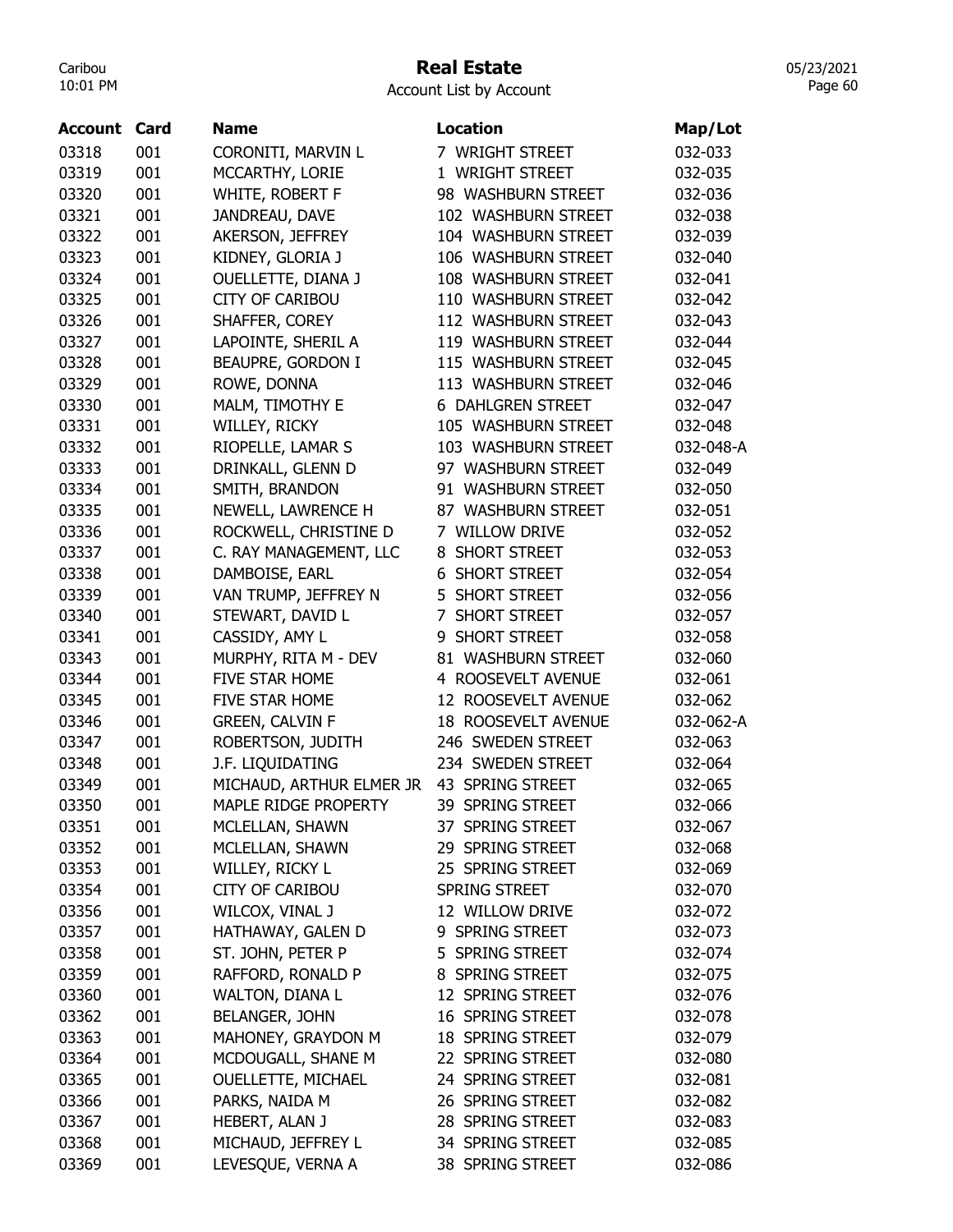### Real Estate

Account List by Account

| Account | Card | <b>Name</b>               | <b>Location</b>            | Map/Lot   |
|---------|------|---------------------------|----------------------------|-----------|
| 03318   | 001  | CORONITI, MARVIN L        | 7 WRIGHT STREET            | 032-033   |
| 03319   | 001  | MCCARTHY, LORIE           | 1 WRIGHT STREET            | 032-035   |
| 03320   | 001  | WHITE, ROBERT F           | 98 WASHBURN STREET         | 032-036   |
| 03321   | 001  | JANDREAU, DAVE            | 102 WASHBURN STREET        | 032-038   |
| 03322   | 001  | AKERSON, JEFFREY          | 104 WASHBURN STREET        | 032-039   |
| 03323   | 001  | KIDNEY, GLORIA J          | 106 WASHBURN STREET        | 032-040   |
| 03324   | 001  | OUELLETTE, DIANA J        | 108 WASHBURN STREET        | 032-041   |
| 03325   | 001  | <b>CITY OF CARIBOU</b>    | 110 WASHBURN STREET        | 032-042   |
| 03326   | 001  | SHAFFER, COREY            | 112 WASHBURN STREET        | 032-043   |
| 03327   | 001  | LAPOINTE, SHERIL A        | 119 WASHBURN STREET        | 032-044   |
| 03328   | 001  | BEAUPRE, GORDON I         | 115 WASHBURN STREET        | 032-045   |
| 03329   | 001  | ROWE, DONNA               | 113 WASHBURN STREET        | 032-046   |
| 03330   | 001  | MALM, TIMOTHY E           | <b>6 DAHLGREN STREET</b>   | 032-047   |
| 03331   | 001  | WILLEY, RICKY             | 105 WASHBURN STREET        | 032-048   |
| 03332   | 001  | RIOPELLE, LAMAR S         | 103 WASHBURN STREET        | 032-048-A |
| 03333   | 001  | DRINKALL, GLENN D         | 97 WASHBURN STREET         | 032-049   |
| 03334   | 001  | SMITH, BRANDON            | 91 WASHBURN STREET         | 032-050   |
| 03335   | 001  | NEWELL, LAWRENCE H        | 87 WASHBURN STREET         | 032-051   |
| 03336   | 001  | ROCKWELL, CHRISTINE D     | 7 WILLOW DRIVE             | 032-052   |
| 03337   | 001  | C. RAY MANAGEMENT, LLC    | <b>SHORT STREET</b><br>8   | 032-053   |
| 03338   | 001  | DAMBOISE, EARL            | <b>6 SHORT STREET</b>      | 032-054   |
| 03339   | 001  | VAN TRUMP, JEFFREY N      | 5 SHORT STREET             | 032-056   |
| 03340   | 001  | STEWART, DAVID L          | SHORT STREET<br>7          | 032-057   |
| 03341   | 001  | CASSIDY, AMY L            | 9 SHORT STREET             | 032-058   |
| 03343   | 001  | MURPHY, RITA M - DEV      | 81 WASHBURN STREET         | 032-060   |
| 03344   | 001  | <b>FIVE STAR HOME</b>     | 4 ROOSEVELT AVENUE         | 032-061   |
| 03345   | 001  | FIVE STAR HOME            | 12 ROOSEVELT AVENUE        | 032-062   |
| 03346   | 001  | <b>GREEN, CALVIN F</b>    | 18 ROOSEVELT AVENUE        | 032-062-A |
| 03347   | 001  | ROBERTSON, JUDITH         | 246 SWEDEN STREET          | 032-063   |
| 03348   | 001  | J.F. LIQUIDATING          | 234 SWEDEN STREET          | 032-064   |
| 03349   | 001  | MICHAUD, ARTHUR ELMER JR  | 43 SPRING STREET           | 032-065   |
| 03350   | 001  | MAPLE RIDGE PROPERTY      | <b>SPRING STREET</b><br>39 | 032-066   |
| 03351   | 001  | MCLELLAN, SHAWN           | 37 SPRING STREET           | 032-067   |
| 03352   | 001  | MCLELLAN, SHAWN           | 29 SPRING STREET           | 032-068   |
| 03353   | 001  | WILLEY, RICKY L           | 25 SPRING STREET           | 032-069   |
| 03354   | 001  | <b>CITY OF CARIBOU</b>    | SPRING STREET              | 032-070   |
| 03356   | 001  | WILCOX, VINAL J           | 12 WILLOW DRIVE            | 032-072   |
| 03357   | 001  | HATHAWAY, GALEN D         | 9 SPRING STREET            | 032-073   |
| 03358   | 001  | ST. JOHN, PETER P         | 5 SPRING STREET            | 032-074   |
| 03359   | 001  | RAFFORD, RONALD P         | 8 SPRING STREET            | 032-075   |
| 03360   | 001  | WALTON, DIANA L           | 12 SPRING STREET           | 032-076   |
| 03362   | 001  | <b>BELANGER, JOHN</b>     | 16 SPRING STREET           | 032-078   |
| 03363   | 001  | MAHONEY, GRAYDON M        | 18 SPRING STREET           | 032-079   |
| 03364   | 001  | MCDOUGALL, SHANE M        | 22 SPRING STREET           | 032-080   |
| 03365   | 001  | <b>OUELLETTE, MICHAEL</b> | 24 SPRING STREET           | 032-081   |
| 03366   | 001  | PARKS, NAIDA M            | 26 SPRING STREET           | 032-082   |
| 03367   | 001  | HEBERT, ALAN J            | 28 SPRING STREET           | 032-083   |
| 03368   | 001  | MICHAUD, JEFFREY L        | 34 SPRING STREET           | 032-085   |
| 03369   | 001  | LEVESQUE, VERNA A         | 38 SPRING STREET           | 032-086   |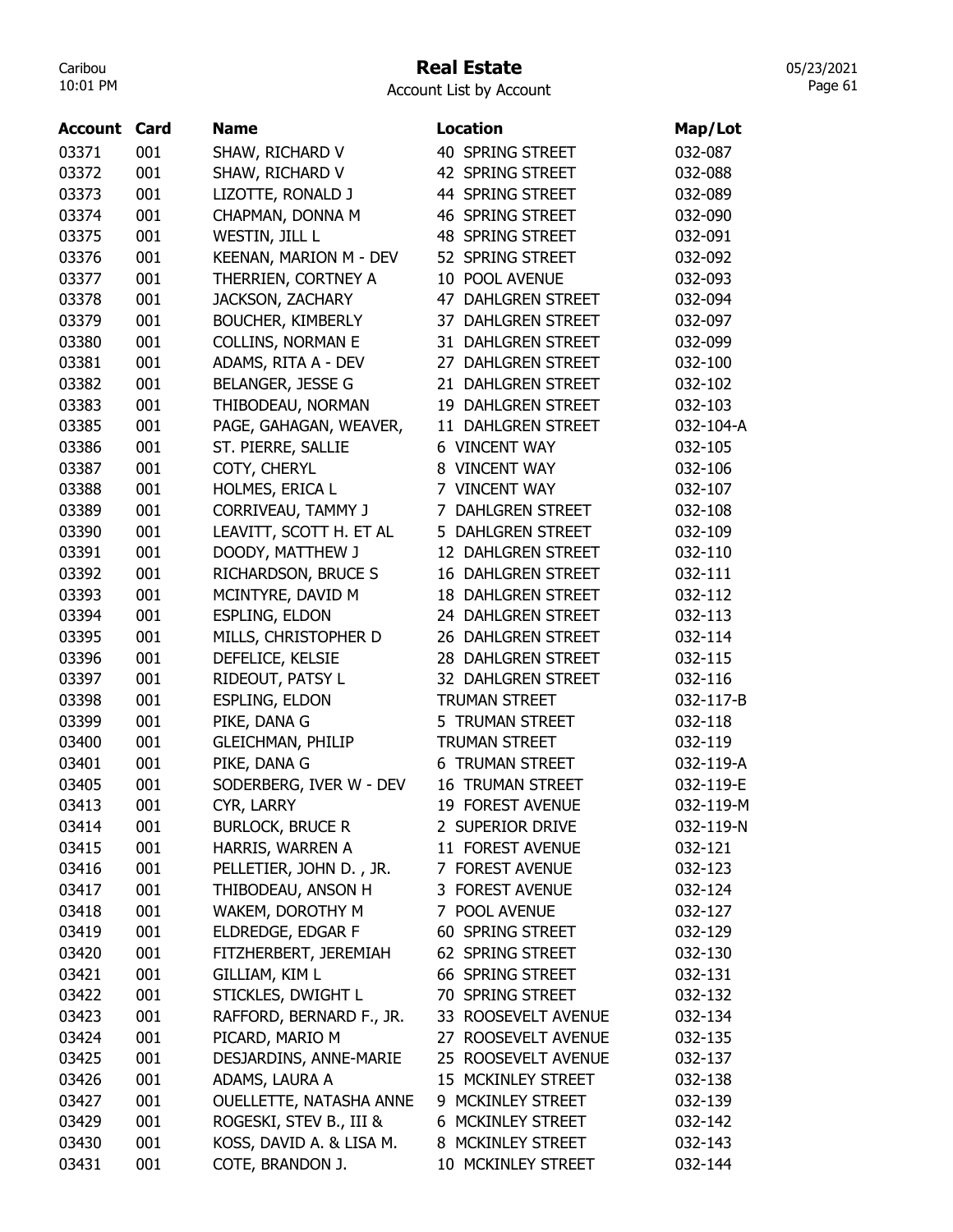## Real Estate

Account List by Account

| 40 SPRING STREET<br>03371<br>001<br>SHAW, RICHARD V                | 032-087   |
|--------------------------------------------------------------------|-----------|
|                                                                    |           |
| 001<br>03372<br>SHAW, RICHARD V<br>42 SPRING STREET                | 032-088   |
| 03373<br>001<br>LIZOTTE, RONALD J<br>44 SPRING STREET              | 032-089   |
| 001<br>CHAPMAN, DONNA M<br>46 SPRING STREET<br>03374               | 032-090   |
| 001<br>WESTIN, JILL L<br>48 SPRING STREET<br>03375                 | 032-091   |
| 03376<br>001<br>KEENAN, MARION M - DEV<br>52 SPRING STREET         | 032-092   |
| 001<br>THERRIEN, CORTNEY A<br>03377<br>10 POOL AVENUE              | 032-093   |
| 03378<br>001<br><b>JACKSON, ZACHARY</b><br>47 DAHLGREN STREET      | 032-094   |
| 03379<br>001<br><b>BOUCHER, KIMBERLY</b><br>37 DAHLGREN STREET     | 032-097   |
| 03380<br>001<br><b>COLLINS, NORMAN E</b><br>31 DAHLGREN STREET     | 032-099   |
| 03381<br>001<br>ADAMS, RITA A - DEV<br>27 DAHLGREN STREET          | 032-100   |
| 001<br>BELANGER, JESSE G<br>03382<br>21 DAHLGREN STREET            | 032-102   |
| 001<br>THIBODEAU, NORMAN<br>19 DAHLGREN STREET<br>03383            | 032-103   |
| 03385<br>001<br>PAGE, GAHAGAN, WEAVER,<br>11 DAHLGREN STREET       | 032-104-A |
| 001<br>ST. PIERRE, SALLIE<br>03386<br><b>6 VINCENT WAY</b>         | 032-105   |
| 03387<br>001<br>COTY, CHERYL<br>8 VINCENT WAY                      | 032-106   |
| 03388<br>001<br>HOLMES, ERICA L<br>7 VINCENT WAY                   | 032-107   |
| 03389<br>001<br>CORRIVEAU, TAMMY J<br><b>DAHLGREN STREET</b><br>7  | 032-108   |
| 001<br>LEAVITT, SCOTT H. ET AL<br>5 DAHLGREN STREET<br>03390       | 032-109   |
| 03391<br>001<br>DOODY, MATTHEW J<br>12 DAHLGREN STREET             | 032-110   |
| 001<br><b>16 DAHLGREN STREET</b><br>03392<br>RICHARDSON, BRUCE S   | 032-111   |
| 03393<br>001<br>MCINTYRE, DAVID M<br><b>18 DAHLGREN STREET</b>     | 032-112   |
| 001<br><b>ESPLING, ELDON</b><br>24 DAHLGREN STREET<br>03394        | 032-113   |
| MILLS, CHRISTOPHER D<br>03395<br>001<br>26 DAHLGREN STREET         | 032-114   |
| 03396<br>001<br>DEFELICE, KELSIE<br>28 DAHLGREN STREET             | 032-115   |
| 001<br>RIDEOUT, PATSY L<br>03397<br>32 DAHLGREN STREET             | 032-116   |
| 001<br>ESPLING, ELDON<br>03398<br><b>TRUMAN STREET</b>             | 032-117-B |
| 001<br>PIKE, DANA G<br>03399<br>5 TRUMAN STREET                    | 032-118   |
| 001<br>03400<br><b>GLEICHMAN, PHILIP</b><br><b>TRUMAN STREET</b>   | 032-119   |
| 001<br>PIKE, DANA G<br>03401<br><b>6 TRUMAN STREET</b>             | 032-119-A |
| 03405<br>001<br>SODERBERG, IVER W - DEV<br><b>16 TRUMAN STREET</b> | 032-119-E |
| 19 FOREST AVENUE<br>03413<br>001<br>CYR, LARRY                     | 032-119-M |
| 001<br><b>BURLOCK, BRUCE R</b><br>2 SUPERIOR DRIVE<br>03414        | 032-119-N |
| 001<br>HARRIS, WARREN A<br>11 FOREST AVENUE<br>03415               | 032-121   |
| PELLETIER, JOHN D., JR.<br>03416<br>001<br>7 FOREST AVENUE         | 032-123   |
| 3 FOREST AVENUE<br>03417<br>001<br>THIBODEAU, ANSON H              | 032-124   |
| 001<br>03418<br>WAKEM, DOROTHY M<br>7 POOL AVENUE                  | 032-127   |
| ELDREDGE, EDGAR F<br>60 SPRING STREET<br>03419<br>001              | 032-129   |
| FITZHERBERT, JEREMIAH<br>62 SPRING STREET<br>03420<br>001          | 032-130   |
| 03421<br>001<br>GILLIAM, KIM L<br>66 SPRING STREET                 | 032-131   |
| STICKLES, DWIGHT L<br>03422<br>001<br>70 SPRING STREET             | 032-132   |
| RAFFORD, BERNARD F., JR.<br>03423<br>001<br>33 ROOSEVELT AVENUE    | 032-134   |
| PICARD, MARIO M<br>27 ROOSEVELT AVENUE<br>03424<br>001             | 032-135   |
| 25 ROOSEVELT AVENUE<br>03425<br>001<br>DESJARDINS, ANNE-MARIE      | 032-137   |
| ADAMS, LAURA A<br>03426<br>001<br>15 MCKINLEY STREET               | 032-138   |
| OUELLETTE, NATASHA ANNE<br>9 MCKINLEY STREET<br>001<br>03427       | 032-139   |
| ROGESKI, STEV B., III &<br>6 MCKINLEY STREET<br>03429<br>001       | 032-142   |
| KOSS, DAVID A. & LISA M.<br>8 MCKINLEY STREET<br>03430<br>001      | 032-143   |
| 03431<br>001<br>COTE, BRANDON J.<br>10 MCKINLEY STREET             | 032-144   |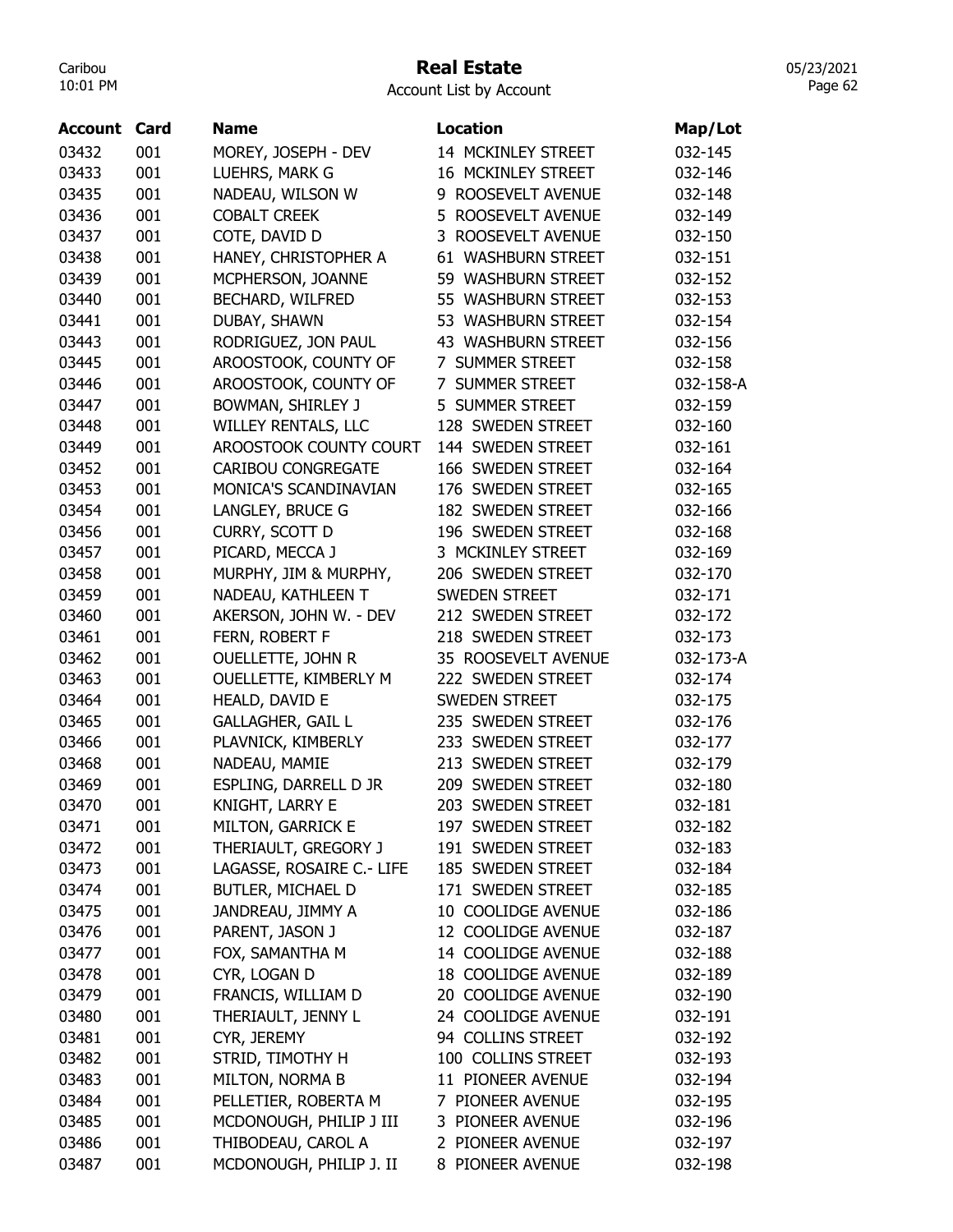#### Real Estate

05/23/2021 Page 62

| <b>Account Card</b> |     | <b>Name</b>               | <b>Location</b>           | Map/Lot   |
|---------------------|-----|---------------------------|---------------------------|-----------|
| 03432               | 001 | MOREY, JOSEPH - DEV       | 14 MCKINLEY STREET        | 032-145   |
| 03433               | 001 | LUEHRS, MARK G            | 16 MCKINLEY STREET        | 032-146   |
| 03435               | 001 | NADEAU, WILSON W          | 9 ROOSEVELT AVENUE        | 032-148   |
| 03436               | 001 | <b>COBALT CREEK</b>       | 5 ROOSEVELT AVENUE        | 032-149   |
| 03437               | 001 | COTE, DAVID D             | 3 ROOSEVELT AVENUE        | 032-150   |
| 03438               | 001 | HANEY, CHRISTOPHER A      | 61 WASHBURN STREET        | 032-151   |
| 03439               | 001 | MCPHERSON, JOANNE         | 59 WASHBURN STREET        | 032-152   |
| 03440               | 001 | BECHARD, WILFRED          | 55 WASHBURN STREET        | 032-153   |
| 03441               | 001 | DUBAY, SHAWN              | 53 WASHBURN STREET        | 032-154   |
| 03443               | 001 | RODRIGUEZ, JON PAUL       | 43 WASHBURN STREET        | 032-156   |
| 03445               | 001 | AROOSTOOK, COUNTY OF      | 7 SUMMER STREET           | 032-158   |
| 03446               | 001 | AROOSTOOK, COUNTY OF      | 7 SUMMER STREET           | 032-158-A |
| 03447               | 001 | BOWMAN, SHIRLEY J         | 5 SUMMER STREET           | 032-159   |
| 03448               | 001 | WILLEY RENTALS, LLC       | 128 SWEDEN STREET         | 032-160   |
| 03449               | 001 | AROOSTOOK COUNTY COURT    | 144 SWEDEN STREET         | 032-161   |
| 03452               | 001 | <b>CARIBOU CONGREGATE</b> | 166 SWEDEN STREET         | 032-164   |
| 03453               | 001 | MONICA'S SCANDINAVIAN     | 176 SWEDEN STREET         | 032-165   |
| 03454               | 001 | LANGLEY, BRUCE G          | 182 SWEDEN STREET         | 032-166   |
| 03456               | 001 | CURRY, SCOTT D            | 196 SWEDEN STREET         | 032-168   |
| 03457               | 001 | PICARD, MECCA J           | 3 MCKINLEY STREET         | 032-169   |
| 03458               | 001 | MURPHY, JIM & MURPHY,     | 206 SWEDEN STREET         | 032-170   |
| 03459               | 001 | NADEAU, KATHLEEN T        | <b>SWEDEN STREET</b>      | 032-171   |
| 03460               | 001 | AKERSON, JOHN W. - DEV    | 212 SWEDEN STREET         | 032-172   |
| 03461               | 001 | FERN, ROBERT F            | 218 SWEDEN STREET         | 032-173   |
| 03462               | 001 | OUELLETTE, JOHN R         | 35 ROOSEVELT AVENUE       | 032-173-A |
| 03463               | 001 | OUELLETTE, KIMBERLY M     | 222 SWEDEN STREET         | 032-174   |
| 03464               | 001 | HEALD, DAVID E            | <b>SWEDEN STREET</b>      | 032-175   |
| 03465               | 001 | <b>GALLAGHER, GAIL L</b>  | 235 SWEDEN STREET         | 032-176   |
| 03466               | 001 | PLAVNICK, KIMBERLY        | 233 SWEDEN STREET         | 032-177   |
| 03468               | 001 | NADEAU, MAMIE             | 213 SWEDEN STREET         | 032-179   |
| 03469               | 001 | ESPLING, DARRELL D JR     | 209 SWEDEN STREET         | 032-180   |
| 03470               | 001 | KNIGHT, LARRY E           | 203 SWEDEN STREET         | 032-181   |
| 03471               | 001 | MILTON, GARRICK E         | 197 SWEDEN STREET         | 032-182   |
| 03472               | 001 | THERIAULT, GREGORY J      | 191 SWEDEN STREET         | 032-183   |
| 03473               | 001 | LAGASSE, ROSAIRE C.- LIFE | 185 SWEDEN STREET         | 032-184   |
| 03474               | 001 | BUTLER, MICHAEL D         | 171 SWEDEN STREET         | 032-185   |
| 03475               | 001 | JANDREAU, JIMMY A         | 10 COOLIDGE AVENUE        | 032-186   |
| 03476               | 001 | PARENT, JASON J           | 12 COOLIDGE AVENUE        | 032-187   |
| 03477               | 001 | FOX, SAMANTHA M           | 14 COOLIDGE AVENUE        | 032-188   |
| 03478               | 001 | CYR, LOGAN D              | <b>18 COOLIDGE AVENUE</b> | 032-189   |
| 03479               | 001 | FRANCIS, WILLIAM D        | 20 COOLIDGE AVENUE        | 032-190   |
| 03480               | 001 | THERIAULT, JENNY L        | 24 COOLIDGE AVENUE        | 032-191   |
| 03481               | 001 | CYR, JEREMY               | 94 COLLINS STREET         | 032-192   |
| 03482               | 001 | STRID, TIMOTHY H          | 100 COLLINS STREET        | 032-193   |
| 03483               | 001 | MILTON, NORMA B           | 11 PIONEER AVENUE         | 032-194   |
| 03484               | 001 | PELLETIER, ROBERTA M      | 7 PIONEER AVENUE          | 032-195   |
| 03485               | 001 | MCDONOUGH, PHILIP J III   | 3 PIONEER AVENUE          | 032-196   |
| 03486               | 001 | THIBODEAU, CAROL A        | 2 PIONEER AVENUE          | 032-197   |
| 03487               | 001 | MCDONOUGH, PHILIP J. II   | 8 PIONEER AVENUE          | 032-198   |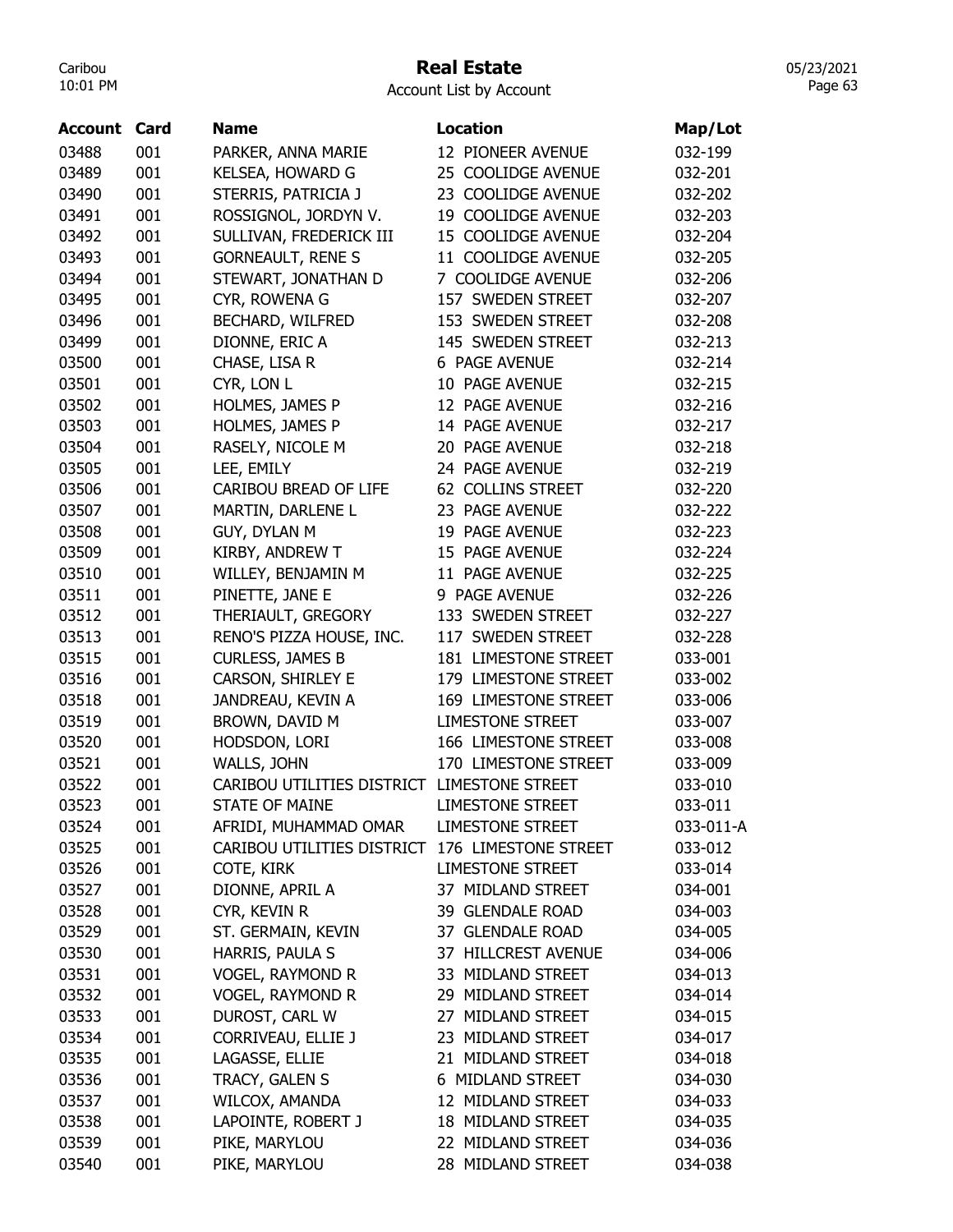#### Real Estate

05/23/2021 Page 63

| Account | Card | Name                                        | <b>Location</b>         | Map/Lot   |
|---------|------|---------------------------------------------|-------------------------|-----------|
| 03488   | 001  | PARKER, ANNA MARIE                          | 12 PIONEER AVENUE       | 032-199   |
| 03489   | 001  | KELSEA, HOWARD G                            | 25 COOLIDGE AVENUE      | 032-201   |
| 03490   | 001  | STERRIS, PATRICIA J                         | 23 COOLIDGE AVENUE      | 032-202   |
| 03491   | 001  | ROSSIGNOL, JORDYN V.                        | 19 COOLIDGE AVENUE      | 032-203   |
| 03492   | 001  | SULLIVAN, FREDERICK III                     | 15 COOLIDGE AVENUE      | 032-204   |
| 03493   | 001  | <b>GORNEAULT, RENE S</b>                    | 11 COOLIDGE AVENUE      | 032-205   |
| 03494   | 001  | STEWART, JONATHAN D                         | 7 COOLIDGE AVENUE       | 032-206   |
| 03495   | 001  | CYR, ROWENA G                               | 157 SWEDEN STREET       | 032-207   |
| 03496   | 001  | <b>BECHARD, WILFRED</b>                     | 153 SWEDEN STREET       | 032-208   |
| 03499   | 001  | DIONNE, ERIC A                              | 145 SWEDEN STREET       | 032-213   |
| 03500   | 001  | CHASE, LISA R                               | 6 PAGE AVENUE           | 032-214   |
| 03501   | 001  | CYR, LON L                                  | 10 PAGE AVENUE          | 032-215   |
| 03502   | 001  | HOLMES, JAMES P                             | 12 PAGE AVENUE          | 032-216   |
| 03503   | 001  | HOLMES, JAMES P                             | 14 PAGE AVENUE          | 032-217   |
| 03504   | 001  | RASELY, NICOLE M                            | 20 PAGE AVENUE          | 032-218   |
| 03505   | 001  | LEE, EMILY                                  | 24 PAGE AVENUE          | 032-219   |
| 03506   | 001  | CARIBOU BREAD OF LIFE                       | 62 COLLINS STREET       | 032-220   |
| 03507   | 001  | MARTIN, DARLENE L                           | 23 PAGE AVENUE          | 032-222   |
| 03508   | 001  | GUY, DYLAN M                                | 19 PAGE AVENUE          | 032-223   |
| 03509   | 001  | KIRBY, ANDREW T                             | 15 PAGE AVENUE          | 032-224   |
| 03510   | 001  | WILLEY, BENJAMIN M                          | 11 PAGE AVENUE          | 032-225   |
| 03511   | 001  | PINETTE, JANE E                             | 9 PAGE AVENUE           | 032-226   |
| 03512   | 001  | THERIAULT, GREGORY                          | 133 SWEDEN STREET       | 032-227   |
| 03513   | 001  | RENO'S PIZZA HOUSE, INC.                    | 117 SWEDEN STREET       | 032-228   |
| 03515   | 001  | <b>CURLESS, JAMES B</b>                     | 181 LIMESTONE STREET    | 033-001   |
| 03516   | 001  | CARSON, SHIRLEY E                           | 179 LIMESTONE STREET    | 033-002   |
| 03518   | 001  | JANDREAU, KEVIN A                           | 169 LIMESTONE STREET    | 033-006   |
| 03519   | 001  | BROWN, DAVID M                              | <b>LIMESTONE STREET</b> | 033-007   |
| 03520   | 001  | HODSDON, LORI                               | 166 LIMESTONE STREET    | 033-008   |
| 03521   | 001  | WALLS, JOHN                                 | 170 LIMESTONE STREET    | 033-009   |
| 03522   | 001  | CARIBOU UTILITIES DISTRICT LIMESTONE STREET |                         | 033-010   |
| 03523   | 001  | <b>STATE OF MAINE</b>                       | <b>LIMESTONE STREET</b> | 033-011   |
| 03524   | 001  | AFRIDI, MUHAMMAD OMAR                       | <b>LIMESTONE STREET</b> | 033-011-A |
| 03525   | 001  | CARIBOU UTILITIES DISTRICT                  | 176 LIMESTONE STREET    | 033-012   |
| 03526   | 001  | COTE, KIRK                                  | <b>LIMESTONE STREET</b> | 033-014   |
| 03527   | 001  | DIONNE, APRIL A                             | 37 MIDLAND STREET       | 034-001   |
| 03528   | 001  | CYR, KEVIN R                                | 39 GLENDALE ROAD        | 034-003   |
| 03529   | 001  | ST. GERMAIN, KEVIN                          | 37 GLENDALE ROAD        | 034-005   |
| 03530   | 001  | HARRIS, PAULA S                             | 37 HILLCREST AVENUE     | 034-006   |
| 03531   | 001  | <b>VOGEL, RAYMOND R</b>                     | 33 MIDLAND STREET       | 034-013   |
| 03532   | 001  | <b>VOGEL, RAYMOND R</b>                     | 29 MIDLAND STREET       | 034-014   |
| 03533   | 001  | DUROST, CARL W                              | 27 MIDLAND STREET       | 034-015   |
| 03534   | 001  | CORRIVEAU, ELLIE J                          | 23 MIDLAND STREET       | 034-017   |
| 03535   | 001  | LAGASSE, ELLIE                              | 21 MIDLAND STREET       | 034-018   |
| 03536   | 001  | TRACY, GALEN S                              | 6 MIDLAND STREET        | 034-030   |
| 03537   | 001  | WILCOX, AMANDA                              | 12 MIDLAND STREET       | 034-033   |
| 03538   | 001  | LAPOINTE, ROBERT J                          | 18 MIDLAND STREET       | 034-035   |
| 03539   | 001  | PIKE, MARYLOU                               | 22 MIDLAND STREET       | 034-036   |
| 03540   | 001  | PIKE, MARYLOU                               | 28 MIDLAND STREET       | 034-038   |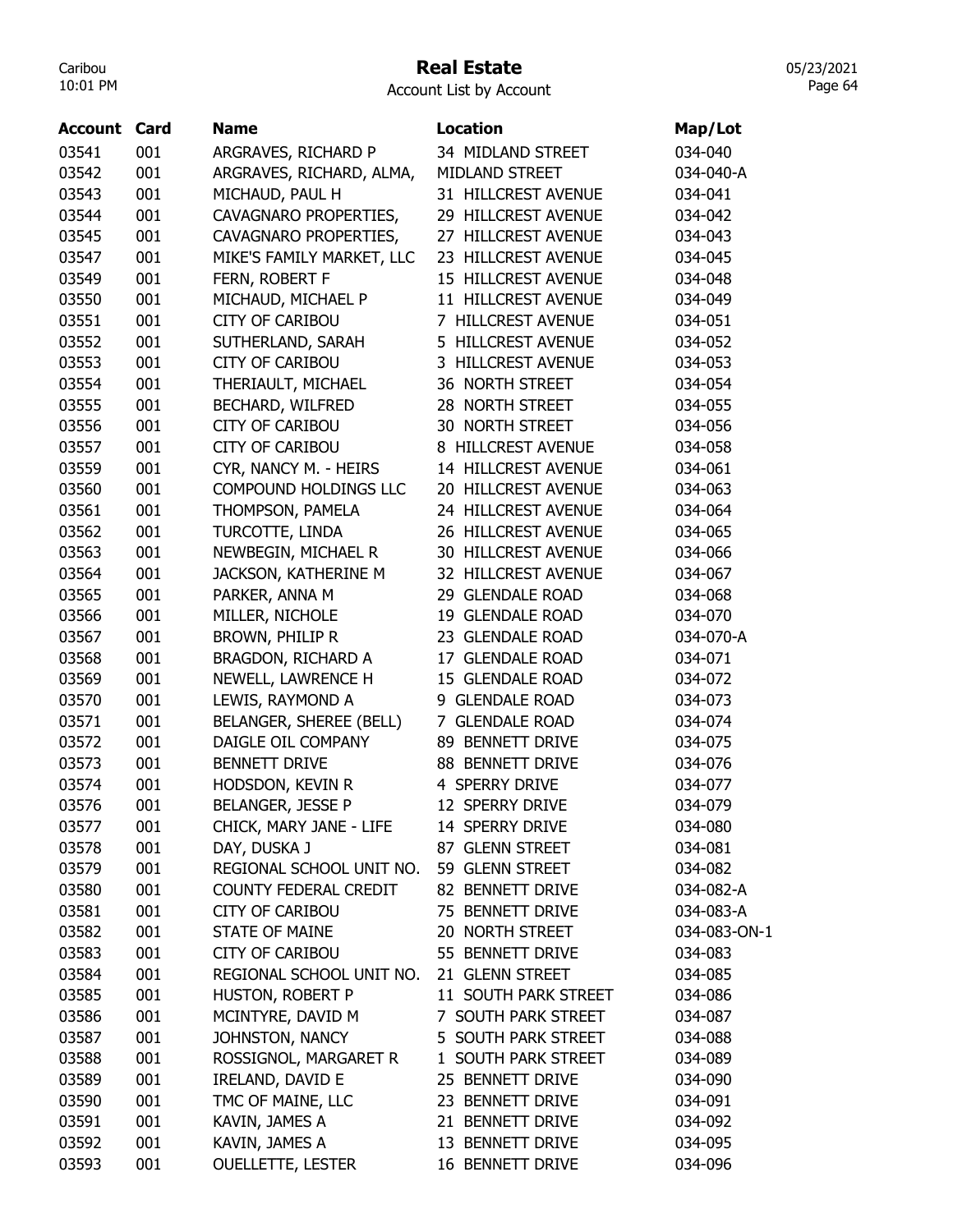#### Real Estate

Account List by Account

|                     |     | <b>Name</b>                 | <b>Location</b>      |              |
|---------------------|-----|-----------------------------|----------------------|--------------|
| <b>Account Card</b> |     |                             |                      | Map/Lot      |
| 03541               | 001 | ARGRAVES, RICHARD P         | 34 MIDLAND STREET    | 034-040      |
| 03542               | 001 | ARGRAVES, RICHARD, ALMA,    | MIDLAND STREET       | 034-040-A    |
| 03543               | 001 | MICHAUD, PAUL H             | 31 HILLCREST AVENUE  | 034-041      |
| 03544               | 001 | CAVAGNARO PROPERTIES,       | 29 HILLCREST AVENUE  | 034-042      |
| 03545               | 001 | CAVAGNARO PROPERTIES,       | 27 HILLCREST AVENUE  | 034-043      |
| 03547               | 001 | MIKE'S FAMILY MARKET, LLC   | 23 HILLCREST AVENUE  | 034-045      |
| 03549               | 001 | FERN, ROBERT F              | 15 HILLCREST AVENUE  | 034-048      |
| 03550               | 001 | MICHAUD, MICHAEL P          | 11 HILLCREST AVENUE  | 034-049      |
| 03551               | 001 | <b>CITY OF CARIBOU</b>      | 7 HILLCREST AVENUE   | 034-051      |
| 03552               | 001 | SUTHERLAND, SARAH           | 5 HILLCREST AVENUE   | 034-052      |
| 03553               | 001 | <b>CITY OF CARIBOU</b>      | 3 HILLCREST AVENUE   | 034-053      |
| 03554               | 001 | THERIAULT, MICHAEL          | 36 NORTH STREET      | 034-054      |
| 03555               | 001 | BECHARD, WILFRED            | 28 NORTH STREET      | 034-055      |
| 03556               | 001 | <b>CITY OF CARIBOU</b>      | 30 NORTH STREET      | 034-056      |
| 03557               | 001 | <b>CITY OF CARIBOU</b>      | 8 HILLCREST AVENUE   | 034-058      |
| 03559               | 001 | CYR, NANCY M. - HEIRS       | 14 HILLCREST AVENUE  | 034-061      |
| 03560               | 001 | COMPOUND HOLDINGS LLC       | 20 HILLCREST AVENUE  | 034-063      |
| 03561               | 001 | THOMPSON, PAMELA            | 24 HILLCREST AVENUE  | 034-064      |
| 03562               | 001 | TURCOTTE, LINDA             | 26 HILLCREST AVENUE  | 034-065      |
| 03563               | 001 | NEWBEGIN, MICHAEL R         | 30 HILLCREST AVENUE  | 034-066      |
| 03564               | 001 | <b>JACKSON, KATHERINE M</b> | 32 HILLCREST AVENUE  | 034-067      |
| 03565               | 001 | PARKER, ANNA M              | 29 GLENDALE ROAD     | 034-068      |
| 03566               | 001 | MILLER, NICHOLE             | 19 GLENDALE ROAD     | 034-070      |
| 03567               | 001 | BROWN, PHILIP R             | 23 GLENDALE ROAD     | 034-070-A    |
| 03568               | 001 | BRAGDON, RICHARD A          | 17 GLENDALE ROAD     | 034-071      |
| 03569               | 001 | NEWELL, LAWRENCE H          | 15 GLENDALE ROAD     | 034-072      |
| 03570               | 001 | LEWIS, RAYMOND A            | 9 GLENDALE ROAD      | 034-073      |
| 03571               | 001 | BELANGER, SHEREE (BELL)     | 7 GLENDALE ROAD      | 034-074      |
| 03572               | 001 | DAIGLE OIL COMPANY          | 89 BENNETT DRIVE     | 034-075      |
| 03573               | 001 | <b>BENNETT DRIVE</b>        | 88 BENNETT DRIVE     | 034-076      |
| 03574               | 001 | HODSDON, KEVIN R            | 4 SPERRY DRIVE       | 034-077      |
| 03576               | 001 | BELANGER, JESSE P           | 12 SPERRY DRIVE      | 034-079      |
| 03577               | 001 | CHICK, MARY JANE - LIFE     | 14 SPERRY DRIVE      | 034-080      |
| 03578               | 001 | DAY, DUSKA J                | 87 GLENN STREET      | 034-081      |
| 03579               | 001 | REGIONAL SCHOOL UNIT NO.    | 59 GLENN STREET      |              |
|                     |     | COUNTY FEDERAL CREDIT       | 82 BENNETT DRIVE     | 034-082      |
| 03580               | 001 |                             |                      | 034-082-A    |
| 03581               | 001 | <b>CITY OF CARIBOU</b>      | 75 BENNETT DRIVE     | 034-083-A    |
| 03582               | 001 | <b>STATE OF MAINE</b>       | 20 NORTH STREET      | 034-083-ON-1 |
| 03583               | 001 | <b>CITY OF CARIBOU</b>      | 55 BENNETT DRIVE     | 034-083      |
| 03584               | 001 | REGIONAL SCHOOL UNIT NO.    | 21 GLENN STREET      | 034-085      |
| 03585               | 001 | HUSTON, ROBERT P            | 11 SOUTH PARK STREET | 034-086      |
| 03586               | 001 | MCINTYRE, DAVID M           | 7 SOUTH PARK STREET  | 034-087      |
| 03587               | 001 | JOHNSTON, NANCY             | 5 SOUTH PARK STREET  | 034-088      |
| 03588               | 001 | ROSSIGNOL, MARGARET R       | 1 SOUTH PARK STREET  | 034-089      |
| 03589               | 001 | IRELAND, DAVID E            | 25 BENNETT DRIVE     | 034-090      |
| 03590               | 001 | TMC OF MAINE, LLC           | 23 BENNETT DRIVE     | 034-091      |
| 03591               | 001 | KAVIN, JAMES A              | 21 BENNETT DRIVE     | 034-092      |
| 03592               | 001 | KAVIN, JAMES A              | 13 BENNETT DRIVE     | 034-095      |
| 03593               | 001 | <b>OUELLETTE, LESTER</b>    | 16 BENNETT DRIVE     | 034-096      |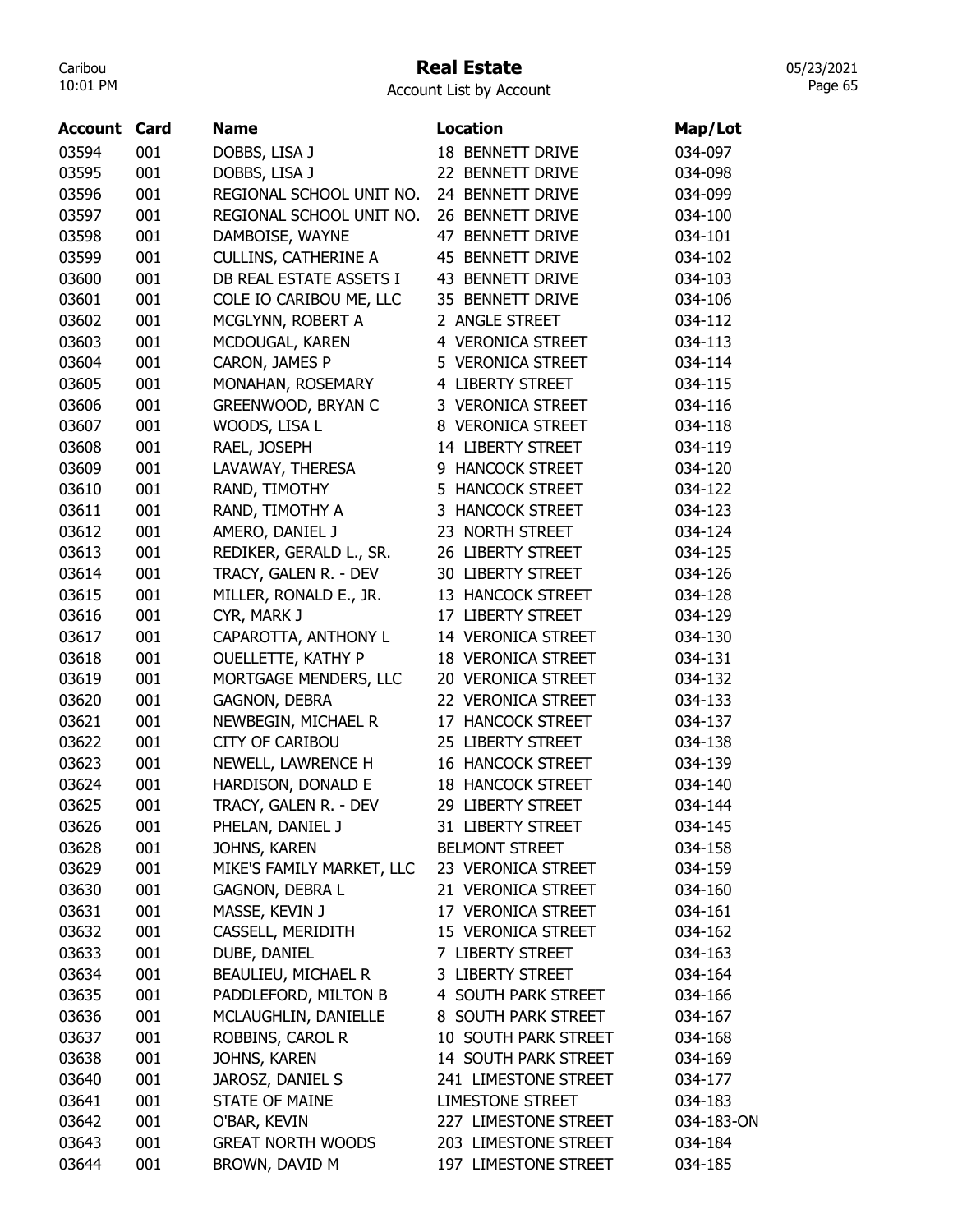#### Real Estate

Account List by Account

| Account | Card | <b>Name</b>                 | <b>Location</b>           | Map/Lot    |
|---------|------|-----------------------------|---------------------------|------------|
| 03594   | 001  | DOBBS, LISA J               | 18 BENNETT DRIVE          | 034-097    |
| 03595   | 001  | DOBBS, LISA J               | 22 BENNETT DRIVE          | 034-098    |
| 03596   | 001  | REGIONAL SCHOOL UNIT NO.    | 24 BENNETT DRIVE          | 034-099    |
| 03597   | 001  | REGIONAL SCHOOL UNIT NO.    | 26 BENNETT DRIVE          | 034-100    |
| 03598   | 001  | DAMBOISE, WAYNE             | 47 BENNETT DRIVE          | 034-101    |
| 03599   | 001  | <b>CULLINS, CATHERINE A</b> | 45 BENNETT DRIVE          | 034-102    |
| 03600   | 001  | DB REAL ESTATE ASSETS I     | 43 BENNETT DRIVE          | 034-103    |
| 03601   | 001  | COLE IO CARIBOU ME, LLC     | 35 BENNETT DRIVE          | 034-106    |
| 03602   | 001  | MCGLYNN, ROBERT A           | 2 ANGLE STREET            | 034-112    |
| 03603   | 001  | MCDOUGAL, KAREN             | 4 VERONICA STREET         | 034-113    |
| 03604   | 001  | CARON, JAMES P              | 5 VERONICA STREET         | 034-114    |
| 03605   | 001  | MONAHAN, ROSEMARY           | 4 LIBERTY STREET          | 034-115    |
| 03606   | 001  | GREENWOOD, BRYAN C          | 3 VERONICA STREET         | 034-116    |
| 03607   | 001  | WOODS, LISA L               | 8 VERONICA STREET         | 034-118    |
| 03608   | 001  | RAEL, JOSEPH                | 14 LIBERTY STREET         | 034-119    |
| 03609   | 001  | LAVAWAY, THERESA            | 9 HANCOCK STREET          | 034-120    |
| 03610   | 001  | RAND, TIMOTHY               | 5 HANCOCK STREET          | 034-122    |
| 03611   | 001  | RAND, TIMOTHY A             | 3 HANCOCK STREET          | 034-123    |
| 03612   | 001  | AMERO, DANIEL J             | 23 NORTH STREET           | 034-124    |
| 03613   | 001  | REDIKER, GERALD L., SR.     | 26 LIBERTY STREET         | 034-125    |
| 03614   | 001  | TRACY, GALEN R. - DEV       | 30 LIBERTY STREET         | 034-126    |
| 03615   | 001  | MILLER, RONALD E., JR.      | 13 HANCOCK STREET         | 034-128    |
| 03616   | 001  | CYR, MARK J                 | 17 LIBERTY STREET         | 034-129    |
| 03617   | 001  | CAPAROTTA, ANTHONY L        | 14 VERONICA STREET        | 034-130    |
| 03618   | 001  | OUELLETTE, KATHY P          | <b>18 VERONICA STREET</b> | 034-131    |
| 03619   | 001  | MORTGAGE MENDERS, LLC       | 20 VERONICA STREET        | 034-132    |
| 03620   | 001  | <b>GAGNON, DEBRA</b>        | 22 VERONICA STREET        | 034-133    |
| 03621   | 001  | NEWBEGIN, MICHAEL R         | 17 HANCOCK STREET         | 034-137    |
| 03622   | 001  | <b>CITY OF CARIBOU</b>      | 25 LIBERTY STREET         | 034-138    |
|         |      |                             |                           |            |
| 03623   | 001  | NEWELL, LAWRENCE H          | <b>16 HANCOCK STREET</b>  | 034-139    |
| 03624   | 001  | HARDISON, DONALD E          | <b>18 HANCOCK STREET</b>  | 034-140    |
| 03625   | 001  | TRACY, GALEN R. - DEV       | 29 LIBERTY STREET         | 034-144    |
| 03626   | 001  | PHELAN, DANIEL J            | 31 LIBERTY STREET         | 034-145    |
| 03628   | 001  | JOHNS, KAREN                | <b>BELMONT STREET</b>     | 034-158    |
| 03629   | 001  | MIKE'S FAMILY MARKET, LLC   | 23 VERONICA STREET        | 034-159    |
| 03630   | 001  | GAGNON, DEBRA L             | 21 VERONICA STREET        | 034-160    |
| 03631   | 001  | MASSE, KEVIN J              | 17 VERONICA STREET        | 034-161    |
| 03632   | 001  | CASSELL, MERIDITH           | 15 VERONICA STREET        | 034-162    |
| 03633   | 001  | DUBE, DANIEL                | 7 LIBERTY STREET          | 034-163    |
| 03634   | 001  | BEAULIEU, MICHAEL R         | 3 LIBERTY STREET          | 034-164    |
| 03635   | 001  | PADDLEFORD, MILTON B        | 4 SOUTH PARK STREET       | 034-166    |
| 03636   | 001  | MCLAUGHLIN, DANIELLE        | 8 SOUTH PARK STREET       | 034-167    |
| 03637   | 001  | ROBBINS, CAROL R            | 10 SOUTH PARK STREET      | 034-168    |
| 03638   | 001  | JOHNS, KAREN                | 14 SOUTH PARK STREET      | 034-169    |
| 03640   | 001  | JAROSZ, DANIEL S            | 241 LIMESTONE STREET      | 034-177    |
| 03641   | 001  | <b>STATE OF MAINE</b>       | <b>LIMESTONE STREET</b>   | 034-183    |
| 03642   | 001  | O'BAR, KEVIN                | 227 LIMESTONE STREET      | 034-183-ON |
| 03643   | 001  | <b>GREAT NORTH WOODS</b>    | 203 LIMESTONE STREET      | 034-184    |
| 03644   | 001  | BROWN, DAVID M              | 197 LIMESTONE STREET      | 034-185    |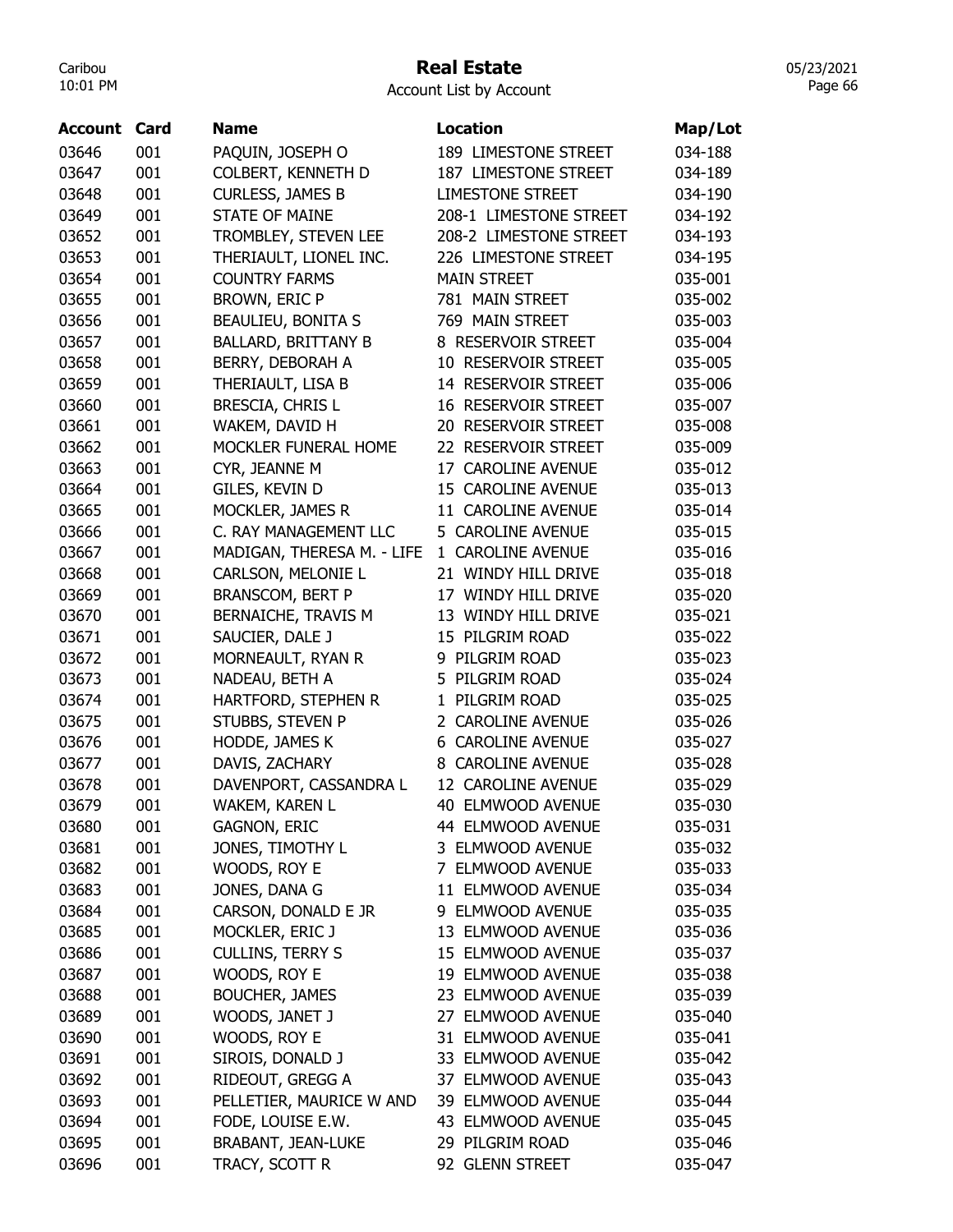#### Real Estate

05/23/2021 Page 66

| Account | Card | Name                       | <b>Location</b>            | Map/Lot |
|---------|------|----------------------------|----------------------------|---------|
| 03646   | 001  | PAQUIN, JOSEPH O           | 189 LIMESTONE STREET       | 034-188 |
| 03647   | 001  | <b>COLBERT, KENNETH D</b>  | 187 LIMESTONE STREET       | 034-189 |
| 03648   | 001  | <b>CURLESS, JAMES B</b>    | <b>LIMESTONE STREET</b>    | 034-190 |
| 03649   | 001  | <b>STATE OF MAINE</b>      | 208-1 LIMESTONE STREET     | 034-192 |
| 03652   | 001  | TROMBLEY, STEVEN LEE       | 208-2 LIMESTONE STREET     | 034-193 |
| 03653   | 001  | THERIAULT, LIONEL INC.     | 226 LIMESTONE STREET       | 034-195 |
| 03654   | 001  | <b>COUNTRY FARMS</b>       | <b>MAIN STREET</b>         | 035-001 |
| 03655   | 001  | <b>BROWN, ERIC P</b>       | 781 MAIN STREET            | 035-002 |
| 03656   | 001  | <b>BEAULIEU, BONITA S</b>  | 769 MAIN STREET            | 035-003 |
| 03657   | 001  | <b>BALLARD, BRITTANY B</b> | 8 RESERVOIR STREET         | 035-004 |
| 03658   | 001  | BERRY, DEBORAH A           | 10 RESERVOIR STREET        | 035-005 |
| 03659   | 001  | THERIAULT, LISA B          | 14 RESERVOIR STREET        | 035-006 |
| 03660   | 001  | BRESCIA, CHRIS L           | <b>16 RESERVOIR STREET</b> | 035-007 |
| 03661   | 001  | WAKEM, DAVID H             | 20 RESERVOIR STREET        | 035-008 |
| 03662   | 001  | MOCKLER FUNERAL HOME       | 22 RESERVOIR STREET        | 035-009 |
| 03663   | 001  | CYR, JEANNE M              | 17 CAROLINE AVENUE         | 035-012 |
| 03664   | 001  | GILES, KEVIN D             | 15 CAROLINE AVENUE         | 035-013 |
| 03665   | 001  | MOCKLER, JAMES R           | 11 CAROLINE AVENUE         | 035-014 |
| 03666   | 001  | C. RAY MANAGEMENT LLC      | 5 CAROLINE AVENUE          | 035-015 |
| 03667   | 001  | MADIGAN, THERESA M. - LIFE | 1 CAROLINE AVENUE          | 035-016 |
| 03668   | 001  | CARLSON, MELONIE L         | 21 WINDY HILL DRIVE        | 035-018 |
| 03669   | 001  | <b>BRANSCOM, BERT P</b>    | 17 WINDY HILL DRIVE        | 035-020 |
| 03670   | 001  | BERNAICHE, TRAVIS M        | 13 WINDY HILL DRIVE        | 035-021 |
| 03671   | 001  | SAUCIER, DALE J            | 15 PILGRIM ROAD            | 035-022 |
| 03672   | 001  | MORNEAULT, RYAN R          | 9 PILGRIM ROAD             | 035-023 |
| 03673   | 001  | NADEAU, BETH A             | 5 PILGRIM ROAD             | 035-024 |
| 03674   | 001  | HARTFORD, STEPHEN R        | PILGRIM ROAD<br>1          | 035-025 |
| 03675   | 001  | STUBBS, STEVEN P           | 2 CAROLINE AVENUE          | 035-026 |
| 03676   | 001  | HODDE, JAMES K             | <b>6 CAROLINE AVENUE</b>   | 035-027 |
| 03677   | 001  | DAVIS, ZACHARY             | 8 CAROLINE AVENUE          | 035-028 |
| 03678   | 001  | DAVENPORT, CASSANDRA L     | 12 CAROLINE AVENUE         | 035-029 |
| 03679   | 001  | WAKEM, KAREN L             | 40 ELMWOOD AVENUE          | 035-030 |
| 03680   | 001  | <b>GAGNON, ERIC</b>        | 44 ELMWOOD AVENUE          | 035-031 |
| 03681   | 001  | JONES, TIMOTHY L           | 3 ELMWOOD AVENUE           | 035-032 |
| 03682   | 001  | WOODS, ROY E               | 7 ELMWOOD AVENUE           | 035-033 |
| 03683   | 001  | JONES, DANA G              | 11 ELMWOOD AVENUE          | 035-034 |
| 03684   | 001  | CARSON, DONALD E JR        | 9 ELMWOOD AVENUE           | 035-035 |
| 03685   | 001  | MOCKLER, ERIC J            | 13 ELMWOOD AVENUE          | 035-036 |
| 03686   | 001  | <b>CULLINS, TERRY S</b>    | 15 ELMWOOD AVENUE          | 035-037 |
| 03687   | 001  | WOODS, ROY E               | 19 ELMWOOD AVENUE          | 035-038 |
| 03688   | 001  | <b>BOUCHER, JAMES</b>      | 23 ELMWOOD AVENUE          | 035-039 |
| 03689   | 001  | WOODS, JANET J             | 27 ELMWOOD AVENUE          | 035-040 |
| 03690   | 001  | WOODS, ROY E               | 31 ELMWOOD AVENUE          | 035-041 |
| 03691   | 001  | SIROIS, DONALD J           | 33 ELMWOOD AVENUE          | 035-042 |
| 03692   | 001  | RIDEOUT, GREGG A           | 37 ELMWOOD AVENUE          | 035-043 |
| 03693   | 001  | PELLETIER, MAURICE W AND   | 39 ELMWOOD AVENUE          | 035-044 |
| 03694   | 001  | FODE, LOUISE E.W.          | 43 ELMWOOD AVENUE          | 035-045 |
| 03695   | 001  | <b>BRABANT, JEAN-LUKE</b>  | 29 PILGRIM ROAD            | 035-046 |
| 03696   | 001  | TRACY, SCOTT R             | 92 GLENN STREET            | 035-047 |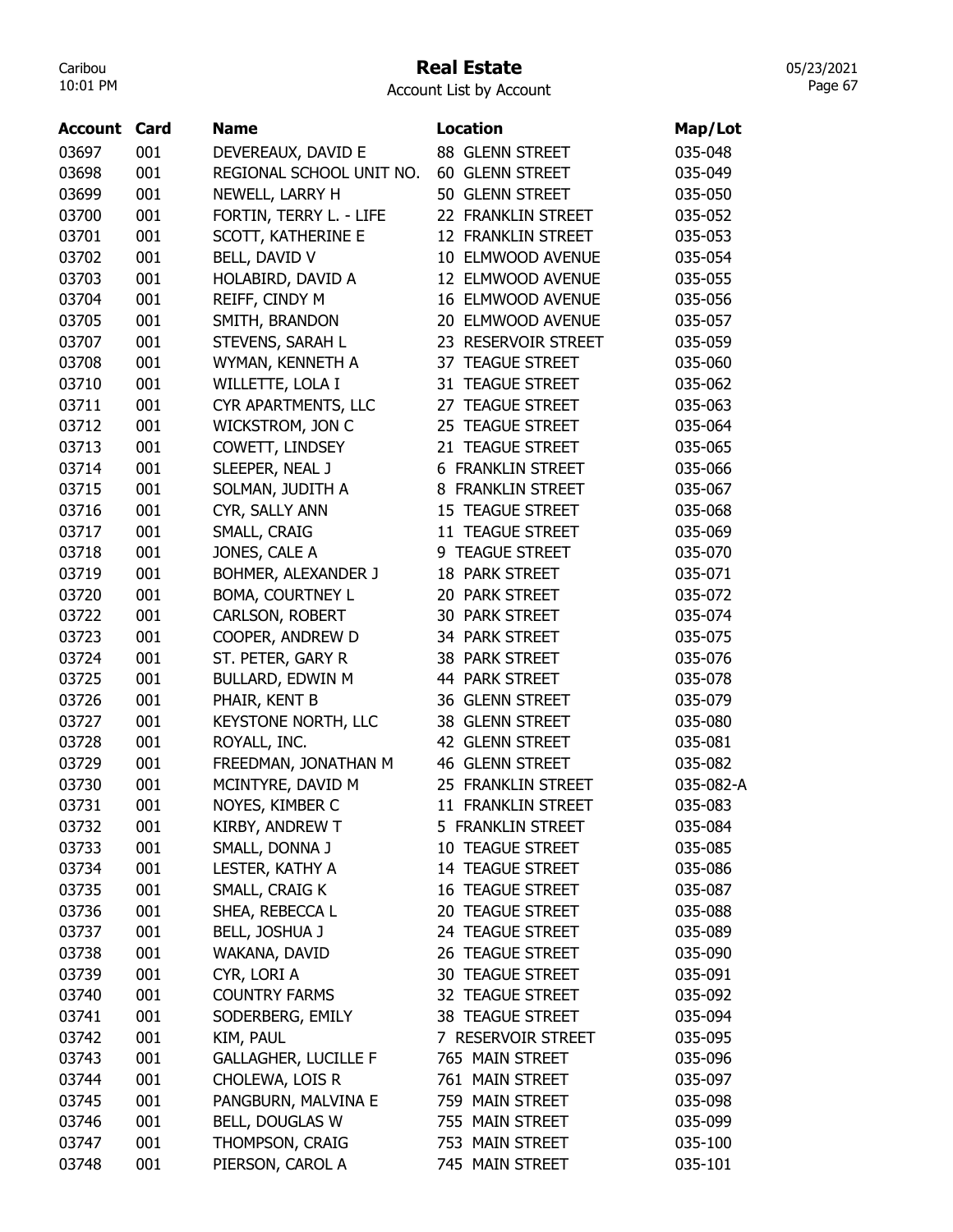## Real Estate

05/23/2021 Page 67

| Account | Card | <b>Name</b>                 | <b>Location</b>          | Map/Lot   |
|---------|------|-----------------------------|--------------------------|-----------|
| 03697   | 001  | DEVEREAUX, DAVID E          | 88 GLENN STREET          | 035-048   |
| 03698   | 001  | REGIONAL SCHOOL UNIT NO.    | 60 GLENN STREET          | 035-049   |
| 03699   | 001  |                             | 50 GLENN STREET          | 035-050   |
|         | 001  | NEWELL, LARRY H             | 22 FRANKLIN STREET       |           |
| 03700   |      | FORTIN, TERRY L. - LIFE     |                          | 035-052   |
| 03701   | 001  | SCOTT, KATHERINE E          | 12 FRANKLIN STREET       | 035-053   |
| 03702   | 001  | BELL, DAVID V               | 10 ELMWOOD AVENUE        | 035-054   |
| 03703   | 001  | HOLABIRD, DAVID A           | 12 ELMWOOD AVENUE        | 035-055   |
| 03704   | 001  | REIFF, CINDY M              | 16 ELMWOOD AVENUE        | 035-056   |
| 03705   | 001  | SMITH, BRANDON              | 20 ELMWOOD AVENUE        | 035-057   |
| 03707   | 001  | STEVENS, SARAH L            | 23 RESERVOIR STREET      | 035-059   |
| 03708   | 001  | WYMAN, KENNETH A            | 37 TEAGUE STREET         | 035-060   |
| 03710   | 001  | WILLETTE, LOLA I            | 31 TEAGUE STREET         | 035-062   |
| 03711   | 001  | CYR APARTMENTS, LLC         | 27 TEAGUE STREET         | 035-063   |
| 03712   | 001  | WICKSTROM, JON C            | 25 TEAGUE STREET         | 035-064   |
| 03713   | 001  | COWETT, LINDSEY             | 21 TEAGUE STREET         | 035-065   |
| 03714   | 001  | SLEEPER, NEAL J             | <b>6 FRANKLIN STREET</b> | 035-066   |
| 03715   | 001  | SOLMAN, JUDITH A            | 8 FRANKLIN STREET        | 035-067   |
| 03716   | 001  | CYR, SALLY ANN              | <b>15 TEAGUE STREET</b>  | 035-068   |
| 03717   | 001  | SMALL, CRAIG                | 11 TEAGUE STREET         | 035-069   |
| 03718   | 001  | JONES, CALE A               | 9 TEAGUE STREET          | 035-070   |
| 03719   | 001  | BOHMER, ALEXANDER J         | 18 PARK STREET           | 035-071   |
| 03720   | 001  | BOMA, COURTNEY L            | 20 PARK STREET           | 035-072   |
| 03722   | 001  | CARLSON, ROBERT             | 30 PARK STREET           | 035-074   |
| 03723   | 001  | COOPER, ANDREW D            | 34 PARK STREET           | 035-075   |
| 03724   | 001  | ST. PETER, GARY R           | 38 PARK STREET           | 035-076   |
| 03725   | 001  | BULLARD, EDWIN M            | 44 PARK STREET           | 035-078   |
| 03726   | 001  | PHAIR, KENT B               | 36 GLENN STREET          | 035-079   |
| 03727   | 001  | KEYSTONE NORTH, LLC         | 38 GLENN STREET          | 035-080   |
| 03728   | 001  | ROYALL, INC.                | 42 GLENN STREET          | 035-081   |
| 03729   | 001  | FREEDMAN, JONATHAN M        | <b>46 GLENN STREET</b>   | 035-082   |
| 03730   | 001  | MCINTYRE, DAVID M           | 25 FRANKLIN STREET       | 035-082-A |
| 03731   | 001  | NOYES, KIMBER C             | 11 FRANKLIN STREET       | 035-083   |
| 03732   | 001  | KIRBY, ANDREW T             | 5 FRANKLIN STREET        | 035-084   |
| 03733   | 001  | SMALL, DONNA J              | 10 TEAGUE STREET         | 035-085   |
| 03734   | 001  | LESTER, KATHY A             | 14 TEAGUE STREET         | 035-086   |
| 03735   | 001  | SMALL, CRAIG K              | 16 TEAGUE STREET         | 035-087   |
| 03736   | 001  | SHEA, REBECCA L             | 20 TEAGUE STREET         | 035-088   |
|         |      | BELL, JOSHUA J              |                          |           |
| 03737   | 001  |                             | 24 TEAGUE STREET         | 035-089   |
| 03738   | 001  | WAKANA, DAVID               | 26 TEAGUE STREET         | 035-090   |
| 03739   | 001  | CYR, LORI A                 | 30 TEAGUE STREET         | 035-091   |
| 03740   | 001  | <b>COUNTRY FARMS</b>        | 32 TEAGUE STREET         | 035-092   |
| 03741   | 001  | SODERBERG, EMILY            | 38 TEAGUE STREET         | 035-094   |
| 03742   | 001  | KIM, PAUL                   | 7 RESERVOIR STREET       | 035-095   |
| 03743   | 001  | <b>GALLAGHER, LUCILLE F</b> | 765 MAIN STREET          | 035-096   |
| 03744   | 001  | CHOLEWA, LOIS R             | 761 MAIN STREET          | 035-097   |
| 03745   | 001  | PANGBURN, MALVINA E         | 759 MAIN STREET          | 035-098   |
| 03746   | 001  | BELL, DOUGLAS W             | 755 MAIN STREET          | 035-099   |
| 03747   | 001  | THOMPSON, CRAIG             | 753 MAIN STREET          | 035-100   |
| 03748   | 001  | PIERSON, CAROL A            | 745 MAIN STREET          | 035-101   |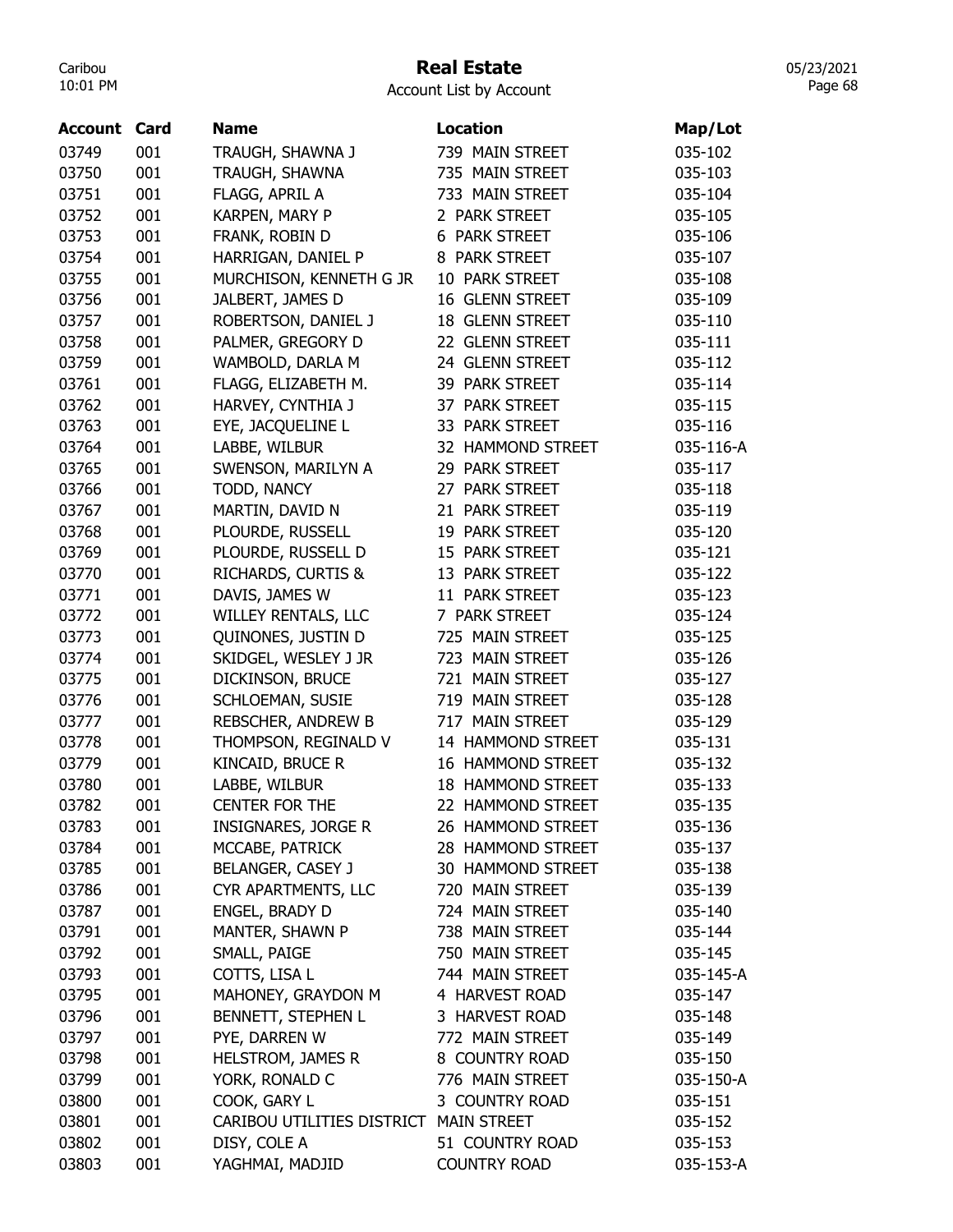## Real Estate

05/23/2021 Page 68

| Account | Card | <b>Name</b>                            | <b>Location</b>          | Map/Lot   |
|---------|------|----------------------------------------|--------------------------|-----------|
| 03749   | 001  | TRAUGH, SHAWNA J                       | 739 MAIN STREET          | 035-102   |
| 03750   | 001  | TRAUGH, SHAWNA                         | 735 MAIN STREET          | 035-103   |
| 03751   | 001  | FLAGG, APRIL A                         | 733 MAIN STREET          | 035-104   |
| 03752   | 001  | KARPEN, MARY P                         | 2 PARK STREET            | 035-105   |
| 03753   | 001  | FRANK, ROBIN D                         | <b>6 PARK STREET</b>     | 035-106   |
| 03754   | 001  | HARRIGAN, DANIEL P                     | 8 PARK STREET            | 035-107   |
| 03755   | 001  | MURCHISON, KENNETH G JR                | 10 PARK STREET           | 035-108   |
| 03756   | 001  | JALBERT, JAMES D                       | 16 GLENN STREET          | 035-109   |
| 03757   | 001  | ROBERTSON, DANIEL J                    | 18 GLENN STREET          | 035-110   |
| 03758   | 001  | PALMER, GREGORY D                      | 22 GLENN STREET          | 035-111   |
| 03759   | 001  | WAMBOLD, DARLA M                       | 24 GLENN STREET          | 035-112   |
| 03761   | 001  | FLAGG, ELIZABETH M.                    | 39 PARK STREET           | 035-114   |
| 03762   | 001  | HARVEY, CYNTHIA J                      | 37 PARK STREET           | 035-115   |
| 03763   | 001  | EYE, JACQUELINE L                      | 33 PARK STREET           | 035-116   |
| 03764   | 001  | LABBE, WILBUR                          | 32 HAMMOND STREET        | 035-116-A |
| 03765   | 001  | SWENSON, MARILYN A                     | 29 PARK STREET           | 035-117   |
| 03766   | 001  | TODD, NANCY                            | <b>PARK STREET</b><br>27 | 035-118   |
| 03767   | 001  | MARTIN, DAVID N                        | <b>PARK STREET</b><br>21 | 035-119   |
| 03768   | 001  | PLOURDE, RUSSELL                       | 19 PARK STREET           | 035-120   |
| 03769   | 001  | PLOURDE, RUSSELL D                     | 15 PARK STREET           | 035-121   |
| 03770   | 001  | RICHARDS, CURTIS &                     | 13 PARK STREET           | 035-122   |
| 03771   | 001  | DAVIS, JAMES W                         | 11 PARK STREET           | 035-123   |
| 03772   | 001  | <b>WILLEY RENTALS, LLC</b>             | 7 PARK STREET            | 035-124   |
| 03773   | 001  | QUINONES, JUSTIN D                     | 725 MAIN STREET          | 035-125   |
| 03774   | 001  | SKIDGEL, WESLEY J JR                   | 723 MAIN STREET          | 035-126   |
| 03775   | 001  | DICKINSON, BRUCE                       | 721 MAIN STREET          | 035-127   |
| 03776   | 001  | SCHLOEMAN, SUSIE                       | 719 MAIN STREET          | 035-128   |
| 03777   | 001  | REBSCHER, ANDREW B                     | 717 MAIN STREET          | 035-129   |
| 03778   | 001  | THOMPSON, REGINALD V                   | 14 HAMMOND STREET        | 035-131   |
| 03779   | 001  | KINCAID, BRUCE R                       | 16 HAMMOND STREET        | 035-132   |
| 03780   | 001  | LABBE, WILBUR                          | 18 HAMMOND STREET        | 035-133   |
| 03782   | 001  | <b>CENTER FOR THE</b>                  | 22 HAMMOND STREET        | 035-135   |
| 03783   | 001  | <b>INSIGNARES, JORGE R</b>             | 26 HAMMOND STREET        | 035-136   |
| 03784   | 001  | MCCABE, PATRICK                        | 28 HAMMOND STREET        | 035-137   |
| 03785   | 001  | BELANGER, CASEY J                      | 30 HAMMOND STREET        | 035-138   |
| 03786   | 001  | CYR APARTMENTS, LLC                    | 720 MAIN STREET          | 035-139   |
| 03787   | 001  | ENGEL, BRADY D                         | 724 MAIN STREET          | 035-140   |
| 03791   | 001  | MANTER, SHAWN P                        | 738 MAIN STREET          | 035-144   |
| 03792   | 001  | SMALL, PAIGE                           | 750 MAIN STREET          | 035-145   |
| 03793   | 001  | COTTS, LISA L                          | 744 MAIN STREET          | 035-145-A |
| 03795   | 001  | MAHONEY, GRAYDON M                     | 4 HARVEST ROAD           | 035-147   |
| 03796   | 001  | BENNETT, STEPHEN L                     | 3 HARVEST ROAD           | 035-148   |
| 03797   | 001  | PYE, DARREN W                          | 772 MAIN STREET          | 035-149   |
| 03798   | 001  | HELSTROM, JAMES R                      | 8 COUNTRY ROAD           | 035-150   |
| 03799   | 001  | YORK, RONALD C                         | 776 MAIN STREET          | 035-150-A |
| 03800   | 001  | COOK, GARY L                           | 3 COUNTRY ROAD           | 035-151   |
| 03801   | 001  | CARIBOU UTILITIES DISTRICT MAIN STREET |                          | 035-152   |
| 03802   | 001  | DISY, COLE A                           | 51 COUNTRY ROAD          | 035-153   |
| 03803   | 001  | YAGHMAI, MADJID                        | <b>COUNTRY ROAD</b>      | 035-153-A |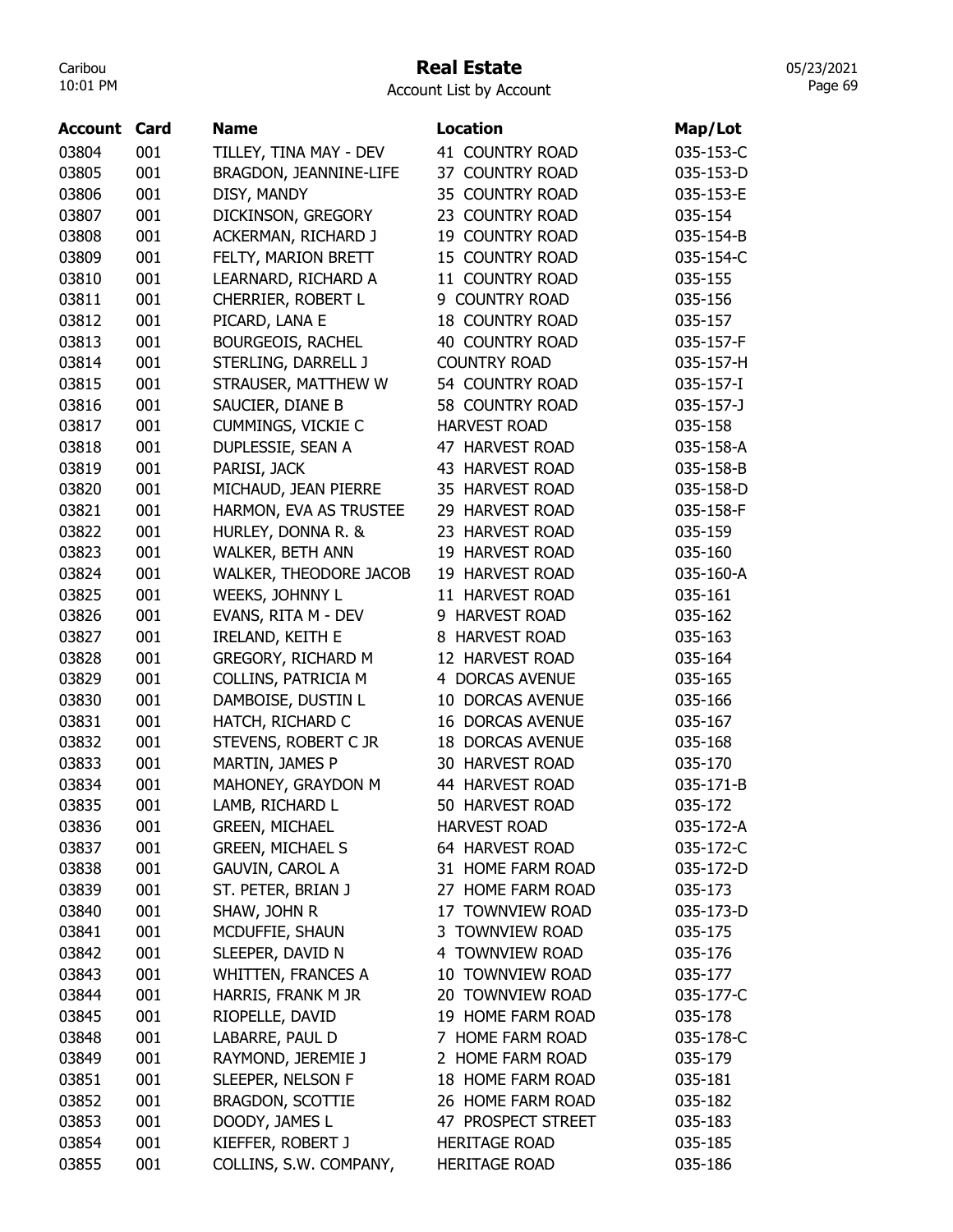#### Real Estate

| Account | Card | <b>Name</b>               | <b>Location</b>         | Map/Lot   |
|---------|------|---------------------------|-------------------------|-----------|
| 03804   | 001  | TILLEY, TINA MAY - DEV    | 41 COUNTRY ROAD         | 035-153-C |
| 03805   | 001  | BRAGDON, JEANNINE-LIFE    | 37 COUNTRY ROAD         | 035-153-D |
| 03806   | 001  | DISY, MANDY               | 35 COUNTRY ROAD         | 035-153-E |
| 03807   | 001  | DICKINSON, GREGORY        | 23 COUNTRY ROAD         | 035-154   |
| 03808   | 001  | ACKERMAN, RICHARD J       | 19 COUNTRY ROAD         | 035-154-B |
| 03809   | 001  | FELTY, MARION BRETT       | 15 COUNTRY ROAD         | 035-154-C |
| 03810   | 001  | LEARNARD, RICHARD A       | 11 COUNTRY ROAD         | 035-155   |
| 03811   | 001  | CHERRIER, ROBERT L        | 9 COUNTRY ROAD          | 035-156   |
| 03812   | 001  | PICARD, LANA E            | <b>18 COUNTRY ROAD</b>  | 035-157   |
| 03813   | 001  | <b>BOURGEOIS, RACHEL</b>  | <b>40 COUNTRY ROAD</b>  | 035-157-F |
| 03814   | 001  | STERLING, DARRELL J       | <b>COUNTRY ROAD</b>     | 035-157-H |
| 03815   | 001  | STRAUSER, MATTHEW W       | 54 COUNTRY ROAD         | 035-157-I |
| 03816   | 001  | SAUCIER, DIANE B          | 58 COUNTRY ROAD         | 035-157-J |
| 03817   | 001  | <b>CUMMINGS, VICKIE C</b> | <b>HARVEST ROAD</b>     | 035-158   |
| 03818   | 001  | DUPLESSIE, SEAN A         | 47 HARVEST ROAD         | 035-158-A |
| 03819   | 001  | PARISI, JACK              | 43 HARVEST ROAD         | 035-158-B |
| 03820   | 001  | MICHAUD, JEAN PIERRE      | 35 HARVEST ROAD         | 035-158-D |
| 03821   | 001  | HARMON, EVA AS TRUSTEE    | 29 HARVEST ROAD         | 035-158-F |
| 03822   | 001  | HURLEY, DONNA R. &        | 23 HARVEST ROAD         | 035-159   |
| 03823   | 001  | <b>WALKER, BETH ANN</b>   | 19 HARVEST ROAD         | 035-160   |
| 03824   | 001  | WALKER, THEODORE JACOB    | 19 HARVEST ROAD         | 035-160-A |
| 03825   | 001  | WEEKS, JOHNNY L           | 11 HARVEST ROAD         | 035-161   |
| 03826   | 001  | EVANS, RITA M - DEV       | 9 HARVEST ROAD          | 035-162   |
| 03827   | 001  | <b>IRELAND, KEITH E</b>   | 8 HARVEST ROAD          | 035-163   |
| 03828   | 001  | GREGORY, RICHARD M        | 12 HARVEST ROAD         | 035-164   |
| 03829   | 001  | COLLINS, PATRICIA M       | 4 DORCAS AVENUE         | 035-165   |
| 03830   | 001  | DAMBOISE, DUSTIN L        | 10 DORCAS AVENUE        | 035-166   |
| 03831   | 001  | HATCH, RICHARD C          | <b>16 DORCAS AVENUE</b> | 035-167   |
| 03832   | 001  | STEVENS, ROBERT C JR      | <b>18 DORCAS AVENUE</b> | 035-168   |
| 03833   | 001  | MARTIN, JAMES P           | 30 HARVEST ROAD         | 035-170   |
| 03834   | 001  | MAHONEY, GRAYDON M        | 44 HARVEST ROAD         | 035-171-B |
| 03835   | 001  | LAMB, RICHARD L           | 50 HARVEST ROAD         | 035-172   |
| 03836   | 001  | <b>GREEN, MICHAEL</b>     | <b>HARVEST ROAD</b>     | 035-172-A |
| 03837   | 001  | <b>GREEN, MICHAEL S</b>   | 64 HARVEST ROAD         | 035-172-C |
| 03838   | 001  | <b>GAUVIN, CAROL A</b>    | 31 HOME FARM ROAD       | 035-172-D |
| 03839   | 001  | ST. PETER, BRIAN J        | 27 HOME FARM ROAD       | 035-173   |
| 03840   | 001  | SHAW, JOHN R              | 17 TOWNVIEW ROAD        | 035-173-D |
| 03841   | 001  | MCDUFFIE, SHAUN           | 3 TOWNVIEW ROAD         | 035-175   |
| 03842   | 001  | SLEEPER, DAVID N          | 4 TOWNVIEW ROAD         | 035-176   |
| 03843   | 001  | <b>WHITTEN, FRANCES A</b> | 10 TOWNVIEW ROAD        | 035-177   |
| 03844   | 001  | HARRIS, FRANK M JR        | 20 TOWNVIEW ROAD        | 035-177-C |
| 03845   | 001  | RIOPELLE, DAVID           | 19 HOME FARM ROAD       | 035-178   |
| 03848   | 001  | LABARRE, PAUL D           | 7 HOME FARM ROAD        | 035-178-C |
| 03849   | 001  | RAYMOND, JEREMIE J        | 2 HOME FARM ROAD        | 035-179   |
| 03851   | 001  | SLEEPER, NELSON F         | 18 HOME FARM ROAD       | 035-181   |
| 03852   | 001  | <b>BRAGDON, SCOTTIE</b>   | 26 HOME FARM ROAD       | 035-182   |
| 03853   | 001  | DOODY, JAMES L            | 47 PROSPECT STREET      | 035-183   |
| 03854   | 001  | KIEFFER, ROBERT J         | <b>HERITAGE ROAD</b>    | 035-185   |
| 03855   | 001  | COLLINS, S.W. COMPANY,    | <b>HERITAGE ROAD</b>    | 035-186   |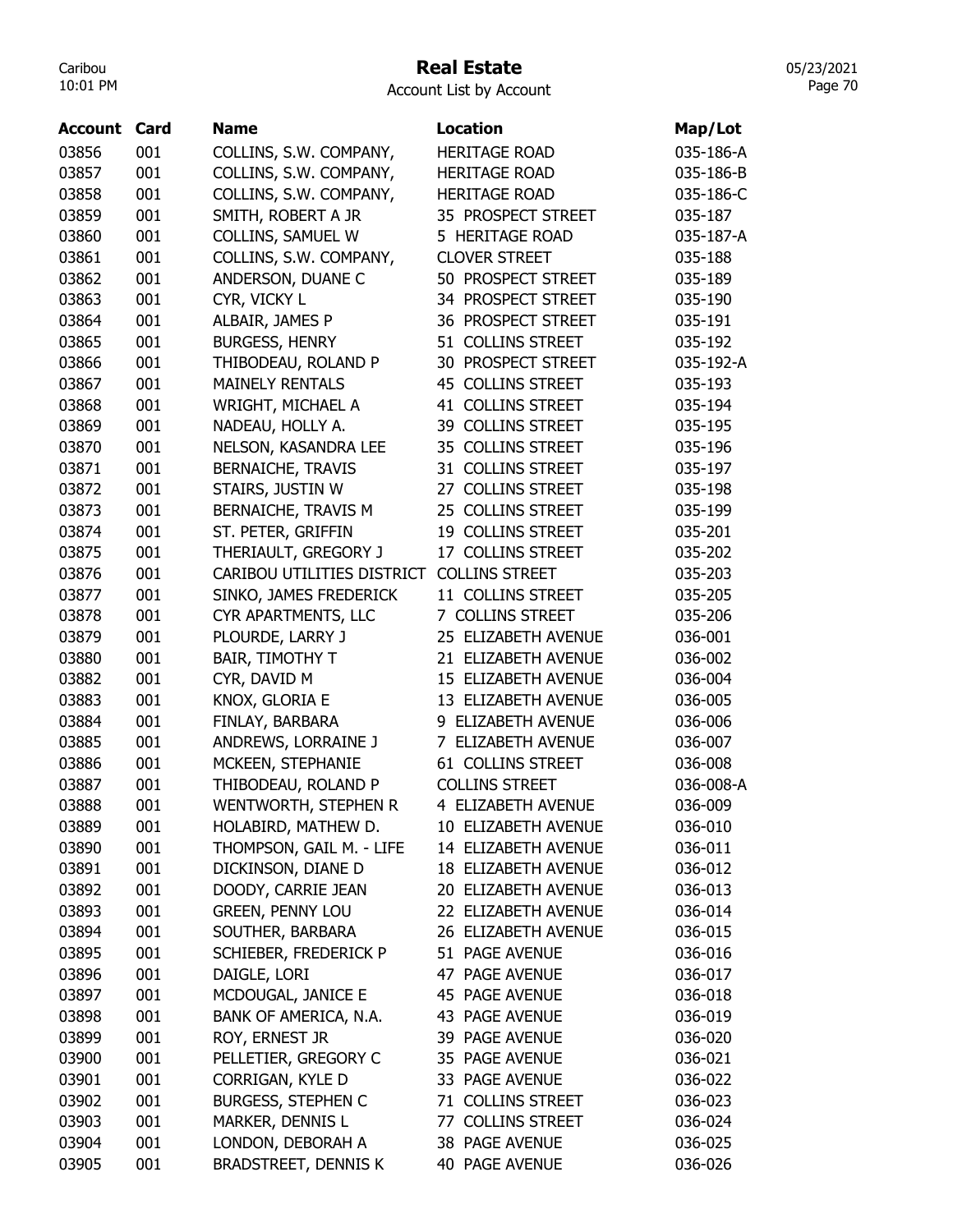### Real Estate

05/23/2021 Page 70

| <b>Account Card</b> |     | Name                        | <b>Location</b>       | Map/Lot   |
|---------------------|-----|-----------------------------|-----------------------|-----------|
| 03856               | 001 | COLLINS, S.W. COMPANY,      | <b>HERITAGE ROAD</b>  | 035-186-A |
| 03857               | 001 | COLLINS, S.W. COMPANY,      | <b>HERITAGE ROAD</b>  | 035-186-B |
| 03858               | 001 | COLLINS, S.W. COMPANY,      | <b>HERITAGE ROAD</b>  | 035-186-C |
| 03859               | 001 | SMITH, ROBERT A JR          | 35 PROSPECT STREET    | 035-187   |
| 03860               | 001 | COLLINS, SAMUEL W           | 5 HERITAGE ROAD       | 035-187-A |
| 03861               | 001 | COLLINS, S.W. COMPANY,      | <b>CLOVER STREET</b>  | 035-188   |
| 03862               | 001 | ANDERSON, DUANE C           | 50 PROSPECT STREET    | 035-189   |
| 03863               | 001 | CYR, VICKY L                | 34 PROSPECT STREET    | 035-190   |
| 03864               | 001 | ALBAIR, JAMES P             | 36 PROSPECT STREET    | 035-191   |
| 03865               | 001 | <b>BURGESS, HENRY</b>       | 51 COLLINS STREET     | 035-192   |
| 03866               | 001 | THIBODEAU, ROLAND P         | 30 PROSPECT STREET    | 035-192-A |
| 03867               | 001 | <b>MAINELY RENTALS</b>      | 45 COLLINS STREET     | 035-193   |
| 03868               | 001 | WRIGHT, MICHAEL A           | 41 COLLINS STREET     | 035-194   |
| 03869               | 001 | NADEAU, HOLLY A.            | 39 COLLINS STREET     | 035-195   |
| 03870               | 001 | NELSON, KASANDRA LEE        | 35 COLLINS STREET     | 035-196   |
| 03871               | 001 | <b>BERNAICHE, TRAVIS</b>    | 31 COLLINS STREET     | 035-197   |
| 03872               | 001 | STAIRS, JUSTIN W            | 27 COLLINS STREET     | 035-198   |
| 03873               | 001 | BERNAICHE, TRAVIS M         | 25 COLLINS STREET     | 035-199   |
| 03874               | 001 | ST. PETER, GRIFFIN          | 19 COLLINS STREET     | 035-201   |
| 03875               | 001 | THERIAULT, GREGORY J        | 17 COLLINS STREET     | 035-202   |
| 03876               | 001 | CARIBOU UTILITIES DISTRICT  | <b>COLLINS STREET</b> | 035-203   |
| 03877               | 001 | SINKO, JAMES FREDERICK      | 11 COLLINS STREET     | 035-205   |
| 03878               | 001 | CYR APARTMENTS, LLC         | 7 COLLINS STREET      | 035-206   |
| 03879               | 001 | PLOURDE, LARRY J            | 25 ELIZABETH AVENUE   | 036-001   |
| 03880               | 001 | BAIR, TIMOTHY T             | 21 ELIZABETH AVENUE   | 036-002   |
| 03882               | 001 | CYR, DAVID M                | 15 ELIZABETH AVENUE   | 036-004   |
| 03883               | 001 | KNOX, GLORIA E              | 13 ELIZABETH AVENUE   | 036-005   |
| 03884               | 001 | FINLAY, BARBARA             | 9 ELIZABETH AVENUE    | 036-006   |
| 03885               | 001 | ANDREWS, LORRAINE J         | 7 ELIZABETH AVENUE    | 036-007   |
| 03886               | 001 | MCKEEN, STEPHANIE           | 61 COLLINS STREET     | 036-008   |
| 03887               | 001 | THIBODEAU, ROLAND P         | <b>COLLINS STREET</b> | 036-008-A |
| 03888               | 001 | WENTWORTH, STEPHEN R        | 4 ELIZABETH AVENUE    | 036-009   |
| 03889               | 001 | HOLABIRD, MATHEW D.         | 10 ELIZABETH AVENUE   | 036-010   |
| 03890               | 001 | THOMPSON, GAIL M. - LIFE    | 14 ELIZABETH AVENUE   | 036-011   |
| 03891               | 001 | DICKINSON, DIANE D          | 18 ELIZABETH AVENUE   | 036-012   |
| 03892               | 001 | DOODY, CARRIE JEAN          | 20 ELIZABETH AVENUE   | 036-013   |
| 03893               | 001 | <b>GREEN, PENNY LOU</b>     | 22 ELIZABETH AVENUE   | 036-014   |
| 03894               | 001 | SOUTHER, BARBARA            | 26 ELIZABETH AVENUE   | 036-015   |
| 03895               | 001 | SCHIEBER, FREDERICK P       | 51 PAGE AVENUE        | 036-016   |
| 03896               | 001 | DAIGLE, LORI                | 47 PAGE AVENUE        | 036-017   |
| 03897               | 001 | MCDOUGAL, JANICE E          | 45 PAGE AVENUE        | 036-018   |
| 03898               | 001 | BANK OF AMERICA, N.A.       | 43 PAGE AVENUE        | 036-019   |
| 03899               | 001 | ROY, ERNEST JR              | 39 PAGE AVENUE        | 036-020   |
| 03900               | 001 | PELLETIER, GREGORY C        | 35 PAGE AVENUE        | 036-021   |
| 03901               | 001 | CORRIGAN, KYLE D            | 33 PAGE AVENUE        | 036-022   |
| 03902               | 001 | <b>BURGESS, STEPHEN C</b>   | 71 COLLINS STREET     | 036-023   |
| 03903               | 001 | MARKER, DENNIS L            | 77 COLLINS STREET     | 036-024   |
| 03904               | 001 | LONDON, DEBORAH A           | 38 PAGE AVENUE        | 036-025   |
| 03905               | 001 | <b>BRADSTREET, DENNIS K</b> | <b>40 PAGE AVENUE</b> | 036-026   |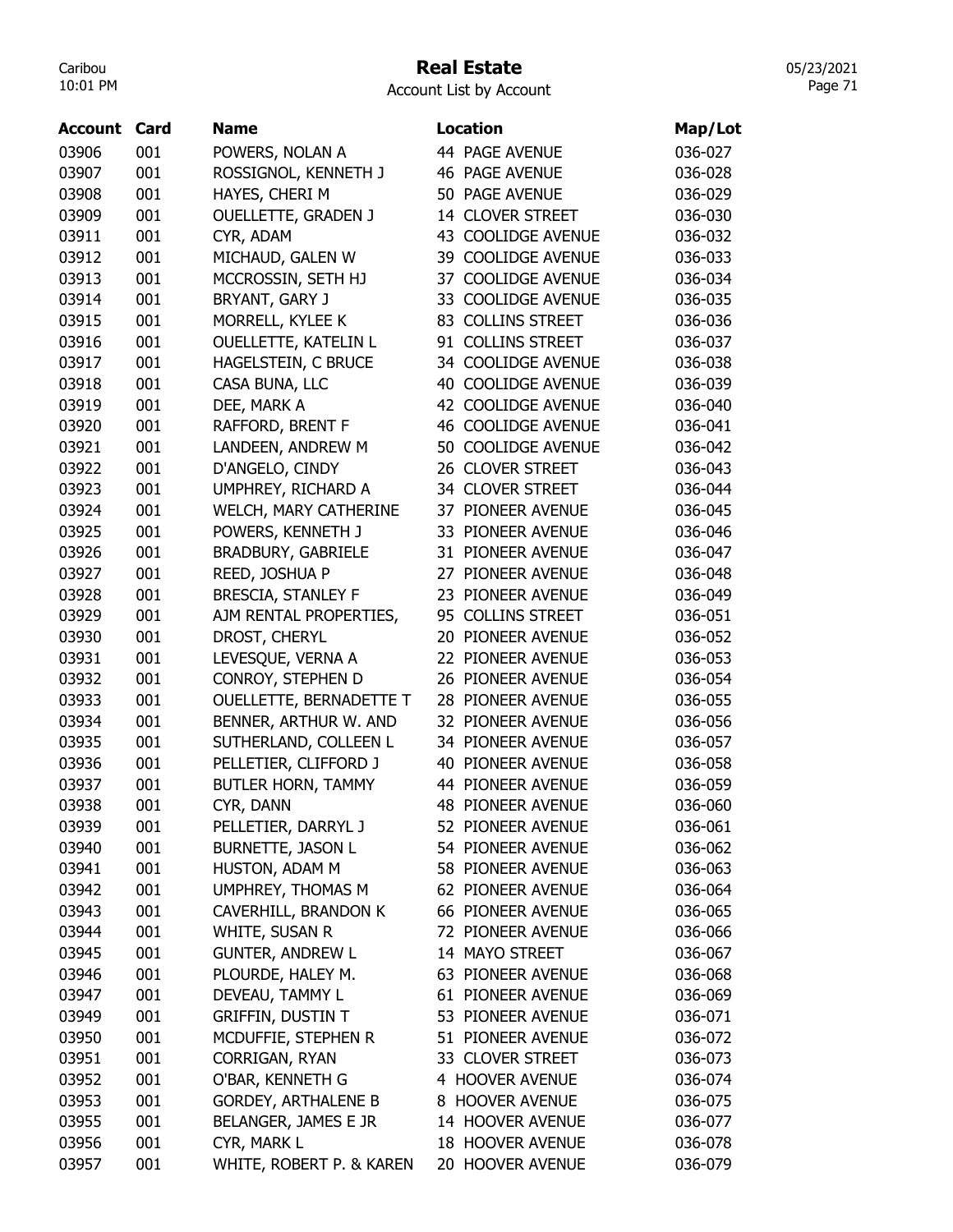## Real Estate

Account List by Account

| Account | Card | <b>Name</b>                |    | <b>Location</b>           | Map/Lot |
|---------|------|----------------------------|----|---------------------------|---------|
| 03906   | 001  | POWERS, NOLAN A            |    | 44 PAGE AVENUE            | 036-027 |
| 03907   | 001  | ROSSIGNOL, KENNETH J       |    | <b>46 PAGE AVENUE</b>     | 036-028 |
| 03908   | 001  | HAYES, CHERI M             |    | 50 PAGE AVENUE            | 036-029 |
| 03909   | 001  | <b>OUELLETTE, GRADEN J</b> |    | 14 CLOVER STREET          | 036-030 |
| 03911   | 001  | CYR, ADAM                  |    | 43 COOLIDGE AVENUE        | 036-032 |
| 03912   | 001  | MICHAUD, GALEN W           |    | 39 COOLIDGE AVENUE        | 036-033 |
| 03913   | 001  | MCCROSSIN, SETH HJ         |    | 37 COOLIDGE AVENUE        | 036-034 |
| 03914   | 001  | BRYANT, GARY J             |    | 33 COOLIDGE AVENUE        | 036-035 |
| 03915   | 001  | MORRELL, KYLEE K           |    | 83 COLLINS STREET         | 036-036 |
| 03916   | 001  | OUELLETTE, KATELIN L       |    | 91 COLLINS STREET         | 036-037 |
| 03917   | 001  | HAGELSTEIN, C BRUCE        |    | 34 COOLIDGE AVENUE        | 036-038 |
| 03918   | 001  | CASA BUNA, LLC             |    | 40 COOLIDGE AVENUE        | 036-039 |
| 03919   | 001  | DEE, MARK A                |    | 42 COOLIDGE AVENUE        | 036-040 |
| 03920   | 001  | RAFFORD, BRENT F           |    | <b>46 COOLIDGE AVENUE</b> | 036-041 |
| 03921   | 001  | LANDEEN, ANDREW M          |    | 50 COOLIDGE AVENUE        | 036-042 |
| 03922   | 001  | D'ANGELO, CINDY            |    | 26 CLOVER STREET          | 036-043 |
| 03923   | 001  | UMPHREY, RICHARD A         |    | 34 CLOVER STREET          | 036-044 |
| 03924   | 001  | WELCH, MARY CATHERINE      | 37 | PIONEER AVENUE            | 036-045 |
| 03925   | 001  | POWERS, KENNETH J          | 33 | PIONEER AVENUE            | 036-046 |
| 03926   | 001  | BRADBURY, GABRIELE         |    | 31 PIONEER AVENUE         | 036-047 |
| 03927   | 001  | REED, JOSHUA P             |    | 27 PIONEER AVENUE         | 036-048 |
| 03928   | 001  | <b>BRESCIA, STANLEY F</b>  |    | 23 PIONEER AVENUE         | 036-049 |
| 03929   | 001  | AJM RENTAL PROPERTIES,     |    | 95 COLLINS STREET         | 036-051 |
| 03930   | 001  | DROST, CHERYL              | 20 | PIONEER AVENUE            | 036-052 |
| 03931   | 001  | LEVESQUE, VERNA A          | 22 | PIONEER AVENUE            | 036-053 |
| 03932   | 001  | CONROY, STEPHEN D          | 26 | PIONEER AVENUE            | 036-054 |
| 03933   | 001  | OUELLETTE, BERNADETTE T    | 28 | PIONEER AVENUE            | 036-055 |
| 03934   | 001  | BENNER, ARTHUR W. AND      |    | 32 PIONEER AVENUE         | 036-056 |
| 03935   | 001  | SUTHERLAND, COLLEEN L      |    | 34 PIONEER AVENUE         | 036-057 |
| 03936   | 001  | PELLETIER, CLIFFORD J      |    | 40 PIONEER AVENUE         | 036-058 |
| 03937   | 001  | BUTLER HORN, TAMMY         |    | 44 PIONEER AVENUE         | 036-059 |
| 03938   | 001  | CYR, DANN                  |    | <b>48 PIONEER AVENUE</b>  | 036-060 |
| 03939   | 001  | PELLETIER, DARRYL J        |    | 52 PIONEER AVENUE         | 036-061 |
| 03940   | 001  | <b>BURNETTE, JASON L</b>   |    | 54 PIONEER AVENUE         | 036-062 |
| 03941   | 001  | HUSTON, ADAM M             |    | 58 PIONEER AVENUE         | 036-063 |
| 03942   | 001  | UMPHREY, THOMAS M          |    | 62 PIONEER AVENUE         | 036-064 |
| 03943   | 001  | CAVERHILL, BRANDON K       |    | 66 PIONEER AVENUE         | 036-065 |
| 03944   | 001  | WHITE, SUSAN R             |    | 72 PIONEER AVENUE         | 036-066 |
| 03945   | 001  | <b>GUNTER, ANDREW L</b>    |    | 14 MAYO STREET            | 036-067 |
| 03946   | 001  | PLOURDE, HALEY M.          |    | 63 PIONEER AVENUE         | 036-068 |
| 03947   | 001  | DEVEAU, TAMMY L            |    | 61 PIONEER AVENUE         | 036-069 |
| 03949   | 001  | <b>GRIFFIN, DUSTIN T</b>   |    | 53 PIONEER AVENUE         | 036-071 |
| 03950   | 001  | MCDUFFIE, STEPHEN R        |    | 51 PIONEER AVENUE         | 036-072 |
| 03951   | 001  | CORRIGAN, RYAN             |    | 33 CLOVER STREET          | 036-073 |
| 03952   | 001  | O'BAR, KENNETH G           |    | 4 HOOVER AVENUE           | 036-074 |
| 03953   | 001  | <b>GORDEY, ARTHALENE B</b> |    | 8 HOOVER AVENUE           | 036-075 |
| 03955   | 001  | BELANGER, JAMES E JR       |    | 14 HOOVER AVENUE          | 036-077 |
| 03956   | 001  | CYR, MARK L                |    | 18 HOOVER AVENUE          | 036-078 |
| 03957   | 001  | WHITE, ROBERT P. & KAREN   |    | 20 HOOVER AVENUE          | 036-079 |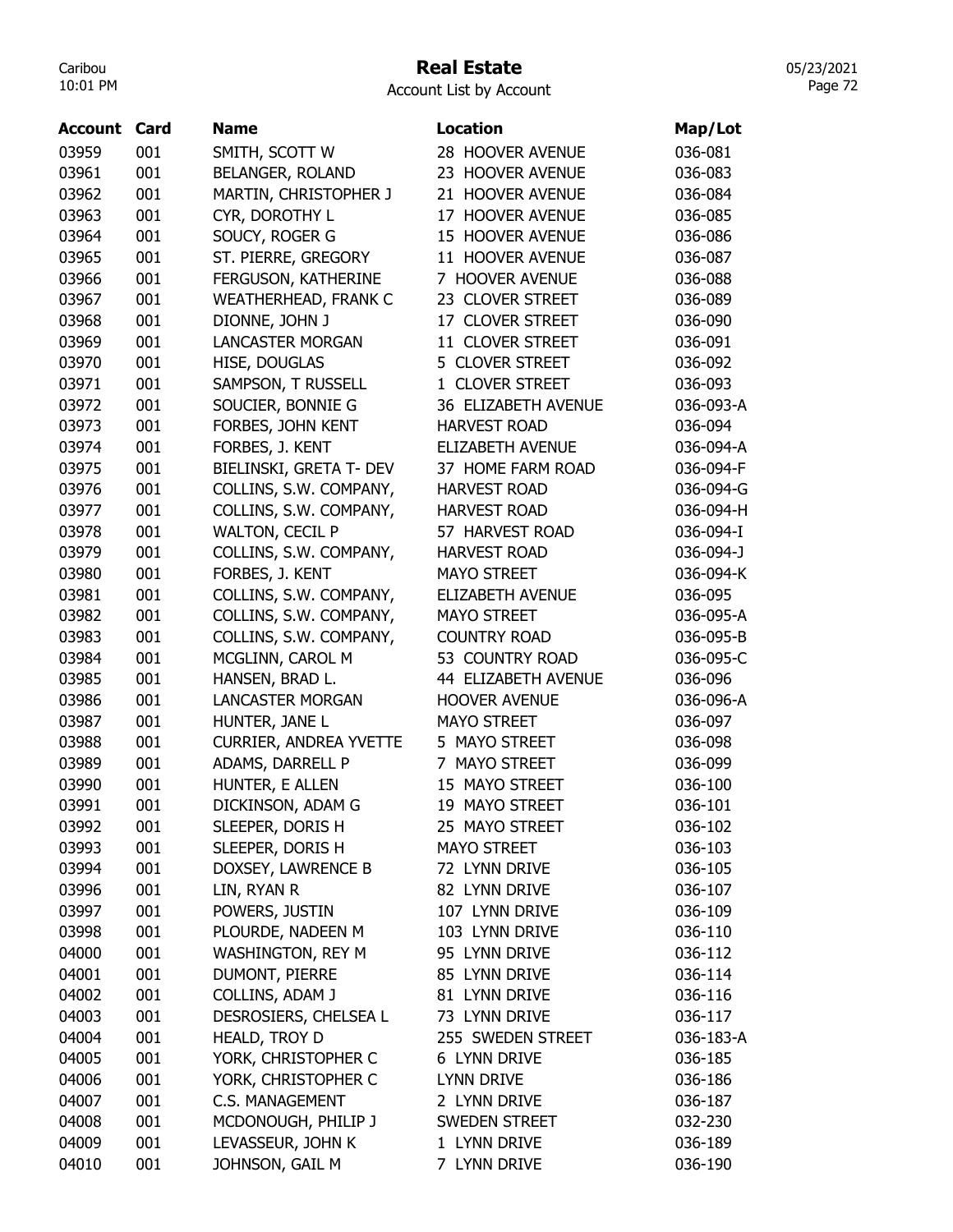## Real Estate

Account List by Account

| <b>Account Card</b> |     | <b>Name</b>                   | <b>Location</b>         | Map/Lot   |
|---------------------|-----|-------------------------------|-------------------------|-----------|
| 03959               | 001 | SMITH, SCOTT W                | 28 HOOVER AVENUE        | 036-081   |
| 03961               | 001 | BELANGER, ROLAND              | 23 HOOVER AVENUE        | 036-083   |
| 03962               | 001 | MARTIN, CHRISTOPHER J         | 21 HOOVER AVENUE        | 036-084   |
| 03963               | 001 | CYR, DOROTHY L                | 17 HOOVER AVENUE        | 036-085   |
| 03964               | 001 | SOUCY, ROGER G                | 15 HOOVER AVENUE        | 036-086   |
| 03965               | 001 | ST. PIERRE, GREGORY           | 11 HOOVER AVENUE        | 036-087   |
| 03966               | 001 | FERGUSON, KATHERINE           | 7 HOOVER AVENUE         | 036-088   |
| 03967               | 001 | <b>WEATHERHEAD, FRANK C</b>   | 23 CLOVER STREET        | 036-089   |
| 03968               | 001 | DIONNE, JOHN J                | 17 CLOVER STREET        | 036-090   |
| 03969               | 001 | <b>LANCASTER MORGAN</b>       | 11 CLOVER STREET        | 036-091   |
| 03970               | 001 | HISE, DOUGLAS                 | 5 CLOVER STREET         | 036-092   |
| 03971               | 001 | SAMPSON, T RUSSELL            | 1 CLOVER STREET         | 036-093   |
| 03972               | 001 | SOUCIER, BONNIE G             | 36 ELIZABETH AVENUE     | 036-093-A |
| 03973               | 001 | FORBES, JOHN KENT             | <b>HARVEST ROAD</b>     | 036-094   |
| 03974               | 001 | FORBES, J. KENT               | <b>ELIZABETH AVENUE</b> | 036-094-A |
| 03975               | 001 | BIELINSKI, GRETA T- DEV       | 37 HOME FARM ROAD       | 036-094-F |
| 03976               | 001 | COLLINS, S.W. COMPANY,        | <b>HARVEST ROAD</b>     | 036-094-G |
| 03977               | 001 | COLLINS, S.W. COMPANY,        | <b>HARVEST ROAD</b>     | 036-094-H |
| 03978               | 001 | <b>WALTON, CECIL P</b>        | 57 HARVEST ROAD         | 036-094-I |
| 03979               | 001 | COLLINS, S.W. COMPANY,        | <b>HARVEST ROAD</b>     | 036-094-J |
| 03980               | 001 | FORBES, J. KENT               | <b>MAYO STREET</b>      | 036-094-K |
| 03981               | 001 | COLLINS, S.W. COMPANY,        | ELIZABETH AVENUE        | 036-095   |
| 03982               | 001 | COLLINS, S.W. COMPANY,        | <b>MAYO STREET</b>      | 036-095-A |
| 03983               | 001 | COLLINS, S.W. COMPANY,        | <b>COUNTRY ROAD</b>     | 036-095-B |
| 03984               | 001 | MCGLINN, CAROL M              | 53 COUNTRY ROAD         | 036-095-C |
| 03985               | 001 | HANSEN, BRAD L.               | 44 ELIZABETH AVENUE     | 036-096   |
| 03986               | 001 | <b>LANCASTER MORGAN</b>       | <b>HOOVER AVENUE</b>    | 036-096-A |
| 03987               | 001 | HUNTER, JANE L                | <b>MAYO STREET</b>      | 036-097   |
| 03988               | 001 | <b>CURRIER, ANDREA YVETTE</b> | 5 MAYO STREET           | 036-098   |
| 03989               | 001 | ADAMS, DARRELL P              | 7 MAYO STREET           | 036-099   |
| 03990               | 001 | HUNTER, E ALLEN               | 15 MAYO STREET          | 036-100   |
| 03991               | 001 | DICKINSON, ADAM G             | 19 MAYO STREET          | 036-101   |
| 03992               | 001 | SLEEPER, DORIS H              | 25 MAYO STREET          | 036-102   |
| 03993               | 001 | SLEEPER, DORIS H              | <b>MAYO STREET</b>      | 036-103   |
| 03994               | 001 | DOXSEY, LAWRENCE B            | 72 LYNN DRIVE           | 036-105   |
| 03996               | 001 | LIN, RYAN R                   | 82 LYNN DRIVE           | 036-107   |
| 03997               | 001 | POWERS, JUSTIN                | 107 LYNN DRIVE          | 036-109   |
| 03998               | 001 | PLOURDE, NADEEN M             | 103 LYNN DRIVE          | 036-110   |
| 04000               | 001 | WASHINGTON, REY M             | 95 LYNN DRIVE           | 036-112   |
| 04001               | 001 | DUMONT, PIERRE                | 85 LYNN DRIVE           | 036-114   |
| 04002               | 001 | COLLINS, ADAM J               | 81 LYNN DRIVE           | 036-116   |
| 04003               | 001 | DESROSIERS, CHELSEA L         | 73 LYNN DRIVE           | 036-117   |
| 04004               | 001 | HEALD, TROY D                 | 255 SWEDEN STREET       | 036-183-A |
| 04005               | 001 | YORK, CHRISTOPHER C           | 6 LYNN DRIVE            | 036-185   |
| 04006               | 001 | YORK, CHRISTOPHER C           | <b>LYNN DRIVE</b>       | 036-186   |
| 04007               | 001 | <b>C.S. MANAGEMENT</b>        | 2 LYNN DRIVE            | 036-187   |
| 04008               | 001 | MCDONOUGH, PHILIP J           | SWEDEN STREET           | 032-230   |
| 04009               | 001 | LEVASSEUR, JOHN K             | 1 LYNN DRIVE            | 036-189   |
| 04010               | 001 | JOHNSON, GAIL M               | 7 LYNN DRIVE            | 036-190   |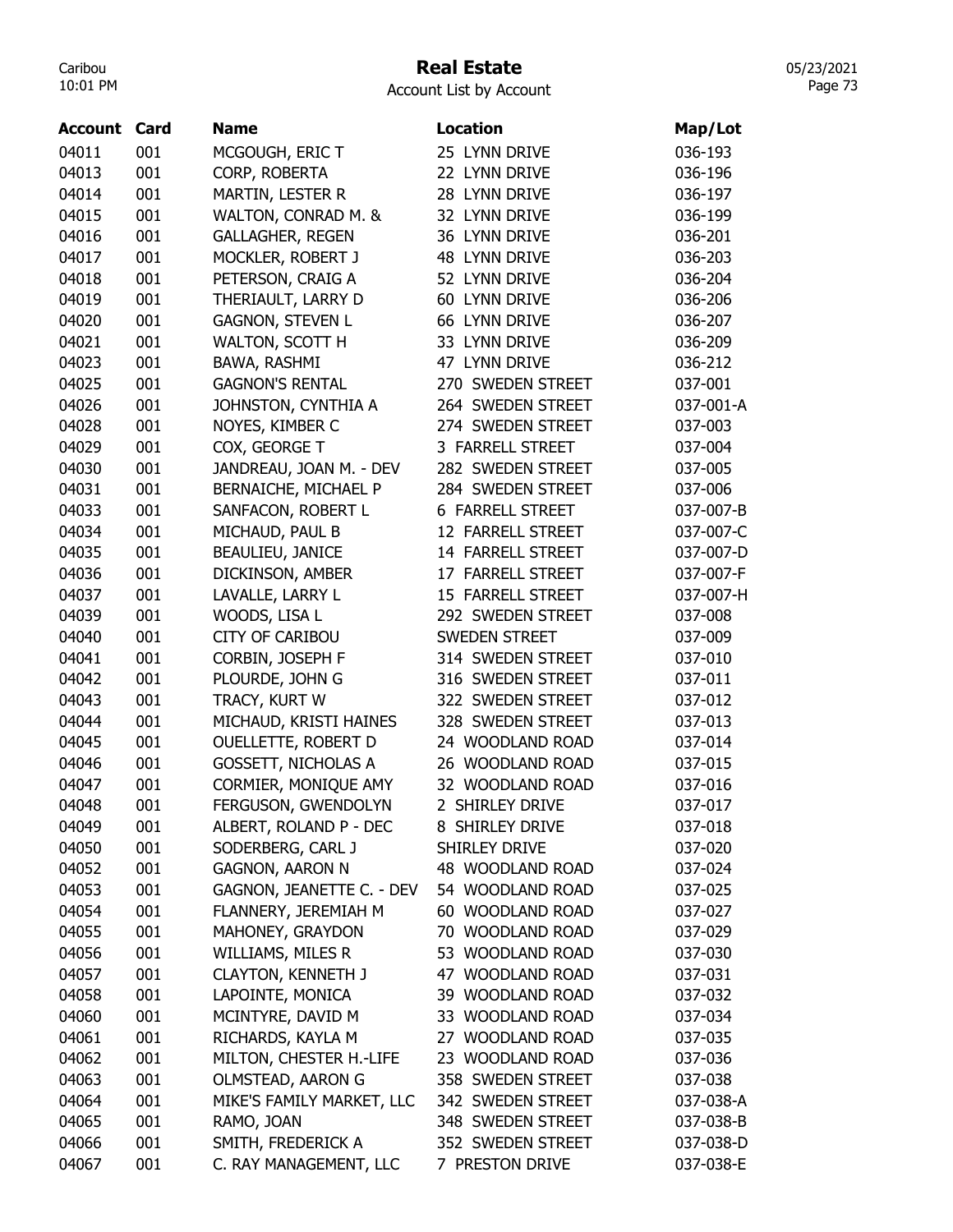## Real Estate

Account List by Account

| <b>Account Card</b> |     | <b>Name</b>                | <b>Location</b>         | Map/Lot   |
|---------------------|-----|----------------------------|-------------------------|-----------|
| 04011               | 001 | MCGOUGH, ERIC T            | 25 LYNN DRIVE           | 036-193   |
| 04013               | 001 | CORP, ROBERTA              | 22 LYNN DRIVE           | 036-196   |
| 04014               | 001 | MARTIN, LESTER R           | 28 LYNN DRIVE           | 036-197   |
| 04015               | 001 | WALTON, CONRAD M. &        | 32 LYNN DRIVE           | 036-199   |
| 04016               | 001 | <b>GALLAGHER, REGEN</b>    | 36 LYNN DRIVE           | 036-201   |
| 04017               | 001 | MOCKLER, ROBERT J          | 48 LYNN DRIVE           | 036-203   |
| 04018               | 001 | PETERSON, CRAIG A          | 52 LYNN DRIVE           | 036-204   |
| 04019               | 001 | THERIAULT, LARRY D         | 60 LYNN DRIVE           | 036-206   |
| 04020               | 001 | <b>GAGNON, STEVEN L</b>    | 66 LYNN DRIVE           | 036-207   |
| 04021               | 001 | WALTON, SCOTT H            | 33 LYNN DRIVE           | 036-209   |
| 04023               | 001 | BAWA, RASHMI               | 47 LYNN DRIVE           | 036-212   |
| 04025               | 001 | <b>GAGNON'S RENTAL</b>     | 270 SWEDEN STREET       | 037-001   |
| 04026               | 001 | JOHNSTON, CYNTHIA A        | 264 SWEDEN STREET       | 037-001-A |
| 04028               | 001 | NOYES, KIMBER C            | 274 SWEDEN STREET       | 037-003   |
| 04029               | 001 | COX, GEORGE T              | 3 FARRELL STREET        | 037-004   |
| 04030               | 001 | JANDREAU, JOAN M. - DEV    | 282 SWEDEN STREET       | 037-005   |
| 04031               | 001 | BERNAICHE, MICHAEL P       | 284 SWEDEN STREET       | 037-006   |
| 04033               | 001 | SANFACON, ROBERT L         | <b>6 FARRELL STREET</b> | 037-007-B |
| 04034               | 001 | MICHAUD, PAUL B            | 12 FARRELL STREET       | 037-007-C |
| 04035               | 001 | BEAULIEU, JANICE           | 14 FARRELL STREET       | 037-007-D |
| 04036               | 001 | DICKINSON, AMBER           | 17 FARRELL STREET       | 037-007-F |
| 04037               | 001 | LAVALLE, LARRY L           | 15 FARRELL STREET       | 037-007-H |
| 04039               | 001 | WOODS, LISA L              | 292 SWEDEN STREET       | 037-008   |
| 04040               | 001 | <b>CITY OF CARIBOU</b>     | <b>SWEDEN STREET</b>    | 037-009   |
| 04041               | 001 | CORBIN, JOSEPH F           | 314 SWEDEN STREET       | 037-010   |
| 04042               | 001 | PLOURDE, JOHN G            | 316 SWEDEN STREET       | 037-011   |
| 04043               | 001 | TRACY, KURT W              | 322 SWEDEN STREET       | 037-012   |
| 04044               | 001 | MICHAUD, KRISTI HAINES     | 328 SWEDEN STREET       | 037-013   |
| 04045               | 001 | <b>OUELLETTE, ROBERT D</b> | 24 WOODLAND ROAD        | 037-014   |
| 04046               | 001 | GOSSETT, NICHOLAS A        | 26 WOODLAND ROAD        | 037-015   |
| 04047               | 001 | CORMIER, MONIQUE AMY       | 32 WOODLAND ROAD        | 037-016   |
| 04048               | 001 | FERGUSON, GWENDOLYN        | 2 SHIRLEY DRIVE         | 037-017   |
| 04049               | 001 | ALBERT, ROLAND P - DEC     | 8 SHIRLEY DRIVE         | 037-018   |
| 04050               | 001 | SODERBERG, CARL J          | SHIRLEY DRIVE           | 037-020   |
| 04052               | 001 | <b>GAGNON, AARON N</b>     | 48 WOODLAND ROAD        | 037-024   |
| 04053               | 001 | GAGNON, JEANETTE C. - DEV  | 54 WOODLAND ROAD        | 037-025   |
| 04054               | 001 | FLANNERY, JEREMIAH M       | 60 WOODLAND ROAD        | 037-027   |
| 04055               | 001 | MAHONEY, GRAYDON           | 70 WOODLAND ROAD        | 037-029   |
| 04056               | 001 | WILLIAMS, MILES R          | 53 WOODLAND ROAD        | 037-030   |
| 04057               | 001 | <b>CLAYTON, KENNETH J</b>  | 47 WOODLAND ROAD        | 037-031   |
| 04058               | 001 | LAPOINTE, MONICA           | 39 WOODLAND ROAD        | 037-032   |
| 04060               | 001 | MCINTYRE, DAVID M          | 33 WOODLAND ROAD        | 037-034   |
| 04061               | 001 | RICHARDS, KAYLA M          | 27 WOODLAND ROAD        | 037-035   |
| 04062               | 001 | MILTON, CHESTER H.-LIFE    | 23 WOODLAND ROAD        | 037-036   |
| 04063               | 001 | OLMSTEAD, AARON G          | 358 SWEDEN STREET       | 037-038   |
| 04064               | 001 | MIKE'S FAMILY MARKET, LLC  | 342 SWEDEN STREET       | 037-038-A |
| 04065               | 001 | RAMO, JOAN                 | 348 SWEDEN STREET       | 037-038-B |
| 04066               | 001 | SMITH, FREDERICK A         | 352 SWEDEN STREET       | 037-038-D |
| 04067               | 001 | C. RAY MANAGEMENT, LLC     | 7 PRESTON DRIVE         | 037-038-E |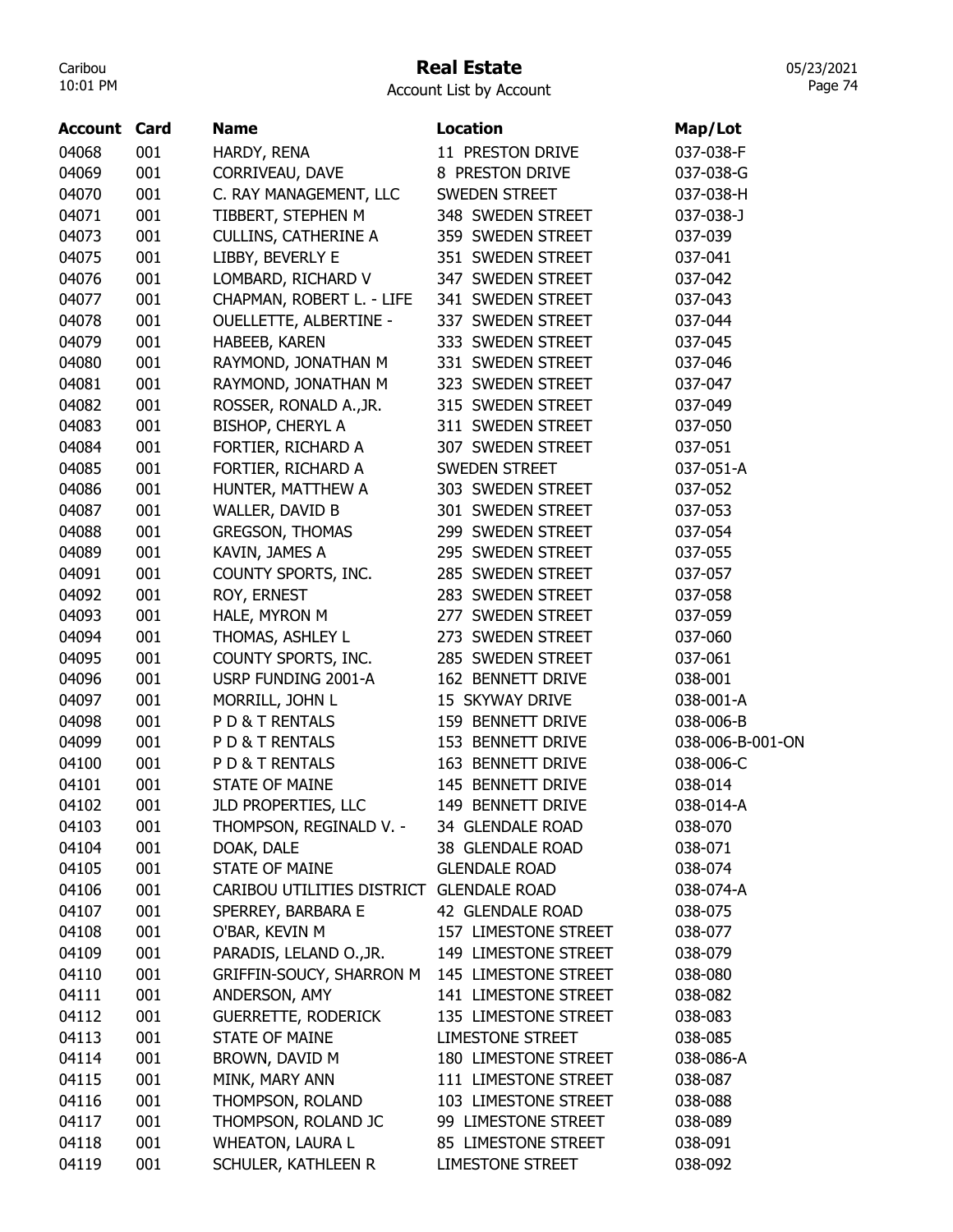### Real Estate

Account List by Account

| <b>Account Card</b> |     | <b>Name</b>                   | <b>Location</b>      | Map/Lot          |
|---------------------|-----|-------------------------------|----------------------|------------------|
| 04068               | 001 | HARDY, RENA                   | 11 PRESTON DRIVE     | 037-038-F        |
| 04069               | 001 | CORRIVEAU, DAVE               | 8 PRESTON DRIVE      | 037-038-G        |
| 04070               | 001 | C. RAY MANAGEMENT, LLC        | SWEDEN STREET        | 037-038-H        |
| 04071               | 001 | TIBBERT, STEPHEN M            | 348 SWEDEN STREET    | 037-038-J        |
| 04073               | 001 | <b>CULLINS, CATHERINE A</b>   | 359 SWEDEN STREET    | 037-039          |
| 04075               | 001 | LIBBY, BEVERLY E              | 351 SWEDEN STREET    | 037-041          |
| 04076               | 001 | LOMBARD, RICHARD V            | 347 SWEDEN STREET    | 037-042          |
| 04077               | 001 | CHAPMAN, ROBERT L. - LIFE     | 341 SWEDEN STREET    | 037-043          |
| 04078               | 001 | <b>OUELLETTE, ALBERTINE -</b> | 337 SWEDEN STREET    | 037-044          |
| 04079               | 001 | HABEEB, KAREN                 | 333 SWEDEN STREET    | 037-045          |
| 04080               | 001 | RAYMOND, JONATHAN M           | 331 SWEDEN STREET    | 037-046          |
| 04081               | 001 | RAYMOND, JONATHAN M           | 323 SWEDEN STREET    | 037-047          |
| 04082               | 001 | ROSSER, RONALD A., JR.        | 315 SWEDEN STREET    | 037-049          |
| 04083               | 001 | BISHOP, CHERYL A              | 311 SWEDEN STREET    | 037-050          |
| 04084               | 001 | FORTIER, RICHARD A            | 307 SWEDEN STREET    | 037-051          |
| 04085               | 001 | FORTIER, RICHARD A            | <b>SWEDEN STREET</b> | 037-051-A        |
| 04086               | 001 | HUNTER, MATTHEW A             | 303 SWEDEN STREET    | 037-052          |
| 04087               | 001 | WALLER, DAVID B               | 301 SWEDEN STREET    | 037-053          |
| 04088               | 001 | <b>GREGSON, THOMAS</b>        | 299 SWEDEN STREET    | 037-054          |
| 04089               | 001 | KAVIN, JAMES A                | 295 SWEDEN STREET    | 037-055          |
| 04091               | 001 | COUNTY SPORTS, INC.           | 285 SWEDEN STREET    | 037-057          |
| 04092               | 001 | ROY, ERNEST                   | 283 SWEDEN STREET    | 037-058          |
| 04093               | 001 | HALE, MYRON M                 | 277 SWEDEN STREET    | 037-059          |
| 04094               | 001 | THOMAS, ASHLEY L              | 273 SWEDEN STREET    | 037-060          |
| 04095               | 001 | COUNTY SPORTS, INC.           | 285 SWEDEN STREET    | 037-061          |
| 04096               | 001 | USRP FUNDING 2001-A           | 162 BENNETT DRIVE    | 038-001          |
| 04097               | 001 | MORRILL, JOHN L               | 15 SKYWAY DRIVE      | 038-001-A        |
| 04098               | 001 | PD& T RENTALS                 | 159 BENNETT DRIVE    | 038-006-B        |
| 04099               | 001 | PD& T RENTALS                 | 153 BENNETT DRIVE    | 038-006-B-001-ON |
| 04100               | 001 | PD& T RENTALS                 | 163 BENNETT DRIVE    | 038-006-C        |
| 04101               | 001 | <b>STATE OF MAINE</b>         | 145 BENNETT DRIVE    | 038-014          |
| 04102               | 001 | JLD PROPERTIES, LLC           | 149 BENNETT DRIVE    | 038-014-A        |
| 04103               | 001 | THOMPSON, REGINALD V. -       | 34 GLENDALE ROAD     | 038-070          |
| 04104               | 001 | DOAK, DALE                    | 38 GLENDALE ROAD     | 038-071          |
| 04105               | 001 | <b>STATE OF MAINE</b>         | <b>GLENDALE ROAD</b> | 038-074          |
| 04106               | 001 | CARIBOU UTILITIES DISTRICT    | <b>GLENDALE ROAD</b> | 038-074-A        |
| 04107               | 001 | SPERREY, BARBARA E            | 42 GLENDALE ROAD     | 038-075          |
| 04108               | 001 | O'BAR, KEVIN M                | 157 LIMESTONE STREET | 038-077          |
| 04109               | 001 | PARADIS, LELAND O., JR.       | 149 LIMESTONE STREET | 038-079          |
| 04110               | 001 | GRIFFIN-SOUCY, SHARRON M      | 145 LIMESTONE STREET | 038-080          |
| 04111               | 001 | ANDERSON, AMY                 | 141 LIMESTONE STREET | 038-082          |
| 04112               | 001 | <b>GUERRETTE, RODERICK</b>    | 135 LIMESTONE STREET | 038-083          |
| 04113               | 001 | <b>STATE OF MAINE</b>         | LIMESTONE STREET     | 038-085          |
| 04114               | 001 | BROWN, DAVID M                | 180 LIMESTONE STREET | 038-086-A        |
| 04115               | 001 | MINK, MARY ANN                | 111 LIMESTONE STREET | 038-087          |
| 04116               | 001 | THOMPSON, ROLAND              | 103 LIMESTONE STREET | 038-088          |
| 04117               | 001 | THOMPSON, ROLAND JC           | 99 LIMESTONE STREET  | 038-089          |
| 04118               | 001 | <b>WHEATON, LAURA L</b>       | 85 LIMESTONE STREET  | 038-091          |
| 04119               | 001 | SCHULER, KATHLEEN R           | LIMESTONE STREET     | 038-092          |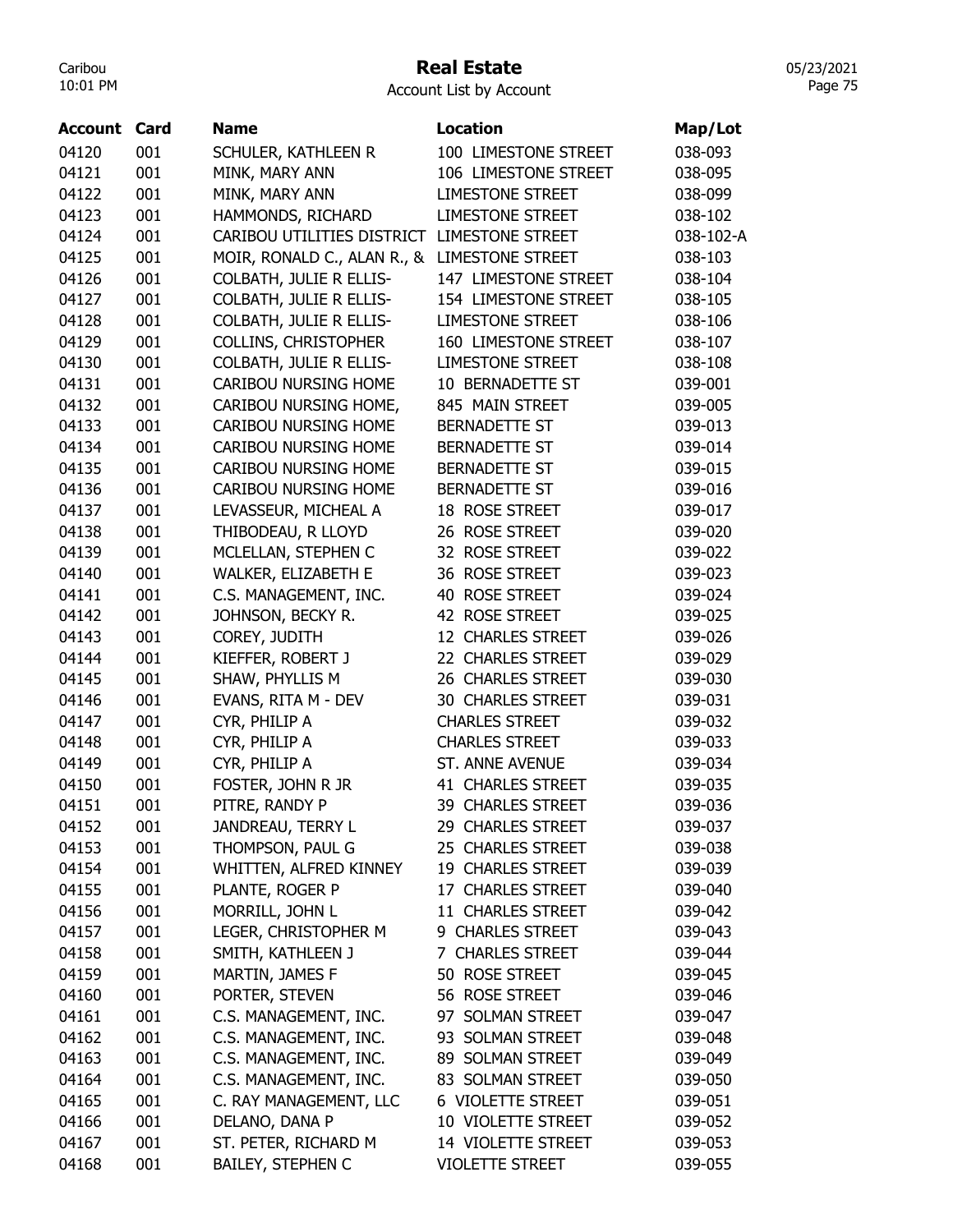#### Real Estate

05/23/2021 Page 75

| Account | Card | <b>Name</b>                                  | <b>Location</b>          | Map/Lot   |
|---------|------|----------------------------------------------|--------------------------|-----------|
| 04120   | 001  | SCHULER, KATHLEEN R                          | 100 LIMESTONE STREET     | 038-093   |
| 04121   | 001  | MINK, MARY ANN                               | 106 LIMESTONE STREET     | 038-095   |
| 04122   | 001  | MINK, MARY ANN                               | <b>LIMESTONE STREET</b>  | 038-099   |
| 04123   | 001  | HAMMONDS, RICHARD                            | <b>LIMESTONE STREET</b>  | 038-102   |
| 04124   | 001  | CARIBOU UTILITIES DISTRICT LIMESTONE STREET  |                          | 038-102-A |
| 04125   | 001  | MOIR, RONALD C., ALAN R., & LIMESTONE STREET |                          | 038-103   |
| 04126   | 001  | COLBATH, JULIE R ELLIS-                      | 147 LIMESTONE STREET     | 038-104   |
| 04127   | 001  | COLBATH, JULIE R ELLIS-                      | 154 LIMESTONE STREET     | 038-105   |
| 04128   | 001  | COLBATH, JULIE R ELLIS-                      | <b>LIMESTONE STREET</b>  | 038-106   |
| 04129   | 001  | <b>COLLINS, CHRISTOPHER</b>                  | 160 LIMESTONE STREET     | 038-107   |
| 04130   | 001  | COLBATH, JULIE R ELLIS-                      | <b>LIMESTONE STREET</b>  | 038-108   |
| 04131   | 001  | CARIBOU NURSING HOME                         | 10 BERNADETTE ST         | 039-001   |
| 04132   | 001  | CARIBOU NURSING HOME,                        | 845 MAIN STREET          | 039-005   |
| 04133   | 001  | CARIBOU NURSING HOME                         | <b>BERNADETTE ST</b>     | 039-013   |
| 04134   | 001  | <b>CARIBOU NURSING HOME</b>                  | <b>BERNADETTE ST</b>     | 039-014   |
| 04135   | 001  | CARIBOU NURSING HOME                         | <b>BERNADETTE ST</b>     | 039-015   |
| 04136   | 001  | CARIBOU NURSING HOME                         | <b>BERNADETTE ST</b>     | 039-016   |
| 04137   | 001  | LEVASSEUR, MICHEAL A                         | 18 ROSE STREET           | 039-017   |
| 04138   | 001  | THIBODEAU, R LLOYD                           | 26 ROSE STREET           | 039-020   |
| 04139   | 001  | MCLELLAN, STEPHEN C                          | 32 ROSE STREET           | 039-022   |
| 04140   | 001  | WALKER, ELIZABETH E                          | 36 ROSE STREET           | 039-023   |
| 04141   | 001  | C.S. MANAGEMENT, INC.                        | 40 ROSE STREET           | 039-024   |
| 04142   | 001  | JOHNSON, BECKY R.                            | 42 ROSE STREET           | 039-025   |
| 04143   | 001  | COREY, JUDITH                                | 12 CHARLES STREET        | 039-026   |
| 04144   | 001  | KIEFFER, ROBERT J                            | 22 CHARLES STREET        | 039-029   |
| 04145   | 001  | SHAW, PHYLLIS M                              | 26 CHARLES STREET        | 039-030   |
| 04146   | 001  | EVANS, RITA M - DEV                          | <b>30 CHARLES STREET</b> | 039-031   |
| 04147   | 001  | CYR, PHILIP A                                | <b>CHARLES STREET</b>    | 039-032   |
| 04148   | 001  | CYR, PHILIP A                                | <b>CHARLES STREET</b>    | 039-033   |
| 04149   | 001  | CYR, PHILIP A                                | <b>ST. ANNE AVENUE</b>   | 039-034   |
|         |      |                                              | <b>41 CHARLES STREET</b> |           |
| 04150   | 001  | FOSTER, JOHN R JR                            |                          | 039-035   |
| 04151   | 001  | PITRE, RANDY P                               | 39 CHARLES STREET        | 039-036   |
| 04152   | 001  | JANDREAU, TERRY L                            | 29 CHARLES STREET        | 039-037   |
| 04153   | 001  | THOMPSON, PAUL G                             | 25 CHARLES STREET        | 039-038   |
| 04154   | 001  | WHITTEN, ALFRED KINNEY                       | 19 CHARLES STREET        | 039-039   |
| 04155   | 001  | PLANTE, ROGER P                              | 17 CHARLES STREET        | 039-040   |
| 04156   | 001  | MORRILL, JOHN L                              | 11 CHARLES STREET        | 039-042   |
| 04157   | 001  | LEGER, CHRISTOPHER M                         | 9 CHARLES STREET         | 039-043   |
| 04158   | 001  | SMITH, KATHLEEN J                            | 7 CHARLES STREET         | 039-044   |
| 04159   | 001  | MARTIN, JAMES F                              | 50 ROSE STREET           | 039-045   |
| 04160   | 001  | PORTER, STEVEN                               | 56 ROSE STREET           | 039-046   |
| 04161   | 001  | C.S. MANAGEMENT, INC.                        | 97 SOLMAN STREET         | 039-047   |
| 04162   | 001  | C.S. MANAGEMENT, INC.                        | 93 SOLMAN STREET         | 039-048   |
| 04163   | 001  | C.S. MANAGEMENT, INC.                        | 89 SOLMAN STREET         | 039-049   |
| 04164   | 001  | C.S. MANAGEMENT, INC.                        | 83 SOLMAN STREET         | 039-050   |
| 04165   | 001  | C. RAY MANAGEMENT, LLC                       | 6 VIOLETTE STREET        | 039-051   |
| 04166   | 001  | DELANO, DANA P                               | 10 VIOLETTE STREET       | 039-052   |
| 04167   | 001  | ST. PETER, RICHARD M                         | 14 VIOLETTE STREET       | 039-053   |
| 04168   | 001  | <b>BAILEY, STEPHEN C</b>                     | <b>VIOLETTE STREET</b>   | 039-055   |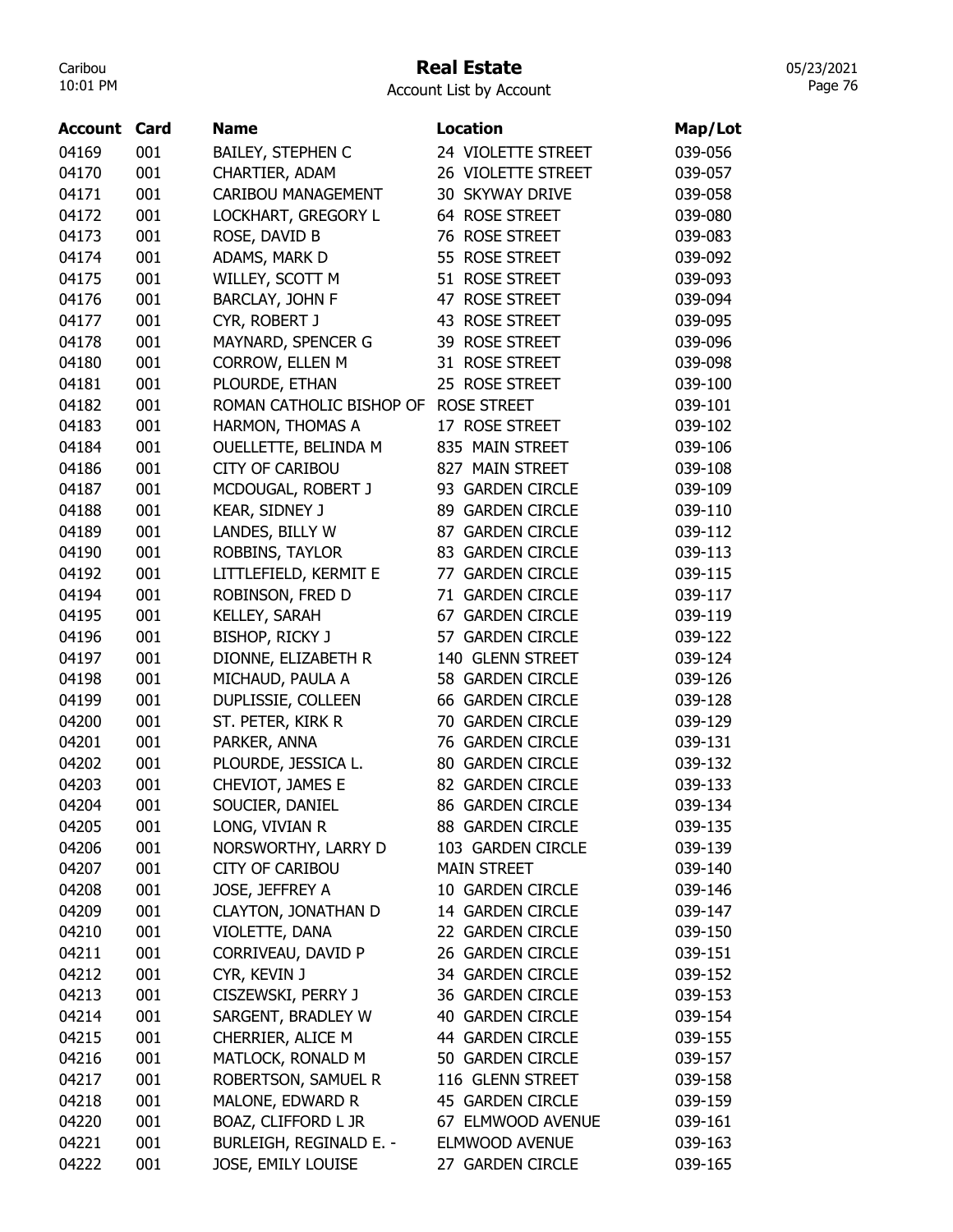## Real Estate

Account List by Account

|       | Account | Card | <b>Name</b>                | Location                | Map/Lot |
|-------|---------|------|----------------------------|-------------------------|---------|
| 04169 |         | 001  | <b>BAILEY, STEPHEN C</b>   | 24 VIOLETTE STREET      | 039-056 |
| 04170 |         | 001  | CHARTIER, ADAM             | 26 VIOLETTE STREET      | 039-057 |
| 04171 |         | 001  | <b>CARIBOU MANAGEMENT</b>  | 30 SKYWAY DRIVE         | 039-058 |
| 04172 |         | 001  | LOCKHART, GREGORY L        | 64 ROSE STREET          | 039-080 |
| 04173 |         | 001  | ROSE, DAVID B              | 76 ROSE STREET          | 039-083 |
| 04174 |         | 001  | ADAMS, MARK D              | 55 ROSE STREET          | 039-092 |
| 04175 |         | 001  | WILLEY, SCOTT M            | 51 ROSE STREET          | 039-093 |
| 04176 |         | 001  | BARCLAY, JOHN F            | 47 ROSE STREET          | 039-094 |
|       |         |      |                            | 43 ROSE STREET          |         |
| 04177 |         | 001  | CYR, ROBERT J              |                         | 039-095 |
| 04178 |         | 001  | MAYNARD, SPENCER G         | 39 ROSE STREET          | 039-096 |
| 04180 |         | 001  | CORROW, ELLEN M            | 31 ROSE STREET          | 039-098 |
| 04181 |         | 001  | PLOURDE, ETHAN             | 25 ROSE STREET          | 039-100 |
| 04182 |         | 001  | ROMAN CATHOLIC BISHOP OF   | <b>ROSE STREET</b>      | 039-101 |
| 04183 |         | 001  | HARMON, THOMAS A           | 17 ROSE STREET          | 039-102 |
| 04184 |         | 001  | OUELLETTE, BELINDA M       | 835 MAIN STREET         | 039-106 |
| 04186 |         | 001  | <b>CITY OF CARIBOU</b>     | 827 MAIN STREET         | 039-108 |
| 04187 |         | 001  | MCDOUGAL, ROBERT J         | 93 GARDEN CIRCLE        | 039-109 |
| 04188 |         | 001  | KEAR, SIDNEY J             | 89 GARDEN CIRCLE        | 039-110 |
| 04189 |         | 001  | LANDES, BILLY W            | 87 GARDEN CIRCLE        | 039-112 |
| 04190 |         | 001  | ROBBINS, TAYLOR            | 83 GARDEN CIRCLE        | 039-113 |
| 04192 |         | 001  | LITTLEFIELD, KERMIT E      | 77 GARDEN CIRCLE        | 039-115 |
| 04194 |         | 001  | ROBINSON, FRED D           | 71 GARDEN CIRCLE        | 039-117 |
| 04195 |         | 001  | KELLEY, SARAH              | 67 GARDEN CIRCLE        | 039-119 |
| 04196 |         | 001  | BISHOP, RICKY J            | 57 GARDEN CIRCLE        | 039-122 |
| 04197 |         | 001  | DIONNE, ELIZABETH R        | 140 GLENN STREET        | 039-124 |
| 04198 |         | 001  | MICHAUD, PAULA A           | 58 GARDEN CIRCLE        | 039-126 |
| 04199 |         | 001  | DUPLISSIE, COLLEEN         | 66 GARDEN CIRCLE        | 039-128 |
| 04200 |         | 001  | ST. PETER, KIRK R          | 70 GARDEN CIRCLE        | 039-129 |
| 04201 |         | 001  | PARKER, ANNA               | 76 GARDEN CIRCLE        | 039-131 |
| 04202 |         | 001  | PLOURDE, JESSICA L.        | <b>80 GARDEN CIRCLE</b> | 039-132 |
| 04203 |         | 001  | CHEVIOT, JAMES E           | 82 GARDEN CIRCLE        | 039-133 |
| 04204 |         | 001  | SOUCIER, DANIEL            | 86 GARDEN CIRCLE        | 039-134 |
| 04205 |         | 001  | LONG, VIVIAN R             | 88 GARDEN CIRCLE        | 039-135 |
| 04206 |         | 001  | NORSWORTHY, LARRY D        | 103 GARDEN CIRCLE       | 039-139 |
| 04207 |         | 001  | <b>CITY OF CARIBOU</b>     | <b>MAIN STREET</b>      | 039-140 |
| 04208 |         | 001  | JOSE, JEFFREY A            | 10 GARDEN CIRCLE        | 039-146 |
| 04209 |         | 001  | <b>CLAYTON, JONATHAN D</b> | 14 GARDEN CIRCLE        | 039-147 |
| 04210 |         | 001  | VIOLETTE, DANA             | 22 GARDEN CIRCLE        | 039-150 |
| 04211 |         | 001  | CORRIVEAU, DAVID P         | 26 GARDEN CIRCLE        | 039-151 |
| 04212 |         | 001  | CYR, KEVIN J               | 34 GARDEN CIRCLE        | 039-152 |
| 04213 |         | 001  | CISZEWSKI, PERRY J         | 36 GARDEN CIRCLE        | 039-153 |
| 04214 |         | 001  | SARGENT, BRADLEY W         | 40 GARDEN CIRCLE        | 039-154 |
| 04215 |         | 001  | CHERRIER, ALICE M          | 44 GARDEN CIRCLE        | 039-155 |
| 04216 |         | 001  | MATLOCK, RONALD M          | 50 GARDEN CIRCLE        | 039-157 |
| 04217 |         | 001  | ROBERTSON, SAMUEL R        | 116 GLENN STREET        | 039-158 |
| 04218 |         | 001  | MALONE, EDWARD R           | 45 GARDEN CIRCLE        | 039-159 |
| 04220 |         | 001  | BOAZ, CLIFFORD L JR        | 67 ELMWOOD AVENUE       | 039-161 |
|       |         |      |                            |                         |         |
| 04221 |         | 001  | BURLEIGH, REGINALD E. -    | ELMWOOD AVENUE          | 039-163 |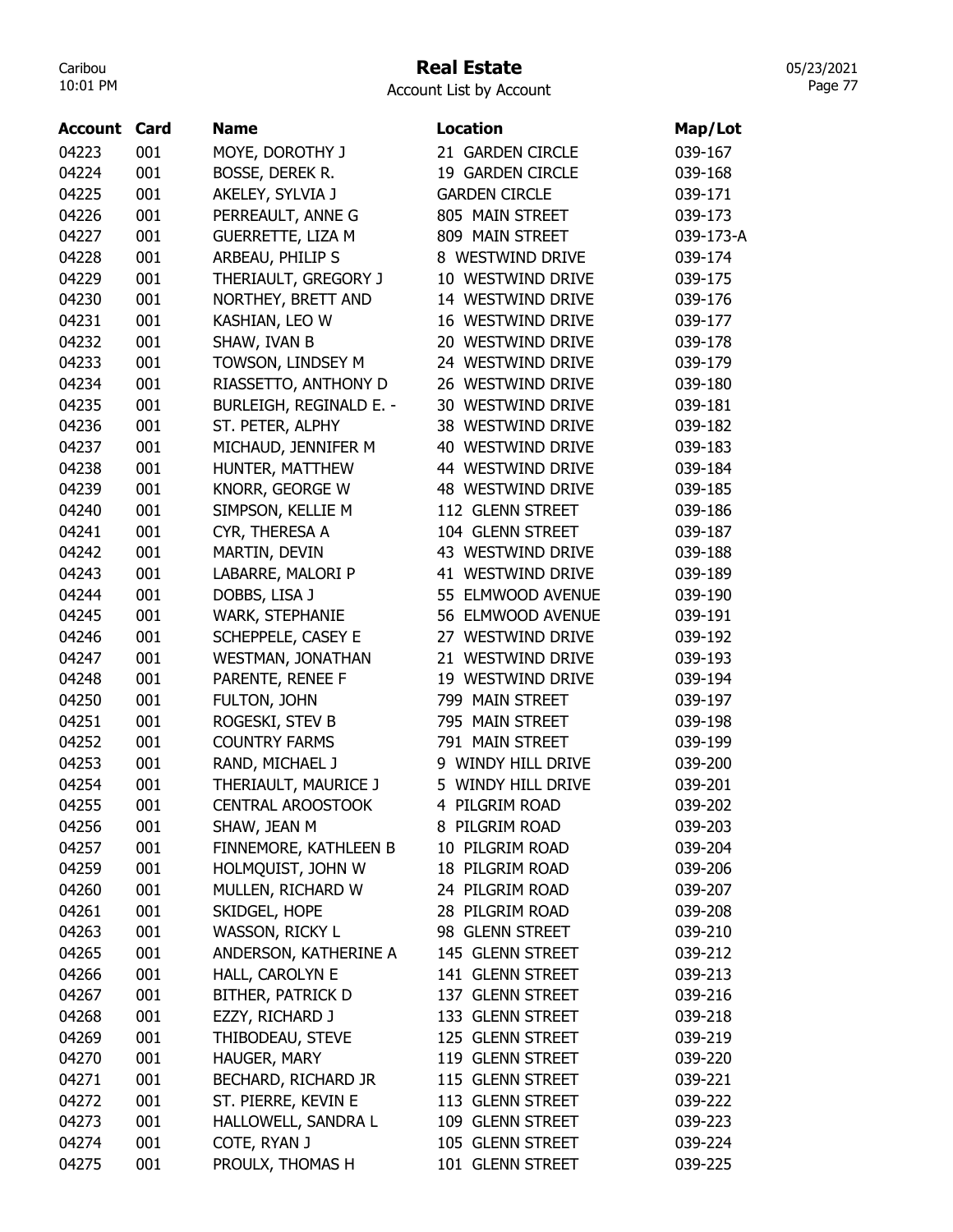### Real Estate

05/23/2021 Page 77

| Account | Card | Name                     | Location             | Map/Lot   |
|---------|------|--------------------------|----------------------|-----------|
| 04223   | 001  | MOYE, DOROTHY J          | 21 GARDEN CIRCLE     | 039-167   |
| 04224   | 001  | BOSSE, DEREK R.          | 19 GARDEN CIRCLE     | 039-168   |
| 04225   | 001  | AKELEY, SYLVIA J         | <b>GARDEN CIRCLE</b> | 039-171   |
| 04226   | 001  | PERREAULT, ANNE G        | 805 MAIN STREET      | 039-173   |
| 04227   | 001  | <b>GUERRETTE, LIZA M</b> | 809 MAIN STREET      | 039-173-A |
| 04228   | 001  | ARBEAU, PHILIP S         | 8 WESTWIND DRIVE     | 039-174   |
| 04229   | 001  | THERIAULT, GREGORY J     | 10 WESTWIND DRIVE    | 039-175   |
| 04230   | 001  | NORTHEY, BRETT AND       | 14 WESTWIND DRIVE    | 039-176   |
| 04231   | 001  | KASHIAN, LEO W           | 16 WESTWIND DRIVE    | 039-177   |
| 04232   | 001  | SHAW, IVAN B             | 20 WESTWIND DRIVE    | 039-178   |
| 04233   | 001  | TOWSON, LINDSEY M        | 24 WESTWIND DRIVE    | 039-179   |
| 04234   | 001  | RIASSETTO, ANTHONY D     | 26 WESTWIND DRIVE    | 039-180   |
| 04235   | 001  | BURLEIGH, REGINALD E. -  | 30 WESTWIND DRIVE    | 039-181   |
| 04236   | 001  | ST. PETER, ALPHY         | 38 WESTWIND DRIVE    | 039-182   |
| 04237   | 001  | MICHAUD, JENNIFER M      | 40 WESTWIND DRIVE    | 039-183   |
| 04238   | 001  | HUNTER, MATTHEW          | 44 WESTWIND DRIVE    | 039-184   |
| 04239   | 001  | KNORR, GEORGE W          | 48 WESTWIND DRIVE    | 039-185   |
| 04240   | 001  | SIMPSON, KELLIE M        | 112 GLENN STREET     | 039-186   |
| 04241   | 001  | CYR, THERESA A           | 104 GLENN STREET     | 039-187   |
| 04242   | 001  | MARTIN, DEVIN            | 43 WESTWIND DRIVE    | 039-188   |
| 04243   | 001  | LABARRE, MALORI P        | 41 WESTWIND DRIVE    | 039-189   |
| 04244   | 001  | DOBBS, LISA J            | 55 ELMWOOD AVENUE    | 039-190   |
| 04245   | 001  | WARK, STEPHANIE          | 56 ELMWOOD AVENUE    | 039-191   |
| 04246   | 001  | SCHEPPELE, CASEY E       | 27 WESTWIND DRIVE    | 039-192   |
| 04247   | 001  | <b>WESTMAN, JONATHAN</b> | 21 WESTWIND DRIVE    | 039-193   |
| 04248   | 001  | PARENTE, RENEE F         | 19 WESTWIND DRIVE    | 039-194   |
| 04250   | 001  | FULTON, JOHN             | 799 MAIN STREET      | 039-197   |
| 04251   | 001  | ROGESKI, STEV B          | 795 MAIN STREET      | 039-198   |
| 04252   | 001  | <b>COUNTRY FARMS</b>     | 791 MAIN STREET      | 039-199   |
| 04253   | 001  | RAND, MICHAEL J          | 9 WINDY HILL DRIVE   | 039-200   |
| 04254   | 001  | THERIAULT, MAURICE J     | 5 WINDY HILL DRIVE   | 039-201   |
| 04255   | 001  | <b>CENTRAL AROOSTOOK</b> | 4 PILGRIM ROAD       | 039-202   |
| 04256   | 001  | SHAW, JEAN M             | 8 PILGRIM ROAD       | 039-203   |
| 04257   | 001  | FINNEMORE, KATHLEEN B    | 10 PILGRIM ROAD      | 039-204   |
| 04259   | 001  | HOLMQUIST, JOHN W        | 18 PILGRIM ROAD      | 039-206   |
| 04260   | 001  | MULLEN, RICHARD W        | 24 PILGRIM ROAD      | 039-207   |
| 04261   | 001  | SKIDGEL, HOPE            | 28 PILGRIM ROAD      | 039-208   |
| 04263   | 001  | WASSON, RICKY L          | 98 GLENN STREET      | 039-210   |
| 04265   | 001  | ANDERSON, KATHERINE A    | 145 GLENN STREET     | 039-212   |
| 04266   | 001  | HALL, CAROLYN E          | 141 GLENN STREET     | 039-213   |
| 04267   | 001  | <b>BITHER, PATRICK D</b> | 137 GLENN STREET     | 039-216   |
| 04268   | 001  | EZZY, RICHARD J          | 133 GLENN STREET     | 039-218   |
| 04269   | 001  | THIBODEAU, STEVE         | 125 GLENN STREET     | 039-219   |
| 04270   | 001  | HAUGER, MARY             | 119 GLENN STREET     | 039-220   |
| 04271   | 001  | BECHARD, RICHARD JR      | 115 GLENN STREET     | 039-221   |
| 04272   | 001  | ST. PIERRE, KEVIN E      | 113 GLENN STREET     | 039-222   |
| 04273   | 001  | HALLOWELL, SANDRA L      | 109 GLENN STREET     | 039-223   |
| 04274   | 001  | COTE, RYAN J             | 105 GLENN STREET     | 039-224   |
| 04275   | 001  | PROULX, THOMAS H         | 101 GLENN STREET     | 039-225   |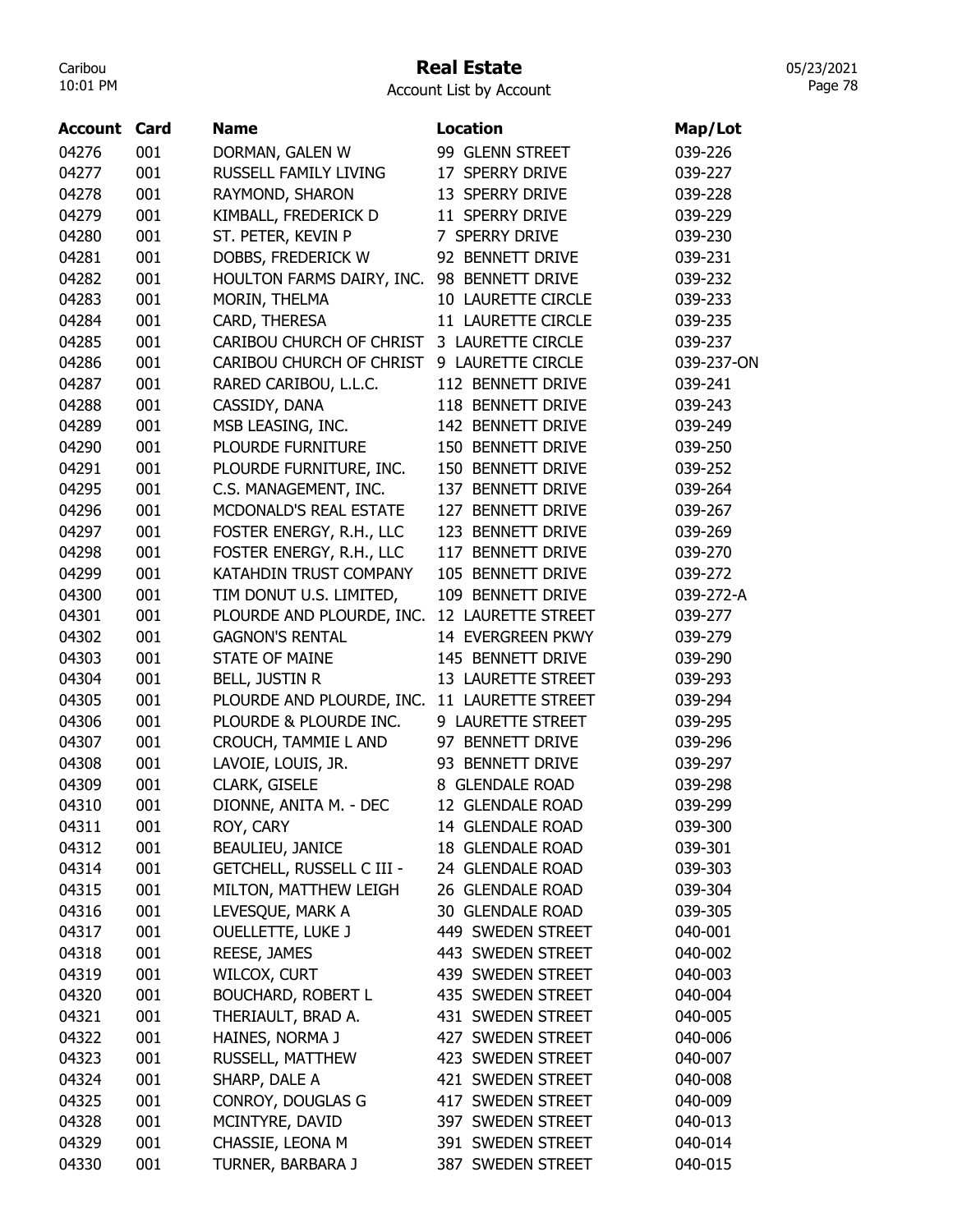#### Real Estate

05/23/2021 Page 78

| Account | Card | <b>Name</b>                      | <b>Location</b>    | Map/Lot    |
|---------|------|----------------------------------|--------------------|------------|
| 04276   | 001  | DORMAN, GALEN W                  | 99 GLENN STREET    | 039-226    |
| 04277   | 001  | RUSSELL FAMILY LIVING            | 17 SPERRY DRIVE    | 039-227    |
| 04278   | 001  | RAYMOND, SHARON                  | 13 SPERRY DRIVE    | 039-228    |
| 04279   | 001  | KIMBALL, FREDERICK D             | 11 SPERRY DRIVE    | 039-229    |
| 04280   | 001  | ST. PETER, KEVIN P               | 7 SPERRY DRIVE     | 039-230    |
| 04281   | 001  | DOBBS, FREDERICK W               | 92 BENNETT DRIVE   | 039-231    |
| 04282   | 001  | HOULTON FARMS DAIRY, INC.        | 98 BENNETT DRIVE   | 039-232    |
| 04283   | 001  | MORIN, THELMA                    | 10 LAURETTE CIRCLE | 039-233    |
| 04284   | 001  | CARD, THERESA                    | 11 LAURETTE CIRCLE | 039-235    |
| 04285   | 001  | CARIBOU CHURCH OF CHRIST         | 3 LAURETTE CIRCLE  | 039-237    |
| 04286   | 001  | CARIBOU CHURCH OF CHRIST         | 9 LAURETTE CIRCLE  | 039-237-ON |
| 04287   | 001  | RARED CARIBOU, L.L.C.            | 112 BENNETT DRIVE  | 039-241    |
| 04288   | 001  | CASSIDY, DANA                    | 118 BENNETT DRIVE  | 039-243    |
| 04289   | 001  | MSB LEASING, INC.                | 142 BENNETT DRIVE  | 039-249    |
| 04290   | 001  | PLOURDE FURNITURE                | 150 BENNETT DRIVE  | 039-250    |
| 04291   | 001  | PLOURDE FURNITURE, INC.          | 150 BENNETT DRIVE  | 039-252    |
| 04295   | 001  | C.S. MANAGEMENT, INC.            | 137 BENNETT DRIVE  | 039-264    |
| 04296   | 001  | MCDONALD'S REAL ESTATE           | 127 BENNETT DRIVE  | 039-267    |
| 04297   | 001  | FOSTER ENERGY, R.H., LLC         | 123 BENNETT DRIVE  | 039-269    |
| 04298   | 001  | FOSTER ENERGY, R.H., LLC         | 117 BENNETT DRIVE  | 039-270    |
| 04299   | 001  | KATAHDIN TRUST COMPANY           | 105 BENNETT DRIVE  | 039-272    |
| 04300   | 001  | TIM DONUT U.S. LIMITED,          | 109 BENNETT DRIVE  | 039-272-A  |
| 04301   | 001  | PLOURDE AND PLOURDE, INC.        | 12 LAURETTE STREET | 039-277    |
| 04302   | 001  | <b>GAGNON'S RENTAL</b>           | 14 EVERGREEN PKWY  | 039-279    |
| 04303   | 001  | <b>STATE OF MAINE</b>            | 145 BENNETT DRIVE  | 039-290    |
| 04304   | 001  | <b>BELL, JUSTIN R</b>            | 13 LAURETTE STREET | 039-293    |
| 04305   | 001  | PLOURDE AND PLOURDE, INC.        | 11 LAURETTE STREET | 039-294    |
| 04306   | 001  | PLOURDE & PLOURDE INC.           | 9 LAURETTE STREET  | 039-295    |
| 04307   | 001  | CROUCH, TAMMIE L AND             | 97 BENNETT DRIVE   | 039-296    |
| 04308   | 001  | LAVOIE, LOUIS, JR.               | 93 BENNETT DRIVE   | 039-297    |
| 04309   | 001  | CLARK, GISELE                    | 8 GLENDALE ROAD    | 039-298    |
| 04310   | 001  | DIONNE, ANITA M. - DEC           | 12 GLENDALE ROAD   | 039-299    |
| 04311   | 001  | ROY, CARY                        | 14 GLENDALE ROAD   | 039-300    |
| 04312   | 001  | BEAULIEU, JANICE                 | 18 GLENDALE ROAD   | 039-301    |
| 04314   | 001  | <b>GETCHELL, RUSSELL C III -</b> | 24 GLENDALE ROAD   | 039-303    |
| 04315   | 001  | MILTON, MATTHEW LEIGH            | 26 GLENDALE ROAD   | 039-304    |
| 04316   | 001  | LEVESQUE, MARK A                 | 30 GLENDALE ROAD   | 039-305    |
| 04317   | 001  | <b>OUELLETTE, LUKE J</b>         | 449 SWEDEN STREET  | 040-001    |
| 04318   | 001  | REESE, JAMES                     | 443 SWEDEN STREET  | 040-002    |
| 04319   | 001  | WILCOX, CURT                     | 439 SWEDEN STREET  | 040-003    |
| 04320   | 001  | <b>BOUCHARD, ROBERT L</b>        | 435 SWEDEN STREET  | 040-004    |
| 04321   | 001  | THERIAULT, BRAD A.               | 431 SWEDEN STREET  | 040-005    |
| 04322   | 001  | HAINES, NORMA J                  | 427 SWEDEN STREET  | 040-006    |
| 04323   | 001  | RUSSELL, MATTHEW                 | 423 SWEDEN STREET  | 040-007    |
| 04324   | 001  | SHARP, DALE A                    | 421 SWEDEN STREET  | 040-008    |
| 04325   | 001  | CONROY, DOUGLAS G                | 417 SWEDEN STREET  | 040-009    |
| 04328   | 001  | MCINTYRE, DAVID                  | 397 SWEDEN STREET  | 040-013    |
| 04329   | 001  | CHASSIE, LEONA M                 | 391 SWEDEN STREET  | 040-014    |
| 04330   | 001  | TURNER, BARBARA J                | 387 SWEDEN STREET  | 040-015    |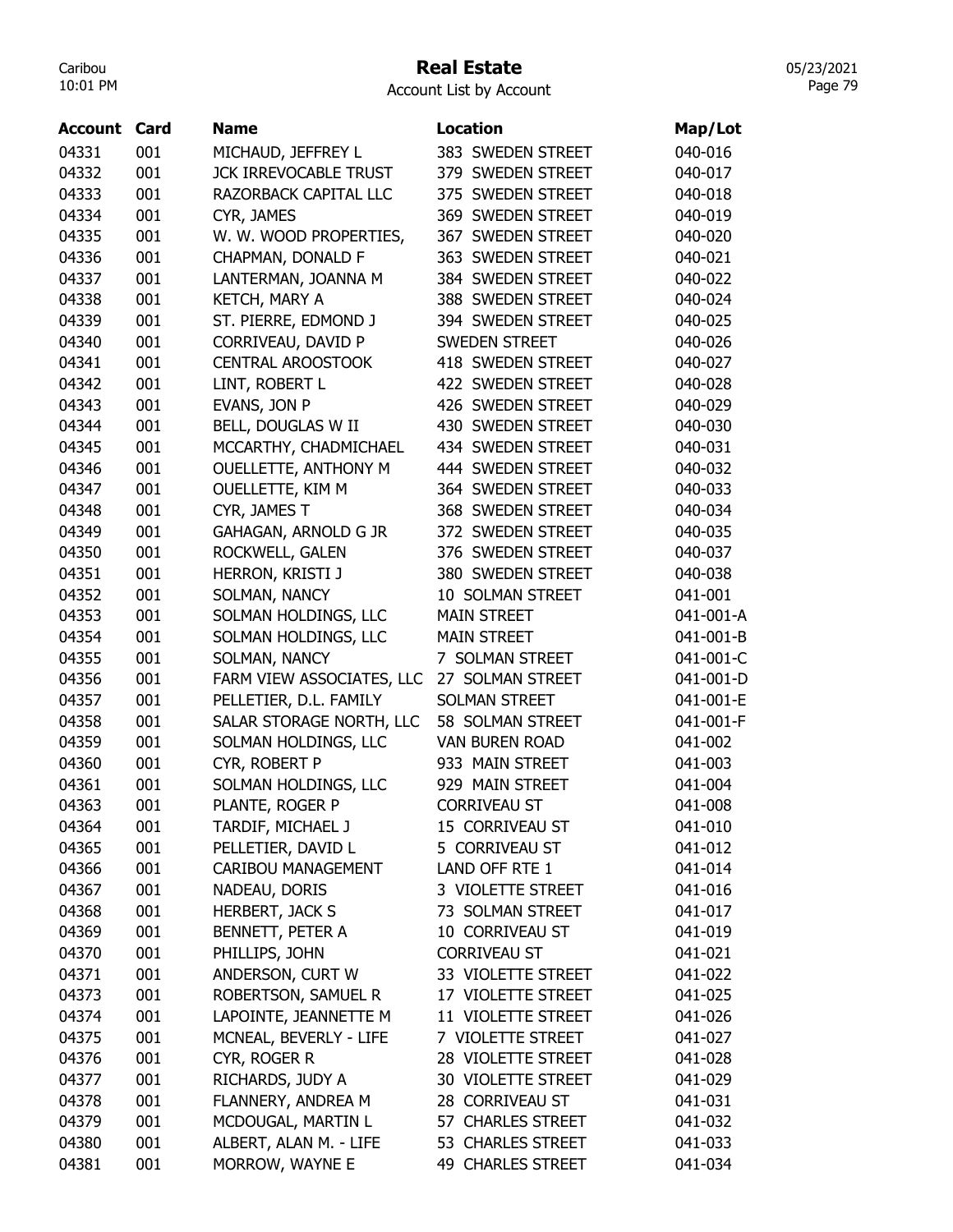#### Real Estate

05/23/2021 Page 79

| Account | Card | <b>Name</b>                  | <b>Location</b>       | Map/Lot   |
|---------|------|------------------------------|-----------------------|-----------|
| 04331   | 001  | MICHAUD, JEFFREY L           | 383 SWEDEN STREET     | 040-016   |
| 04332   | 001  | <b>JCK IRREVOCABLE TRUST</b> | 379 SWEDEN STREET     | 040-017   |
| 04333   | 001  | RAZORBACK CAPITAL LLC        | 375 SWEDEN STREET     | 040-018   |
| 04334   | 001  | CYR, JAMES                   | 369 SWEDEN STREET     | 040-019   |
| 04335   | 001  | W. W. WOOD PROPERTIES,       | 367 SWEDEN STREET     | 040-020   |
| 04336   | 001  | CHAPMAN, DONALD F            | 363 SWEDEN STREET     | 040-021   |
| 04337   | 001  | LANTERMAN, JOANNA M          | 384 SWEDEN STREET     | 040-022   |
| 04338   | 001  | KETCH, MARY A                | 388 SWEDEN STREET     | 040-024   |
| 04339   | 001  | ST. PIERRE, EDMOND J         | 394 SWEDEN STREET     | 040-025   |
| 04340   | 001  | CORRIVEAU, DAVID P           | <b>SWEDEN STREET</b>  | 040-026   |
| 04341   | 001  | <b>CENTRAL AROOSTOOK</b>     | 418 SWEDEN STREET     | 040-027   |
| 04342   | 001  | LINT, ROBERT L               | 422 SWEDEN STREET     | 040-028   |
| 04343   | 001  | EVANS, JON P                 | 426 SWEDEN STREET     | 040-029   |
| 04344   | 001  | BELL, DOUGLAS W II           | 430 SWEDEN STREET     | 040-030   |
| 04345   | 001  | MCCARTHY, CHADMICHAEL        | 434 SWEDEN STREET     | 040-031   |
| 04346   | 001  | <b>OUELLETTE, ANTHONY M</b>  | 444 SWEDEN STREET     | 040-032   |
| 04347   | 001  | OUELLETTE, KIM M             | 364 SWEDEN STREET     | 040-033   |
| 04348   | 001  | CYR, JAMES T                 | 368 SWEDEN STREET     | 040-034   |
| 04349   | 001  | <b>GAHAGAN, ARNOLD G JR</b>  | 372 SWEDEN STREET     | 040-035   |
| 04350   | 001  | ROCKWELL, GALEN              | 376 SWEDEN STREET     | 040-037   |
| 04351   | 001  | HERRON, KRISTI J             | 380 SWEDEN STREET     | 040-038   |
| 04352   | 001  | SOLMAN, NANCY                | 10 SOLMAN STREET      | 041-001   |
| 04353   | 001  | SOLMAN HOLDINGS, LLC         | <b>MAIN STREET</b>    | 041-001-A |
| 04354   | 001  | SOLMAN HOLDINGS, LLC         | <b>MAIN STREET</b>    | 041-001-B |
| 04355   | 001  | SOLMAN, NANCY                | 7 SOLMAN STREET       | 041-001-C |
| 04356   | 001  | FARM VIEW ASSOCIATES, LLC    | 27 SOLMAN STREET      | 041-001-D |
| 04357   | 001  | PELLETIER, D.L. FAMILY       | SOLMAN STREET         | 041-001-E |
| 04358   | 001  | SALAR STORAGE NORTH, LLC     | 58 SOLMAN STREET      | 041-001-F |
| 04359   | 001  | SOLMAN HOLDINGS, LLC         | <b>VAN BUREN ROAD</b> | 041-002   |
| 04360   | 001  | CYR, ROBERT P                | 933 MAIN STREET       | 041-003   |
| 04361   | 001  | SOLMAN HOLDINGS, LLC         | 929 MAIN STREET       | 041-004   |
| 04363   | 001  | PLANTE, ROGER P              | <b>CORRIVEAU ST</b>   | 041-008   |
| 04364   | 001  | TARDIF, MICHAEL J            | 15 CORRIVEAU ST       | 041-010   |
| 04365   | 001  | PELLETIER, DAVID L           | 5 CORRIVEAU ST        | 041-012   |
| 04366   | 001  | CARIBOU MANAGEMENT           | LAND OFF RTE 1        | 041-014   |
| 04367   | 001  | NADEAU, DORIS                | 3 VIOLETTE STREET     | 041-016   |
| 04368   | 001  | HERBERT, JACK S              | 73 SOLMAN STREET      | 041-017   |
| 04369   | 001  | BENNETT, PETER A             | 10 CORRIVEAU ST       | 041-019   |
| 04370   | 001  | PHILLIPS, JOHN               | <b>CORRIVEAU ST</b>   | 041-021   |
| 04371   | 001  | ANDERSON, CURT W             | 33 VIOLETTE STREET    | 041-022   |
| 04373   | 001  | ROBERTSON, SAMUEL R          | 17 VIOLETTE STREET    | 041-025   |
| 04374   | 001  | LAPOINTE, JEANNETTE M        | 11 VIOLETTE STREET    | 041-026   |
| 04375   | 001  | MCNEAL, BEVERLY - LIFE       | 7 VIOLETTE STREET     | 041-027   |
| 04376   | 001  | CYR, ROGER R                 | 28 VIOLETTE STREET    | 041-028   |
| 04377   | 001  | RICHARDS, JUDY A             | 30 VIOLETTE STREET    | 041-029   |
| 04378   | 001  | FLANNERY, ANDREA M           | 28 CORRIVEAU ST       | 041-031   |
| 04379   | 001  | MCDOUGAL, MARTIN L           | 57 CHARLES STREET     | 041-032   |
| 04380   | 001  | ALBERT, ALAN M. - LIFE       | 53 CHARLES STREET     | 041-033   |
| 04381   | 001  | MORROW, WAYNE E              | 49 CHARLES STREET     | 041-034   |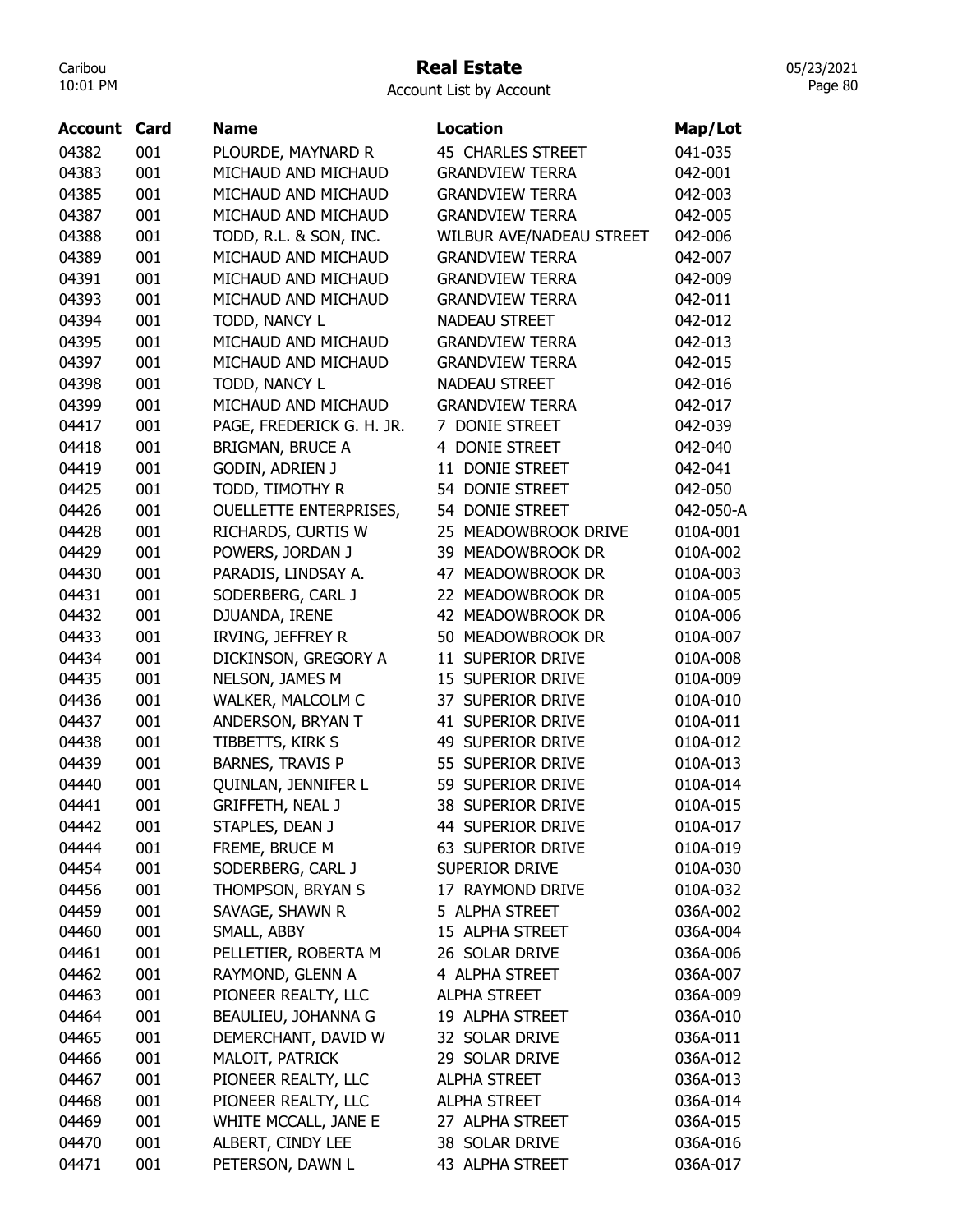#### Real Estate

05/23/2021 Page 80

| Account | Card | <b>Name</b>                   | Location                        | Map/Lot   |
|---------|------|-------------------------------|---------------------------------|-----------|
| 04382   | 001  | PLOURDE, MAYNARD R            | <b>45 CHARLES STREET</b>        | 041-035   |
| 04383   | 001  | MICHAUD AND MICHAUD           | <b>GRANDVIEW TERRA</b>          | 042-001   |
| 04385   | 001  | MICHAUD AND MICHAUD           | <b>GRANDVIEW TERRA</b>          | 042-003   |
| 04387   | 001  | MICHAUD AND MICHAUD           | <b>GRANDVIEW TERRA</b>          | 042-005   |
| 04388   | 001  | TODD, R.L. & SON, INC.        | <b>WILBUR AVE/NADEAU STREET</b> | 042-006   |
| 04389   | 001  | MICHAUD AND MICHAUD           | <b>GRANDVIEW TERRA</b>          | 042-007   |
| 04391   | 001  | MICHAUD AND MICHAUD           | <b>GRANDVIEW TERRA</b>          | 042-009   |
| 04393   | 001  | MICHAUD AND MICHAUD           | <b>GRANDVIEW TERRA</b>          | 042-011   |
| 04394   | 001  | TODD, NANCY L                 | <b>NADEAU STREET</b>            | 042-012   |
| 04395   | 001  | MICHAUD AND MICHAUD           | <b>GRANDVIEW TERRA</b>          | 042-013   |
| 04397   | 001  | MICHAUD AND MICHAUD           | <b>GRANDVIEW TERRA</b>          | 042-015   |
| 04398   | 001  | TODD, NANCY L                 | <b>NADEAU STREET</b>            | 042-016   |
| 04399   | 001  | MICHAUD AND MICHAUD           | <b>GRANDVIEW TERRA</b>          | 042-017   |
| 04417   | 001  | PAGE, FREDERICK G. H. JR.     | 7 DONIE STREET                  | 042-039   |
| 04418   | 001  | <b>BRIGMAN, BRUCE A</b>       | 4 DONIE STREET                  | 042-040   |
| 04419   | 001  | GODIN, ADRIEN J               | 11 DONIE STREET                 | 042-041   |
| 04425   | 001  | TODD, TIMOTHY R               | 54 DONIE STREET                 | 042-050   |
| 04426   | 001  | <b>OUELLETTE ENTERPRISES,</b> | 54 DONIE STREET                 | 042-050-A |
| 04428   | 001  | RICHARDS, CURTIS W            | 25 MEADOWBROOK DRIVE            | 010A-001  |
| 04429   | 001  | POWERS, JORDAN J              | 39 MEADOWBROOK DR               | 010A-002  |
| 04430   | 001  | PARADIS, LINDSAY A.           | 47 MEADOWBROOK DR               | 010A-003  |
| 04431   | 001  | SODERBERG, CARL J             | 22 MEADOWBROOK DR               | 010A-005  |
| 04432   | 001  | DJUANDA, IRENE                | 42 MEADOWBROOK DR               | 010A-006  |
| 04433   | 001  | IRVING, JEFFREY R             | 50 MEADOWBROOK DR               | 010A-007  |
| 04434   | 001  | DICKINSON, GREGORY A          | 11 SUPERIOR DRIVE               | 010A-008  |
| 04435   | 001  | NELSON, JAMES M               | 15 SUPERIOR DRIVE               | 010A-009  |
| 04436   | 001  | WALKER, MALCOLM C             | 37 SUPERIOR DRIVE               | 010A-010  |
| 04437   | 001  | ANDERSON, BRYAN T             | 41 SUPERIOR DRIVE               | 010A-011  |
| 04438   | 001  | TIBBETTS, KIRK S              | 49 SUPERIOR DRIVE               | 010A-012  |
| 04439   | 001  | <b>BARNES, TRAVIS P</b>       | 55 SUPERIOR DRIVE               | 010A-013  |
| 04440   | 001  | QUINLAN, JENNIFER L           | 59 SUPERIOR DRIVE               | 010A-014  |
| 04441   | 001  | <b>GRIFFETH, NEAL J</b>       | 38 SUPERIOR DRIVE               | 010A-015  |
| 04442   | 001  | STAPLES, DEAN J               | 44 SUPERIOR DRIVE               | 010A-017  |
| 04444   | 001  | FREME, BRUCE M                | 63 SUPERIOR DRIVE               | 010A-019  |
| 04454   | 001  | SODERBERG, CARL J             | SUPERIOR DRIVE                  | 010A-030  |
| 04456   | 001  | THOMPSON, BRYAN S             | 17 RAYMOND DRIVE                | 010A-032  |
| 04459   | 001  | SAVAGE, SHAWN R               | 5 ALPHA STREET                  | 036A-002  |
| 04460   | 001  | SMALL, ABBY                   | 15 ALPHA STREET                 | 036A-004  |
| 04461   | 001  | PELLETIER, ROBERTA M          | 26 SOLAR DRIVE                  | 036A-006  |
| 04462   | 001  | RAYMOND, GLENN A              | 4 ALPHA STREET                  | 036A-007  |
| 04463   | 001  | PIONEER REALTY, LLC           | <b>ALPHA STREET</b>             | 036A-009  |
| 04464   | 001  | BEAULIEU, JOHANNA G           | 19 ALPHA STREET                 | 036A-010  |
| 04465   | 001  | DEMERCHANT, DAVID W           | 32 SOLAR DRIVE                  | 036A-011  |
| 04466   | 001  | MALOIT, PATRICK               | 29 SOLAR DRIVE                  | 036A-012  |
| 04467   | 001  | PIONEER REALTY, LLC           | <b>ALPHA STREET</b>             | 036A-013  |
| 04468   | 001  | PIONEER REALTY, LLC           | <b>ALPHA STREET</b>             | 036A-014  |
| 04469   | 001  | WHITE MCCALL, JANE E          | 27 ALPHA STREET                 | 036A-015  |
| 04470   | 001  | ALBERT, CINDY LEE             | 38 SOLAR DRIVE                  | 036A-016  |
| 04471   | 001  | PETERSON, DAWN L              | 43 ALPHA STREET                 | 036A-017  |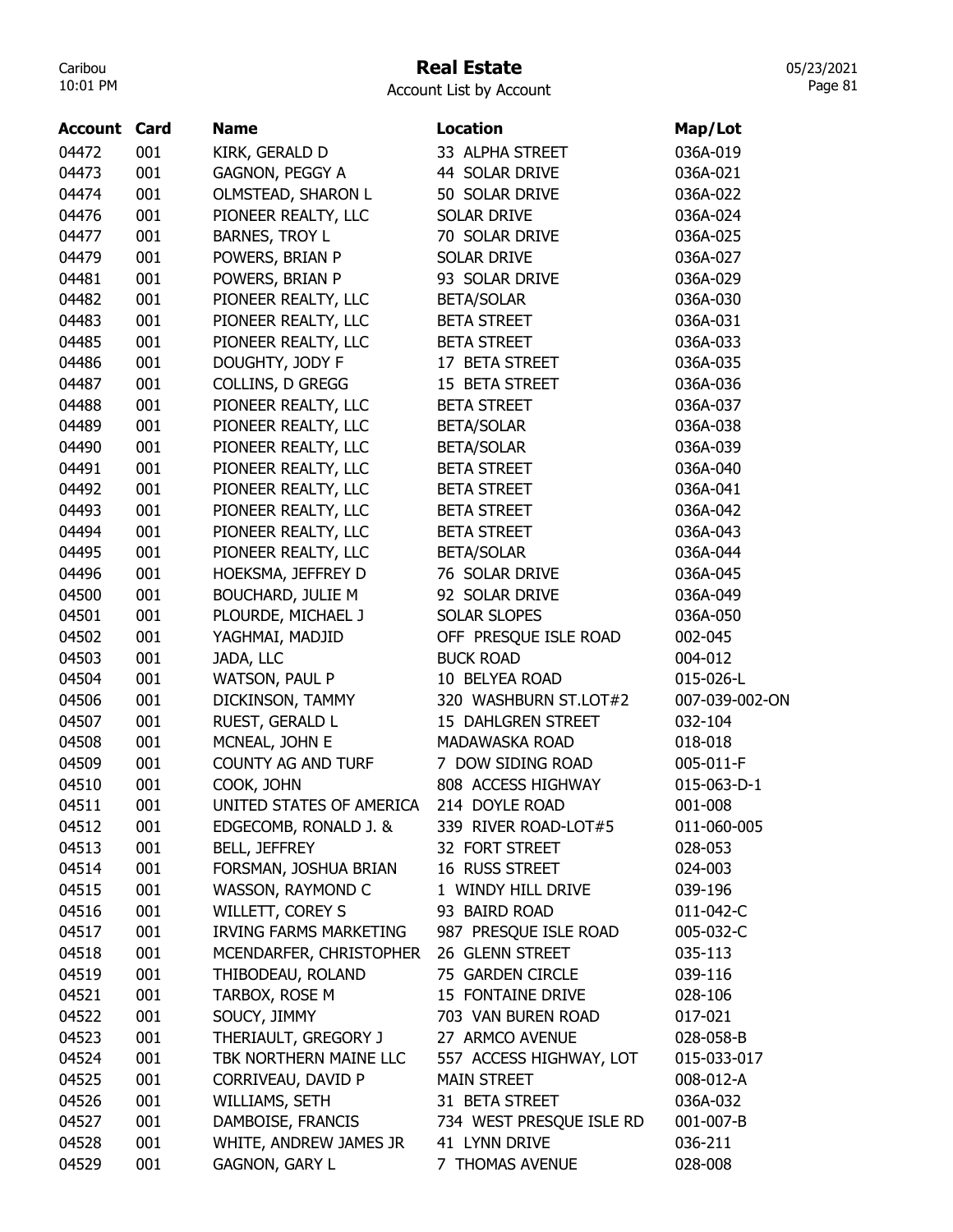## Real Estate

05/23/2021 Page 81

| <b>Account Card</b> |     | <b>Name</b>                   | <b>Location</b>          | Map/Lot        |
|---------------------|-----|-------------------------------|--------------------------|----------------|
| 04472               | 001 | KIRK, GERALD D                | 33 ALPHA STREET          | 036A-019       |
| 04473               | 001 | GAGNON, PEGGY A               | 44 SOLAR DRIVE           | 036A-021       |
| 04474               | 001 | OLMSTEAD, SHARON L            | 50 SOLAR DRIVE           | 036A-022       |
| 04476               | 001 | PIONEER REALTY, LLC           | <b>SOLAR DRIVE</b>       | 036A-024       |
| 04477               | 001 | <b>BARNES, TROY L</b>         | 70 SOLAR DRIVE           | 036A-025       |
| 04479               | 001 | POWERS, BRIAN P               | <b>SOLAR DRIVE</b>       | 036A-027       |
| 04481               | 001 | POWERS, BRIAN P               | 93 SOLAR DRIVE           | 036A-029       |
| 04482               | 001 | PIONEER REALTY, LLC           | <b>BETA/SOLAR</b>        | 036A-030       |
| 04483               | 001 | PIONEER REALTY, LLC           | <b>BETA STREET</b>       | 036A-031       |
| 04485               | 001 | PIONEER REALTY, LLC           | <b>BETA STREET</b>       | 036A-033       |
| 04486               | 001 | DOUGHTY, JODY F               | 17 BETA STREET           | 036A-035       |
| 04487               | 001 | COLLINS, D GREGG              | 15 BETA STREET           | 036A-036       |
| 04488               | 001 | PIONEER REALTY, LLC           | <b>BETA STREET</b>       | 036A-037       |
| 04489               | 001 | PIONEER REALTY, LLC           | <b>BETA/SOLAR</b>        | 036A-038       |
| 04490               | 001 | PIONEER REALTY, LLC           | <b>BETA/SOLAR</b>        | 036A-039       |
| 04491               | 001 | PIONEER REALTY, LLC           | <b>BETA STREET</b>       | 036A-040       |
| 04492               | 001 | PIONEER REALTY, LLC           | <b>BETA STREET</b>       | 036A-041       |
| 04493               | 001 | PIONEER REALTY, LLC           | <b>BETA STREET</b>       | 036A-042       |
| 04494               | 001 | PIONEER REALTY, LLC           | <b>BETA STREET</b>       | 036A-043       |
| 04495               | 001 | PIONEER REALTY, LLC           | <b>BETA/SOLAR</b>        | 036A-044       |
| 04496               | 001 | HOEKSMA, JEFFREY D            | 76 SOLAR DRIVE           | 036A-045       |
| 04500               | 001 | <b>BOUCHARD, JULIE M</b>      | 92 SOLAR DRIVE           | 036A-049       |
| 04501               | 001 | PLOURDE, MICHAEL J            | <b>SOLAR SLOPES</b>      | 036A-050       |
| 04502               | 001 | YAGHMAI, MADJID               | OFF PRESQUE ISLE ROAD    | 002-045        |
| 04503               | 001 | JADA, LLC                     | <b>BUCK ROAD</b>         | 004-012        |
| 04504               | 001 | WATSON, PAUL P                | 10 BELYEA ROAD           | 015-026-L      |
| 04506               | 001 | DICKINSON, TAMMY              | 320 WASHBURN ST.LOT#2    | 007-039-002-ON |
| 04507               | 001 | RUEST, GERALD L               | 15 DAHLGREN STREET       | 032-104        |
| 04508               | 001 | MCNEAL, JOHN E                | MADAWASKA ROAD           | 018-018        |
| 04509               | 001 | <b>COUNTY AG AND TURF</b>     | 7 DOW SIDING ROAD        | 005-011-F      |
| 04510               | 001 | COOK, JOHN                    | 808 ACCESS HIGHWAY       | 015-063-D-1    |
| 04511               | 001 | UNITED STATES OF AMERICA      | 214 DOYLE ROAD           | 001-008        |
| 04512               | 001 | EDGECOMB, RONALD J. &         | 339 RIVER ROAD-LOT#5     | 011-060-005    |
| 04513               | 001 | <b>BELL, JEFFREY</b>          | 32 FORT STREET           | 028-053        |
| 04514               | 001 | FORSMAN, JOSHUA BRIAN         | 16 RUSS STREET           | 024-003        |
| 04515               | 001 | WASSON, RAYMOND C             | 1 WINDY HILL DRIVE       | 039-196        |
| 04516               | 001 | <b>WILLETT, COREY S</b>       | 93 BAIRD ROAD            | 011-042-C      |
| 04517               | 001 | <b>IRVING FARMS MARKETING</b> | 987 PRESQUE ISLE ROAD    | 005-032-C      |
| 04518               | 001 | MCENDARFER, CHRISTOPHER       | 26 GLENN STREET          | 035-113        |
| 04519               | 001 | THIBODEAU, ROLAND             | 75 GARDEN CIRCLE         | 039-116        |
| 04521               | 001 | TARBOX, ROSE M                | 15 FONTAINE DRIVE        | 028-106        |
| 04522               | 001 | SOUCY, JIMMY                  | 703 VAN BUREN ROAD       | 017-021        |
| 04523               | 001 | THERIAULT, GREGORY J          | 27 ARMCO AVENUE          | 028-058-B      |
| 04524               | 001 | TBK NORTHERN MAINE LLC        | 557 ACCESS HIGHWAY, LOT  | 015-033-017    |
| 04525               | 001 | CORRIVEAU, DAVID P            | <b>MAIN STREET</b>       | 008-012-A      |
| 04526               | 001 | WILLIAMS, SETH                | 31 BETA STREET           | 036A-032       |
| 04527               | 001 | DAMBOISE, FRANCIS             | 734 WEST PRESQUE ISLE RD | 001-007-B      |
| 04528               | 001 | WHITE, ANDREW JAMES JR        | 41 LYNN DRIVE            | 036-211        |
| 04529               | 001 | <b>GAGNON, GARY L</b>         | 7 THOMAS AVENUE          | 028-008        |
|                     |     |                               |                          |                |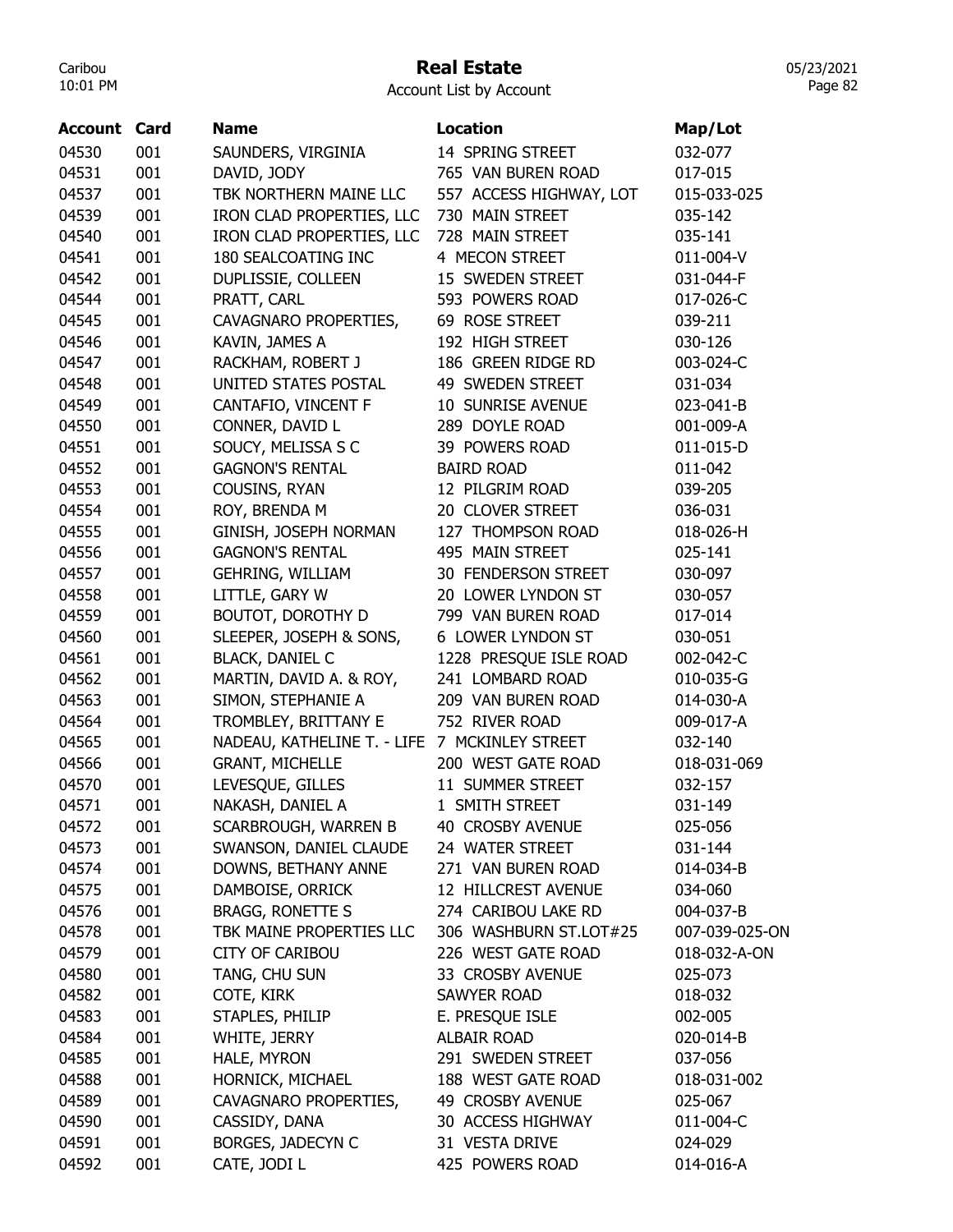### Real Estate

Account List by Account

| <b>Account Card</b> |     | <b>Name</b>                                   | <b>Location</b>         | Map/Lot        |
|---------------------|-----|-----------------------------------------------|-------------------------|----------------|
| 04530               | 001 | SAUNDERS, VIRGINIA                            | 14 SPRING STREET        | 032-077        |
| 04531               | 001 | DAVID, JODY                                   | 765 VAN BUREN ROAD      | 017-015        |
| 04537               | 001 | TBK NORTHERN MAINE LLC                        | 557 ACCESS HIGHWAY, LOT | 015-033-025    |
| 04539               | 001 | IRON CLAD PROPERTIES, LLC                     | 730 MAIN STREET         | 035-142        |
| 04540               | 001 | IRON CLAD PROPERTIES, LLC                     | 728 MAIN STREET         | 035-141        |
| 04541               | 001 | 180 SEALCOATING INC                           | 4 MECON STREET          | 011-004-V      |
| 04542               | 001 | DUPLISSIE, COLLEEN                            | 15 SWEDEN STREET        | 031-044-F      |
| 04544               | 001 | PRATT, CARL                                   | 593 POWERS ROAD         | 017-026-C      |
| 04545               | 001 | CAVAGNARO PROPERTIES,                         | 69 ROSE STREET          | 039-211        |
| 04546               | 001 | KAVIN, JAMES A                                | 192 HIGH STREET         | 030-126        |
| 04547               | 001 | RACKHAM, ROBERT J                             | 186 GREEN RIDGE RD      | 003-024-C      |
| 04548               | 001 | UNITED STATES POSTAL                          | 49 SWEDEN STREET        | 031-034        |
| 04549               | 001 | CANTAFIO, VINCENT F                           | 10 SUNRISE AVENUE       | 023-041-B      |
| 04550               | 001 | CONNER, DAVID L                               | 289 DOYLE ROAD          | 001-009-A      |
| 04551               | 001 | SOUCY, MELISSA S C                            | 39 POWERS ROAD          | 011-015-D      |
| 04552               | 001 | <b>GAGNON'S RENTAL</b>                        | <b>BAIRD ROAD</b>       | 011-042        |
| 04553               | 001 | COUSINS, RYAN                                 | 12 PILGRIM ROAD         | 039-205        |
| 04554               | 001 | ROY, BRENDA M                                 | 20 CLOVER STREET        | 036-031        |
| 04555               | 001 | GINISH, JOSEPH NORMAN                         | 127 THOMPSON ROAD       | 018-026-H      |
| 04556               | 001 | <b>GAGNON'S RENTAL</b>                        | 495 MAIN STREET         | 025-141        |
| 04557               | 001 | <b>GEHRING, WILLIAM</b>                       | 30 FENDERSON STREET     | 030-097        |
| 04558               | 001 | LITTLE, GARY W                                | 20 LOWER LYNDON ST      | 030-057        |
| 04559               | 001 | BOUTOT, DOROTHY D                             | 799 VAN BUREN ROAD      | 017-014        |
| 04560               | 001 | SLEEPER, JOSEPH & SONS,                       | 6 LOWER LYNDON ST       | 030-051        |
| 04561               | 001 | <b>BLACK, DANIEL C</b>                        | 1228 PRESQUE ISLE ROAD  | 002-042-C      |
| 04562               | 001 | MARTIN, DAVID A. & ROY,                       | 241 LOMBARD ROAD        | 010-035-G      |
| 04563               | 001 | SIMON, STEPHANIE A                            | 209 VAN BUREN ROAD      | 014-030-A      |
| 04564               | 001 | TROMBLEY, BRITTANY E                          | 752 RIVER ROAD          | 009-017-A      |
| 04565               | 001 | NADEAU, KATHELINE T. - LIFE 7 MCKINLEY STREET |                         | 032-140        |
| 04566               | 001 | <b>GRANT, MICHELLE</b>                        | 200 WEST GATE ROAD      | 018-031-069    |
| 04570               | 001 | LEVESQUE, GILLES                              | 11 SUMMER STREET        | 032-157        |
| 04571               | 001 | NAKASH, DANIEL A                              | 1 SMITH STREET          | 031-149        |
| 04572               | 001 | SCARBROUGH, WARREN B                          | 40 CROSBY AVENUE        | 025-056        |
| 04573               | 001 | SWANSON, DANIEL CLAUDE                        | 24 WATER STREET         | 031-144        |
| 04574               | 001 | DOWNS, BETHANY ANNE                           | 271 VAN BUREN ROAD      | 014-034-B      |
| 04575               | 001 | DAMBOISE, ORRICK                              | 12 HILLCREST AVENUE     | 034-060        |
| 04576               | 001 | <b>BRAGG, RONETTE S</b>                       | 274 CARIBOU LAKE RD     | 004-037-B      |
| 04578               | 001 | TBK MAINE PROPERTIES LLC                      | 306 WASHBURN ST.LOT#25  | 007-039-025-ON |
| 04579               | 001 | <b>CITY OF CARIBOU</b>                        | 226 WEST GATE ROAD      | 018-032-A-ON   |
| 04580               | 001 | TANG, CHU SUN                                 | 33 CROSBY AVENUE        | 025-073        |
| 04582               | 001 | COTE, KIRK                                    | SAWYER ROAD             | 018-032        |
| 04583               | 001 | STAPLES, PHILIP                               | E. PRESQUE ISLE         | 002-005        |
| 04584               | 001 | WHITE, JERRY                                  | ALBAIR ROAD             | 020-014-B      |
| 04585               | 001 | HALE, MYRON                                   | 291 SWEDEN STREET       | 037-056        |
|                     |     |                                               | 188 WEST GATE ROAD      |                |
| 04588               | 001 | HORNICK, MICHAEL                              | 49 CROSBY AVENUE        | 018-031-002    |
| 04589               | 001 | CAVAGNARO PROPERTIES,                         | 30 ACCESS HIGHWAY       | 025-067        |
| 04590               | 001 | CASSIDY, DANA                                 |                         | 011-004-C      |
| 04591               | 001 | BORGES, JADECYN C                             | 31 VESTA DRIVE          | 024-029        |
| 04592               | 001 | CATE, JODI L                                  | 425 POWERS ROAD         | 014-016-A      |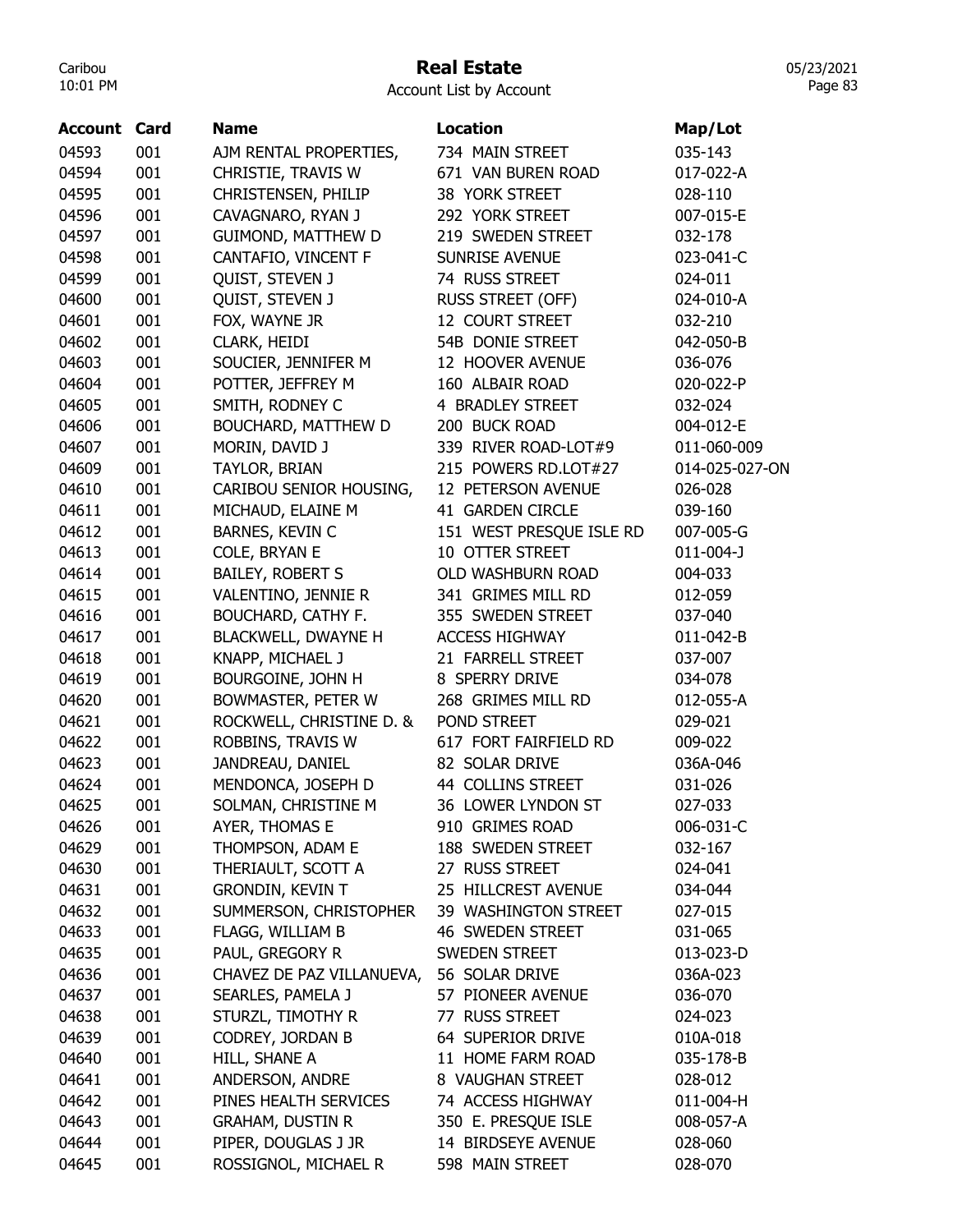## Real Estate

Account List by Account

| <b>Account Card</b> |     | <b>Name</b>                | <b>Location</b>          | Map/Lot         |
|---------------------|-----|----------------------------|--------------------------|-----------------|
| 04593               | 001 | AJM RENTAL PROPERTIES,     | 734 MAIN STREET          | 035-143         |
| 04594               | 001 | CHRISTIE, TRAVIS W         | 671 VAN BUREN ROAD       | 017-022-A       |
| 04595               | 001 | CHRISTENSEN, PHILIP        | 38 YORK STREET           | 028-110         |
| 04596               | 001 | CAVAGNARO, RYAN J          | 292 YORK STREET          | 007-015-E       |
| 04597               | 001 | GUIMOND, MATTHEW D         | 219 SWEDEN STREET        | 032-178         |
| 04598               | 001 | CANTAFIO, VINCENT F        | <b>SUNRISE AVENUE</b>    | 023-041-C       |
| 04599               | 001 | QUIST, STEVEN J            | 74 RUSS STREET           | 024-011         |
| 04600               | 001 | QUIST, STEVEN J            | <b>RUSS STREET (OFF)</b> | 024-010-A       |
| 04601               | 001 | FOX, WAYNE JR              | 12 COURT STREET          | 032-210         |
| 04602               | 001 | <b>CLARK, HEIDI</b>        | 54B DONIE STREET         | 042-050-B       |
| 04603               | 001 | SOUCIER, JENNIFER M        | 12 HOOVER AVENUE         | 036-076         |
| 04604               | 001 | POTTER, JEFFREY M          | 160 ALBAIR ROAD          | 020-022-P       |
| 04605               | 001 | SMITH, RODNEY C            | 4 BRADLEY STREET         | 032-024         |
| 04606               | 001 | BOUCHARD, MATTHEW D        | 200 BUCK ROAD            | 004-012-E       |
| 04607               | 001 | MORIN, DAVID J             | 339 RIVER ROAD-LOT#9     | 011-060-009     |
| 04609               | 001 | TAYLOR, BRIAN              | 215 POWERS RD.LOT#27     | 014-025-027-ON  |
| 04610               | 001 | CARIBOU SENIOR HOUSING,    | 12 PETERSON AVENUE       | 026-028         |
| 04611               | 001 | MICHAUD, ELAINE M          | 41 GARDEN CIRCLE         | 039-160         |
| 04612               | 001 | BARNES, KEVIN C            | 151 WEST PRESQUE ISLE RD | 007-005-G       |
| 04613               | 001 | COLE, BRYAN E              | 10 OTTER STREET          | $011 - 004 - J$ |
| 04614               | 001 | <b>BAILEY, ROBERT S</b>    | OLD WASHBURN ROAD        | 004-033         |
| 04615               | 001 | VALENTINO, JENNIE R        | 341 GRIMES MILL RD       | 012-059         |
| 04616               | 001 | <b>BOUCHARD, CATHY F.</b>  | 355 SWEDEN STREET        | 037-040         |
| 04617               | 001 | <b>BLACKWELL, DWAYNE H</b> | <b>ACCESS HIGHWAY</b>    | 011-042-B       |
| 04618               | 001 | KNAPP, MICHAEL J           | 21 FARRELL STREET        | 037-007         |
| 04619               | 001 | BOURGOINE, JOHN H          | 8 SPERRY DRIVE           | 034-078         |
| 04620               | 001 | BOWMASTER, PETER W         | 268 GRIMES MILL RD       | 012-055-A       |
| 04621               | 001 | ROCKWELL, CHRISTINE D. &   | POND STREET              | 029-021         |
| 04622               | 001 | ROBBINS, TRAVIS W          | 617 FORT FAIRFIELD RD    | 009-022         |
| 04623               | 001 | JANDREAU, DANIEL           | 82 SOLAR DRIVE           | 036A-046        |
| 04624               | 001 | MENDONCA, JOSEPH D         | 44 COLLINS STREET        | 031-026         |
| 04625               | 001 | SOLMAN, CHRISTINE M        | 36 LOWER LYNDON ST       | 027-033         |
| 04626               | 001 | AYER, THOMAS E             | 910 GRIMES ROAD          | 006-031-C       |
| 04629               | 001 | THOMPSON, ADAM E           | 188 SWEDEN STREET        | 032-167         |
| 04630               | 001 | THERIAULT, SCOTT A         | 27 RUSS STREET           | 024-041         |
| 04631               | 001 | <b>GRONDIN, KEVIN T</b>    | 25 HILLCREST AVENUE      | 034-044         |
| 04632               | 001 | SUMMERSON, CHRISTOPHER     | 39 WASHINGTON STREET     | 027-015         |
| 04633               | 001 | FLAGG, WILLIAM B           | <b>46 SWEDEN STREET</b>  | 031-065         |
| 04635               | 001 | PAUL, GREGORY R            | <b>SWEDEN STREET</b>     | 013-023-D       |
| 04636               | 001 | CHAVEZ DE PAZ VILLANUEVA,  | 56 SOLAR DRIVE           | 036A-023        |
| 04637               | 001 | SEARLES, PAMELA J          | 57 PIONEER AVENUE        | 036-070         |
| 04638               | 001 | STURZL, TIMOTHY R          | 77 RUSS STREET           | 024-023         |
| 04639               | 001 | CODREY, JORDAN B           | 64 SUPERIOR DRIVE        | 010A-018        |
| 04640               | 001 | HILL, SHANE A              | 11 HOME FARM ROAD        | 035-178-B       |
| 04641               | 001 | ANDERSON, ANDRE            | 8 VAUGHAN STREET         | 028-012         |
| 04642               | 001 | PINES HEALTH SERVICES      | 74 ACCESS HIGHWAY        | 011-004-H       |
| 04643               | 001 | <b>GRAHAM, DUSTIN R</b>    | 350 E. PRESQUE ISLE      | 008-057-A       |
| 04644               | 001 | PIPER, DOUGLAS J JR        | 14 BIRDSEYE AVENUE       | 028-060         |
| 04645               | 001 | ROSSIGNOL, MICHAEL R       | 598 MAIN STREET          | 028-070         |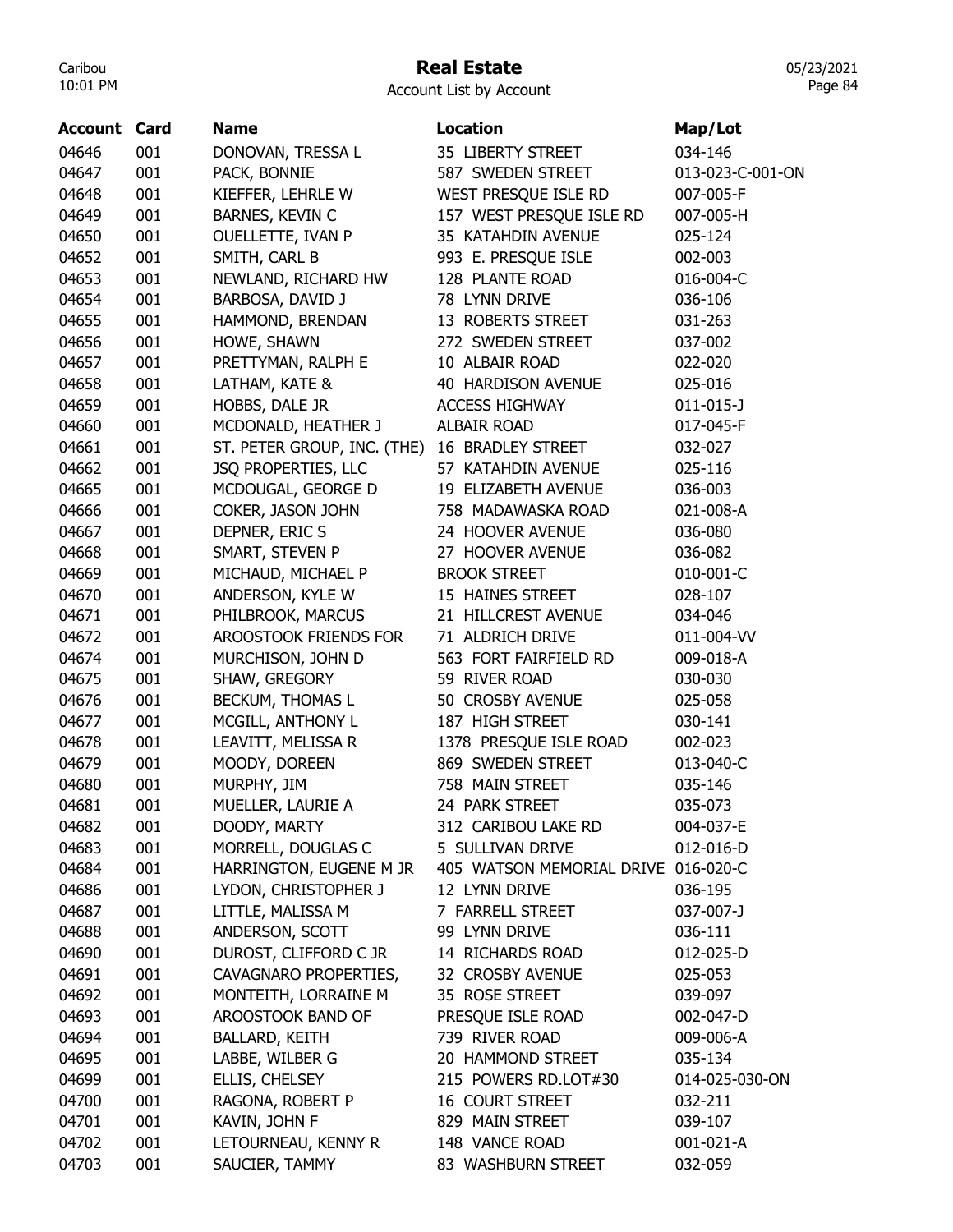## Real Estate

05/23/2021 Page 84

| <b>Account Card</b> |     | <b>Name</b>                 | <b>Location</b>                     | Map/Lot          |
|---------------------|-----|-----------------------------|-------------------------------------|------------------|
| 04646               | 001 | DONOVAN, TRESSA L           | 35 LIBERTY STREET                   | 034-146          |
| 04647               | 001 | PACK, BONNIE                | 587 SWEDEN STREET                   | 013-023-C-001-ON |
| 04648               | 001 | KIEFFER, LEHRLE W           | WEST PRESQUE ISLE RD                | 007-005-F        |
| 04649               | 001 | BARNES, KEVIN C             | 157 WEST PRESQUE ISLE RD            | 007-005-H        |
| 04650               | 001 | <b>OUELLETTE, IVAN P</b>    | 35 KATAHDIN AVENUE                  | 025-124          |
| 04652               | 001 | SMITH, CARL B               | 993 E. PRESQUE ISLE                 | 002-003          |
| 04653               | 001 | NEWLAND, RICHARD HW         | 128 PLANTE ROAD                     | 016-004-C        |
| 04654               | 001 | BARBOSA, DAVID J            | 78 LYNN DRIVE                       | 036-106          |
| 04655               | 001 | HAMMOND, BRENDAN            | 13 ROBERTS STREET                   | 031-263          |
| 04656               | 001 | HOWE, SHAWN                 | 272 SWEDEN STREET                   | 037-002          |
| 04657               | 001 | PRETTYMAN, RALPH E          | 10 ALBAIR ROAD                      | 022-020          |
| 04658               | 001 | LATHAM, KATE &              | 40 HARDISON AVENUE                  | 025-016          |
| 04659               | 001 | HOBBS, DALE JR              | <b>ACCESS HIGHWAY</b>               | $011 - 015 - J$  |
| 04660               | 001 | MCDONALD, HEATHER J         | <b>ALBAIR ROAD</b>                  | 017-045-F        |
| 04661               | 001 | ST. PETER GROUP, INC. (THE) | 16 BRADLEY STREET                   | 032-027          |
| 04662               | 001 | JSQ PROPERTIES, LLC         | 57 KATAHDIN AVENUE                  | 025-116          |
| 04665               | 001 | MCDOUGAL, GEORGE D          | 19 ELIZABETH AVENUE                 | 036-003          |
| 04666               | 001 | COKER, JASON JOHN           | 758 MADAWASKA ROAD                  | 021-008-A        |
| 04667               | 001 | DEPNER, ERIC S              | 24 HOOVER AVENUE                    | 036-080          |
| 04668               | 001 | SMART, STEVEN P             | 27 HOOVER AVENUE                    | 036-082          |
| 04669               | 001 | MICHAUD, MICHAEL P          | <b>BROOK STREET</b>                 | 010-001-C        |
| 04670               | 001 | ANDERSON, KYLE W            | 15 HAINES STREET                    | 028-107          |
| 04671               | 001 | PHILBROOK, MARCUS           | 21 HILLCREST AVENUE                 | 034-046          |
| 04672               | 001 | AROOSTOOK FRIENDS FOR       | 71 ALDRICH DRIVE                    | 011-004-VV       |
| 04674               | 001 | MURCHISON, JOHN D           | 563 FORT FAIRFIELD RD               | 009-018-A        |
| 04675               | 001 | SHAW, GREGORY               | 59 RIVER ROAD                       | 030-030          |
| 04676               | 001 | BECKUM, THOMAS L            | 50 CROSBY AVENUE                    | 025-058          |
| 04677               | 001 | MCGILL, ANTHONY L           | 187 HIGH STREET                     | 030-141          |
| 04678               | 001 | LEAVITT, MELISSA R          | 1378 PRESQUE ISLE ROAD              | 002-023          |
| 04679               | 001 | MOODY, DOREEN               | 869 SWEDEN STREET                   | 013-040-C        |
| 04680               | 001 | MURPHY, JIM                 | 758 MAIN STREET                     | 035-146          |
| 04681               | 001 | MUELLER, LAURIE A           | 24 PARK STREET                      | 035-073          |
| 04682               | 001 | DOODY, MARTY                | 312 CARIBOU LAKE RD                 | 004-037-E        |
| 04683               | 001 | MORRELL, DOUGLAS C          | 5 SULLIVAN DRIVE                    | 012-016-D        |
| 04684               | 001 | HARRINGTON, EUGENE M JR     | 405 WATSON MEMORIAL DRIVE 016-020-C |                  |
| 04686               | 001 | LYDON, CHRISTOPHER J        | 12 LYNN DRIVE                       | 036-195          |
| 04687               | 001 | LITTLE, MALISSA M           | 7 FARRELL STREET                    | 037-007-J        |
| 04688               | 001 | ANDERSON, SCOTT             | 99 LYNN DRIVE                       | 036-111          |
| 04690               | 001 | DUROST, CLIFFORD C JR       | 14 RICHARDS ROAD                    | 012-025-D        |
| 04691               | 001 | CAVAGNARO PROPERTIES,       | 32 CROSBY AVENUE                    | 025-053          |
| 04692               | 001 | MONTEITH, LORRAINE M        | 35 ROSE STREET                      | 039-097          |
| 04693               | 001 | AROOSTOOK BAND OF           | PRESQUE ISLE ROAD                   | 002-047-D        |
| 04694               | 001 | <b>BALLARD, KEITH</b>       | 739 RIVER ROAD                      | 009-006-A        |
| 04695               | 001 | LABBE, WILBER G             | 20 HAMMOND STREET                   | 035-134          |
| 04699               | 001 | ELLIS, CHELSEY              | 215 POWERS RD.LOT#30                | 014-025-030-ON   |
| 04700               | 001 | RAGONA, ROBERT P            | <b>16 COURT STREET</b>              | 032-211          |
| 04701               | 001 | KAVIN, JOHN F               | 829 MAIN STREET                     | 039-107          |
| 04702               | 001 | LETOURNEAU, KENNY R         | 148 VANCE ROAD                      | 001-021-A        |
| 04703               | 001 | SAUCIER, TAMMY              | 83 WASHBURN STREET                  | 032-059          |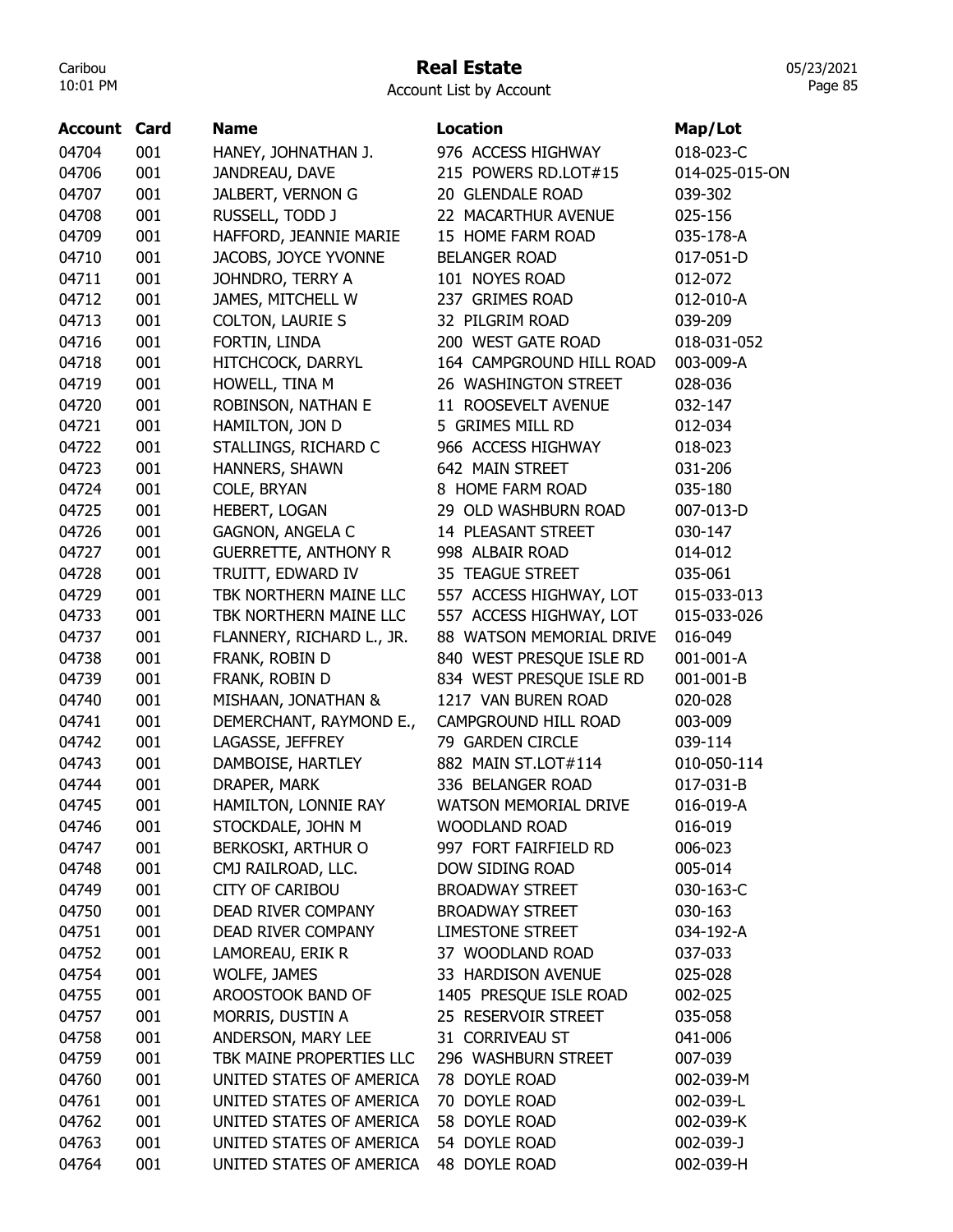## Real Estate

Account List by Account

| <b>Account Card</b> |     | <b>Name</b>                 | <b>Location</b>          | Map/Lot        |
|---------------------|-----|-----------------------------|--------------------------|----------------|
| 04704               | 001 | HANEY, JOHNATHAN J.         | 976 ACCESS HIGHWAY       | 018-023-C      |
| 04706               | 001 | JANDREAU, DAVE              | 215 POWERS RD.LOT#15     | 014-025-015-ON |
| 04707               | 001 | JALBERT, VERNON G           | 20 GLENDALE ROAD         | 039-302        |
| 04708               | 001 | RUSSELL, TODD J             | 22 MACARTHUR AVENUE      | 025-156        |
| 04709               | 001 | HAFFORD, JEANNIE MARIE      | 15 HOME FARM ROAD        | 035-178-A      |
| 04710               | 001 | JACOBS, JOYCE YVONNE        | <b>BELANGER ROAD</b>     | 017-051-D      |
| 04711               | 001 | JOHNDRO, TERRY A            | 101 NOYES ROAD           | 012-072        |
| 04712               | 001 | JAMES, MITCHELL W           | 237 GRIMES ROAD          | 012-010-A      |
| 04713               | 001 | <b>COLTON, LAURIE S</b>     | 32 PILGRIM ROAD          | 039-209        |
| 04716               | 001 | FORTIN, LINDA               | 200 WEST GATE ROAD       | 018-031-052    |
| 04718               | 001 | HITCHCOCK, DARRYL           | 164 CAMPGROUND HILL ROAD | 003-009-A      |
| 04719               | 001 | HOWELL, TINA M              | 26 WASHINGTON STREET     | 028-036        |
| 04720               | 001 | ROBINSON, NATHAN E          | 11 ROOSEVELT AVENUE      | 032-147        |
| 04721               | 001 | HAMILTON, JON D             | 5 GRIMES MILL RD         | 012-034        |
| 04722               | 001 | STALLINGS, RICHARD C        | 966 ACCESS HIGHWAY       | 018-023        |
| 04723               | 001 | HANNERS, SHAWN              | 642 MAIN STREET          | 031-206        |
| 04724               | 001 | COLE, BRYAN                 | 8 HOME FARM ROAD         | 035-180        |
| 04725               | 001 | HEBERT, LOGAN               | 29 OLD WASHBURN ROAD     | 007-013-D      |
| 04726               | 001 | <b>GAGNON, ANGELA C</b>     | 14 PLEASANT STREET       | 030-147        |
| 04727               | 001 | <b>GUERRETTE, ANTHONY R</b> | 998 ALBAIR ROAD          | 014-012        |
| 04728               | 001 | TRUITT, EDWARD IV           | 35 TEAGUE STREET         | 035-061        |
| 04729               | 001 | TBK NORTHERN MAINE LLC      | 557 ACCESS HIGHWAY, LOT  | 015-033-013    |
| 04733               | 001 | TBK NORTHERN MAINE LLC      | 557 ACCESS HIGHWAY, LOT  | 015-033-026    |
| 04737               | 001 | FLANNERY, RICHARD L., JR.   | 88 WATSON MEMORIAL DRIVE | 016-049        |
|                     | 001 |                             |                          |                |
| 04738               |     | FRANK, ROBIN D              | 840 WEST PRESQUE ISLE RD | 001-001-A      |
| 04739               | 001 | FRANK, ROBIN D              | 834 WEST PRESQUE ISLE RD | 001-001-B      |
| 04740               | 001 | MISHAAN, JONATHAN &         | 1217 VAN BUREN ROAD      | 020-028        |
| 04741               | 001 | DEMERCHANT, RAYMOND E.,     | CAMPGROUND HILL ROAD     | 003-009        |
| 04742               | 001 | LAGASSE, JEFFREY            | 79 GARDEN CIRCLE         | 039-114        |
| 04743               | 001 | DAMBOISE, HARTLEY           | 882 MAIN ST.LOT#114      | 010-050-114    |
| 04744               | 001 | DRAPER, MARK                | 336 BELANGER ROAD        | 017-031-B      |
| 04745               | 001 | HAMILTON, LONNIE RAY        | WATSON MEMORIAL DRIVE    | 016-019-A      |
| 04746               | 001 | STOCKDALE, JOHN M           | <b>WOODLAND ROAD</b>     | 016-019        |
| 04747               | 001 | BERKOSKI, ARTHUR O          | 997 FORT FAIRFIELD RD    | 006-023        |
| 04748               | 001 | CMJ RAILROAD, LLC.          | DOW SIDING ROAD          | 005-014        |
| 04749               | 001 | <b>CITY OF CARIBOU</b>      | <b>BROADWAY STREET</b>   | 030-163-C      |
| 04750               | 001 | DEAD RIVER COMPANY          | <b>BROADWAY STREET</b>   | 030-163        |
| 04751               | 001 | DEAD RIVER COMPANY          | <b>LIMESTONE STREET</b>  | 034-192-A      |
| 04752               | 001 | LAMOREAU, ERIK R            | 37 WOODLAND ROAD         | 037-033        |
| 04754               | 001 | WOLFE, JAMES                | 33 HARDISON AVENUE       | 025-028        |
| 04755               | 001 | AROOSTOOK BAND OF           | 1405 PRESQUE ISLE ROAD   | 002-025        |
| 04757               | 001 | MORRIS, DUSTIN A            | 25 RESERVOIR STREET      | 035-058        |
| 04758               | 001 | ANDERSON, MARY LEE          | 31 CORRIVEAU ST          | 041-006        |
| 04759               | 001 | TBK MAINE PROPERTIES LLC    | 296 WASHBURN STREET      | 007-039        |
| 04760               | 001 | UNITED STATES OF AMERICA    | 78 DOYLE ROAD            | 002-039-M      |
| 04761               | 001 | UNITED STATES OF AMERICA    | 70 DOYLE ROAD            | 002-039-L      |
| 04762               | 001 | UNITED STATES OF AMERICA    | 58 DOYLE ROAD            | 002-039-K      |
| 04763               | 001 | UNITED STATES OF AMERICA    | 54 DOYLE ROAD            | 002-039-J      |
| 04764               | 001 | UNITED STATES OF AMERICA    | 48 DOYLE ROAD            | 002-039-H      |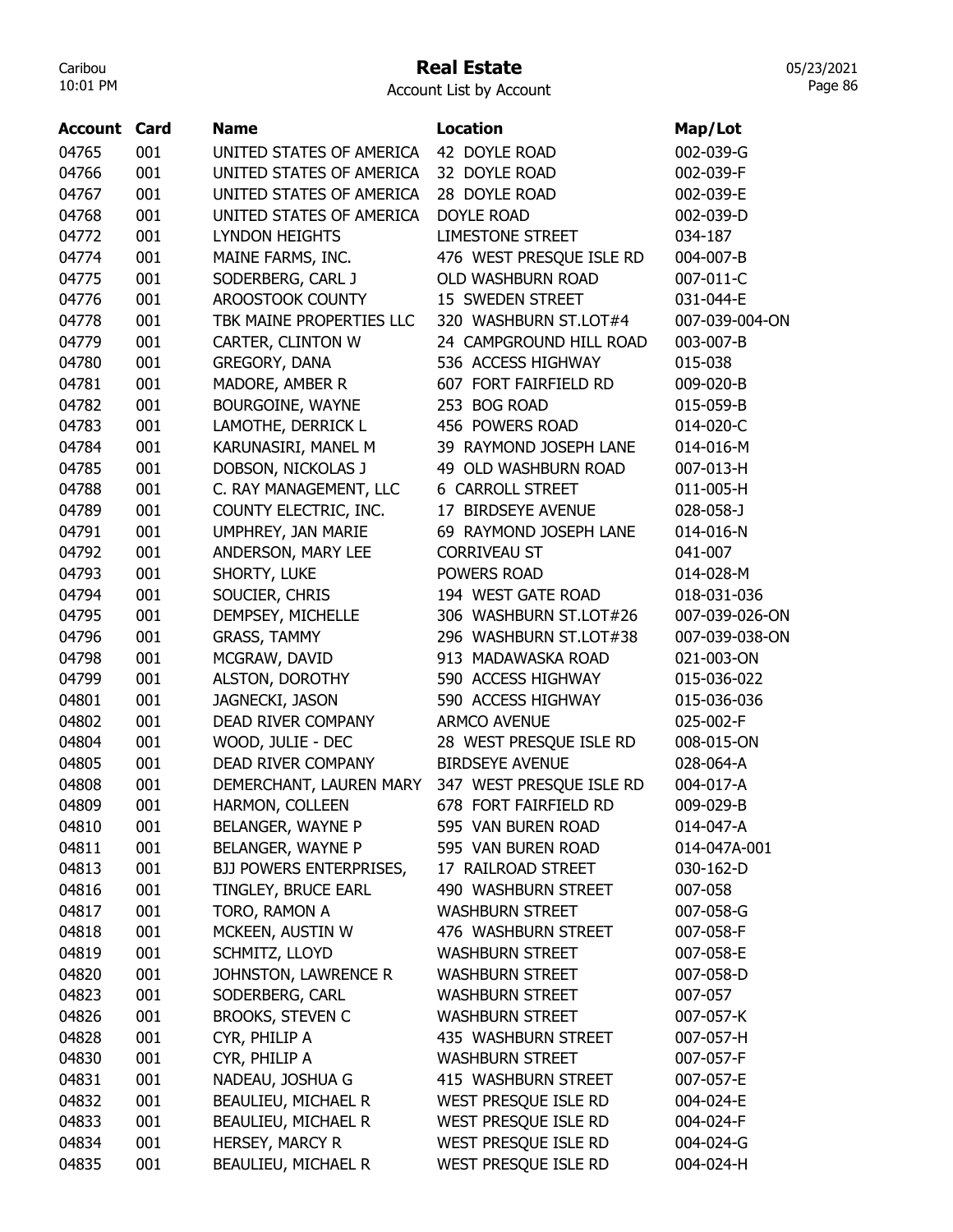## Real Estate

Account List by Account

| <b>Account Card</b> |     | <b>Name</b>                    | <b>Location</b>          | Map/Lot        |
|---------------------|-----|--------------------------------|--------------------------|----------------|
| 04765               | 001 | UNITED STATES OF AMERICA       | 42 DOYLE ROAD            | 002-039-G      |
| 04766               | 001 | UNITED STATES OF AMERICA       | 32 DOYLE ROAD            | 002-039-F      |
| 04767               | 001 | UNITED STATES OF AMERICA       | 28 DOYLE ROAD            | 002-039-E      |
| 04768               | 001 | UNITED STATES OF AMERICA       | <b>DOYLE ROAD</b>        | 002-039-D      |
| 04772               | 001 | <b>LYNDON HEIGHTS</b>          | <b>LIMESTONE STREET</b>  | 034-187        |
| 04774               | 001 | MAINE FARMS, INC.              | 476 WEST PRESQUE ISLE RD | 004-007-B      |
| 04775               | 001 | SODERBERG, CARL J              | OLD WASHBURN ROAD        | 007-011-C      |
| 04776               | 001 | AROOSTOOK COUNTY               | 15 SWEDEN STREET         | 031-044-E      |
| 04778               | 001 | TBK MAINE PROPERTIES LLC       | 320 WASHBURN ST.LOT#4    | 007-039-004-ON |
| 04779               | 001 | CARTER, CLINTON W              | 24 CAMPGROUND HILL ROAD  | 003-007-B      |
| 04780               | 001 | GREGORY, DANA                  | 536 ACCESS HIGHWAY       | 015-038        |
| 04781               | 001 | MADORE, AMBER R                | 607 FORT FAIRFIELD RD    | 009-020-B      |
| 04782               | 001 | BOURGOINE, WAYNE               | 253 BOG ROAD             | 015-059-B      |
| 04783               | 001 | LAMOTHE, DERRICK L             | 456 POWERS ROAD          | 014-020-C      |
| 04784               | 001 | KARUNASIRI, MANEL M            | 39 RAYMOND JOSEPH LANE   | 014-016-M      |
| 04785               | 001 | DOBSON, NICKOLAS J             | 49 OLD WASHBURN ROAD     | 007-013-H      |
| 04788               | 001 | C. RAY MANAGEMENT, LLC         | <b>6 CARROLL STREET</b>  | 011-005-H      |
| 04789               | 001 | COUNTY ELECTRIC, INC.          | 17 BIRDSEYE AVENUE       | 028-058-J      |
| 04791               | 001 | UMPHREY, JAN MARIE             | 69 RAYMOND JOSEPH LANE   | 014-016-N      |
| 04792               | 001 | ANDERSON, MARY LEE             | <b>CORRIVEAU ST</b>      | 041-007        |
| 04793               | 001 | SHORTY, LUKE                   | POWERS ROAD              | 014-028-M      |
| 04794               | 001 | SOUCIER, CHRIS                 | 194 WEST GATE ROAD       | 018-031-036    |
| 04795               | 001 | DEMPSEY, MICHELLE              | 306 WASHBURN ST.LOT#26   | 007-039-026-ON |
| 04796               | 001 | <b>GRASS, TAMMY</b>            | 296 WASHBURN ST.LOT#38   | 007-039-038-ON |
| 04798               | 001 | MCGRAW, DAVID                  | 913 MADAWASKA ROAD       | 021-003-ON     |
| 04799               | 001 | ALSTON, DOROTHY                | 590 ACCESS HIGHWAY       | 015-036-022    |
| 04801               | 001 | JAGNECKI, JASON                | 590 ACCESS HIGHWAY       | 015-036-036    |
| 04802               | 001 | <b>DEAD RIVER COMPANY</b>      | <b>ARMCO AVENUE</b>      | 025-002-F      |
| 04804               | 001 | WOOD, JULIE - DEC              | 28 WEST PRESQUE ISLE RD  | 008-015-ON     |
| 04805               | 001 | DEAD RIVER COMPANY             | <b>BIRDSEYE AVENUE</b>   | 028-064-A      |
| 04808               | 001 | DEMERCHANT, LAUREN MARY        | 347 WEST PRESQUE ISLE RD | 004-017-A      |
| 04809               | 001 | HARMON, COLLEEN                | 678 FORT FAIRFIELD RD    | 009-029-B      |
| 04810               | 001 | BELANGER, WAYNE P              | 595 VAN BUREN ROAD       | 014-047-A      |
| 04811               | 001 | BELANGER, WAYNE P              | 595 VAN BUREN ROAD       | 014-047A-001   |
| 04813               | 001 | <b>BJJ POWERS ENTERPRISES,</b> | 17 RAILROAD STREET       | 030-162-D      |
| 04816               | 001 | TINGLEY, BRUCE EARL            | 490 WASHBURN STREET      | 007-058        |
| 04817               | 001 | TORO, RAMON A                  | <b>WASHBURN STREET</b>   | 007-058-G      |
| 04818               | 001 | MCKEEN, AUSTIN W               | 476 WASHBURN STREET      | 007-058-F      |
| 04819               | 001 | SCHMITZ, LLOYD                 | <b>WASHBURN STREET</b>   | 007-058-E      |
| 04820               | 001 | JOHNSTON, LAWRENCE R           | <b>WASHBURN STREET</b>   | 007-058-D      |
| 04823               | 001 | SODERBERG, CARL                | <b>WASHBURN STREET</b>   | 007-057        |
| 04826               | 001 | <b>BROOKS, STEVEN C</b>        | <b>WASHBURN STREET</b>   | 007-057-K      |
| 04828               | 001 | CYR, PHILIP A                  | 435 WASHBURN STREET      | 007-057-H      |
| 04830               | 001 | CYR, PHILIP A                  | <b>WASHBURN STREET</b>   | 007-057-F      |
| 04831               | 001 | NADEAU, JOSHUA G               | 415 WASHBURN STREET      | 007-057-E      |
| 04832               | 001 | BEAULIEU, MICHAEL R            | WEST PRESQUE ISLE RD     | 004-024-E      |
| 04833               | 001 | BEAULIEU, MICHAEL R            | WEST PRESQUE ISLE RD     | 004-024-F      |
| 04834               | 001 | HERSEY, MARCY R                | WEST PRESQUE ISLE RD     | 004-024-G      |
| 04835               | 001 | BEAULIEU, MICHAEL R            | WEST PRESQUE ISLE RD     | 004-024-H      |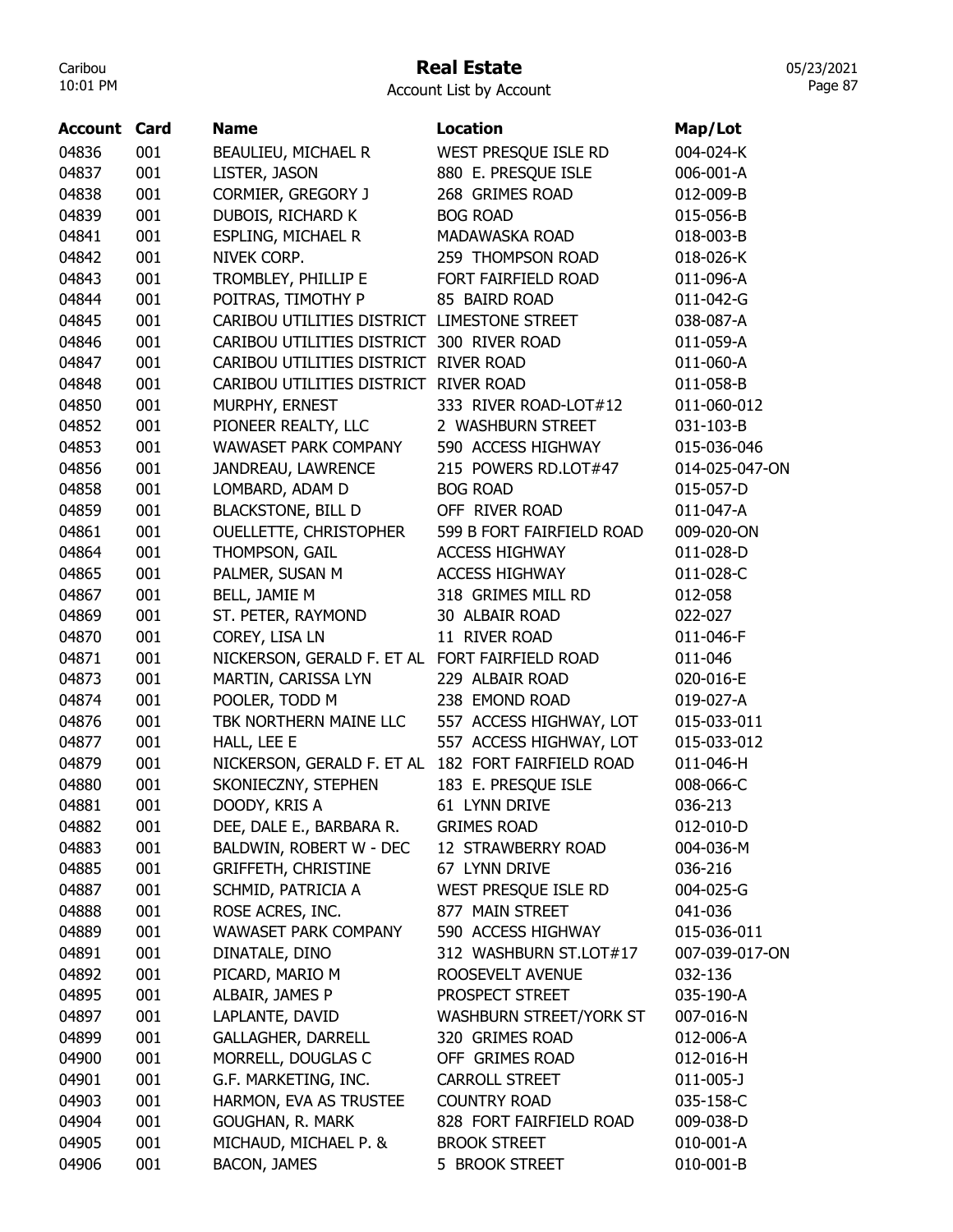#### Real Estate

Account List by Account

| Account Card |     | <b>Name</b>                                    | <b>Location</b>           | Map/Lot        |
|--------------|-----|------------------------------------------------|---------------------------|----------------|
| 04836        | 001 | BEAULIEU, MICHAEL R                            | WEST PRESQUE ISLE RD      | 004-024-K      |
| 04837        | 001 | LISTER, JASON                                  | 880 E. PRESQUE ISLE       | 006-001-A      |
| 04838        | 001 | CORMIER, GREGORY J                             | 268 GRIMES ROAD           | 012-009-B      |
| 04839        | 001 | DUBOIS, RICHARD K                              | <b>BOG ROAD</b>           | 015-056-B      |
| 04841        | 001 | ESPLING, MICHAEL R                             | MADAWASKA ROAD            | 018-003-B      |
| 04842        | 001 | NIVEK CORP.                                    | 259 THOMPSON ROAD         | 018-026-K      |
| 04843        | 001 | TROMBLEY, PHILLIP E                            | FORT FAIRFIELD ROAD       | 011-096-A      |
| 04844        | 001 | POITRAS, TIMOTHY P                             | 85 BAIRD ROAD             | 011-042-G      |
| 04845        | 001 | CARIBOU UTILITIES DISTRICT LIMESTONE STREET    |                           | 038-087-A      |
| 04846        | 001 | CARIBOU UTILITIES DISTRICT 300 RIVER ROAD      |                           | 011-059-A      |
| 04847        | 001 | CARIBOU UTILITIES DISTRICT RIVER ROAD          |                           | 011-060-A      |
| 04848        | 001 | CARIBOU UTILITIES DISTRICT RIVER ROAD          |                           | 011-058-B      |
| 04850        | 001 | MURPHY, ERNEST                                 | 333 RIVER ROAD-LOT#12     | 011-060-012    |
| 04852        | 001 | PIONEER REALTY, LLC                            | 2 WASHBURN STREET         | 031-103-B      |
| 04853        | 001 | WAWASET PARK COMPANY                           | 590 ACCESS HIGHWAY        | 015-036-046    |
| 04856        | 001 | JANDREAU, LAWRENCE                             | 215 POWERS RD.LOT#47      | 014-025-047-ON |
| 04858        | 001 | LOMBARD, ADAM D                                | <b>BOG ROAD</b>           | 015-057-D      |
| 04859        | 001 | <b>BLACKSTONE, BILL D</b>                      | OFF RIVER ROAD            | 011-047-A      |
| 04861        | 001 | <b>OUELLETTE, CHRISTOPHER</b>                  | 599 B FORT FAIRFIELD ROAD | 009-020-ON     |
| 04864        | 001 | THOMPSON, GAIL                                 | <b>ACCESS HIGHWAY</b>     | 011-028-D      |
| 04865        | 001 | PALMER, SUSAN M                                | <b>ACCESS HIGHWAY</b>     | 011-028-C      |
| 04867        | 001 | BELL, JAMIE M                                  | 318 GRIMES MILL RD        | 012-058        |
| 04869        | 001 | ST. PETER, RAYMOND                             | 30 ALBAIR ROAD            | 022-027        |
| 04870        | 001 | COREY, LISA LN                                 | 11 RIVER ROAD             | 011-046-F      |
| 04871        | 001 | NICKERSON, GERALD F. ET AL FORT FAIRFIELD ROAD |                           | 011-046        |
| 04873        | 001 | MARTIN, CARISSA LYN                            | 229 ALBAIR ROAD           | 020-016-E      |
| 04874        | 001 | POOLER, TODD M                                 | 238 EMOND ROAD            | 019-027-A      |
| 04876        | 001 | TBK NORTHERN MAINE LLC                         | 557 ACCESS HIGHWAY, LOT   | 015-033-011    |
| 04877        | 001 | HALL, LEE E                                    | 557 ACCESS HIGHWAY, LOT   | 015-033-012    |
| 04879        | 001 | NICKERSON, GERALD F. ET AL                     | 182 FORT FAIRFIELD ROAD   | 011-046-H      |
| 04880        | 001 | SKONIECZNY, STEPHEN                            | 183 E. PRESQUE ISLE       | 008-066-C      |
| 04881        | 001 | DOODY, KRIS A                                  | 61 LYNN DRIVE             | 036-213        |
| 04882        | 001 | DEE, DALE E., BARBARA R.                       | <b>GRIMES ROAD</b>        | 012-010-D      |
| 04883        | 001 | BALDWIN, ROBERT W - DEC                        | 12 STRAWBERRY ROAD        | 004-036-M      |
| 04885        | 001 | <b>GRIFFETH, CHRISTINE</b>                     | 67 LYNN DRIVE             | 036-216        |
| 04887        | 001 | SCHMID, PATRICIA A                             | WEST PRESQUE ISLE RD      | 004-025-G      |
| 04888        | 001 | ROSE ACRES, INC.                               | 877 MAIN STREET           | 041-036        |
| 04889        | 001 | <b>WAWASET PARK COMPANY</b>                    | 590 ACCESS HIGHWAY        | 015-036-011    |
| 04891        | 001 | DINATALE, DINO                                 | 312 WASHBURN ST.LOT#17    | 007-039-017-ON |
| 04892        | 001 | PICARD, MARIO M                                | ROOSEVELT AVENUE          | 032-136        |
| 04895        | 001 | ALBAIR, JAMES P                                | PROSPECT STREET           | 035-190-A      |
| 04897        | 001 | LAPLANTE, DAVID                                | WASHBURN STREET/YORK ST   | 007-016-N      |
| 04899        | 001 | <b>GALLAGHER, DARRELL</b>                      | 320 GRIMES ROAD           | 012-006-A      |
| 04900        | 001 | MORRELL, DOUGLAS C                             | OFF GRIMES ROAD           | 012-016-H      |
| 04901        | 001 | G.F. MARKETING, INC.                           | <b>CARROLL STREET</b>     | 011-005-J      |
| 04903        | 001 | HARMON, EVA AS TRUSTEE                         | <b>COUNTRY ROAD</b>       | 035-158-C      |
| 04904        | 001 | GOUGHAN, R. MARK                               | 828 FORT FAIRFIELD ROAD   | 009-038-D      |
| 04905        | 001 | MICHAUD, MICHAEL P. &                          | <b>BROOK STREET</b>       | 010-001-A      |
| 04906        | 001 | <b>BACON, JAMES</b>                            | 5 BROOK STREET            | 010-001-B      |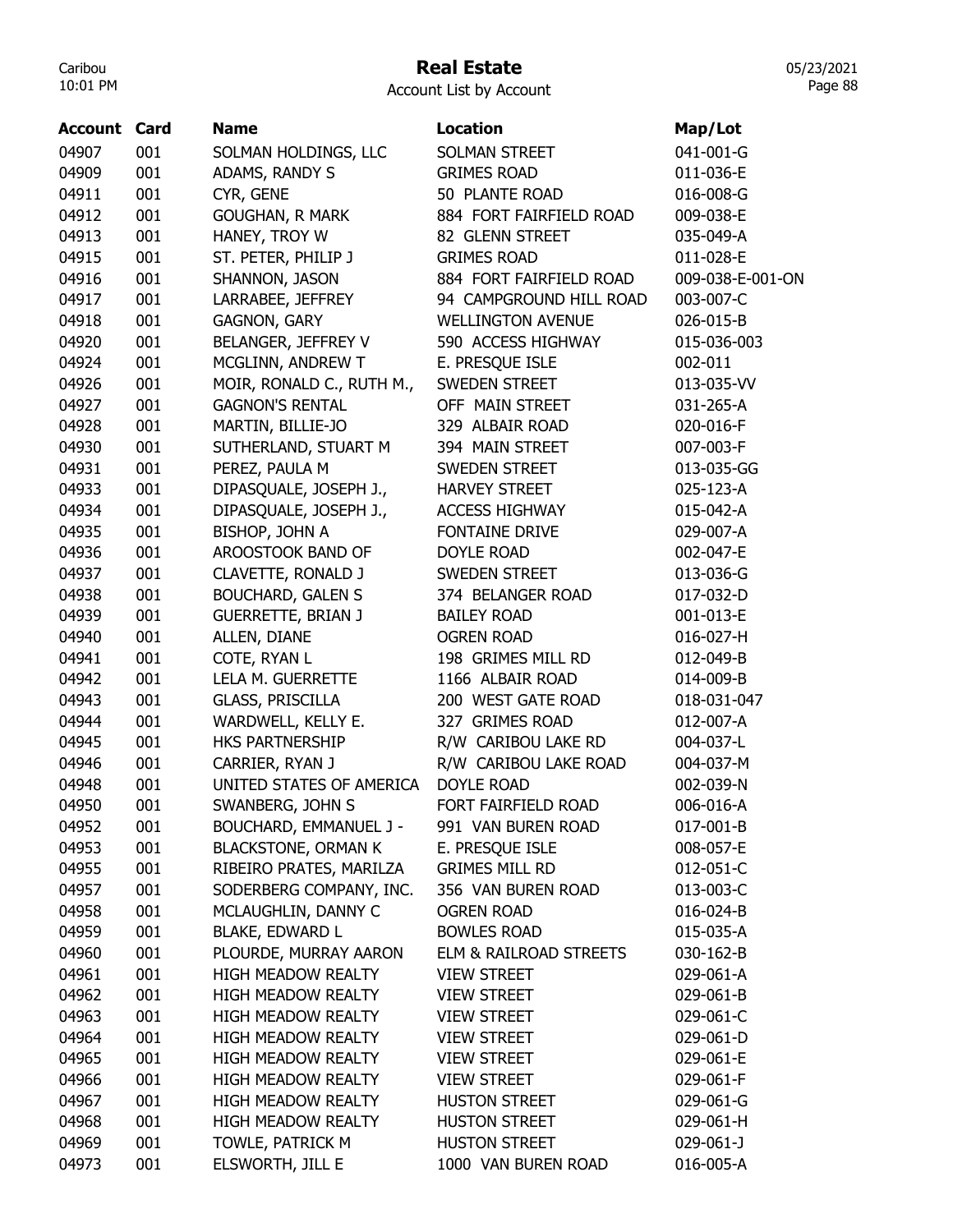# Real Estate

05/23/2021 Page 88

| <b>Account Card</b> |     | <b>Name</b>                | <b>Location</b>          | Map/Lot          |
|---------------------|-----|----------------------------|--------------------------|------------------|
| 04907               | 001 | SOLMAN HOLDINGS, LLC       | SOLMAN STREET            | 041-001-G        |
| 04909               | 001 | ADAMS, RANDY S             | <b>GRIMES ROAD</b>       | 011-036-E        |
| 04911               | 001 | CYR, GENE                  | 50 PLANTE ROAD           | 016-008-G        |
| 04912               | 001 | <b>GOUGHAN, R MARK</b>     | 884 FORT FAIRFIELD ROAD  | 009-038-E        |
| 04913               | 001 | HANEY, TROY W              | 82 GLENN STREET          | 035-049-A        |
| 04915               | 001 | ST. PETER, PHILIP J        | <b>GRIMES ROAD</b>       | 011-028-E        |
| 04916               | 001 | SHANNON, JASON             | 884 FORT FAIRFIELD ROAD  | 009-038-E-001-ON |
| 04917               | 001 | LARRABEE, JEFFREY          | 94 CAMPGROUND HILL ROAD  | 003-007-C        |
| 04918               | 001 | <b>GAGNON, GARY</b>        | <b>WELLINGTON AVENUE</b> | 026-015-B        |
| 04920               | 001 | BELANGER, JEFFREY V        | 590 ACCESS HIGHWAY       | 015-036-003      |
| 04924               | 001 | MCGLINN, ANDREW T          | E. PRESQUE ISLE          | 002-011          |
| 04926               | 001 | MOIR, RONALD C., RUTH M.,  | SWEDEN STREET            | 013-035-VV       |
| 04927               | 001 | <b>GAGNON'S RENTAL</b>     | OFF MAIN STREET          | 031-265-A        |
| 04928               | 001 | MARTIN, BILLIE-JO          | 329 ALBAIR ROAD          | 020-016-F        |
| 04930               | 001 | SUTHERLAND, STUART M       | 394 MAIN STREET          | 007-003-F        |
| 04931               | 001 | PEREZ, PAULA M             | SWEDEN STREET            | 013-035-GG       |
| 04933               | 001 | DIPASQUALE, JOSEPH J.,     | <b>HARVEY STREET</b>     | 025-123-A        |
| 04934               | 001 | DIPASQUALE, JOSEPH J.,     | <b>ACCESS HIGHWAY</b>    | 015-042-A        |
| 04935               | 001 | <b>BISHOP, JOHN A</b>      | FONTAINE DRIVE           | 029-007-A        |
| 04936               | 001 | AROOSTOOK BAND OF          | <b>DOYLE ROAD</b>        | 002-047-E        |
| 04937               | 001 | CLAVETTE, RONALD J         | SWEDEN STREET            | 013-036-G        |
| 04938               | 001 | <b>BOUCHARD, GALEN S</b>   | 374 BELANGER ROAD        | 017-032-D        |
| 04939               | 001 | <b>GUERRETTE, BRIAN J</b>  | <b>BAILEY ROAD</b>       | 001-013-E        |
| 04940               | 001 | ALLEN, DIANE               | <b>OGREN ROAD</b>        | 016-027-H        |
| 04941               | 001 | COTE, RYAN L               | 198 GRIMES MILL RD       | 012-049-B        |
| 04942               | 001 | LELA M. GUERRETTE          | 1166 ALBAIR ROAD         | 014-009-B        |
| 04943               | 001 | <b>GLASS, PRISCILLA</b>    | 200 WEST GATE ROAD       | 018-031-047      |
| 04944               | 001 | WARDWELL, KELLY E.         | 327 GRIMES ROAD          | 012-007-A        |
| 04945               | 001 | <b>HKS PARTNERSHIP</b>     | R/W CARIBOU LAKE RD      | 004-037-L        |
| 04946               | 001 | CARRIER, RYAN J            | R/W CARIBOU LAKE ROAD    | 004-037-M        |
| 04948               | 001 | UNITED STATES OF AMERICA   | <b>DOYLE ROAD</b>        | 002-039-N        |
| 04950               | 001 | SWANBERG, JOHN S           | FORT FAIRFIELD ROAD      | 006-016-A        |
| 04952               | 001 | BOUCHARD, EMMANUEL J -     | 991 VAN BUREN ROAD       | 017-001-B        |
| 04953               | 001 | <b>BLACKSTONE, ORMAN K</b> | E. PRESQUE ISLE          | 008-057-E        |
| 04955               | 001 | RIBEIRO PRATES, MARILZA    | <b>GRIMES MILL RD</b>    | 012-051-C        |
| 04957               | 001 | SODERBERG COMPANY, INC.    | 356 VAN BUREN ROAD       | 013-003-C        |
| 04958               | 001 | MCLAUGHLIN, DANNY C        | <b>OGREN ROAD</b>        | 016-024-B        |
| 04959               | 001 | <b>BLAKE, EDWARD L</b>     | <b>BOWLES ROAD</b>       | 015-035-A        |
| 04960               | 001 | PLOURDE, MURRAY AARON      | ELM & RAILROAD STREETS   | 030-162-B        |
| 04961               | 001 | <b>HIGH MEADOW REALTY</b>  | <b>VIEW STREET</b>       | 029-061-A        |
| 04962               | 001 | <b>HIGH MEADOW REALTY</b>  | <b>VIEW STREET</b>       | 029-061-B        |
| 04963               | 001 | <b>HIGH MEADOW REALTY</b>  | <b>VIEW STREET</b>       | 029-061-C        |
| 04964               | 001 | HIGH MEADOW REALTY         | <b>VIEW STREET</b>       | 029-061-D        |
| 04965               | 001 | HIGH MEADOW REALTY         | <b>VIEW STREET</b>       | 029-061-E        |
| 04966               | 001 | <b>HIGH MEADOW REALTY</b>  | <b>VIEW STREET</b>       | 029-061-F        |
| 04967               | 001 | <b>HIGH MEADOW REALTY</b>  | <b>HUSTON STREET</b>     | 029-061-G        |
| 04968               | 001 | <b>HIGH MEADOW REALTY</b>  | <b>HUSTON STREET</b>     | 029-061-H        |
| 04969               | 001 | TOWLE, PATRICK M           | <b>HUSTON STREET</b>     | 029-061-J        |
| 04973               | 001 | ELSWORTH, JILL E           | 1000 VAN BUREN ROAD      | 016-005-A        |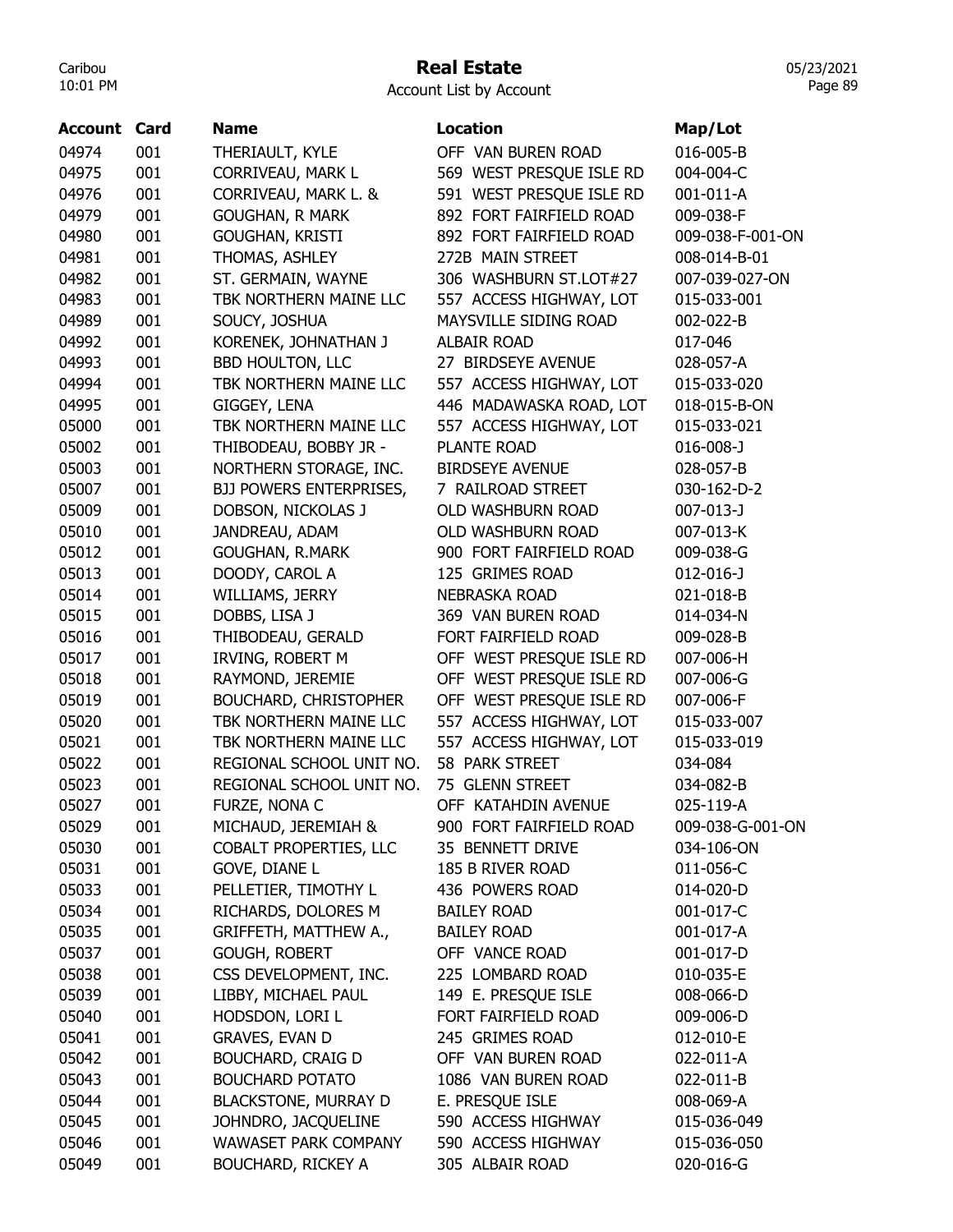# Real Estate

| <b>Account List by Account</b> |  |  |  |
|--------------------------------|--|--|--|
|--------------------------------|--|--|--|

| Account | Card | <b>Name</b>                    | <b>Location</b>          | Map/Lot          |
|---------|------|--------------------------------|--------------------------|------------------|
| 04974   | 001  | THERIAULT, KYLE                | OFF VAN BUREN ROAD       | 016-005-B        |
| 04975   | 001  | CORRIVEAU, MARK L              | 569 WEST PRESQUE ISLE RD | 004-004-C        |
| 04976   | 001  | CORRIVEAU, MARK L. &           | 591 WEST PRESQUE ISLE RD | 001-011-A        |
| 04979   | 001  | <b>GOUGHAN, R MARK</b>         | 892 FORT FAIRFIELD ROAD  | 009-038-F        |
| 04980   | 001  | GOUGHAN, KRISTI                | 892 FORT FAIRFIELD ROAD  | 009-038-F-001-ON |
| 04981   | 001  | THOMAS, ASHLEY                 | 272B MAIN STREET         | 008-014-B-01     |
| 04982   | 001  | ST. GERMAIN, WAYNE             | 306 WASHBURN ST.LOT#27   | 007-039-027-ON   |
| 04983   | 001  | TBK NORTHERN MAINE LLC         | 557 ACCESS HIGHWAY, LOT  | 015-033-001      |
| 04989   | 001  | SOUCY, JOSHUA                  | MAYSVILLE SIDING ROAD    | 002-022-B        |
| 04992   | 001  | KORENEK, JOHNATHAN J           | <b>ALBAIR ROAD</b>       | 017-046          |
| 04993   | 001  | <b>BBD HOULTON, LLC</b>        | 27 BIRDSEYE AVENUE       | 028-057-A        |
| 04994   | 001  | TBK NORTHERN MAINE LLC         | 557 ACCESS HIGHWAY, LOT  | 015-033-020      |
| 04995   | 001  | GIGGEY, LENA                   | 446 MADAWASKA ROAD, LOT  | 018-015-B-ON     |
| 05000   | 001  | TBK NORTHERN MAINE LLC         | 557 ACCESS HIGHWAY, LOT  | 015-033-021      |
| 05002   | 001  | THIBODEAU, BOBBY JR -          | PLANTE ROAD              | $016 - 008 - J$  |
| 05003   | 001  | NORTHERN STORAGE, INC.         | <b>BIRDSEYE AVENUE</b>   | 028-057-B        |
| 05007   | 001  | <b>BJJ POWERS ENTERPRISES,</b> | 7 RAILROAD STREET        | 030-162-D-2      |
| 05009   | 001  | DOBSON, NICKOLAS J             | OLD WASHBURN ROAD        | 007-013-J        |
| 05010   | 001  | JANDREAU, ADAM                 | OLD WASHBURN ROAD        | 007-013-K        |
| 05012   | 001  | <b>GOUGHAN, R.MARK</b>         | 900 FORT FAIRFIELD ROAD  | 009-038-G        |
| 05013   | 001  | DOODY, CAROL A                 | 125 GRIMES ROAD          | $012 - 016 - J$  |
| 05014   | 001  | WILLIAMS, JERRY                | <b>NEBRASKA ROAD</b>     | 021-018-B        |
| 05015   | 001  | DOBBS, LISA J                  | 369 VAN BUREN ROAD       | 014-034-N        |
|         |      |                                |                          |                  |
| 05016   | 001  | THIBODEAU, GERALD              | FORT FAIRFIELD ROAD      | 009-028-B        |
| 05017   | 001  | IRVING, ROBERT M               | OFF WEST PRESQUE ISLE RD | 007-006-H        |
| 05018   | 001  | RAYMOND, JEREMIE               | OFF WEST PRESQUE ISLE RD | 007-006-G        |
| 05019   | 001  | <b>BOUCHARD, CHRISTOPHER</b>   | OFF WEST PRESQUE ISLE RD | 007-006-F        |
| 05020   | 001  | TBK NORTHERN MAINE LLC         | 557 ACCESS HIGHWAY, LOT  | 015-033-007      |
| 05021   | 001  | TBK NORTHERN MAINE LLC         | 557 ACCESS HIGHWAY, LOT  | 015-033-019      |
| 05022   | 001  | REGIONAL SCHOOL UNIT NO.       | 58 PARK STREET           | 034-084          |
| 05023   | 001  | REGIONAL SCHOOL UNIT NO.       | 75 GLENN STREET          | 034-082-B        |
| 05027   | 001  | FURZE, NONA C                  | OFF KATAHDIN AVENUE      | 025-119-A        |
| 05029   | 001  | MICHAUD, JEREMIAH &            | 900 FORT FAIRFIELD ROAD  | 009-038-G-001-ON |
| 05030   | 001  | COBALT PROPERTIES, LLC         | 35 BENNETT DRIVE         | 034-106-ON       |
| 05031   | 001  | <b>GOVE, DIANE L</b>           | 185 B RIVER ROAD         | 011-056-C        |
| 05033   | 001  | PELLETIER, TIMOTHY L           | 436 POWERS ROAD          | 014-020-D        |
| 05034   | 001  | RICHARDS, DOLORES M            | <b>BAILEY ROAD</b>       | 001-017-C        |
| 05035   | 001  | GRIFFETH, MATTHEW A.,          | <b>BAILEY ROAD</b>       | 001-017-A        |
| 05037   | 001  | <b>GOUGH, ROBERT</b>           | OFF VANCE ROAD           | 001-017-D        |
| 05038   | 001  | CSS DEVELOPMENT, INC.          | 225 LOMBARD ROAD         | 010-035-E        |
| 05039   | 001  | LIBBY, MICHAEL PAUL            | 149 E. PRESQUE ISLE      | 008-066-D        |
| 05040   | 001  | HODSDON, LORI L                | FORT FAIRFIELD ROAD      | 009-006-D        |
| 05041   | 001  | <b>GRAVES, EVAN D</b>          | 245 GRIMES ROAD          | 012-010-E        |
| 05042   | 001  | <b>BOUCHARD, CRAIG D</b>       | OFF VAN BUREN ROAD       | 022-011-A        |
| 05043   | 001  | <b>BOUCHARD POTATO</b>         | 1086 VAN BUREN ROAD      | 022-011-B        |
| 05044   | 001  | <b>BLACKSTONE, MURRAY D</b>    | E. PRESQUE ISLE          | 008-069-A        |
| 05045   | 001  | JOHNDRO, JACQUELINE            | 590 ACCESS HIGHWAY       | 015-036-049      |
| 05046   | 001  | WAWASET PARK COMPANY           | 590 ACCESS HIGHWAY       | 015-036-050      |
| 05049   | 001  | <b>BOUCHARD, RICKEY A</b>      | 305 ALBAIR ROAD          | 020-016-G        |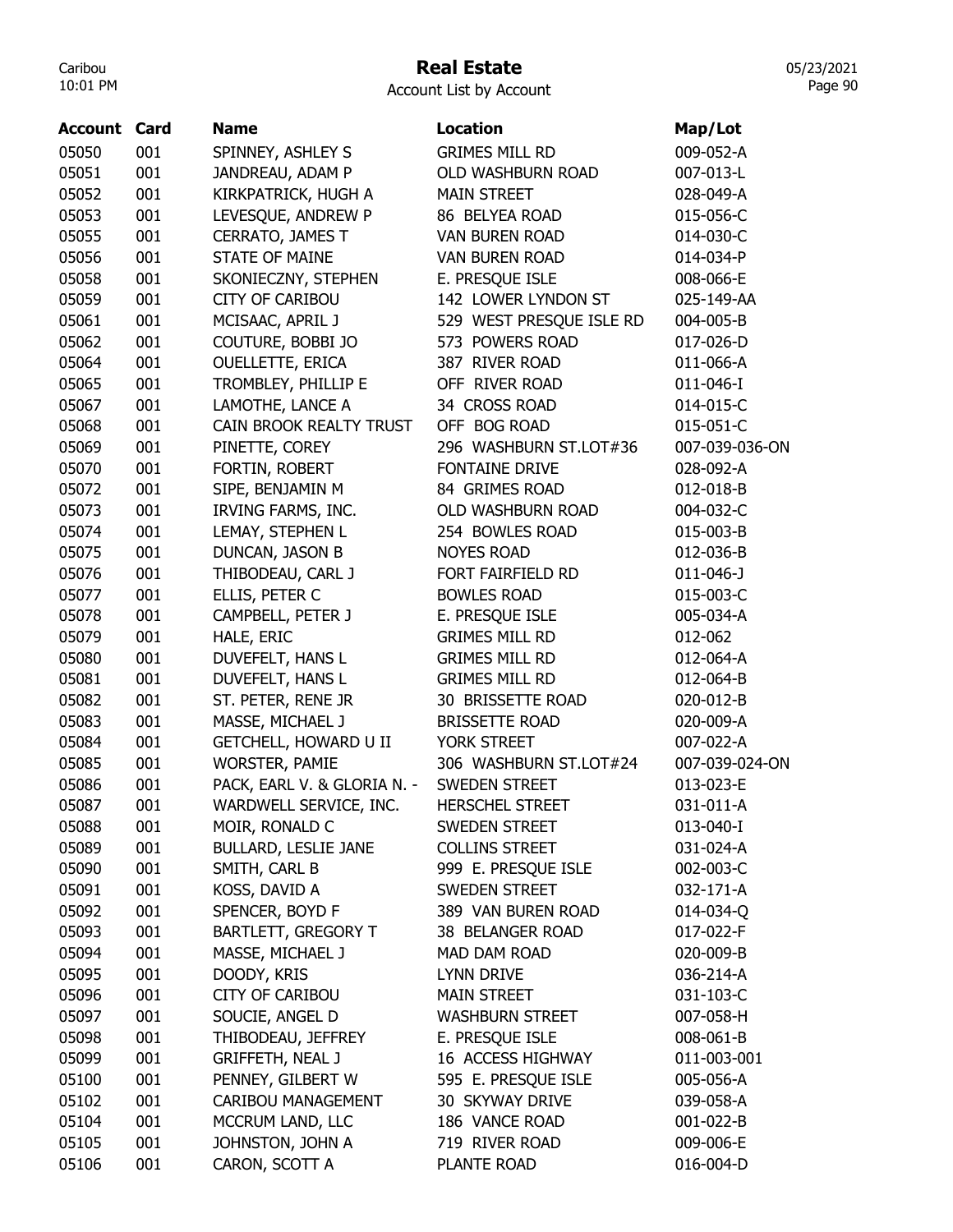## Real Estate

Account List by Account

| <b>Account Card</b> |     | <b>Name</b>                  | <b>Location</b>          | Map/Lot         |
|---------------------|-----|------------------------------|--------------------------|-----------------|
| 05050               | 001 | SPINNEY, ASHLEY S            | <b>GRIMES MILL RD</b>    | 009-052-A       |
| 05051               | 001 | JANDREAU, ADAM P             | OLD WASHBURN ROAD        | 007-013-L       |
| 05052               | 001 | KIRKPATRICK, HUGH A          | <b>MAIN STREET</b>       | 028-049-A       |
| 05053               | 001 | LEVESQUE, ANDREW P           | 86 BELYEA ROAD           | 015-056-C       |
| 05055               | 001 | CERRATO, JAMES T             | <b>VAN BUREN ROAD</b>    | 014-030-C       |
| 05056               | 001 | <b>STATE OF MAINE</b>        | VAN BUREN ROAD           | 014-034-P       |
| 05058               | 001 | SKONIECZNY, STEPHEN          | E. PRESQUE ISLE          | 008-066-E       |
| 05059               | 001 | <b>CITY OF CARIBOU</b>       | 142 LOWER LYNDON ST      | 025-149-AA      |
| 05061               | 001 | MCISAAC, APRIL J             | 529 WEST PRESQUE ISLE RD | 004-005-B       |
| 05062               | 001 | COUTURE, BOBBI JO            | 573 POWERS ROAD          | 017-026-D       |
| 05064               | 001 | <b>OUELLETTE, ERICA</b>      | 387 RIVER ROAD           | 011-066-A       |
| 05065               | 001 | TROMBLEY, PHILLIP E          | OFF RIVER ROAD           | 011-046-I       |
| 05067               | 001 | LAMOTHE, LANCE A             | 34 CROSS ROAD            | 014-015-C       |
| 05068               | 001 | CAIN BROOK REALTY TRUST      | OFF BOG ROAD             | 015-051-C       |
| 05069               | 001 | PINETTE, COREY               | 296 WASHBURN ST.LOT#36   | 007-039-036-ON  |
| 05070               | 001 | FORTIN, ROBERT               | FONTAINE DRIVE           | 028-092-A       |
| 05072               | 001 | SIPE, BENJAMIN M             | 84 GRIMES ROAD           | 012-018-B       |
| 05073               | 001 | IRVING FARMS, INC.           | OLD WASHBURN ROAD        | 004-032-C       |
| 05074               | 001 | LEMAY, STEPHEN L             | 254 BOWLES ROAD          | 015-003-B       |
| 05075               | 001 | DUNCAN, JASON B              | <b>NOYES ROAD</b>        | 012-036-B       |
| 05076               | 001 | THIBODEAU, CARL J            | FORT FAIRFIELD RD        | $011 - 046 - J$ |
| 05077               | 001 | ELLIS, PETER C               | <b>BOWLES ROAD</b>       | 015-003-C       |
| 05078               | 001 | CAMPBELL, PETER J            | E. PRESQUE ISLE          | 005-034-A       |
| 05079               | 001 | HALE, ERIC                   | <b>GRIMES MILL RD</b>    | 012-062         |
| 05080               | 001 | DUVEFELT, HANS L             | <b>GRIMES MILL RD</b>    | 012-064-A       |
| 05081               | 001 | DUVEFELT, HANS L             | <b>GRIMES MILL RD</b>    | 012-064-B       |
| 05082               | 001 | ST. PETER, RENE JR           | 30 BRISSETTE ROAD        | 020-012-B       |
| 05083               | 001 | MASSE, MICHAEL J             | <b>BRISSETTE ROAD</b>    | 020-009-A       |
| 05084               | 001 | <b>GETCHELL, HOWARD U II</b> | YORK STREET              | 007-022-A       |
| 05085               | 001 | <b>WORSTER, PAMIE</b>        | 306 WASHBURN ST.LOT#24   | 007-039-024-ON  |
| 05086               | 001 | PACK, EARL V. & GLORIA N. -  | <b>SWEDEN STREET</b>     | 013-023-E       |
| 05087               | 001 | WARDWELL SERVICE, INC.       | <b>HERSCHEL STREET</b>   | 031-011-A       |
| 05088               | 001 | MOIR, RONALD C               | SWEDEN STREET            | 013-040-I       |
| 05089               | 001 | <b>BULLARD, LESLIE JANE</b>  | <b>COLLINS STREET</b>    | 031-024-A       |
| 05090               | 001 | SMITH, CARL B                | 999 E. PRESQUE ISLE      | 002-003-C       |
| 05091               | 001 | KOSS, DAVID A                | <b>SWEDEN STREET</b>     | 032-171-A       |
| 05092               | 001 | SPENCER, BOYD F              | 389 VAN BUREN ROAD       | 014-034-Q       |
| 05093               | 001 | <b>BARTLETT, GREGORY T</b>   | 38 BELANGER ROAD         | 017-022-F       |
| 05094               | 001 | MASSE, MICHAEL J             | MAD DAM ROAD             | 020-009-B       |
| 05095               | 001 | DOODY, KRIS                  | <b>LYNN DRIVE</b>        | 036-214-A       |
| 05096               | 001 | <b>CITY OF CARIBOU</b>       | <b>MAIN STREET</b>       | 031-103-C       |
| 05097               | 001 | SOUCIE, ANGEL D              | <b>WASHBURN STREET</b>   | 007-058-H       |
| 05098               | 001 | THIBODEAU, JEFFREY           | E. PRESQUE ISLE          | 008-061-B       |
| 05099               | 001 | <b>GRIFFETH, NEAL J</b>      | 16 ACCESS HIGHWAY        | 011-003-001     |
| 05100               | 001 | PENNEY, GILBERT W            | 595 E. PRESQUE ISLE      | 005-056-A       |
| 05102               | 001 | CARIBOU MANAGEMENT           | 30 SKYWAY DRIVE          | 039-058-A       |
| 05104               | 001 | MCCRUM LAND, LLC             | 186 VANCE ROAD           | 001-022-B       |
| 05105               | 001 | JOHNSTON, JOHN A             | 719 RIVER ROAD           | 009-006-E       |
| 05106               | 001 | CARON, SCOTT A               | PLANTE ROAD              | 016-004-D       |